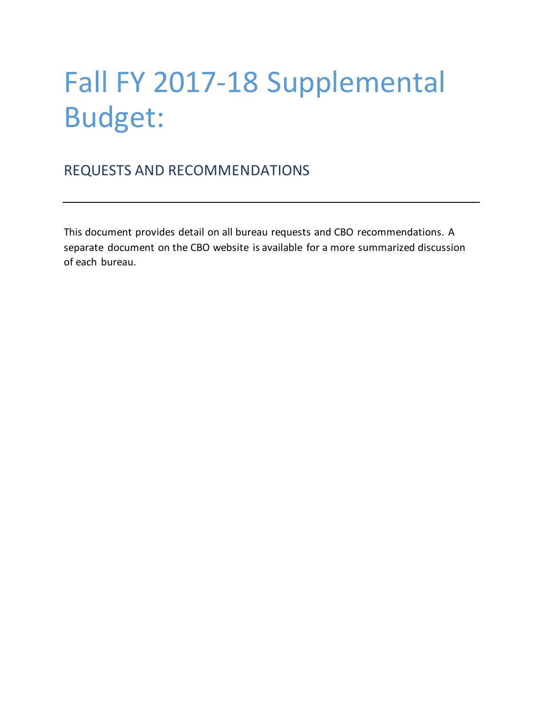# Fall FY 2017-18 Supplemental Budget:

# REQUESTS AND RECOMMENDATIONS

This document provides detail on all bureau requests and CBO recommendations. A separate document on the CBO website is available for a more summarized discussion of each bureau.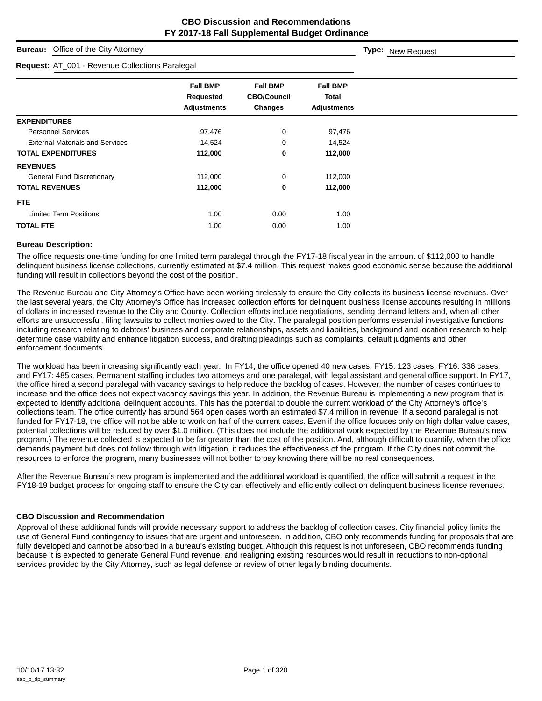**Type:** New Request

# **Bureau:** Office of the City Attorney

| <b>Request: AT_001 - Revenue Collections Paralegal</b> |                                                    |                                                         |                                                       |  |
|--------------------------------------------------------|----------------------------------------------------|---------------------------------------------------------|-------------------------------------------------------|--|
|                                                        | <b>Fall BMP</b><br>Requested<br><b>Adjustments</b> | <b>Fall BMP</b><br><b>CBO/Council</b><br><b>Changes</b> | <b>Fall BMP</b><br><b>Total</b><br><b>Adjustments</b> |  |
| <b>EXPENDITURES</b>                                    |                                                    |                                                         |                                                       |  |
| <b>Personnel Services</b>                              | 97,476                                             | 0                                                       | 97,476                                                |  |
| <b>External Materials and Services</b>                 | 14,524                                             | 0                                                       | 14,524                                                |  |
| <b>TOTAL EXPENDITURES</b>                              | 112,000                                            | 0                                                       | 112,000                                               |  |
| <b>REVENUES</b>                                        |                                                    |                                                         |                                                       |  |
| <b>General Fund Discretionary</b>                      | 112,000                                            | 0                                                       | 112,000                                               |  |
| <b>TOTAL REVENUES</b>                                  | 112,000                                            | 0                                                       | 112,000                                               |  |
| FTE.                                                   |                                                    |                                                         |                                                       |  |
| <b>Limited Term Positions</b>                          | 1.00                                               | 0.00                                                    | 1.00                                                  |  |
| <b>TOTAL FTE</b>                                       | 1.00                                               | 0.00                                                    | 1.00                                                  |  |

#### **Bureau Description:**

The office requests one-time funding for one limited term paralegal through the FY17-18 fiscal year in the amount of \$112,000 to handle delinquent business license collections, currently estimated at \$7.4 million. This request makes good economic sense because the additional funding will result in collections beyond the cost of the position.

The Revenue Bureau and City Attorney's Office have been working tirelessly to ensure the City collects its business license revenues. Over the last several years, the City Attorney's Office has increased collection efforts for delinquent business license accounts resulting in millions of dollars in increased revenue to the City and County. Collection efforts include negotiations, sending demand letters and, when all other efforts are unsuccessful, filing lawsuits to collect monies owed to the City. The paralegal position performs essential investigative functions including research relating to debtors' business and corporate relationships, assets and liabilities, background and location research to help determine case viability and enhance litigation success, and drafting pleadings such as complaints, default judgments and other enforcement documents.

The workload has been increasing significantly each year: In FY14, the office opened 40 new cases; FY15: 123 cases; FY16: 336 cases; and FY17: 485 cases. Permanent staffing includes two attorneys and one paralegal, with legal assistant and general office support. In FY17, the office hired a second paralegal with vacancy savings to help reduce the backlog of cases. However, the number of cases continues to increase and the office does not expect vacancy savings this year. In addition, the Revenue Bureau is implementing a new program that is expected to identify additional delinquent accounts. This has the potential to double the current workload of the City Attorney's office's collections team. The office currently has around 564 open cases worth an estimated \$7.4 million in revenue. If a second paralegal is not funded for FY17-18, the office will not be able to work on half of the current cases. Even if the office focuses only on high dollar value cases, potential collections will be reduced by over \$1.0 million. (This does not include the additional work expected by the Revenue Bureau's new program.) The revenue collected is expected to be far greater than the cost of the position. And, although difficult to quantify, when the office demands payment but does not follow through with litigation, it reduces the effectiveness of the program. If the City does not commit the resources to enforce the program, many businesses will not bother to pay knowing there will be no real consequences.

After the Revenue Bureau's new program is implemented and the additional workload is quantified, the office will submit a request in the FY18-19 budget process for ongoing staff to ensure the City can effectively and efficiently collect on delinquent business license revenues.

#### **CBO Discussion and Recommendation**

Approval of these additional funds will provide necessary support to address the backlog of collection cases. City financial policy limits the use of General Fund contingency to issues that are urgent and unforeseen. In addition, CBO only recommends funding for proposals that are fully developed and cannot be absorbed in a bureau's existing budget. Although this request is not unforeseen, CBO recommends funding because it is expected to generate General Fund revenue, and realigning existing resources would result in reductions to non-optional services provided by the City Attorney, such as legal defense or review of other legally binding documents.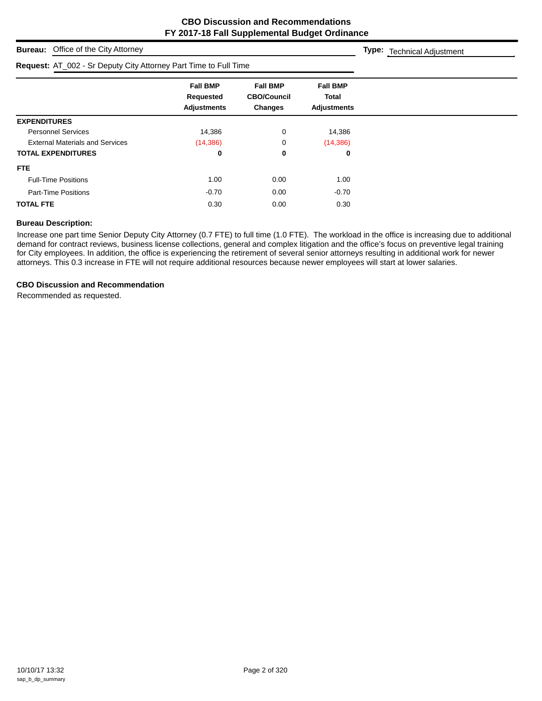**Type:** Technical Adjustment

**Bureau:** Office of the City Attorney

| Request: AT_002 - Sr Deputy City Attorney Part Time to Full Time |                                                    |                                                         |                                                |  |
|------------------------------------------------------------------|----------------------------------------------------|---------------------------------------------------------|------------------------------------------------|--|
|                                                                  | <b>Fall BMP</b><br>Requested<br><b>Adjustments</b> | <b>Fall BMP</b><br><b>CBO/Council</b><br><b>Changes</b> | <b>Fall BMP</b><br>Total<br><b>Adjustments</b> |  |
| <b>EXPENDITURES</b>                                              |                                                    |                                                         |                                                |  |
| <b>Personnel Services</b>                                        | 14,386                                             | 0                                                       | 14,386                                         |  |
| <b>External Materials and Services</b>                           | (14, 386)                                          | 0                                                       | (14, 386)                                      |  |
| <b>TOTAL EXPENDITURES</b>                                        | 0                                                  | 0                                                       | 0                                              |  |
| FTE.                                                             |                                                    |                                                         |                                                |  |
| <b>Full-Time Positions</b>                                       | 1.00                                               | 0.00                                                    | 1.00                                           |  |
| <b>Part-Time Positions</b>                                       | $-0.70$                                            | 0.00                                                    | $-0.70$                                        |  |
| <b>TOTAL FTE</b>                                                 | 0.30                                               | 0.00                                                    | 0.30                                           |  |

#### **Bureau Description:**

Increase one part time Senior Deputy City Attorney (0.7 FTE) to full time (1.0 FTE). The workload in the office is increasing due to additional demand for contract reviews, business license collections, general and complex litigation and the office's focus on preventive legal training for City employees. In addition, the office is experiencing the retirement of several senior attorneys resulting in additional work for newer attorneys. This 0.3 increase in FTE will not require additional resources because newer employees will start at lower salaries.

#### **CBO Discussion and Recommendation**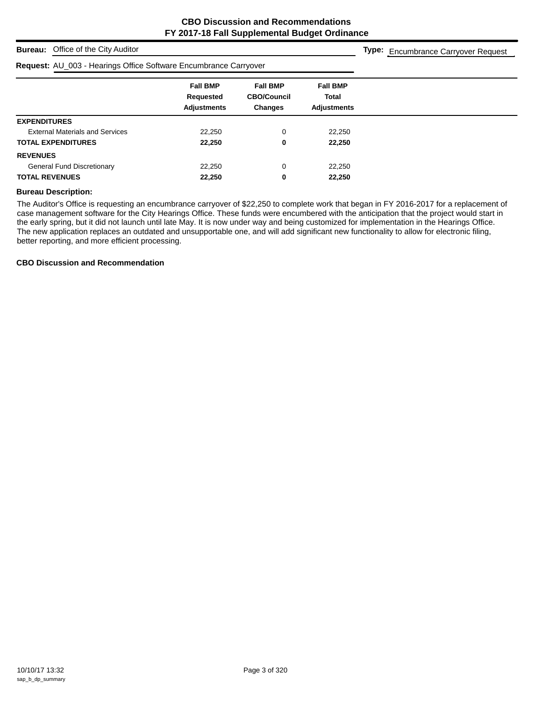# **Bureau:** Office of the City Auditor

#### **Request:** AU\_003 - Hearings Office Software Encumbrance Carryover

**Type:** Encumbrance Carryover Request

| $1.94499911119 - 000111190 - 011100 - 00111101 - 0111100 - 00111101 - 0111101 - 0111101 - 0111101 - 0111101 - 0111101 - 0111101 - 0111101 - 0111101 - 0111101 - 0111101 - 0111101 - 0111101 - 0111101 - 0111101 - 0111101 - 0111101 - 0111101 - 0111$ |                                                    |                                                         |                                                |
|-------------------------------------------------------------------------------------------------------------------------------------------------------------------------------------------------------------------------------------------------------|----------------------------------------------------|---------------------------------------------------------|------------------------------------------------|
|                                                                                                                                                                                                                                                       | <b>Fall BMP</b><br>Requested<br><b>Adjustments</b> | <b>Fall BMP</b><br><b>CBO/Council</b><br><b>Changes</b> | <b>Fall BMP</b><br>Total<br><b>Adjustments</b> |
| <b>EXPENDITURES</b>                                                                                                                                                                                                                                   |                                                    |                                                         |                                                |
| <b>External Materials and Services</b>                                                                                                                                                                                                                | 22,250                                             | 0                                                       | 22,250                                         |
| <b>TOTAL EXPENDITURES</b>                                                                                                                                                                                                                             | 22,250                                             | 0                                                       | 22,250                                         |
| <b>REVENUES</b>                                                                                                                                                                                                                                       |                                                    |                                                         |                                                |
| <b>General Fund Discretionary</b>                                                                                                                                                                                                                     | 22,250                                             | 0                                                       | 22,250                                         |
| <b>TOTAL REVENUES</b>                                                                                                                                                                                                                                 | 22,250                                             | 0                                                       | 22,250                                         |
|                                                                                                                                                                                                                                                       |                                                    |                                                         |                                                |

#### **Bureau Description:**

The Auditor's Office is requesting an encumbrance carryover of \$22,250 to complete work that began in FY 2016-2017 for a replacement of case management software for the City Hearings Office. These funds were encumbered with the anticipation that the project would start in the early spring, but it did not launch until late May. It is now under way and being customized for implementation in the Hearings Office. The new application replaces an outdated and unsupportable one, and will add significant new functionality to allow for electronic filing, better reporting, and more efficient processing.

#### **CBO Discussion and Recommendation**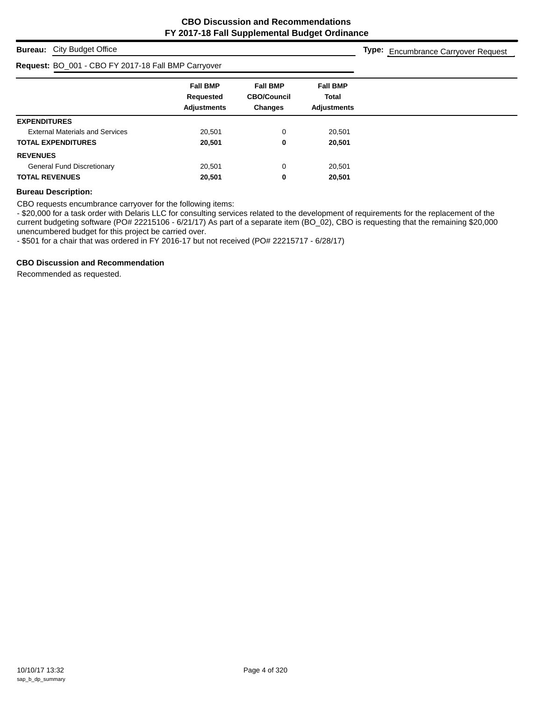# **Bureau:** City Budget Office

#### **Request:** BO\_001 - CBO FY 2017-18 Fall BMP Carryover

**Type:** Encumbrance Carryover Request

| . .                                    |                              |                                       |                                 |
|----------------------------------------|------------------------------|---------------------------------------|---------------------------------|
|                                        | <b>Fall BMP</b><br>Requested | <b>Fall BMP</b><br><b>CBO/Council</b> | <b>Fall BMP</b><br><b>Total</b> |
|                                        | <b>Adjustments</b>           | <b>Changes</b>                        | <b>Adjustments</b>              |
| <b>EXPENDITURES</b>                    |                              |                                       |                                 |
| <b>External Materials and Services</b> | 20,501                       | 0                                     | 20,501                          |
| <b>TOTAL EXPENDITURES</b>              | 20,501                       | 0                                     | 20,501                          |
| <b>REVENUES</b>                        |                              |                                       |                                 |
| <b>General Fund Discretionary</b>      | 20,501                       | 0                                     | 20,501                          |
| <b>TOTAL REVENUES</b>                  | 20,501                       | 0                                     | 20,501                          |
|                                        |                              |                                       |                                 |

#### **Bureau Description:**

CBO requests encumbrance carryover for the following items:

- \$20,000 for a task order with Delaris LLC for consulting services related to the development of requirements for the replacement of the current budgeting software (PO# 22215106 - 6/21/17) As part of a separate item (BO\_02), CBO is requesting that the remaining \$20,000 unencumbered budget for this project be carried over.

- \$501 for a chair that was ordered in FY 2016-17 but not received (PO# 22215717 - 6/28/17)

#### **CBO Discussion and Recommendation**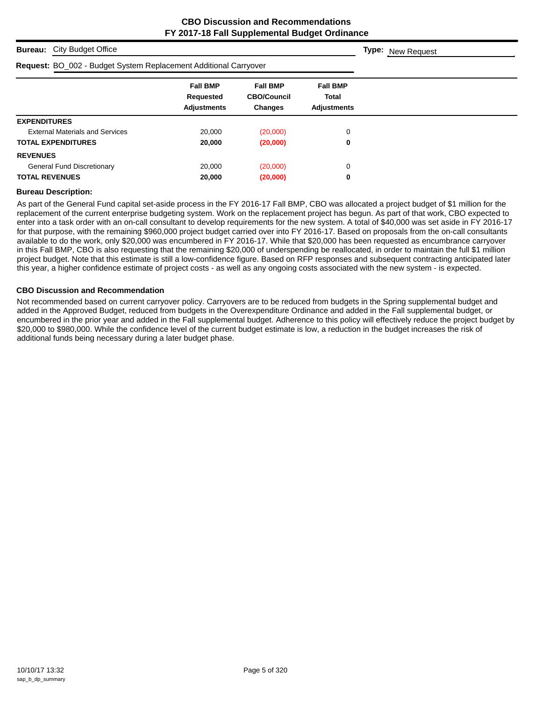# **Bureau:** City Budget Office **Fall BMP Fall BMP Fall BMP Requested CBO/Council Total Adjustments Changes Adjustments Type:** New Request **Request:** BO\_002 - Budget System Replacement Additional Carryover **EXPENDITURES** External Materials and Services 20,000 (20,000) 0 **TOTAL EXPENDITURES 20,000 (20,000) 0 REVENUES** General Fund Discretionary  $20,000$  (20,000) 0 **TOTAL REVENUES 20,000 (20,000) 0**

#### **Bureau Description:**

As part of the General Fund capital set-aside process in the FY 2016-17 Fall BMP, CBO was allocated a project budget of \$1 million for the replacement of the current enterprise budgeting system. Work on the replacement project has begun. As part of that work, CBO expected to enter into a task order with an on-call consultant to develop requirements for the new system. A total of \$40,000 was set aside in FY 2016-17 for that purpose, with the remaining \$960,000 project budget carried over into FY 2016-17. Based on proposals from the on-call consultants available to do the work, only \$20,000 was encumbered in FY 2016-17. While that \$20,000 has been requested as encumbrance carryover in this Fall BMP, CBO is also requesting that the remaining \$20,000 of underspending be reallocated, in order to maintain the full \$1 million project budget. Note that this estimate is still a low-confidence figure. Based on RFP responses and subsequent contracting anticipated later this year, a higher confidence estimate of project costs - as well as any ongoing costs associated with the new system - is expected.

#### **CBO Discussion and Recommendation**

Not recommended based on current carryover policy. Carryovers are to be reduced from budgets in the Spring supplemental budget and added in the Approved Budget, reduced from budgets in the Overexpenditure Ordinance and added in the Fall supplemental budget, or encumbered in the prior year and added in the Fall supplemental budget. Adherence to this policy will effectively reduce the project budget by \$20,000 to \$980,000. While the confidence level of the current budget estimate is low, a reduction in the budget increases the risk of additional funds being necessary during a later budget phase.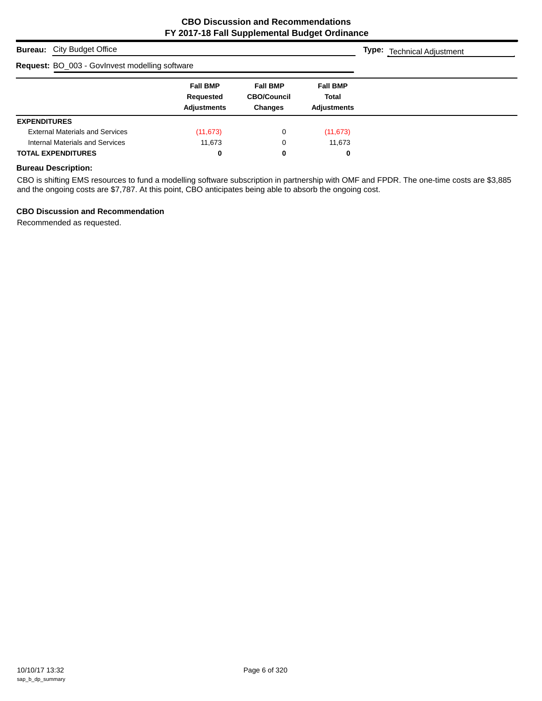| <b>Bureau:</b> City Budget Office              | <b>Type:</b> Technical Adjustment                  |                                                         |                                                |  |
|------------------------------------------------|----------------------------------------------------|---------------------------------------------------------|------------------------------------------------|--|
| Request: BO_003 - GovInvest modelling software |                                                    |                                                         |                                                |  |
|                                                | <b>Fall BMP</b><br>Requested<br><b>Adjustments</b> | <b>Fall BMP</b><br><b>CBO/Council</b><br><b>Changes</b> | <b>Fall BMP</b><br><b>Total</b><br>Adjustments |  |
| <b>EXPENDITURES</b>                            |                                                    |                                                         |                                                |  |
| <b>External Materials and Services</b>         | (11, 673)                                          | 0                                                       | (11, 673)                                      |  |
| Internal Materials and Services                | 11,673                                             | 0                                                       | 11,673                                         |  |
| <b>TOTAL EXPENDITURES</b>                      | 0                                                  | 0                                                       | 0                                              |  |

# **Bureau Description:**

CBO is shifting EMS resources to fund a modelling software subscription in partnership with OMF and FPDR. The one-time costs are \$3,885 and the ongoing costs are \$7,787. At this point, CBO anticipates being able to absorb the ongoing cost.

#### **CBO Discussion and Recommendation**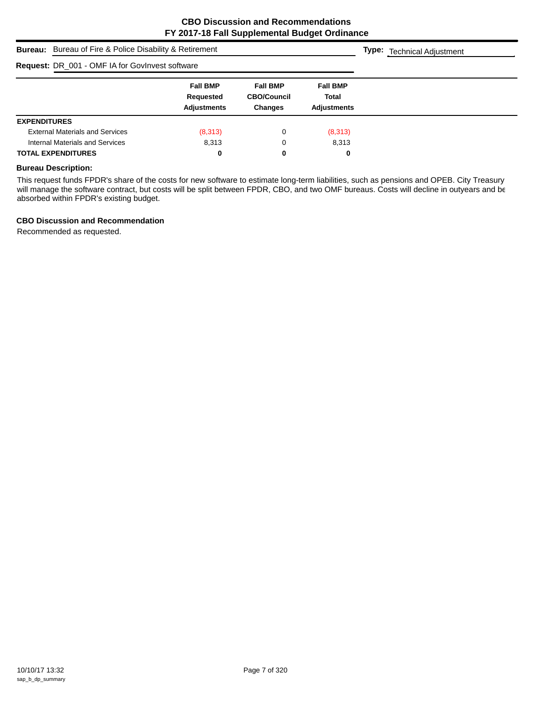|                                                        | <b>Bureau:</b> Bureau of Fire & Police Disability & Retirement |                                                         |                                                |  |  |  |  |
|--------------------------------------------------------|----------------------------------------------------------------|---------------------------------------------------------|------------------------------------------------|--|--|--|--|
| <b>Request: DR_001 - OMF IA for GovInvest software</b> |                                                                |                                                         |                                                |  |  |  |  |
|                                                        | <b>Fall BMP</b><br>Requested<br><b>Adjustments</b>             | <b>Fall BMP</b><br><b>CBO/Council</b><br><b>Changes</b> | <b>Fall BMP</b><br>Total<br><b>Adiustments</b> |  |  |  |  |
| <b>EXPENDITURES</b>                                    |                                                                |                                                         |                                                |  |  |  |  |
| <b>External Materials and Services</b>                 | (8,313)                                                        | 0                                                       | (8,313)                                        |  |  |  |  |
| Internal Materials and Services                        | 8,313                                                          | 0                                                       | 8,313                                          |  |  |  |  |
| <b>TOTAL EXPENDITURES</b>                              | 0                                                              | 0                                                       | 0                                              |  |  |  |  |

# **Bureau Description:**

This request funds FPDR's share of the costs for new software to estimate long-term liabilities, such as pensions and OPEB. City Treasury will manage the software contract, but costs will be split between FPDR, CBO, and two OMF bureaus. Costs will decline in outyears and be absorbed within FPDR's existing budget.

#### **CBO Discussion and Recommendation**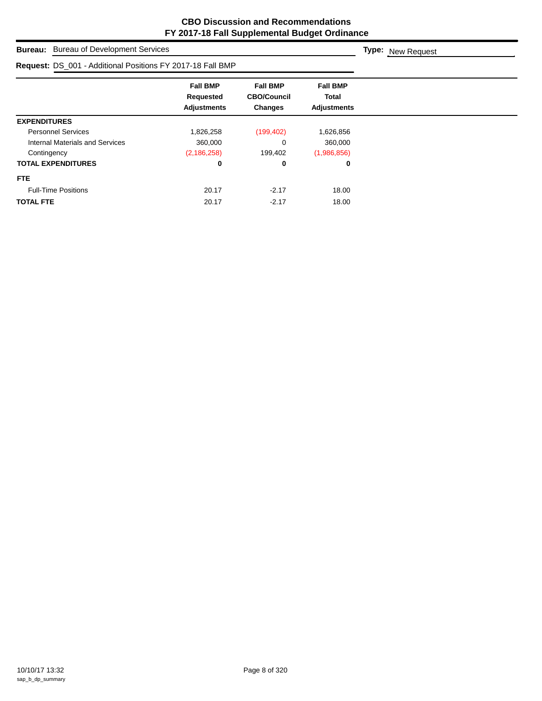|                                                            | <b>Bureau:</b> Bureau of Development Services      |                                                  |                                                |  |  |  |
|------------------------------------------------------------|----------------------------------------------------|--------------------------------------------------|------------------------------------------------|--|--|--|
| Request: DS_001 - Additional Positions FY 2017-18 Fall BMP |                                                    |                                                  |                                                |  |  |  |
|                                                            | <b>Fall BMP</b><br>Requested<br><b>Adjustments</b> | <b>Fall BMP</b><br><b>CBO/Council</b><br>Changes | <b>Fall BMP</b><br>Total<br><b>Adjustments</b> |  |  |  |
| <b>EXPENDITURES</b>                                        |                                                    |                                                  |                                                |  |  |  |
| <b>Personnel Services</b>                                  | 1,826,258                                          | (199, 402)                                       | 1,626,856                                      |  |  |  |
| Internal Materials and Services                            | 360,000                                            | 0                                                | 360,000                                        |  |  |  |
| Contingency                                                | (2, 186, 258)                                      | 199,402                                          | (1,986,856)                                    |  |  |  |
| <b>TOTAL EXPENDITURES</b>                                  | 0                                                  | 0                                                | 0                                              |  |  |  |
| <b>FTE</b>                                                 |                                                    |                                                  |                                                |  |  |  |
| <b>Full-Time Positions</b>                                 | 20.17                                              | $-2.17$                                          | 18.00                                          |  |  |  |
| <b>TOTAL FTE</b>                                           | 20.17                                              | $-2.17$                                          | 18.00                                          |  |  |  |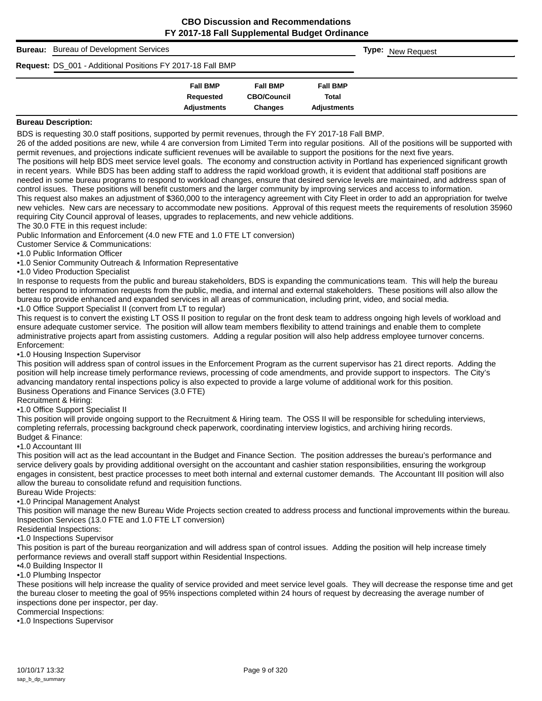| <b>Bureau:</b> Bureau of Development Services                     | <b>Type:</b> New Request |                    |                    |  |  |
|-------------------------------------------------------------------|--------------------------|--------------------|--------------------|--|--|
| <b>Request: DS_001 - Additional Positions FY 2017-18 Fall BMP</b> |                          |                    |                    |  |  |
|                                                                   | <b>Fall BMP</b>          | <b>Fall BMP</b>    | <b>Fall BMP</b>    |  |  |
|                                                                   | Requested                | <b>CBO/Council</b> | Total              |  |  |
|                                                                   | <b>Adjustments</b>       | <b>Changes</b>     | <b>Adiustments</b> |  |  |

BDS is requesting 30.0 staff positions, supported by permit revenues, through the FY 2017-18 Fall BMP.

26 of the added positions are new, while 4 are conversion from Limited Term into regular positions. All of the positions will be supported with permit revenues, and projections indicate sufficient revenues will be available to support the positions for the next five years.

The positions will help BDS meet service level goals. The economy and construction activity in Portland has experienced significant growth in recent years. While BDS has been adding staff to address the rapid workload growth, it is evident that additional staff positions are needed in some bureau programs to respond to workload changes, ensure that desired service levels are maintained, and address span of control issues. These positions will benefit customers and the larger community by improving services and access to information. This request also makes an adjustment of \$360,000 to the interagency agreement with City Fleet in order to add an appropriation for twelve new vehicles. New cars are necessary to accommodate new positions. Approval of this request meets the requirements of resolution 35960 requiring City Council approval of leases, upgrades to replacements, and new vehicle additions.

The 30.0 FTE in this request include:

Public Information and Enforcement (4.0 new FTE and 1.0 FTE LT conversion)

Customer Service & Communications:

•1.0 Public Information Officer

•1.0 Senior Community Outreach & Information Representative

•1.0 Video Production Specialist

In response to requests from the public and bureau stakeholders, BDS is expanding the communications team. This will help the bureau better respond to information requests from the public, media, and internal and external stakeholders. These positions will also allow the bureau to provide enhanced and expanded services in all areas of communication, including print, video, and social media. •1.0 Office Support Specialist II (convert from LT to regular)

This request is to convert the existing LT OSS II position to regular on the front desk team to address ongoing high levels of workload and ensure adequate customer service. The position will allow team members flexibility to attend trainings and enable them to complete administrative projects apart from assisting customers. Adding a regular position will also help address employee turnover concerns. Enforcement:

•1.0 Housing Inspection Supervisor

This position will address span of control issues in the Enforcement Program as the current supervisor has 21 direct reports. Adding the position will help increase timely performance reviews, processing of code amendments, and provide support to inspectors. The City's advancing mandatory rental inspections policy is also expected to provide a large volume of additional work for this position. Business Operations and Finance Services (3.0 FTE)

Recruitment & Hiring:

•1.0 Office Support Specialist II

This position will provide ongoing support to the Recruitment & Hiring team. The OSS II will be responsible for scheduling interviews, completing referrals, processing background check paperwork, coordinating interview logistics, and archiving hiring records. Budget & Finance:

•1.0 Accountant III

This position will act as the lead accountant in the Budget and Finance Section. The position addresses the bureau's performance and service delivery goals by providing additional oversight on the accountant and cashier station responsibilities, ensuring the workgroup engages in consistent, best practice processes to meet both internal and external customer demands. The Accountant III position will also allow the bureau to consolidate refund and requisition functions.

Bureau Wide Projects:

•1.0 Principal Management Analyst

This position will manage the new Bureau Wide Projects section created to address process and functional improvements within the bureau. Inspection Services (13.0 FTE and 1.0 FTE LT conversion)

Residential Inspections:

•1.0 Inspections Supervisor

This position is part of the bureau reorganization and will address span of control issues. Adding the position will help increase timely performance reviews and overall staff support within Residential Inspections.

•4.0 Building Inspector II

•1.0 Plumbing Inspector

These positions will help increase the quality of service provided and meet service level goals. They will decrease the response time and get the bureau closer to meeting the goal of 95% inspections completed within 24 hours of request by decreasing the average number of inspections done per inspector, per day.

Commercial Inspections:

•1.0 Inspections Supervisor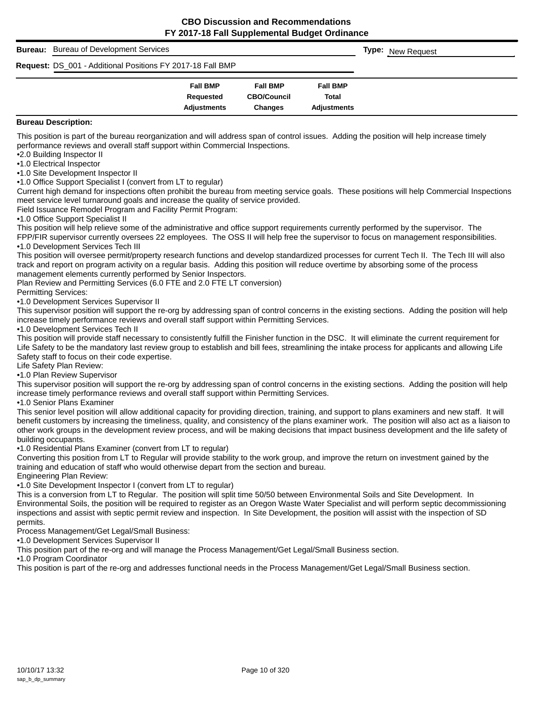# **Bureau:** Bureau of Development Services **Fall BMP Fall BMP Fall BMP Requested CBO/Council Total Adjustments Changes Adjustments Type:** New Request **Request:** DS\_001 - Additional Positions FY 2017-18 Fall BMP

#### **Bureau Description:**

This position is part of the bureau reorganization and will address span of control issues. Adding the position will help increase timely performance reviews and overall staff support within Commercial Inspections.

•2.0 Building Inspector II

•1.0 Electrical Inspector

•1.0 Site Development Inspector II

•1.0 Office Support Specialist I (convert from LT to regular)

Current high demand for inspections often prohibit the bureau from meeting service goals. These positions will help Commercial Inspections meet service level turnaround goals and increase the quality of service provided.

Field Issuance Remodel Program and Facility Permit Program:

•1.0 Office Support Specialist II

This position will help relieve some of the administrative and office support requirements currently performed by the supervisor. The

FPP/FIR supervisor currently oversees 22 employees. The OSS II will help free the supervisor to focus on management responsibilities. •1.0 Development Services Tech III

This position will oversee permit/property research functions and develop standardized processes for current Tech II. The Tech III will also track and report on program activity on a regular basis. Adding this position will reduce overtime by absorbing some of the process management elements currently performed by Senior Inspectors.

Plan Review and Permitting Services (6.0 FTE and 2.0 FTE LT conversion)

Permitting Services:

•1.0 Development Services Supervisor II

This supervisor position will support the re-org by addressing span of control concerns in the existing sections. Adding the position will help increase timely performance reviews and overall staff support within Permitting Services.

•1.0 Development Services Tech II

This position will provide staff necessary to consistently fulfill the Finisher function in the DSC. It will eliminate the current requirement for Life Safety to be the mandatory last review group to establish and bill fees, streamlining the intake process for applicants and allowing Life Safety staff to focus on their code expertise.

Life Safety Plan Review:

•1.0 Plan Review Supervisor

This supervisor position will support the re-org by addressing span of control concerns in the existing sections. Adding the position will help increase timely performance reviews and overall staff support within Permitting Services.

•1.0 Senior Plans Examiner

This senior level position will allow additional capacity for providing direction, training, and support to plans examiners and new staff. It will benefit customers by increasing the timeliness, quality, and consistency of the plans examiner work. The position will also act as a liaison to other work groups in the development review process, and will be making decisions that impact business development and the life safety of building occupants.

•1.0 Residential Plans Examiner (convert from LT to regular)

Converting this position from LT to Regular will provide stability to the work group, and improve the return on investment gained by the training and education of staff who would otherwise depart from the section and bureau.

Engineering Plan Review:

•1.0 Site Development Inspector I (convert from LT to regular)

This is a conversion from LT to Regular. The position will split time 50/50 between Environmental Soils and Site Development. In Environmental Soils, the position will be required to register as an Oregon Waste Water Specialist and will perform septic decommissioning inspections and assist with septic permit review and inspection. In Site Development, the position will assist with the inspection of SD permits.

Process Management/Get Legal/Small Business:

•1.0 Development Services Supervisor II

This position part of the re-org and will manage the Process Management/Get Legal/Small Business section.

•1.0 Program Coordinator

This position is part of the re-org and addresses functional needs in the Process Management/Get Legal/Small Business section.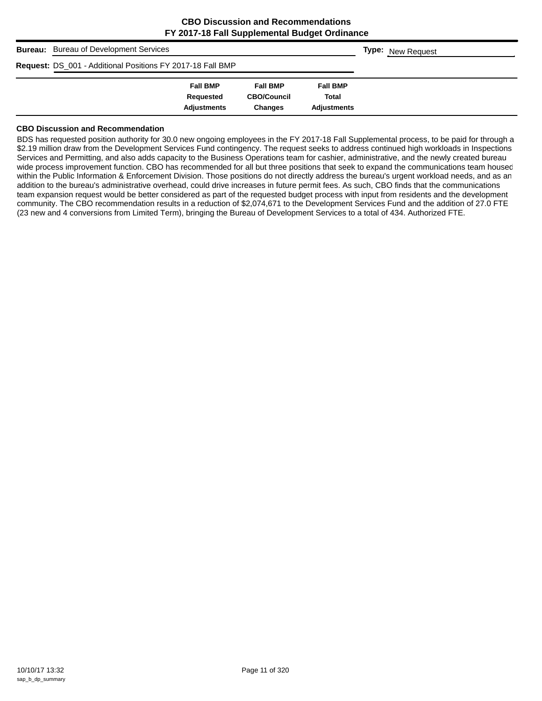| <b>Bureau:</b> Bureau of Development Services              | <b>Type: New Request</b> |                    |                    |  |
|------------------------------------------------------------|--------------------------|--------------------|--------------------|--|
| Request: DS_001 - Additional Positions FY 2017-18 Fall BMP |                          |                    |                    |  |
|                                                            | <b>Fall BMP</b>          | <b>Fall BMP</b>    | <b>Fall BMP</b>    |  |
|                                                            | Requested                | <b>CBO/Council</b> | Total              |  |
|                                                            | <b>Adjustments</b>       | <b>Changes</b>     | <b>Adiustments</b> |  |

#### **CBO Discussion and Recommendation**

BDS has requested position authority for 30.0 new ongoing employees in the FY 2017-18 Fall Supplemental process, to be paid for through a \$2.19 million draw from the Development Services Fund contingency. The request seeks to address continued high workloads in Inspections Services and Permitting, and also adds capacity to the Business Operations team for cashier, administrative, and the newly created bureau wide process improvement function. CBO has recommended for all but three positions that seek to expand the communications team housed within the Public Information & Enforcement Division. Those positions do not directly address the bureau's urgent workload needs, and as an addition to the bureau's administrative overhead, could drive increases in future permit fees. As such, CBO finds that the communications team expansion request would be better considered as part of the requested budget process with input from residents and the development community. The CBO recommendation results in a reduction of \$2,074,671 to the Development Services Fund and the addition of 27.0 FTE (23 new and 4 conversions from Limited Term), bringing the Bureau of Development Services to a total of 434. Authorized FTE.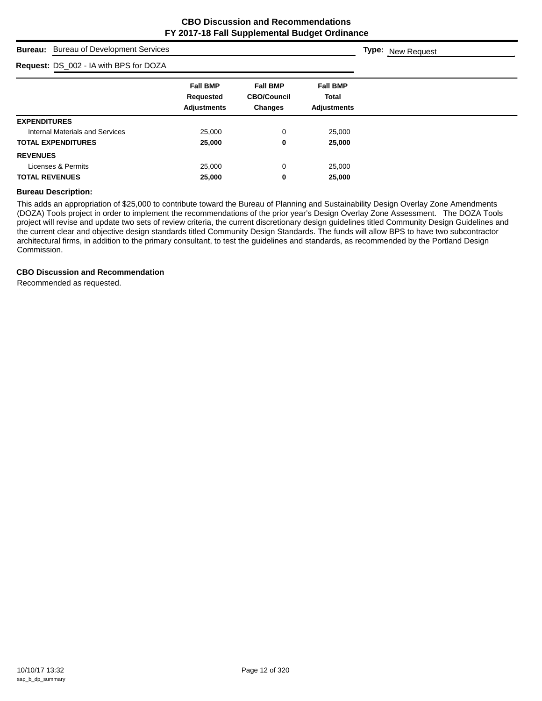**Type:** New Request

# **Bureau:** Bureau of Development Services

| Request: DS_002 - IA with BPS for DOZA |                                                    |                                                         |                                                       |  |  |
|----------------------------------------|----------------------------------------------------|---------------------------------------------------------|-------------------------------------------------------|--|--|
|                                        | <b>Fall BMP</b><br>Requested<br><b>Adjustments</b> | <b>Fall BMP</b><br><b>CBO/Council</b><br><b>Changes</b> | <b>Fall BMP</b><br><b>Total</b><br><b>Adjustments</b> |  |  |
| <b>EXPENDITURES</b>                    |                                                    |                                                         |                                                       |  |  |
| Internal Materials and Services        | 25,000                                             | 0                                                       | 25,000                                                |  |  |
| <b>TOTAL EXPENDITURES</b>              | 25,000                                             | 0                                                       | 25,000                                                |  |  |
| <b>REVENUES</b>                        |                                                    |                                                         |                                                       |  |  |
| Licenses & Permits                     | 25,000                                             | 0                                                       | 25,000                                                |  |  |
| <b>TOTAL REVENUES</b>                  | 25,000                                             | 0                                                       | 25,000                                                |  |  |

#### **Bureau Description:**

This adds an appropriation of \$25,000 to contribute toward the Bureau of Planning and Sustainability Design Overlay Zone Amendments (DOZA) Tools project in order to implement the recommendations of the prior year's Design Overlay Zone Assessment. The DOZA Tools project will revise and update two sets of review criteria, the current discretionary design guidelines titled Community Design Guidelines and the current clear and objective design standards titled Community Design Standards. The funds will allow BPS to have two subcontractor architectural firms, in addition to the primary consultant, to test the guidelines and standards, as recommended by the Portland Design Commission.

# **CBO Discussion and Recommendation**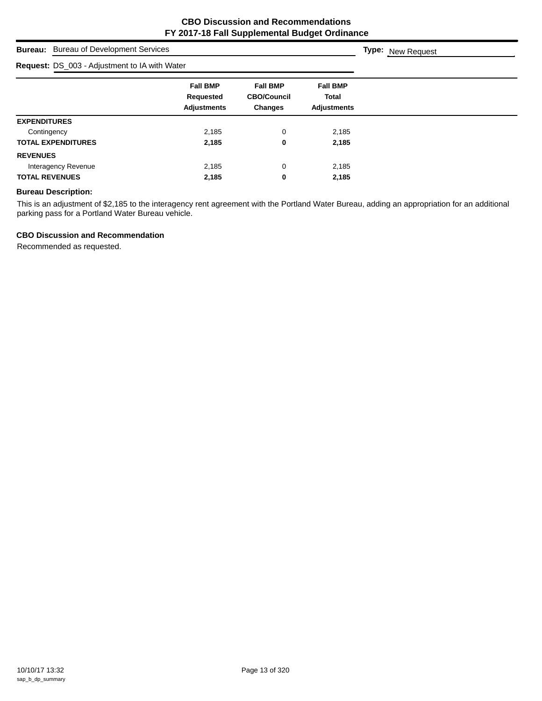**Type:** New Request

# **Bureau:** Bureau of Development Services

| <b>Request: DS_003 - Adjustment to IA with Water</b> |                                                    |                                                         |                                                       |  |
|------------------------------------------------------|----------------------------------------------------|---------------------------------------------------------|-------------------------------------------------------|--|
|                                                      | <b>Fall BMP</b><br>Requested<br><b>Adjustments</b> | <b>Fall BMP</b><br><b>CBO/Council</b><br><b>Changes</b> | <b>Fall BMP</b><br><b>Total</b><br><b>Adjustments</b> |  |
| <b>EXPENDITURES</b>                                  |                                                    |                                                         |                                                       |  |
| Contingency                                          | 2,185                                              | 0                                                       | 2,185                                                 |  |
| <b>TOTAL EXPENDITURES</b>                            | 2.185                                              | 0                                                       | 2,185                                                 |  |
| <b>REVENUES</b>                                      |                                                    |                                                         |                                                       |  |
| Interagency Revenue                                  | 2,185                                              | 0                                                       | 2,185                                                 |  |
| <b>TOTAL REVENUES</b>                                | 2,185                                              | 0                                                       | 2,185                                                 |  |

#### **Bureau Description:**

This is an adjustment of \$2,185 to the interagency rent agreement with the Portland Water Bureau, adding an appropriation for an additional parking pass for a Portland Water Bureau vehicle.

#### **CBO Discussion and Recommendation**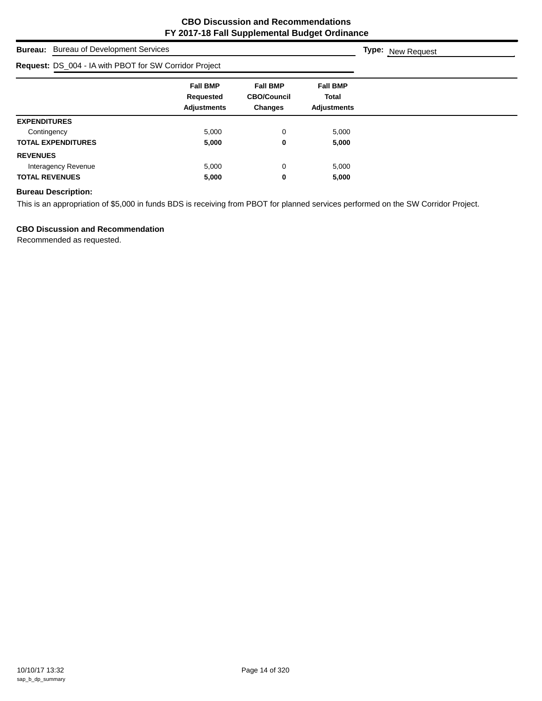| <b>Bureau:</b> Bureau of Development Services          | <b>Type:</b> New Request                                  |                                                         |                                                       |  |
|--------------------------------------------------------|-----------------------------------------------------------|---------------------------------------------------------|-------------------------------------------------------|--|
| Request: DS_004 - IA with PBOT for SW Corridor Project |                                                           |                                                         |                                                       |  |
|                                                        | <b>Fall BMP</b><br><b>Requested</b><br><b>Adjustments</b> | <b>Fall BMP</b><br><b>CBO/Council</b><br><b>Changes</b> | <b>Fall BMP</b><br><b>Total</b><br><b>Adiustments</b> |  |
| <b>EXPENDITURES</b>                                    |                                                           |                                                         |                                                       |  |
| Contingency                                            | 5,000                                                     | 0                                                       | 5,000                                                 |  |
| <b>TOTAL EXPENDITURES</b>                              | 5,000                                                     | 0                                                       | 5,000                                                 |  |
| <b>REVENUES</b>                                        |                                                           |                                                         |                                                       |  |
| Interagency Revenue                                    | 5,000                                                     | 0                                                       | 5,000                                                 |  |
| <b>TOTAL REVENUES</b>                                  | 5,000                                                     | 0                                                       | 5,000                                                 |  |

# **Bureau Description:**

This is an appropriation of \$5,000 in funds BDS is receiving from PBOT for planned services performed on the SW Corridor Project.

# **CBO Discussion and Recommendation**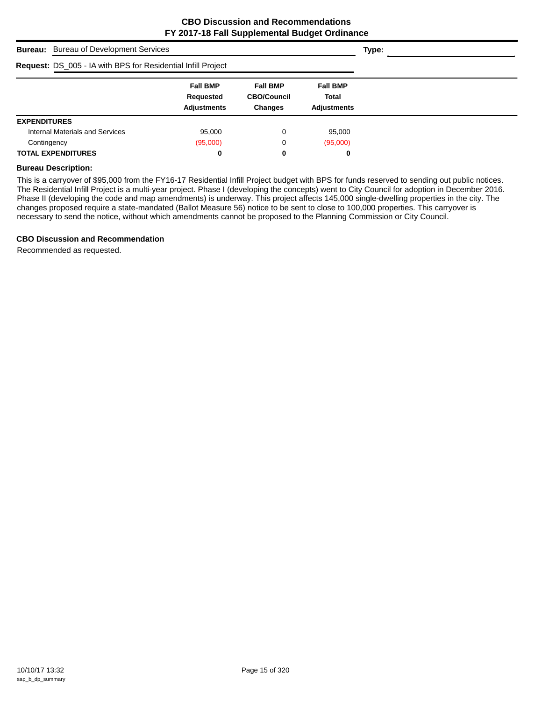| <b>Bureau:</b> Bureau of Development Services                       |                                                    |                                                         |                                                       | Type: |
|---------------------------------------------------------------------|----------------------------------------------------|---------------------------------------------------------|-------------------------------------------------------|-------|
| <b>Request: DS_005 - IA with BPS for Residential Infill Project</b> |                                                    |                                                         |                                                       |       |
|                                                                     | <b>Fall BMP</b><br>Requested<br><b>Adjustments</b> | <b>Fall BMP</b><br><b>CBO/Council</b><br><b>Changes</b> | <b>Fall BMP</b><br><b>Total</b><br><b>Adjustments</b> |       |
| <b>EXPENDITURES</b>                                                 |                                                    |                                                         |                                                       |       |
| Internal Materials and Services                                     | 95,000                                             | 0                                                       | 95,000                                                |       |
| Contingency                                                         | (95,000)                                           | 0                                                       | (95,000)                                              |       |
| <b>TOTAL EXPENDITURES</b>                                           | 0                                                  | 0                                                       | 0                                                     |       |

#### **Bureau Description:**

This is a carryover of \$95,000 from the FY16-17 Residential Infill Project budget with BPS for funds reserved to sending out public notices. The Residential Infill Project is a multi-year project. Phase I (developing the concepts) went to City Council for adoption in December 2016. Phase II (developing the code and map amendments) is underway. This project affects 145,000 single-dwelling properties in the city. The changes proposed require a state-mandated (Ballot Measure 56) notice to be sent to close to 100,000 properties. This carryover is necessary to send the notice, without which amendments cannot be proposed to the Planning Commission or City Council.

# **CBO Discussion and Recommendation**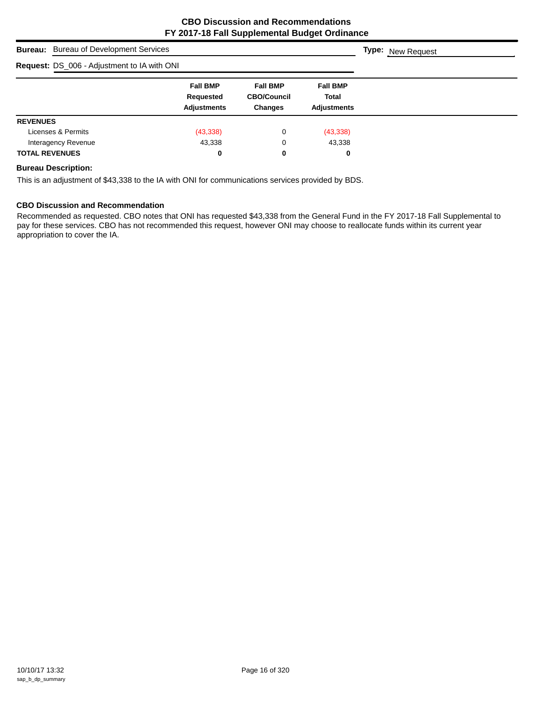| <b>Bureau:</b> Bureau of Development Services | <b>Type:</b> New Request                           |                                                         |                                                       |  |
|-----------------------------------------------|----------------------------------------------------|---------------------------------------------------------|-------------------------------------------------------|--|
| Request: DS_006 - Adjustment to IA with ONI   |                                                    |                                                         |                                                       |  |
|                                               | <b>Fall BMP</b><br>Requested<br><b>Adjustments</b> | <b>Fall BMP</b><br><b>CBO/Council</b><br><b>Changes</b> | <b>Fall BMP</b><br><b>Total</b><br><b>Adiustments</b> |  |
| <b>REVENUES</b>                               |                                                    |                                                         |                                                       |  |
| Licenses & Permits                            | (43, 338)                                          | 0                                                       | (43, 338)                                             |  |
| Interagency Revenue                           | 43,338                                             | 0                                                       | 43,338                                                |  |
| <b>TOTAL REVENUES</b>                         | 0                                                  | 0                                                       | 0                                                     |  |

# **Bureau Description:**

This is an adjustment of \$43,338 to the IA with ONI for communications services provided by BDS.

# **CBO Discussion and Recommendation**

Recommended as requested. CBO notes that ONI has requested \$43,338 from the General Fund in the FY 2017-18 Fall Supplemental to pay for these services. CBO has not recommended this request, however ONI may choose to reallocate funds within its current year appropriation to cover the IA.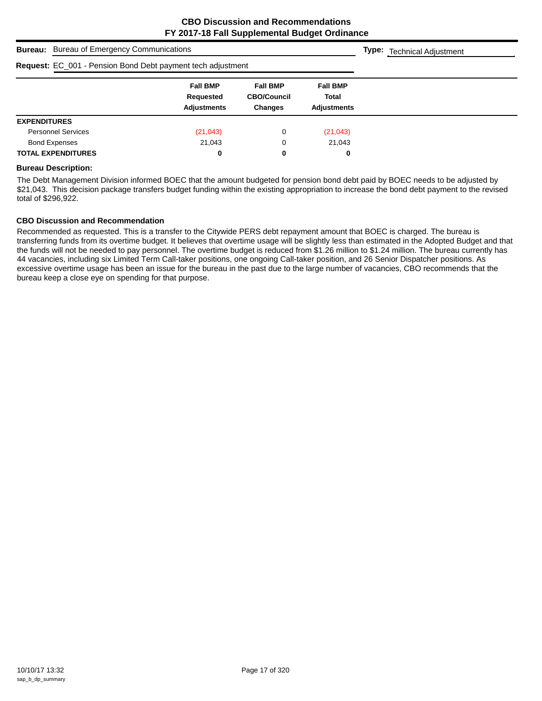|                     | <b>Bureau:</b> Bureau of Emergency Communications | <b>Type:</b> Technical Adjustment                                  |                                                         |                                                       |  |
|---------------------|---------------------------------------------------|--------------------------------------------------------------------|---------------------------------------------------------|-------------------------------------------------------|--|
|                     |                                                   | <b>Request:</b> EC_001 - Pension Bond Debt payment tech adjustment |                                                         |                                                       |  |
|                     |                                                   | <b>Fall BMP</b><br>Requested<br><b>Adjustments</b>                 | <b>Fall BMP</b><br><b>CBO/Council</b><br><b>Changes</b> | <b>Fall BMP</b><br><b>Total</b><br><b>Adjustments</b> |  |
| <b>EXPENDITURES</b> |                                                   |                                                                    |                                                         |                                                       |  |
|                     | <b>Personnel Services</b>                         | (21, 043)                                                          | 0                                                       | (21, 043)                                             |  |
|                     | <b>Bond Expenses</b>                              | 21,043                                                             | 0                                                       | 21,043                                                |  |
|                     | <b>TOTAL EXPENDITURES</b>                         | 0                                                                  | 0                                                       | 0                                                     |  |

#### **Bureau Description:**

The Debt Management Division informed BOEC that the amount budgeted for pension bond debt paid by BOEC needs to be adjusted by \$21,043. This decision package transfers budget funding within the existing appropriation to increase the bond debt payment to the revised total of \$296,922.

#### **CBO Discussion and Recommendation**

Recommended as requested. This is a transfer to the Citywide PERS debt repayment amount that BOEC is charged. The bureau is transferring funds from its overtime budget. It believes that overtime usage will be slightly less than estimated in the Adopted Budget and that the funds will not be needed to pay personnel. The overtime budget is reduced from \$1.26 million to \$1.24 million. The bureau currently has 44 vacancies, including six Limited Term Call-taker positions, one ongoing Call-taker position, and 26 Senior Dispatcher positions. As excessive overtime usage has been an issue for the bureau in the past due to the large number of vacancies, CBO recommends that the bureau keep a close eye on spending for that purpose.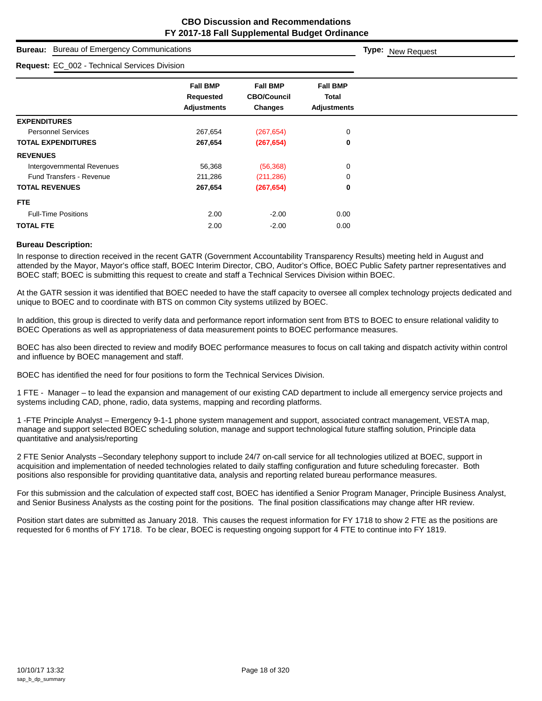| <b>Bureau:</b> Bureau of Emergency Communications |                                                    |                                                  |                                                | Type: New Request |
|---------------------------------------------------|----------------------------------------------------|--------------------------------------------------|------------------------------------------------|-------------------|
| Request: EC_002 - Technical Services Division     |                                                    |                                                  |                                                |                   |
|                                                   | <b>Fall BMP</b><br>Requested<br><b>Adjustments</b> | <b>Fall BMP</b><br><b>CBO/Council</b><br>Changes | <b>Fall BMP</b><br>Total<br><b>Adjustments</b> |                   |
| <b>EXPENDITURES</b>                               |                                                    |                                                  |                                                |                   |
| <b>Personnel Services</b>                         | 267,654                                            | (267, 654)                                       | 0                                              |                   |
| <b>TOTAL EXPENDITURES</b>                         | 267,654                                            | (267, 654)                                       | 0                                              |                   |
| <b>REVENUES</b>                                   |                                                    |                                                  |                                                |                   |
| Intergovernmental Revenues                        | 56,368                                             | (56, 368)                                        | 0                                              |                   |
| <b>Fund Transfers - Revenue</b>                   | 211,286                                            | (211, 286)                                       | 0                                              |                   |
| <b>TOTAL REVENUES</b>                             | 267,654                                            | (267, 654)                                       | 0                                              |                   |
| FTE.                                              |                                                    |                                                  |                                                |                   |
| <b>Full-Time Positions</b>                        | 2.00                                               | $-2.00$                                          | 0.00                                           |                   |
| <b>TOTAL FTE</b>                                  | 2.00                                               | $-2.00$                                          | 0.00                                           |                   |

#### **Bureau Description:**

In response to direction received in the recent GATR (Government Accountability Transparency Results) meeting held in August and attended by the Mayor, Mayor's office staff, BOEC Interim Director, CBO, Auditor's Office, BOEC Public Safety partner representatives and BOEC staff; BOEC is submitting this request to create and staff a Technical Services Division within BOEC.

At the GATR session it was identified that BOEC needed to have the staff capacity to oversee all complex technology projects dedicated and unique to BOEC and to coordinate with BTS on common City systems utilized by BOEC.

In addition, this group is directed to verify data and performance report information sent from BTS to BOEC to ensure relational validity to BOEC Operations as well as appropriateness of data measurement points to BOEC performance measures.

BOEC has also been directed to review and modify BOEC performance measures to focus on call taking and dispatch activity within control and influence by BOEC management and staff.

BOEC has identified the need for four positions to form the Technical Services Division.

1 FTE - Manager – to lead the expansion and management of our existing CAD department to include all emergency service projects and systems including CAD, phone, radio, data systems, mapping and recording platforms.

1 -FTE Principle Analyst – Emergency 9-1-1 phone system management and support, associated contract management, VESTA map, manage and support selected BOEC scheduling solution, manage and support technological future staffing solution, Principle data quantitative and analysis/reporting

2 FTE Senior Analysts –Secondary telephony support to include 24/7 on-call service for all technologies utilized at BOEC, support in acquisition and implementation of needed technologies related to daily staffing configuration and future scheduling forecaster. Both positions also responsible for providing quantitative data, analysis and reporting related bureau performance measures.

For this submission and the calculation of expected staff cost, BOEC has identified a Senior Program Manager, Principle Business Analyst, and Senior Business Analysts as the costing point for the positions. The final position classifications may change after HR review.

Position start dates are submitted as January 2018. This causes the request information for FY 1718 to show 2 FTE as the positions are requested for 6 months of FY 1718. To be clear, BOEC is requesting ongoing support for 4 FTE to continue into FY 1819.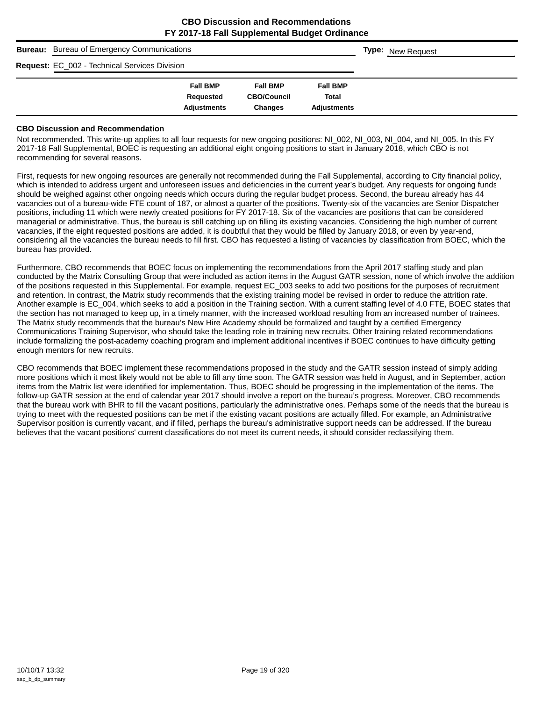| <b>Bureau:</b> Bureau of Emergency Communications    |                    |                    |                    |  | <b>Type:</b> New Request |
|------------------------------------------------------|--------------------|--------------------|--------------------|--|--------------------------|
| <b>Request: EC_002 - Technical Services Division</b> |                    |                    |                    |  |                          |
|                                                      | <b>Fall BMP</b>    | <b>Fall BMP</b>    | <b>Fall BMP</b>    |  |                          |
|                                                      | Requested          | <b>CBO/Council</b> | <b>Total</b>       |  |                          |
|                                                      | <b>Adjustments</b> | <b>Changes</b>     | <b>Adiustments</b> |  |                          |

#### **CBO Discussion and Recommendation**

Not recommended. This write-up applies to all four requests for new ongoing positions: NI\_002, NI\_003, NI\_004, and NI\_005. In this FY 2017-18 Fall Supplemental, BOEC is requesting an additional eight ongoing positions to start in January 2018, which CBO is not recommending for several reasons.

First, requests for new ongoing resources are generally not recommended during the Fall Supplemental, according to City financial policy, which is intended to address urgent and unforeseen issues and deficiencies in the current year's budget. Any requests for ongoing funds should be weighed against other ongoing needs which occurs during the regular budget process. Second, the bureau already has 44 vacancies out of a bureau-wide FTE count of 187, or almost a quarter of the positions. Twenty-six of the vacancies are Senior Dispatcher positions, including 11 which were newly created positions for FY 2017-18. Six of the vacancies are positions that can be considered managerial or administrative. Thus, the bureau is still catching up on filling its existing vacancies. Considering the high number of current vacancies, if the eight requested positions are added, it is doubtful that they would be filled by January 2018, or even by year-end, considering all the vacancies the bureau needs to fill first. CBO has requested a listing of vacancies by classification from BOEC, which the bureau has provided.

Furthermore, CBO recommends that BOEC focus on implementing the recommendations from the April 2017 staffing study and plan conducted by the Matrix Consulting Group that were included as action items in the August GATR session, none of which involve the addition of the positions requested in this Supplemental. For example, request EC\_003 seeks to add two positions for the purposes of recruitment and retention. In contrast, the Matrix study recommends that the existing training model be revised in order to reduce the attrition rate. Another example is EC\_004, which seeks to add a position in the Training section. With a current staffing level of 4.0 FTE, BOEC states that the section has not managed to keep up, in a timely manner, with the increased workload resulting from an increased number of trainees. The Matrix study recommends that the bureau's New Hire Academy should be formalized and taught by a certified Emergency Communications Training Supervisor, who should take the leading role in training new recruits. Other training related recommendations include formalizing the post-academy coaching program and implement additional incentives if BOEC continues to have difficulty getting enough mentors for new recruits.

CBO recommends that BOEC implement these recommendations proposed in the study and the GATR session instead of simply adding more positions which it most likely would not be able to fill any time soon. The GATR session was held in August, and in September, action items from the Matrix list were identified for implementation. Thus, BOEC should be progressing in the implementation of the items. The follow-up GATR session at the end of calendar year 2017 should involve a report on the bureau's progress. Moreover, CBO recommends that the bureau work with BHR to fill the vacant positions, particularly the administrative ones. Perhaps some of the needs that the bureau is trying to meet with the requested positions can be met if the existing vacant positions are actually filled. For example, an Administrative Supervisor position is currently vacant, and if filled, perhaps the bureau's administrative support needs can be addressed. If the bureau believes that the vacant positions' current classifications do not meet its current needs, it should consider reclassifying them.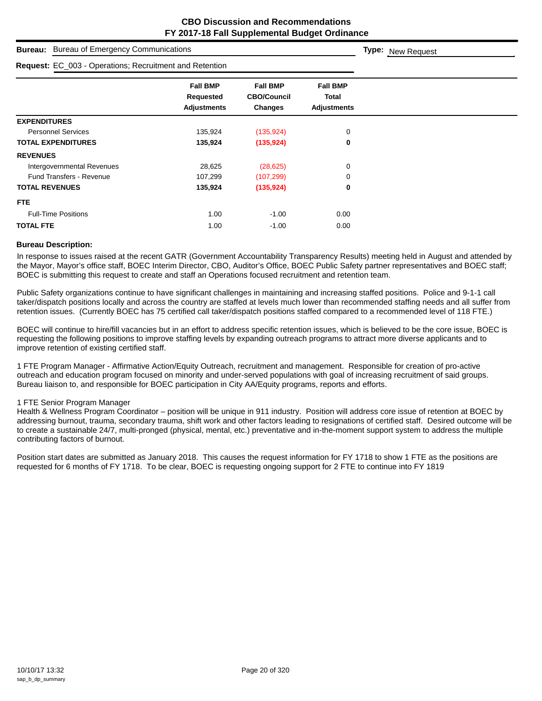| <b>Bureau of Emergency Communications</b><br><b>Bureau:</b> | <b>Type:</b> New Request                                       |                                                  |                                                |  |  |  |  |
|-------------------------------------------------------------|----------------------------------------------------------------|--------------------------------------------------|------------------------------------------------|--|--|--|--|
|                                                             | <b>Request:</b> EC_003 - Operations; Recruitment and Retention |                                                  |                                                |  |  |  |  |
|                                                             | <b>Fall BMP</b><br>Requested<br><b>Adjustments</b>             | <b>Fall BMP</b><br><b>CBO/Council</b><br>Changes | <b>Fall BMP</b><br>Total<br><b>Adjustments</b> |  |  |  |  |
| <b>EXPENDITURES</b>                                         |                                                                |                                                  |                                                |  |  |  |  |
| <b>Personnel Services</b>                                   | 135,924                                                        | (135, 924)                                       | 0                                              |  |  |  |  |
| <b>TOTAL EXPENDITURES</b>                                   | 135,924                                                        | (135, 924)                                       | 0                                              |  |  |  |  |
| <b>REVENUES</b>                                             |                                                                |                                                  |                                                |  |  |  |  |
| Intergovernmental Revenues                                  | 28,625                                                         | (28, 625)                                        | 0                                              |  |  |  |  |
| <b>Fund Transfers - Revenue</b>                             | 107,299                                                        | (107, 299)                                       | 0                                              |  |  |  |  |
| <b>TOTAL REVENUES</b>                                       | 135,924                                                        | (135, 924)                                       | 0                                              |  |  |  |  |
| FTE.                                                        |                                                                |                                                  |                                                |  |  |  |  |
| <b>Full-Time Positions</b>                                  | 1.00                                                           | $-1.00$                                          | 0.00                                           |  |  |  |  |
| <b>TOTAL FTE</b>                                            | 1.00                                                           | $-1.00$                                          | 0.00                                           |  |  |  |  |

#### **Bureau Description:**

In response to issues raised at the recent GATR (Government Accountability Transparency Results) meeting held in August and attended by the Mayor, Mayor's office staff, BOEC Interim Director, CBO, Auditor's Office, BOEC Public Safety partner representatives and BOEC staff; BOEC is submitting this request to create and staff an Operations focused recruitment and retention team.

Public Safety organizations continue to have significant challenges in maintaining and increasing staffed positions. Police and 9-1-1 call taker/dispatch positions locally and across the country are staffed at levels much lower than recommended staffing needs and all suffer from retention issues. (Currently BOEC has 75 certified call taker/dispatch positions staffed compared to a recommended level of 118 FTE.)

BOEC will continue to hire/fill vacancies but in an effort to address specific retention issues, which is believed to be the core issue, BOEC is requesting the following positions to improve staffing levels by expanding outreach programs to attract more diverse applicants and to improve retention of existing certified staff.

1 FTE Program Manager - Affirmative Action/Equity Outreach, recruitment and management. Responsible for creation of pro-active outreach and education program focused on minority and under-served populations with goal of increasing recruitment of said groups. Bureau liaison to, and responsible for BOEC participation in City AA/Equity programs, reports and efforts.

#### 1 FTE Senior Program Manager

Health & Wellness Program Coordinator – position will be unique in 911 industry. Position will address core issue of retention at BOEC by addressing burnout, trauma, secondary trauma, shift work and other factors leading to resignations of certified staff. Desired outcome will be to create a sustainable 24/7, multi-pronged (physical, mental, etc.) preventative and in-the-moment support system to address the multiple contributing factors of burnout.

Position start dates are submitted as January 2018. This causes the request information for FY 1718 to show 1 FTE as the positions are requested for 6 months of FY 1718. To be clear, BOEC is requesting ongoing support for 2 FTE to continue into FY 1819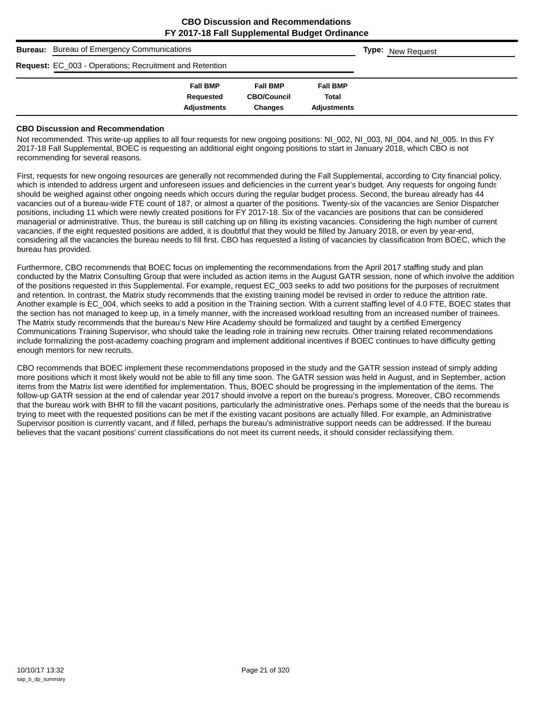| <b>Bureau:</b> Bureau of Emergency Communications       |                    |                    |                    |  | <b>Type:</b> New Request |
|---------------------------------------------------------|--------------------|--------------------|--------------------|--|--------------------------|
| Request: EC_003 - Operations; Recruitment and Retention |                    |                    |                    |  |                          |
|                                                         | <b>Fall BMP</b>    | <b>Fall BMP</b>    | <b>Fall BMP</b>    |  |                          |
|                                                         | Requested          | <b>CBO/Council</b> | <b>Total</b>       |  |                          |
|                                                         | <b>Adjustments</b> | <b>Changes</b>     | <b>Adjustments</b> |  |                          |

#### **CBO Discussion and Recommendation**

Not recommended. This write-up applies to all four requests for new ongoing positions: NI\_002, NI\_003, NI\_004, and NI\_005. In this FY 2017-18 Fall Supplemental, BOEC is requesting an additional eight ongoing positions to start in January 2018, which CBO is not recommending for several reasons.

First, requests for new ongoing resources are generally not recommended during the Fall Supplemental, according to City financial policy, which is intended to address urgent and unforeseen issues and deficiencies in the current year's budget. Any requests for ongoing funds should be weighed against other ongoing needs which occurs during the regular budget process. Second, the bureau already has 44 vacancies out of a bureau-wide FTE count of 187, or almost a quarter of the positions. Twenty-six of the vacancies are Senior Dispatcher positions, including 11 which were newly created positions for FY 2017-18. Six of the vacancies are positions that can be considered managerial or administrative. Thus, the bureau is still catching up on filling its existing vacancies. Considering the high number of current vacancies, if the eight requested positions are added, it is doubtful that they would be filled by January 2018, or even by year-end, considering all the vacancies the bureau needs to fill first. CBO has requested a listing of vacancies by classification from BOEC, which the bureau has provided.

Furthermore, CBO recommends that BOEC focus on implementing the recommendations from the April 2017 staffing study and plan conducted by the Matrix Consulting Group that were included as action items in the August GATR session, none of which involve the addition of the positions requested in this Supplemental. For example, request EC\_003 seeks to add two positions for the purposes of recruitment and retention. In contrast, the Matrix study recommends that the existing training model be revised in order to reduce the attrition rate. Another example is EC\_004, which seeks to add a position in the Training section. With a current staffing level of 4.0 FTE, BOEC states that the section has not managed to keep up, in a timely manner, with the increased workload resulting from an increased number of trainees. The Matrix study recommends that the bureau's New Hire Academy should be formalized and taught by a certified Emergency Communications Training Supervisor, who should take the leading role in training new recruits. Other training related recommendations include formalizing the post-academy coaching program and implement additional incentives if BOEC continues to have difficulty getting enough mentors for new recruits.

CBO recommends that BOEC implement these recommendations proposed in the study and the GATR session instead of simply adding more positions which it most likely would not be able to fill any time soon. The GATR session was held in August, and in September, action items from the Matrix list were identified for implementation. Thus, BOEC should be progressing in the implementation of the items. The follow-up GATR session at the end of calendar year 2017 should involve a report on the bureau's progress. Moreover, CBO recommends that the bureau work with BHR to fill the vacant positions, particularly the administrative ones. Perhaps some of the needs that the bureau is trying to meet with the requested positions can be met if the existing vacant positions are actually filled. For example, an Administrative Supervisor position is currently vacant, and if filled, perhaps the bureau's administrative support needs can be addressed. If the bureau believes that the vacant positions' current classifications do not meet its current needs, it should consider reclassifying them.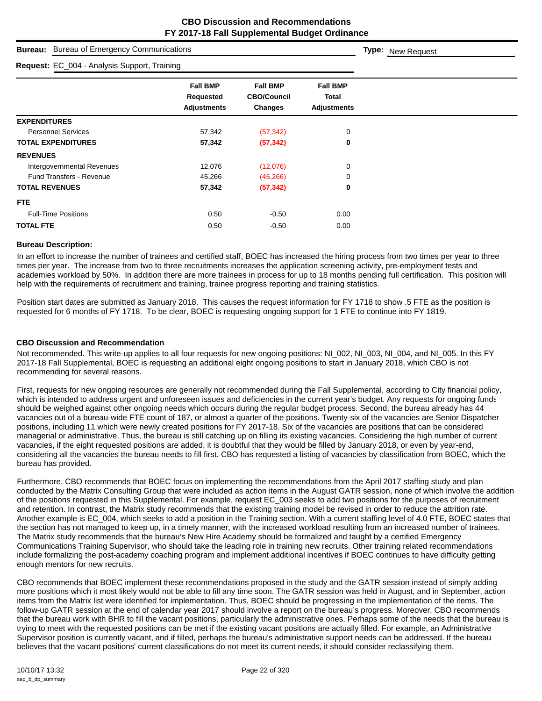| <b>Bureau:</b> Bureau of Emergency Communications |                                                    |                                                         |                                                       | <b>Type:</b> New Request |
|---------------------------------------------------|----------------------------------------------------|---------------------------------------------------------|-------------------------------------------------------|--------------------------|
| Request: EC_004 - Analysis Support, Training      |                                                    |                                                         |                                                       |                          |
|                                                   | <b>Fall BMP</b><br>Requested<br><b>Adjustments</b> | <b>Fall BMP</b><br><b>CBO/Council</b><br><b>Changes</b> | <b>Fall BMP</b><br><b>Total</b><br><b>Adjustments</b> |                          |
| <b>EXPENDITURES</b>                               |                                                    |                                                         |                                                       |                          |
| <b>Personnel Services</b>                         | 57,342                                             | (57, 342)                                               | 0                                                     |                          |
| <b>TOTAL EXPENDITURES</b>                         | 57,342                                             | (57, 342)                                               | $\mathbf 0$                                           |                          |
| <b>REVENUES</b>                                   |                                                    |                                                         |                                                       |                          |
| Intergovernmental Revenues                        | 12,076                                             | (12,076)                                                | 0                                                     |                          |
| <b>Fund Transfers - Revenue</b>                   | 45,266                                             | (45, 266)                                               | 0                                                     |                          |
| <b>TOTAL REVENUES</b>                             | 57,342                                             | (57, 342)                                               | $\mathbf 0$                                           |                          |
| FTE.                                              |                                                    |                                                         |                                                       |                          |
| <b>Full-Time Positions</b>                        | 0.50                                               | $-0.50$                                                 | 0.00                                                  |                          |
| <b>TOTAL FTE</b>                                  | 0.50                                               | $-0.50$                                                 | 0.00                                                  |                          |

#### **Bureau Description:**

In an effort to increase the number of trainees and certified staff, BOEC has increased the hiring process from two times per year to three times per year. The increase from two to three recruitments increases the application screening activity, pre-employment tests and academies workload by 50%. In addition there are more trainees in process for up to 18 months pending full certification. This position will help with the requirements of recruitment and training, trainee progress reporting and training statistics.

Position start dates are submitted as January 2018. This causes the request information for FY 1718 to show .5 FTE as the position is requested for 6 months of FY 1718. To be clear, BOEC is requesting ongoing support for 1 FTE to continue into FY 1819.

#### **CBO Discussion and Recommendation**

Not recommended. This write-up applies to all four requests for new ongoing positions: NI\_002, NI\_003, NI\_004, and NI\_005. In this FY 2017-18 Fall Supplemental, BOEC is requesting an additional eight ongoing positions to start in January 2018, which CBO is not recommending for several reasons.

First, requests for new ongoing resources are generally not recommended during the Fall Supplemental, according to City financial policy, which is intended to address urgent and unforeseen issues and deficiencies in the current year's budget. Any requests for ongoing funds should be weighed against other ongoing needs which occurs during the regular budget process. Second, the bureau already has 44 vacancies out of a bureau-wide FTE count of 187, or almost a quarter of the positions. Twenty-six of the vacancies are Senior Dispatcher positions, including 11 which were newly created positions for FY 2017-18. Six of the vacancies are positions that can be considered managerial or administrative. Thus, the bureau is still catching up on filling its existing vacancies. Considering the high number of current vacancies, if the eight requested positions are added, it is doubtful that they would be filled by January 2018, or even by year-end, considering all the vacancies the bureau needs to fill first. CBO has requested a listing of vacancies by classification from BOEC, which the bureau has provided.

Furthermore, CBO recommends that BOEC focus on implementing the recommendations from the April 2017 staffing study and plan conducted by the Matrix Consulting Group that were included as action items in the August GATR session, none of which involve the addition of the positions requested in this Supplemental. For example, request EC\_003 seeks to add two positions for the purposes of recruitment and retention. In contrast, the Matrix study recommends that the existing training model be revised in order to reduce the attrition rate. Another example is EC\_004, which seeks to add a position in the Training section. With a current staffing level of 4.0 FTE, BOEC states that the section has not managed to keep up, in a timely manner, with the increased workload resulting from an increased number of trainees. The Matrix study recommends that the bureau's New Hire Academy should be formalized and taught by a certified Emergency Communications Training Supervisor, who should take the leading role in training new recruits. Other training related recommendations include formalizing the post-academy coaching program and implement additional incentives if BOEC continues to have difficulty getting enough mentors for new recruits.

CBO recommends that BOEC implement these recommendations proposed in the study and the GATR session instead of simply adding more positions which it most likely would not be able to fill any time soon. The GATR session was held in August, and in September, action items from the Matrix list were identified for implementation. Thus, BOEC should be progressing in the implementation of the items. The follow-up GATR session at the end of calendar year 2017 should involve a report on the bureau's progress. Moreover, CBO recommends that the bureau work with BHR to fill the vacant positions, particularly the administrative ones. Perhaps some of the needs that the bureau is trying to meet with the requested positions can be met if the existing vacant positions are actually filled. For example, an Administrative Supervisor position is currently vacant, and if filled, perhaps the bureau's administrative support needs can be addressed. If the bureau believes that the vacant positions' current classifications do not meet its current needs, it should consider reclassifying them.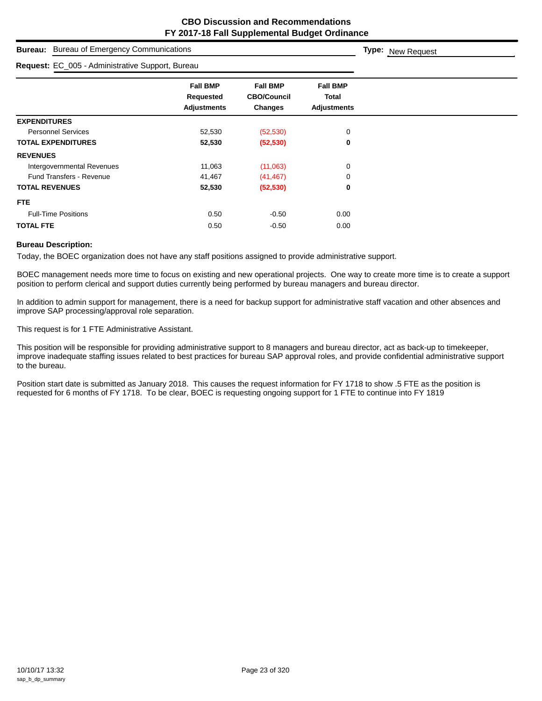| <b>Bureau of Emergency Communications</b><br><b>Bureau:</b> |                                                           |                                                         |                                                       | Type: New Request |
|-------------------------------------------------------------|-----------------------------------------------------------|---------------------------------------------------------|-------------------------------------------------------|-------------------|
| Request: EC_005 - Administrative Support, Bureau            |                                                           |                                                         |                                                       |                   |
|                                                             | <b>Fall BMP</b><br><b>Requested</b><br><b>Adjustments</b> | <b>Fall BMP</b><br><b>CBO/Council</b><br><b>Changes</b> | <b>Fall BMP</b><br><b>Total</b><br><b>Adjustments</b> |                   |
| <b>EXPENDITURES</b>                                         |                                                           |                                                         |                                                       |                   |
| <b>Personnel Services</b>                                   | 52,530                                                    | (52, 530)                                               | 0                                                     |                   |
| <b>TOTAL EXPENDITURES</b>                                   | 52,530                                                    | (52, 530)                                               | 0                                                     |                   |
| <b>REVENUES</b>                                             |                                                           |                                                         |                                                       |                   |
| Intergovernmental Revenues                                  | 11,063                                                    | (11,063)                                                | 0                                                     |                   |
| <b>Fund Transfers - Revenue</b>                             | 41,467                                                    | (41, 467)                                               | $\mathbf 0$                                           |                   |
| <b>TOTAL REVENUES</b>                                       | 52,530                                                    | (52, 530)                                               | 0                                                     |                   |
| FTE.                                                        |                                                           |                                                         |                                                       |                   |
| <b>Full-Time Positions</b>                                  | 0.50                                                      | $-0.50$                                                 | 0.00                                                  |                   |
| <b>TOTAL FTE</b>                                            | 0.50                                                      | $-0.50$                                                 | 0.00                                                  |                   |

#### **Bureau Description:**

Today, the BOEC organization does not have any staff positions assigned to provide administrative support.

BOEC management needs more time to focus on existing and new operational projects. One way to create more time is to create a support position to perform clerical and support duties currently being performed by bureau managers and bureau director.

In addition to admin support for management, there is a need for backup support for administrative staff vacation and other absences and improve SAP processing/approval role separation.

This request is for 1 FTE Administrative Assistant.

This position will be responsible for providing administrative support to 8 managers and bureau director, act as back-up to timekeeper, improve inadequate staffing issues related to best practices for bureau SAP approval roles, and provide confidential administrative support to the bureau.

Position start date is submitted as January 2018. This causes the request information for FY 1718 to show .5 FTE as the position is requested for 6 months of FY 1718. To be clear, BOEC is requesting ongoing support for 1 FTE to continue into FY 1819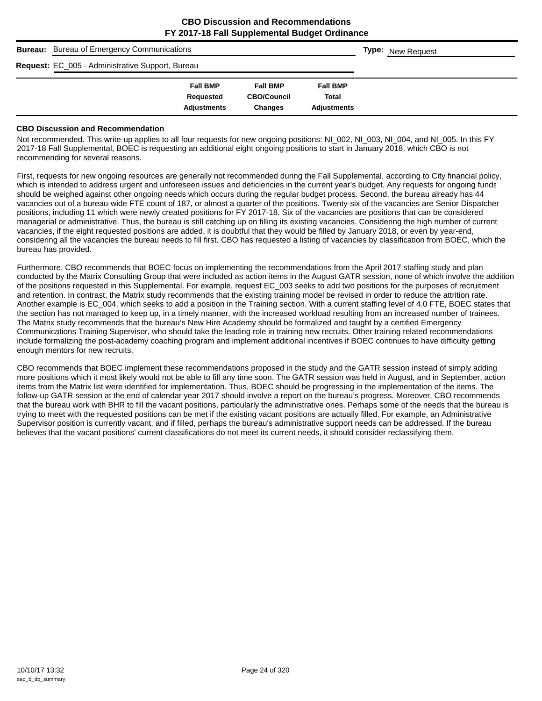| <b>Bureau:</b> Bureau of Emergency Communications |                    |                    |                    |  | <b>Type:</b> New Request |
|---------------------------------------------------|--------------------|--------------------|--------------------|--|--------------------------|
| Request: EC_005 - Administrative Support, Bureau  |                    |                    |                    |  |                          |
|                                                   | <b>Fall BMP</b>    | <b>Fall BMP</b>    | <b>Fall BMP</b>    |  |                          |
|                                                   | Requested          | <b>CBO/Council</b> | <b>Total</b>       |  |                          |
|                                                   | <b>Adjustments</b> | <b>Changes</b>     | <b>Adiustments</b> |  |                          |

#### **CBO Discussion and Recommendation**

Not recommended. This write-up applies to all four requests for new ongoing positions: NI\_002, NI\_003, NI\_004, and NI\_005. In this FY 2017-18 Fall Supplemental, BOEC is requesting an additional eight ongoing positions to start in January 2018, which CBO is not recommending for several reasons.

First, requests for new ongoing resources are generally not recommended during the Fall Supplemental, according to City financial policy, which is intended to address urgent and unforeseen issues and deficiencies in the current year's budget. Any requests for ongoing funds should be weighed against other ongoing needs which occurs during the regular budget process. Second, the bureau already has 44 vacancies out of a bureau-wide FTE count of 187, or almost a quarter of the positions. Twenty-six of the vacancies are Senior Dispatcher positions, including 11 which were newly created positions for FY 2017-18. Six of the vacancies are positions that can be considered managerial or administrative. Thus, the bureau is still catching up on filling its existing vacancies. Considering the high number of current vacancies, if the eight requested positions are added, it is doubtful that they would be filled by January 2018, or even by year-end, considering all the vacancies the bureau needs to fill first. CBO has requested a listing of vacancies by classification from BOEC, which the bureau has provided.

Furthermore, CBO recommends that BOEC focus on implementing the recommendations from the April 2017 staffing study and plan conducted by the Matrix Consulting Group that were included as action items in the August GATR session, none of which involve the addition of the positions requested in this Supplemental. For example, request EC\_003 seeks to add two positions for the purposes of recruitment and retention. In contrast, the Matrix study recommends that the existing training model be revised in order to reduce the attrition rate. Another example is EC\_004, which seeks to add a position in the Training section. With a current staffing level of 4.0 FTE, BOEC states that the section has not managed to keep up, in a timely manner, with the increased workload resulting from an increased number of trainees. The Matrix study recommends that the bureau's New Hire Academy should be formalized and taught by a certified Emergency Communications Training Supervisor, who should take the leading role in training new recruits. Other training related recommendations include formalizing the post-academy coaching program and implement additional incentives if BOEC continues to have difficulty getting enough mentors for new recruits.

CBO recommends that BOEC implement these recommendations proposed in the study and the GATR session instead of simply adding more positions which it most likely would not be able to fill any time soon. The GATR session was held in August, and in September, action items from the Matrix list were identified for implementation. Thus, BOEC should be progressing in the implementation of the items. The follow-up GATR session at the end of calendar year 2017 should involve a report on the bureau's progress. Moreover, CBO recommends that the bureau work with BHR to fill the vacant positions, particularly the administrative ones. Perhaps some of the needs that the bureau is trying to meet with the requested positions can be met if the existing vacant positions are actually filled. For example, an Administrative Supervisor position is currently vacant, and if filled, perhaps the bureau's administrative support needs can be addressed. If the bureau believes that the vacant positions' current classifications do not meet its current needs, it should consider reclassifying them.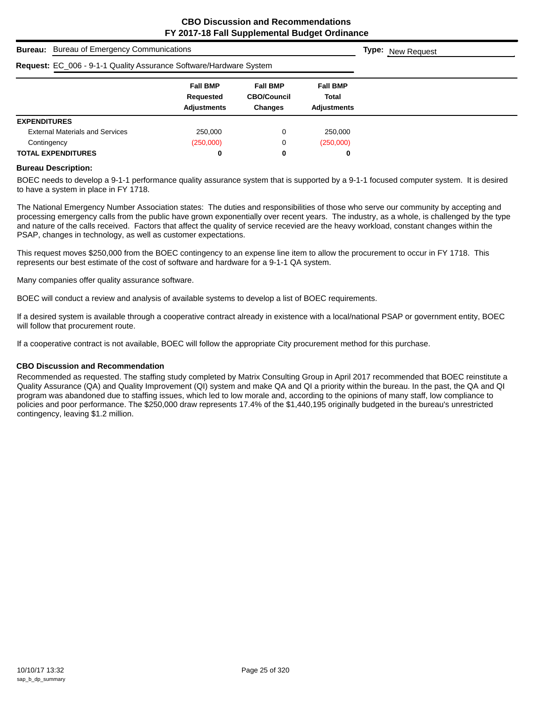|                                                                    | <b>Bureau:</b> Bureau of Emergency Communications  |                                                         |                                                       |  |  |  |
|--------------------------------------------------------------------|----------------------------------------------------|---------------------------------------------------------|-------------------------------------------------------|--|--|--|
| Request: EC_006 - 9-1-1 Quality Assurance Software/Hardware System |                                                    |                                                         |                                                       |  |  |  |
|                                                                    | <b>Fall BMP</b><br>Requested<br><b>Adjustments</b> | <b>Fall BMP</b><br><b>CBO/Council</b><br><b>Changes</b> | <b>Fall BMP</b><br><b>Total</b><br><b>Adjustments</b> |  |  |  |
| <b>EXPENDITURES</b>                                                |                                                    |                                                         |                                                       |  |  |  |
| <b>External Materials and Services</b>                             | 250,000                                            | 0                                                       | 250,000                                               |  |  |  |
| Contingency                                                        | (250,000)                                          | 0                                                       | (250,000)                                             |  |  |  |
| <b>TOTAL EXPENDITURES</b>                                          | 0                                                  | 0                                                       | 0                                                     |  |  |  |

#### **Bureau Description:**

BOEC needs to develop a 9-1-1 performance quality assurance system that is supported by a 9-1-1 focused computer system. It is desired to have a system in place in FY 1718.

The National Emergency Number Association states: The duties and responsibilities of those who serve our community by accepting and processing emergency calls from the public have grown exponentially over recent years. The industry, as a whole, is challenged by the type and nature of the calls received. Factors that affect the quality of service recevied are the heavy workload, constant changes within the PSAP, changes in technology, as well as customer expectations.

This request moves \$250,000 from the BOEC contingency to an expense line item to allow the procurement to occur in FY 1718. This represents our best estimate of the cost of software and hardware for a 9-1-1 QA system.

Many companies offer quality assurance software.

BOEC will conduct a review and analysis of available systems to develop a list of BOEC requirements.

If a desired system is available through a cooperative contract already in existence with a local/national PSAP or government entity, BOEC will follow that procurement route.

If a cooperative contract is not available, BOEC will follow the appropriate City procurement method for this purchase.

#### **CBO Discussion and Recommendation**

Recommended as requested. The staffing study completed by Matrix Consulting Group in April 2017 recommended that BOEC reinstitute a Quality Assurance (QA) and Quality Improvement (QI) system and make QA and QI a priority within the bureau. In the past, the QA and QI program was abandoned due to staffing issues, which led to low morale and, according to the opinions of many staff, low compliance to policies and poor performance. The \$250,000 draw represents 17.4% of the \$1,440,195 originally budgeted in the bureau's unrestricted contingency, leaving \$1.2 million.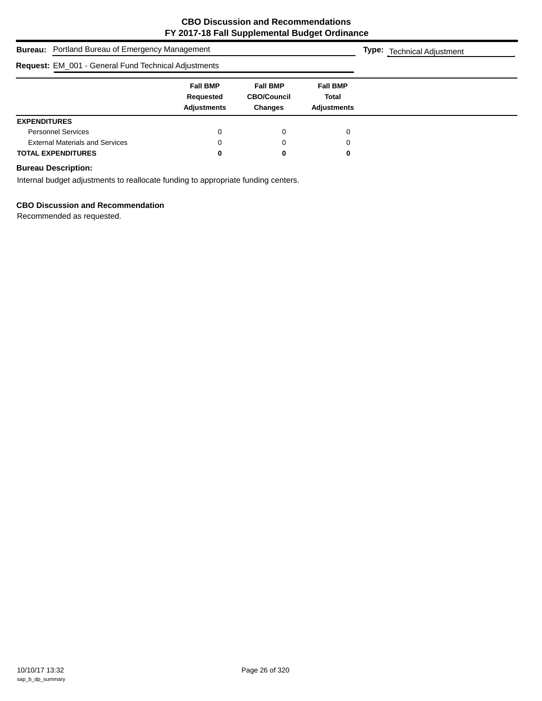| <b>Bureau:</b> Portland Bureau of Emergency Management      | <b>Type:</b> Technical Adjustment                  |                                                         |                                                |  |
|-------------------------------------------------------------|----------------------------------------------------|---------------------------------------------------------|------------------------------------------------|--|
| <b>Request: EM_001 - General Fund Technical Adjustments</b> |                                                    |                                                         |                                                |  |
|                                                             | <b>Fall BMP</b><br>Requested<br><b>Adjustments</b> | <b>Fall BMP</b><br><b>CBO/Council</b><br><b>Changes</b> | <b>Fall BMP</b><br>Total<br><b>Adiustments</b> |  |
| <b>EXPENDITURES</b>                                         |                                                    |                                                         |                                                |  |
| <b>Personnel Services</b>                                   | 0                                                  | 0                                                       | 0                                              |  |
| <b>External Materials and Services</b>                      | 0                                                  | 0                                                       | 0                                              |  |
| <b>TOTAL EXPENDITURES</b>                                   | 0                                                  | 0                                                       | 0                                              |  |

# **Bureau Description:**

Internal budget adjustments to reallocate funding to appropriate funding centers.

# **CBO Discussion and Recommendation**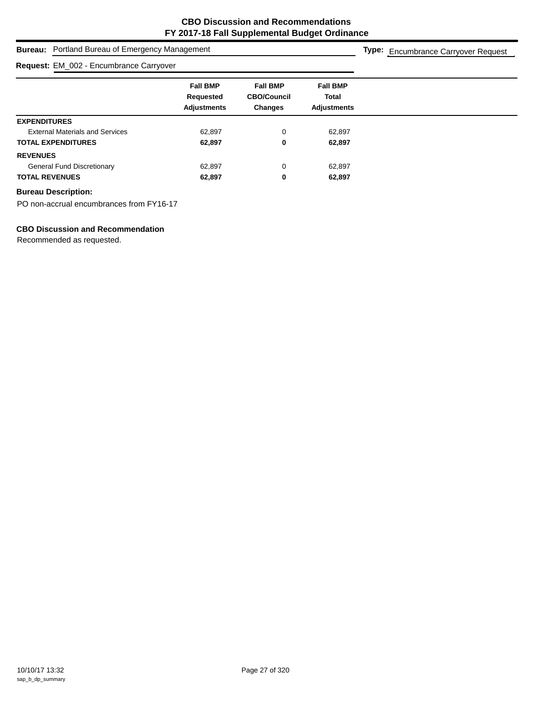| <b>Bureau:</b> Portland Bureau of Emergency Management | Type: Encumbrance Carryover Request                |                                                         |                                                       |  |
|--------------------------------------------------------|----------------------------------------------------|---------------------------------------------------------|-------------------------------------------------------|--|
| Request: EM_002 - Encumbrance Carryover                |                                                    |                                                         |                                                       |  |
|                                                        | <b>Fall BMP</b><br>Requested<br><b>Adjustments</b> | <b>Fall BMP</b><br><b>CBO/Council</b><br><b>Changes</b> | <b>Fall BMP</b><br><b>Total</b><br><b>Adjustments</b> |  |
| <b>EXPENDITURES</b>                                    |                                                    |                                                         |                                                       |  |
| <b>External Materials and Services</b>                 | 62,897                                             | 0                                                       | 62,897                                                |  |
| <b>TOTAL EXPENDITURES</b>                              | 62,897                                             | 0                                                       | 62,897                                                |  |
| <b>REVENUES</b>                                        |                                                    |                                                         |                                                       |  |
| <b>General Fund Discretionary</b>                      | 62,897                                             | 0                                                       | 62,897                                                |  |
| <b>TOTAL REVENUES</b>                                  | 62,897                                             | 0                                                       | 62,897                                                |  |

PO non-accrual encumbrances from FY16-17

# **CBO Discussion and Recommendation**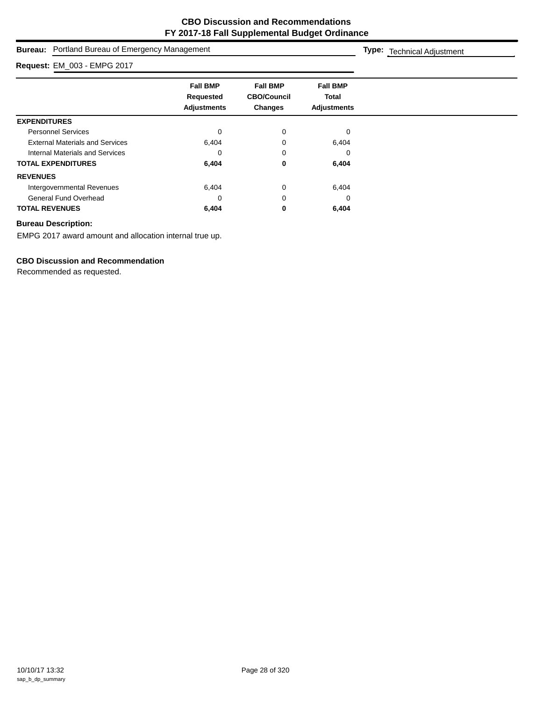| Portland Bureau of Emergency Management<br>Bureau: | <b>Type:</b> Technical Adjustment                  |                                                         |                                                       |  |
|----------------------------------------------------|----------------------------------------------------|---------------------------------------------------------|-------------------------------------------------------|--|
| Request: EM_003 - EMPG 2017                        |                                                    |                                                         |                                                       |  |
|                                                    | <b>Fall BMP</b><br>Requested<br><b>Adjustments</b> | <b>Fall BMP</b><br><b>CBO/Council</b><br><b>Changes</b> | <b>Fall BMP</b><br><b>Total</b><br><b>Adjustments</b> |  |
| <b>EXPENDITURES</b>                                |                                                    |                                                         |                                                       |  |
| <b>Personnel Services</b>                          | 0                                                  | 0                                                       | $\Omega$                                              |  |
| <b>External Materials and Services</b>             | 6,404                                              |                                                         | 6,404                                                 |  |
| Internal Materials and Services                    | 0                                                  | 0                                                       | 0                                                     |  |
| <b>TOTAL EXPENDITURES</b>                          | 6,404                                              | 0                                                       | 6,404                                                 |  |
| <b>REVENUES</b>                                    |                                                    |                                                         |                                                       |  |
| Intergovernmental Revenues                         | 6,404                                              | $\Omega$                                                | 6,404                                                 |  |
| <b>General Fund Overhead</b>                       | 0                                                  | 0                                                       | 0                                                     |  |
| <b>TOTAL REVENUES</b>                              | 6,404                                              | 0                                                       | 6,404                                                 |  |

EMPG 2017 award amount and allocation internal true up.

# **CBO Discussion and Recommendation**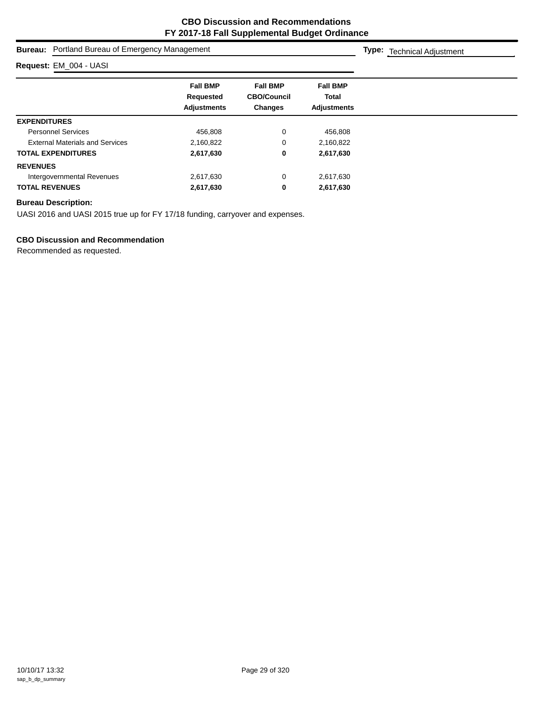| Bureau:                                | Portland Bureau of Emergency Management            |                                                         |                                                |  |  |
|----------------------------------------|----------------------------------------------------|---------------------------------------------------------|------------------------------------------------|--|--|
| Request: EM_004 - UASI                 |                                                    |                                                         |                                                |  |  |
|                                        | <b>Fall BMP</b><br>Requested<br><b>Adjustments</b> | <b>Fall BMP</b><br><b>CBO/Council</b><br><b>Changes</b> | <b>Fall BMP</b><br>Total<br><b>Adjustments</b> |  |  |
| <b>EXPENDITURES</b>                    |                                                    |                                                         |                                                |  |  |
| <b>Personnel Services</b>              | 456.808                                            | 0                                                       | 456,808                                        |  |  |
| <b>External Materials and Services</b> | 2,160,822                                          | 0                                                       | 2,160,822                                      |  |  |
| <b>TOTAL EXPENDITURES</b>              | 2,617,630                                          | 0                                                       | 2,617,630                                      |  |  |
| <b>REVENUES</b>                        |                                                    |                                                         |                                                |  |  |
| Intergovernmental Revenues             | 2,617,630                                          | 0                                                       | 2,617,630                                      |  |  |
| <b>TOTAL REVENUES</b>                  | 2,617,630                                          | 0                                                       | 2,617,630                                      |  |  |

UASI 2016 and UASI 2015 true up for FY 17/18 funding, carryover and expenses.

# **CBO Discussion and Recommendation**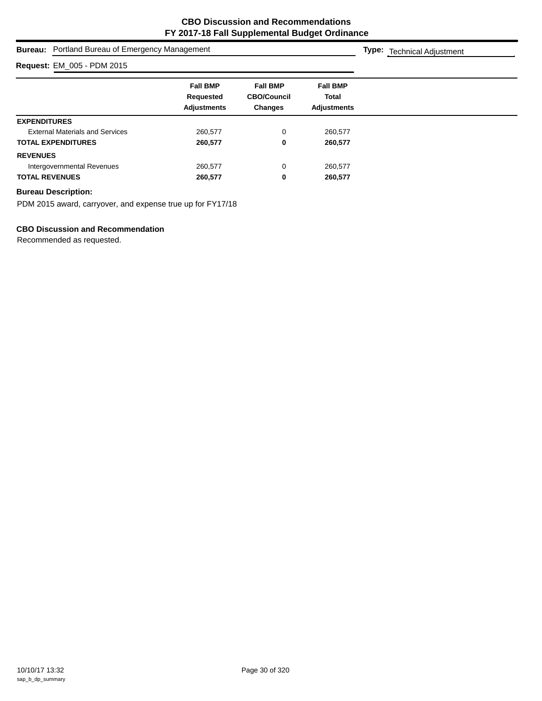|                                        | <b>Bureau:</b> Portland Bureau of Emergency Management |                                                  |                                                       |  |  |  |  |
|----------------------------------------|--------------------------------------------------------|--------------------------------------------------|-------------------------------------------------------|--|--|--|--|
| Request: EM_005 - PDM 2015             |                                                        |                                                  |                                                       |  |  |  |  |
|                                        | <b>Fall BMP</b><br>Requested<br><b>Adjustments</b>     | <b>Fall BMP</b><br><b>CBO/Council</b><br>Changes | <b>Fall BMP</b><br><b>Total</b><br><b>Adjustments</b> |  |  |  |  |
| <b>EXPENDITURES</b>                    |                                                        |                                                  |                                                       |  |  |  |  |
| <b>External Materials and Services</b> | 260,577                                                | 0                                                | 260,577                                               |  |  |  |  |
| <b>TOTAL EXPENDITURES</b>              | 260,577                                                | 0                                                | 260,577                                               |  |  |  |  |
| <b>REVENUES</b>                        |                                                        |                                                  |                                                       |  |  |  |  |
| Intergovernmental Revenues             | 260,577                                                | 0                                                | 260,577                                               |  |  |  |  |
| <b>TOTAL REVENUES</b>                  | 260,577                                                | 0                                                | 260,577                                               |  |  |  |  |
|                                        |                                                        |                                                  |                                                       |  |  |  |  |

PDM 2015 award, carryover, and expense true up for FY17/18

# **CBO Discussion and Recommendation**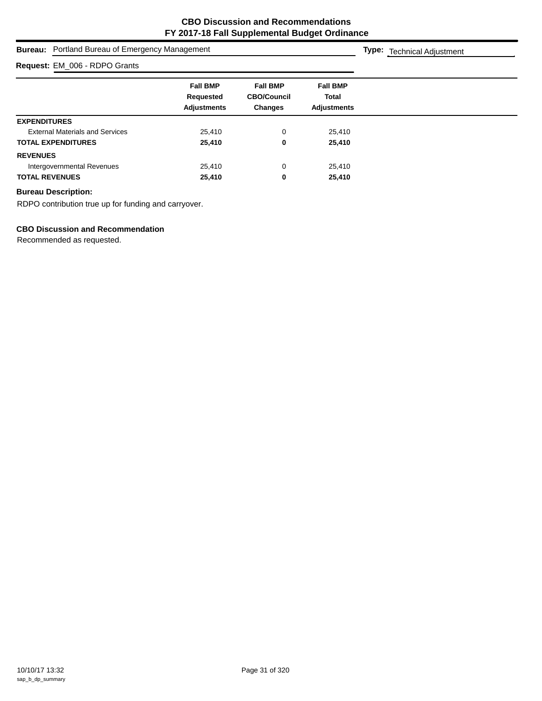| <b>Bureau:</b> Portland Bureau of Emergency Management | <b>Type:</b> Technical Adjustment                  |                                                         |                                                |  |
|--------------------------------------------------------|----------------------------------------------------|---------------------------------------------------------|------------------------------------------------|--|
| Request: EM_006 - RDPO Grants                          |                                                    |                                                         |                                                |  |
|                                                        | <b>Fall BMP</b><br>Requested<br><b>Adjustments</b> | <b>Fall BMP</b><br><b>CBO/Council</b><br><b>Changes</b> | <b>Fall BMP</b><br>Total<br><b>Adjustments</b> |  |
| <b>EXPENDITURES</b>                                    |                                                    |                                                         |                                                |  |
| <b>External Materials and Services</b>                 | 25,410                                             | 0                                                       | 25,410                                         |  |
| <b>TOTAL EXPENDITURES</b>                              | 25,410                                             | 0                                                       | 25,410                                         |  |
| <b>REVENUES</b>                                        |                                                    |                                                         |                                                |  |
| Intergovernmental Revenues                             | 25.410                                             | 0                                                       | 25,410                                         |  |
| <b>TOTAL REVENUES</b>                                  | 25,410                                             | 0                                                       | 25,410                                         |  |

RDPO contribution true up for funding and carryover.

# **CBO Discussion and Recommendation**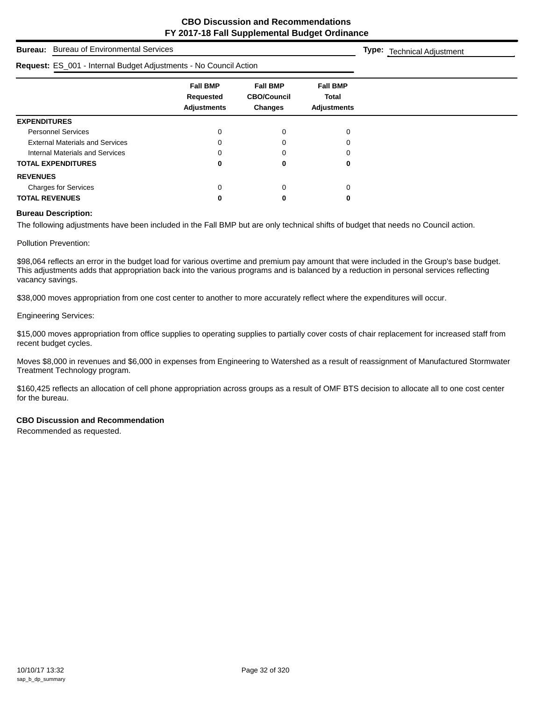**Type:** Technical Adjustment

# **Bureau:** Bureau of Environmental Services

#### **Request:** ES\_001 - Internal Budget Adjustments - No Council Action

| Request: ES_001 - Internal Budget Adjustments - No Council Action |                                                    |                                                         |                                                       |  |
|-------------------------------------------------------------------|----------------------------------------------------|---------------------------------------------------------|-------------------------------------------------------|--|
|                                                                   | <b>Fall BMP</b><br>Requested<br><b>Adjustments</b> | <b>Fall BMP</b><br><b>CBO/Council</b><br><b>Changes</b> | <b>Fall BMP</b><br><b>Total</b><br><b>Adjustments</b> |  |
| <b>EXPENDITURES</b>                                               |                                                    |                                                         |                                                       |  |
| <b>Personnel Services</b>                                         |                                                    |                                                         | 0                                                     |  |
| <b>External Materials and Services</b>                            |                                                    |                                                         |                                                       |  |
| Internal Materials and Services                                   |                                                    |                                                         |                                                       |  |
| <b>TOTAL EXPENDITURES</b>                                         | 0                                                  | o                                                       | 0                                                     |  |
| <b>REVENUES</b>                                                   |                                                    |                                                         |                                                       |  |
| <b>Charges for Services</b>                                       |                                                    |                                                         | 0                                                     |  |
| <b>TOTAL REVENUES</b>                                             |                                                    |                                                         | 0                                                     |  |

#### **Bureau Description:**

The following adjustments have been included in the Fall BMP but are only technical shifts of budget that needs no Council action.

Pollution Prevention:

\$98,064 reflects an error in the budget load for various overtime and premium pay amount that were included in the Group's base budget. This adjustments adds that appropriation back into the various programs and is balanced by a reduction in personal services reflecting vacancy savings.

\$38,000 moves appropriation from one cost center to another to more accurately reflect where the expenditures will occur.

#### Engineering Services:

\$15,000 moves appropriation from office supplies to operating supplies to partially cover costs of chair replacement for increased staff from recent budget cycles.

Moves \$8,000 in revenues and \$6,000 in expenses from Engineering to Watershed as a result of reassignment of Manufactured Stormwater Treatment Technology program.

\$160,425 reflects an allocation of cell phone appropriation across groups as a result of OMF BTS decision to allocate all to one cost center for the bureau.

# **CBO Discussion and Recommendation**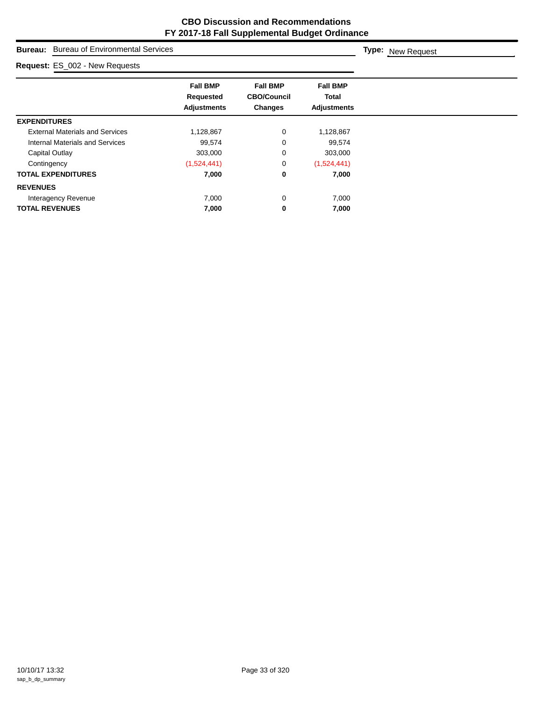# **Bureau:** Bureau of Environmental Services **Fall BMP Fall BMP Fall BMP Requested CBO/Council Total Adjustments Changes Adjustments Type:** New Request **Request:** ES\_002 - New Requests **EXPENDITURES** External Materials and Services 1,128,867 0 1,128,867 Internal Materials and Services **99,574** 0 99,574 Capital Outlay **303,000** 303,000 0 303,000 Contingency (1,524,441) 0 (1,524,441) **TOTAL EXPENDITURES 7,000 0 7,000 REVENUES** Interagency Revenue **7,000** 7,000 0 7,000 **TOTAL REVENUES 7,000 0 7,000**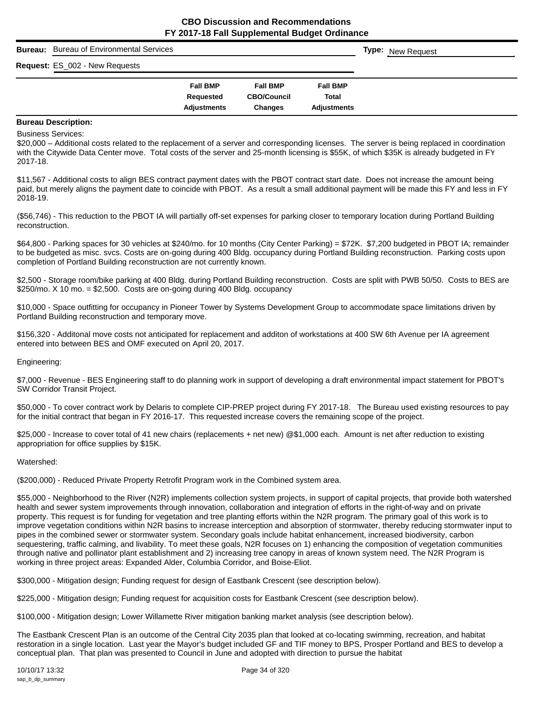| Bureau: | <b>Bureau of Environmental Services</b> |                                 |                                      |                             | <b>Type:</b> New Request |
|---------|-----------------------------------------|---------------------------------|--------------------------------------|-----------------------------|--------------------------|
|         | <b>Request: ES_002 - New Requests</b>   |                                 |                                      |                             |                          |
|         |                                         | <b>Fall BMP</b>                 | <b>Fall BMP</b>                      | <b>Fall BMP</b>             |                          |
|         |                                         | Requested<br><b>Adjustments</b> | <b>CBO/Council</b><br><b>Changes</b> | Total<br><b>Adjustments</b> |                          |
|         |                                         |                                 |                                      |                             |                          |

Business Services:

\$20,000 – Additional costs related to the replacement of a server and corresponding licenses. The server is being replaced in coordination with the Citywide Data Center move. Total costs of the server and 25-month licensing is \$55K, of which \$35K is already budgeted in FY 2017-18.

\$11,567 - Additional costs to align BES contract payment dates with the PBOT contract start date. Does not increase the amount being paid, but merely aligns the payment date to coincide with PBOT. As a result a small additional payment will be made this FY and less in FY 2018-19.

(\$56,746) - This reduction to the PBOT IA will partially off-set expenses for parking closer to temporary location during Portland Building reconstruction.

\$64,800 - Parking spaces for 30 vehicles at \$240/mo. for 10 months (City Center Parking) = \$72K. \$7,200 budgeted in PBOT IA; remainder to be budgeted as misc. svcs. Costs are on-going during 400 Bldg. occupancy during Portland Building reconstruction. Parking costs upon completion of Portland Building reconstruction are not currently known.

\$2,500 - Storage room/bike parking at 400 Bldg. during Portland Building reconstruction. Costs are split with PWB 50/50. Costs to BES are \$250/mo. X 10 mo. = \$2,500. Costs are on-going during 400 Bldg. occupancy

\$10,000 - Space outfitting for occupancy in Pioneer Tower by Systems Development Group to accommodate space limitations driven by Portland Building reconstruction and temporary move.

\$156,320 - Additonal move costs not anticipated for replacement and additon of workstations at 400 SW 6th Avenue per IA agreement entered into between BES and OMF executed on April 20, 2017.

Engineering:

\$7,000 - Revenue - BES Engineering staff to do planning work in support of developing a draft environmental impact statement for PBOT's SW Corridor Transit Project.

\$50,000 - To cover contract work by Delaris to complete CIP-PREP project during FY 2017-18. The Bureau used existing resources to pay for the initial contract that began in FY 2016-17. This requested increase covers the remaining scope of the project.

\$25,000 - Increase to cover total of 41 new chairs (replacements + net new) @\$1,000 each. Amount is net after reduction to existing appropriation for office supplies by \$15K.

#### Watershed:

(\$200,000) - Reduced Private Property Retrofit Program work in the Combined system area.

\$55,000 - Neighborhood to the River (N2R) implements collection system projects, in support of capital projects, that provide both watershed health and sewer system improvements through innovation, collaboration and integration of efforts in the right-of-way and on private property. This request is for funding for vegetation and tree planting efforts within the N2R program. The primary goal of this work is to improve vegetation conditions within N2R basins to increase interception and absorption of stormwater, thereby reducing stormwater input to pipes in the combined sewer or stormwater system. Secondary goals include habitat enhancement, increased biodiversity, carbon sequestering, traffic calming, and livability. To meet these goals, N2R focuses on 1) enhancing the composition of vegetation communities through native and pollinator plant establishment and 2) increasing tree canopy in areas of known system need. The N2R Program is working in three project areas: Expanded Alder, Columbia Corridor, and Boise-Eliot.

\$300,000 - Mitigation design; Funding request for design of Eastbank Crescent (see description below).

\$225,000 - Mitigation design; Funding request for acquisition costs for Eastbank Crescent (see description below).

\$100,000 - Mitigation design; Lower Willamette River mitigation banking market analysis (see description below).

The Eastbank Crescent Plan is an outcome of the Central City 2035 plan that looked at co-locating swimming, recreation, and habitat restoration in a single location. Last year the Mayor's budget included GF and TIF money to BPS, Prosper Portland and BES to develop a conceptual plan. That plan was presented to Council in June and adopted with direction to pursue the habitat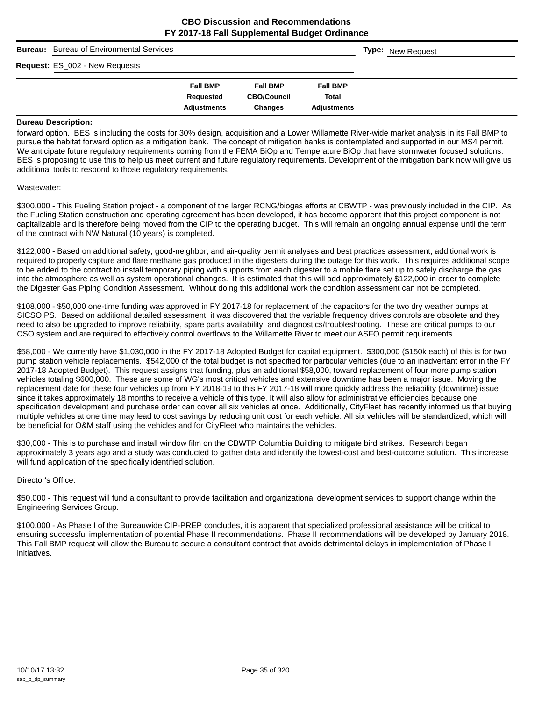| <b>Bureau:</b> | <b>Bureau of Environmental Services</b> |                              |                                       |                          | <b>Type:</b> New Request |
|----------------|-----------------------------------------|------------------------------|---------------------------------------|--------------------------|--------------------------|
|                | Request: ES_002 - New Requests          |                              |                                       |                          |                          |
|                |                                         | <b>Fall BMP</b><br>Requested | <b>Fall BMP</b><br><b>CBO/Council</b> | <b>Fall BMP</b><br>Total |                          |
|                |                                         | <b>Adjustments</b>           | Changes                               | <b>Adjustments</b>       |                          |

forward option. BES is including the costs for 30% design, acquisition and a Lower Willamette River-wide market analysis in its Fall BMP to pursue the habitat forward option as a mitigation bank. The concept of mitigation banks is contemplated and supported in our MS4 permit. We anticipate future regulatory requirements coming from the FEMA BiOp and Temperature BiOp that have stormwater focused solutions. BES is proposing to use this to help us meet current and future regulatory requirements. Development of the mitigation bank now will give us additional tools to respond to those regulatory requirements.

#### Wastewater:

\$300,000 - This Fueling Station project - a component of the larger RCNG/biogas efforts at CBWTP - was previously included in the CIP. As the Fueling Station construction and operating agreement has been developed, it has become apparent that this project component is not capitalizable and is therefore being moved from the CIP to the operating budget. This will remain an ongoing annual expense until the term of the contract with NW Natural (10 years) is completed.

\$122,000 - Based on additional safety, good-neighbor, and air-quality permit analyses and best practices assessment, additional work is required to properly capture and flare methane gas produced in the digesters during the outage for this work. This requires additional scope to be added to the contract to install temporary piping with supports from each digester to a mobile flare set up to safely discharge the gas into the atmosphere as well as system operational changes. It is estimated that this will add approximately \$122,000 in order to complete the Digester Gas Piping Condition Assessment. Without doing this additional work the condition assessment can not be completed.

\$108,000 - \$50,000 one-time funding was approved in FY 2017-18 for replacement of the capacitors for the two dry weather pumps at SICSO PS. Based on additional detailed assessment, it was discovered that the variable frequency drives controls are obsolete and they need to also be upgraded to improve reliability, spare parts availability, and diagnostics/troubleshooting. These are critical pumps to our CSO system and are required to effectively control overflows to the Willamette River to meet our ASFO permit requirements.

\$58,000 - We currently have \$1,030,000 in the FY 2017-18 Adopted Budget for capital equipment. \$300,000 (\$150k each) of this is for two pump station vehicle replacements. \$542,000 of the total budget is not specified for particular vehicles (due to an inadvertant error in the FY 2017-18 Adopted Budget). This request assigns that funding, plus an additional \$58,000, toward replacement of four more pump station vehicles totaling \$600,000. These are some of WG's most critical vehicles and extensive downtime has been a major issue. Moving the replacement date for these four vehicles up from FY 2018-19 to this FY 2017-18 will more quickly address the reliability (downtime) issue since it takes approximately 18 months to receive a vehicle of this type. It will also allow for administrative efficiencies because one specification development and purchase order can cover all six vehicles at once. Additionally, CityFleet has recently informed us that buying multiple vehicles at one time may lead to cost savings by reducing unit cost for each vehicle. All six vehicles will be standardized, which will be beneficial for O&M staff using the vehicles and for CityFleet who maintains the vehicles.

\$30,000 - This is to purchase and install window film on the CBWTP Columbia Building to mitigate bird strikes. Research began approximately 3 years ago and a study was conducted to gather data and identify the lowest-cost and best-outcome solution. This increase will fund application of the specifically identified solution.

#### Director's Office:

\$50,000 - This request will fund a consultant to provide facilitation and organizational development services to support change within the Engineering Services Group.

\$100,000 - As Phase I of the Bureauwide CIP-PREP concludes, it is apparent that specialized professional assistance will be critical to ensuring successful implementation of potential Phase II recommendations. Phase II recommendations will be developed by January 2018. This Fall BMP request will allow the Bureau to secure a consultant contract that avoids detrimental delays in implementation of Phase II initiatives.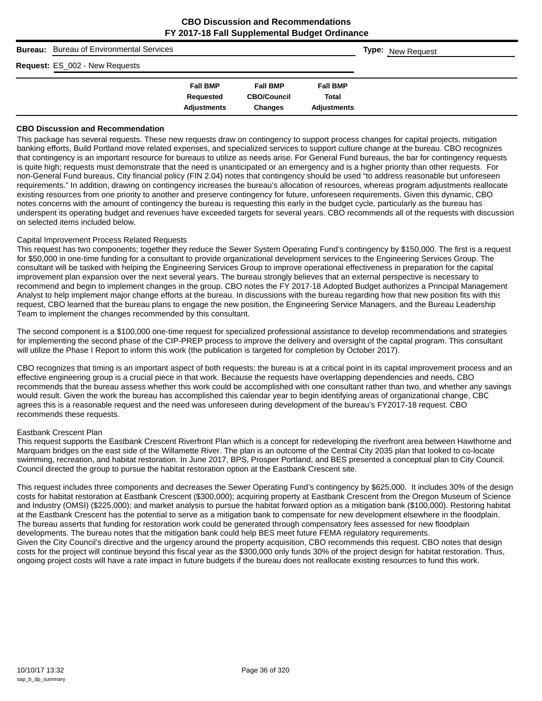| <b>Bureau:</b> Bureau of Environmental Services |                                                    |                                                  |                                                | <b>Type:</b> New Request |
|-------------------------------------------------|----------------------------------------------------|--------------------------------------------------|------------------------------------------------|--------------------------|
| Request: ES_002 - New Requests                  |                                                    |                                                  |                                                |                          |
|                                                 | <b>Fall BMP</b><br>Requested<br><b>Adjustments</b> | <b>Fall BMP</b><br><b>CBO/Council</b><br>Changes | <b>Fall BMP</b><br>Total<br><b>Adjustments</b> |                          |

#### **CBO Discussion and Recommendation**

This package has several requests. These new requests draw on contingency to support process changes for capital projects, mitigation banking efforts, Build Portland move related expenses, and specialized services to support culture change at the bureau. CBO recognizes that contingency is an important resource for bureaus to utilize as needs arise. For General Fund bureaus, the bar for contingency requests is quite high; requests must demonstrate that the need is unanticipated or an emergency and is a higher priority than other requests. For non-General Fund bureaus, City financial policy (FIN 2.04) notes that contingency should be used "to address reasonable but unforeseen requirements." In addition, drawing on contingency increases the bureau's allocation of resources, whereas program adjustments reallocate existing resources from one priority to another and preserve contingency for future, unforeseen requirements. Given this dynamic, CBO notes concerns with the amount of contingency the bureau is requesting this early in the budget cycle, particularly as the bureau has underspent its operating budget and revenues have exceeded targets for several years. CBO recommends all of the requests with discussion on selected items included below.

#### Capital Improvement Process Related Requests

This request has two components; together they reduce the Sewer System Operating Fund's contingency by \$150,000. The first is a request for \$50,000 in one-time funding for a consultant to provide organizational development services to the Engineering Services Group. The consultant will be tasked with helping the Engineering Services Group to improve operational effectiveness in preparation for the capital improvement plan expansion over the next several years. The bureau strongly believes that an external perspective is necessary to recommend and begin to implement changes in the group. CBO notes the FY 2017-18 Adopted Budget authorizes a Principal Management Analyst to help implement major change efforts at the bureau. In discussions with the bureau regarding how that new position fits with this request, CBO learned that the bureau plans to engage the new position, the Engineering Service Managers, and the Bureau Leadership Team to implement the changes recommended by this consultant.

The second component is a \$100,000 one-time request for specialized professional assistance to develop recommendations and strategies for implementing the second phase of the CIP-PREP process to improve the delivery and oversight of the capital program. This consultant will utilize the Phase I Report to inform this work (the publication is targeted for completion by October 2017).

CBO recognizes that timing is an important aspect of both requests; the bureau is at a critical point in its capital improvement process and an effective engineering group is a crucial piece in that work. Because the requests have overlapping dependencies and needs, CBO recommends that the bureau assess whether this work could be accomplished with one consultant rather than two, and whether any savings would result. Given the work the bureau has accomplished this calendar year to begin identifying areas of organizational change, CBO agrees this is a reasonable request and the need was unforeseen during development of the bureau's FY2017-18 request. CBO recommends these requests.

#### Eastbank Crescent Plan

This request supports the Eastbank Crescent Riverfront Plan which is a concept for redeveloping the riverfront area between Hawthorne and Marquam bridges on the east side of the Willamette River. The plan is an outcome of the Central City 2035 plan that looked to co-locate swimming, recreation, and habitat restoration. In June 2017, BPS, Prosper Portland, and BES presented a conceptual plan to City Council. Council directed the group to pursue the habitat restoration option at the Eastbank Crescent site.

This request includes three components and decreases the Sewer Operating Fund's contingency by \$625,000. It includes 30% of the design costs for habitat restoration at Eastbank Crescent (\$300,000); acquiring property at Eastbank Crescent from the Oregon Museum of Science and Industry (OMSI) (\$225,000); and market analysis to pursue the habitat forward option as a mitigation bank (\$100,000). Restoring habitat at the Eastbank Crescent has the potential to serve as a mitigation bank to compensate for new development elsewhere in the floodplain. The bureau asserts that funding for restoration work could be generated through compensatory fees assessed for new floodplain developments. The bureau notes that the mitigation bank could help BES meet future FEMA regulatory requirements. Given the City Council's directive and the urgency around the property acquisition, CBO recommends this request. CBO notes that design costs for the project will continue beyond this fiscal year as the \$300,000 only funds 30% of the project design for habitat restoration. Thus, ongoing project costs will have a rate impact in future budgets if the bureau does not reallocate existing resources to fund this work.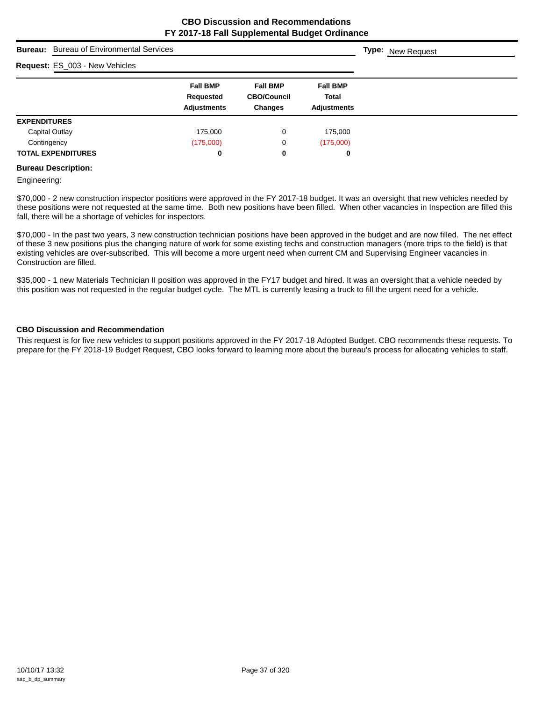| <b>Bureau:</b> Bureau of Environmental Services |                                                    |                                                         |                                                       | <b>Type:</b> New Request |
|-------------------------------------------------|----------------------------------------------------|---------------------------------------------------------|-------------------------------------------------------|--------------------------|
| Request: ES_003 - New Vehicles                  |                                                    |                                                         |                                                       |                          |
|                                                 | <b>Fall BMP</b><br>Requested<br><b>Adjustments</b> | <b>Fall BMP</b><br><b>CBO/Council</b><br><b>Changes</b> | <b>Fall BMP</b><br><b>Total</b><br><b>Adjustments</b> |                          |
| <b>EXPENDITURES</b>                             |                                                    |                                                         |                                                       |                          |
| Capital Outlay                                  | 175,000                                            | 0                                                       | 175,000                                               |                          |
| Contingency                                     | (175,000)                                          | 0                                                       | (175,000)                                             |                          |
| <b>TOTAL EXPENDITURES</b>                       | 0                                                  | 0                                                       | 0                                                     |                          |

#### **Bureau Description:**

Engineering:

\$70,000 - 2 new construction inspector positions were approved in the FY 2017-18 budget. It was an oversight that new vehicles needed by these positions were not requested at the same time. Both new positions have been filled. When other vacancies in Inspection are filled this fall, there will be a shortage of vehicles for inspectors.

\$70,000 - In the past two years, 3 new construction technician positions have been approved in the budget and are now filled. The net effect of these 3 new positions plus the changing nature of work for some existing techs and construction managers (more trips to the field) is that existing vehicles are over-subscribed. This will become a more urgent need when current CM and Supervising Engineer vacancies in Construction are filled.

\$35,000 - 1 new Materials Technician II position was approved in the FY17 budget and hired. It was an oversight that a vehicle needed by this position was not requested in the regular budget cycle. The MTL is currently leasing a truck to fill the urgent need for a vehicle.

#### **CBO Discussion and Recommendation**

This request is for five new vehicles to support positions approved in the FY 2017-18 Adopted Budget. CBO recommends these requests. To prepare for the FY 2018-19 Budget Request, CBO looks forward to learning more about the bureau's process for allocating vehicles to staff.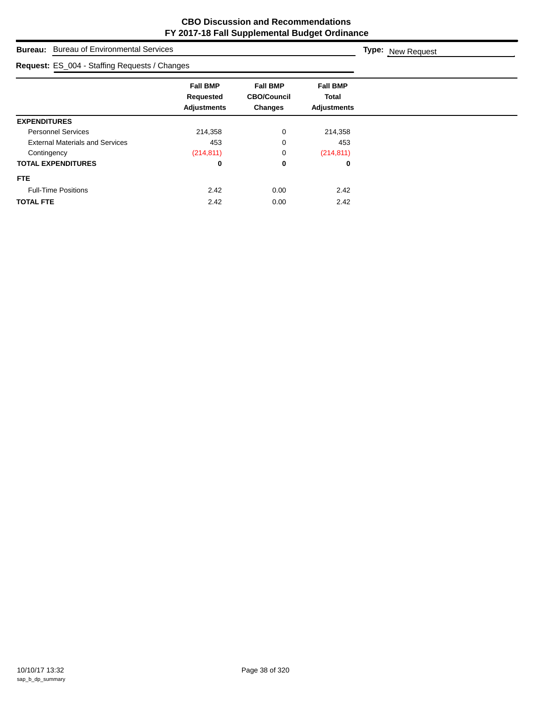| <b>Bureau:</b> Bureau of Environmental Services |                                                    |                                                         |                                                       | <b>Type:</b> New Request |
|-------------------------------------------------|----------------------------------------------------|---------------------------------------------------------|-------------------------------------------------------|--------------------------|
| Request: ES_004 - Staffing Requests / Changes   |                                                    |                                                         |                                                       |                          |
|                                                 | <b>Fall BMP</b><br>Requested<br><b>Adjustments</b> | <b>Fall BMP</b><br><b>CBO/Council</b><br><b>Changes</b> | <b>Fall BMP</b><br><b>Total</b><br><b>Adjustments</b> |                          |
| <b>EXPENDITURES</b>                             |                                                    |                                                         |                                                       |                          |
| <b>Personnel Services</b>                       | 214,358                                            | 0                                                       | 214,358                                               |                          |
| <b>External Materials and Services</b>          | 453                                                | 0                                                       | 453                                                   |                          |
| Contingency                                     | (214, 811)                                         | 0                                                       | (214, 811)                                            |                          |
| <b>TOTAL EXPENDITURES</b>                       | 0                                                  | 0                                                       | 0                                                     |                          |
| <b>FTE</b>                                      |                                                    |                                                         |                                                       |                          |
| <b>Full-Time Positions</b>                      | 2.42                                               | 0.00                                                    | 2.42                                                  |                          |
| <b>TOTAL FTE</b>                                | 2.42                                               | 0.00                                                    | 2.42                                                  |                          |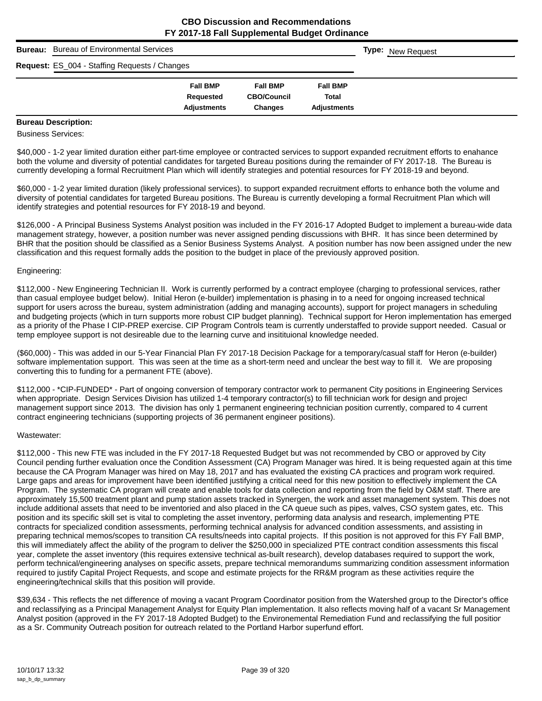| <b>Bureau:</b> | <b>Bureau of Environmental Services</b>       |                    |                    |                    | <b>Type:</b> New Request |
|----------------|-----------------------------------------------|--------------------|--------------------|--------------------|--------------------------|
|                | Request: ES_004 - Staffing Requests / Changes |                    |                    |                    |                          |
|                |                                               | <b>Fall BMP</b>    | <b>Fall BMP</b>    | <b>Fall BMP</b>    |                          |
|                |                                               | Requested          | <b>CBO/Council</b> | Total              |                          |
|                |                                               | <b>Adjustments</b> | <b>Changes</b>     | <b>Adiustments</b> |                          |

# **Bureau Description:**

Business Services:

\$40,000 - 1-2 year limited duration either part-time employee or contracted services to support expanded recruitment efforts to enahance both the volume and diversity of potential candidates for targeted Bureau positions during the remainder of FY 2017-18. The Bureau is currently developing a formal Recruitment Plan which will identify strategies and potential resources for FY 2018-19 and beyond.

\$60,000 - 1-2 year limited duration (likely professional services). to support expanded recruitment efforts to enhance both the volume and diversity of potential candidates for targeted Bureau positions. The Bureau is currently developing a formal Recruitment Plan which will identify strategies and potential resources for FY 2018-19 and beyond.

\$126,000 - A Principal Business Systems Analyst position was included in the FY 2016-17 Adopted Budget to implement a bureau-wide data management strategy, however, a position number was never assigned pending discussions with BHR. It has since been determined by BHR that the position should be classified as a Senior Business Systems Analyst. A position number has now been assigned under the new classification and this request formally adds the position to the budget in place of the previously approved position.

#### Engineering:

\$112,000 - New Engineering Technician II. Work is currently performed by a contract employee (charging to professional services, rather than casual employee budget below). Initial Heron (e-builder) implementation is phasing in to a need for ongoing increased technical support for users across the bureau, system administration (adding and managing accounts), support for project managers in scheduling and budgeting projects (which in turn supports more robust CIP budget planning). Technical support for Heron implementation has emerged as a priority of the Phase I CIP-PREP exercise. CIP Program Controls team is currently understaffed to provide support needed. Casual or temp employee support is not desireable due to the learning curve and insitituional knowledge needed.

(\$60,000) - This was added in our 5-Year Financial Plan FY 2017-18 Decision Package for a temporary/casual staff for Heron (e-builder) software implementation support. This was seen at the time as a short-term need and unclear the best way to fill it. We are proposing converting this to funding for a permanent FTE (above).

\$112,000 - \*CIP-FUNDED\* - Part of ongoing conversion of temporary contractor work to permanent City positions in Engineering Services when appropriate. Design Services Division has utilized 1-4 temporary contractor(s) to fill technician work for design and project management support since 2013. The division has only 1 permanent engineering technician position currently, compared to 4 current contract engineering technicians (supporting projects of 36 permanent engineer positions).

#### Wastewater:

\$112,000 - This new FTE was included in the FY 2017-18 Requested Budget but was not recommended by CBO or approved by City Council pending further evaluation once the Condition Assessment (CA) Program Manager was hired. It is being requested again at this time because the CA Program Manager was hired on May 18, 2017 and has evaluated the existing CA practices and program work required. Large gaps and areas for improvement have been identified justifying a critical need for this new position to effectively implement the CA Program. The systematic CA program will create and enable tools for data collection and reporting from the field by O&M staff. There are approximately 15,500 treatment plant and pump station assets tracked in Synergen, the work and asset management system. This does not include additional assets that need to be inventoried and also placed in the CA queue such as pipes, valves, CSO system gates, etc. This position and its specific skill set is vital to completing the asset inventory, performing data analysis and research, implementing PTE contracts for specialized condition assessments, performing technical analysis for advanced condition assessments, and assisting in preparing technical memos/scopes to transition CA results/needs into capital projects. If this position is not approved for this FY Fall BMP, this will immediately affect the ability of the program to deliver the \$250,000 in specialized PTE contract condition assessments this fiscal year, complete the asset inventory (this requires extensive technical as-built research), develop databases required to support the work, perform technical/engineering analyses on specific assets, prepare technical memorandums summarizing condition assessment information required to justify Capital Project Requests, and scope and estimate projects for the RR&M program as these activities require the engineering/technical skills that this position will provide.

\$39,634 - This reflects the net difference of moving a vacant Program Coordinator position from the Watershed group to the Director's office and reclassifying as a Principal Management Analyst for Equity Plan implementation. It also reflects moving half of a vacant Sr Management Analyst position (approved in the FY 2017-18 Adopted Budget) to the Environemental Remediation Fund and reclassifying the full position as a Sr. Community Outreach position for outreach related to the Portland Harbor superfund effort.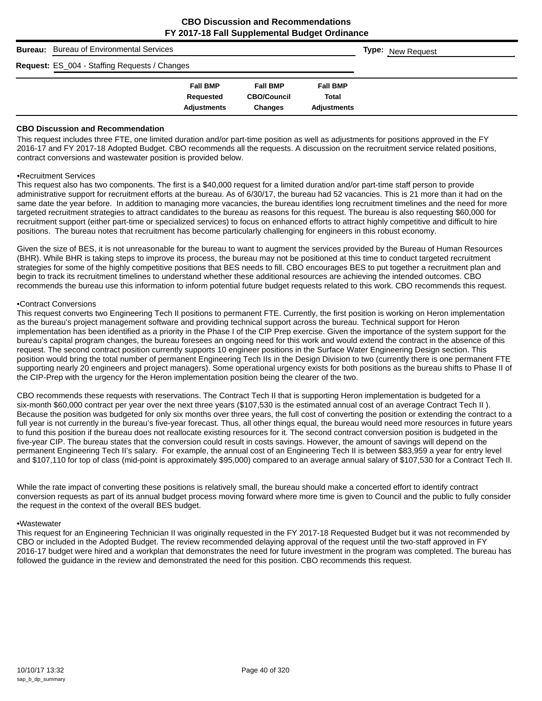| <b>Bureau:</b> | <b>Bureau of Environmental Services</b>       |                    |                    |                    | <b>Type:</b> New Request |
|----------------|-----------------------------------------------|--------------------|--------------------|--------------------|--------------------------|
|                | Request: ES_004 - Staffing Requests / Changes |                    |                    |                    |                          |
|                |                                               | <b>Fall BMP</b>    | <b>Fall BMP</b>    | <b>Fall BMP</b>    |                          |
|                |                                               | Requested          | <b>CBO/Council</b> | Total              |                          |
|                |                                               | <b>Adjustments</b> | <b>Changes</b>     | <b>Adiustments</b> |                          |

#### **CBO Discussion and Recommendation**

This request includes three FTE, one limited duration and/or part-time position as well as adjustments for positions approved in the FY 2016-17 and FY 2017-18 Adopted Budget. CBO recommends all the requests. A discussion on the recruitment service related positions, contract conversions and wastewater position is provided below.

#### •Recruitment Services

This request also has two components. The first is a \$40,000 request for a limited duration and/or part-time staff person to provide administrative support for recruitment efforts at the bureau. As of 6/30/17, the bureau had 52 vacancies. This is 21 more than it had on the same date the year before. In addition to managing more vacancies, the bureau identifies long recruitment timelines and the need for more targeted recruitment strategies to attract candidates to the bureau as reasons for this request. The bureau is also requesting \$60,000 for recruitment support (either part-time or specialized services) to focus on enhanced efforts to attract highly competitive and difficult to hire positions. The bureau notes that recruitment has become particularly challenging for engineers in this robust economy.

Given the size of BES, it is not unreasonable for the bureau to want to augment the services provided by the Bureau of Human Resources (BHR). While BHR is taking steps to improve its process, the bureau may not be positioned at this time to conduct targeted recruitment strategies for some of the highly competitive positions that BES needs to fill. CBO encourages BES to put together a recruitment plan and begin to track its recruitment timelines to understand whether these additional resources are achieving the intended outcomes. CBO recommends the bureau use this information to inform potential future budget requests related to this work. CBO recommends this request.

#### •Contract Conversions

This request converts two Engineering Tech II positions to permanent FTE. Currently, the first position is working on Heron implementation as the bureau's project management software and providing technical support across the bureau. Technical support for Heron implementation has been identified as a priority in the Phase I of the CIP Prep exercise. Given the importance of the system support for the bureau's capital program changes, the bureau foresees an ongoing need for this work and would extend the contract in the absence of this request. The second contract position currently supports 10 engineer positions in the Surface Water Engineering Design section. This position would bring the total number of permanent Engineering Tech IIs in the Design Division to two (currently there is one permanent FTE supporting nearly 20 engineers and project managers). Some operational urgency exists for both positions as the bureau shifts to Phase II of the CIP-Prep with the urgency for the Heron implementation position being the clearer of the two.

CBO recommends these requests with reservations. The Contract Tech II that is supporting Heron implementation is budgeted for a six-month \$60,000 contract per year over the next three years (\$107,530 is the estimated annual cost of an average Contract Tech II ). Because the position was budgeted for only six months over three years, the full cost of converting the position or extending the contract to a full year is not currently in the bureau's five-year forecast. Thus, all other things equal, the bureau would need more resources in future years to fund this position if the bureau does not reallocate existing resources for it. The second contract conversion position is budgeted in the five-year CIP. The bureau states that the conversion could result in costs savings. However, the amount of savings will depend on the permanent Engineering Tech II's salary. For example, the annual cost of an Engineering Tech II is between \$83,959 a year for entry level and \$107,110 for top of class (mid-point is approximately \$95,000) compared to an average annual salary of \$107,530 for a Contract Tech II.

While the rate impact of converting these positions is relatively small, the bureau should make a concerted effort to identify contract conversion requests as part of its annual budget process moving forward where more time is given to Council and the public to fully consider the request in the context of the overall BES budget.

#### •Wastewater

This request for an Engineering Technician II was originally requested in the FY 2017-18 Requested Budget but it was not recommended by CBO or included in the Adopted Budget. The review recommended delaying approval of the request until the two-staff approved in FY 2016-17 budget were hired and a workplan that demonstrates the need for future investment in the program was completed. The bureau has followed the guidance in the review and demonstrated the need for this position. CBO recommends this request.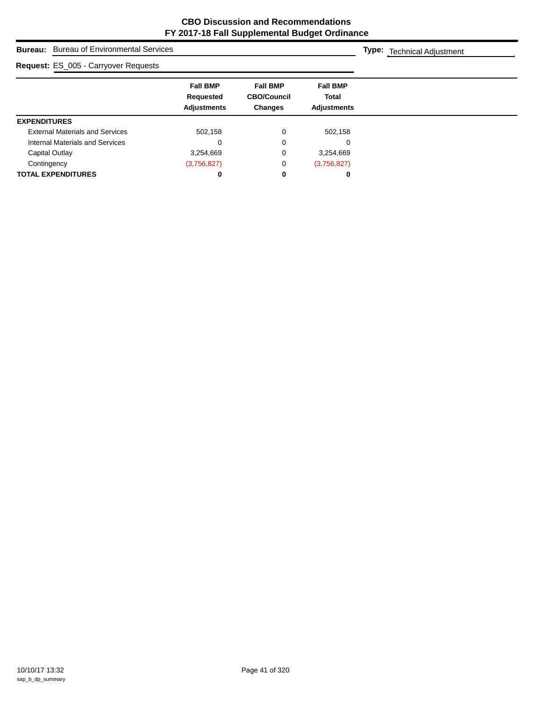| <b>Bureau:</b> Bureau of Environmental Services |                                                    |                                                  |                                                       | <b>Type:</b> Technical Adjustment |
|-------------------------------------------------|----------------------------------------------------|--------------------------------------------------|-------------------------------------------------------|-----------------------------------|
| <b>Request: ES_005 - Carryover Requests</b>     |                                                    |                                                  |                                                       |                                   |
|                                                 | <b>Fall BMP</b><br>Requested<br><b>Adjustments</b> | <b>Fall BMP</b><br><b>CBO/Council</b><br>Changes | <b>Fall BMP</b><br><b>Total</b><br><b>Adjustments</b> |                                   |
| <b>EXPENDITURES</b>                             |                                                    |                                                  |                                                       |                                   |
| <b>External Materials and Services</b>          | 502,158                                            | 0                                                | 502,158                                               |                                   |
| Internal Materials and Services                 | 0                                                  | 0                                                | 0                                                     |                                   |
| Capital Outlay                                  | 3,254,669                                          | 0                                                | 3,254,669                                             |                                   |
| Contingency                                     | (3,756,827)                                        | 0                                                | (3,756,827)                                           |                                   |
| <b>TOTAL EXPENDITURES</b>                       | 0                                                  | 0                                                | 0                                                     |                                   |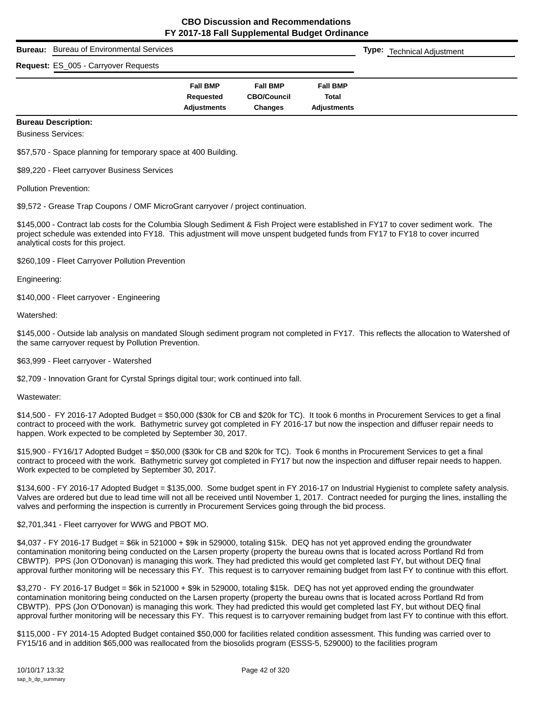| Bureau: | <b>Bureau of Environmental Services</b> |                                 |                               |                             | <b>Type:</b> Technical Adjustment |
|---------|-----------------------------------------|---------------------------------|-------------------------------|-----------------------------|-----------------------------------|
|         | Request: ES_005 - Carryover Requests    |                                 |                               |                             |                                   |
|         |                                         | <b>Fall BMP</b>                 | <b>Fall BMP</b>               | <b>Fall BMP</b>             |                                   |
|         |                                         | Requested<br><b>Adjustments</b> | <b>CBO/Council</b><br>Changes | Total<br><b>Adjustments</b> |                                   |

# **Bureau Description:**

Business Services:

\$57,570 - Space planning for temporary space at 400 Building.

\$89,220 - Fleet carryover Business Services

Pollution Prevention:

\$9,572 - Grease Trap Coupons / OMF MicroGrant carryover / project continuation.

\$145,000 - Contract lab costs for the Columbia Slough Sediment & Fish Project were established in FY17 to cover sediment work. The project schedule was extended into FY18. This adjustment will move unspent budgeted funds from FY17 to FY18 to cover incurred analytical costs for this project.

\$260,109 - Fleet Carryover Pollution Prevention

Engineering:

\$140,000 - Fleet carryover - Engineering

Watershed:

\$145,000 - Outside lab analysis on mandated Slough sediment program not completed in FY17. This reflects the allocation to Watershed of the same carryover request by Pollution Prevention.

\$63,999 - Fleet carryover - Watershed

\$2,709 - Innovation Grant for Cyrstal Springs digital tour; work continued into fall.

Wastewater:

\$14,500 - FY 2016-17 Adopted Budget = \$50,000 (\$30k for CB and \$20k for TC). It took 6 months in Procurement Services to get a final contract to proceed with the work. Bathymetric survey got completed in FY 2016-17 but now the inspection and diffuser repair needs to happen. Work expected to be completed by September 30, 2017.

\$15,900 - FY16/17 Adopted Budget = \$50,000 (\$30k for CB and \$20k for TC). Took 6 months in Procurement Services to get a final contract to proceed with the work. Bathymetric survey got completed in FY17 but now the inspection and diffuser repair needs to happen. Work expected to be completed by September 30, 2017.

\$134,600 - FY 2016-17 Adopted Budget = \$135,000. Some budget spent in FY 2016-17 on Industrial Hygienist to complete safety analysis. Valves are ordered but due to lead time will not all be received until November 1, 2017. Contract needed for purging the lines, installing the valves and performing the inspection is currently in Procurement Services going through the bid process.

\$2,701,341 - Fleet carryover for WWG and PBOT MO.

\$4,037 - FY 2016-17 Budget = \$6k in 521000 + \$9k in 529000, totaling \$15k. DEQ has not yet approved ending the groundwater contamination monitoring being conducted on the Larsen property (property the bureau owns that is located across Portland Rd from CBWTP). PPS (Jon O'Donovan) is managing this work. They had predicted this would get completed last FY, but without DEQ final approval further monitoring will be necessary this FY. This request is to carryover remaining budget from last FY to continue with this effort.

\$3,270 - FY 2016-17 Budget = \$6k in 521000 + \$9k in 529000, totaling \$15k. DEQ has not yet approved ending the groundwater contamination monitoring being conducted on the Larsen property (property the bureau owns that is located across Portland Rd from CBWTP). PPS (Jon O'Donovan) is managing this work. They had predicted this would get completed last FY, but without DEQ final approval further monitoring will be necessary this FY. This request is to carryover remaining budget from last FY to continue with this effort.

\$115,000 - FY 2014-15 Adopted Budget contained \$50,000 for facilities related condition assessment. This funding was carried over to FY15/16 and in addition \$65,000 was reallocated from the biosolids program (ESSS-5, 529000) to the facilities program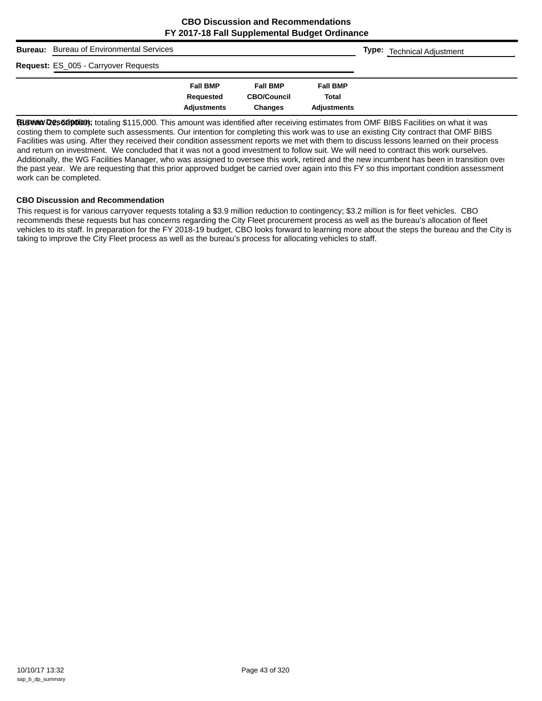| Bureau: | <b>Bureau of Environmental Services</b> |                    |                    |                    | <b>Type:</b> Technical Adjustment |
|---------|-----------------------------------------|--------------------|--------------------|--------------------|-----------------------------------|
|         | Request: ES_005 - Carryover Requests    |                    |                    |                    |                                   |
|         |                                         | <b>Fall BMP</b>    | <b>Fall BMP</b>    | <b>Fall BMP</b>    |                                   |
|         |                                         | Requested          | <b>CBO/Council</b> | <b>Total</b>       |                                   |
|         |                                         | <b>Adjustments</b> | Changes            | <b>Adjustments</b> |                                   |

Bustaw Desscription; totaling \$115,000. This amount was identified after receiving estimates from OMF BIBS Facilities on what it was costing them to complete such assessments. Our intention for completing this work was to use an existing City contract that OMF BIBS Facilities was using. After they received their condition assessment reports we met with them to discuss lessons learned on their process and return on investment. We concluded that it was not a good investment to follow suit. We will need to contract this work ourselves. Additionally, the WG Facilities Manager, who was assigned to oversee this work, retired and the new incumbent has been in transition over the past year. We are requesting that this prior approved budget be carried over again into this FY so this important condition assessment work can be completed.

## **CBO Discussion and Recommendation**

This request is for various carryover requests totaling a \$3.9 million reduction to contingency; \$3.2 million is for fleet vehicles. CBO recommends these requests but has concerns regarding the City Fleet procurement process as well as the bureau's allocation of fleet vehicles to its staff. In preparation for the FY 2018-19 budget, CBO looks forward to learning more about the steps the bureau and the City is taking to improve the City Fleet process as well as the bureau's process for allocating vehicles to staff.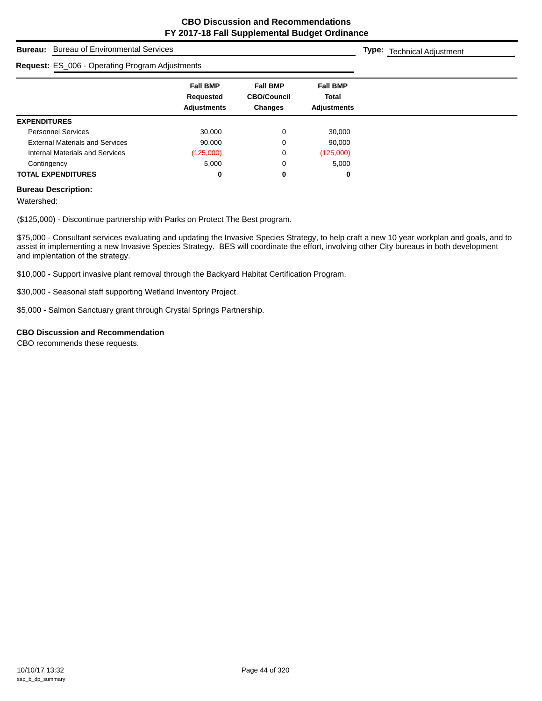| <b>Bureau of Environmental Services</b><br><b>Bureau:</b> |                                                           |                                                         |                                                       | <b>Type:</b> Technical Adjustment |
|-----------------------------------------------------------|-----------------------------------------------------------|---------------------------------------------------------|-------------------------------------------------------|-----------------------------------|
| Request: ES_006 - Operating Program Adjustments           |                                                           |                                                         |                                                       |                                   |
|                                                           | <b>Fall BMP</b><br><b>Requested</b><br><b>Adjustments</b> | <b>Fall BMP</b><br><b>CBO/Council</b><br><b>Changes</b> | <b>Fall BMP</b><br><b>Total</b><br><b>Adjustments</b> |                                   |
| <b>EXPENDITURES</b>                                       |                                                           |                                                         |                                                       |                                   |
| <b>Personnel Services</b>                                 | 30,000                                                    | 0                                                       | 30,000                                                |                                   |
| <b>External Materials and Services</b>                    | 90.000                                                    | 0                                                       | 90,000                                                |                                   |
| Internal Materials and Services                           | (125,000)                                                 | 0                                                       | (125,000)                                             |                                   |
| Contingency                                               | 5,000                                                     | 0                                                       | 5,000                                                 |                                   |
| <b>TOTAL EXPENDITURES</b>                                 | 0                                                         | 0                                                       | 0                                                     |                                   |

# **Bureau Description:**

Watershed:

(\$125,000) - Discontinue partnership with Parks on Protect The Best program.

\$75,000 - Consultant services evaluating and updating the Invasive Species Strategy, to help craft a new 10 year workplan and goals, and to assist in implementing a new Invasive Species Strategy. BES will coordinate the effort, involving other City bureaus in both development and implentation of the strategy.

\$10,000 - Support invasive plant removal through the Backyard Habitat Certification Program.

\$30,000 - Seasonal staff supporting Wetland Inventory Project.

\$5,000 - Salmon Sanctuary grant through Crystal Springs Partnership.

## **CBO Discussion and Recommendation**

CBO recommends these requests.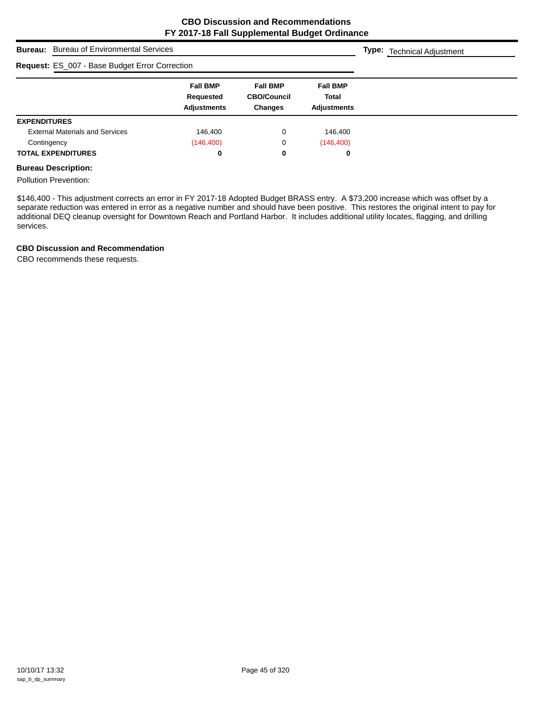| <b>Bureau of Environmental Services</b><br><b>Bureau:</b> |                                                    |                                                         |                                                       | <b>Type:</b> Technical Adjustment |
|-----------------------------------------------------------|----------------------------------------------------|---------------------------------------------------------|-------------------------------------------------------|-----------------------------------|
| Request: ES_007 - Base Budget Error Correction            |                                                    |                                                         |                                                       |                                   |
|                                                           | <b>Fall BMP</b><br>Requested<br><b>Adjustments</b> | <b>Fall BMP</b><br><b>CBO/Council</b><br><b>Changes</b> | <b>Fall BMP</b><br><b>Total</b><br><b>Adjustments</b> |                                   |
| <b>EXPENDITURES</b>                                       |                                                    |                                                         |                                                       |                                   |
| <b>External Materials and Services</b>                    | 146.400                                            | 0                                                       | 146,400                                               |                                   |
| Contingency                                               | (146, 400)                                         | 0                                                       | (146, 400)                                            |                                   |
| <b>TOTAL EXPENDITURES</b>                                 | 0                                                  | 0                                                       | 0                                                     |                                   |

# **Bureau Description:**

Pollution Prevention:

\$146,400 - This adjustment corrects an error in FY 2017-18 Adopted Budget BRASS entry. A \$73,200 increase which was offset by a separate reduction was entered in error as a negative number and should have been positive. This restores the original intent to pay for additional DEQ cleanup oversight for Downtown Reach and Portland Harbor. It includes additional utility locates, flagging, and drilling services.

## **CBO Discussion and Recommendation**

CBO recommends these requests.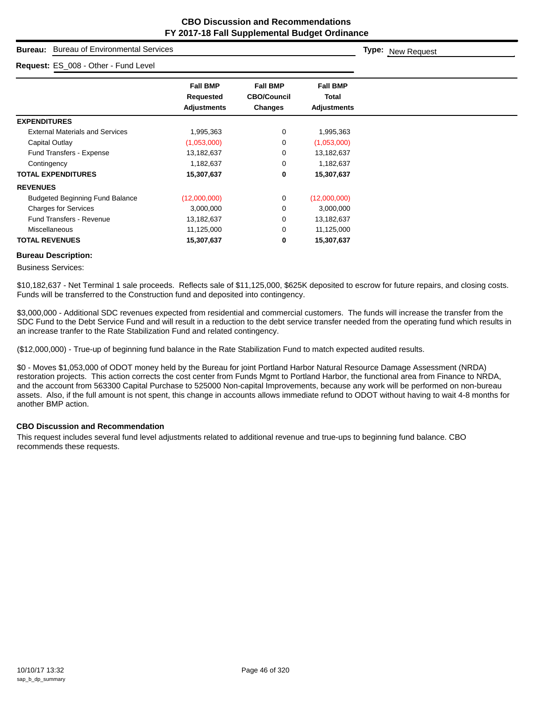# **Bureau:** Bureau of Environmental Services

| Request: ES_008 - Other - Fund Level   |                    |                    |                 |  |
|----------------------------------------|--------------------|--------------------|-----------------|--|
|                                        | <b>Fall BMP</b>    | <b>Fall BMP</b>    | <b>Fall BMP</b> |  |
|                                        | <b>Requested</b>   | <b>CBO/Council</b> | <b>Total</b>    |  |
|                                        | <b>Adjustments</b> | Changes            | Adjustments     |  |
| <b>EXPENDITURES</b>                    |                    |                    |                 |  |
| <b>External Materials and Services</b> | 1,995,363          | 0                  | 1,995,363       |  |
| Capital Outlay                         | (1,053,000)        | 0                  | (1,053,000)     |  |
| <b>Fund Transfers - Expense</b>        | 13,182,637         | 0                  | 13,182,637      |  |
| Contingency                            | 1,182,637          | 0                  | 1,182,637       |  |
| <b>TOTAL EXPENDITURES</b>              | 15,307,637         | 0                  | 15,307,637      |  |
| <b>REVENUES</b>                        |                    |                    |                 |  |
| <b>Budgeted Beginning Fund Balance</b> | (12,000,000)       | 0                  | (12,000,000)    |  |
| <b>Charges for Services</b>            | 3,000,000          | 0                  | 3,000,000       |  |
| <b>Fund Transfers - Revenue</b>        | 13,182,637         | 0                  | 13,182,637      |  |
| <b>Miscellaneous</b>                   | 11,125,000         | 0                  | 11,125,000      |  |
| <b>TOTAL REVENUES</b>                  | 15,307,637         | 0                  | 15,307,637      |  |

#### **Bureau Description:**

Business Services:

\$10,182,637 - Net Terminal 1 sale proceeds. Reflects sale of \$11,125,000, \$625K deposited to escrow for future repairs, and closing costs. Funds will be transferred to the Construction fund and deposited into contingency.

\$3,000,000 - Additional SDC revenues expected from residential and commercial customers. The funds will increase the transfer from the SDC Fund to the Debt Service Fund and will result in a reduction to the debt service transfer needed from the operating fund which results in an increase tranfer to the Rate Stabilization Fund and related contingency.

(\$12,000,000) - True-up of beginning fund balance in the Rate Stabilization Fund to match expected audited results.

\$0 - Moves \$1,053,000 of ODOT money held by the Bureau for joint Portland Harbor Natural Resource Damage Assessment (NRDA) restoration projects. This action corrects the cost center from Funds Mgmt to Portland Harbor, the functional area from Finance to NRDA, and the account from 563300 Capital Purchase to 525000 Non-capital Improvements, because any work will be performed on non-bureau assets. Also, if the full amount is not spent, this change in accounts allows immediate refund to ODOT without having to wait 4-8 months for another BMP action.

## **CBO Discussion and Recommendation**

This request includes several fund level adjustments related to additional revenue and true-ups to beginning fund balance. CBO recommends these requests.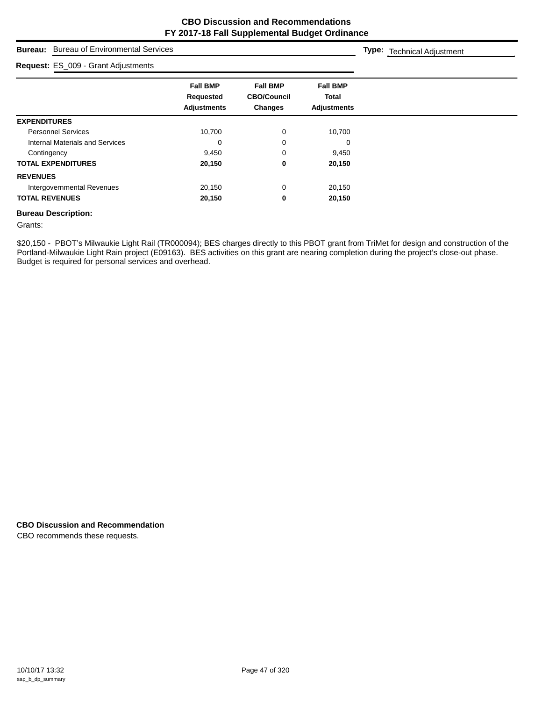**Type:** Technical Adjustment

# **Bureau:** Bureau of Environmental Services

| Request: ES_009 - Grant Adjustments    |                                                    |                                                         |                                                       |
|----------------------------------------|----------------------------------------------------|---------------------------------------------------------|-------------------------------------------------------|
|                                        | <b>Fall BMP</b><br>Requested<br><b>Adjustments</b> | <b>Fall BMP</b><br><b>CBO/Council</b><br><b>Changes</b> | <b>Fall BMP</b><br><b>Total</b><br><b>Adjustments</b> |
| <b>EXPENDITURES</b>                    |                                                    |                                                         |                                                       |
| <b>Personnel Services</b>              | 10,700                                             | $\mathbf 0$                                             | 10,700                                                |
| <b>Internal Materials and Services</b> | 0                                                  | 0                                                       | $\Omega$                                              |
| Contingency                            | 9,450                                              | 0                                                       | 9,450                                                 |
| <b>TOTAL EXPENDITURES</b>              | 20,150                                             | 0                                                       | 20,150                                                |
| <b>REVENUES</b>                        |                                                    |                                                         |                                                       |
| Intergovernmental Revenues             | 20,150                                             | 0                                                       | 20,150                                                |
| <b>TOTAL REVENUES</b>                  | 20,150                                             | 0                                                       | 20,150                                                |

#### **Bureau Description:**

Grants:

\$20,150 - PBOT's Milwaukie Light Rail (TR000094); BES charges directly to this PBOT grant from TriMet for design and construction of the Portland-Milwaukie Light Rain project (E09163). BES activities on this grant are nearing completion during the project's close-out phase. Budget is required for personal services and overhead.

# **CBO Discussion and Recommendation**

CBO recommends these requests.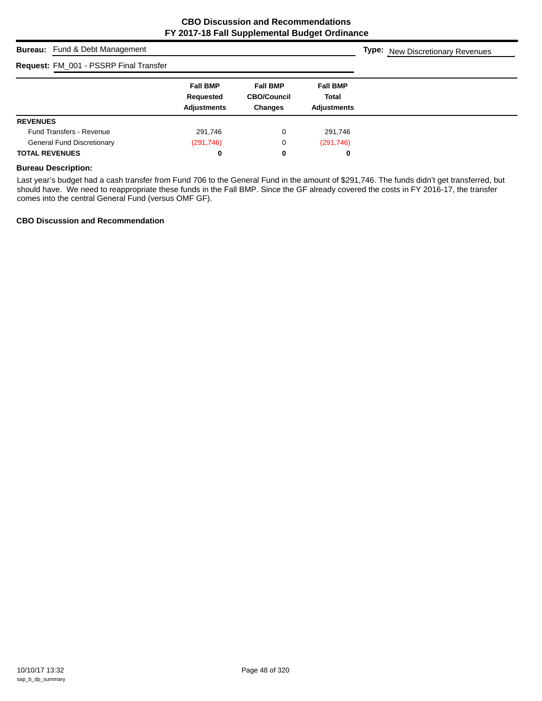# **Bureau:** Fund & Debt Management **Fall BMP Fall BMP Fall BMP Requested CBO/Council Total Adjustments Changes Adjustments Type:** New Discretionary Revenues **Request:** FM\_001 - PSSRP Final Transfer **REVENUES** Fund Transfers - Revenue 291,746 0 291,746 General Fund Discretionary (291,746) (291,746) 0 (291,746) **TOTAL REVENUES 0 0 0**

#### **Bureau Description:**

Last year's budget had a cash transfer from Fund 706 to the General Fund in the amount of \$291,746. The funds didn't get transferred, but should have. We need to reappropriate these funds in the Fall BMP. Since the GF already covered the costs in FY 2016-17, the transfer comes into the central General Fund (versus OMF GF).

## **CBO Discussion and Recommendation**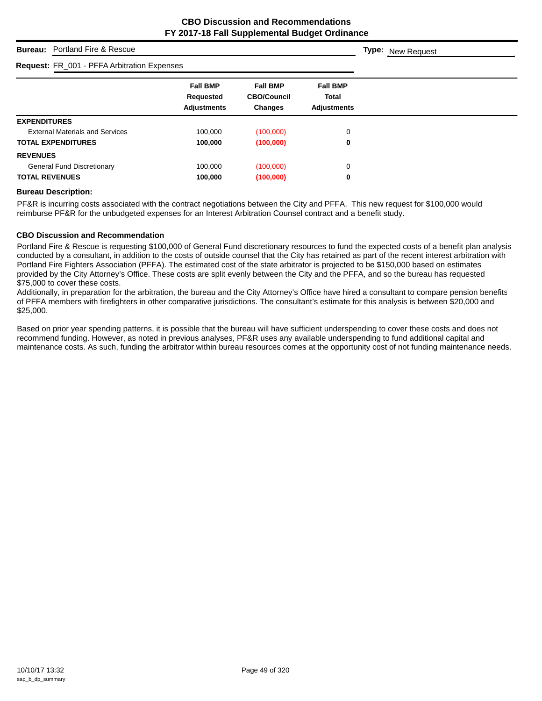# **Bureau:** Portland Fire & Rescue

## **Request:** FR\_001 - PFFA Arbitration Expenses

| Request: FR_001 - PFFA Arbitration Expenses |                                                    |                                                  |                                                       |  |
|---------------------------------------------|----------------------------------------------------|--------------------------------------------------|-------------------------------------------------------|--|
|                                             | <b>Fall BMP</b><br>Requested<br><b>Adjustments</b> | <b>Fall BMP</b><br><b>CBO/Council</b><br>Changes | <b>Fall BMP</b><br><b>Total</b><br><b>Adjustments</b> |  |
| <b>EXPENDITURES</b>                         |                                                    |                                                  |                                                       |  |
| <b>External Materials and Services</b>      | 100.000                                            | (100,000)                                        | 0                                                     |  |
| <b>TOTAL EXPENDITURES</b>                   | 100,000                                            | (100,000)                                        | 0                                                     |  |
| <b>REVENUES</b>                             |                                                    |                                                  |                                                       |  |
| <b>General Fund Discretionary</b>           | 100.000                                            | (100,000)                                        | 0                                                     |  |
| <b>TOTAL REVENUES</b>                       | 100,000                                            | (100,000)                                        | 0                                                     |  |

## **Bureau Description:**

PF&R is incurring costs associated with the contract negotiations between the City and PFFA. This new request for \$100,000 would reimburse PF&R for the unbudgeted expenses for an Interest Arbitration Counsel contract and a benefit study.

#### **CBO Discussion and Recommendation**

Portland Fire & Rescue is requesting \$100,000 of General Fund discretionary resources to fund the expected costs of a benefit plan analysis conducted by a consultant, in addition to the costs of outside counsel that the City has retained as part of the recent interest arbitration with Portland Fire Fighters Association (PFFA). The estimated cost of the state arbitrator is projected to be \$150,000 based on estimates provided by the City Attorney's Office. These costs are split evenly between the City and the PFFA, and so the bureau has requested \$75,000 to cover these costs.

Additionally, in preparation for the arbitration, the bureau and the City Attorney's Office have hired a consultant to compare pension benefits of PFFA members with firefighters in other comparative jurisdictions. The consultant's estimate for this analysis is between \$20,000 and \$25,000.

Based on prior year spending patterns, it is possible that the bureau will have sufficient underspending to cover these costs and does not recommend funding. However, as noted in previous analyses, PF&R uses any available underspending to fund additional capital and maintenance costs. As such, funding the arbitrator within bureau resources comes at the opportunity cost of not funding maintenance needs.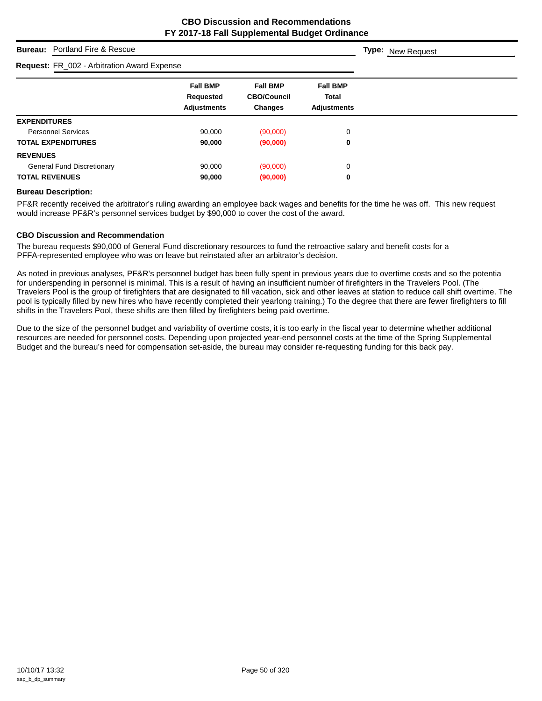# **Bureau:** Portland Fire & Rescue

## **Request:** FR\_002 - Arbitration Award Expense

| <b>Request:</b> FR_002 - Arbitration Award Expense |                                                    |                                                         |                                                       |
|----------------------------------------------------|----------------------------------------------------|---------------------------------------------------------|-------------------------------------------------------|
|                                                    | <b>Fall BMP</b><br>Requested<br><b>Adjustments</b> | <b>Fall BMP</b><br><b>CBO/Council</b><br><b>Changes</b> | <b>Fall BMP</b><br><b>Total</b><br><b>Adjustments</b> |
| <b>EXPENDITURES</b>                                |                                                    |                                                         |                                                       |
| <b>Personnel Services</b>                          | 90.000                                             | (90,000)                                                | 0                                                     |
| <b>TOTAL EXPENDITURES</b>                          | 90,000                                             | (90,000)                                                | 0                                                     |
| <b>REVENUES</b>                                    |                                                    |                                                         |                                                       |
| <b>General Fund Discretionary</b>                  | 90,000                                             | (90,000)                                                | 0                                                     |
| <b>TOTAL REVENUES</b>                              | 90,000                                             | (90,000)                                                | 0                                                     |
|                                                    |                                                    |                                                         |                                                       |

## **Bureau Description:**

PF&R recently received the arbitrator's ruling awarding an employee back wages and benefits for the time he was off. This new request would increase PF&R's personnel services budget by \$90,000 to cover the cost of the award.

#### **CBO Discussion and Recommendation**

The bureau requests \$90,000 of General Fund discretionary resources to fund the retroactive salary and benefit costs for a PFFA-represented employee who was on leave but reinstated after an arbitrator's decision.

As noted in previous analyses, PF&R's personnel budget has been fully spent in previous years due to overtime costs and so the potentia for underspending in personnel is minimal. This is a result of having an insufficient number of firefighters in the Travelers Pool. (The Travelers Pool is the group of firefighters that are designated to fill vacation, sick and other leaves at station to reduce call shift overtime. The pool is typically filled by new hires who have recently completed their yearlong training.) To the degree that there are fewer firefighters to fill shifts in the Travelers Pool, these shifts are then filled by firefighters being paid overtime.

Due to the size of the personnel budget and variability of overtime costs, it is too early in the fiscal year to determine whether additional resources are needed for personnel costs. Depending upon projected year-end personnel costs at the time of the Spring Supplemental Budget and the bureau's need for compensation set-aside, the bureau may consider re-requesting funding for this back pay.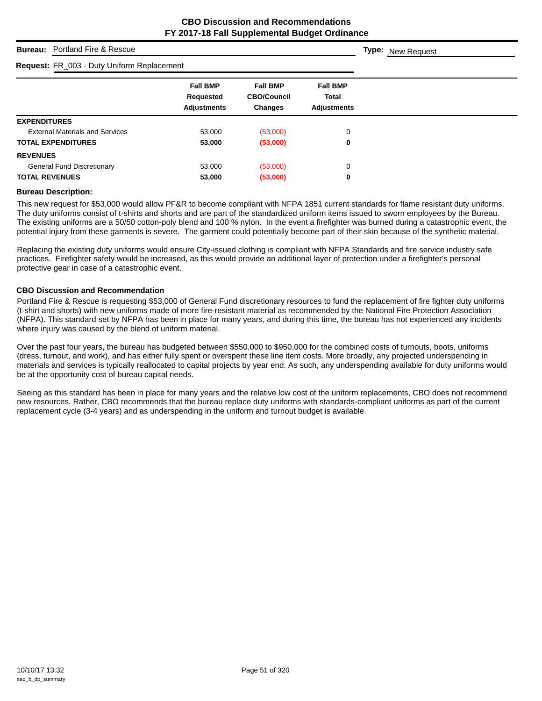# **Bureau:** Portland Fire & Rescue

## **Request:** FR\_003 - Duty Uniform Replacement

| <b>Fall BMP</b><br>Requested<br><b>Adjustments</b> | <b>Fall BMP</b><br><b>CBO/Council</b><br><b>Changes</b> | <b>Fall BMP</b><br>Total<br><b>Adjustments</b> |
|----------------------------------------------------|---------------------------------------------------------|------------------------------------------------|
|                                                    |                                                         |                                                |
| 53,000                                             | (53,000)                                                | 0                                              |
| 53,000                                             | (53,000)                                                | 0                                              |
|                                                    |                                                         |                                                |
| 53,000                                             | (53,000)                                                | 0                                              |
| 53,000                                             | (53,000)                                                | 0                                              |
|                                                    | <b>Request:</b> FR_003 - Duty Uniform Replacement       |                                                |

#### **Bureau Description:**

This new request for \$53,000 would allow PF&R to become compliant with NFPA 1851 current standards for flame resistant duty uniforms. The duty uniforms consist of t-shirts and shorts and are part of the standardized uniform items issued to sworn employees by the Bureau. The existing uniforms are a 50/50 cotton-poly blend and 100 % nylon. In the event a firefighter was burned during a catastrophic event, the potential injury from these garments is severe. The garment could potentially become part of their skin because of the synthetic material.

Replacing the existing duty uniforms would ensure City-issued clothing is compliant with NFPA Standards and fire service industry safe practices. Firefighter safety would be increased, as this would provide an additional layer of protection under a firefighter's personal protective gear in case of a catastrophic event.

#### **CBO Discussion and Recommendation**

Portland Fire & Rescue is requesting \$53,000 of General Fund discretionary resources to fund the replacement of fire fighter duty uniforms (t-shirt and shorts) with new uniforms made of more fire-resistant material as recommended by the National Fire Protection Association (NFPA). This standard set by NFPA has been in place for many years, and during this time, the bureau has not experienced any incidents where injury was caused by the blend of uniform material.

Over the past four years, the bureau has budgeted between \$550,000 to \$950,000 for the combined costs of turnouts, boots, uniforms (dress, turnout, and work), and has either fully spent or overspent these line item costs. More broadly, any projected underspending in materials and services is typically reallocated to capital projects by year end. As such, any underspending available for duty uniforms would be at the opportunity cost of bureau capital needs.

Seeing as this standard has been in place for many years and the relative low cost of the uniform replacements, CBO does not recommend new resources. Rather, CBO recommends that the bureau replace duty uniforms with standards-compliant uniforms as part of the current replacement cycle (3-4 years) and as underspending in the uniform and turnout budget is available.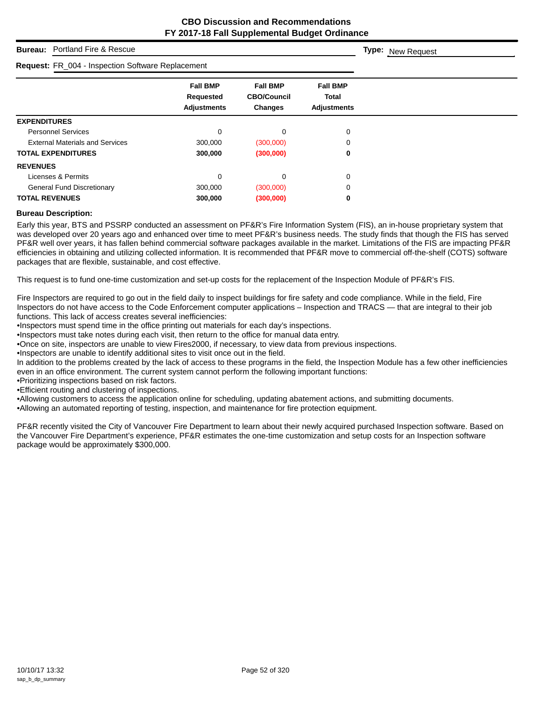# **Bureau:** Portland Fire & Rescue

#### **Request:** FR\_004 - Inspection Software Replacement

| <b>Request:</b> FR_004 - Inspection Software Replacement |                                 |                                      |                             |
|----------------------------------------------------------|---------------------------------|--------------------------------------|-----------------------------|
|                                                          | <b>Fall BMP</b>                 | <b>Fall BMP</b>                      | <b>Fall BMP</b>             |
|                                                          | Requested<br><b>Adjustments</b> | <b>CBO/Council</b><br><b>Changes</b> | Total<br><b>Adjustments</b> |
| <b>EXPENDITURES</b>                                      |                                 |                                      |                             |
| <b>Personnel Services</b>                                | 0                               | $\Omega$                             | 0                           |
| <b>External Materials and Services</b>                   | 300,000                         | (300,000)                            | 0                           |
| <b>TOTAL EXPENDITURES</b>                                | 300,000                         | (300,000)                            | 0                           |
| <b>REVENUES</b>                                          |                                 |                                      |                             |
| Licenses & Permits                                       | $\mathbf 0$                     | $\Omega$                             | $\Omega$                    |
| <b>General Fund Discretionary</b>                        | 300,000                         | (300,000)                            | 0                           |
| <b>TOTAL REVENUES</b>                                    | 300,000                         | (300,000)                            | 0                           |

#### **Bureau Description:**

Early this year, BTS and PSSRP conducted an assessment on PF&R's Fire Information System (FIS), an in-house proprietary system that was developed over 20 years ago and enhanced over time to meet PF&R's business needs. The study finds that though the FIS has served PF&R well over years, it has fallen behind commercial software packages available in the market. Limitations of the FIS are impacting PF&R efficiencies in obtaining and utilizing collected information. It is recommended that PF&R move to commercial off-the-shelf (COTS) software packages that are flexible, sustainable, and cost effective.

This request is to fund one-time customization and set-up costs for the replacement of the Inspection Module of PF&R's FIS.

Fire Inspectors are required to go out in the field daily to inspect buildings for fire safety and code compliance. While in the field, Fire Inspectors do not have access to the Code Enforcement computer applications – Inspection and TRACS — that are integral to their job functions. This lack of access creates several inefficiencies:

•Inspectors must spend time in the office printing out materials for each day's inspections.

•Inspectors must take notes during each visit, then return to the office for manual data entry.

•Once on site, inspectors are unable to view Fires2000, if necessary, to view data from previous inspections.

•Inspectors are unable to identify additional sites to visit once out in the field.

In addition to the problems created by the lack of access to these programs in the field, the Inspection Module has a few other inefficiencies even in an office environment. The current system cannot perform the following important functions:

•Prioritizing inspections based on risk factors.

•Efficient routing and clustering of inspections.

•Allowing customers to access the application online for scheduling, updating abatement actions, and submitting documents.

•Allowing an automated reporting of testing, inspection, and maintenance for fire protection equipment.

PF&R recently visited the City of Vancouver Fire Department to learn about their newly acquired purchased Inspection software. Based on the Vancouver Fire Department's experience, PF&R estimates the one-time customization and setup costs for an Inspection software package would be approximately \$300,000.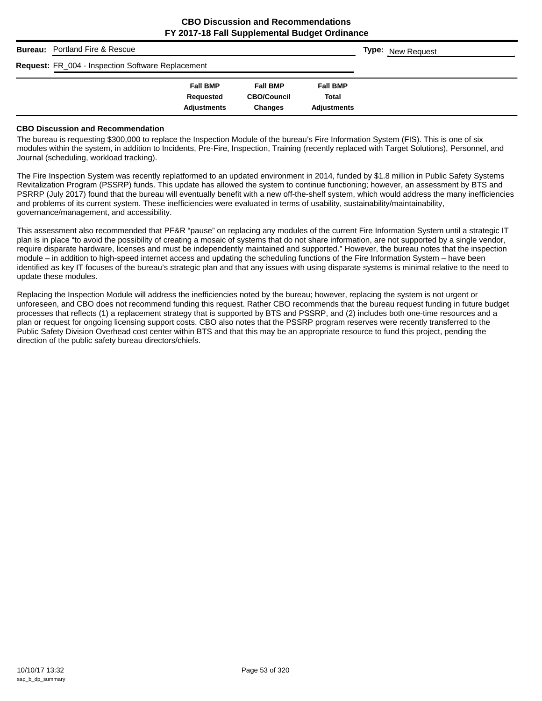| <b>Bureau:</b> Portland Fire & Rescue             |                    |                    |                    | <b>Type: New Request</b> |
|---------------------------------------------------|--------------------|--------------------|--------------------|--------------------------|
| Request: FR_004 - Inspection Software Replacement |                    |                    |                    |                          |
|                                                   | <b>Fall BMP</b>    | <b>Fall BMP</b>    | <b>Fall BMP</b>    |                          |
|                                                   | Requested          | <b>CBO/Council</b> | Total              |                          |
|                                                   | <b>Adjustments</b> | <b>Changes</b>     | <b>Adjustments</b> |                          |

#### **CBO Discussion and Recommendation**

The bureau is requesting \$300,000 to replace the Inspection Module of the bureau's Fire Information System (FIS). This is one of six modules within the system, in addition to Incidents, Pre-Fire, Inspection, Training (recently replaced with Target Solutions), Personnel, and Journal (scheduling, workload tracking).

The Fire Inspection System was recently replatformed to an updated environment in 2014, funded by \$1.8 million in Public Safety Systems Revitalization Program (PSSRP) funds. This update has allowed the system to continue functioning; however, an assessment by BTS and PSRRP (July 2017) found that the bureau will eventually benefit with a new off-the-shelf system, which would address the many inefficiencies and problems of its current system. These inefficiencies were evaluated in terms of usability, sustainability/maintainability, governance/management, and accessibility.

This assessment also recommended that PF&R "pause" on replacing any modules of the current Fire Information System until a strategic IT plan is in place "to avoid the possibility of creating a mosaic of systems that do not share information, are not supported by a single vendor, require disparate hardware, licenses and must be independently maintained and supported." However, the bureau notes that the inspection module – in addition to high-speed internet access and updating the scheduling functions of the Fire Information System – have been identified as key IT focuses of the bureau's strategic plan and that any issues with using disparate systems is minimal relative to the need to update these modules.

Replacing the Inspection Module will address the inefficiencies noted by the bureau; however, replacing the system is not urgent or unforeseen, and CBO does not recommend funding this request. Rather CBO recommends that the bureau request funding in future budget processes that reflects (1) a replacement strategy that is supported by BTS and PSSRP, and (2) includes both one-time resources and a plan or request for ongoing licensing support costs. CBO also notes that the PSSRP program reserves were recently transferred to the Public Safety Division Overhead cost center within BTS and that this may be an appropriate resource to fund this project, pending the direction of the public safety bureau directors/chiefs.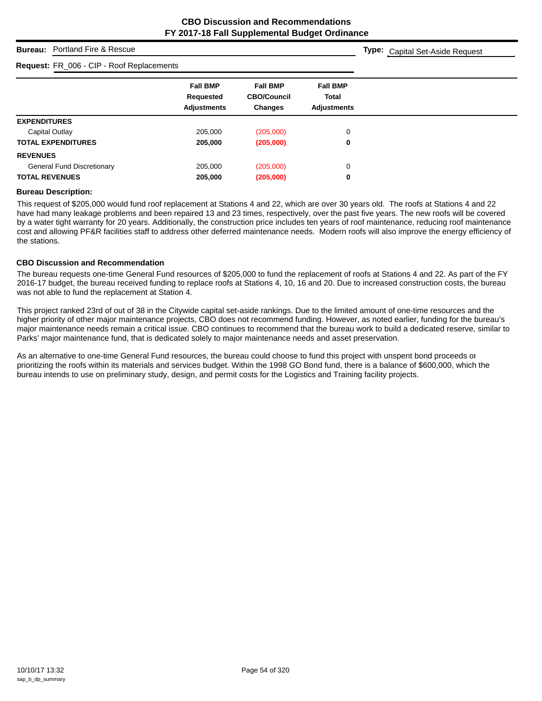**Type:** Capital Set-Aside Request

# **Bureau:** Portland Fire & Rescue

# **Request:** FR\_006 - CIP - Roof Replacements

| <b>Request:</b> FR_000 - CIF - ROOI Replacements |                                                    |                                                         |                                                       |
|--------------------------------------------------|----------------------------------------------------|---------------------------------------------------------|-------------------------------------------------------|
|                                                  | <b>Fall BMP</b><br>Requested<br><b>Adjustments</b> | <b>Fall BMP</b><br><b>CBO/Council</b><br><b>Changes</b> | <b>Fall BMP</b><br><b>Total</b><br><b>Adjustments</b> |
| <b>EXPENDITURES</b>                              |                                                    |                                                         |                                                       |
| Capital Outlay                                   | 205,000                                            | (205,000)                                               | 0                                                     |
| <b>TOTAL EXPENDITURES</b>                        | 205,000                                            | (205,000)                                               | 0                                                     |
| <b>REVENUES</b>                                  |                                                    |                                                         |                                                       |
| <b>General Fund Discretionary</b>                | 205,000                                            | (205,000)                                               | 0                                                     |
| <b>TOTAL REVENUES</b>                            | 205,000                                            | (205,000)                                               | 0                                                     |

#### **Bureau Description:**

This request of \$205,000 would fund roof replacement at Stations 4 and 22, which are over 30 years old. The roofs at Stations 4 and 22 have had many leakage problems and been repaired 13 and 23 times, respectively, over the past five years. The new roofs will be covered by a water tight warranty for 20 years. Additionally, the construction price includes ten years of roof maintenance, reducing roof maintenance cost and allowing PF&R facilities staff to address other deferred maintenance needs. Modern roofs will also improve the energy efficiency of the stations.

#### **CBO Discussion and Recommendation**

The bureau requests one-time General Fund resources of \$205,000 to fund the replacement of roofs at Stations 4 and 22. As part of the FY 2016-17 budget, the bureau received funding to replace roofs at Stations 4, 10, 16 and 20. Due to increased construction costs, the bureau was not able to fund the replacement at Station 4.

This project ranked 23rd of out of 38 in the Citywide capital set-aside rankings. Due to the limited amount of one-time resources and the higher priority of other major maintenance projects, CBO does not recommend funding. However, as noted earlier, funding for the bureau's major maintenance needs remain a critical issue. CBO continues to recommend that the bureau work to build a dedicated reserve, similar to Parks' major maintenance fund, that is dedicated solely to major maintenance needs and asset preservation.

As an alternative to one-time General Fund resources, the bureau could choose to fund this project with unspent bond proceeds or prioritizing the roofs within its materials and services budget. Within the 1998 GO Bond fund, there is a balance of \$600,000, which the bureau intends to use on preliminary study, design, and permit costs for the Logistics and Training facility projects.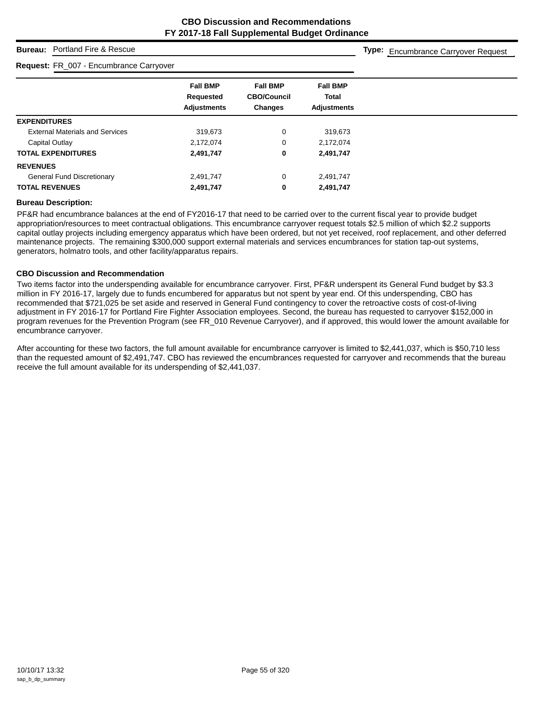# **Bureau:** Portland Fire & Rescue

#### **Request:** FR\_007 - Encumbrance Carryover

**Type:** Encumbrance Carryover Request

|                                        | <b>Fall BMP</b>    | <b>Fall BMP</b>    | <b>Fall BMP</b>    |
|----------------------------------------|--------------------|--------------------|--------------------|
|                                        | Requested          | <b>CBO/Council</b> | <b>Total</b>       |
|                                        | <b>Adjustments</b> | <b>Changes</b>     | <b>Adjustments</b> |
| <b>EXPENDITURES</b>                    |                    |                    |                    |
| <b>External Materials and Services</b> | 319,673            | 0                  | 319,673            |
| Capital Outlay                         | 2,172,074          | 0                  | 2,172,074          |
| <b>TOTAL EXPENDITURES</b>              | 2,491,747          | 0                  | 2,491,747          |
| <b>REVENUES</b>                        |                    |                    |                    |
| <b>General Fund Discretionary</b>      | 2,491,747          | 0                  | 2,491,747          |
| <b>TOTAL REVENUES</b>                  | 2,491,747          | 0                  | 2,491,747          |

## **Bureau Description:**

PF&R had encumbrance balances at the end of FY2016-17 that need to be carried over to the current fiscal year to provide budget appropriation/resources to meet contractual obligations. This encumbrance carryover request totals \$2.5 million of which \$2.2 supports capital outlay projects including emergency apparatus which have been ordered, but not yet received, roof replacement, and other deferred maintenance projects. The remaining \$300,000 support external materials and services encumbrances for station tap-out systems, generators, holmatro tools, and other facility/apparatus repairs.

#### **CBO Discussion and Recommendation**

Two items factor into the underspending available for encumbrance carryover. First, PF&R underspent its General Fund budget by \$3.3 million in FY 2016-17, largely due to funds encumbered for apparatus but not spent by year end. Of this underspending, CBO has recommended that \$721,025 be set aside and reserved in General Fund contingency to cover the retroactive costs of cost-of-living adjustment in FY 2016-17 for Portland Fire Fighter Association employees. Second, the bureau has requested to carryover \$152,000 in program revenues for the Prevention Program (see FR\_010 Revenue Carryover), and if approved, this would lower the amount available for encumbrance carryover.

After accounting for these two factors, the full amount available for encumbrance carryover is limited to \$2,441,037, which is \$50,710 less than the requested amount of \$2,491,747. CBO has reviewed the encumbrances requested for carryover and recommends that the bureau receive the full amount available for its underspending of \$2,441,037.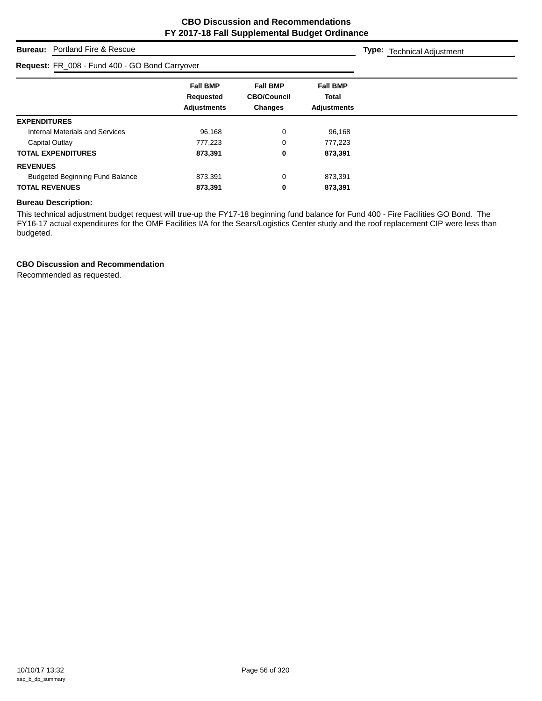**Type:** Technical Adjustment

# **Bureau:** Portland Fire & Rescue

| Request: FR_008 - Fund 400 - GO Bond Carryover |                                                    |                                                         |                                                |  |
|------------------------------------------------|----------------------------------------------------|---------------------------------------------------------|------------------------------------------------|--|
|                                                | <b>Fall BMP</b><br>Requested<br><b>Adjustments</b> | <b>Fall BMP</b><br><b>CBO/Council</b><br><b>Changes</b> | <b>Fall BMP</b><br>Total<br><b>Adjustments</b> |  |
| <b>EXPENDITURES</b>                            |                                                    |                                                         |                                                |  |
| Internal Materials and Services                | 96.168                                             | 0                                                       | 96,168                                         |  |
| Capital Outlay                                 | 777.223                                            | 0                                                       | 777,223                                        |  |
| <b>TOTAL EXPENDITURES</b>                      | 873,391                                            | 0                                                       | 873,391                                        |  |
| <b>REVENUES</b>                                |                                                    |                                                         |                                                |  |
| <b>Budgeted Beginning Fund Balance</b>         | 873,391                                            | 0                                                       | 873,391                                        |  |
| <b>TOTAL REVENUES</b>                          | 873,391                                            | 0                                                       | 873,391                                        |  |

# **Bureau Description:**

This technical adjustment budget request will true-up the FY17-18 beginning fund balance for Fund 400 - Fire Facilities GO Bond. The FY16-17 actual expenditures for the OMF Facilities I/A for the Sears/Logistics Center study and the roof replacement CIP were less than budgeted.

## **CBO Discussion and Recommendation**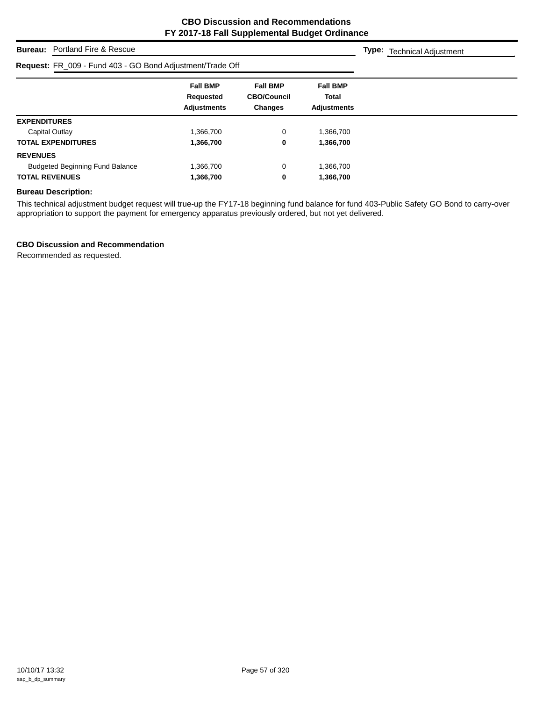**Type:** Technical Adjustment

# **Bureau:** Portland Fire & Rescue

# **Request:** FR\_009 - Fund 403 - GO Bond Adjustment/Trade Off

| R <b>equest:</b> FR_009 - Fund 403 - GO Bond Adjustment/Trade Off |                                                    |                                                         |                                                |
|-------------------------------------------------------------------|----------------------------------------------------|---------------------------------------------------------|------------------------------------------------|
|                                                                   | <b>Fall BMP</b><br>Requested<br><b>Adjustments</b> | <b>Fall BMP</b><br><b>CBO/Council</b><br><b>Changes</b> | <b>Fall BMP</b><br>Total<br><b>Adjustments</b> |
| <b>EXPENDITURES</b>                                               |                                                    |                                                         |                                                |
| Capital Outlay                                                    | 1,366,700                                          | 0                                                       | 1,366,700                                      |
| <b>TOTAL EXPENDITURES</b>                                         | 1,366,700                                          | 0                                                       | 1,366,700                                      |
| <b>REVENUES</b>                                                   |                                                    |                                                         |                                                |
| <b>Budgeted Beginning Fund Balance</b>                            | 1,366,700                                          | 0                                                       | 1,366,700                                      |
| <b>TOTAL REVENUES</b>                                             | 1,366,700                                          | 0                                                       | 1,366,700                                      |

# **Bureau Description:**

This technical adjustment budget request will true-up the FY17-18 beginning fund balance for fund 403-Public Safety GO Bond to carry-over appropriation to support the payment for emergency apparatus previously ordered, but not yet delivered.

# **CBO Discussion and Recommendation**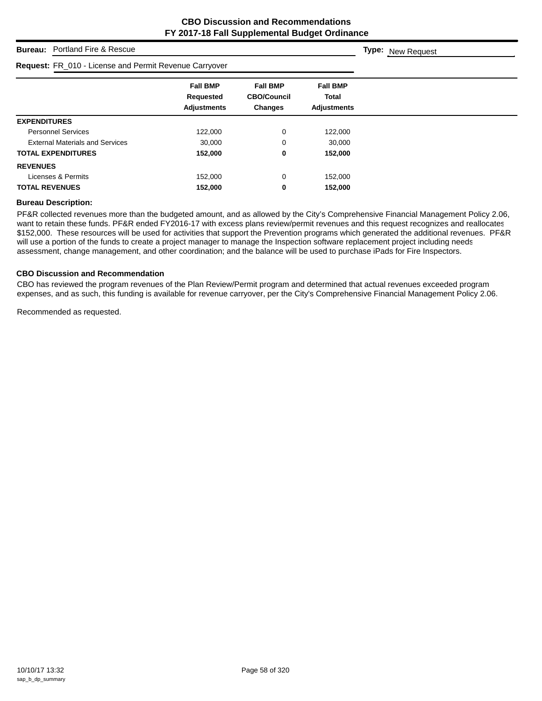# **Bureau:** Portland Fire & Rescue

#### **Request:** FR\_010 - License and Permit Revenue Carryover

| <b>Request:</b> FR_010 - License and Permit Revenue Carryover |                                                           |                                                         |                                                       |  |
|---------------------------------------------------------------|-----------------------------------------------------------|---------------------------------------------------------|-------------------------------------------------------|--|
|                                                               | <b>Fall BMP</b><br><b>Requested</b><br><b>Adjustments</b> | <b>Fall BMP</b><br><b>CBO/Council</b><br><b>Changes</b> | <b>Fall BMP</b><br><b>Total</b><br><b>Adjustments</b> |  |
| <b>EXPENDITURES</b>                                           |                                                           |                                                         |                                                       |  |
| <b>Personnel Services</b>                                     | 122,000                                                   | 0                                                       | 122,000                                               |  |
| <b>External Materials and Services</b>                        | 30,000                                                    | 0                                                       | 30.000                                                |  |
| <b>TOTAL EXPENDITURES</b>                                     | 152,000                                                   | 0                                                       | 152,000                                               |  |
| <b>REVENUES</b>                                               |                                                           |                                                         |                                                       |  |
| Licenses & Permits                                            | 152,000                                                   | 0                                                       | 152,000                                               |  |
| <b>TOTAL REVENUES</b>                                         | 152,000                                                   | 0                                                       | 152,000                                               |  |

# **Bureau Description:**

PF&R collected revenues more than the budgeted amount, and as allowed by the City's Comprehensive Financial Management Policy 2.06, want to retain these funds. PF&R ended FY2016-17 with excess plans review/permit revenues and this request recognizes and reallocates \$152,000. These resources will be used for activities that support the Prevention programs which generated the additional revenues. PF&R will use a portion of the funds to create a project manager to manage the Inspection software replacement project including needs assessment, change management, and other coordination; and the balance will be used to purchase iPads for Fire Inspectors.

#### **CBO Discussion and Recommendation**

CBO has reviewed the program revenues of the Plan Review/Permit program and determined that actual revenues exceeded program expenses, and as such, this funding is available for revenue carryover, per the City's Comprehensive Financial Management Policy 2.06.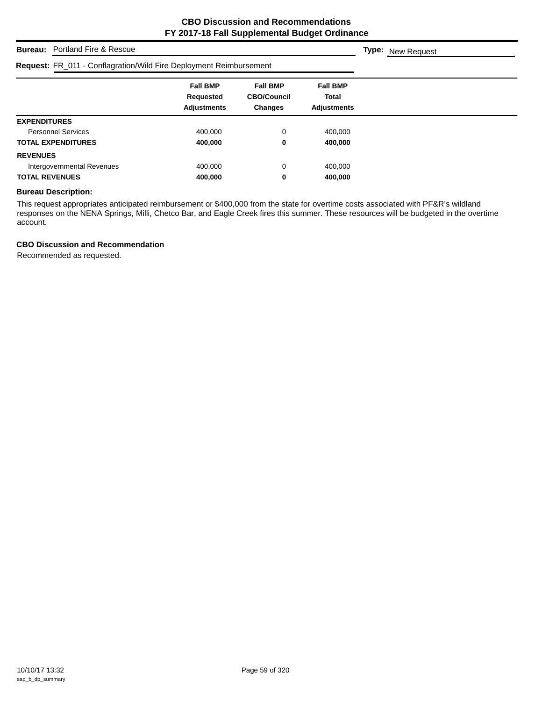# **Bureau:** Portland Fire & Rescue

# **Request:** FR\_011 - Conflagration/Wild Fire Deployment Reimbursement

| <b>Request:</b> FR_011 - Conflagration/vvild Fire Deployment Reimbursement |                                                    |                                                         |                                                       |  |
|----------------------------------------------------------------------------|----------------------------------------------------|---------------------------------------------------------|-------------------------------------------------------|--|
|                                                                            | <b>Fall BMP</b><br>Requested<br><b>Adjustments</b> | <b>Fall BMP</b><br><b>CBO/Council</b><br><b>Changes</b> | <b>Fall BMP</b><br><b>Total</b><br><b>Adjustments</b> |  |
| <b>EXPENDITURES</b>                                                        |                                                    |                                                         |                                                       |  |
| <b>Personnel Services</b>                                                  | 400,000                                            | 0                                                       | 400,000                                               |  |
| <b>TOTAL EXPENDITURES</b>                                                  | 400,000                                            | 0                                                       | 400,000                                               |  |
| <b>REVENUES</b>                                                            |                                                    |                                                         |                                                       |  |
| Intergovernmental Revenues                                                 | 400.000                                            | 0                                                       | 400,000                                               |  |
| <b>TOTAL REVENUES</b>                                                      | 400,000                                            | 0                                                       | 400,000                                               |  |

## **Bureau Description:**

This request appropriates anticipated reimbursement or \$400,000 from the state for overtime costs associated with PF&R's wildland responses on the NENA Springs, Milli, Chetco Bar, and Eagle Creek fires this summer. These resources will be budgeted in the overtime account.

## **CBO Discussion and Recommendation**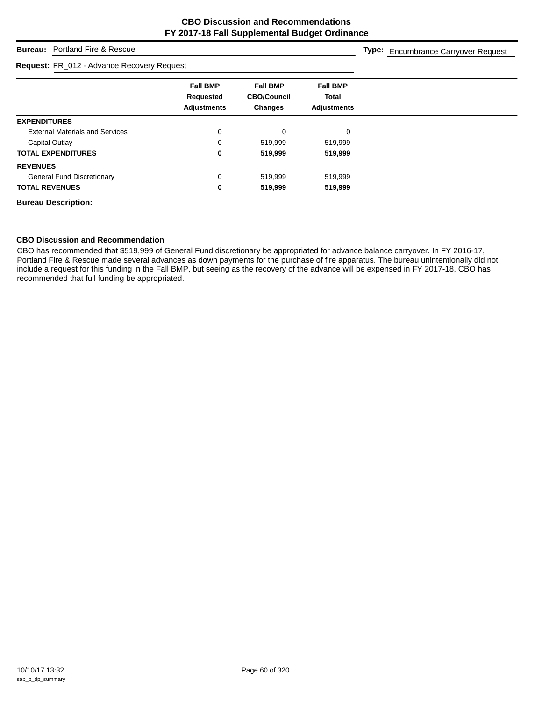# **Bureau:** Portland Fire & Rescue

#### **Request:** FR\_012 - Advance Recovery Request

**Type:** Encumbrance Carryover Request

|                                        | <b>Fall BMP</b>    | <b>Fall BMP</b>    | <b>Fall BMP</b>    |
|----------------------------------------|--------------------|--------------------|--------------------|
|                                        | Requested          | <b>CBO/Council</b> | <b>Total</b>       |
|                                        | <b>Adjustments</b> | <b>Changes</b>     | <b>Adjustments</b> |
| <b>EXPENDITURES</b>                    |                    |                    |                    |
| <b>External Materials and Services</b> | 0                  | $\Omega$           | $\Omega$           |
| Capital Outlay                         | 0                  | 519,999            | 519,999            |
| <b>TOTAL EXPENDITURES</b>              | 0                  | 519,999            | 519,999            |
| <b>REVENUES</b>                        |                    |                    |                    |
| <b>General Fund Discretionary</b>      | 0                  | 519,999            | 519,999            |
| <b>TOTAL REVENUES</b>                  | 0                  | 519,999            | 519,999            |
| <b>Bureau Description:</b>             |                    |                    |                    |

## **CBO Discussion and Recommendation**

CBO has recommended that \$519,999 of General Fund discretionary be appropriated for advance balance carryover. In FY 2016-17, Portland Fire & Rescue made several advances as down payments for the purchase of fire apparatus. The bureau unintentionally did not include a request for this funding in the Fall BMP, but seeing as the recovery of the advance will be expensed in FY 2017-18, CBO has recommended that full funding be appropriated.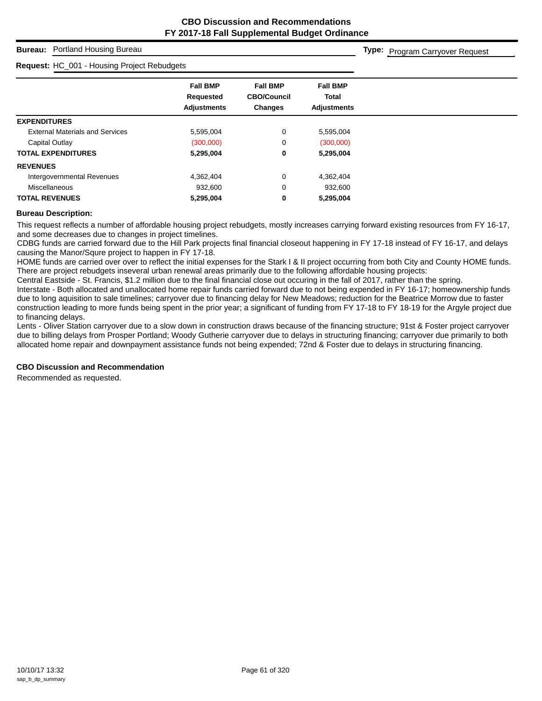**Type:** Program Carryover Request

# **Bureau:** Portland Housing Bureau

#### **Request:** HC\_001 - Housing Project Rebudgets

|                                        | <b>Fall BMP</b><br>Requested | <b>Fall BMP</b><br><b>CBO/Council</b> | <b>Fall BMP</b><br><b>Total</b> |  |
|----------------------------------------|------------------------------|---------------------------------------|---------------------------------|--|
|                                        | <b>Adjustments</b>           | <b>Changes</b>                        | <b>Adjustments</b>              |  |
| <b>EXPENDITURES</b>                    |                              |                                       |                                 |  |
| <b>External Materials and Services</b> | 5,595,004                    | 0                                     | 5,595,004                       |  |
| Capital Outlay                         | (300,000)                    | 0                                     | (300,000)                       |  |
| <b>TOTAL EXPENDITURES</b>              | 5,295,004                    | 0                                     | 5,295,004                       |  |
| <b>REVENUES</b>                        |                              |                                       |                                 |  |
| Intergovernmental Revenues             | 4,362,404                    | 0                                     | 4,362,404                       |  |
| <b>Miscellaneous</b>                   | 932,600                      | 0                                     | 932,600                         |  |
| <b>TOTAL REVENUES</b>                  | 5,295,004                    | 0                                     | 5,295,004                       |  |

#### **Bureau Description:**

This request reflects a number of affordable housing project rebudgets, mostly increases carrying forward existing resources from FY 16-17, and some decreases due to changes in project timelines.

CDBG funds are carried forward due to the Hill Park projects final financial closeout happening in FY 17-18 instead of FY 16-17, and delays causing the Manor/Squre project to happen in FY 17-18.

HOME funds are carried over over to reflect the initial expenses for the Stark I & II project occurring from both City and County HOME funds. There are project rebudgets inseveral urban renewal areas primarily due to the following affordable housing projects:

Central Eastside - St. Francis, \$1.2 million due to the final financial close out occuring in the fall of 2017, rather than the spring.

Interstate - Both allocated and unallocated home repair funds carried forward due to not being expended in FY 16-17; homeownership funds due to long aquisition to sale timelines; carryover due to financing delay for New Meadows; reduction for the Beatrice Morrow due to faster construction leading to more funds being spent in the prior year; a significant of funding from FY 17-18 to FY 18-19 for the Argyle project due to financing delays.

Lents - Oliver Station carryover due to a slow down in construction draws because of the financing structure; 91st & Foster project carryover due to billing delays from Prosper Portland; Woody Gutherie carryover due to delays in structuring financing; carryover due primarily to both allocated home repair and downpayment assistance funds not being expended; 72nd & Foster due to delays in structuring financing.

#### **CBO Discussion and Recommendation**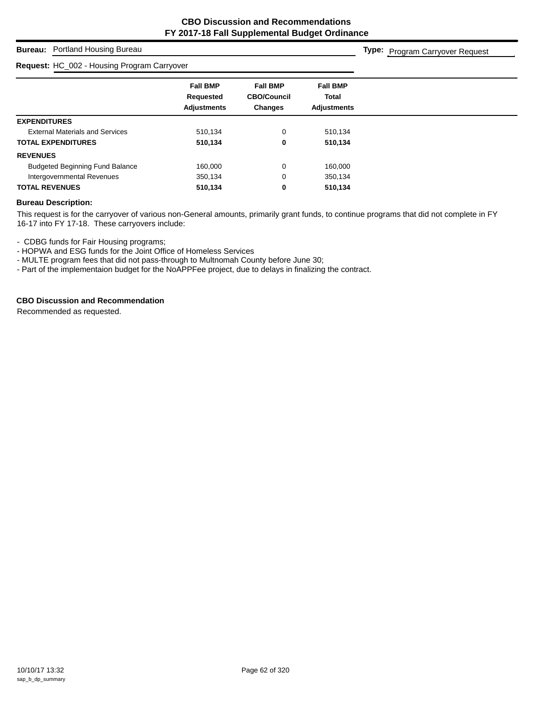**Type:** Program Carryover Request

# **Bureau:** Portland Housing Bureau

# **Request:** HC\_002 - Housing Program Carryover

| <b>Request:</b> FIG OVE - Flousing Flogram Carryover |                                                    |                                                         |                                                       |  |
|------------------------------------------------------|----------------------------------------------------|---------------------------------------------------------|-------------------------------------------------------|--|
|                                                      | <b>Fall BMP</b><br>Requested<br><b>Adjustments</b> | <b>Fall BMP</b><br><b>CBO/Council</b><br><b>Changes</b> | <b>Fall BMP</b><br><b>Total</b><br><b>Adiustments</b> |  |
| <b>EXPENDITURES</b>                                  |                                                    |                                                         |                                                       |  |
| <b>External Materials and Services</b>               | 510,134                                            | 0                                                       | 510,134                                               |  |
| <b>TOTAL EXPENDITURES</b>                            | 510,134                                            | 0                                                       | 510,134                                               |  |
| <b>REVENUES</b>                                      |                                                    |                                                         |                                                       |  |
| <b>Budgeted Beginning Fund Balance</b>               | 160.000                                            | 0                                                       | 160,000                                               |  |
| Intergovernmental Revenues                           | 350,134                                            | 0                                                       | 350,134                                               |  |
| <b>TOTAL REVENUES</b>                                | 510,134                                            | 0                                                       | 510.134                                               |  |

## **Bureau Description:**

This request is for the carryover of various non-General amounts, primarily grant funds, to continue programs that did not complete in FY 16-17 into FY 17-18. These carryovers include:

- CDBG funds for Fair Housing programs;

- HOPWA and ESG funds for the Joint Office of Homeless Services

- MULTE program fees that did not pass-through to Multnomah County before June 30;

- Part of the implementaion budget for the NoAPPFee project, due to delays in finalizing the contract.

# **CBO Discussion and Recommendation**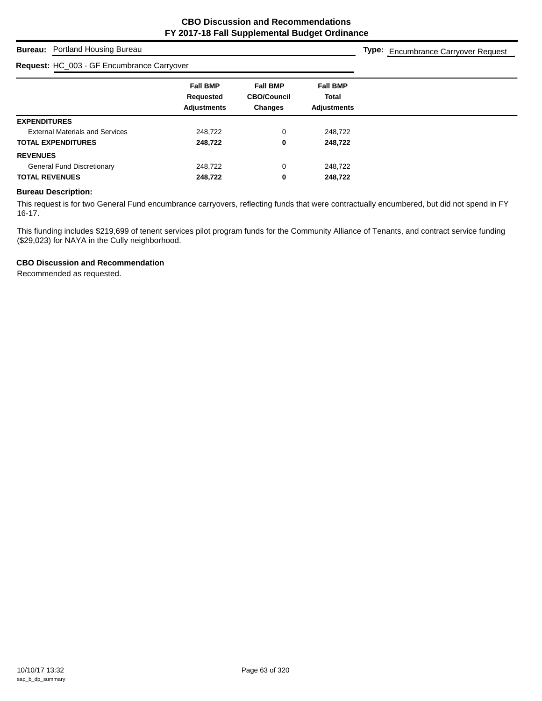# **Bureau:** Portland Housing Bureau

#### **Request:** HC\_003 - GF Encumbrance Carryover

**Type:** Encumbrance Carryover Request

| <b>Fall BMP</b>    | <b>Fall BMP</b>    | <b>Fall BMP</b>    |
|--------------------|--------------------|--------------------|
| Requested          | <b>CBO/Council</b> | <b>Total</b>       |
| <b>Adjustments</b> | <b>Changes</b>     | <b>Adjustments</b> |
|                    |                    |                    |
| 248,722            | 0                  | 248,722            |
| 248,722            | 0                  | 248,722            |
|                    |                    |                    |
| 248,722            | 0                  | 248,722            |
| 248,722            | 0                  | 248,722            |
|                    |                    |                    |

# **Bureau Description:**

This request is for two General Fund encumbrance carryovers, reflecting funds that were contractually encumbered, but did not spend in FY 16-17.

This fiunding includes \$219,699 of tenent services pilot program funds for the Community Alliance of Tenants, and contract service funding (\$29,023) for NAYA in the Cully neighborhood.

# **CBO Discussion and Recommendation**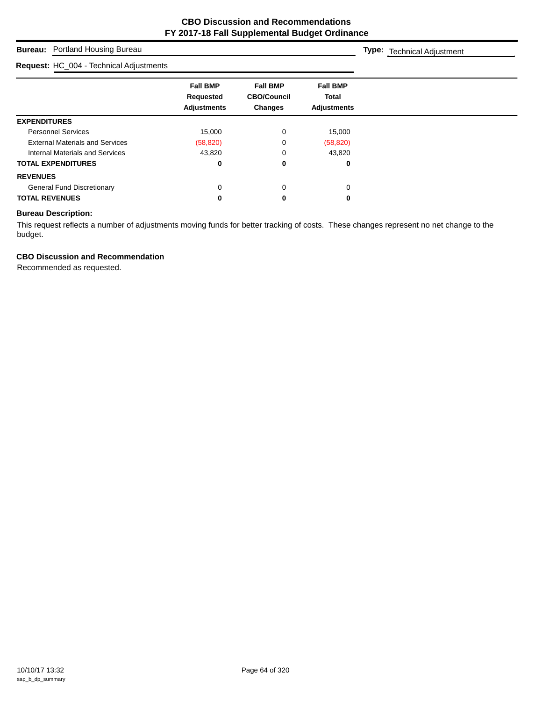# **Bure**

#### **Requ**

| <b>Bureau:</b> Portland Housing Bureau  |                                                    |                                                         |                                                | Type: Technical Adjustment |  |
|-----------------------------------------|----------------------------------------------------|---------------------------------------------------------|------------------------------------------------|----------------------------|--|
| Request: HC_004 - Technical Adjustments |                                                    |                                                         |                                                |                            |  |
|                                         | <b>Fall BMP</b><br>Requested<br><b>Adjustments</b> | <b>Fall BMP</b><br><b>CBO/Council</b><br><b>Changes</b> | <b>Fall BMP</b><br>Total<br><b>Adjustments</b> |                            |  |
| <b>EXPENDITURES</b>                     |                                                    |                                                         |                                                |                            |  |
| <b>Personnel Services</b>               | 15,000                                             | 0                                                       | 15,000                                         |                            |  |
| <b>External Materials and Services</b>  | (58, 820)                                          | 0                                                       | (58, 820)                                      |                            |  |
| Internal Materials and Services         | 43,820                                             | 0                                                       | 43,820                                         |                            |  |
| <b>TOTAL EXPENDITURES</b>               | 0                                                  | 0                                                       | 0                                              |                            |  |
| <b>REVENUES</b>                         |                                                    |                                                         |                                                |                            |  |
| <b>General Fund Discretionary</b>       | 0                                                  | 0                                                       | 0                                              |                            |  |
| <b>TOTAL REVENUES</b>                   | 0                                                  | 0                                                       | 0                                              |                            |  |

# **Bureau Description:**

This request reflects a number of adjustments moving funds for better tracking of costs. These changes represent no net change to the budget.

## **CBO Discussion and Recommendation**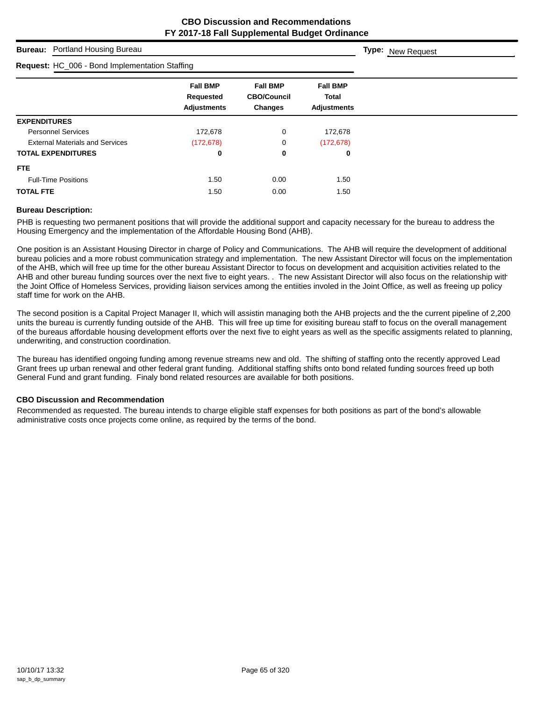# **Bureau:** Portland Housing Bureau **Fall BMP Fall BMP Fall BMP Requested CBO/Council Total Adjustments Changes Adjustments Type:** New Request **Request:** HC\_006 - Bond Implementation Staffing **EXPENDITURES** Personnel Services 172,678 0 172,678 External Materials and Services (172,678) 0 (172,678) **TOTAL EXPENDITURES 0 0 0 FTE** Full-Time Positions 1.50 0.00 1.50 **TOTAL FTE** 1.50 0.00 1.50

# **Bureau Description:**

PHB is requesting two permanent positions that will provide the additional support and capacity necessary for the bureau to address the Housing Emergency and the implementation of the Affordable Housing Bond (AHB).

One position is an Assistant Housing Director in charge of Policy and Communications. The AHB will require the development of additional bureau policies and a more robust communication strategy and implementation. The new Assistant Director will focus on the implementation of the AHB, which will free up time for the other bureau Assistant Director to focus on development and acquisition activities related to the AHB and other bureau funding sources over the next five to eight years. . The new Assistant Director will also focus on the relationship with the Joint Office of Homeless Services, providing liaison services among the entiities involed in the Joint Office, as well as freeing up policy staff time for work on the AHB.

The second position is a Capital Project Manager II, which will assistin managing both the AHB projects and the the current pipeline of 2,200 units the bureau is currently funding outside of the AHB. This will free up time for exisiting bureau staff to focus on the overall management of the bureaus affordable housing development efforts over the next five to eight years as well as the specific assigments related to planning, underwriting, and construction coordination.

The bureau has identified ongoing funding among revenue streams new and old. The shifting of staffing onto the recently approved Lead Grant frees up urban renewal and other federal grant funding. Additional staffing shifts onto bond related funding sources freed up both General Fund and grant funding. Finaly bond related resources are available for both positions.

## **CBO Discussion and Recommendation**

Recommended as requested. The bureau intends to charge eligible staff expenses for both positions as part of the bond's allowable administrative costs once projects come online, as required by the terms of the bond.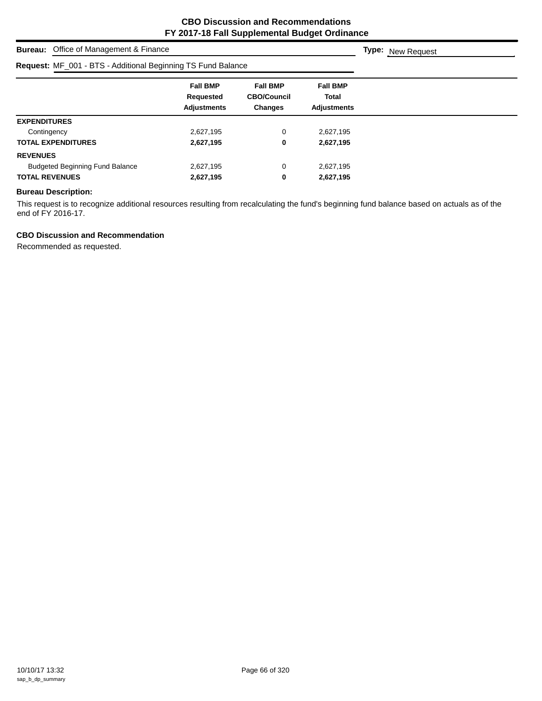| <b>Bureau:</b> Office of Management & Finance                       |                                                    |                                                  |                                                |  |  |  |  |
|---------------------------------------------------------------------|----------------------------------------------------|--------------------------------------------------|------------------------------------------------|--|--|--|--|
| <b>Request: MF_001 - BTS - Additional Beginning TS Fund Balance</b> |                                                    |                                                  |                                                |  |  |  |  |
|                                                                     | <b>Fall BMP</b><br>Requested<br><b>Adjustments</b> | <b>Fall BMP</b><br><b>CBO/Council</b><br>Changes | <b>Fall BMP</b><br>Total<br><b>Adjustments</b> |  |  |  |  |
| <b>EXPENDITURES</b>                                                 |                                                    |                                                  |                                                |  |  |  |  |
| Contingency                                                         | 2,627,195                                          | 0                                                | 2,627,195                                      |  |  |  |  |
| <b>TOTAL EXPENDITURES</b>                                           | 2,627,195                                          | 0                                                | 2,627,195                                      |  |  |  |  |
| <b>REVENUES</b>                                                     |                                                    |                                                  |                                                |  |  |  |  |
| <b>Budgeted Beginning Fund Balance</b>                              | 2,627,195                                          | 0                                                | 2,627,195                                      |  |  |  |  |
| <b>TOTAL REVENUES</b>                                               | 2,627,195                                          | 0                                                | 2,627,195                                      |  |  |  |  |

# **Bureau Description:**

This request is to recognize additional resources resulting from recalculating the fund's beginning fund balance based on actuals as of the end of FY 2016-17.

# **CBO Discussion and Recommendation**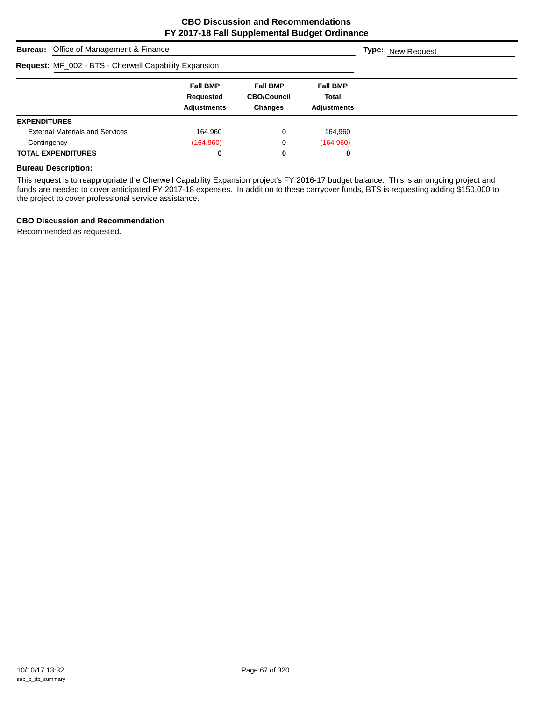| <b>Bureau:</b> Office of Management & Finance         | <b>Type:</b> New Request                           |                                                         |                                                       |  |  |  |  |  |
|-------------------------------------------------------|----------------------------------------------------|---------------------------------------------------------|-------------------------------------------------------|--|--|--|--|--|
| Request: MF_002 - BTS - Cherwell Capability Expansion |                                                    |                                                         |                                                       |  |  |  |  |  |
|                                                       | <b>Fall BMP</b><br>Requested<br><b>Adjustments</b> | <b>Fall BMP</b><br><b>CBO/Council</b><br><b>Changes</b> | <b>Fall BMP</b><br><b>Total</b><br><b>Adjustments</b> |  |  |  |  |  |
| <b>EXPENDITURES</b>                                   |                                                    |                                                         |                                                       |  |  |  |  |  |
| <b>External Materials and Services</b>                | 164,960                                            | 0                                                       | 164,960                                               |  |  |  |  |  |
| Contingency                                           | (164,960)                                          | 0                                                       | (164,960)                                             |  |  |  |  |  |
| <b>TOTAL EXPENDITURES</b>                             | 0                                                  | 0                                                       | 0                                                     |  |  |  |  |  |

# **Bureau Description:**

This request is to reappropriate the Cherwell Capability Expansion project's FY 2016-17 budget balance. This is an ongoing project and funds are needed to cover anticipated FY 2017-18 expenses. In addition to these carryover funds, BTS is requesting adding \$150,000 to the project to cover professional service assistance.

## **CBO Discussion and Recommendation**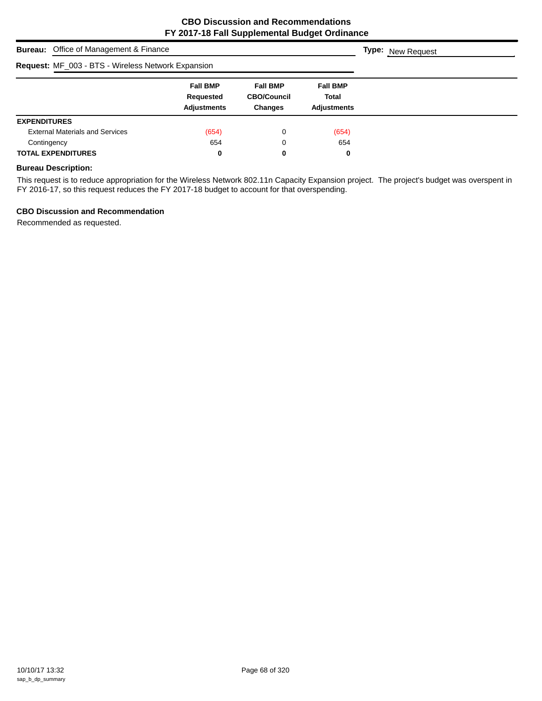| <b>Bureau:</b> Office of Management & Finance             | <b>Type:</b> New Request                           |                                                         |                                                       |  |  |  |  |  |
|-----------------------------------------------------------|----------------------------------------------------|---------------------------------------------------------|-------------------------------------------------------|--|--|--|--|--|
| <b>Request: MF_003 - BTS - Wireless Network Expansion</b> |                                                    |                                                         |                                                       |  |  |  |  |  |
|                                                           | <b>Fall BMP</b><br>Requested<br><b>Adjustments</b> | <b>Fall BMP</b><br><b>CBO/Council</b><br><b>Changes</b> | <b>Fall BMP</b><br><b>Total</b><br><b>Adjustments</b> |  |  |  |  |  |
| <b>EXPENDITURES</b>                                       |                                                    |                                                         |                                                       |  |  |  |  |  |
| <b>External Materials and Services</b>                    | (654)                                              | 0                                                       | (654)                                                 |  |  |  |  |  |
| Contingency                                               | 654                                                | 0                                                       | 654                                                   |  |  |  |  |  |
| <b>TOTAL EXPENDITURES</b>                                 | 0                                                  | 0                                                       | 0                                                     |  |  |  |  |  |

# **Bureau Description:**

This request is to reduce appropriation for the Wireless Network 802.11n Capacity Expansion project. The project's budget was overspent in FY 2016-17, so this request reduces the FY 2017-18 budget to account for that overspending.

## **CBO Discussion and Recommendation**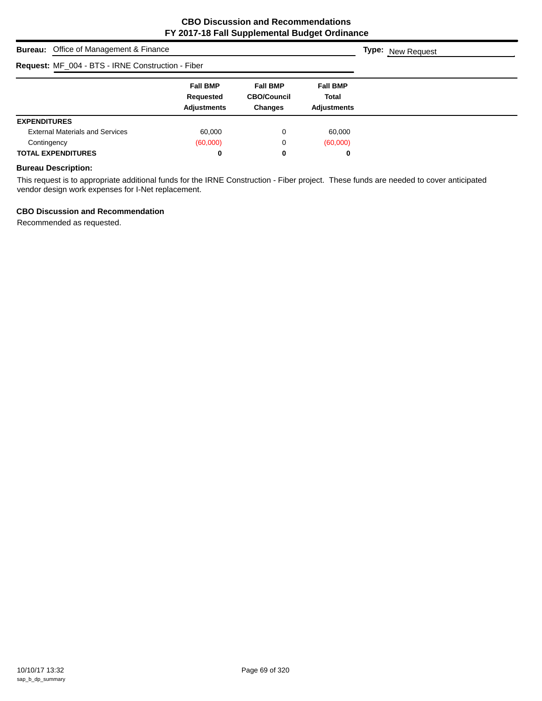| <b>Bureau:</b> Office of Management & Finance     | <b>Type:</b> New Request                           |                                                         |                                                       |  |  |  |  |  |
|---------------------------------------------------|----------------------------------------------------|---------------------------------------------------------|-------------------------------------------------------|--|--|--|--|--|
| Request: MF_004 - BTS - IRNE Construction - Fiber |                                                    |                                                         |                                                       |  |  |  |  |  |
|                                                   | <b>Fall BMP</b><br>Requested<br><b>Adjustments</b> | <b>Fall BMP</b><br><b>CBO/Council</b><br><b>Changes</b> | <b>Fall BMP</b><br><b>Total</b><br><b>Adjustments</b> |  |  |  |  |  |
| <b>EXPENDITURES</b>                               |                                                    |                                                         |                                                       |  |  |  |  |  |
| <b>External Materials and Services</b>            | 60,000                                             | 0                                                       | 60.000                                                |  |  |  |  |  |
| Contingency                                       | (60,000)                                           | 0                                                       | (60,000)                                              |  |  |  |  |  |
| <b>TOTAL EXPENDITURES</b>                         | 0                                                  | 0                                                       | 0                                                     |  |  |  |  |  |

# **Bureau Description:**

This request is to appropriate additional funds for the IRNE Construction - Fiber project. These funds are needed to cover anticipated vendor design work expenses for I-Net replacement.

# **CBO Discussion and Recommendation**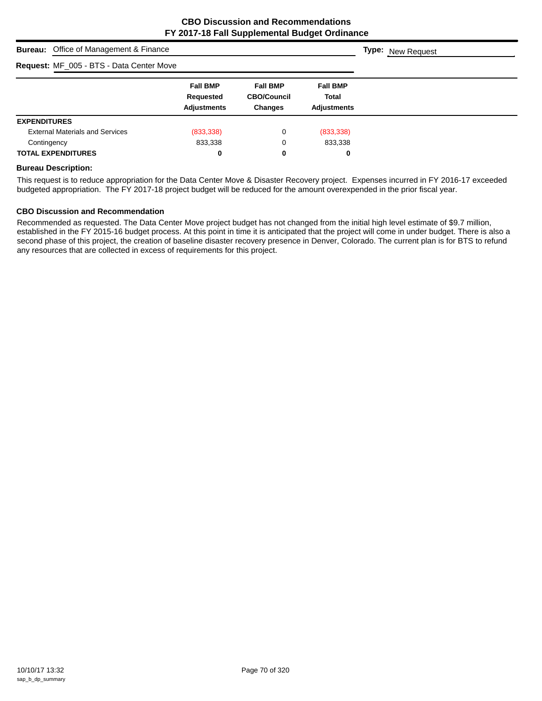| <b>Bureau:</b> Office of Management & Finance |                                        |                                                    |                                                         |                                                       | <b>Type:</b> New Request |  |  |
|-----------------------------------------------|----------------------------------------|----------------------------------------------------|---------------------------------------------------------|-------------------------------------------------------|--------------------------|--|--|
| Request: MF_005 - BTS - Data Center Move      |                                        |                                                    |                                                         |                                                       |                          |  |  |
|                                               |                                        | <b>Fall BMP</b><br>Requested<br><b>Adjustments</b> | <b>Fall BMP</b><br><b>CBO/Council</b><br><b>Changes</b> | <b>Fall BMP</b><br><b>Total</b><br><b>Adjustments</b> |                          |  |  |
| <b>EXPENDITURES</b>                           |                                        |                                                    |                                                         |                                                       |                          |  |  |
|                                               | <b>External Materials and Services</b> | (833, 338)                                         | 0                                                       | (833,338)                                             |                          |  |  |
| Contingency                                   |                                        | 833,338                                            | 0                                                       | 833,338                                               |                          |  |  |
|                                               | <b>TOTAL EXPENDITURES</b>              | 0                                                  | 0                                                       | 0                                                     |                          |  |  |

## **Bureau Description:**

This request is to reduce appropriation for the Data Center Move & Disaster Recovery project. Expenses incurred in FY 2016-17 exceeded budgeted appropriation. The FY 2017-18 project budget will be reduced for the amount overexpended in the prior fiscal year.

#### **CBO Discussion and Recommendation**

Recommended as requested. The Data Center Move project budget has not changed from the initial high level estimate of \$9.7 million, established in the FY 2015-16 budget process. At this point in time it is anticipated that the project will come in under budget. There is also a second phase of this project, the creation of baseline disaster recovery presence in Denver, Colorado. The current plan is for BTS to refund any resources that are collected in excess of requirements for this project.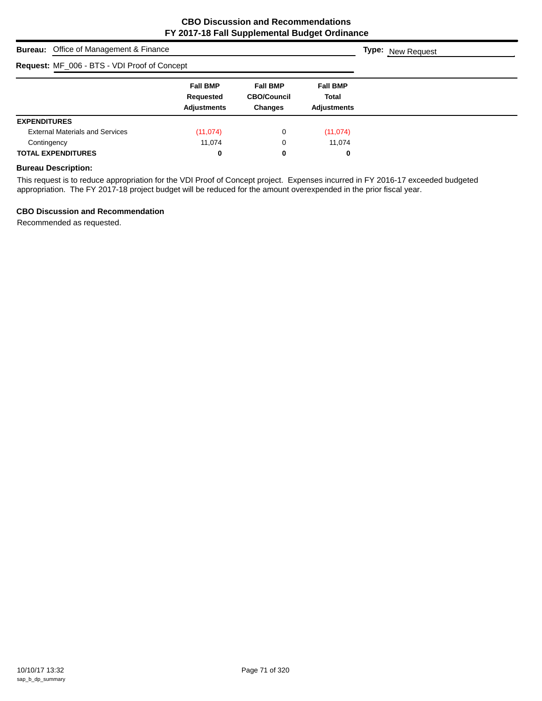| <b>Bureau:</b> Office of Management & Finance | <b>Type:</b> New Request                           |                                                         |                                                       |  |  |  |  |  |
|-----------------------------------------------|----------------------------------------------------|---------------------------------------------------------|-------------------------------------------------------|--|--|--|--|--|
| Request: MF_006 - BTS - VDI Proof of Concept  |                                                    |                                                         |                                                       |  |  |  |  |  |
|                                               | <b>Fall BMP</b><br>Requested<br><b>Adjustments</b> | <b>Fall BMP</b><br><b>CBO/Council</b><br><b>Changes</b> | <b>Fall BMP</b><br><b>Total</b><br><b>Adjustments</b> |  |  |  |  |  |
| <b>EXPENDITURES</b>                           |                                                    |                                                         |                                                       |  |  |  |  |  |
| <b>External Materials and Services</b>        | (11, 074)                                          | 0                                                       | (11, 074)                                             |  |  |  |  |  |
| Contingency                                   | 11,074                                             | 0                                                       | 11.074                                                |  |  |  |  |  |
| <b>TOTAL EXPENDITURES</b>                     | 0                                                  | 0                                                       | 0                                                     |  |  |  |  |  |

# **Bureau Description:**

This request is to reduce appropriation for the VDI Proof of Concept project. Expenses incurred in FY 2016-17 exceeded budgeted appropriation. The FY 2017-18 project budget will be reduced for the amount overexpended in the prior fiscal year.

## **CBO Discussion and Recommendation**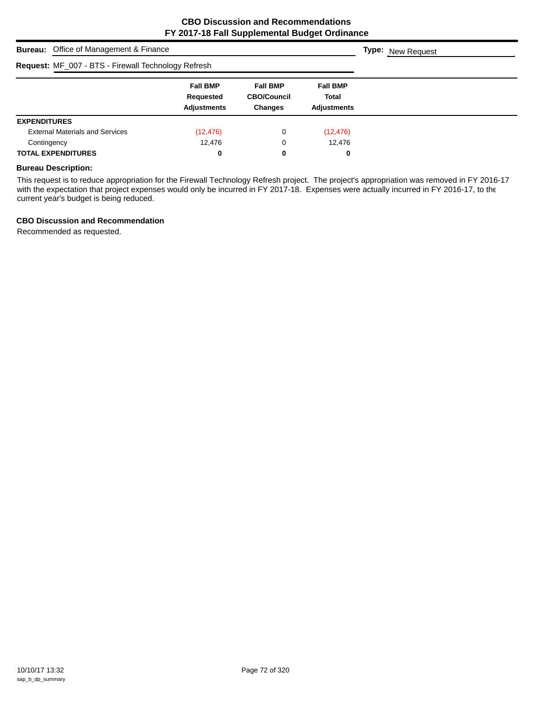| <b>Bureau:</b> Office of Management & Finance       |                                                    |                                                         |                                                | <b>Type:</b> New Request |
|-----------------------------------------------------|----------------------------------------------------|---------------------------------------------------------|------------------------------------------------|--------------------------|
| Request: MF_007 - BTS - Firewall Technology Refresh |                                                    |                                                         |                                                |                          |
|                                                     | <b>Fall BMP</b><br>Requested<br><b>Adjustments</b> | <b>Fall BMP</b><br><b>CBO/Council</b><br><b>Changes</b> | <b>Fall BMP</b><br>Total<br><b>Adjustments</b> |                          |
| <b>EXPENDITURES</b>                                 |                                                    |                                                         |                                                |                          |
| <b>External Materials and Services</b>              | (12, 476)                                          | 0                                                       | (12, 476)                                      |                          |
| Contingency                                         | 12,476                                             | 0                                                       | 12,476                                         |                          |
| <b>TOTAL EXPENDITURES</b>                           | 0                                                  | 0                                                       | 0                                              |                          |

## **Bureau Description:**

This request is to reduce appropriation for the Firewall Technology Refresh project. The project's appropriation was removed in FY 2016-17 with the expectation that project expenses would only be incurred in FY 2017-18. Expenses were actually incurred in FY 2016-17, to the current year's budget is being reduced.

#### **CBO Discussion and Recommendation**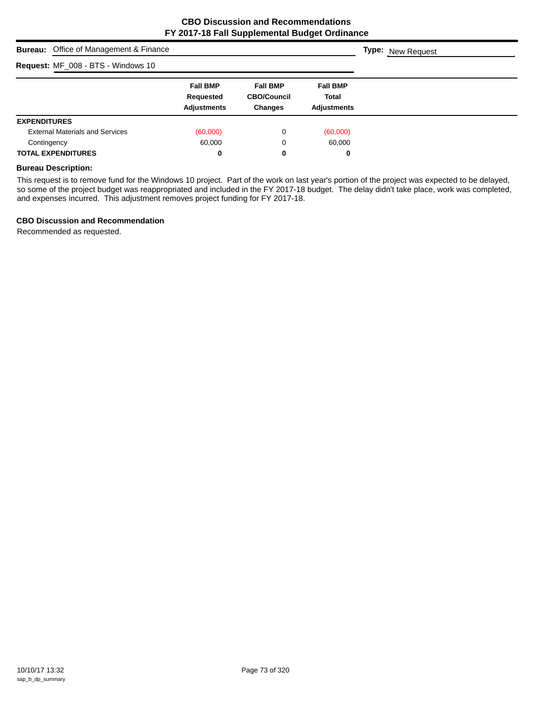| <b>Bureau:</b> Office of Management & Finance |                                                    |                                                         |                                                | <b>Type:</b> New Request |
|-----------------------------------------------|----------------------------------------------------|---------------------------------------------------------|------------------------------------------------|--------------------------|
| Request: MF_008 - BTS - Windows 10            |                                                    |                                                         |                                                |                          |
|                                               | <b>Fall BMP</b><br>Requested<br><b>Adjustments</b> | <b>Fall BMP</b><br><b>CBO/Council</b><br><b>Changes</b> | <b>Fall BMP</b><br>Total<br><b>Adjustments</b> |                          |
| <b>EXPENDITURES</b>                           |                                                    |                                                         |                                                |                          |
| <b>External Materials and Services</b>        | (60,000)                                           | 0                                                       | (60,000)                                       |                          |
| Contingency                                   | 60.000                                             | 0                                                       | 60,000                                         |                          |
| <b>TOTAL EXPENDITURES</b>                     | 0                                                  | 0                                                       | 0                                              |                          |

#### **Bureau Description:**

This request is to remove fund for the Windows 10 project. Part of the work on last year's portion of the project was expected to be delayed, so some of the project budget was reappropriated and included in the FY 2017-18 budget. The delay didn't take place, work was completed, and expenses incurred. This adjustment removes project funding for FY 2017-18.

#### **CBO Discussion and Recommendation**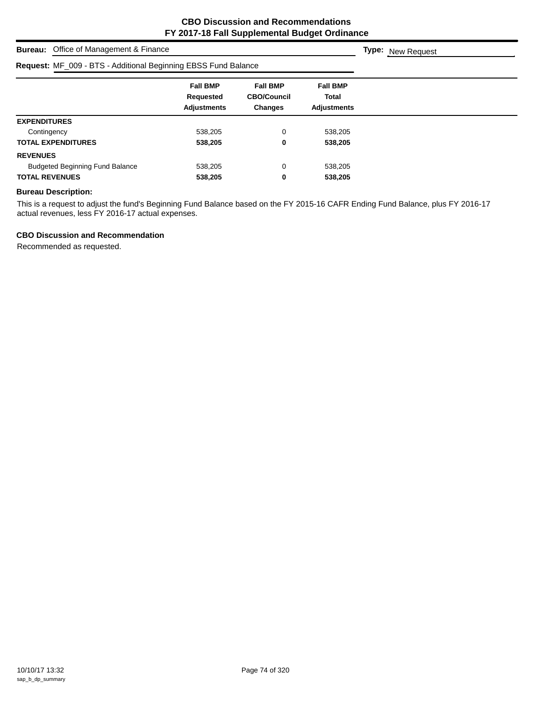**Type:** New Request

# **Bureau:** Office of Management & Finance

| Request: MF_009 - BTS - Additional Beginning EBSS Fund Balance |                                                    |                                                  |                                                       |  |
|----------------------------------------------------------------|----------------------------------------------------|--------------------------------------------------|-------------------------------------------------------|--|
|                                                                | <b>Fall BMP</b><br>Requested<br><b>Adjustments</b> | <b>Fall BMP</b><br><b>CBO/Council</b><br>Changes | <b>Fall BMP</b><br><b>Total</b><br><b>Adjustments</b> |  |
| <b>EXPENDITURES</b>                                            |                                                    |                                                  |                                                       |  |
| Contingency                                                    | 538,205                                            | 0                                                | 538,205                                               |  |
| <b>TOTAL EXPENDITURES</b>                                      | 538,205                                            | 0                                                | 538,205                                               |  |
| <b>REVENUES</b>                                                |                                                    |                                                  |                                                       |  |
| <b>Budgeted Beginning Fund Balance</b>                         | 538.205                                            | 0                                                | 538,205                                               |  |
| <b>TOTAL REVENUES</b>                                          | 538,205                                            | 0                                                | 538,205                                               |  |

## **Bureau Description:**

This is a request to adjust the fund's Beginning Fund Balance based on the FY 2015-16 CAFR Ending Fund Balance, plus FY 2016-17 actual revenues, less FY 2016-17 actual expenses.

#### **CBO Discussion and Recommendation**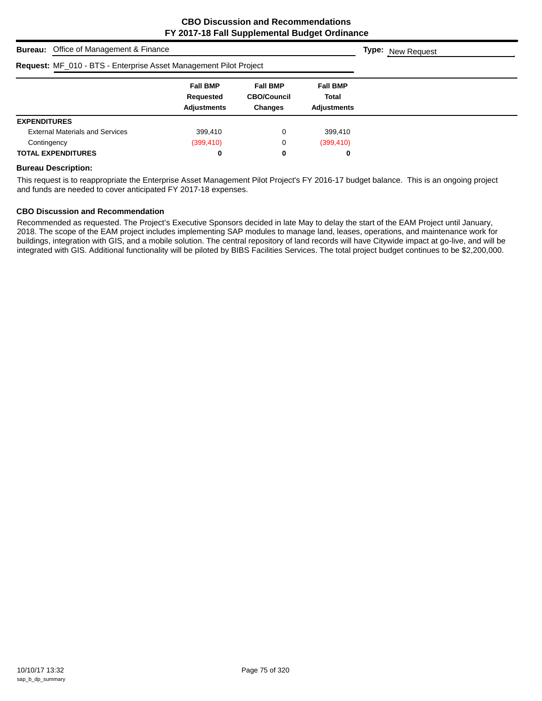|                                                                   | <b>Bureau:</b> Office of Management & Finance |                                                    |                                                         |                                                |  | <b>Type:</b> New Request |  |
|-------------------------------------------------------------------|-----------------------------------------------|----------------------------------------------------|---------------------------------------------------------|------------------------------------------------|--|--------------------------|--|
| Request: MF_010 - BTS - Enterprise Asset Management Pilot Project |                                               |                                                    |                                                         |                                                |  |                          |  |
|                                                                   |                                               | <b>Fall BMP</b><br>Requested<br><b>Adjustments</b> | <b>Fall BMP</b><br><b>CBO/Council</b><br><b>Changes</b> | <b>Fall BMP</b><br>Total<br><b>Adjustments</b> |  |                          |  |
| <b>EXPENDITURES</b>                                               |                                               |                                                    |                                                         |                                                |  |                          |  |
|                                                                   | <b>External Materials and Services</b>        | 399,410                                            | 0                                                       | 399,410                                        |  |                          |  |
| Contingency                                                       |                                               | (399, 410)                                         | 0                                                       | (399, 410)                                     |  |                          |  |
|                                                                   | <b>TOTAL EXPENDITURES</b>                     | 0                                                  | 0                                                       | 0                                              |  |                          |  |

#### **Bureau Description:**

This request is to reappropriate the Enterprise Asset Management Pilot Project's FY 2016-17 budget balance. This is an ongoing project and funds are needed to cover anticipated FY 2017-18 expenses.

#### **CBO Discussion and Recommendation**

Recommended as requested. The Project's Executive Sponsors decided in late May to delay the start of the EAM Project until January, 2018. The scope of the EAM project includes implementing SAP modules to manage land, leases, operations, and maintenance work for buildings, integration with GIS, and a mobile solution. The central repository of land records will have Citywide impact at go-live, and will be integrated with GIS. Additional functionality will be piloted by BIBS Facilities Services. The total project budget continues to be \$2,200,000.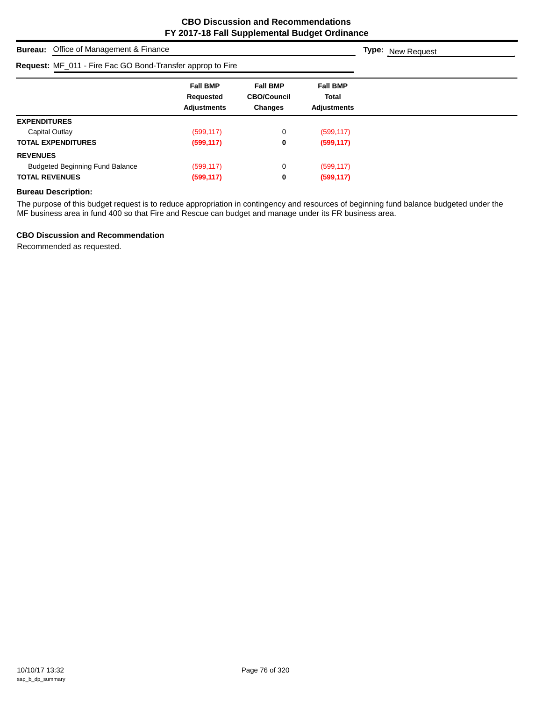| <b>Bureau:</b> Office of Management & Finance              |                                                    |                                                  |                                         | <b>Type:</b> New Request |
|------------------------------------------------------------|----------------------------------------------------|--------------------------------------------------|-----------------------------------------|--------------------------|
| Request: MF_011 - Fire Fac GO Bond-Transfer approp to Fire |                                                    |                                                  |                                         |                          |
|                                                            | <b>Fall BMP</b><br>Requested<br><b>Adjustments</b> | <b>Fall BMP</b><br><b>CBO/Council</b><br>Changes | <b>Fall BMP</b><br>Total<br>Adjustments |                          |
| <b>EXPENDITURES</b>                                        |                                                    |                                                  |                                         |                          |
| Capital Outlay                                             | (599, 117)                                         | 0                                                | (599, 117)                              |                          |
| <b>TOTAL EXPENDITURES</b>                                  | (599, 117)                                         | 0                                                | (599, 117)                              |                          |
| <b>REVENUES</b>                                            |                                                    |                                                  |                                         |                          |
| <b>Budgeted Beginning Fund Balance</b>                     | (599, 117)                                         | 0                                                | (599, 117)                              |                          |
| <b>TOTAL REVENUES</b>                                      | (599, 117)                                         | 0                                                | (599, 117)                              |                          |

## **Bureau Description:**

The purpose of this budget request is to reduce appropriation in contingency and resources of beginning fund balance budgeted under the MF business area in fund 400 so that Fire and Rescue can budget and manage under its FR business area.

## **CBO Discussion and Recommendation**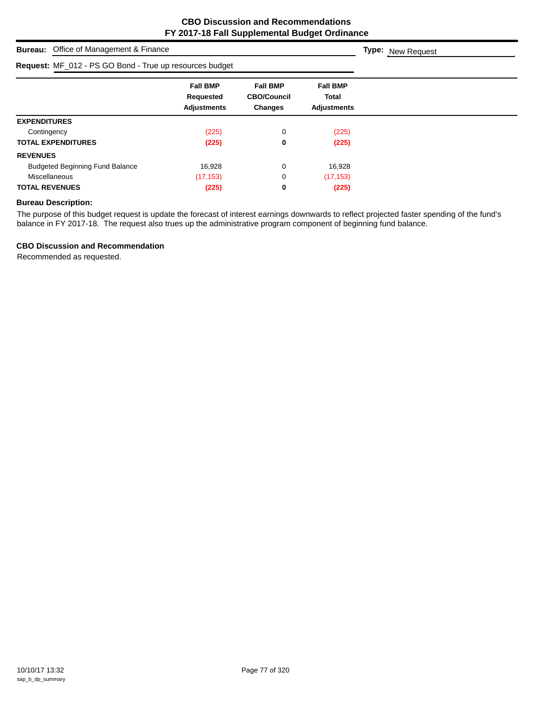| <b>Bureau:</b> Office of Management & Finance           |                                                    |                                                         |                                                       | <b>Type:</b> New Request |
|---------------------------------------------------------|----------------------------------------------------|---------------------------------------------------------|-------------------------------------------------------|--------------------------|
| Request: MF_012 - PS GO Bond - True up resources budget |                                                    |                                                         |                                                       |                          |
|                                                         | <b>Fall BMP</b><br>Requested<br><b>Adjustments</b> | <b>Fall BMP</b><br><b>CBO/Council</b><br><b>Changes</b> | <b>Fall BMP</b><br><b>Total</b><br><b>Adjustments</b> |                          |
| <b>EXPENDITURES</b>                                     |                                                    |                                                         |                                                       |                          |
| Contingency                                             | (225)                                              | 0                                                       | (225)                                                 |                          |
| <b>TOTAL EXPENDITURES</b>                               | (225)                                              | 0                                                       | (225)                                                 |                          |
| <b>REVENUES</b>                                         |                                                    |                                                         |                                                       |                          |
| <b>Budgeted Beginning Fund Balance</b>                  | 16,928                                             | 0                                                       | 16,928                                                |                          |
| Miscellaneous                                           | (17, 153)                                          | 0                                                       | (17, 153)                                             |                          |
| <b>TOTAL REVENUES</b>                                   | (225)                                              | 0                                                       | (225)                                                 |                          |

# **Bureau Description:**

The purpose of this budget request is update the forecast of interest earnings downwards to reflect projected faster spending of the fund's balance in FY 2017-18. The request also trues up the administrative program component of beginning fund balance.

## **CBO Discussion and Recommendation**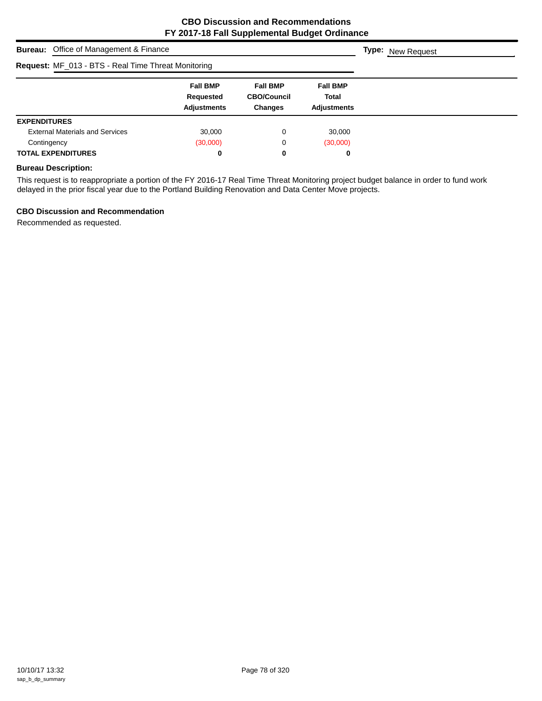| <b>Bureau:</b> Office of Management & Finance              |                                                    |                                                         |                                                       | <b>Type:</b> New Request |
|------------------------------------------------------------|----------------------------------------------------|---------------------------------------------------------|-------------------------------------------------------|--------------------------|
| <b>Request: MF_013 - BTS - Real Time Threat Monitoring</b> |                                                    |                                                         |                                                       |                          |
|                                                            | <b>Fall BMP</b><br>Requested<br><b>Adjustments</b> | <b>Fall BMP</b><br><b>CBO/Council</b><br><b>Changes</b> | <b>Fall BMP</b><br><b>Total</b><br><b>Adjustments</b> |                          |
| <b>EXPENDITURES</b>                                        |                                                    |                                                         |                                                       |                          |
| <b>External Materials and Services</b>                     | 30,000                                             | 0                                                       | 30,000                                                |                          |
| Contingency                                                | (30,000)                                           | 0                                                       | (30,000)                                              |                          |
| <b>TOTAL EXPENDITURES</b>                                  | 0                                                  | 0                                                       | 0                                                     |                          |

## **Bureau Description:**

This request is to reappropriate a portion of the FY 2016-17 Real Time Threat Monitoring project budget balance in order to fund work delayed in the prior fiscal year due to the Portland Building Renovation and Data Center Move projects.

#### **CBO Discussion and Recommendation**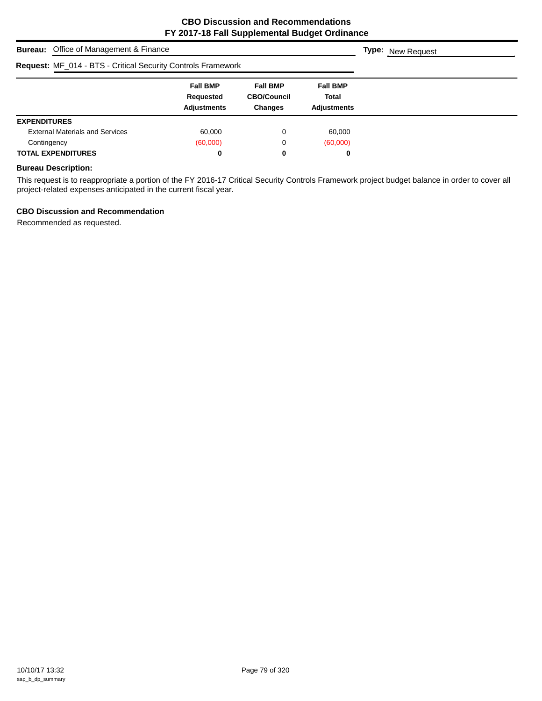| <b>Bureau:</b> Office of Management & Finance                       |                                                    |                                                         |                                                       | <b>Type:</b> New Request |
|---------------------------------------------------------------------|----------------------------------------------------|---------------------------------------------------------|-------------------------------------------------------|--------------------------|
| <b>Request: MF_014 - BTS - Critical Security Controls Framework</b> |                                                    |                                                         |                                                       |                          |
|                                                                     | <b>Fall BMP</b><br>Requested<br><b>Adjustments</b> | <b>Fall BMP</b><br><b>CBO/Council</b><br><b>Changes</b> | <b>Fall BMP</b><br><b>Total</b><br><b>Adjustments</b> |                          |
| <b>EXPENDITURES</b>                                                 |                                                    |                                                         |                                                       |                          |
| <b>External Materials and Services</b>                              | 60,000                                             | 0                                                       | 60,000                                                |                          |
| Contingency                                                         | (60,000)                                           | 0                                                       | (60,000)                                              |                          |
| <b>TOTAL EXPENDITURES</b>                                           | 0                                                  | 0                                                       | 0                                                     |                          |

## **Bureau Description:**

This request is to reappropriate a portion of the FY 2016-17 Critical Security Controls Framework project budget balance in order to cover all project-related expenses anticipated in the current fiscal year.

## **CBO Discussion and Recommendation**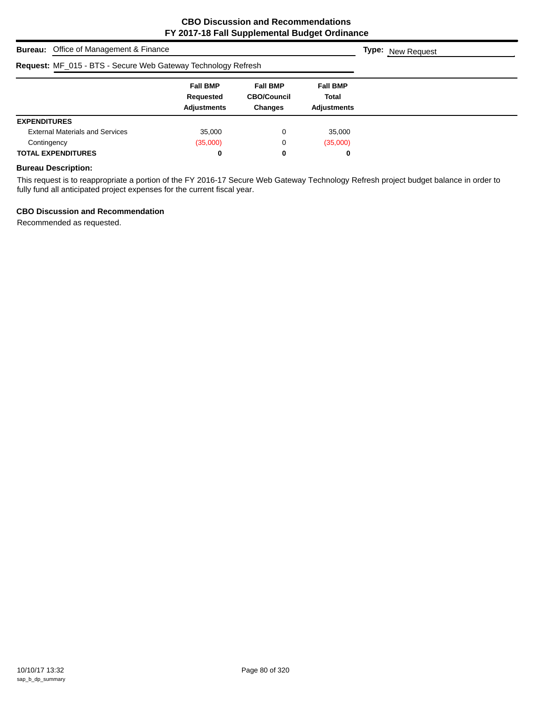|                     | <b>Bureau:</b> Office of Management & Finance                        |                                                    |                                                         |                                                       | <b>Type:</b> New Request |  |
|---------------------|----------------------------------------------------------------------|----------------------------------------------------|---------------------------------------------------------|-------------------------------------------------------|--------------------------|--|
|                     | <b>Request: MF_015 - BTS - Secure Web Gateway Technology Refresh</b> |                                                    |                                                         |                                                       |                          |  |
|                     |                                                                      | <b>Fall BMP</b><br>Requested<br><b>Adjustments</b> | <b>Fall BMP</b><br><b>CBO/Council</b><br><b>Changes</b> | <b>Fall BMP</b><br><b>Total</b><br><b>Adjustments</b> |                          |  |
| <b>EXPENDITURES</b> |                                                                      |                                                    |                                                         |                                                       |                          |  |
|                     | <b>External Materials and Services</b>                               | 35,000                                             | 0                                                       | 35,000                                                |                          |  |
| Contingency         |                                                                      | (35,000)                                           | 0                                                       | (35,000)                                              |                          |  |
|                     | <b>TOTAL EXPENDITURES</b>                                            | 0                                                  | 0                                                       | 0                                                     |                          |  |

## **Bureau Description:**

This request is to reappropriate a portion of the FY 2016-17 Secure Web Gateway Technology Refresh project budget balance in order to fully fund all anticipated project expenses for the current fiscal year.

## **CBO Discussion and Recommendation**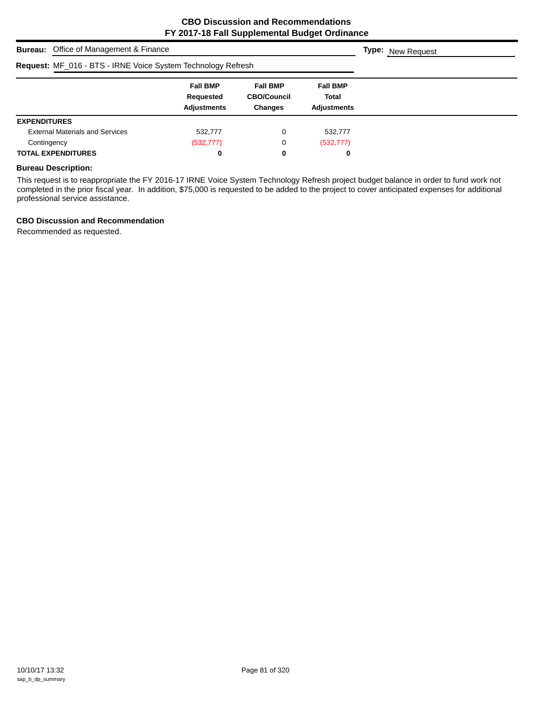| <b>Bureau:</b> Office of Management & Finance                |                                                    | <b>Type:</b> New Request                                |                                                |  |
|--------------------------------------------------------------|----------------------------------------------------|---------------------------------------------------------|------------------------------------------------|--|
| Request: MF_016 - BTS - IRNE Voice System Technology Refresh |                                                    |                                                         |                                                |  |
|                                                              | <b>Fall BMP</b><br>Requested<br><b>Adjustments</b> | <b>Fall BMP</b><br><b>CBO/Council</b><br><b>Changes</b> | <b>Fall BMP</b><br>Total<br><b>Adjustments</b> |  |
| <b>EXPENDITURES</b>                                          |                                                    |                                                         |                                                |  |
| <b>External Materials and Services</b>                       | 532,777                                            | 0                                                       | 532,777                                        |  |
| Contingency                                                  | (532, 777)                                         | 0                                                       | (532, 777)                                     |  |
| <b>TOTAL EXPENDITURES</b>                                    | 0                                                  | 0                                                       | 0                                              |  |

#### **Bureau Description:**

This request is to reappropriate the FY 2016-17 IRNE Voice System Technology Refresh project budget balance in order to fund work not completed in the prior fiscal year. In addition, \$75,000 is requested to be added to the project to cover anticipated expenses for additional professional service assistance.

#### **CBO Discussion and Recommendation**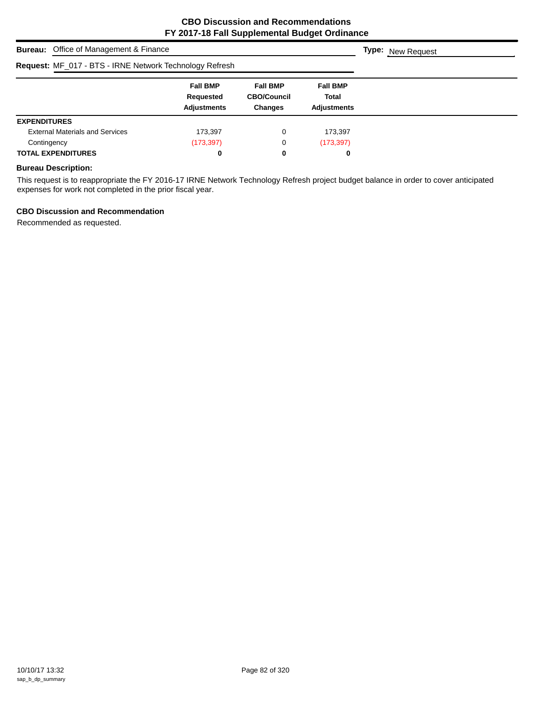| <b>Bureau:</b> Office of Management & Finance           |                                                    |                                                         |                                                | <b>Type:</b> New Request |
|---------------------------------------------------------|----------------------------------------------------|---------------------------------------------------------|------------------------------------------------|--------------------------|
| Request: MF_017 - BTS - IRNE Network Technology Refresh |                                                    |                                                         |                                                |                          |
|                                                         | <b>Fall BMP</b><br>Requested<br><b>Adjustments</b> | <b>Fall BMP</b><br><b>CBO/Council</b><br><b>Changes</b> | <b>Fall BMP</b><br>Total<br><b>Adjustments</b> |                          |
| <b>EXPENDITURES</b>                                     |                                                    |                                                         |                                                |                          |
| <b>External Materials and Services</b>                  | 173,397                                            | 0                                                       | 173,397                                        |                          |
| Contingency                                             | (173, 397)                                         | 0                                                       | (173, 397)                                     |                          |
| <b>TOTAL EXPENDITURES</b>                               | 0                                                  | 0                                                       | 0                                              |                          |

## **Bureau Description:**

This request is to reappropriate the FY 2016-17 IRNE Network Technology Refresh project budget balance in order to cover anticipated expenses for work not completed in the prior fiscal year.

## **CBO Discussion and Recommendation**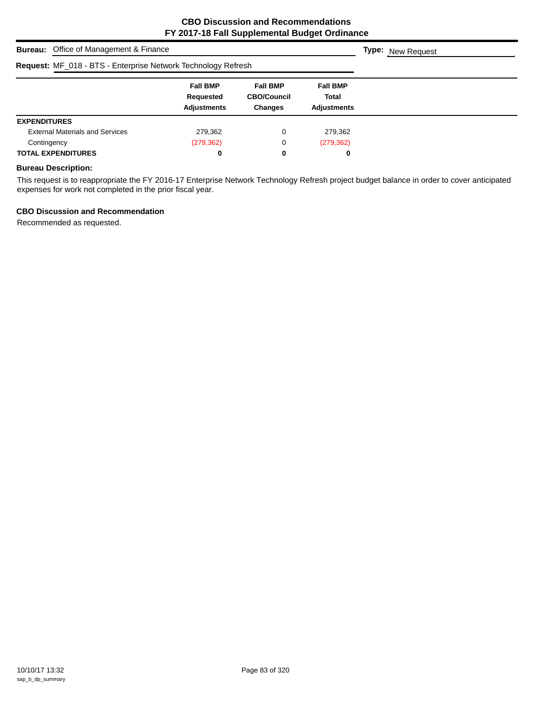|                     | <b>Bureau:</b> Office of Management & Finance                 |                                                    |                                                         |                                                | <b>Type:</b> New Request |  |
|---------------------|---------------------------------------------------------------|----------------------------------------------------|---------------------------------------------------------|------------------------------------------------|--------------------------|--|
|                     | Request: MF_018 - BTS - Enterprise Network Technology Refresh |                                                    |                                                         |                                                |                          |  |
|                     |                                                               | <b>Fall BMP</b><br>Requested<br><b>Adjustments</b> | <b>Fall BMP</b><br><b>CBO/Council</b><br><b>Changes</b> | <b>Fall BMP</b><br>Total<br><b>Adjustments</b> |                          |  |
| <b>EXPENDITURES</b> |                                                               |                                                    |                                                         |                                                |                          |  |
|                     | <b>External Materials and Services</b>                        | 279,362                                            | 0                                                       | 279,362                                        |                          |  |
| Contingency         |                                                               | (279, 362)                                         | 0                                                       | (279, 362)                                     |                          |  |
|                     | <b>TOTAL EXPENDITURES</b>                                     | 0                                                  | 0                                                       | 0                                              |                          |  |

## **Bureau Description:**

This request is to reappropriate the FY 2016-17 Enterprise Network Technology Refresh project budget balance in order to cover anticipated expenses for work not completed in the prior fiscal year.

## **CBO Discussion and Recommendation**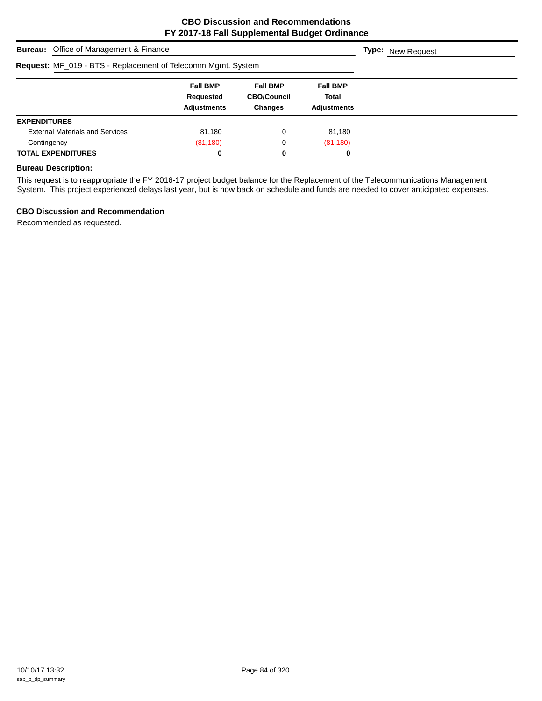| <b>Bureau:</b> Office of Management & Finance                | <b>Type:</b> New Request                           |                                                         |                                                |  |
|--------------------------------------------------------------|----------------------------------------------------|---------------------------------------------------------|------------------------------------------------|--|
| Request: MF_019 - BTS - Replacement of Telecomm Mgmt. System |                                                    |                                                         |                                                |  |
|                                                              | <b>Fall BMP</b><br>Requested<br><b>Adjustments</b> | <b>Fall BMP</b><br><b>CBO/Council</b><br><b>Changes</b> | <b>Fall BMP</b><br>Total<br><b>Adjustments</b> |  |
| <b>EXPENDITURES</b>                                          |                                                    |                                                         |                                                |  |
| <b>External Materials and Services</b>                       | 81,180                                             | 0                                                       | 81,180                                         |  |
| Contingency                                                  | (81, 180)                                          | 0                                                       | (81, 180)                                      |  |
| <b>TOTAL EXPENDITURES</b>                                    | 0                                                  | 0                                                       | 0                                              |  |

## **Bureau Description:**

This request is to reappropriate the FY 2016-17 project budget balance for the Replacement of the Telecommunications Management System. This project experienced delays last year, but is now back on schedule and funds are needed to cover anticipated expenses.

#### **CBO Discussion and Recommendation**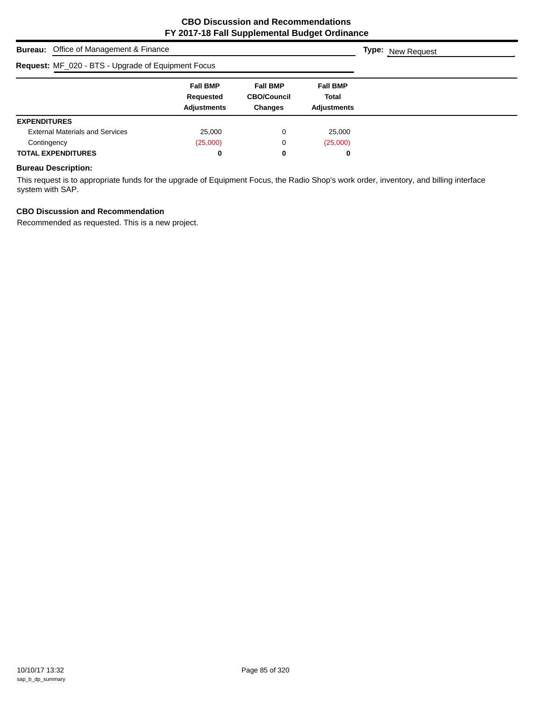| <b>Bureau:</b> Office of Management & Finance      | <b>Type:</b> New Request                           |                                                         |                                                       |  |
|----------------------------------------------------|----------------------------------------------------|---------------------------------------------------------|-------------------------------------------------------|--|
| Request: MF_020 - BTS - Upgrade of Equipment Focus |                                                    |                                                         |                                                       |  |
|                                                    | <b>Fall BMP</b><br>Requested<br><b>Adjustments</b> | <b>Fall BMP</b><br><b>CBO/Council</b><br><b>Changes</b> | <b>Fall BMP</b><br><b>Total</b><br><b>Adjustments</b> |  |
| <b>EXPENDITURES</b>                                |                                                    |                                                         |                                                       |  |
| <b>External Materials and Services</b>             | 25,000                                             | 0                                                       | 25,000                                                |  |
| Contingency                                        | (25,000)                                           | 0                                                       | (25,000)                                              |  |
| <b>TOTAL EXPENDITURES</b>                          | 0                                                  | 0                                                       | 0                                                     |  |

## **Bureau Description:**

This request is to appropriate funds for the upgrade of Equipment Focus, the Radio Shop's work order, inventory, and billing interface system with SAP.

# **CBO Discussion and Recommendation**

Recommended as requested. This is a new project.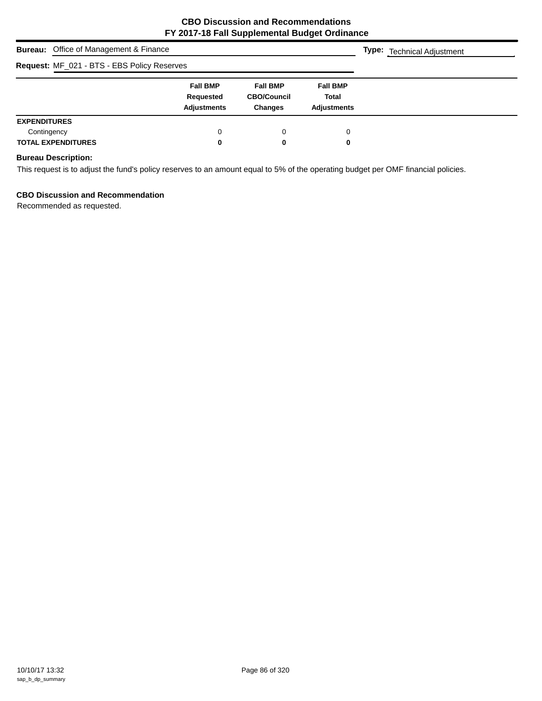| <b>Bureau:</b> Office of Management & Finance | <b>Type:</b> Technical Adjustment                  |                                                         |                                                       |  |
|-----------------------------------------------|----------------------------------------------------|---------------------------------------------------------|-------------------------------------------------------|--|
| Request: MF_021 - BTS - EBS Policy Reserves   |                                                    |                                                         |                                                       |  |
|                                               | <b>Fall BMP</b><br>Requested<br><b>Adjustments</b> | <b>Fall BMP</b><br><b>CBO/Council</b><br><b>Changes</b> | <b>Fall BMP</b><br><b>Total</b><br><b>Adjustments</b> |  |
| <b>EXPENDITURES</b>                           |                                                    |                                                         |                                                       |  |
| Contingency                                   | 0                                                  | 0                                                       | 0                                                     |  |
| <b>TOTAL EXPENDITURES</b>                     | 0                                                  | 0                                                       | 0                                                     |  |

# **Bureau Description:**

This request is to adjust the fund's policy reserves to an amount equal to 5% of the operating budget per OMF financial policies.

## **CBO Discussion and Recommendation**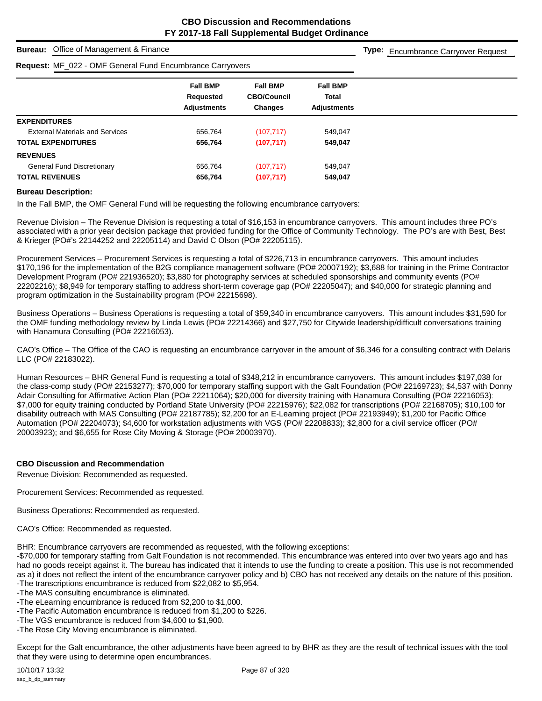**Type:** Encumbrance Carryover Request

## **Bureau:** Office of Management & Finance

# **Request:** MF\_022 - OMF General Fund Encumbrance Carryovers

| <b>INGUAGOL</b> IVII _UZZ UIVII UURUUTUITU LIIUUMIDIUNU UURIVUUD |                    |                                      |                 |  |
|------------------------------------------------------------------|--------------------|--------------------------------------|-----------------|--|
|                                                                  | <b>Fall BMP</b>    | <b>Fall BMP</b>                      | <b>Fall BMP</b> |  |
|                                                                  | Requested          | <b>CBO/Council</b>                   | <b>Total</b>    |  |
|                                                                  | <b>Adjustments</b> | <b>Changes</b><br><b>Adjustments</b> |                 |  |
| <b>EXPENDITURES</b>                                              |                    |                                      |                 |  |
| <b>External Materials and Services</b>                           | 656,764            | (107, 717)                           | 549,047         |  |
| <b>TOTAL EXPENDITURES</b>                                        | 656,764            | (107, 717)                           | 549,047         |  |
| <b>REVENUES</b>                                                  |                    |                                      |                 |  |
| <b>General Fund Discretionary</b>                                | 656,764            | (107, 717)                           | 549,047         |  |
| <b>TOTAL REVENUES</b>                                            | 656,764            | (107, 717)                           | 549,047         |  |

#### **Bureau Description:**

In the Fall BMP, the OMF General Fund will be requesting the following encumbrance carryovers:

Revenue Division – The Revenue Division is requesting a total of \$16,153 in encumbrance carryovers. This amount includes three PO's associated with a prior year decision package that provided funding for the Office of Community Technology. The PO's are with Best, Best & Krieger (PO#'s 22144252 and 22205114) and David C Olson (PO# 22205115).

Procurement Services – Procurement Services is requesting a total of \$226,713 in encumbrance carryovers. This amount includes \$170,196 for the implementation of the B2G compliance management software (PO# 20007192); \$3,688 for training in the Prime Contractor Development Program (PO# 221936520); \$3,880 for photography services at scheduled sponsorships and community events (PO# 22202216); \$8,949 for temporary staffing to address short-term coverage gap (PO# 22205047); and \$40,000 for strategic planning and program optimization in the Sustainability program (PO# 22215698).

Business Operations – Business Operations is requesting a total of \$59,340 in encumbrance carryovers. This amount includes \$31,590 for the OMF funding methodology review by Linda Lewis (PO# 22214366) and \$27,750 for Citywide leadership/difficult conversations training with Hanamura Consulting (PO# 22216053).

CAO's Office – The Office of the CAO is requesting an encumbrance carryover in the amount of \$6,346 for a consulting contract with Delaris LLC (PO# 22183022).

Human Resources – BHR General Fund is requesting a total of \$348,212 in encumbrance carryovers. This amount includes \$197,038 for the class-comp study (PO# 22153277); \$70,000 for temporary staffing support with the Galt Foundation (PO# 22169723); \$4,537 with Donny Adair Consulting for Affirmative Action Plan (PO# 22211064); \$20,000 for diversity training with Hanamura Consulting (PO# 22216053); \$7,000 for equity training conducted by Portland State University (PO# 22215976); \$22,082 for transcriptions (PO# 22168705); \$10,100 for disability outreach with MAS Consulting (PO# 22187785); \$2,200 for an E-Learning project (PO# 22193949); \$1,200 for Pacific Office Automation (PO# 22204073); \$4,600 for workstation adjustments with VGS (PO# 22208833); \$2,800 for a civil service officer (PO# 20003923); and \$6,655 for Rose City Moving & Storage (PO# 20003970).

#### **CBO Discussion and Recommendation**

Revenue Division: Recommended as requested.

Procurement Services: Recommended as requested.

Business Operations: Recommended as requested.

```
CAO's Office: Recommended as requested.
```
BHR: Encumbrance carryovers are recommended as requested, with the following exceptions:

-\$70,000 for temporary staffing from Galt Foundation is not recommended. This encumbrance was entered into over two years ago and has had no goods receipt against it. The bureau has indicated that it intends to use the funding to create a position. This use is not recommended as a) it does not reflect the intent of the encumbrance carryover policy and b) CBO has not received any details on the nature of this position. -The transcriptions encumbrance is reduced from \$22,082 to \$5,954.

- -The MAS consulting encumbrance is eliminated.
- -The eLearning encumbrance is reduced from \$2,200 to \$1,000.
- -The Pacific Automation encumbrance is reduced from \$1,200 to \$226.
- -The VGS encumbrance is reduced from \$4,600 to \$1,900.
- -The Rose City Moving encumbrance is eliminated.

Except for the Galt encumbrance, the other adjustments have been agreed to by BHR as they are the result of technical issues with the tool that they were using to determine open encumbrances.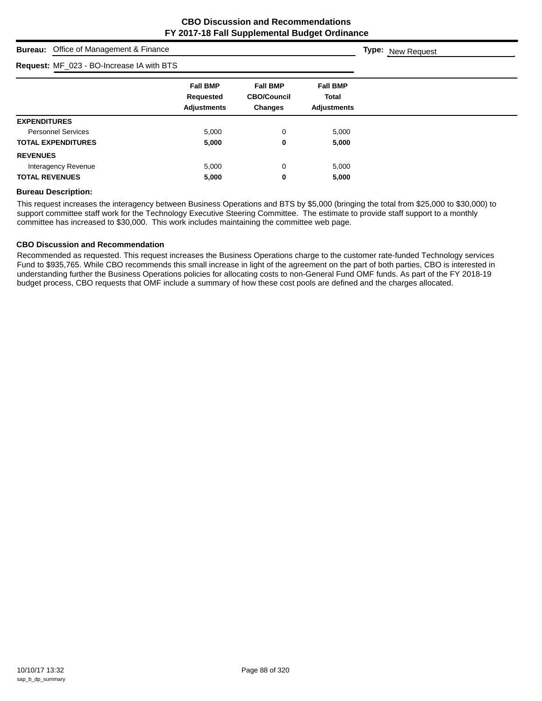**Type:** New Request

# **Bureau:** Office of Management & Finance

## **Request:** MF\_023 - BO-Increase IA with BTS

| <b>Request:</b> MF_023 - BO-Increase IA with BTS |                                 |                               |                             |  |
|--------------------------------------------------|---------------------------------|-------------------------------|-----------------------------|--|
|                                                  | <b>Fall BMP</b>                 | <b>Fall BMP</b>               | <b>Fall BMP</b>             |  |
|                                                  | Requested<br><b>Adjustments</b> | <b>CBO/Council</b><br>Changes | Total<br><b>Adjustments</b> |  |
| <b>EXPENDITURES</b>                              |                                 |                               |                             |  |
| <b>Personnel Services</b>                        | 5,000                           | 0                             | 5,000                       |  |
| <b>TOTAL EXPENDITURES</b>                        | 5,000                           | 0                             | 5,000                       |  |
| <b>REVENUES</b>                                  |                                 |                               |                             |  |
| Interagency Revenue                              | 5,000                           | 0                             | 5,000                       |  |
| <b>TOTAL REVENUES</b>                            | 5,000                           | 0                             | 5,000                       |  |

#### **Bureau Description:**

This request increases the interagency between Business Operations and BTS by \$5,000 (bringing the total from \$25,000 to \$30,000) to support committee staff work for the Technology Executive Steering Committee. The estimate to provide staff support to a monthly committee has increased to \$30,000. This work includes maintaining the committee web page.

#### **CBO Discussion and Recommendation**

Recommended as requested. This request increases the Business Operations charge to the customer rate-funded Technology services Fund to \$935,765. While CBO recommends this small increase in light of the agreement on the part of both parties, CBO is interested in understanding further the Business Operations policies for allocating costs to non-General Fund OMF funds. As part of the FY 2018-19 budget process, CBO requests that OMF include a summary of how these cost pools are defined and the charges allocated.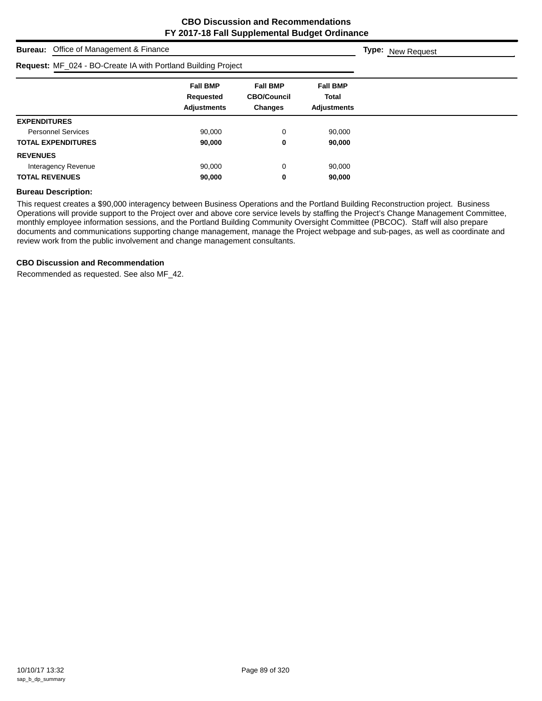| <b>Bureau:</b> Office of Management & Finance                 |                                                    |                                                         |                                                       | <b>Type:</b> New Request |
|---------------------------------------------------------------|----------------------------------------------------|---------------------------------------------------------|-------------------------------------------------------|--------------------------|
| Request: MF_024 - BO-Create IA with Portland Building Project |                                                    |                                                         |                                                       |                          |
|                                                               | <b>Fall BMP</b><br>Requested<br><b>Adjustments</b> | <b>Fall BMP</b><br><b>CBO/Council</b><br><b>Changes</b> | <b>Fall BMP</b><br><b>Total</b><br><b>Adjustments</b> |                          |
| <b>EXPENDITURES</b>                                           |                                                    |                                                         |                                                       |                          |
| <b>Personnel Services</b>                                     | 90.000                                             | $\mathbf 0$                                             | 90,000                                                |                          |
| <b>TOTAL EXPENDITURES</b>                                     | 90,000                                             | 0                                                       | 90,000                                                |                          |
| <b>REVENUES</b>                                               |                                                    |                                                         |                                                       |                          |
| Interagency Revenue                                           | 90,000                                             | $\mathbf 0$                                             | 90,000                                                |                          |
| <b>TOTAL REVENUES</b>                                         | 90,000                                             | 0                                                       | 90,000                                                |                          |

#### **Bureau Description:**

This request creates a \$90,000 interagency between Business Operations and the Portland Building Reconstruction project. Business Operations will provide support to the Project over and above core service levels by staffing the Project's Change Management Committee, monthly employee information sessions, and the Portland Building Community Oversight Committee (PBCOC). Staff will also prepare documents and communications supporting change management, manage the Project webpage and sub-pages, as well as coordinate and review work from the public involvement and change management consultants.

#### **CBO Discussion and Recommendation**

Recommended as requested. See also MF\_42.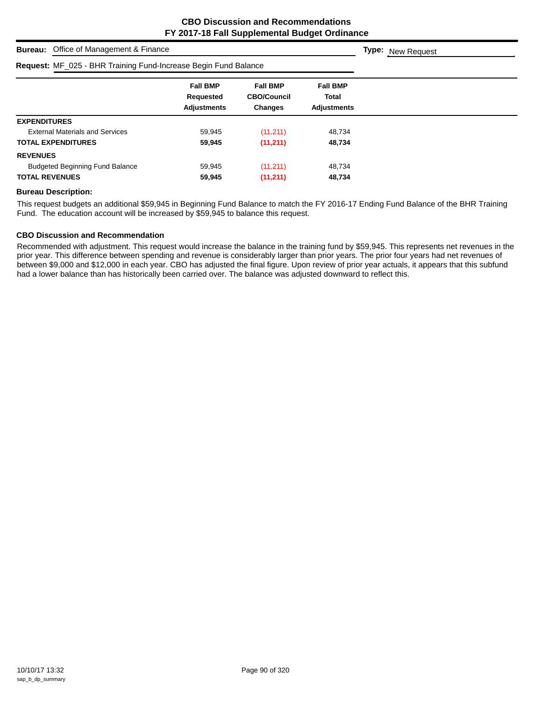| Office of Management & Finance<br><b>Bureau:</b>                | <b>Type:</b> New Request                                  |                                                         |                                                       |  |
|-----------------------------------------------------------------|-----------------------------------------------------------|---------------------------------------------------------|-------------------------------------------------------|--|
| Request: MF_025 - BHR Training Fund-Increase Begin Fund Balance |                                                           |                                                         |                                                       |  |
|                                                                 | <b>Fall BMP</b><br><b>Requested</b><br><b>Adjustments</b> | <b>Fall BMP</b><br><b>CBO/Council</b><br><b>Changes</b> | <b>Fall BMP</b><br><b>Total</b><br><b>Adjustments</b> |  |
| <b>EXPENDITURES</b>                                             |                                                           |                                                         |                                                       |  |
| <b>External Materials and Services</b>                          | 59.945                                                    | (11, 211)                                               | 48,734                                                |  |
| <b>TOTAL EXPENDITURES</b>                                       | 59,945                                                    | (11, 211)                                               | 48,734                                                |  |
| <b>REVENUES</b>                                                 |                                                           |                                                         |                                                       |  |
| <b>Budgeted Beginning Fund Balance</b>                          | 59.945                                                    | (11, 211)                                               | 48.734                                                |  |
| <b>TOTAL REVENUES</b>                                           | 59,945                                                    | (11, 211)                                               | 48,734                                                |  |

# **Bureau Description:**

This request budgets an additional \$59,945 in Beginning Fund Balance to match the FY 2016-17 Ending Fund Balance of the BHR Training Fund. The education account will be increased by \$59,945 to balance this request.

#### **CBO Discussion and Recommendation**

Recommended with adjustment. This request would increase the balance in the training fund by \$59,945. This represents net revenues in the prior year. This difference between spending and revenue is considerably larger than prior years. The prior four years had net revenues of between \$9,000 and \$12,000 in each year. CBO has adjusted the final figure. Upon review of prior year actuals, it appears that this subfund had a lower balance than has historically been carried over. The balance was adjusted downward to reflect this.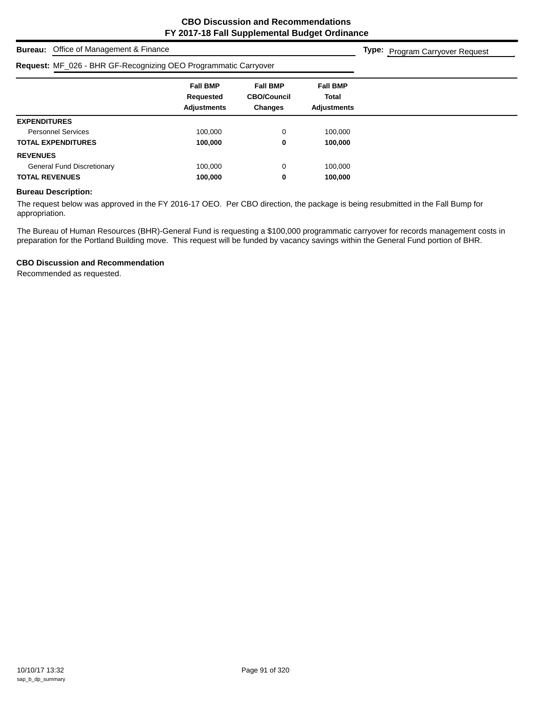**Type:** Program Carryover Request

## **Bureau:** Office of Management & Finance

# **ME\_026 - BHR GE-Recognizing OEO Programmatic Carer**

| <b>Request:</b> MF_026 - BHR GF-Recognizing OEO Programmatic Carryover |                                                    |                                                         |                                                |  |
|------------------------------------------------------------------------|----------------------------------------------------|---------------------------------------------------------|------------------------------------------------|--|
|                                                                        | <b>Fall BMP</b><br>Requested<br><b>Adjustments</b> | <b>Fall BMP</b><br><b>CBO/Council</b><br><b>Changes</b> | <b>Fall BMP</b><br>Total<br><b>Adjustments</b> |  |
| <b>EXPENDITURES</b>                                                    |                                                    |                                                         |                                                |  |
| <b>Personnel Services</b>                                              | 100,000                                            | 0                                                       | 100.000                                        |  |
| <b>TOTAL EXPENDITURES</b>                                              | 100.000                                            | 0                                                       | 100,000                                        |  |
| <b>REVENUES</b>                                                        |                                                    |                                                         |                                                |  |
| <b>General Fund Discretionary</b>                                      | 100,000                                            | 0                                                       | 100,000                                        |  |
| <b>TOTAL REVENUES</b>                                                  | 100,000                                            | 0                                                       | 100,000                                        |  |

#### **Bureau Description:**

The request below was approved in the FY 2016-17 OEO. Per CBO direction, the package is being resubmitted in the Fall Bump for appropriation.

The Bureau of Human Resources (BHR)-General Fund is requesting a \$100,000 programmatic carryover for records management costs in preparation for the Portland Building move. This request will be funded by vacancy savings within the General Fund portion of BHR.

## **CBO Discussion and Recommendation**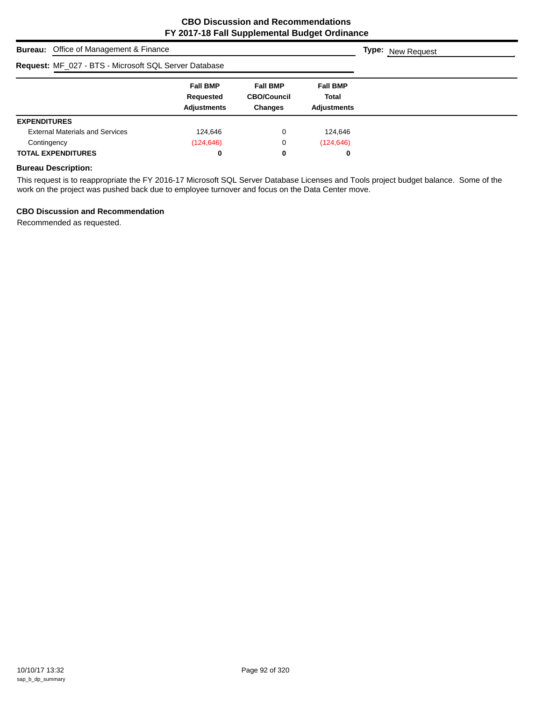| <b>Bureau:</b> Office of Management & Finance         | <b>Type:</b> New Request                           |                                                         |                                                |  |
|-------------------------------------------------------|----------------------------------------------------|---------------------------------------------------------|------------------------------------------------|--|
| Request: MF_027 - BTS - Microsoft SQL Server Database |                                                    |                                                         |                                                |  |
|                                                       | <b>Fall BMP</b><br>Requested<br><b>Adjustments</b> | <b>Fall BMP</b><br><b>CBO/Council</b><br><b>Changes</b> | <b>Fall BMP</b><br>Total<br><b>Adjustments</b> |  |
| <b>EXPENDITURES</b>                                   |                                                    |                                                         |                                                |  |
| <b>External Materials and Services</b>                | 124,646                                            | 0                                                       | 124,646                                        |  |
| Contingency                                           | (124, 646)                                         | 0                                                       | (124, 646)                                     |  |
| <b>TOTAL EXPENDITURES</b>                             | 0                                                  | 0                                                       | 0                                              |  |

## **Bureau Description:**

This request is to reappropriate the FY 2016-17 Microsoft SQL Server Database Licenses and Tools project budget balance. Some of the work on the project was pushed back due to employee turnover and focus on the Data Center move.

## **CBO Discussion and Recommendation**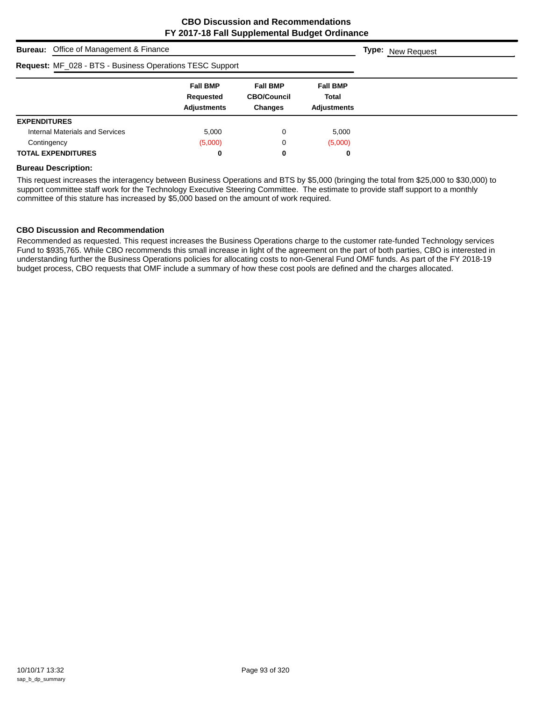| <b>Bureau:</b> Office of Management & Finance                   | <b>Type:</b> New Request                           |                                                         |                                                       |  |
|-----------------------------------------------------------------|----------------------------------------------------|---------------------------------------------------------|-------------------------------------------------------|--|
| <b>Request: MF_028 - BTS - Business Operations TESC Support</b> |                                                    |                                                         |                                                       |  |
|                                                                 | <b>Fall BMP</b><br>Requested<br><b>Adjustments</b> | <b>Fall BMP</b><br><b>CBO/Council</b><br><b>Changes</b> | <b>Fall BMP</b><br><b>Total</b><br><b>Adjustments</b> |  |
| <b>EXPENDITURES</b>                                             |                                                    |                                                         |                                                       |  |
| Internal Materials and Services                                 | 5.000                                              | 0                                                       | 5.000                                                 |  |
| Contingency                                                     | (5,000)                                            | 0                                                       | (5,000)                                               |  |
| <b>TOTAL EXPENDITURES</b>                                       | 0                                                  | 0                                                       | 0                                                     |  |

#### **Bureau Description:**

This request increases the interagency between Business Operations and BTS by \$5,000 (bringing the total from \$25,000 to \$30,000) to support committee staff work for the Technology Executive Steering Committee. The estimate to provide staff support to a monthly committee of this stature has increased by \$5,000 based on the amount of work required.

#### **CBO Discussion and Recommendation**

Recommended as requested. This request increases the Business Operations charge to the customer rate-funded Technology services Fund to \$935,765. While CBO recommends this small increase in light of the agreement on the part of both parties, CBO is interested in understanding further the Business Operations policies for allocating costs to non-General Fund OMF funds. As part of the FY 2018-19 budget process, CBO requests that OMF include a summary of how these cost pools are defined and the charges allocated.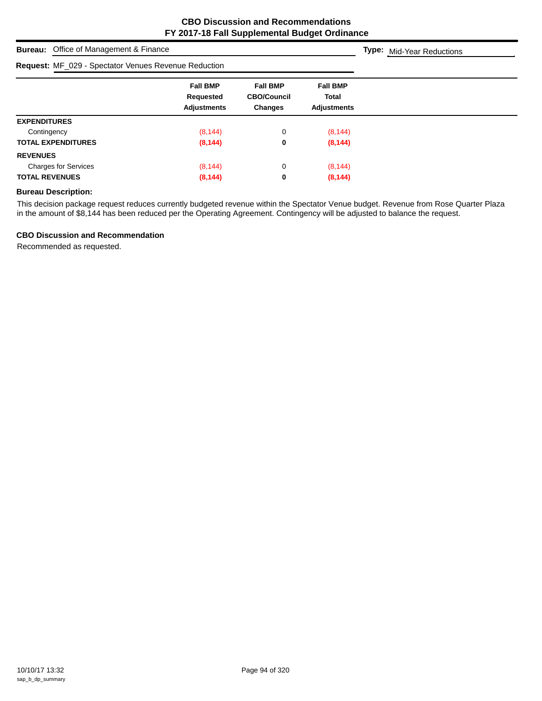| <b>Bureau:</b> Office of Management & Finance               | <b>Type:</b> Mid-Year Reductions                          |                                                         |                                                       |  |
|-------------------------------------------------------------|-----------------------------------------------------------|---------------------------------------------------------|-------------------------------------------------------|--|
| <b>Request: MF_029 - Spectator Venues Revenue Reduction</b> |                                                           |                                                         |                                                       |  |
|                                                             | <b>Fall BMP</b><br><b>Requested</b><br><b>Adjustments</b> | <b>Fall BMP</b><br><b>CBO/Council</b><br><b>Changes</b> | <b>Fall BMP</b><br><b>Total</b><br><b>Adjustments</b> |  |
| <b>EXPENDITURES</b>                                         |                                                           |                                                         |                                                       |  |
| Contingency                                                 | (8, 144)                                                  | 0                                                       | (8, 144)                                              |  |
| <b>TOTAL EXPENDITURES</b>                                   | (8, 144)                                                  | 0                                                       | (8, 144)                                              |  |
| <b>REVENUES</b>                                             |                                                           |                                                         |                                                       |  |
| <b>Charges for Services</b>                                 | (8, 144)                                                  | 0                                                       | (8, 144)                                              |  |
| <b>TOTAL REVENUES</b>                                       | (8, 144)                                                  | 0                                                       | (8, 144)                                              |  |

## **Bureau Description:**

This decision package request reduces currently budgeted revenue within the Spectator Venue budget. Revenue from Rose Quarter Plaza in the amount of \$8,144 has been reduced per the Operating Agreement. Contingency will be adjusted to balance the request.

## **CBO Discussion and Recommendation**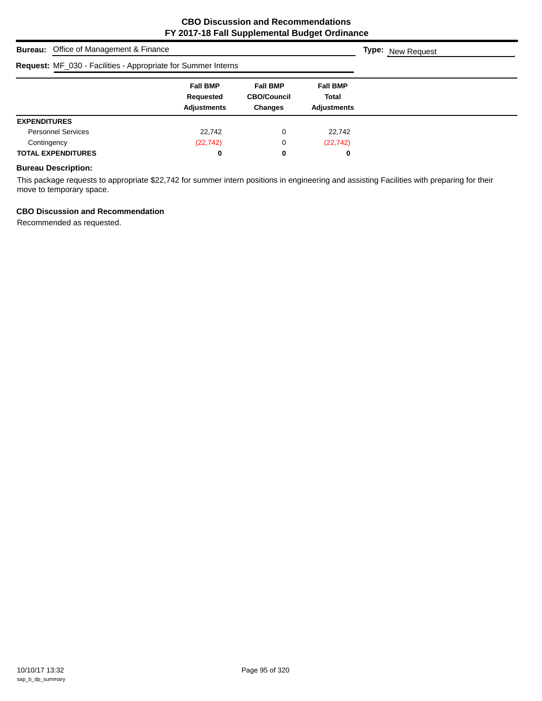| <b>Bureau:</b> Office of Management & Finance                 | <b>Type:</b> New Request                           |                                                         |                                                |  |
|---------------------------------------------------------------|----------------------------------------------------|---------------------------------------------------------|------------------------------------------------|--|
| Request: MF_030 - Facilities - Appropriate for Summer Interns |                                                    |                                                         |                                                |  |
|                                                               | <b>Fall BMP</b><br>Requested<br><b>Adjustments</b> | <b>Fall BMP</b><br><b>CBO/Council</b><br><b>Changes</b> | <b>Fall BMP</b><br><b>Total</b><br>Adjustments |  |
| <b>EXPENDITURES</b>                                           |                                                    |                                                         |                                                |  |
| <b>Personnel Services</b>                                     | 22,742                                             | 0                                                       | 22,742                                         |  |
| Contingency                                                   | (22, 742)                                          | 0                                                       | (22, 742)                                      |  |
| <b>TOTAL EXPENDITURES</b>                                     | 0                                                  | 0                                                       | 0                                              |  |

## **Bureau Description:**

This package requests to appropriate \$22,742 for summer intern positions in engineering and assisting Facilities with preparing for their move to temporary space.

## **CBO Discussion and Recommendation**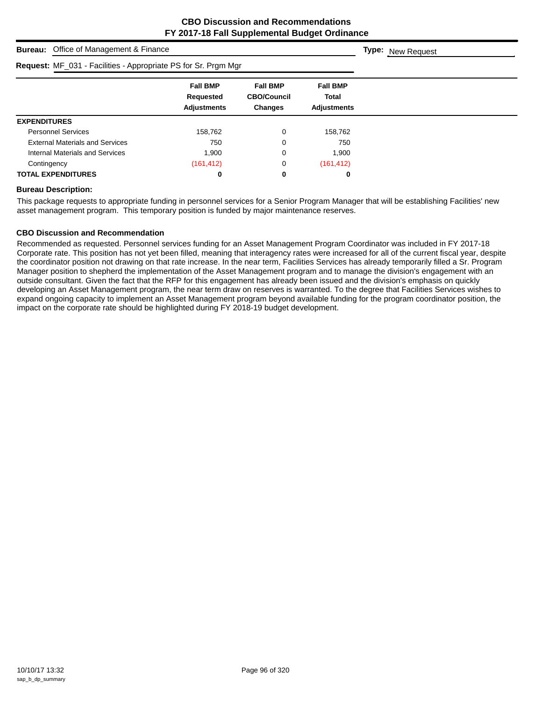| <b>Bureau:</b> Office of Management & Finance                  | <b>Type:</b> New Request                           |                                                         |                                                |  |
|----------------------------------------------------------------|----------------------------------------------------|---------------------------------------------------------|------------------------------------------------|--|
| Request: MF_031 - Facilities - Appropriate PS for Sr. Prgm Mgr |                                                    |                                                         |                                                |  |
|                                                                | <b>Fall BMP</b><br>Requested<br><b>Adjustments</b> | <b>Fall BMP</b><br><b>CBO/Council</b><br><b>Changes</b> | <b>Fall BMP</b><br>Total<br><b>Adjustments</b> |  |
| <b>EXPENDITURES</b>                                            |                                                    |                                                         |                                                |  |
| <b>Personnel Services</b>                                      | 158,762                                            | 0                                                       | 158,762                                        |  |
| <b>External Materials and Services</b>                         | 750                                                | 0                                                       | 750                                            |  |
| Internal Materials and Services                                | 1.900                                              | 0                                                       | 1,900                                          |  |
| Contingency                                                    | (161, 412)                                         | 0                                                       | (161, 412)                                     |  |
| <b>TOTAL EXPENDITURES</b>                                      | 0                                                  | 0                                                       | 0                                              |  |

#### **Bureau Description:**

This package requests to appropriate funding in personnel services for a Senior Program Manager that will be establishing Facilities' new asset management program. This temporary position is funded by major maintenance reserves.

## **CBO Discussion and Recommendation**

Recommended as requested. Personnel services funding for an Asset Management Program Coordinator was included in FY 2017-18 Corporate rate. This position has not yet been filled, meaning that interagency rates were increased for all of the current fiscal year, despite the coordinator position not drawing on that rate increase. In the near term, Facilities Services has already temporarily filled a Sr. Program Manager position to shepherd the implementation of the Asset Management program and to manage the division's engagement with an outside consultant. Given the fact that the RFP for this engagement has already been issued and the division's emphasis on quickly developing an Asset Management program, the near term draw on reserves is warranted. To the degree that Facilities Services wishes to expand ongoing capacity to implement an Asset Management program beyond available funding for the program coordinator position, the impact on the corporate rate should be highlighted during FY 2018-19 budget development.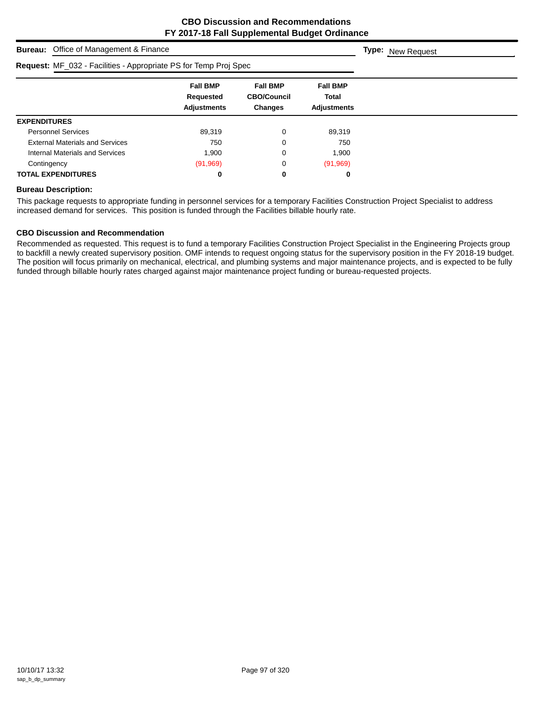| <b>Bureau:</b> Office of Management & Finance                    | <b>Type:</b> New Request                           |                                                         |                                                       |  |
|------------------------------------------------------------------|----------------------------------------------------|---------------------------------------------------------|-------------------------------------------------------|--|
| Request: MF_032 - Facilities - Appropriate PS for Temp Proj Spec |                                                    |                                                         |                                                       |  |
|                                                                  | <b>Fall BMP</b><br>Requested<br><b>Adjustments</b> | <b>Fall BMP</b><br><b>CBO/Council</b><br><b>Changes</b> | <b>Fall BMP</b><br><b>Total</b><br><b>Adjustments</b> |  |
| <b>EXPENDITURES</b>                                              |                                                    |                                                         |                                                       |  |
| <b>Personnel Services</b>                                        | 89,319                                             | 0                                                       | 89,319                                                |  |
| <b>External Materials and Services</b>                           | 750                                                | 0                                                       | 750                                                   |  |
| Internal Materials and Services                                  | 1,900                                              | 0                                                       | 1,900                                                 |  |
| Contingency                                                      | (91, 969)                                          | 0                                                       | (91, 969)                                             |  |
| <b>TOTAL EXPENDITURES</b>                                        | 0                                                  | 0                                                       | 0                                                     |  |

#### **Bureau Description:**

This package requests to appropriate funding in personnel services for a temporary Facilities Construction Project Specialist to address increased demand for services. This position is funded through the Facilities billable hourly rate.

## **CBO Discussion and Recommendation**

Recommended as requested. This request is to fund a temporary Facilities Construction Project Specialist in the Engineering Projects group to backfill a newly created supervisory position. OMF intends to request ongoing status for the supervisory position in the FY 2018-19 budget. The position will focus primarily on mechanical, electrical, and plumbing systems and major maintenance projects, and is expected to be fully funded through billable hourly rates charged against major maintenance project funding or bureau-requested projects.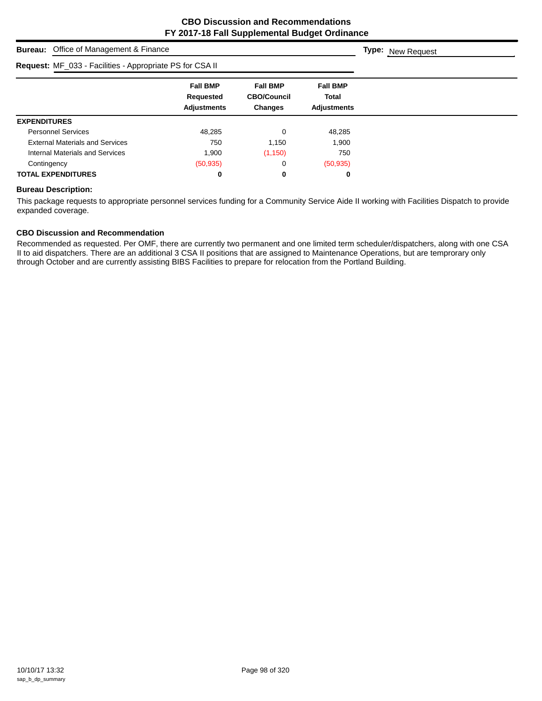| <b>Bureau:</b> Office of Management & Finance            | <b>Type:</b> New Request                                  |                                                         |                                                       |  |
|----------------------------------------------------------|-----------------------------------------------------------|---------------------------------------------------------|-------------------------------------------------------|--|
| Request: MF_033 - Facilities - Appropriate PS for CSA II |                                                           |                                                         |                                                       |  |
|                                                          | <b>Fall BMP</b><br><b>Requested</b><br><b>Adjustments</b> | <b>Fall BMP</b><br><b>CBO/Council</b><br><b>Changes</b> | <b>Fall BMP</b><br><b>Total</b><br><b>Adjustments</b> |  |
| <b>EXPENDITURES</b>                                      |                                                           |                                                         |                                                       |  |
| <b>Personnel Services</b>                                | 48,285                                                    | 0                                                       | 48,285                                                |  |
| <b>External Materials and Services</b>                   | 750                                                       | 1,150                                                   | 1,900                                                 |  |
| Internal Materials and Services                          | 1,900                                                     | (1, 150)                                                | 750                                                   |  |
| Contingency                                              | (50, 935)                                                 | 0                                                       | (50, 935)                                             |  |
| <b>TOTAL EXPENDITURES</b>                                | 0                                                         | 0                                                       | 0                                                     |  |

## **Bureau Description:**

This package requests to appropriate personnel services funding for a Community Service Aide II working with Facilities Dispatch to provide expanded coverage.

## **CBO Discussion and Recommendation**

Recommended as requested. Per OMF, there are currently two permanent and one limited term scheduler/dispatchers, along with one CSA II to aid dispatchers. There are an additional 3 CSA II positions that are assigned to Maintenance Operations, but are temprorary only through October and are currently assisting BIBS Facilities to prepare for relocation from the Portland Building.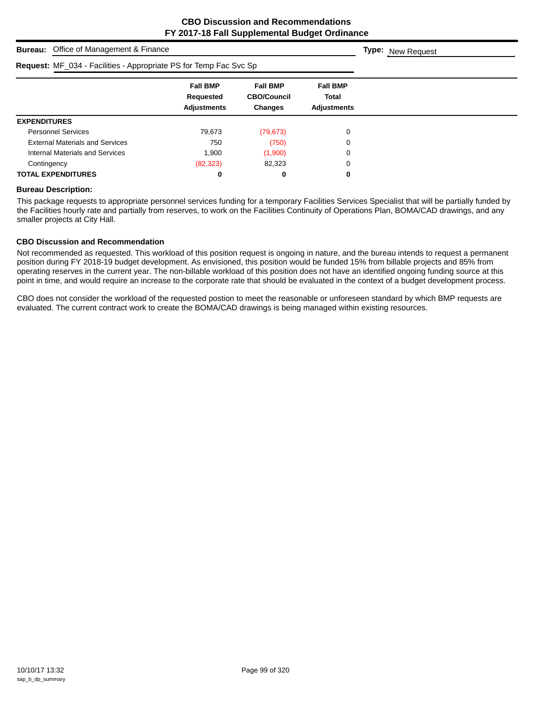| <b>Bureau:</b> Office of Management & Finance                     | <b>Type:</b> New Request                           |                                                         |                                                       |  |
|-------------------------------------------------------------------|----------------------------------------------------|---------------------------------------------------------|-------------------------------------------------------|--|
| Request: MF_034 - Facilities - Appropriate PS for Temp Fac Svc Sp |                                                    |                                                         |                                                       |  |
|                                                                   | <b>Fall BMP</b><br>Requested<br><b>Adjustments</b> | <b>Fall BMP</b><br><b>CBO/Council</b><br><b>Changes</b> | <b>Fall BMP</b><br><b>Total</b><br><b>Adjustments</b> |  |
| <b>EXPENDITURES</b>                                               |                                                    |                                                         |                                                       |  |
| <b>Personnel Services</b>                                         | 79,673                                             | (79, 673)                                               | 0                                                     |  |
| <b>External Materials and Services</b>                            | 750                                                | (750)                                                   | 0                                                     |  |
| Internal Materials and Services                                   | 1,900                                              | (1,900)                                                 | 0                                                     |  |
| Contingency                                                       | (82, 323)                                          | 82,323                                                  | 0                                                     |  |
| <b>TOTAL EXPENDITURES</b>                                         | 0                                                  | 0                                                       | 0                                                     |  |

#### **Bureau Description:**

This package requests to appropriate personnel services funding for a temporary Facilities Services Specialist that will be partially funded by the Facilities hourly rate and partially from reserves, to work on the Facilities Continuity of Operations Plan, BOMA/CAD drawings, and any smaller projects at City Hall.

#### **CBO Discussion and Recommendation**

Not recommended as requested. This workload of this position request is ongoing in nature, and the bureau intends to request a permanent position during FY 2018-19 budget development. As envisioned, this position would be funded 15% from billable projects and 85% from operating reserves in the current year. The non-billable workload of this position does not have an identified ongoing funding source at this point in time, and would require an increase to the corporate rate that should be evaluated in the context of a budget development process.

CBO does not consider the workload of the requested postion to meet the reasonable or unforeseen standard by which BMP requests are evaluated. The current contract work to create the BOMA/CAD drawings is being managed within existing resources.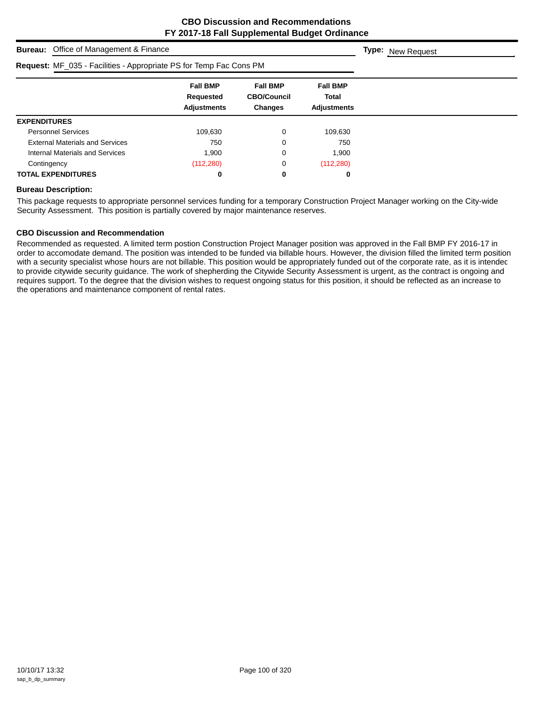| <b>Bureau:</b> Office of Management & Finance                      | <b>Type:</b> New Request                           |                                                  |                                                |  |
|--------------------------------------------------------------------|----------------------------------------------------|--------------------------------------------------|------------------------------------------------|--|
| Request: MF_035 - Facilities - Appropriate PS for Temp Fac Cons PM |                                                    |                                                  |                                                |  |
|                                                                    | <b>Fall BMP</b><br>Requested<br><b>Adjustments</b> | <b>Fall BMP</b><br><b>CBO/Council</b><br>Changes | <b>Fall BMP</b><br>Total<br><b>Adjustments</b> |  |
| <b>EXPENDITURES</b>                                                |                                                    |                                                  |                                                |  |
| <b>Personnel Services</b>                                          | 109,630                                            | 0                                                | 109,630                                        |  |
| <b>External Materials and Services</b>                             | 750                                                | 0                                                | 750                                            |  |
| Internal Materials and Services                                    | 1.900                                              | 0                                                | 1.900                                          |  |
| Contingency                                                        | (112, 280)                                         | 0                                                | (112, 280)                                     |  |
| <b>TOTAL EXPENDITURES</b>                                          | 0                                                  | 0                                                | 0                                              |  |

#### **Bureau Description:**

This package requests to appropriate personnel services funding for a temporary Construction Project Manager working on the City-wide Security Assessment. This position is partially covered by major maintenance reserves.

## **CBO Discussion and Recommendation**

Recommended as requested. A limited term postion Construction Project Manager position was approved in the Fall BMP FY 2016-17 in order to accomodate demand. The position was intended to be funded via billable hours. However, the division filled the limited term position with a security specialist whose hours are not billable. This position would be appropriately funded out of the corporate rate, as it is intendec to provide citywide security guidance. The work of shepherding the Citywide Security Assessment is urgent, as the contract is ongoing and requires support. To the degree that the division wishes to request ongoing status for this position, it should be reflected as an increase to the operations and maintenance component of rental rates.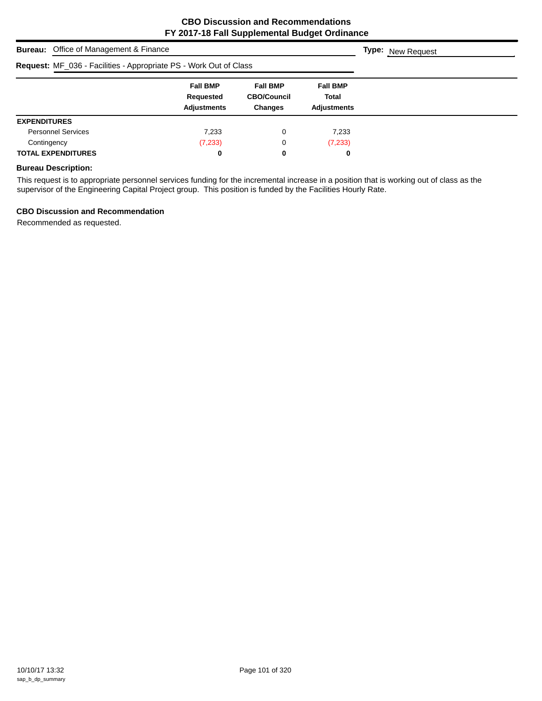| <b>Bureau:</b> Office of Management & Finance                     | <b>Type:</b> New Request                           |                                                         |                                                       |  |
|-------------------------------------------------------------------|----------------------------------------------------|---------------------------------------------------------|-------------------------------------------------------|--|
| Request: MF_036 - Facilities - Appropriate PS - Work Out of Class |                                                    |                                                         |                                                       |  |
|                                                                   | <b>Fall BMP</b><br>Requested<br><b>Adjustments</b> | <b>Fall BMP</b><br><b>CBO/Council</b><br><b>Changes</b> | <b>Fall BMP</b><br><b>Total</b><br><b>Adjustments</b> |  |
| <b>EXPENDITURES</b>                                               |                                                    |                                                         |                                                       |  |
| <b>Personnel Services</b>                                         | 7.233                                              | 0                                                       | 7.233                                                 |  |
| Contingency                                                       | (7, 233)                                           | 0                                                       | (7, 233)                                              |  |
| <b>TOTAL EXPENDITURES</b>                                         | 0                                                  | 0                                                       | 0                                                     |  |

## **Bureau Description:**

This request is to appropriate personnel services funding for the incremental increase in a position that is working out of class as the supervisor of the Engineering Capital Project group. This position is funded by the Facilities Hourly Rate.

#### **CBO Discussion and Recommendation**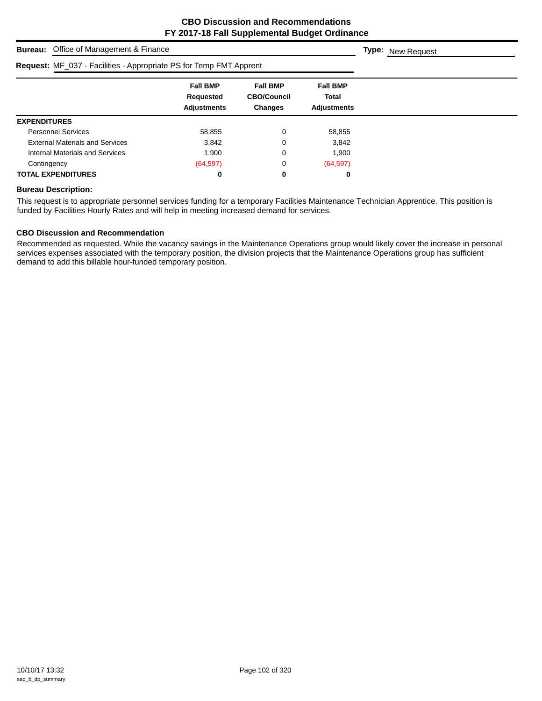**Type:** New Request

# **Bureau:** Office of Management & Finance

| Request: MF_037 - Facilities - Appropriate PS for Temp FMT Apprent |                              |                                       |                          |
|--------------------------------------------------------------------|------------------------------|---------------------------------------|--------------------------|
|                                                                    | <b>Fall BMP</b><br>Requested | <b>Fall BMP</b><br><b>CBO/Council</b> | <b>Fall BMP</b><br>Total |
|                                                                    | <b>Adjustments</b>           | <b>Changes</b>                        | <b>Adjustments</b>       |
| <b>EXPENDITURES</b>                                                |                              |                                       |                          |
| <b>Personnel Services</b>                                          | 58,855                       | 0                                     | 58,855                   |
| <b>External Materials and Services</b>                             | 3,842                        | 0                                     | 3,842                    |
| Internal Materials and Services                                    | 1.900                        | 0                                     | 1,900                    |
| Contingency                                                        | (64, 597)                    | 0                                     | (64, 597)                |
| <b>TOTAL EXPENDITURES</b>                                          | 0                            | 0                                     | 0                        |

#### **Bureau Description:**

This request is to appropriate personnel services funding for a temporary Facilities Maintenance Technician Apprentice. This position is funded by Facilities Hourly Rates and will help in meeting increased demand for services.

## **CBO Discussion and Recommendation**

Recommended as requested. While the vacancy savings in the Maintenance Operations group would likely cover the increase in personal services expenses associated with the temporary position, the division projects that the Maintenance Operations group has sufficient demand to add this billable hour-funded temporary position.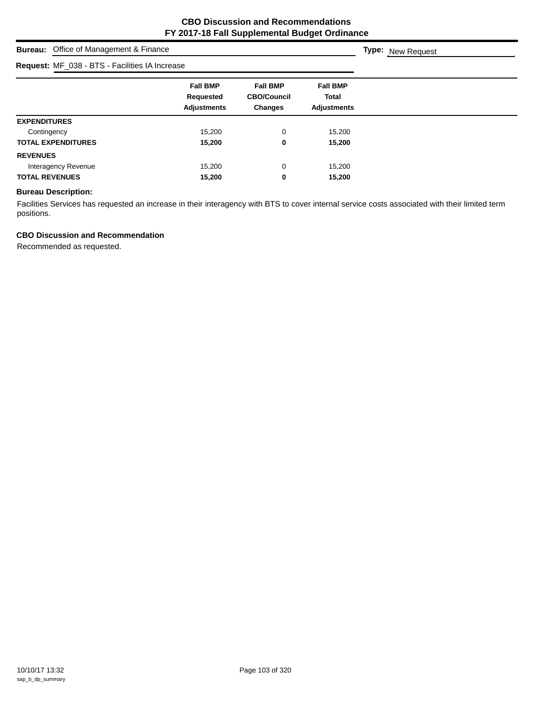# **Bureau:** Office of Management & Finance **Fall BMP Fall BMP Fall BMP Requested CBO/Council Total Adjustments Changes Adjustments Type:** New Request **Request:** MF\_038 - BTS - Facilities IA Increase **EXPENDITURES** Contingency 15,200 0 15,200 **TOTAL EXPENDITURES 15,200 0 15,200 REVENUES** Interagency Revenue 15,200 0 15,200 **TOTAL REVENUES 15,200 0 15,200**

#### **Bureau Description:**

Facilities Services has requested an increase in their interagency with BTS to cover internal service costs associated with their limited term positions.

## **CBO Discussion and Recommendation**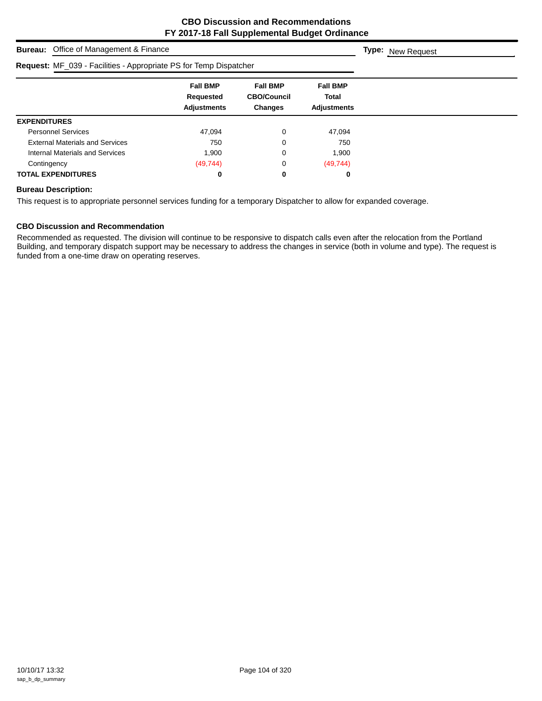| <b>Bureau:</b> Office of Management & Finance                     | <b>Type:</b> New Request                           |                                                         |                                                |  |
|-------------------------------------------------------------------|----------------------------------------------------|---------------------------------------------------------|------------------------------------------------|--|
| Request: MF_039 - Facilities - Appropriate PS for Temp Dispatcher |                                                    |                                                         |                                                |  |
|                                                                   | <b>Fall BMP</b><br>Requested<br><b>Adjustments</b> | <b>Fall BMP</b><br><b>CBO/Council</b><br><b>Changes</b> | <b>Fall BMP</b><br>Total<br><b>Adjustments</b> |  |
| <b>EXPENDITURES</b>                                               |                                                    |                                                         |                                                |  |
| <b>Personnel Services</b>                                         | 47,094                                             | 0                                                       | 47,094                                         |  |
| <b>External Materials and Services</b>                            | 750                                                | 0                                                       | 750                                            |  |
| Internal Materials and Services                                   | 1.900                                              | 0                                                       | 1,900                                          |  |
| Contingency                                                       | (49, 744)                                          | 0                                                       | (49, 744)                                      |  |
| <b>TOTAL EXPENDITURES</b>                                         | 0                                                  | 0                                                       | 0                                              |  |

## **Bureau Description:**

This request is to appropriate personnel services funding for a temporary Dispatcher to allow for expanded coverage.

#### **CBO Discussion and Recommendation**

Recommended as requested. The division will continue to be responsive to dispatch calls even after the relocation from the Portland Building, and temporary dispatch support may be necessary to address the changes in service (both in volume and type). The request is funded from a one-time draw on operating reserves.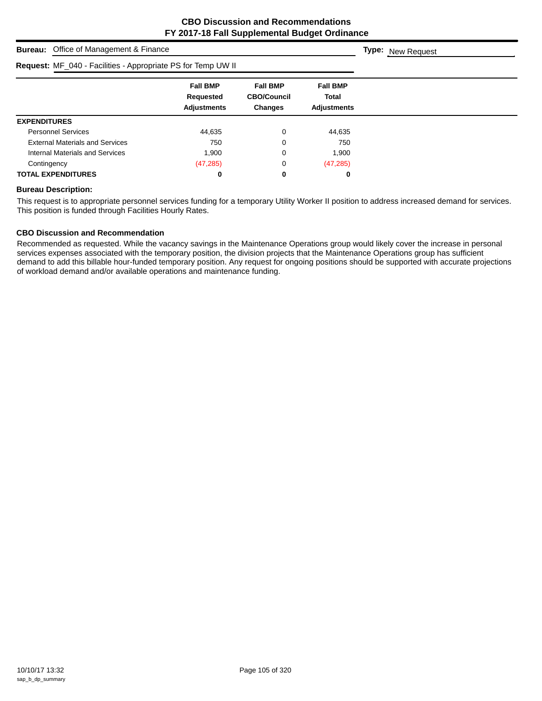| <b>Bureau:</b> Office of Management & Finance                | <b>Type:</b> New Request                           |                                                  |                                                       |  |
|--------------------------------------------------------------|----------------------------------------------------|--------------------------------------------------|-------------------------------------------------------|--|
| Request: MF_040 - Facilities - Appropriate PS for Temp UW II |                                                    |                                                  |                                                       |  |
|                                                              | <b>Fall BMP</b><br>Requested<br><b>Adjustments</b> | <b>Fall BMP</b><br><b>CBO/Council</b><br>Changes | <b>Fall BMP</b><br><b>Total</b><br><b>Adjustments</b> |  |
| <b>EXPENDITURES</b>                                          |                                                    |                                                  |                                                       |  |
| <b>Personnel Services</b>                                    | 44,635                                             | 0                                                | 44,635                                                |  |
| <b>External Materials and Services</b>                       | 750                                                | 0                                                | 750                                                   |  |
| Internal Materials and Services                              | 1.900                                              | 0                                                | 1,900                                                 |  |
| Contingency                                                  | (47, 285)                                          | 0                                                | (47, 285)                                             |  |
| <b>TOTAL EXPENDITURES</b>                                    | 0                                                  | 0                                                | 0                                                     |  |

#### **Bureau Description:**

This request is to appropriate personnel services funding for a temporary Utility Worker II position to address increased demand for services. This position is funded through Facilities Hourly Rates.

## **CBO Discussion and Recommendation**

Recommended as requested. While the vacancy savings in the Maintenance Operations group would likely cover the increase in personal services expenses associated with the temporary position, the division projects that the Maintenance Operations group has sufficient demand to add this billable hour-funded temporary position. Any request for ongoing positions should be supported with accurate projections of workload demand and/or available operations and maintenance funding.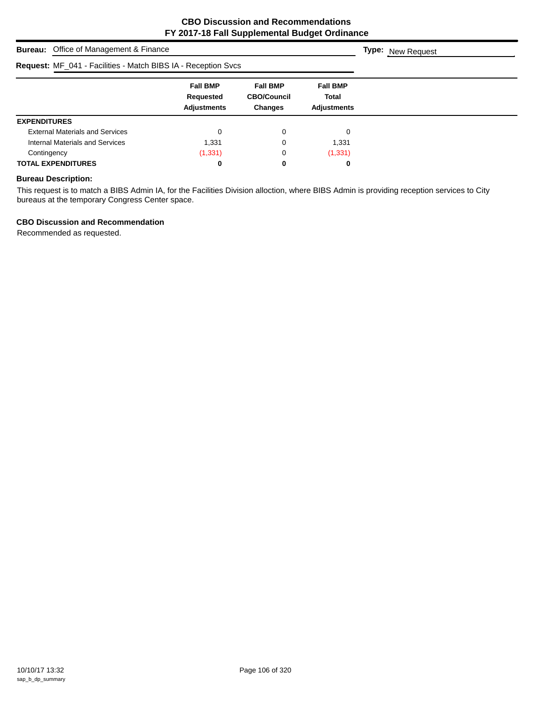| <b>Bureau:</b> Office of Management & Finance                 | <b>Type:</b> New Request                           |                                                         |                                                |  |
|---------------------------------------------------------------|----------------------------------------------------|---------------------------------------------------------|------------------------------------------------|--|
| Request: MF_041 - Facilities - Match BIBS IA - Reception Svcs |                                                    |                                                         |                                                |  |
|                                                               | <b>Fall BMP</b><br>Requested<br><b>Adjustments</b> | <b>Fall BMP</b><br><b>CBO/Council</b><br><b>Changes</b> | <b>Fall BMP</b><br>Total<br><b>Adjustments</b> |  |
| <b>EXPENDITURES</b>                                           |                                                    |                                                         |                                                |  |
| <b>External Materials and Services</b>                        | 0                                                  | 0                                                       | 0                                              |  |
| Internal Materials and Services                               | 1.331                                              | 0                                                       | 1,331                                          |  |
| Contingency                                                   | (1, 331)                                           | 0                                                       | (1, 331)                                       |  |
| <b>TOTAL EXPENDITURES</b>                                     | 0                                                  | 0                                                       | 0                                              |  |

#### **Bureau Description:**

This request is to match a BIBS Admin IA, for the Facilities Division alloction, where BIBS Admin is providing reception services to City bureaus at the temporary Congress Center space.

## **CBO Discussion and Recommendation**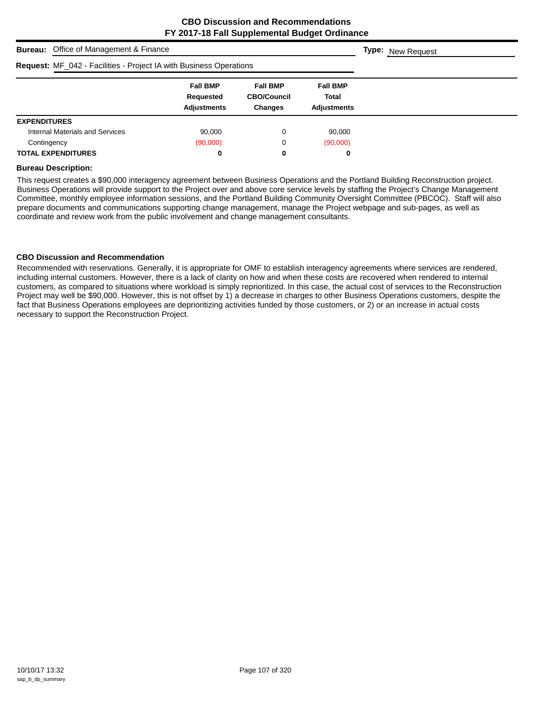| <b>Bureau:</b> Office of Management & Finance                      | <b>Type:</b> New Request                           |                                                         |                                                |  |
|--------------------------------------------------------------------|----------------------------------------------------|---------------------------------------------------------|------------------------------------------------|--|
| Request: MF_042 - Facilities - Project IA with Business Operations |                                                    |                                                         |                                                |  |
|                                                                    | <b>Fall BMP</b><br>Requested<br><b>Adjustments</b> | <b>Fall BMP</b><br><b>CBO/Council</b><br><b>Changes</b> | <b>Fall BMP</b><br><b>Total</b><br>Adjustments |  |
| <b>EXPENDITURES</b>                                                |                                                    |                                                         |                                                |  |
| Internal Materials and Services                                    | 90.000                                             | 0                                                       | 90,000                                         |  |
| Contingency                                                        | (90,000)                                           | 0                                                       | (90,000)                                       |  |
| <b>TOTAL EXPENDITURES</b>                                          | 0                                                  | 0                                                       | 0                                              |  |

#### **Bureau Description:**

This request creates a \$90,000 interagency agreement between Business Operations and the Portland Building Reconstruction project. Business Operations will provide support to the Project over and above core service levels by staffing the Project's Change Management Committee, monthly employee information sessions, and the Portland Building Community Oversight Committee (PBCOC). Staff will also prepare documents and communications supporting change management, manage the Project webpage and sub-pages, as well as coordinate and review work from the public involvement and change management consultants.

#### **CBO Discussion and Recommendation**

Recommended with reservations. Generally, it is appropriate for OMF to establish interagency agreements where services are rendered, including internal customers. However, there is a lack of clarity on how and when these costs are recovered when rendered to internal customers, as compared to situations where workload is simply reprioritized. In this case, the actual cost of services to the Reconstruction Project may well be \$90,000. However, this is not offset by 1) a decrease in charges to other Business Operations customers, despite the fact that Business Operations employees are deprioritizing activities funded by those customers, or 2) or an increase in actual costs necessary to support the Reconstruction Project.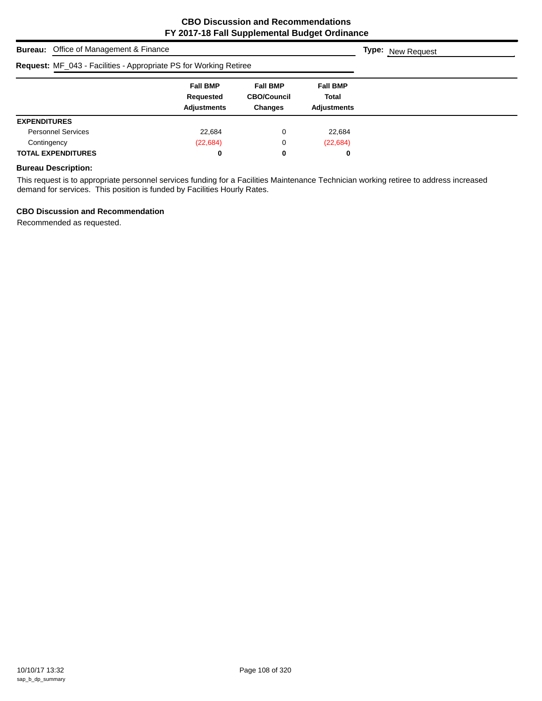| <b>Bureau:</b> Office of Management & Finance                            | <b>Type:</b> New Request                           |                                                         |                                                |  |
|--------------------------------------------------------------------------|----------------------------------------------------|---------------------------------------------------------|------------------------------------------------|--|
| <b>Request: MF_043 - Facilities - Appropriate PS for Working Retiree</b> |                                                    |                                                         |                                                |  |
|                                                                          | <b>Fall BMP</b><br>Requested<br><b>Adjustments</b> | <b>Fall BMP</b><br><b>CBO/Council</b><br><b>Changes</b> | <b>Fall BMP</b><br>Total<br><b>Adjustments</b> |  |
| <b>EXPENDITURES</b>                                                      |                                                    |                                                         |                                                |  |
| <b>Personnel Services</b>                                                | 22,684                                             | 0                                                       | 22,684                                         |  |
| Contingency                                                              | (22, 684)                                          | 0                                                       | (22, 684)                                      |  |
| <b>TOTAL EXPENDITURES</b>                                                | 0                                                  | 0                                                       | 0                                              |  |

### **Bureau Description:**

This request is to appropriate personnel services funding for a Facilities Maintenance Technician working retiree to address increased demand for services. This position is funded by Facilities Hourly Rates.

#### **CBO Discussion and Recommendation**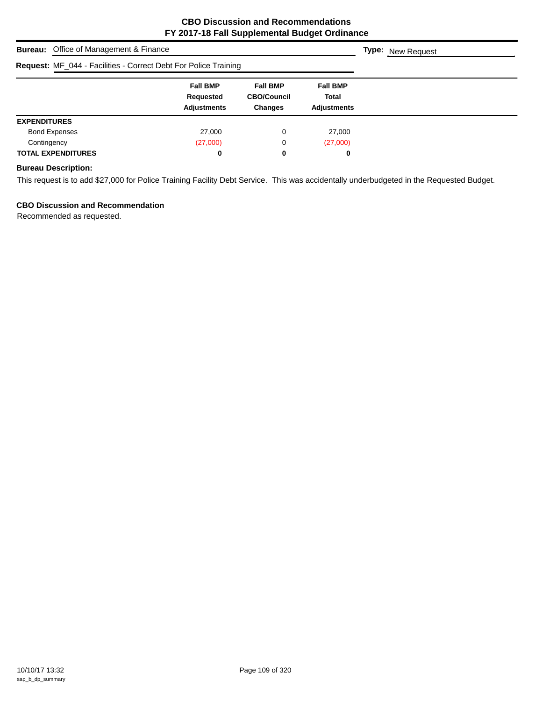| <b>Bureau:</b> Office of Management & Finance                   | <b>Type:</b> New Request                           |                                                         |                                                       |  |
|-----------------------------------------------------------------|----------------------------------------------------|---------------------------------------------------------|-------------------------------------------------------|--|
| Request: MF_044 - Facilities - Correct Debt For Police Training |                                                    |                                                         |                                                       |  |
|                                                                 | <b>Fall BMP</b><br>Requested<br><b>Adjustments</b> | <b>Fall BMP</b><br><b>CBO/Council</b><br><b>Changes</b> | <b>Fall BMP</b><br><b>Total</b><br><b>Adjustments</b> |  |
| <b>EXPENDITURES</b>                                             |                                                    |                                                         |                                                       |  |
| <b>Bond Expenses</b>                                            | 27,000                                             | 0                                                       | 27,000                                                |  |
| Contingency                                                     | (27,000)                                           | 0                                                       | (27,000)                                              |  |
| <b>TOTAL EXPENDITURES</b>                                       | 0                                                  | 0                                                       | 0                                                     |  |

### **Bureau Description:**

This request is to add \$27,000 for Police Training Facility Debt Service. This was accidentally underbudgeted in the Requested Budget.

# **CBO Discussion and Recommendation**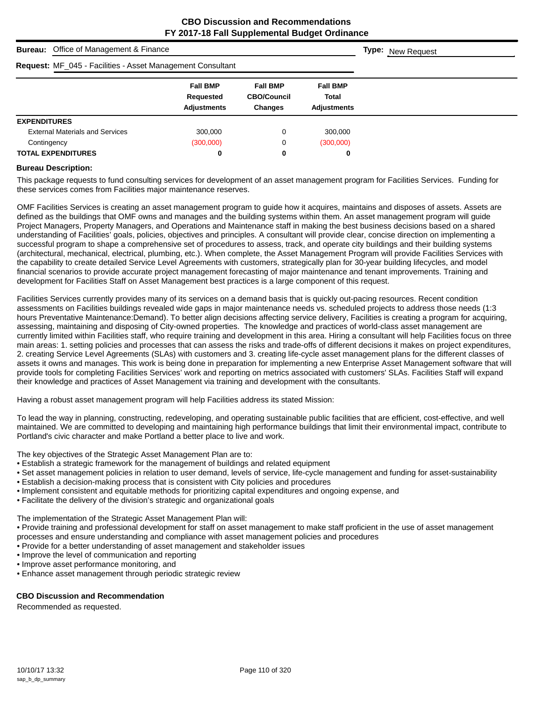| <b>Bureau:</b> Office of Management & Finance              | <b>Type:</b> New Request                           |                                                         |                                                       |  |
|------------------------------------------------------------|----------------------------------------------------|---------------------------------------------------------|-------------------------------------------------------|--|
| Request: MF_045 - Facilities - Asset Management Consultant |                                                    |                                                         |                                                       |  |
|                                                            | <b>Fall BMP</b><br>Requested<br><b>Adjustments</b> | <b>Fall BMP</b><br><b>CBO/Council</b><br><b>Changes</b> | <b>Fall BMP</b><br><b>Total</b><br><b>Adjustments</b> |  |
| <b>EXPENDITURES</b>                                        |                                                    |                                                         |                                                       |  |
| <b>External Materials and Services</b>                     | 300,000                                            | 0                                                       | 300,000                                               |  |
| Contingency                                                | (300,000)                                          | 0                                                       | (300,000)                                             |  |
| <b>TOTAL EXPENDITURES</b>                                  | 0                                                  | 0                                                       | 0                                                     |  |

#### **Bureau Description:**

This package requests to fund consulting services for development of an asset management program for Facilities Services. Funding for these services comes from Facilities major maintenance reserves.

OMF Facilities Services is creating an asset management program to guide how it acquires, maintains and disposes of assets. Assets are defined as the buildings that OMF owns and manages and the building systems within them. An asset management program will guide Project Managers, Property Managers, and Operations and Maintenance staff in making the best business decisions based on a shared understanding of Facilities' goals, policies, objectives and principles. A consultant will provide clear, concise direction on implementing a successful program to shape a comprehensive set of procedures to assess, track, and operate city buildings and their building systems (architectural, mechanical, electrical, plumbing, etc.). When complete, the Asset Management Program will provide Facilities Services with the capability to create detailed Service Level Agreements with customers, strategically plan for 30-year building lifecycles, and model financial scenarios to provide accurate project management forecasting of major maintenance and tenant improvements. Training and development for Facilities Staff on Asset Management best practices is a large component of this request.

Facilities Services currently provides many of its services on a demand basis that is quickly out-pacing resources. Recent condition assessments on Facilities buildings revealed wide gaps in major maintenance needs vs. scheduled projects to address those needs (1:3 hours Preventative Maintenance:Demand). To better align decisions affecting service delivery, Facilities is creating a program for acquiring, assessing, maintaining and disposing of City-owned properties. The knowledge and practices of world-class asset management are currently limited within Facilities staff, who require training and development in this area. Hiring a consultant will help Facilities focus on three main areas: 1. setting policies and processes that can assess the risks and trade-offs of different decisions it makes on project expenditures, 2. creating Service Level Agreements (SLAs) with customers and 3. creating life-cycle asset management plans for the different classes of assets it owns and manages. This work is being done in preparation for implementing a new Enterprise Asset Management software that will provide tools for completing Facilities Services' work and reporting on metrics associated with customers' SLAs. Facilities Staff will expand their knowledge and practices of Asset Management via training and development with the consultants.

Having a robust asset management program will help Facilities address its stated Mission:

To lead the way in planning, constructing, redeveloping, and operating sustainable public facilities that are efficient, cost-effective, and well maintained. We are committed to developing and maintaining high performance buildings that limit their environmental impact, contribute to Portland's civic character and make Portland a better place to live and work.

The key objectives of the Strategic Asset Management Plan are to:

- Establish a strategic framework for the management of buildings and related equipment
- Set asset management policies in relation to user demand, levels of service, life-cycle management and funding for asset-sustainability
- Establish a decision-making process that is consistent with City policies and procedures
- Implement consistent and equitable methods for prioritizing capital expenditures and ongoing expense, and
- Facilitate the delivery of the division's strategic and organizational goals

The implementation of the Strategic Asset Management Plan will:

• Provide training and professional development for staff on asset management to make staff proficient in the use of asset management processes and ensure understanding and compliance with asset management policies and procedures

- Provide for a better understanding of asset management and stakeholder issues
- Improve the level of communication and reporting
- Improve asset performance monitoring, and
- Enhance asset management through periodic strategic review

#### **CBO Discussion and Recommendation**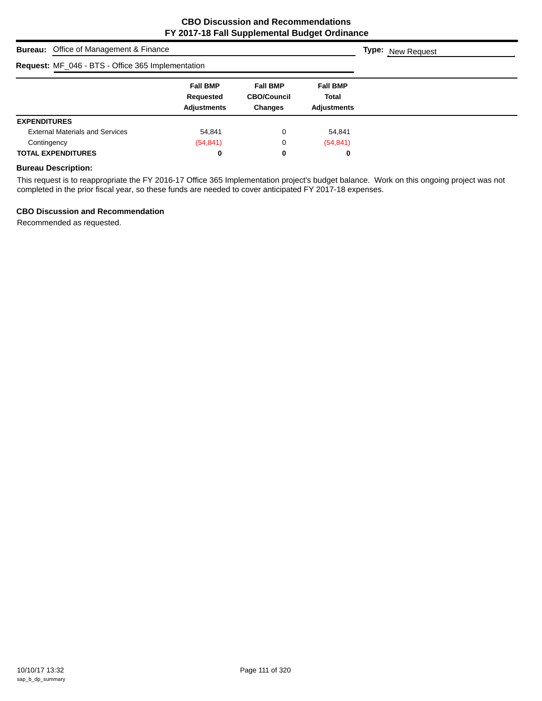| <b>Bureau:</b> Office of Management & Finance     | <b>Type:</b> New Request                           |                                                  |                                                       |  |
|---------------------------------------------------|----------------------------------------------------|--------------------------------------------------|-------------------------------------------------------|--|
| Request: MF_046 - BTS - Office 365 Implementation |                                                    |                                                  |                                                       |  |
|                                                   | <b>Fall BMP</b><br>Requested<br><b>Adjustments</b> | <b>Fall BMP</b><br><b>CBO/Council</b><br>Changes | <b>Fall BMP</b><br><b>Total</b><br><b>Adjustments</b> |  |
| <b>EXPENDITURES</b>                               |                                                    |                                                  |                                                       |  |
| <b>External Materials and Services</b>            | 54,841                                             | 0                                                | 54,841                                                |  |
| Contingency                                       | (54, 841)                                          | 0                                                | (54, 841)                                             |  |
| <b>TOTAL EXPENDITURES</b>                         | 0                                                  | 0                                                | 0                                                     |  |

#### **Bureau Description:**

This request is to reappropriate the FY 2016-17 Office 365 Implementation project's budget balance. Work on this ongoing project was not completed in the prior fiscal year, so these funds are needed to cover anticipated FY 2017-18 expenses.

#### **CBO Discussion and Recommendation**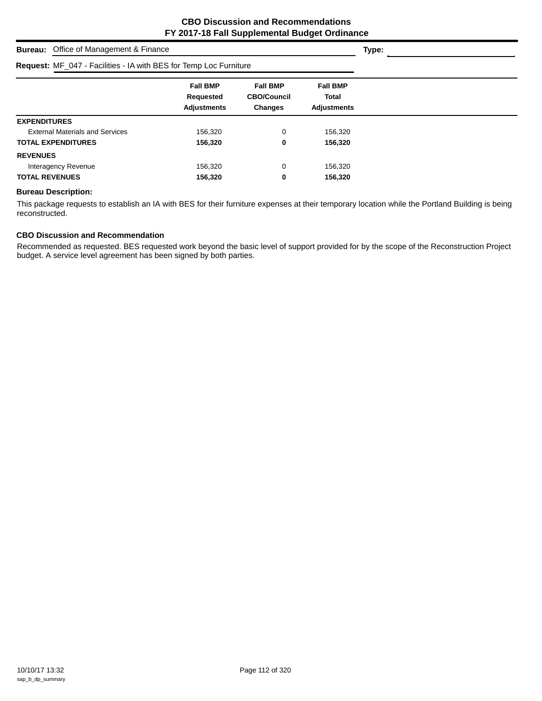| <b>Bureau:</b> Office of Management & Finance                     | Type:                                              |                                                         |                                                       |  |
|-------------------------------------------------------------------|----------------------------------------------------|---------------------------------------------------------|-------------------------------------------------------|--|
| Request: MF_047 - Facilities - IA with BES for Temp Loc Furniture |                                                    |                                                         |                                                       |  |
|                                                                   | <b>Fall BMP</b><br>Requested<br><b>Adjustments</b> | <b>Fall BMP</b><br><b>CBO/Council</b><br><b>Changes</b> | <b>Fall BMP</b><br><b>Total</b><br><b>Adjustments</b> |  |
| <b>EXPENDITURES</b>                                               |                                                    |                                                         |                                                       |  |
| <b>External Materials and Services</b>                            | 156,320                                            | 0                                                       | 156,320                                               |  |
| <b>TOTAL EXPENDITURES</b>                                         | 156,320                                            | 0                                                       | 156,320                                               |  |
| <b>REVENUES</b>                                                   |                                                    |                                                         |                                                       |  |
| Interagency Revenue                                               | 156,320                                            | 0                                                       | 156,320                                               |  |
| <b>TOTAL REVENUES</b>                                             | 156,320                                            | 0                                                       | 156,320                                               |  |

#### **Bureau Description:**

This package requests to establish an IA with BES for their furniture expenses at their temporary location while the Portland Building is being reconstructed.

# **CBO Discussion and Recommendation**

Recommended as requested. BES requested work beyond the basic level of support provided for by the scope of the Reconstruction Project budget. A service level agreement has been signed by both parties.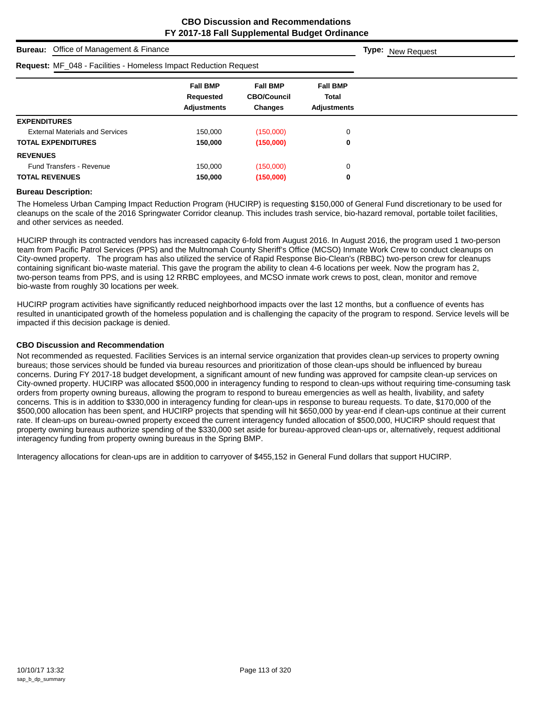| Office of Management & Finance<br><b>Bureau:</b>                        | <b>Type:</b> New Request                           |                                                  |                                                       |  |
|-------------------------------------------------------------------------|----------------------------------------------------|--------------------------------------------------|-------------------------------------------------------|--|
| <b>Request: MF_048 - Facilities - Homeless Impact Reduction Request</b> |                                                    |                                                  |                                                       |  |
|                                                                         | <b>Fall BMP</b><br>Requested<br><b>Adjustments</b> | <b>Fall BMP</b><br><b>CBO/Council</b><br>Changes | <b>Fall BMP</b><br><b>Total</b><br><b>Adjustments</b> |  |
| <b>EXPENDITURES</b>                                                     |                                                    |                                                  |                                                       |  |
| <b>External Materials and Services</b>                                  | 150.000                                            | (150,000)                                        | 0                                                     |  |
| <b>TOTAL EXPENDITURES</b>                                               | 150,000                                            | (150,000)                                        | 0                                                     |  |
| <b>REVENUES</b>                                                         |                                                    |                                                  |                                                       |  |
| <b>Fund Transfers - Revenue</b>                                         | 150,000                                            | (150,000)                                        | 0                                                     |  |
| <b>TOTAL REVENUES</b>                                                   | 150,000                                            | (150,000)                                        | 0                                                     |  |

#### **Bureau Description:**

The Homeless Urban Camping Impact Reduction Program (HUCIRP) is requesting \$150,000 of General Fund discretionary to be used for cleanups on the scale of the 2016 Springwater Corridor cleanup. This includes trash service, bio-hazard removal, portable toilet facilities, and other services as needed.

HUCIRP through its contracted vendors has increased capacity 6-fold from August 2016. In August 2016, the program used 1 two-person team from Pacific Patrol Services (PPS) and the Multnomah County Sheriff's Office (MCSO) Inmate Work Crew to conduct cleanups on City-owned property. The program has also utilized the service of Rapid Response Bio-Clean's (RBBC) two-person crew for cleanups containing significant bio-waste material. This gave the program the ability to clean 4-6 locations per week. Now the program has 2, two-person teams from PPS, and is using 12 RRBC employees, and MCSO inmate work crews to post, clean, monitor and remove bio-waste from roughly 30 locations per week.

HUCIRP program activities have significantly reduced neighborhood impacts over the last 12 months, but a confluence of events has resulted in unanticipated growth of the homeless population and is challenging the capacity of the program to respond. Service levels will be impacted if this decision package is denied.

#### **CBO Discussion and Recommendation**

Not recommended as requested. Facilities Services is an internal service organization that provides clean-up services to property owning bureaus; those services should be funded via bureau resources and prioritization of those clean-ups should be influenced by bureau concerns. During FY 2017-18 budget development, a significant amount of new funding was approved for campsite clean-up services on City-owned property. HUCIRP was allocated \$500,000 in interagency funding to respond to clean-ups without requiring time-consuming task orders from property owning bureaus, allowing the program to respond to bureau emergencies as well as health, livability, and safety concerns. This is in addition to \$330,000 in interagency funding for clean-ups in response to bureau requests. To date, \$170,000 of the \$500,000 allocation has been spent, and HUCIRP projects that spending will hit \$650,000 by year-end if clean-ups continue at their current rate. If clean-ups on bureau-owned property exceed the current interagency funded allocation of \$500,000, HUCIRP should request that property owning bureaus authorize spending of the \$330,000 set aside for bureau-approved clean-ups or, alternatively, request additional interagency funding from property owning bureaus in the Spring BMP.

Interagency allocations for clean-ups are in addition to carryover of \$455,152 in General Fund dollars that support HUCIRP.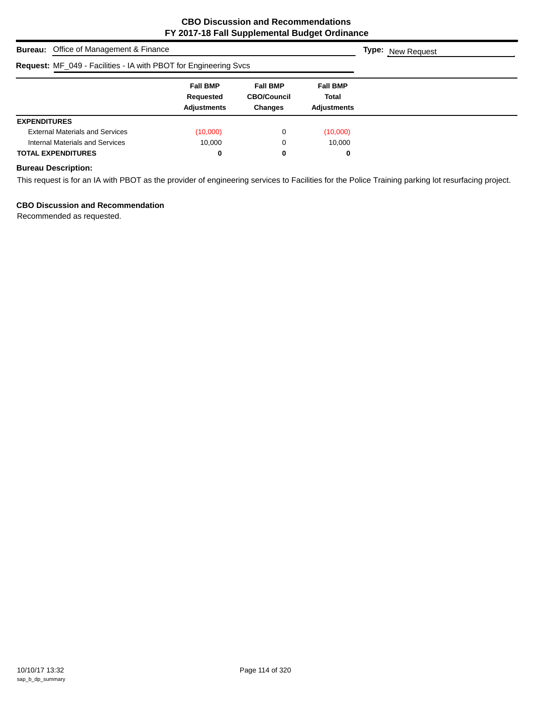| <b>Bureau:</b> Office of Management & Finance                    |                                                    |                                                         |                                                       |  |  |  |
|------------------------------------------------------------------|----------------------------------------------------|---------------------------------------------------------|-------------------------------------------------------|--|--|--|
| Request: MF_049 - Facilities - IA with PBOT for Engineering Svcs |                                                    |                                                         |                                                       |  |  |  |
|                                                                  | <b>Fall BMP</b><br>Requested<br><b>Adjustments</b> | <b>Fall BMP</b><br><b>CBO/Council</b><br><b>Changes</b> | <b>Fall BMP</b><br><b>Total</b><br><b>Adjustments</b> |  |  |  |
| <b>EXPENDITURES</b>                                              |                                                    |                                                         |                                                       |  |  |  |
| <b>External Materials and Services</b>                           | (10,000)                                           | 0                                                       | (10,000)                                              |  |  |  |
| Internal Materials and Services                                  | 10.000                                             | 0                                                       | 10.000                                                |  |  |  |
| <b>TOTAL EXPENDITURES</b>                                        | 0                                                  | 0                                                       | 0                                                     |  |  |  |

# **Bureau Description:**

This request is for an IA with PBOT as the provider of engineering services to Facilities for the Police Training parking lot resurfacing project.

# **CBO Discussion and Recommendation**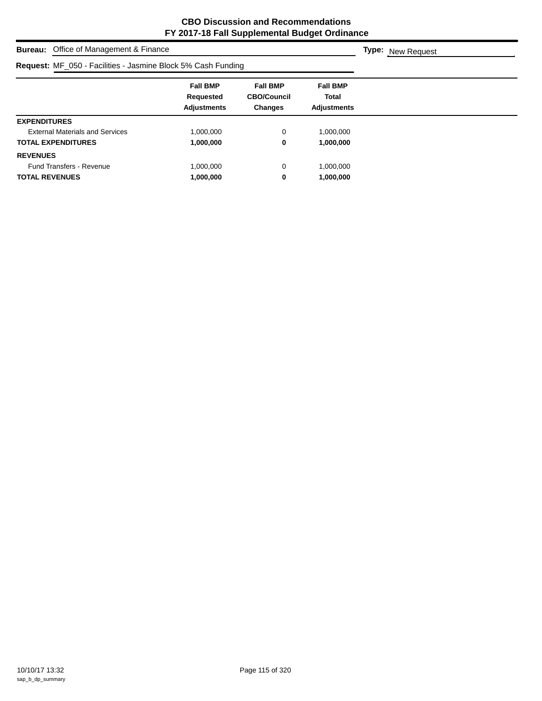| <b>Bureau:</b> Office of Management & Finance                | <b>Type:</b> New Request                           |                                                         |                                                |  |
|--------------------------------------------------------------|----------------------------------------------------|---------------------------------------------------------|------------------------------------------------|--|
| Request: MF_050 - Facilities - Jasmine Block 5% Cash Funding |                                                    |                                                         |                                                |  |
|                                                              | <b>Fall BMP</b><br>Requested<br><b>Adjustments</b> | <b>Fall BMP</b><br><b>CBO/Council</b><br><b>Changes</b> | <b>Fall BMP</b><br>Total<br><b>Adjustments</b> |  |
| <b>EXPENDITURES</b>                                          |                                                    |                                                         |                                                |  |
| <b>External Materials and Services</b>                       | 1,000,000                                          | 0                                                       | 1,000,000                                      |  |
| <b>TOTAL EXPENDITURES</b>                                    | 1,000,000                                          | 0                                                       | 1,000,000                                      |  |
| <b>REVENUES</b>                                              |                                                    |                                                         |                                                |  |
| <b>Fund Transfers - Revenue</b>                              | 1,000,000                                          | 0                                                       | 1,000,000                                      |  |
| <b>TOTAL REVENUES</b>                                        | 1,000,000                                          | 0                                                       | 1,000,000                                      |  |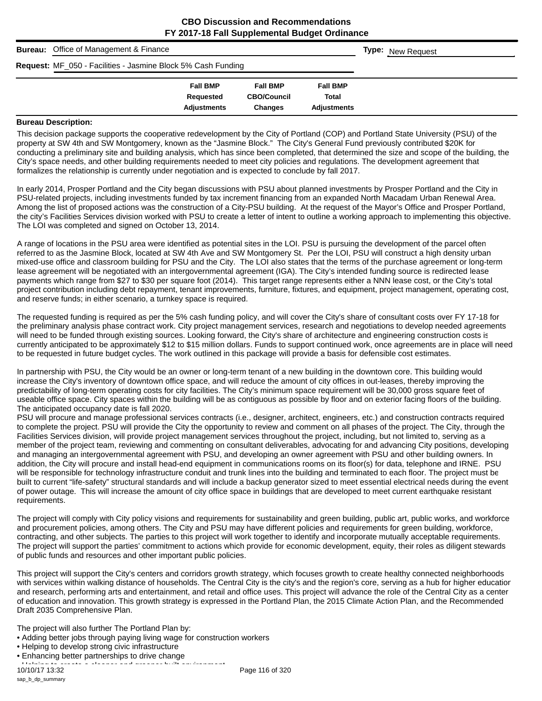|   | <b>Bureau:</b> Office of Management & Finance                |                    |                    |                    |  | <b>Type:</b> New Request |
|---|--------------------------------------------------------------|--------------------|--------------------|--------------------|--|--------------------------|
|   | Request: MF_050 - Facilities - Jasmine Block 5% Cash Funding |                    |                    |                    |  |                          |
|   |                                                              | <b>Fall BMP</b>    | <b>Fall BMP</b>    | <b>Fall BMP</b>    |  |                          |
|   |                                                              | Requested          | <b>CBO/Council</b> | <b>Total</b>       |  |                          |
|   |                                                              | <b>Adjustments</b> | <b>Changes</b>     | <b>Adjustments</b> |  |                          |
| - | .<br>$\overline{\phantom{a}}$                                |                    |                    |                    |  |                          |

#### **Bureau Description:**

This decision package supports the cooperative redevelopment by the City of Portland (COP) and Portland State University (PSU) of the property at SW 4th and SW Montgomery, known as the "Jasmine Block." The City's General Fund previously contributed \$20K for conducting a preliminary site and building analysis, which has since been completed, that determined the size and scope of the building, the City's space needs, and other building requirements needed to meet city policies and regulations. The development agreement that formalizes the relationship is currently under negotiation and is expected to conclude by fall 2017.

In early 2014, Prosper Portland and the City began discussions with PSU about planned investments by Prosper Portland and the City in PSU-related projects, including investments funded by tax increment financing from an expanded North Macadam Urban Renewal Area. Among the list of proposed actions was the construction of a City-PSU building. At the request of the Mayor's Office and Prosper Portland, the city's Facilities Services division worked with PSU to create a letter of intent to outline a working approach to implementing this objective. The LOI was completed and signed on October 13, 2014.

A range of locations in the PSU area were identified as potential sites in the LOI. PSU is pursuing the development of the parcel often referred to as the Jasmine Block, located at SW 4th Ave and SW Montgomery St. Per the LOI, PSU will construct a high density urban mixed-use office and classroom building for PSU and the City. The LOI also states that the terms of the purchase agreement or long-term lease agreement will be negotiated with an intergovernmental agreement (IGA). The City's intended funding source is redirected lease payments which range from \$27 to \$30 per square foot (2014). This target range represents either a NNN lease cost, or the City's total project contribution including debt repayment, tenant improvements, furniture, fixtures, and equipment, project management, operating cost, and reserve funds; in either scenario, a turnkey space is required.

The requested funding is required as per the 5% cash funding policy, and will cover the City's share of consultant costs over FY 17-18 for the preliminary analysis phase contract work. City project management services, research and negotiations to develop needed agreements will need to be funded through existing sources. Looking forward, the City's share of architecture and engineering construction costs is currently anticipated to be approximately \$12 to \$15 million dollars. Funds to support continued work, once agreements are in place will need to be requested in future budget cycles. The work outlined in this package will provide a basis for defensible cost estimates.

In partnership with PSU, the City would be an owner or long-term tenant of a new building in the downtown core. This building would increase the City's inventory of downtown office space, and will reduce the amount of city offices in out-leases, thereby improving the predictability of long-term operating costs for city facilities. The City's minimum space requirement will be 30,000 gross square feet of useable office space. City spaces within the building will be as contiguous as possible by floor and on exterior facing floors of the building. The anticipated occupancy date is fall 2020.

PSU will procure and manage professional services contracts (i.e., designer, architect, engineers, etc.) and construction contracts required to complete the project. PSU will provide the City the opportunity to review and comment on all phases of the project. The City, through the Facilities Services division, will provide project management services throughout the project, including, but not limited to, serving as a member of the project team, reviewing and commenting on consultant deliverables, advocating for and advancing City positions, developing and managing an intergovernmental agreement with PSU, and developing an owner agreement with PSU and other building owners. In addition, the City will procure and install head-end equipment in communications rooms on its floor(s) for data, telephone and IRNE. PSU will be responsible for technology infrastructure conduit and trunk lines into the building and terminated to each floor. The project must be built to current "life-safety" structural standards and will include a backup generator sized to meet essential electrical needs during the event of power outage. This will increase the amount of city office space in buildings that are developed to meet current earthquake resistant requirements.

The project will comply with City policy visions and requirements for sustainability and green building, public art, public works, and workforce and procurement policies, among others. The City and PSU may have different policies and requirements for green building, workforce, contracting, and other subjects. The parties to this project will work together to identify and incorporate mutually acceptable requirements. The project will support the parties' commitment to actions which provide for economic development, equity, their roles as diligent stewards of public funds and resources and other important public policies.

This project will support the City's centers and corridors growth strategy, which focuses growth to create healthy connected neighborhoods with services within walking distance of households. The Central City is the city's and the region's core, serving as a hub for higher education and research, performing arts and entertainment, and retail and office uses. This project will advance the role of the Central City as a center of education and innovation. This growth strategy is expressed in the Portland Plan, the 2015 Climate Action Plan, and the Recommended Draft 2035 Comprehensive Plan.

The project will also further The Portland Plan by:

- Adding better jobs through paying living wage for construction workers
- Helping to develop strong civic infrastructure
- Enhancing better partnerships to drive change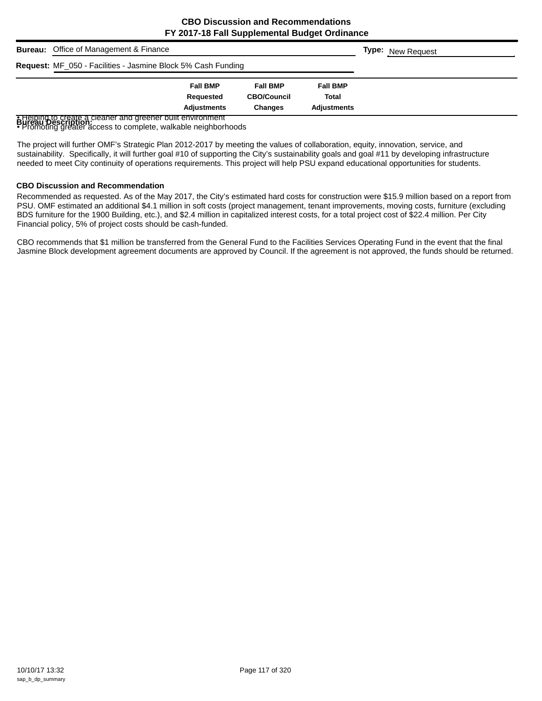| <b>Bureau:</b> Office of Management & Finance                      |                 |                    |                    |  | <b>Type:</b> New Request |
|--------------------------------------------------------------------|-----------------|--------------------|--------------------|--|--------------------------|
| Request: MF_050 - Facilities - Jasmine Block 5% Cash Funding       |                 |                    |                    |  |                          |
|                                                                    | <b>Fall BMP</b> | <b>Fall BMP</b>    | <b>Fall BMP</b>    |  |                          |
|                                                                    | Requested       | <b>CBO/Council</b> | Total              |  |                          |
|                                                                    | Adjustments     | <b>Changes</b>     | <b>Adiustments</b> |  |                          |
| <b>A Helping to create a cleaner and greener built environment</b> |                 |                    |                    |  |                          |

**B Helping to create a cleaner and greener built environment<br>BUI eau Description<br>• Promoting greater access to complete, walkable neighborhoods** 

The project will further OMF's Strategic Plan 2012-2017 by meeting the values of collaboration, equity, innovation, service, and sustainability. Specifically, it will further goal #10 of supporting the City's sustainability goals and goal #11 by developing infrastructure needed to meet City continuity of operations requirements. This project will help PSU expand educational opportunities for students.

#### **CBO Discussion and Recommendation**

Recommended as requested. As of the May 2017, the City's estimated hard costs for construction were \$15.9 million based on a report from PSU. OMF estimated an additional \$4.1 million in soft costs (project management, tenant improvements, moving costs, furniture (excluding BDS furniture for the 1900 Building, etc.), and \$2.4 million in capitalized interest costs, for a total project cost of \$22.4 million. Per City Financial policy, 5% of project costs should be cash-funded.

CBO recommends that \$1 million be transferred from the General Fund to the Facilities Services Operating Fund in the event that the final Jasmine Block development agreement documents are approved by Council. If the agreement is not approved, the funds should be returned.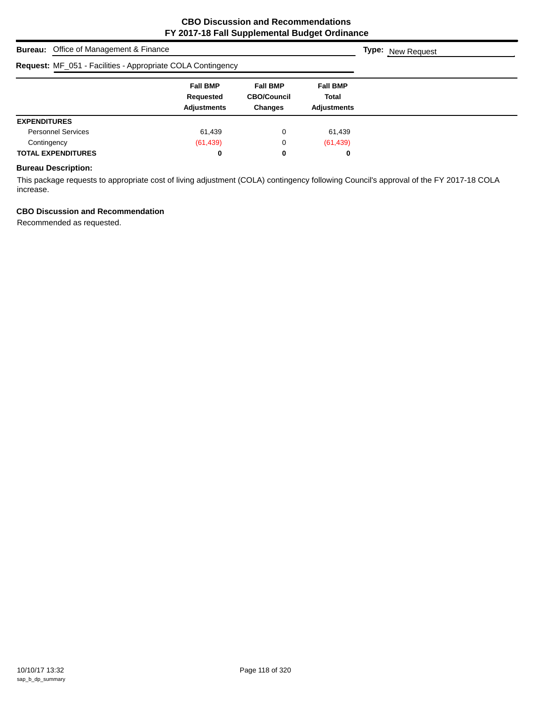| <b>Bureau:</b> Office of Management & Finance                      | <b>Type:</b> New Request                           |                                                         |                                                |  |
|--------------------------------------------------------------------|----------------------------------------------------|---------------------------------------------------------|------------------------------------------------|--|
| <b>Request: MF_051 - Facilities - Appropriate COLA Contingency</b> |                                                    |                                                         |                                                |  |
|                                                                    | <b>Fall BMP</b><br>Requested<br><b>Adjustments</b> | <b>Fall BMP</b><br><b>CBO/Council</b><br><b>Changes</b> | <b>Fall BMP</b><br>Total<br><b>Adjustments</b> |  |
| <b>EXPENDITURES</b>                                                |                                                    |                                                         |                                                |  |
| <b>Personnel Services</b>                                          | 61,439                                             | 0                                                       | 61,439                                         |  |
| Contingency                                                        | (61, 439)                                          | 0                                                       | (61, 439)                                      |  |
| <b>TOTAL EXPENDITURES</b>                                          | 0                                                  | 0                                                       | 0                                              |  |

### **Bureau Description:**

This package requests to appropriate cost of living adjustment (COLA) contingency following Council's approval of the FY 2017-18 COLA increase.

# **CBO Discussion and Recommendation**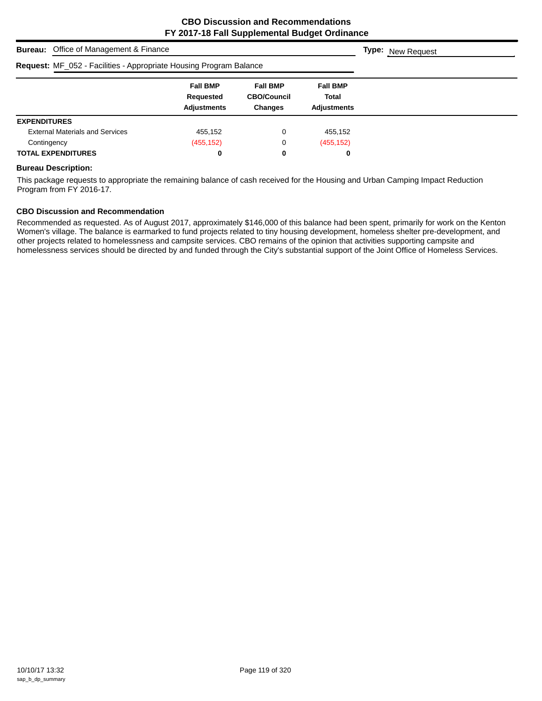| <b>Bureau:</b> Office of Management & Finance                      |                                                    |                                                         |                                                |  |  |  |
|--------------------------------------------------------------------|----------------------------------------------------|---------------------------------------------------------|------------------------------------------------|--|--|--|
| Request: MF_052 - Facilities - Appropriate Housing Program Balance |                                                    |                                                         |                                                |  |  |  |
|                                                                    | <b>Fall BMP</b><br>Requested<br><b>Adjustments</b> | <b>Fall BMP</b><br><b>CBO/Council</b><br><b>Changes</b> | <b>Fall BMP</b><br>Total<br><b>Adjustments</b> |  |  |  |
| <b>EXPENDITURES</b>                                                |                                                    |                                                         |                                                |  |  |  |
| <b>External Materials and Services</b>                             | 455,152                                            | 0                                                       | 455,152                                        |  |  |  |
| Contingency                                                        | (455, 152)                                         | 0                                                       | (455, 152)                                     |  |  |  |
| <b>TOTAL EXPENDITURES</b>                                          | 0                                                  | 0                                                       | 0                                              |  |  |  |

#### **Bureau Description:**

This package requests to appropriate the remaining balance of cash received for the Housing and Urban Camping Impact Reduction Program from FY 2016-17.

#### **CBO Discussion and Recommendation**

Recommended as requested. As of August 2017, approximately \$146,000 of this balance had been spent, primarily for work on the Kenton Women's village. The balance is earmarked to fund projects related to tiny housing development, homeless shelter pre-development, and other projects related to homelessness and campsite services. CBO remains of the opinion that activities supporting campsite and homelessness services should be directed by and funded through the City's substantial support of the Joint Office of Homeless Services.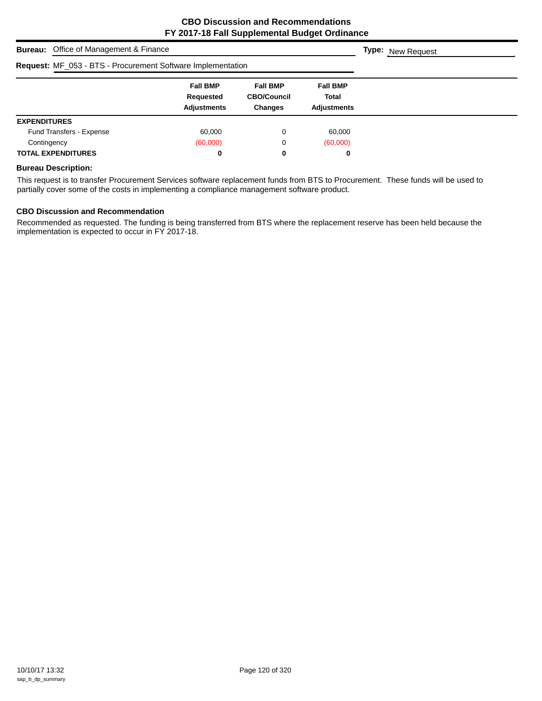|                           | <b>Bureau:</b> Office of Management & Finance                      | <b>Type:</b> New Request                           |                                                         |                                                       |  |
|---------------------------|--------------------------------------------------------------------|----------------------------------------------------|---------------------------------------------------------|-------------------------------------------------------|--|
|                           | <b>Request: MF_053 - BTS - Procurement Software Implementation</b> |                                                    |                                                         |                                                       |  |
|                           |                                                                    | <b>Fall BMP</b><br>Requested<br><b>Adjustments</b> | <b>Fall BMP</b><br><b>CBO/Council</b><br><b>Changes</b> | <b>Fall BMP</b><br><b>Total</b><br><b>Adjustments</b> |  |
| <b>EXPENDITURES</b>       |                                                                    |                                                    |                                                         |                                                       |  |
|                           | Fund Transfers - Expense                                           | 60.000                                             | 0                                                       | 60,000                                                |  |
| Contingency               |                                                                    | (60,000)                                           | 0                                                       | (60,000)                                              |  |
| <b>TOTAL EXPENDITURES</b> |                                                                    | 0                                                  | 0                                                       | 0                                                     |  |

#### **Bureau Description:**

This request is to transfer Procurement Services software replacement funds from BTS to Procurement. These funds will be used to partially cover some of the costs in implementing a compliance management software product.

#### **CBO Discussion and Recommendation**

Recommended as requested. The funding is being transferred from BTS where the replacement reserve has been held because the implementation is expected to occur in FY 2017-18.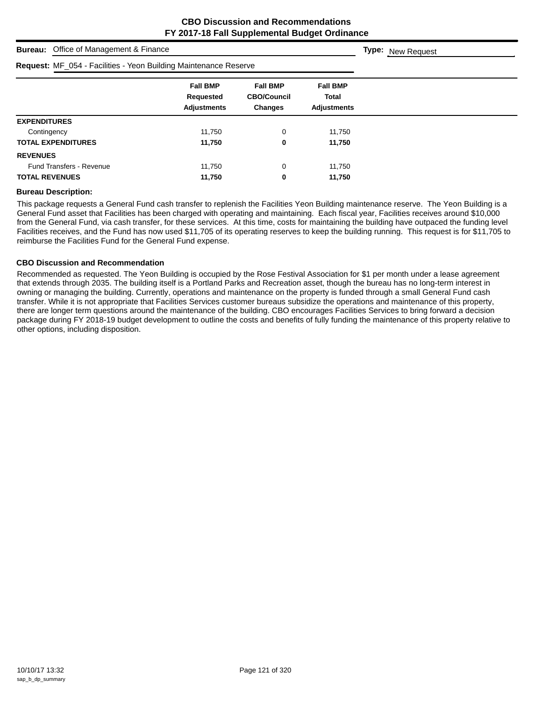| Office of Management & Finance<br><b>Bureau:</b>                 |                                                    |                                                  |                                                       | <b>Type:</b> New Request |
|------------------------------------------------------------------|----------------------------------------------------|--------------------------------------------------|-------------------------------------------------------|--------------------------|
| Request: MF_054 - Facilities - Yeon Building Maintenance Reserve |                                                    |                                                  |                                                       |                          |
|                                                                  | <b>Fall BMP</b><br>Requested<br><b>Adjustments</b> | <b>Fall BMP</b><br><b>CBO/Council</b><br>Changes | <b>Fall BMP</b><br><b>Total</b><br><b>Adjustments</b> |                          |
| <b>EXPENDITURES</b>                                              |                                                    |                                                  |                                                       |                          |
| Contingency                                                      | 11,750                                             | 0                                                | 11,750                                                |                          |
| <b>TOTAL EXPENDITURES</b>                                        | 11,750                                             | 0                                                | 11,750                                                |                          |
| <b>REVENUES</b>                                                  |                                                    |                                                  |                                                       |                          |
| <b>Fund Transfers - Revenue</b>                                  | 11.750                                             | $\mathbf 0$                                      | 11,750                                                |                          |
| <b>TOTAL REVENUES</b>                                            | 11,750                                             | 0                                                | 11,750                                                |                          |

#### **Bureau Description:**

This package requests a General Fund cash transfer to replenish the Facilities Yeon Building maintenance reserve. The Yeon Building is a General Fund asset that Facilities has been charged with operating and maintaining. Each fiscal year, Facilities receives around \$10,000 from the General Fund, via cash transfer, for these services. At this time, costs for maintaining the building have outpaced the funding level Facilities receives, and the Fund has now used \$11,705 of its operating reserves to keep the building running. This request is for \$11,705 to reimburse the Facilities Fund for the General Fund expense.

#### **CBO Discussion and Recommendation**

Recommended as requested. The Yeon Building is occupied by the Rose Festival Association for \$1 per month under a lease agreement that extends through 2035. The building itself is a Portland Parks and Recreation asset, though the bureau has no long-term interest in owning or managing the building. Currently, operations and maintenance on the property is funded through a small General Fund cash transfer. While it is not appropriate that Facilities Services customer bureaus subsidize the operations and maintenance of this property, there are longer term questions around the maintenance of the building. CBO encourages Facilities Services to bring forward a decision package during FY 2018-19 budget development to outline the costs and benefits of fully funding the maintenance of this property relative to other options, including disposition.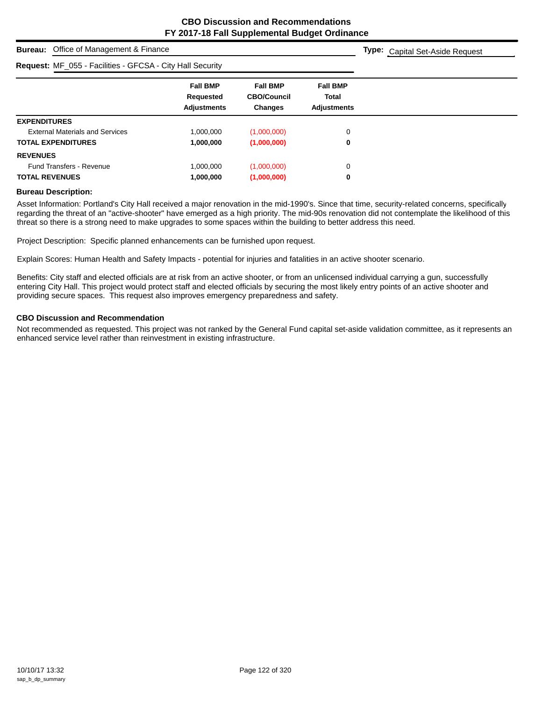**Type:** Capital Set-Aside Request

# **Bureau:** Office of Management & Finance

### **Request:** ME\_055 - Facilities - GECSA - City Hall Security

| Neguest. Mill _000 - I admitted - OI COA - Oily Fiail Occurity |                                                    |                                                         |                                                       |  |
|----------------------------------------------------------------|----------------------------------------------------|---------------------------------------------------------|-------------------------------------------------------|--|
|                                                                | <b>Fall BMP</b><br>Requested<br><b>Adjustments</b> | <b>Fall BMP</b><br><b>CBO/Council</b><br><b>Changes</b> | <b>Fall BMP</b><br><b>Total</b><br><b>Adjustments</b> |  |
| <b>EXPENDITURES</b>                                            |                                                    |                                                         |                                                       |  |
| <b>External Materials and Services</b>                         | 1,000,000                                          | (1,000,000)                                             | 0                                                     |  |
| <b>TOTAL EXPENDITURES</b>                                      | 1,000,000                                          | (1,000,000)                                             | 0                                                     |  |
| <b>REVENUES</b>                                                |                                                    |                                                         |                                                       |  |
| <b>Fund Transfers - Revenue</b>                                | 1,000,000                                          | (1,000,000)                                             | 0                                                     |  |
| <b>TOTAL REVENUES</b>                                          | 1,000,000                                          | (1,000,000)                                             | 0                                                     |  |
|                                                                |                                                    |                                                         |                                                       |  |

#### **Bureau Description:**

Asset Information: Portland's City Hall received a major renovation in the mid-1990's. Since that time, security-related concerns, specifically regarding the threat of an "active-shooter" have emerged as a high priority. The mid-90s renovation did not contemplate the likelihood of this threat so there is a strong need to make upgrades to some spaces within the building to better address this need.

Project Description: Specific planned enhancements can be furnished upon request.

Explain Scores: Human Health and Safety Impacts - potential for injuries and fatalities in an active shooter scenario.

Benefits: City staff and elected officials are at risk from an active shooter, or from an unlicensed individual carrying a gun, successfully entering City Hall. This project would protect staff and elected officials by securing the most likely entry points of an active shooter and providing secure spaces. This request also improves emergency preparedness and safety.

#### **CBO Discussion and Recommendation**

Not recommended as requested. This project was not ranked by the General Fund capital set-aside validation committee, as it represents an enhanced service level rather than reinvestment in existing infrastructure.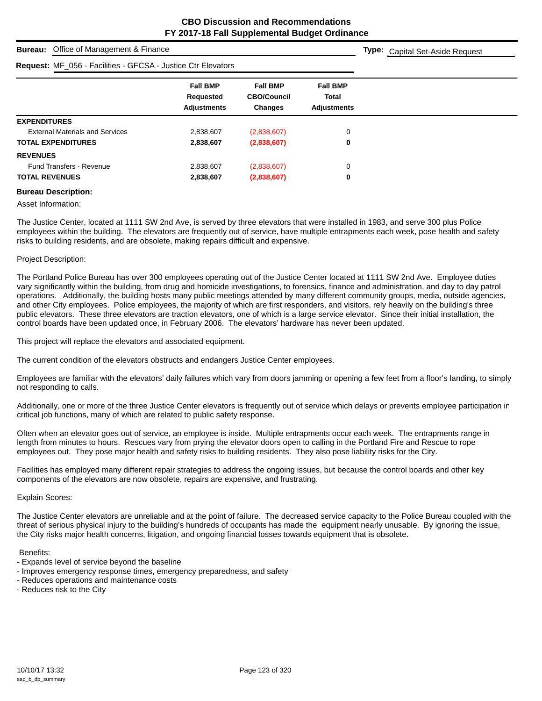**Type:** Capital Set-Aside Request

# **Bureau:** Office of Management & Finance

|                                        | <b>Request: MF_056 - Facilities - GFCSA - Justice Ctr Elevators</b> |                                                         |                                                       |  |  |  |
|----------------------------------------|---------------------------------------------------------------------|---------------------------------------------------------|-------------------------------------------------------|--|--|--|
|                                        | <b>Fall BMP</b><br>Requested<br><b>Adjustments</b>                  | <b>Fall BMP</b><br><b>CBO/Council</b><br><b>Changes</b> | <b>Fall BMP</b><br><b>Total</b><br><b>Adjustments</b> |  |  |  |
| <b>EXPENDITURES</b>                    |                                                                     |                                                         |                                                       |  |  |  |
| <b>External Materials and Services</b> | 2,838,607                                                           | (2,838,607)                                             | 0                                                     |  |  |  |
| <b>TOTAL EXPENDITURES</b>              | 2,838,607                                                           | (2,838,607)                                             | 0                                                     |  |  |  |
| <b>REVENUES</b>                        |                                                                     |                                                         |                                                       |  |  |  |
| <b>Fund Transfers - Revenue</b>        | 2,838,607                                                           | (2,838,607)                                             | 0                                                     |  |  |  |
| <b>TOTAL REVENUES</b>                  | 2,838,607                                                           | (2,838,607)                                             | 0                                                     |  |  |  |
|                                        |                                                                     |                                                         |                                                       |  |  |  |

#### **Bureau Description:**

Asset Information:

The Justice Center, located at 1111 SW 2nd Ave, is served by three elevators that were installed in 1983, and serve 300 plus Police employees within the building. The elevators are frequently out of service, have multiple entrapments each week, pose health and safety risks to building residents, and are obsolete, making repairs difficult and expensive.

#### Project Description:

The Portland Police Bureau has over 300 employees operating out of the Justice Center located at 1111 SW 2nd Ave. Employee duties vary significantly within the building, from drug and homicide investigations, to forensics, finance and administration, and day to day patrol operations. Additionally, the building hosts many public meetings attended by many different community groups, media, outside agencies, and other City employees. Police employees, the majority of which are first responders, and visitors, rely heavily on the building's three public elevators. These three elevators are traction elevators, one of which is a large service elevator. Since their initial installation, the control boards have been updated once, in February 2006. The elevators' hardware has never been updated.

This project will replace the elevators and associated equipment.

The current condition of the elevators obstructs and endangers Justice Center employees.

Employees are familiar with the elevators' daily failures which vary from doors jamming or opening a few feet from a floor's landing, to simply not responding to calls.

Additionally, one or more of the three Justice Center elevators is frequently out of service which delays or prevents employee participation in critical job functions, many of which are related to public safety response.

Often when an elevator goes out of service, an employee is inside. Multiple entrapments occur each week. The entrapments range in length from minutes to hours. Rescues vary from prying the elevator doors open to calling in the Portland Fire and Rescue to rope employees out. They pose major health and safety risks to building residents. They also pose liability risks for the City.

Facilities has employed many different repair strategies to address the ongoing issues, but because the control boards and other key components of the elevators are now obsolete, repairs are expensive, and frustrating.

#### Explain Scores:

The Justice Center elevators are unreliable and at the point of failure. The decreased service capacity to the Police Bureau coupled with the threat of serious physical injury to the building's hundreds of occupants has made the equipment nearly unusable. By ignoring the issue, the City risks major health concerns, litigation, and ongoing financial losses towards equipment that is obsolete.

#### Benefits:

- Expands level of service beyond the baseline
- Improves emergency response times, emergency preparedness, and safety
- Reduces operations and maintenance costs
- Reduces risk to the City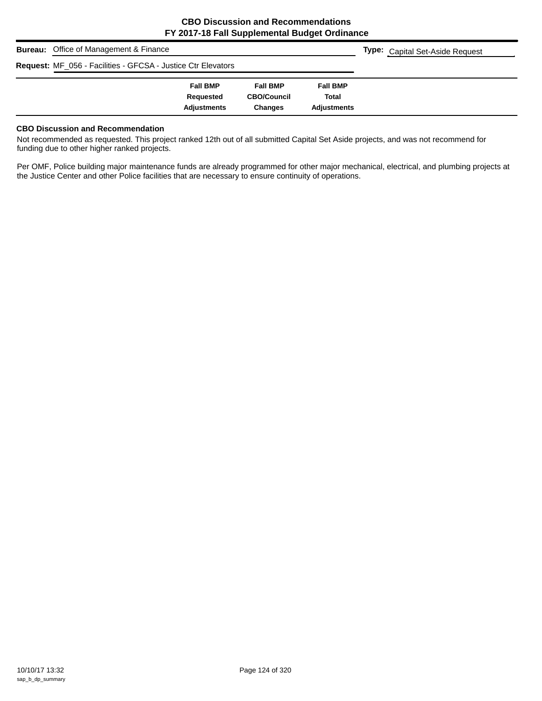| <b>Bureau:</b> Office of Management & Finance                | <b>Type:</b> Capital Set-Aside Request |                    |                    |  |
|--------------------------------------------------------------|----------------------------------------|--------------------|--------------------|--|
| Request: MF_056 - Facilities - GFCSA - Justice Ctr Elevators |                                        |                    |                    |  |
|                                                              | <b>Fall BMP</b>                        | <b>Fall BMP</b>    | <b>Fall BMP</b>    |  |
|                                                              | Requested                              | <b>CBO/Council</b> | <b>Total</b>       |  |
|                                                              | <b>Adjustments</b>                     | <b>Changes</b>     | <b>Adjustments</b> |  |

#### **CBO Discussion and Recommendation**

Not recommended as requested. This project ranked 12th out of all submitted Capital Set Aside projects, and was not recommend for funding due to other higher ranked projects.

Per OMF, Police building major maintenance funds are already programmed for other major mechanical, electrical, and plumbing projects at the Justice Center and other Police facilities that are necessary to ensure continuity of operations.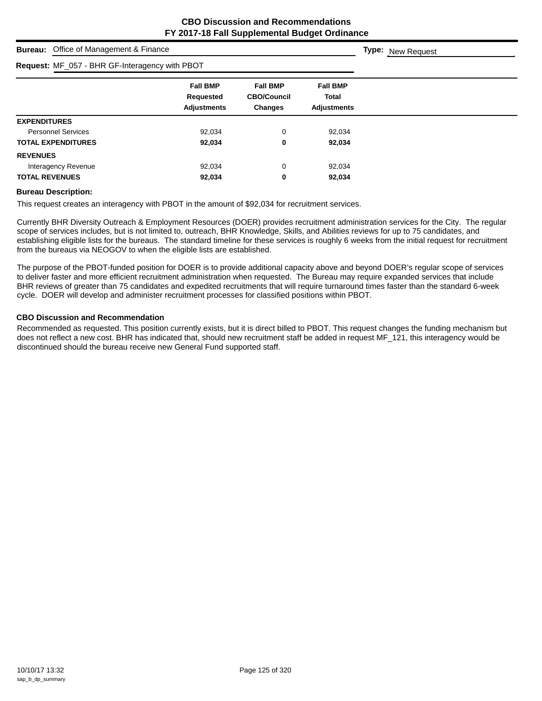|                                                | <b>Bureau:</b> Office of Management & Finance |                                                    |                                                  |                                                       | <b>Type:</b> New Request |  |  |  |
|------------------------------------------------|-----------------------------------------------|----------------------------------------------------|--------------------------------------------------|-------------------------------------------------------|--------------------------|--|--|--|
| Request: MF_057 - BHR GF-Interagency with PBOT |                                               |                                                    |                                                  |                                                       |                          |  |  |  |
|                                                |                                               | <b>Fall BMP</b><br>Requested<br><b>Adjustments</b> | <b>Fall BMP</b><br><b>CBO/Council</b><br>Changes | <b>Fall BMP</b><br><b>Total</b><br><b>Adjustments</b> |                          |  |  |  |
| <b>EXPENDITURES</b>                            |                                               |                                                    |                                                  |                                                       |                          |  |  |  |
| <b>Personnel Services</b>                      |                                               | 92,034                                             | 0                                                | 92,034                                                |                          |  |  |  |
| <b>TOTAL EXPENDITURES</b>                      |                                               | 92,034                                             | 0                                                | 92,034                                                |                          |  |  |  |
| <b>REVENUES</b>                                |                                               |                                                    |                                                  |                                                       |                          |  |  |  |
| Interagency Revenue                            |                                               | 92,034                                             | 0                                                | 92,034                                                |                          |  |  |  |
| <b>TOTAL REVENUES</b>                          |                                               | 92,034                                             | 0                                                | 92,034                                                |                          |  |  |  |

#### **Bureau Description:**

This request creates an interagency with PBOT in the amount of \$92,034 for recruitment services.

Currently BHR Diversity Outreach & Employment Resources (DOER) provides recruitment administration services for the City. The regular scope of services includes, but is not limited to, outreach, BHR Knowledge, Skills, and Abilities reviews for up to 75 candidates, and establishing eligible lists for the bureaus. The standard timeline for these services is roughly 6 weeks from the initial request for recruitment from the bureaus via NEOGOV to when the eligible lists are established.

The purpose of the PBOT-funded position for DOER is to provide additional capacity above and beyond DOER's regular scope of services to deliver faster and more efficient recruitment administration when requested. The Bureau may require expanded services that include BHR reviews of greater than 75 candidates and expedited recruitments that will require turnaround times faster than the standard 6-week cycle. DOER will develop and administer recruitment processes for classified positions within PBOT.

#### **CBO Discussion and Recommendation**

Recommended as requested. This position currently exists, but it is direct billed to PBOT. This request changes the funding mechanism but does not reflect a new cost. BHR has indicated that, should new recruitment staff be added in request MF\_121, this interagency would be discontinued should the bureau receive new General Fund supported staff.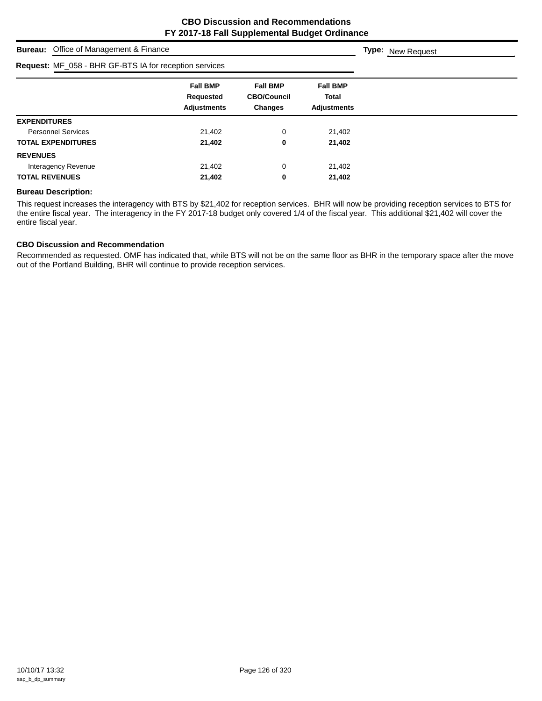|                       | <b>Bureau:</b> Office of Management & Finance          |                                                           |                                                         |                                                       | <b>Type:</b> New Request |
|-----------------------|--------------------------------------------------------|-----------------------------------------------------------|---------------------------------------------------------|-------------------------------------------------------|--------------------------|
|                       | Request: MF_058 - BHR GF-BTS IA for reception services |                                                           |                                                         |                                                       |                          |
|                       |                                                        | <b>Fall BMP</b><br><b>Requested</b><br><b>Adjustments</b> | <b>Fall BMP</b><br><b>CBO/Council</b><br><b>Changes</b> | <b>Fall BMP</b><br><b>Total</b><br><b>Adjustments</b> |                          |
| <b>EXPENDITURES</b>   |                                                        |                                                           |                                                         |                                                       |                          |
|                       | <b>Personnel Services</b>                              | 21,402                                                    | 0                                                       | 21,402                                                |                          |
|                       | <b>TOTAL EXPENDITURES</b>                              | 21,402                                                    | 0                                                       | 21,402                                                |                          |
| <b>REVENUES</b>       |                                                        |                                                           |                                                         |                                                       |                          |
|                       | Interagency Revenue                                    | 21,402                                                    | 0                                                       | 21,402                                                |                          |
| <b>TOTAL REVENUES</b> |                                                        | 21,402                                                    | 0                                                       | 21,402                                                |                          |

#### **Bureau Description:**

This request increases the interagency with BTS by \$21,402 for reception services. BHR will now be providing reception services to BTS for the entire fiscal year. The interagency in the FY 2017-18 budget only covered 1/4 of the fiscal year. This additional \$21,402 will cover the entire fiscal year.

#### **CBO Discussion and Recommendation**

Recommended as requested. OMF has indicated that, while BTS will not be on the same floor as BHR in the temporary space after the move out of the Portland Building, BHR will continue to provide reception services.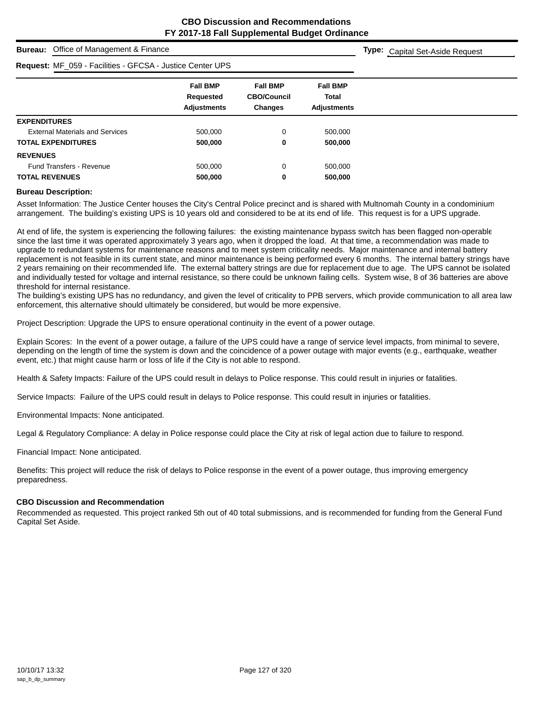**Type:** Capital Set-Aside Request

# **Bureau:** Office of Management & Finance

| <b>Request: MF_059 - Facilities - GFCSA - Justice Center UPS</b> |                                                    |                                                         |                                                       |  |  |
|------------------------------------------------------------------|----------------------------------------------------|---------------------------------------------------------|-------------------------------------------------------|--|--|
|                                                                  | <b>Fall BMP</b><br>Requested<br><b>Adjustments</b> | <b>Fall BMP</b><br><b>CBO/Council</b><br><b>Changes</b> | <b>Fall BMP</b><br><b>Total</b><br><b>Adjustments</b> |  |  |
| <b>EXPENDITURES</b>                                              |                                                    |                                                         |                                                       |  |  |
| <b>External Materials and Services</b>                           | 500.000                                            | 0                                                       | 500,000                                               |  |  |
| <b>TOTAL EXPENDITURES</b>                                        | 500,000                                            | 0                                                       | 500,000                                               |  |  |
| <b>REVENUES</b>                                                  |                                                    |                                                         |                                                       |  |  |
| <b>Fund Transfers - Revenue</b>                                  | 500.000                                            | $\Omega$                                                | 500.000                                               |  |  |
| <b>TOTAL REVENUES</b>                                            | 500,000                                            | 0                                                       | 500,000                                               |  |  |

#### **Bureau Description:**

Asset Information: The Justice Center houses the City's Central Police precinct and is shared with Multnomah County in a condominium arrangement. The building's existing UPS is 10 years old and considered to be at its end of life. This request is for a UPS upgrade.

At end of life, the system is experiencing the following failures: the existing maintenance bypass switch has been flagged non-operable since the last time it was operated approximately 3 years ago, when it dropped the load. At that time, a recommendation was made to upgrade to redundant systems for maintenance reasons and to meet system criticality needs. Major maintenance and internal battery replacement is not feasible in its current state, and minor maintenance is being performed every 6 months. The internal battery strings have 2 years remaining on their recommended life. The external battery strings are due for replacement due to age. The UPS cannot be isolated and individually tested for voltage and internal resistance, so there could be unknown failing cells. System wise, 8 of 36 batteries are above threshold for internal resistance.

The building's existing UPS has no redundancy, and given the level of criticality to PPB servers, which provide communication to all area law enforcement, this alternative should ultimately be considered, but would be more expensive.

Project Description: Upgrade the UPS to ensure operational continuity in the event of a power outage.

Explain Scores: In the event of a power outage, a failure of the UPS could have a range of service level impacts, from minimal to severe, depending on the length of time the system is down and the coincidence of a power outage with major events (e.g., earthquake, weather event, etc.) that might cause harm or loss of life if the City is not able to respond.

Health & Safety Impacts: Failure of the UPS could result in delays to Police response. This could result in injuries or fatalities.

Service Impacts: Failure of the UPS could result in delays to Police response. This could result in injuries or fatalities.

Environmental Impacts: None anticipated.

Legal & Regulatory Compliance: A delay in Police response could place the City at risk of legal action due to failure to respond.

Financial Impact: None anticipated.

Benefits: This project will reduce the risk of delays to Police response in the event of a power outage, thus improving emergency preparedness.

#### **CBO Discussion and Recommendation**

Recommended as requested. This project ranked 5th out of 40 total submissions, and is recommended for funding from the General Fund Capital Set Aside.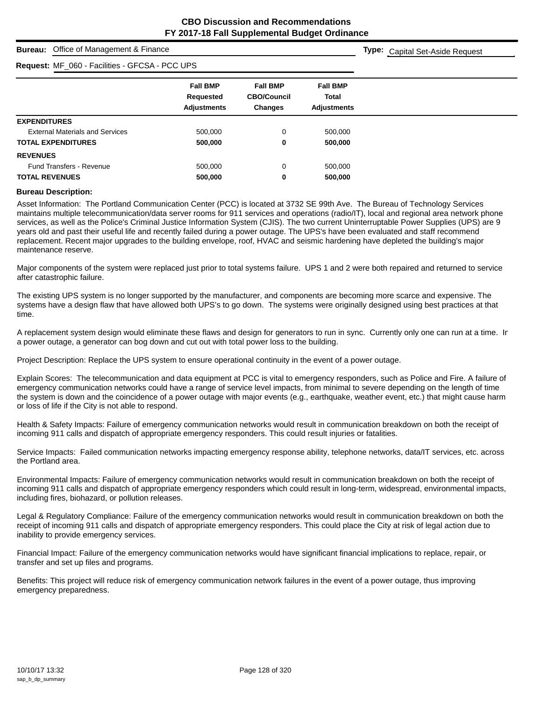**Type:** Capital Set-Aside Request

#### **Bureau:** Office of Management & Finance

### **Request:** MF\_060 - Facilities - GFCSA - PCC UPS

| Request: MF_060 - Facilities - GFCSA - PCC UPS |                                                    |                                                         |                                                       |  |  |
|------------------------------------------------|----------------------------------------------------|---------------------------------------------------------|-------------------------------------------------------|--|--|
|                                                | <b>Fall BMP</b><br>Requested<br><b>Adjustments</b> | <b>Fall BMP</b><br><b>CBO/Council</b><br><b>Changes</b> | <b>Fall BMP</b><br><b>Total</b><br><b>Adiustments</b> |  |  |
| <b>EXPENDITURES</b>                            |                                                    |                                                         |                                                       |  |  |
| <b>External Materials and Services</b>         | 500,000                                            | 0                                                       | 500,000                                               |  |  |
| <b>TOTAL EXPENDITURES</b>                      | 500,000                                            | 0                                                       | 500,000                                               |  |  |
| <b>REVENUES</b>                                |                                                    |                                                         |                                                       |  |  |
| <b>Fund Transfers - Revenue</b>                | 500,000                                            | 0                                                       | 500,000                                               |  |  |
| <b>TOTAL REVENUES</b>                          | 500,000                                            | 0                                                       | 500,000                                               |  |  |

#### **Bureau Description:**

Asset Information: The Portland Communication Center (PCC) is located at 3732 SE 99th Ave. The Bureau of Technology Services maintains multiple telecommunication/data server rooms for 911 services and operations (radio/IT), local and regional area network phone services, as well as the Police's Criminal Justice Information System (CJIS). The two current Uninterruptable Power Supplies (UPS) are 9 years old and past their useful life and recently failed during a power outage. The UPS's have been evaluated and staff recommend replacement. Recent major upgrades to the building envelope, roof, HVAC and seismic hardening have depleted the building's major maintenance reserve.

Major components of the system were replaced just prior to total systems failure. UPS 1 and 2 were both repaired and returned to service after catastrophic failure.

The existing UPS system is no longer supported by the manufacturer, and components are becoming more scarce and expensive. The systems have a design flaw that have allowed both UPS's to go down. The systems were originally designed using best practices at that time.

A replacement system design would eliminate these flaws and design for generators to run in sync. Currently only one can run at a time. In a power outage, a generator can bog down and cut out with total power loss to the building.

Project Description: Replace the UPS system to ensure operational continuity in the event of a power outage.

Explain Scores: The telecommunication and data equipment at PCC is vital to emergency responders, such as Police and Fire. A failure of emergency communication networks could have a range of service level impacts, from minimal to severe depending on the length of time the system is down and the coincidence of a power outage with major events (e.g., earthquake, weather event, etc.) that might cause harm or loss of life if the City is not able to respond.

Health & Safety Impacts: Failure of emergency communication networks would result in communication breakdown on both the receipt of incoming 911 calls and dispatch of appropriate emergency responders. This could result injuries or fatalities.

Service Impacts: Failed communication networks impacting emergency response ability, telephone networks, data/IT services, etc. across the Portland area.

Environmental Impacts: Failure of emergency communication networks would result in communication breakdown on both the receipt of incoming 911 calls and dispatch of appropriate emergency responders which could result in long-term, widespread, environmental impacts, including fires, biohazard, or pollution releases.

Legal & Regulatory Compliance: Failure of the emergency communication networks would result in communication breakdown on both the receipt of incoming 911 calls and dispatch of appropriate emergency responders. This could place the City at risk of legal action due to inability to provide emergency services.

Financial Impact: Failure of the emergency communication networks would have significant financial implications to replace, repair, or transfer and set up files and programs.

Benefits: This project will reduce risk of emergency communication network failures in the event of a power outage, thus improving emergency preparedness.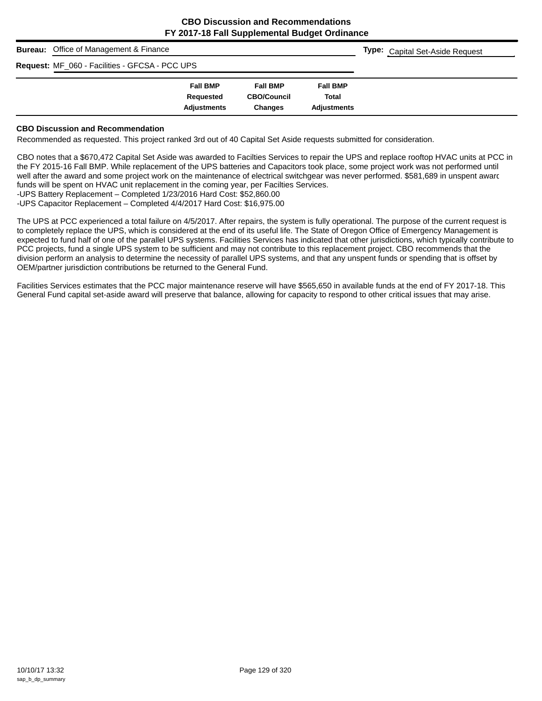| <b>Bureau:</b> Office of Management & Finance  |                    | <b>Type:</b> Capital Set-Aside Request |                    |  |
|------------------------------------------------|--------------------|----------------------------------------|--------------------|--|
| Request: MF_060 - Facilities - GFCSA - PCC UPS |                    |                                        |                    |  |
|                                                | <b>Fall BMP</b>    | <b>Fall BMP</b>                        | <b>Fall BMP</b>    |  |
|                                                | Requested          | <b>CBO/Council</b>                     | Total              |  |
|                                                | <b>Adjustments</b> | <b>Changes</b>                         | <b>Adiustments</b> |  |

#### **CBO Discussion and Recommendation**

Recommended as requested. This project ranked 3rd out of 40 Capital Set Aside requests submitted for consideration.

CBO notes that a \$670,472 Capital Set Aside was awarded to Facilties Services to repair the UPS and replace rooftop HVAC units at PCC in the FY 2015-16 Fall BMP. While replacement of the UPS batteries and Capacitors took place, some project work was not performed until well after the award and some project work on the maintenance of electrical switchgear was never performed. \$581,689 in unspent award funds will be spent on HVAC unit replacement in the coming year, per Facilties Services.

-UPS Battery Replacement – Completed 1/23/2016 Hard Cost: \$52,860.00

-UPS Capacitor Replacement – Completed 4/4/2017 Hard Cost: \$16,975.00

The UPS at PCC experienced a total failure on 4/5/2017. After repairs, the system is fully operational. The purpose of the current request is to completely replace the UPS, which is considered at the end of its useful life. The State of Oregon Office of Emergency Management is expected to fund half of one of the parallel UPS systems. Facilities Services has indicated that other jurisdictions, which typically contribute to PCC projects, fund a single UPS system to be sufficient and may not contribute to this replacement project. CBO recommends that the division perform an analysis to determine the necessity of parallel UPS systems, and that any unspent funds or spending that is offset by OEM/partner jurisdiction contributions be returned to the General Fund.

Facilities Services estimates that the PCC major maintenance reserve will have \$565,650 in available funds at the end of FY 2017-18. This General Fund capital set-aside award will preserve that balance, allowing for capacity to respond to other critical issues that may arise.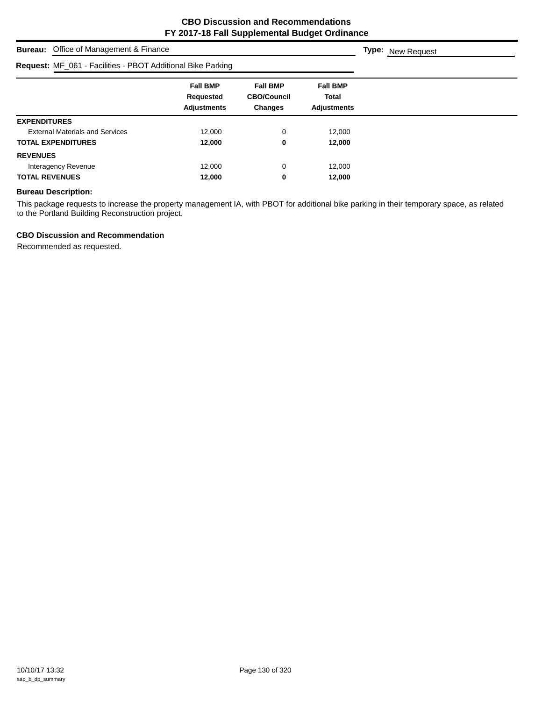| <b>Bureau:</b> Office of Management & Finance               | <b>Type: New Request</b>                           |                                                         |                                                       |  |
|-------------------------------------------------------------|----------------------------------------------------|---------------------------------------------------------|-------------------------------------------------------|--|
| Request: MF_061 - Facilities - PBOT Additional Bike Parking |                                                    |                                                         |                                                       |  |
|                                                             | <b>Fall BMP</b><br>Requested<br><b>Adjustments</b> | <b>Fall BMP</b><br><b>CBO/Council</b><br><b>Changes</b> | <b>Fall BMP</b><br><b>Total</b><br><b>Adjustments</b> |  |
| <b>EXPENDITURES</b>                                         |                                                    |                                                         |                                                       |  |
| <b>External Materials and Services</b>                      | 12,000                                             | 0                                                       | 12,000                                                |  |
| <b>TOTAL EXPENDITURES</b>                                   | 12,000                                             | 0                                                       | 12,000                                                |  |
| <b>REVENUES</b>                                             |                                                    |                                                         |                                                       |  |
| Interagency Revenue                                         | 12.000                                             | 0                                                       | 12,000                                                |  |
| <b>TOTAL REVENUES</b>                                       | 12,000                                             | 0                                                       | 12,000                                                |  |

#### **Bureau Description:**

This package requests to increase the property management IA, with PBOT for additional bike parking in their temporary space, as related to the Portland Building Reconstruction project.

#### **CBO Discussion and Recommendation**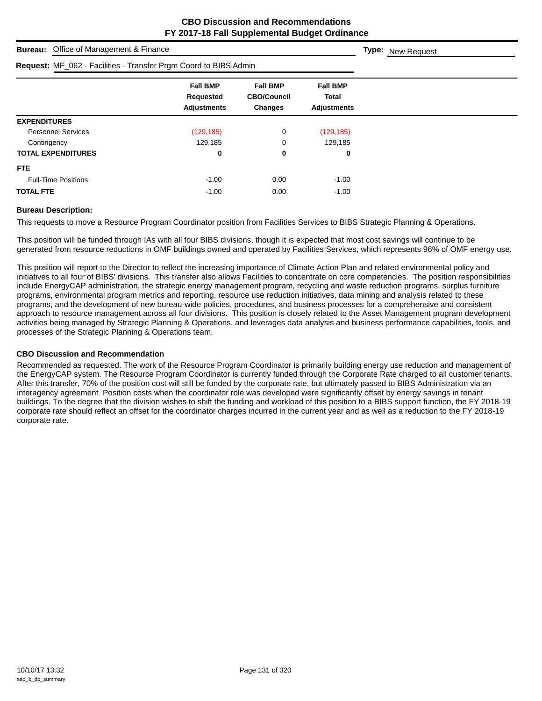| <b>Bureau:</b> Office of Management & Finance                           |                                                    |                                                         |                                                       | <b>Type:</b> New Request |
|-------------------------------------------------------------------------|----------------------------------------------------|---------------------------------------------------------|-------------------------------------------------------|--------------------------|
| <b>Request: MF_062 - Facilities - Transfer Prgm Coord to BIBS Admin</b> |                                                    |                                                         |                                                       |                          |
|                                                                         | <b>Fall BMP</b><br>Requested<br><b>Adjustments</b> | <b>Fall BMP</b><br><b>CBO/Council</b><br><b>Changes</b> | <b>Fall BMP</b><br><b>Total</b><br><b>Adjustments</b> |                          |
| <b>EXPENDITURES</b>                                                     |                                                    |                                                         |                                                       |                          |
| <b>Personnel Services</b>                                               | (129, 185)                                         | 0                                                       | (129, 185)                                            |                          |
| Contingency                                                             | 129,185                                            | 0                                                       | 129,185                                               |                          |
| <b>TOTAL EXPENDITURES</b>                                               | 0                                                  | 0                                                       | 0                                                     |                          |
| <b>FTE</b>                                                              |                                                    |                                                         |                                                       |                          |
| <b>Full-Time Positions</b>                                              | $-1.00$                                            | 0.00                                                    | $-1.00$                                               |                          |
| <b>TOTAL FTE</b>                                                        | $-1.00$                                            | 0.00                                                    | $-1.00$                                               |                          |

#### **Bureau Description:**

This requests to move a Resource Program Coordinator position from Facilities Services to BIBS Strategic Planning & Operations.

This position will be funded through IAs with all four BIBS divisions, though it is expected that most cost savings will continue to be generated from resource reductions in OMF buildings owned and operated by Facilities Services, which represents 96% of OMF energy use.

This position will report to the Director to reflect the increasing importance of Climate Action Plan and related environmental policy and initiatives to all four of BIBS' divisions. This transfer also allows Facilities to concentrate on core competencies. The position responsibilities include EnergyCAP administration, the strategic energy management program, recycling and waste reduction programs, surplus furniture programs, environmental program metrics and reporting, resource use reduction initiatives, data mining and analysis related to these programs, and the development of new bureau-wide policies, procedures, and business processes for a comprehensive and consistent approach to resource management across all four divisions. This position is closely related to the Asset Management program development activities being managed by Strategic Planning & Operations, and leverages data analysis and business performance capabilities, tools, and processes of the Strategic Planning & Operations team.

#### **CBO Discussion and Recommendation**

Recommended as requested. The work of the Resource Program Coordinator is primarily building energy use reduction and management of the EnergyCAP system. The Resource Program Coordinator is currently funded through the Corporate Rate charged to all customer tenants. After this transfer, 70% of the position cost will still be funded by the corporate rate, but ultimately passed to BIBS Administration via an interagency agreement Position costs when the coordinator role was developed were significantly offset by energy savings in tenant buildings. To the degree that the division wishes to shift the funding and workload of this position to a BIBS support function, the FY 2018-19 corporate rate should reflect an offset for the coordinator charges incurred in the current year and as well as a reduction to the FY 2018-19 corporate rate.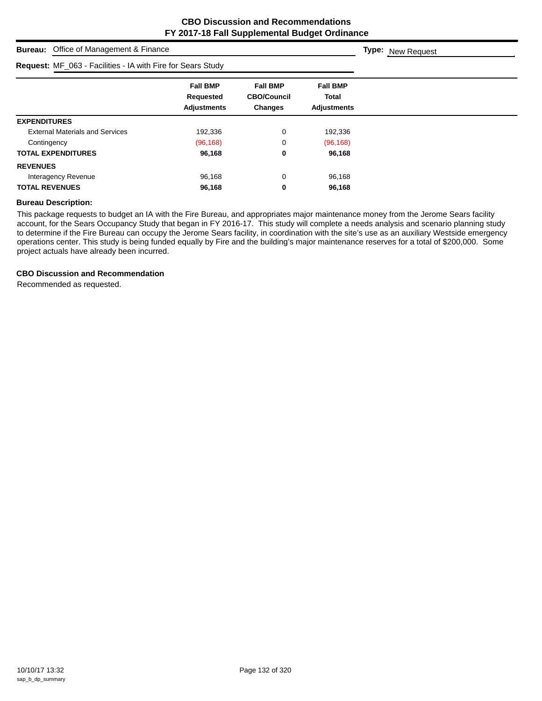| <b>Bureau:</b> Office of Management & Finance               | <b>Type:</b> New Request                                  |                                                  |                                                       |  |
|-------------------------------------------------------------|-----------------------------------------------------------|--------------------------------------------------|-------------------------------------------------------|--|
| Request: MF_063 - Facilities - IA with Fire for Sears Study |                                                           |                                                  |                                                       |  |
|                                                             | <b>Fall BMP</b><br><b>Requested</b><br><b>Adjustments</b> | <b>Fall BMP</b><br><b>CBO/Council</b><br>Changes | <b>Fall BMP</b><br><b>Total</b><br><b>Adjustments</b> |  |
| <b>EXPENDITURES</b>                                         |                                                           |                                                  |                                                       |  |
| <b>External Materials and Services</b>                      | 192,336                                                   | 0                                                | 192,336                                               |  |
| Contingency                                                 | (96, 168)                                                 | 0                                                | (96, 168)                                             |  |
| <b>TOTAL EXPENDITURES</b>                                   | 96,168                                                    | 0                                                | 96,168                                                |  |
| <b>REVENUES</b>                                             |                                                           |                                                  |                                                       |  |
| Interagency Revenue                                         | 96,168                                                    | 0                                                | 96,168                                                |  |
| <b>TOTAL REVENUES</b>                                       | 96,168                                                    | 0                                                | 96,168                                                |  |

#### **Bureau Description:**

This package requests to budget an IA with the Fire Bureau, and appropriates major maintenance money from the Jerome Sears facility account, for the Sears Occupancy Study that began in FY 2016-17. This study will complete a needs analysis and scenario planning study to determine if the Fire Bureau can occupy the Jerome Sears facility, in coordination with the site's use as an auxiliary Westside emergency operations center. This study is being funded equally by Fire and the building's major maintenance reserves for a total of \$200,000. Some project actuals have already been incurred.

# **CBO Discussion and Recommendation**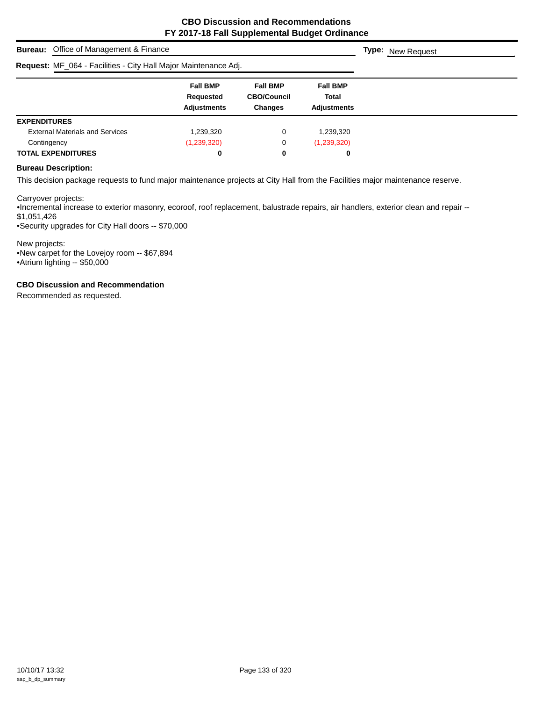| <b>Bureau:</b> Office of Management & Finance                   | <b>Type:</b> New Request                           |                                                         |                                                |  |
|-----------------------------------------------------------------|----------------------------------------------------|---------------------------------------------------------|------------------------------------------------|--|
| Request: MF_064 - Facilities - City Hall Major Maintenance Adj. |                                                    |                                                         |                                                |  |
|                                                                 | <b>Fall BMP</b><br>Requested<br><b>Adjustments</b> | <b>Fall BMP</b><br><b>CBO/Council</b><br><b>Changes</b> | <b>Fall BMP</b><br>Total<br><b>Adjustments</b> |  |
| <b>EXPENDITURES</b>                                             |                                                    |                                                         |                                                |  |
| <b>External Materials and Services</b>                          | 1,239,320                                          | 0                                                       | 1,239,320                                      |  |
| Contingency                                                     | (1,239,320)                                        | 0                                                       | (1,239,320)                                    |  |
| <b>TOTAL EXPENDITURES</b>                                       | 0                                                  | 0                                                       | 0                                              |  |

#### **Bureau Description:**

This decision package requests to fund major maintenance projects at City Hall from the Facilities major maintenance reserve.

Carryover projects:

•Incremental increase to exterior masonry, ecoroof, roof replacement, balustrade repairs, air handlers, exterior clean and repair -- \$1,051,426

•Security upgrades for City Hall doors -- \$70,000

New projects: •New carpet for the Lovejoy room -- \$67,894 •Atrium lighting -- \$50,000

**CBO Discussion and Recommendation**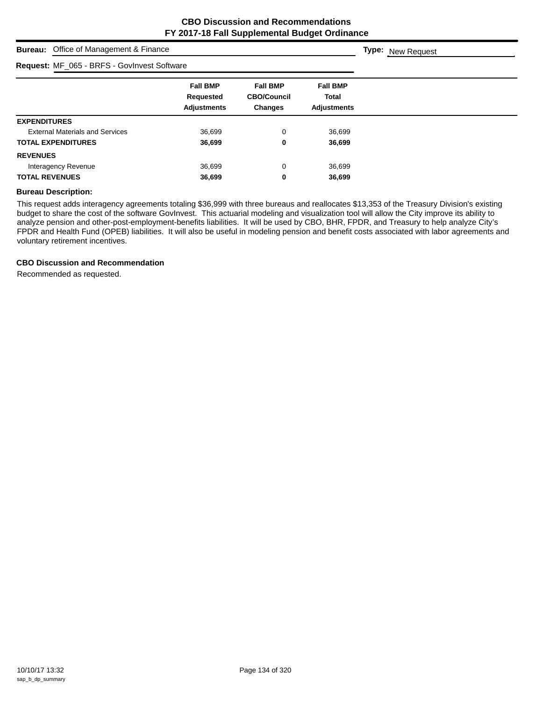**Type:** New Request

# **Bureau:** Office of Management & Finance

| Request: MF_065 - BRFS - GovInvest Software |                                                    |                                                  |                                                       |
|---------------------------------------------|----------------------------------------------------|--------------------------------------------------|-------------------------------------------------------|
|                                             | <b>Fall BMP</b><br>Requested<br><b>Adjustments</b> | <b>Fall BMP</b><br><b>CBO/Council</b><br>Changes | <b>Fall BMP</b><br><b>Total</b><br><b>Adjustments</b> |
| <b>EXPENDITURES</b>                         |                                                    |                                                  |                                                       |
| <b>External Materials and Services</b>      | 36,699                                             | 0                                                | 36,699                                                |
| <b>TOTAL EXPENDITURES</b>                   | 36,699                                             | 0                                                | 36,699                                                |
| <b>REVENUES</b>                             |                                                    |                                                  |                                                       |
| Interagency Revenue                         | 36.699                                             | $\mathbf 0$                                      | 36,699                                                |
| <b>TOTAL REVENUES</b>                       | 36,699                                             | 0                                                | 36,699                                                |

#### **Bureau Description:**

This request adds interagency agreements totaling \$36,999 with three bureaus and reallocates \$13,353 of the Treasury Division's existing budget to share the cost of the software GovInvest. This actuarial modeling and visualization tool will allow the City improve its ability to analyze pension and other-post-employment-benefits liabilities. It will be used by CBO, BHR, FPDR, and Treasury to help analyze City's FPDR and Health Fund (OPEB) liabilities. It will also be useful in modeling pension and benefit costs associated with labor agreements and voluntary retirement incentives.

#### **CBO Discussion and Recommendation**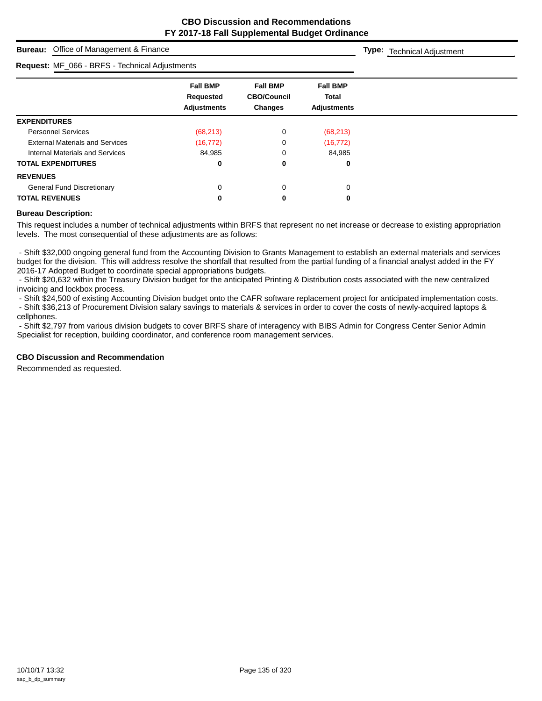**Type:** Technical Adjustment

# **Bureau:** Office of Management & Finance

#### **Request:** MF\_066 - BRFS - Technical Adjustments

| <b>Request:</b> MF_066 - BRFS - Technical Adjustments |                                                    |                                                         |                                                       |  |
|-------------------------------------------------------|----------------------------------------------------|---------------------------------------------------------|-------------------------------------------------------|--|
|                                                       | <b>Fall BMP</b><br>Requested<br><b>Adjustments</b> | <b>Fall BMP</b><br><b>CBO/Council</b><br><b>Changes</b> | <b>Fall BMP</b><br><b>Total</b><br><b>Adjustments</b> |  |
| <b>EXPENDITURES</b>                                   |                                                    |                                                         |                                                       |  |
| <b>Personnel Services</b>                             | (68, 213)                                          | 0                                                       | (68, 213)                                             |  |
| <b>External Materials and Services</b>                | (16, 772)                                          | 0                                                       | (16, 772)                                             |  |
| Internal Materials and Services                       | 84,985                                             | 0                                                       | 84,985                                                |  |
| <b>TOTAL EXPENDITURES</b>                             | 0                                                  | 0                                                       | 0                                                     |  |
| <b>REVENUES</b>                                       |                                                    |                                                         |                                                       |  |
| <b>General Fund Discretionary</b>                     | 0                                                  | $\Omega$                                                | 0                                                     |  |
| <b>TOTAL REVENUES</b>                                 | 0                                                  |                                                         | 0                                                     |  |

#### **Bureau Description:**

This request includes a number of technical adjustments within BRFS that represent no net increase or decrease to existing appropriation levels. The most consequential of these adjustments are as follows:

 - Shift \$32,000 ongoing general fund from the Accounting Division to Grants Management to establish an external materials and services budget for the division. This will address resolve the shortfall that resulted from the partial funding of a financial analyst added in the FY 2016-17 Adopted Budget to coordinate special appropriations budgets.

 - Shift \$20,632 within the Treasury Division budget for the anticipated Printing & Distribution costs associated with the new centralized invoicing and lockbox process.

- Shift \$24,500 of existing Accounting Division budget onto the CAFR software replacement project for anticipated implementation costs.

 - Shift \$36,213 of Procurement Division salary savings to materials & services in order to cover the costs of newly-acquired laptops & cellphones.

 - Shift \$2,797 from various division budgets to cover BRFS share of interagency with BIBS Admin for Congress Center Senior Admin Specialist for reception, building coordinator, and conference room management services.

#### **CBO Discussion and Recommendation**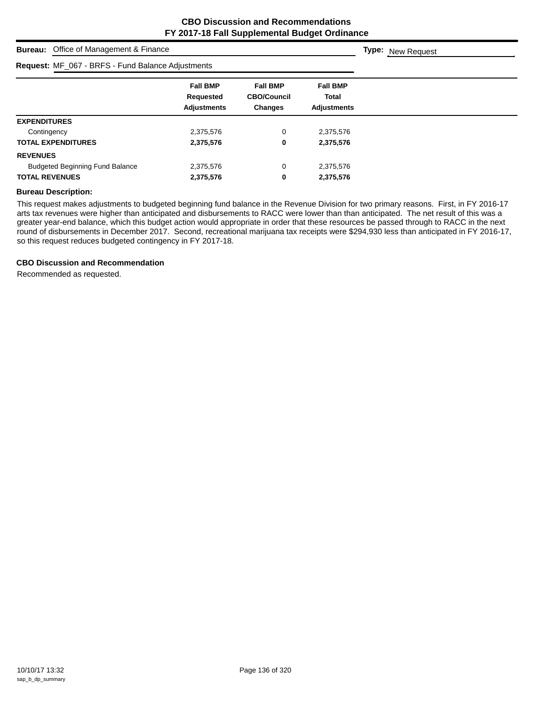| <b>Bureau:</b> Office of Management & Finance     | <b>Type:</b> New Request                                  |                                                         |                                                       |  |
|---------------------------------------------------|-----------------------------------------------------------|---------------------------------------------------------|-------------------------------------------------------|--|
| Request: MF_067 - BRFS - Fund Balance Adjustments |                                                           |                                                         |                                                       |  |
|                                                   | <b>Fall BMP</b><br><b>Requested</b><br><b>Adjustments</b> | <b>Fall BMP</b><br><b>CBO/Council</b><br><b>Changes</b> | <b>Fall BMP</b><br><b>Total</b><br><b>Adjustments</b> |  |
| <b>EXPENDITURES</b>                               |                                                           |                                                         |                                                       |  |
| Contingency                                       | 2,375,576                                                 | 0                                                       | 2,375,576                                             |  |
| <b>TOTAL EXPENDITURES</b>                         | 2,375,576                                                 | 0                                                       | 2,375,576                                             |  |
| <b>REVENUES</b>                                   |                                                           |                                                         |                                                       |  |
| <b>Budgeted Beginning Fund Balance</b>            | 2,375,576                                                 | 0                                                       | 2,375,576                                             |  |
| <b>TOTAL REVENUES</b>                             | 2,375,576                                                 | 0                                                       | 2,375,576                                             |  |

#### **Bureau Description:**

This request makes adjustments to budgeted beginning fund balance in the Revenue Division for two primary reasons. First, in FY 2016-17 arts tax revenues were higher than anticipated and disbursements to RACC were lower than than anticipated. The net result of this was a greater year-end balance, which this budget action would appropriate in order that these resources be passed through to RACC in the next round of disbursements in December 2017. Second, recreational marijuana tax receipts were \$294,930 less than anticipated in FY 2016-17, so this request reduces budgeted contingency in FY 2017-18.

#### **CBO Discussion and Recommendation**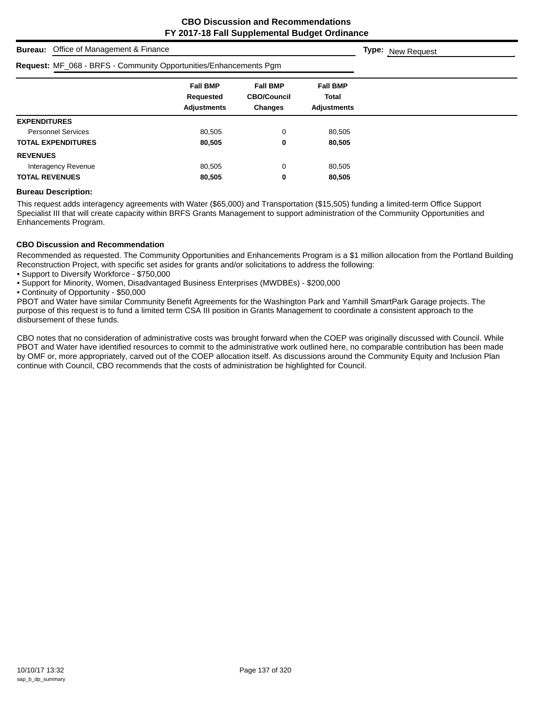| Office of Management & Finance<br><b>Bureau:</b>                  | <b>Type:</b> New Request                           |                                                         |                                                       |  |
|-------------------------------------------------------------------|----------------------------------------------------|---------------------------------------------------------|-------------------------------------------------------|--|
| Request: MF_068 - BRFS - Community Opportunities/Enhancements Pgm |                                                    |                                                         |                                                       |  |
|                                                                   | <b>Fall BMP</b><br>Requested<br><b>Adjustments</b> | <b>Fall BMP</b><br><b>CBO/Council</b><br><b>Changes</b> | <b>Fall BMP</b><br><b>Total</b><br><b>Adjustments</b> |  |
| <b>EXPENDITURES</b>                                               |                                                    |                                                         |                                                       |  |
| <b>Personnel Services</b>                                         | 80,505                                             | 0                                                       | 80,505                                                |  |
| <b>TOTAL EXPENDITURES</b>                                         | 80,505                                             | 0                                                       | 80,505                                                |  |
| <b>REVENUES</b>                                                   |                                                    |                                                         |                                                       |  |
| Interagency Revenue                                               | 80,505                                             | 0                                                       | 80,505                                                |  |
| <b>TOTAL REVENUES</b>                                             | 80,505                                             | 0                                                       | 80,505                                                |  |

#### **Bureau Description:**

This request adds interagency agreements with Water (\$65,000) and Transportation (\$15,505) funding a limited-term Office Support Specialist III that will create capacity within BRFS Grants Management to support administration of the Community Opportunities and Enhancements Program.

#### **CBO Discussion and Recommendation**

Recommended as requested. The Community Opportunities and Enhancements Program is a \$1 million allocation from the Portland Building Reconstruction Project, with specific set asides for grants and/or solicitations to address the following:

- Support to Diversify Workforce \$750,000
- Support for Minority, Women, Disadvantaged Business Enterprises (MWDBEs) \$200,000
- Continuity of Opportunity \$50,000

PBOT and Water have similar Community Benefit Agreements for the Washington Park and Yamhill SmartPark Garage projects. The purpose of this request is to fund a limited term CSA III position in Grants Management to coordinate a consistent approach to the disbursement of these funds.

CBO notes that no consideration of administrative costs was brought forward when the COEP was originally discussed with Council. While PBOT and Water have identified resources to commit to the administrative work outlined here, no comparable contribution has been made by OMF or, more appropriately, carved out of the COEP allocation itself. As discussions around the Community Equity and Inclusion Plan continue with Council, CBO recommends that the costs of administration be highlighted for Council.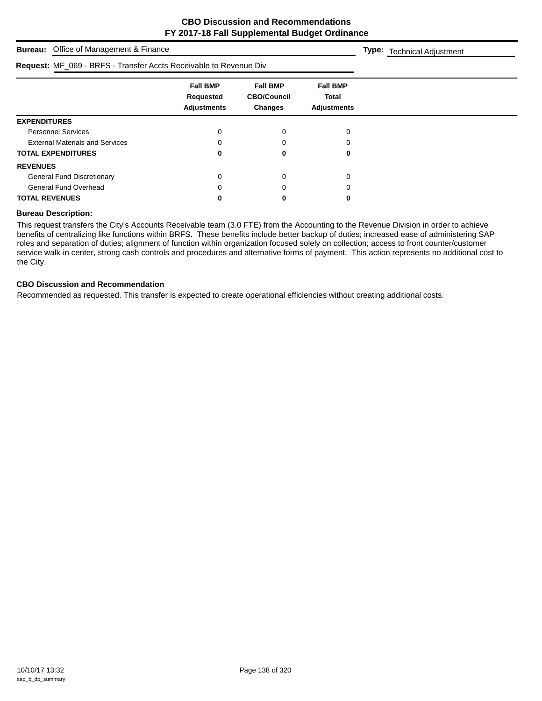# **Bureau:** Office of Management & Finance **Fall BMP Fall BMP Fall BMP Requested CBO/Council Total Adjustments Changes Adjustments Type:** Technical Adjustment **Request:** MF\_069 - BRFS - Transfer Accts Receivable to Revenue Div **EXPENDITURES** Personnel Services and the contract of the contract of the contract of the contract of the contract of the contract of the contract of the contract of the contract of the contract of the contract of the contract of the con External Materials and Services and Services and Communication of the Communication of the Communication of the O **TOTAL EXPENDITURES 0 0 0 REVENUES** General Fund Discretionary and the control of the control of the control of the control of the control of the control of the control of the control of the control of the control of the control of the control of the control General Fund Overhead 0 0 0 **TOTAL REVENUES 0 0 0**

#### **Bureau Description:**

This request transfers the City's Accounts Receivable team (3.0 FTE) from the Accounting to the Revenue Division in order to achieve benefits of centralizing like functions within BRFS. These benefits include better backup of duties; increased ease of administering SAP roles and separation of duties; alignment of function within organization focused solely on collection; access to front counter/customer service walk-in center, strong cash controls and procedures and alternative forms of payment. This action represents no additional cost to the City.

#### **CBO Discussion and Recommendation**

Recommended as requested. This transfer is expected to create operational efficiencies without creating additional costs.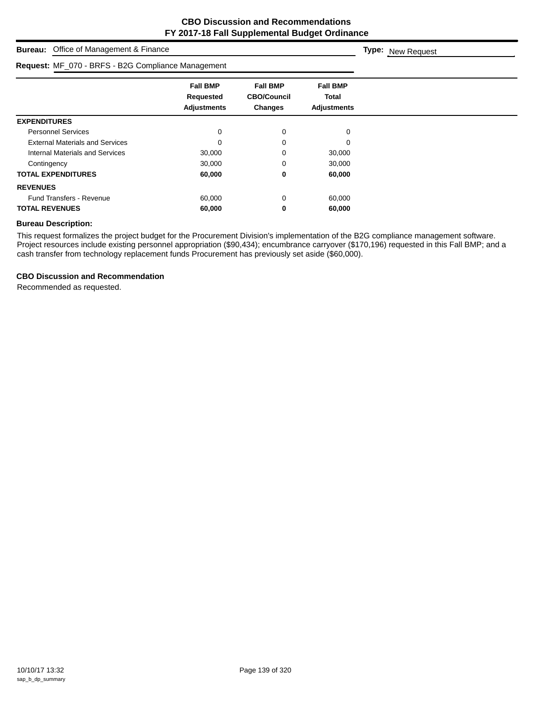| Office of Management & Finance<br><b>Bureau:</b>   | <b>Type:</b> New Request                                  |                                                  |                                                |  |
|----------------------------------------------------|-----------------------------------------------------------|--------------------------------------------------|------------------------------------------------|--|
| Request: MF_070 - BRFS - B2G Compliance Management |                                                           |                                                  |                                                |  |
|                                                    | <b>Fall BMP</b><br><b>Requested</b><br><b>Adjustments</b> | <b>Fall BMP</b><br><b>CBO/Council</b><br>Changes | <b>Fall BMP</b><br>Total<br><b>Adjustments</b> |  |
| <b>EXPENDITURES</b>                                |                                                           |                                                  |                                                |  |
| <b>Personnel Services</b>                          | 0                                                         | 0                                                | 0                                              |  |
| <b>External Materials and Services</b>             | 0                                                         | 0                                                | 0                                              |  |
| Internal Materials and Services                    | 30,000                                                    | 0                                                | 30,000                                         |  |
| Contingency                                        | 30,000                                                    | 0                                                | 30,000                                         |  |
| <b>TOTAL EXPENDITURES</b>                          | 60,000                                                    | 0                                                | 60,000                                         |  |
| <b>REVENUES</b>                                    |                                                           |                                                  |                                                |  |
| <b>Fund Transfers - Revenue</b>                    | 60,000                                                    | 0                                                | 60,000                                         |  |
| <b>TOTAL REVENUES</b>                              | 60,000                                                    | 0                                                | 60,000                                         |  |

#### **Bureau Description:**

This request formalizes the project budget for the Procurement Division's implementation of the B2G compliance management software. Project resources include existing personnel appropriation (\$90,434); encumbrance carryover (\$170,196) requested in this Fall BMP; and a cash transfer from technology replacement funds Procurement has previously set aside (\$60,000).

#### **CBO Discussion and Recommendation**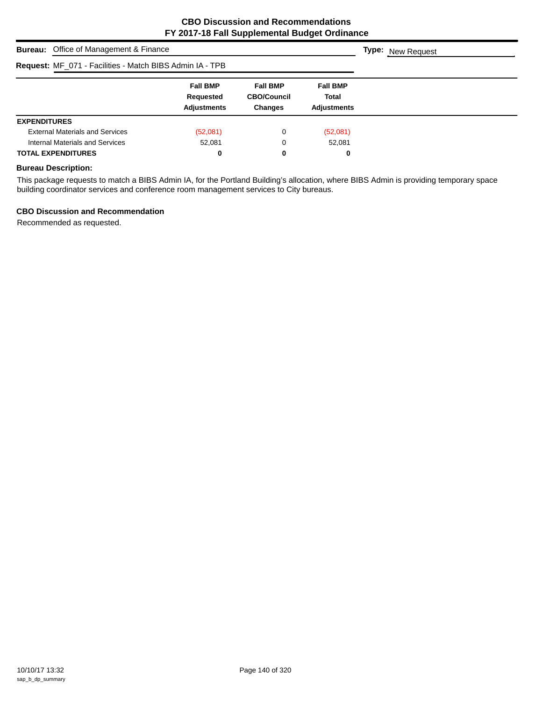| <b>Bureau:</b> Office of Management & Finance            | <b>Type:</b> New Request                           |                                                         |                                                |  |
|----------------------------------------------------------|----------------------------------------------------|---------------------------------------------------------|------------------------------------------------|--|
| Request: MF_071 - Facilities - Match BIBS Admin IA - TPB |                                                    |                                                         |                                                |  |
|                                                          | <b>Fall BMP</b><br>Requested<br><b>Adjustments</b> | <b>Fall BMP</b><br><b>CBO/Council</b><br><b>Changes</b> | <b>Fall BMP</b><br><b>Total</b><br>Adjustments |  |
| <b>EXPENDITURES</b>                                      |                                                    |                                                         |                                                |  |
| <b>External Materials and Services</b>                   | (52,081)                                           | 0                                                       | (52,081)                                       |  |
| Internal Materials and Services                          | 52.081                                             | 0                                                       | 52,081                                         |  |
| <b>TOTAL EXPENDITURES</b>                                | 0                                                  | 0                                                       | 0                                              |  |

# **Bureau Description:**

This package requests to match a BIBS Admin IA, for the Portland Building's allocation, where BIBS Admin is providing temporary space building coordinator services and conference room management services to City bureaus.

#### **CBO Discussion and Recommendation**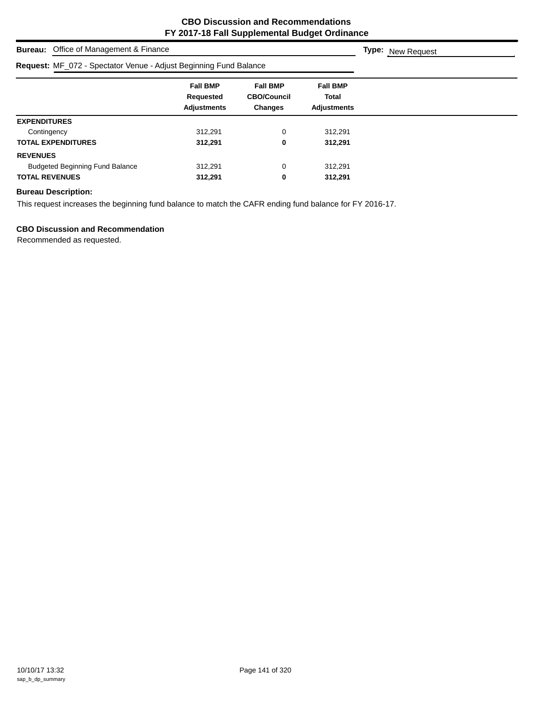| Office of Management & Finance<br>Bureau:                         | <b>Type:</b> New Request                           |                                                         |                                                       |  |
|-------------------------------------------------------------------|----------------------------------------------------|---------------------------------------------------------|-------------------------------------------------------|--|
| Request: MF_072 - Spectator Venue - Adjust Beginning Fund Balance |                                                    |                                                         |                                                       |  |
|                                                                   | <b>Fall BMP</b><br>Requested<br><b>Adjustments</b> | <b>Fall BMP</b><br><b>CBO/Council</b><br><b>Changes</b> | <b>Fall BMP</b><br><b>Total</b><br><b>Adjustments</b> |  |
| <b>EXPENDITURES</b>                                               |                                                    |                                                         |                                                       |  |
| Contingency                                                       | 312.291                                            | 0                                                       | 312,291                                               |  |
| <b>TOTAL EXPENDITURES</b>                                         | 312,291                                            | 0                                                       | 312,291                                               |  |
| <b>REVENUES</b>                                                   |                                                    |                                                         |                                                       |  |
| <b>Budgeted Beginning Fund Balance</b>                            | 312.291                                            | 0                                                       | 312,291                                               |  |
| <b>TOTAL REVENUES</b>                                             | 312,291                                            | 0                                                       | 312,291                                               |  |

#### **Bureau Description:**

This request increases the beginning fund balance to match the CAFR ending fund balance for FY 2016-17.

### **CBO Discussion and Recommendation**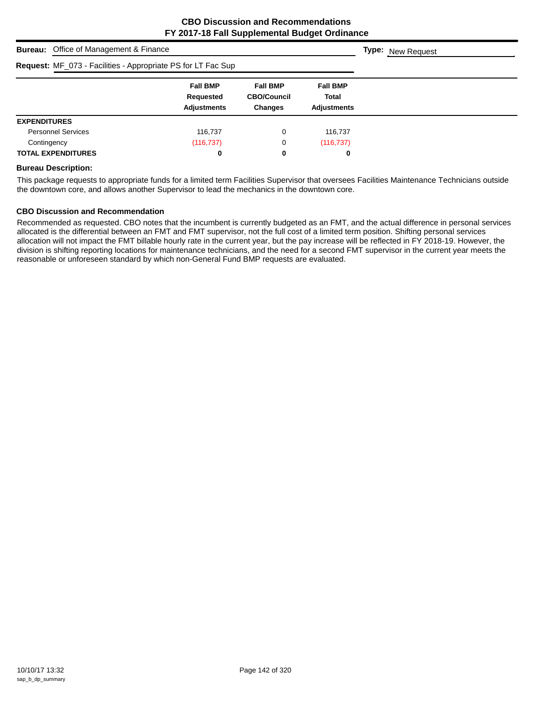|                     | <b>Bureau:</b> Office of Management & Finance                | <b>Type:</b> New Request                           |                                                  |                                                |  |
|---------------------|--------------------------------------------------------------|----------------------------------------------------|--------------------------------------------------|------------------------------------------------|--|
|                     | Request: MF_073 - Facilities - Appropriate PS for LT Fac Sup |                                                    |                                                  |                                                |  |
|                     |                                                              | <b>Fall BMP</b><br>Requested<br><b>Adjustments</b> | <b>Fall BMP</b><br><b>CBO/Council</b><br>Changes | <b>Fall BMP</b><br>Total<br><b>Adjustments</b> |  |
| <b>EXPENDITURES</b> |                                                              |                                                    |                                                  |                                                |  |
|                     | <b>Personnel Services</b>                                    | 116,737                                            | 0                                                | 116,737                                        |  |
| Contingency         |                                                              | (116, 737)                                         | 0                                                | (116, 737)                                     |  |
|                     | <b>TOTAL EXPENDITURES</b>                                    | 0                                                  | 0                                                | 0                                              |  |

#### **Bureau Description:**

This package requests to appropriate funds for a limited term Facilities Supervisor that oversees Facilities Maintenance Technicians outside the downtown core, and allows another Supervisor to lead the mechanics in the downtown core.

#### **CBO Discussion and Recommendation**

Recommended as requested. CBO notes that the incumbent is currently budgeted as an FMT, and the actual difference in personal services allocated is the differential between an FMT and FMT supervisor, not the full cost of a limited term position. Shifting personal services allocation will not impact the FMT billable hourly rate in the current year, but the pay increase will be reflected in FY 2018-19. However, the division is shifting reporting locations for maintenance technicians, and the need for a second FMT supervisor in the current year meets the reasonable or unforeseen standard by which non-General Fund BMP requests are evaluated.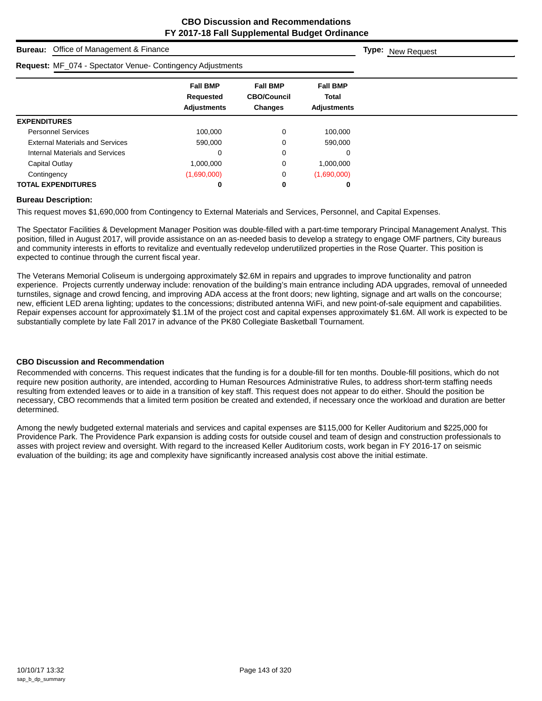| Office of Management & Finance<br><b>Bureau:</b>           | <b>Type:</b> New Request                           |                                                         |                                                |  |
|------------------------------------------------------------|----------------------------------------------------|---------------------------------------------------------|------------------------------------------------|--|
| Request: MF_074 - Spectator Venue- Contingency Adjustments |                                                    |                                                         |                                                |  |
|                                                            | <b>Fall BMP</b><br>Requested<br><b>Adjustments</b> | <b>Fall BMP</b><br><b>CBO/Council</b><br><b>Changes</b> | <b>Fall BMP</b><br>Total<br><b>Adjustments</b> |  |
| <b>EXPENDITURES</b>                                        |                                                    |                                                         |                                                |  |
| <b>Personnel Services</b>                                  | 100,000                                            | 0                                                       | 100,000                                        |  |
| <b>External Materials and Services</b>                     | 590,000                                            | 0                                                       | 590,000                                        |  |
| Internal Materials and Services                            | 0                                                  | 0                                                       | 0                                              |  |
| Capital Outlay                                             | 1,000,000                                          | 0                                                       | 1,000,000                                      |  |
| Contingency                                                | (1,690,000)                                        | 0                                                       | (1,690,000)                                    |  |
| <b>TOTAL EXPENDITURES</b>                                  | 0                                                  | 0                                                       | 0                                              |  |

#### **Bureau Description:**

This request moves \$1,690,000 from Contingency to External Materials and Services, Personnel, and Capital Expenses.

The Spectator Facilities & Development Manager Position was double-filled with a part-time temporary Principal Management Analyst. This position, filled in August 2017, will provide assistance on an as-needed basis to develop a strategy to engage OMF partners, City bureaus and community interests in efforts to revitalize and eventually redevelop underutilized properties in the Rose Quarter. This position is expected to continue through the current fiscal year.

The Veterans Memorial Coliseum is undergoing approximately \$2.6M in repairs and upgrades to improve functionality and patron experience. Projects currently underway include: renovation of the building's main entrance including ADA upgrades, removal of unneeded turnstiles, signage and crowd fencing, and improving ADA access at the front doors; new lighting, signage and art walls on the concourse; new, efficient LED arena lighting; updates to the concessions; distributed antenna WiFi, and new point-of-sale equipment and capabilities. Repair expenses account for approximately \$1.1M of the project cost and capital expenses approximately \$1.6M. All work is expected to be substantially complete by late Fall 2017 in advance of the PK80 Collegiate Basketball Tournament.

#### **CBO Discussion and Recommendation**

Recommended with concerns. This request indicates that the funding is for a double-fill for ten months. Double-fill positions, which do not require new position authority, are intended, according to Human Resources Administrative Rules, to address short-term staffing needs resulting from extended leaves or to aide in a transition of key staff. This request does not appear to do either. Should the position be necessary, CBO recommends that a limited term position be created and extended, if necessary once the workload and duration are better determined.

Among the newly budgeted external materials and services and capital expenses are \$115,000 for Keller Auditorium and \$225,000 for Providence Park. The Providence Park expansion is adding costs for outside cousel and team of design and construction professionals to asses with project review and oversight. With regard to the increased Keller Auditorium costs, work began in FY 2016-17 on seismic evaluation of the building; its age and complexity have significantly increased analysis cost above the initial estimate.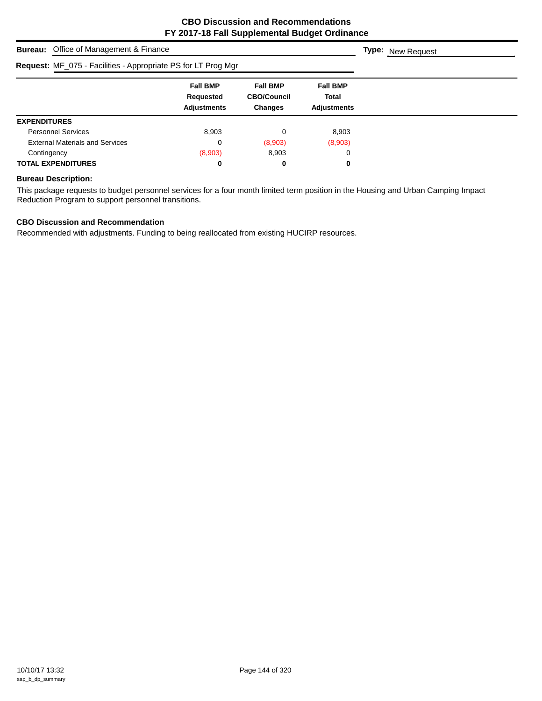| <b>Bureau:</b> Office of Management & Finance                 | <b>Type:</b> New Request                           |                                                  |                                                |  |
|---------------------------------------------------------------|----------------------------------------------------|--------------------------------------------------|------------------------------------------------|--|
| Request: MF_075 - Facilities - Appropriate PS for LT Prog Mgr |                                                    |                                                  |                                                |  |
|                                                               | <b>Fall BMP</b><br>Requested<br><b>Adjustments</b> | <b>Fall BMP</b><br><b>CBO/Council</b><br>Changes | <b>Fall BMP</b><br>Total<br><b>Adjustments</b> |  |
| <b>EXPENDITURES</b>                                           |                                                    |                                                  |                                                |  |
| <b>Personnel Services</b>                                     | 8,903                                              | 0                                                | 8,903                                          |  |
| <b>External Materials and Services</b>                        | C                                                  | (8,903)                                          | (8,903)                                        |  |
| Contingency                                                   | (8,903)                                            | 8,903                                            | 0                                              |  |
| <b>TOTAL EXPENDITURES</b>                                     | 0                                                  | 0                                                | 0                                              |  |

## **Bureau Description:**

This package requests to budget personnel services for a four month limited term position in the Housing and Urban Camping Impact Reduction Program to support personnel transitions.

## **CBO Discussion and Recommendation**

Recommended with adjustments. Funding to being reallocated from existing HUCIRP resources.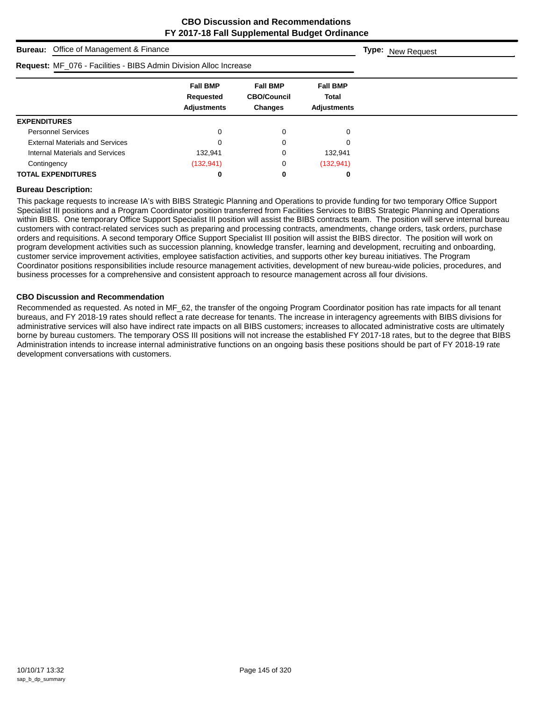| <b>Bureau:</b> Office of Management & Finance                     | <b>Type:</b> New Request                           |                                                         |                                                       |  |
|-------------------------------------------------------------------|----------------------------------------------------|---------------------------------------------------------|-------------------------------------------------------|--|
| Request: MF_076 - Facilities - BIBS Admin Division Alloc Increase |                                                    |                                                         |                                                       |  |
|                                                                   | <b>Fall BMP</b><br>Requested<br><b>Adjustments</b> | <b>Fall BMP</b><br><b>CBO/Council</b><br><b>Changes</b> | <b>Fall BMP</b><br><b>Total</b><br><b>Adjustments</b> |  |
| <b>EXPENDITURES</b>                                               |                                                    |                                                         |                                                       |  |
| <b>Personnel Services</b>                                         | 0                                                  | 0                                                       | 0                                                     |  |
| <b>External Materials and Services</b>                            |                                                    |                                                         | 0                                                     |  |
| Internal Materials and Services                                   | 132.941                                            |                                                         | 132,941                                               |  |
| Contingency                                                       | (132, 941)                                         | 0                                                       | (132, 941)                                            |  |
| <b>TOTAL EXPENDITURES</b>                                         |                                                    | 0                                                       | 0                                                     |  |

#### **Bureau Description:**

This package requests to increase IA's with BIBS Strategic Planning and Operations to provide funding for two temporary Office Support Specialist III positions and a Program Coordinator position transferred from Facilities Services to BIBS Strategic Planning and Operations within BIBS. One temporary Office Support Specialist III position will assist the BIBS contracts team. The position will serve internal bureau customers with contract-related services such as preparing and processing contracts, amendments, change orders, task orders, purchase orders and requisitions. A second temporary Office Support Specialist III position will assist the BIBS director. The position will work on program development activities such as succession planning, knowledge transfer, learning and development, recruiting and onboarding, customer service improvement activities, employee satisfaction activities, and supports other key bureau initiatives. The Program Coordinator positions responsibilities include resource management activities, development of new bureau-wide policies, procedures, and business processes for a comprehensive and consistent approach to resource management across all four divisions.

#### **CBO Discussion and Recommendation**

Recommended as requested. As noted in MF\_62, the transfer of the ongoing Program Coordinator position has rate impacts for all tenant bureaus, and FY 2018-19 rates should reflect a rate decrease for tenants. The increase in interagency agreements with BIBS divisions for administrative services will also have indirect rate impacts on all BIBS customers; increases to allocated administrative costs are ultimately borne by bureau customers. The temporary OSS III positions will not increase the established FY 2017-18 rates, but to the degree that BIBS Administration intends to increase internal administrative functions on an ongoing basis these positions should be part of FY 2018-19 rate development conversations with customers.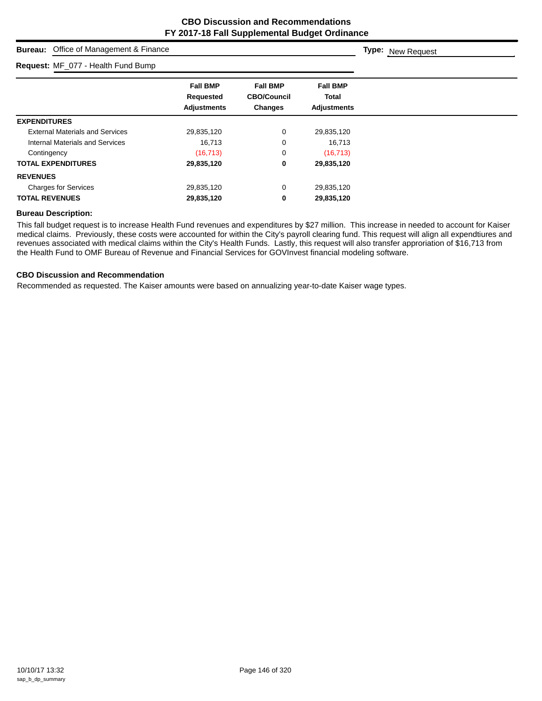**Type:** New Request

## **Bureau:** Office of Management & Finance

### **Request:** MF\_077 - Health Fund Bump

| Request: MF_077 - Health Fund Bump     |                                                           |                                                         |                                                       |  |
|----------------------------------------|-----------------------------------------------------------|---------------------------------------------------------|-------------------------------------------------------|--|
|                                        | <b>Fall BMP</b><br><b>Requested</b><br><b>Adjustments</b> | <b>Fall BMP</b><br><b>CBO/Council</b><br><b>Changes</b> | <b>Fall BMP</b><br><b>Total</b><br><b>Adjustments</b> |  |
| <b>EXPENDITURES</b>                    |                                                           |                                                         |                                                       |  |
| <b>External Materials and Services</b> | 29,835,120                                                | 0                                                       | 29,835,120                                            |  |
| Internal Materials and Services        | 16,713                                                    | 0                                                       | 16,713                                                |  |
| Contingency                            | (16, 713)                                                 | 0                                                       | (16, 713)                                             |  |
| <b>TOTAL EXPENDITURES</b>              | 29,835,120                                                | 0                                                       | 29,835,120                                            |  |
| <b>REVENUES</b>                        |                                                           |                                                         |                                                       |  |
| <b>Charges for Services</b>            | 29,835,120                                                | 0                                                       | 29,835,120                                            |  |
| <b>TOTAL REVENUES</b>                  | 29,835,120                                                | 0                                                       | 29,835,120                                            |  |
|                                        |                                                           |                                                         |                                                       |  |

#### **Bureau Description:**

This fall budget request is to increase Health Fund revenues and expenditures by \$27 million. This increase in needed to account for Kaiser medical claims. Previously, these costs were accounted for within the City's payroll clearing fund. This request will align all expendtiures and revenues associated with medical claims within the City's Health Funds. Lastly, this request will also transfer approriation of \$16,713 from the Health Fund to OMF Bureau of Revenue and Financial Services for GOVInvest financial modeling software.

#### **CBO Discussion and Recommendation**

Recommended as requested. The Kaiser amounts were based on annualizing year-to-date Kaiser wage types.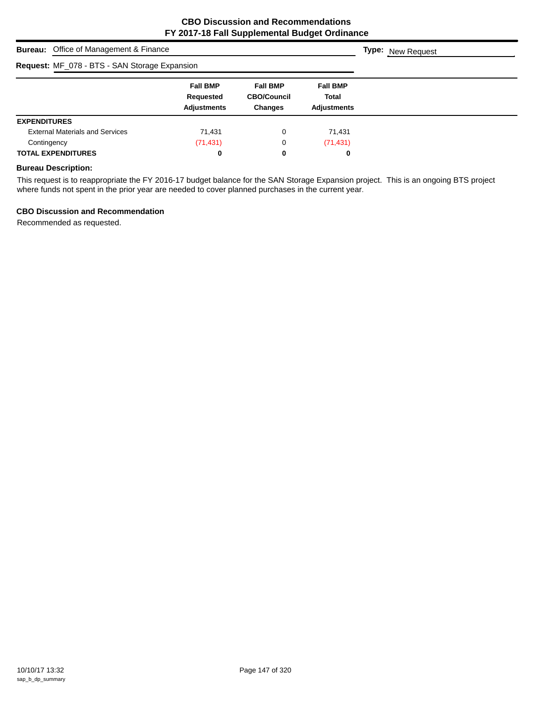| <b>Bureau:</b> Office of Management & Finance | <b>Type:</b> New Request                           |                                                         |                                                       |  |
|-----------------------------------------------|----------------------------------------------------|---------------------------------------------------------|-------------------------------------------------------|--|
| Request: MF_078 - BTS - SAN Storage Expansion |                                                    |                                                         |                                                       |  |
|                                               | <b>Fall BMP</b><br>Requested<br><b>Adjustments</b> | <b>Fall BMP</b><br><b>CBO/Council</b><br><b>Changes</b> | <b>Fall BMP</b><br><b>Total</b><br><b>Adjustments</b> |  |
| <b>EXPENDITURES</b>                           |                                                    |                                                         |                                                       |  |
| <b>External Materials and Services</b>        | 71,431                                             | 0                                                       | 71,431                                                |  |
| Contingency                                   | (71, 431)                                          | 0                                                       | (71, 431)                                             |  |
| <b>TOTAL EXPENDITURES</b>                     | 0                                                  | 0                                                       | 0                                                     |  |

## **Bureau Description:**

This request is to reappropriate the FY 2016-17 budget balance for the SAN Storage Expansion project. This is an ongoing BTS project where funds not spent in the prior year are needed to cover planned purchases in the current year.

## **CBO Discussion and Recommendation**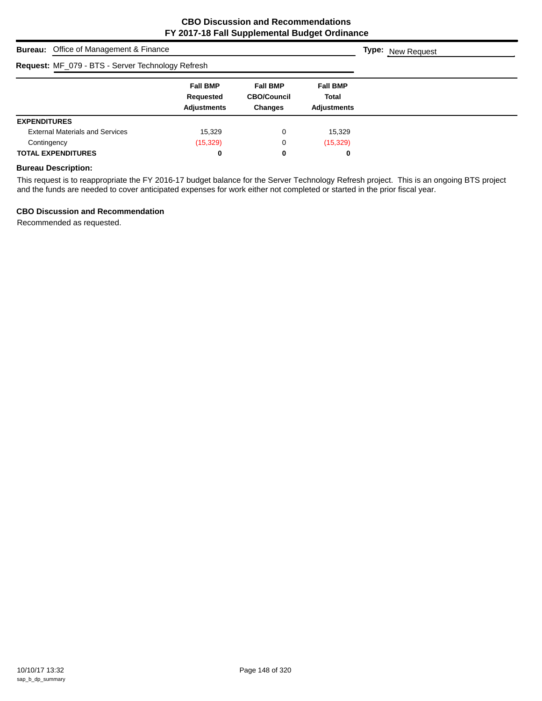| <b>Bureau:</b> Office of Management & Finance     | <b>Type:</b> New Request                           |                                                         |                                                |  |
|---------------------------------------------------|----------------------------------------------------|---------------------------------------------------------|------------------------------------------------|--|
| Request: MF_079 - BTS - Server Technology Refresh |                                                    |                                                         |                                                |  |
|                                                   | <b>Fall BMP</b><br>Requested<br><b>Adjustments</b> | <b>Fall BMP</b><br><b>CBO/Council</b><br><b>Changes</b> | <b>Fall BMP</b><br>Total<br><b>Adjustments</b> |  |
| <b>EXPENDITURES</b>                               |                                                    |                                                         |                                                |  |
| <b>External Materials and Services</b>            | 15,329                                             | 0                                                       | 15,329                                         |  |
| Contingency                                       | (15, 329)                                          | 0                                                       | (15,329)                                       |  |
| <b>TOTAL EXPENDITURES</b>                         | 0                                                  | 0                                                       | 0                                              |  |

## **Bureau Description:**

This request is to reappropriate the FY 2016-17 budget balance for the Server Technology Refresh project. This is an ongoing BTS project and the funds are needed to cover anticipated expenses for work either not completed or started in the prior fiscal year.

## **CBO Discussion and Recommendation**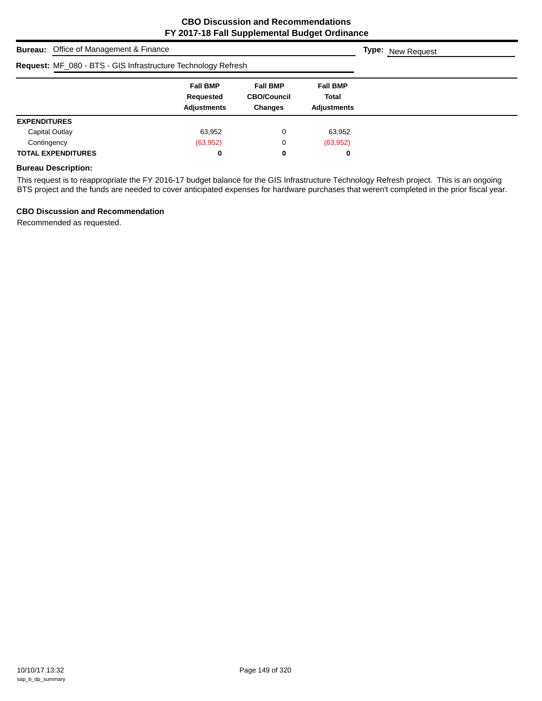| <b>Bureau:</b> Office of Management & Finance                 | <b>Type:</b> New Request                           |                                                         |                                                |  |
|---------------------------------------------------------------|----------------------------------------------------|---------------------------------------------------------|------------------------------------------------|--|
| Request: MF_080 - BTS - GIS Infrastructure Technology Refresh |                                                    |                                                         |                                                |  |
|                                                               | <b>Fall BMP</b><br>Requested<br><b>Adjustments</b> | <b>Fall BMP</b><br><b>CBO/Council</b><br><b>Changes</b> | <b>Fall BMP</b><br>Total<br><b>Adjustments</b> |  |
| <b>EXPENDITURES</b>                                           |                                                    |                                                         |                                                |  |
| Capital Outlay                                                | 63,952                                             | 0                                                       | 63,952                                         |  |
| Contingency                                                   | (63, 952)                                          | 0                                                       | (63, 952)                                      |  |
| <b>TOTAL EXPENDITURES</b>                                     | 0                                                  | 0                                                       | 0                                              |  |

## **Bureau Description:**

This request is to reappropriate the FY 2016-17 budget balance for the GIS Infrastructure Technology Refresh project. This is an ongoing BTS project and the funds are needed to cover anticipated expenses for hardware purchases that weren't completed in the prior fiscal year.

## **CBO Discussion and Recommendation**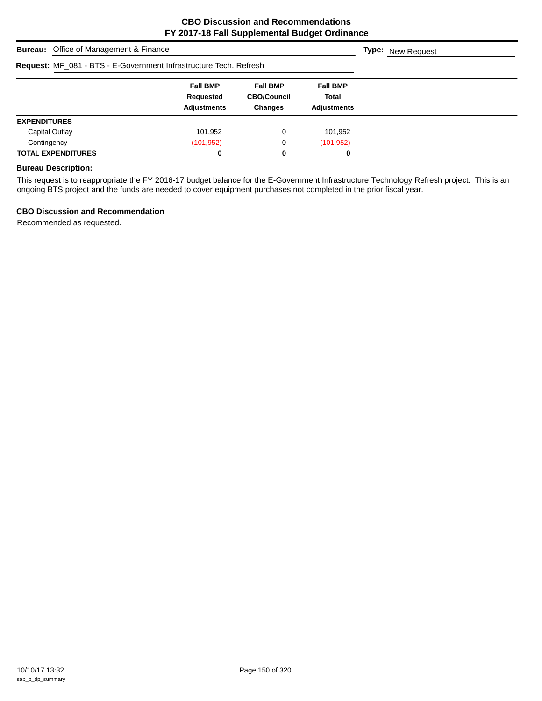| <b>Bureau:</b> Office of Management & Finance                     | <b>Type:</b> New Request                           |                                                         |                                                |  |
|-------------------------------------------------------------------|----------------------------------------------------|---------------------------------------------------------|------------------------------------------------|--|
| Request: MF_081 - BTS - E-Government Infrastructure Tech. Refresh |                                                    |                                                         |                                                |  |
|                                                                   | <b>Fall BMP</b><br>Requested<br><b>Adjustments</b> | <b>Fall BMP</b><br><b>CBO/Council</b><br><b>Changes</b> | <b>Fall BMP</b><br>Total<br><b>Adjustments</b> |  |
| <b>EXPENDITURES</b>                                               |                                                    |                                                         |                                                |  |
| Capital Outlay                                                    | 101,952                                            | 0                                                       | 101,952                                        |  |
| Contingency                                                       | (101, 952)                                         | 0                                                       | (101, 952)                                     |  |
| <b>TOTAL EXPENDITURES</b>                                         | 0                                                  | 0                                                       | 0                                              |  |

## **Bureau Description:**

This request is to reappropriate the FY 2016-17 budget balance for the E-Government Infrastructure Technology Refresh project. This is an ongoing BTS project and the funds are needed to cover equipment purchases not completed in the prior fiscal year.

## **CBO Discussion and Recommendation**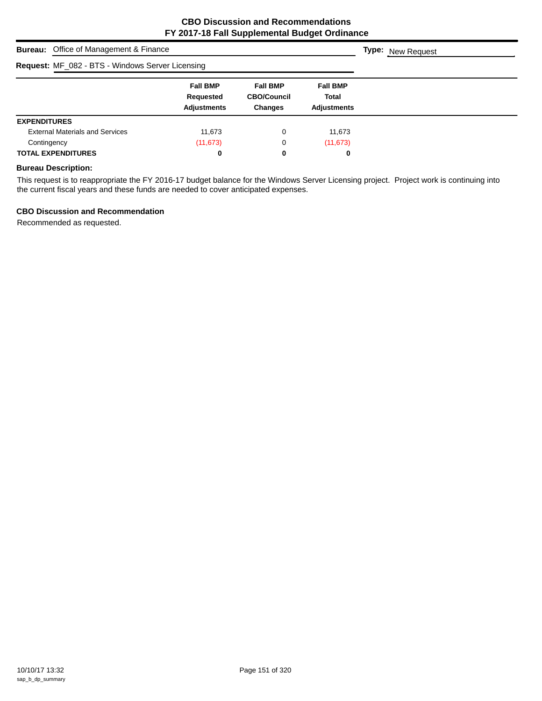| <b>Bureau:</b> Office of Management & Finance           | <b>Type:</b> New Request                           |                                                         |                                                       |  |
|---------------------------------------------------------|----------------------------------------------------|---------------------------------------------------------|-------------------------------------------------------|--|
| <b>Request: MF_082 - BTS - Windows Server Licensing</b> |                                                    |                                                         |                                                       |  |
|                                                         | <b>Fall BMP</b><br>Requested<br><b>Adjustments</b> | <b>Fall BMP</b><br><b>CBO/Council</b><br><b>Changes</b> | <b>Fall BMP</b><br><b>Total</b><br><b>Adjustments</b> |  |
| <b>EXPENDITURES</b>                                     |                                                    |                                                         |                                                       |  |
| <b>External Materials and Services</b>                  | 11,673                                             | 0                                                       | 11,673                                                |  |
| Contingency                                             | (11, 673)                                          | 0                                                       | (11, 673)                                             |  |
| <b>TOTAL EXPENDITURES</b>                               | 0                                                  | 0                                                       | 0                                                     |  |

## **Bureau Description:**

This request is to reappropriate the FY 2016-17 budget balance for the Windows Server Licensing project. Project work is continuing into the current fiscal years and these funds are needed to cover anticipated expenses.

## **CBO Discussion and Recommendation**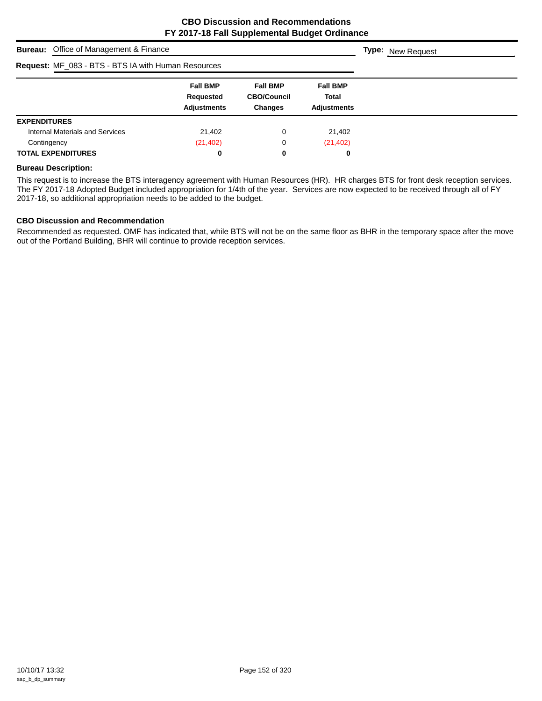| <b>Bureau:</b> Office of Management & Finance       | <b>Type:</b> New Request                           |                                                         |                                                       |  |
|-----------------------------------------------------|----------------------------------------------------|---------------------------------------------------------|-------------------------------------------------------|--|
| Request: MF_083 - BTS - BTS IA with Human Resources |                                                    |                                                         |                                                       |  |
|                                                     | <b>Fall BMP</b><br>Requested<br><b>Adjustments</b> | <b>Fall BMP</b><br><b>CBO/Council</b><br><b>Changes</b> | <b>Fall BMP</b><br><b>Total</b><br><b>Adiustments</b> |  |
| <b>EXPENDITURES</b>                                 |                                                    |                                                         |                                                       |  |
| Internal Materials and Services                     | 21,402                                             | 0                                                       | 21,402                                                |  |
| Contingency                                         | (21, 402)                                          | 0                                                       | (21, 402)                                             |  |
| <b>TOTAL EXPENDITURES</b>                           | 0                                                  | 0                                                       | 0                                                     |  |

#### **Bureau Description:**

This request is to increase the BTS interagency agreement with Human Resources (HR). HR charges BTS for front desk reception services. The FY 2017-18 Adopted Budget included appropriation for 1/4th of the year. Services are now expected to be received through all of FY 2017-18, so additional appropriation needs to be added to the budget.

#### **CBO Discussion and Recommendation**

Recommended as requested. OMF has indicated that, while BTS will not be on the same floor as BHR in the temporary space after the move out of the Portland Building, BHR will continue to provide reception services.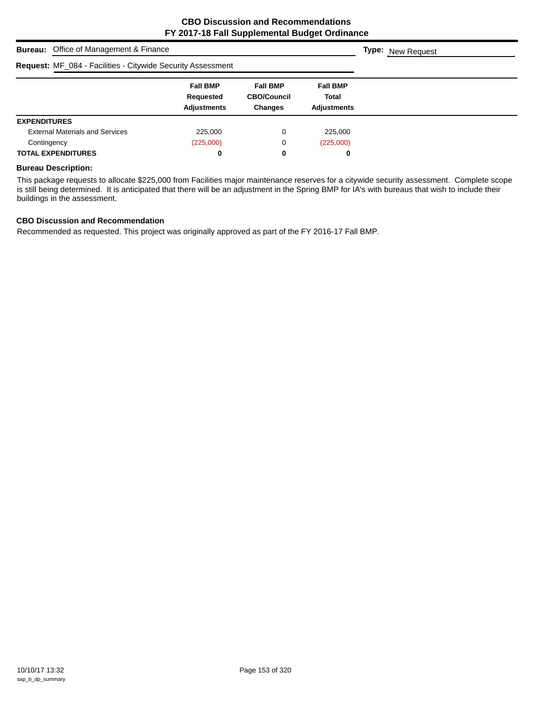|                                                                    | <b>Bureau:</b> Office of Management & Finance      |                                                         |                                                |  |  |  |
|--------------------------------------------------------------------|----------------------------------------------------|---------------------------------------------------------|------------------------------------------------|--|--|--|
| <b>Request: MF_084 - Facilities - Citywide Security Assessment</b> |                                                    |                                                         |                                                |  |  |  |
|                                                                    | <b>Fall BMP</b><br>Requested<br><b>Adjustments</b> | <b>Fall BMP</b><br><b>CBO/Council</b><br><b>Changes</b> | <b>Fall BMP</b><br><b>Total</b><br>Adjustments |  |  |  |
| <b>EXPENDITURES</b>                                                |                                                    |                                                         |                                                |  |  |  |
| <b>External Materials and Services</b>                             | 225,000                                            | 0                                                       | 225,000                                        |  |  |  |
| Contingency                                                        | (225,000)                                          | 0                                                       | (225,000)                                      |  |  |  |
| <b>TOTAL EXPENDITURES</b>                                          | 0                                                  | 0                                                       | 0                                              |  |  |  |

#### **Bureau Description:**

This package requests to allocate \$225,000 from Facilities major maintenance reserves for a citywide security assessment. Complete scope is still being determined. It is anticipated that there will be an adjustment in the Spring BMP for IA's with bureaus that wish to include their buildings in the assessment.

## **CBO Discussion and Recommendation**

Recommended as requested. This project was originally approved as part of the FY 2016-17 Fall BMP.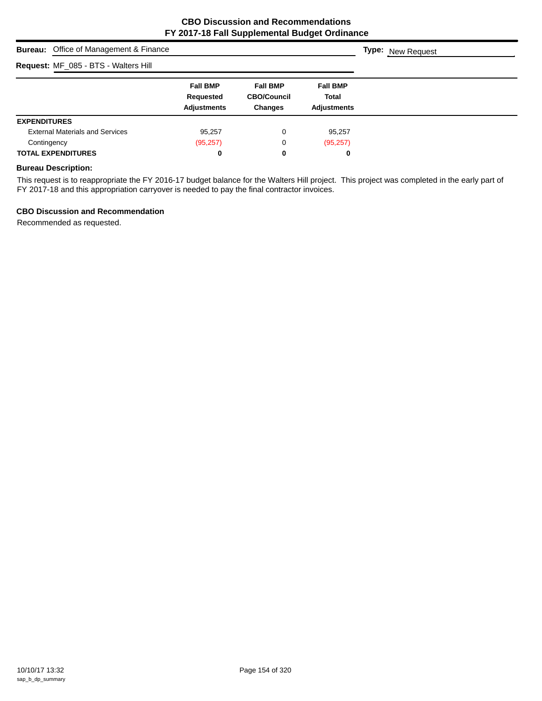|                     | <b>Bureau:</b> Office of Management & Finance |                                                    |                                                         |                                                       | <b>Type:</b> New Request |
|---------------------|-----------------------------------------------|----------------------------------------------------|---------------------------------------------------------|-------------------------------------------------------|--------------------------|
|                     | Request: MF_085 - BTS - Walters Hill          |                                                    |                                                         |                                                       |                          |
|                     |                                               | <b>Fall BMP</b><br>Requested<br><b>Adjustments</b> | <b>Fall BMP</b><br><b>CBO/Council</b><br><b>Changes</b> | <b>Fall BMP</b><br><b>Total</b><br><b>Adjustments</b> |                          |
| <b>EXPENDITURES</b> |                                               |                                                    |                                                         |                                                       |                          |
|                     | <b>External Materials and Services</b>        | 95,257                                             | 0                                                       | 95,257                                                |                          |
| Contingency         |                                               | (95, 257)                                          | 0                                                       | (95, 257)                                             |                          |
|                     | <b>TOTAL EXPENDITURES</b>                     | 0                                                  | 0                                                       | 0                                                     |                          |

## **Bureau Description:**

This request is to reappropriate the FY 2016-17 budget balance for the Walters Hill project. This project was completed in the early part of FY 2017-18 and this appropriation carryover is needed to pay the final contractor invoices.

## **CBO Discussion and Recommendation**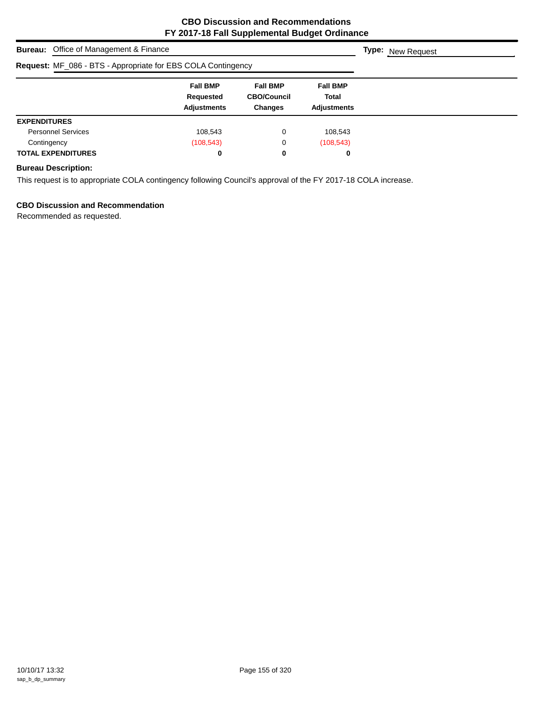|                                                              | <b>Bureau:</b> Office of Management & Finance      |                                                         |                                                |  |  |  |
|--------------------------------------------------------------|----------------------------------------------------|---------------------------------------------------------|------------------------------------------------|--|--|--|
| Request: MF_086 - BTS - Appropriate for EBS COLA Contingency |                                                    |                                                         |                                                |  |  |  |
|                                                              | <b>Fall BMP</b><br>Requested<br><b>Adjustments</b> | <b>Fall BMP</b><br><b>CBO/Council</b><br><b>Changes</b> | <b>Fall BMP</b><br>Total<br><b>Adjustments</b> |  |  |  |
| <b>EXPENDITURES</b>                                          |                                                    |                                                         |                                                |  |  |  |
| <b>Personnel Services</b>                                    | 108.543                                            | 0                                                       | 108,543                                        |  |  |  |
| Contingency                                                  | (108, 543)                                         | 0                                                       | (108, 543)                                     |  |  |  |
| <b>TOTAL EXPENDITURES</b>                                    | 0                                                  | 0                                                       | 0                                              |  |  |  |

## **Bureau Description:**

This request is to appropriate COLA contingency following Council's approval of the FY 2017-18 COLA increase.

## **CBO Discussion and Recommendation**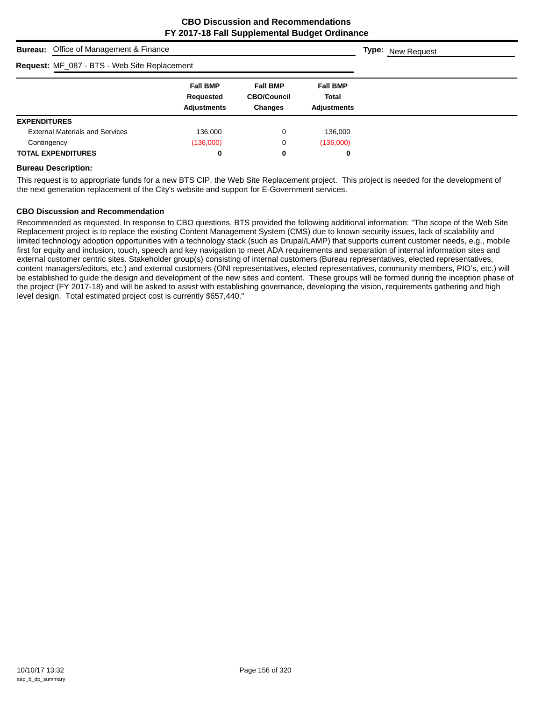|                     | <b>Bureau:</b> Office of Management & Finance |                                                    |                                                         |                                                | <b>Type:</b> New Request |  |
|---------------------|-----------------------------------------------|----------------------------------------------------|---------------------------------------------------------|------------------------------------------------|--------------------------|--|
|                     | Request: MF_087 - BTS - Web Site Replacement  |                                                    |                                                         |                                                |                          |  |
|                     |                                               | <b>Fall BMP</b><br>Requested<br><b>Adjustments</b> | <b>Fall BMP</b><br><b>CBO/Council</b><br><b>Changes</b> | <b>Fall BMP</b><br>Total<br><b>Adjustments</b> |                          |  |
| <b>EXPENDITURES</b> |                                               |                                                    |                                                         |                                                |                          |  |
|                     | <b>External Materials and Services</b>        | 136,000                                            | 0                                                       | 136,000                                        |                          |  |
| Contingency         |                                               | (136,000)                                          | 0                                                       | (136,000)                                      |                          |  |
|                     | <b>TOTAL EXPENDITURES</b>                     | 0                                                  | 0                                                       | 0                                              |                          |  |

#### **Bureau Description:**

This request is to appropriate funds for a new BTS CIP, the Web Site Replacement project. This project is needed for the development of the next generation replacement of the City's website and support for E-Government services.

#### **CBO Discussion and Recommendation**

Recommended as requested. In response to CBO questions, BTS provided the following additional information: "The scope of the Web Site Replacement project is to replace the existing Content Management System (CMS) due to known security issues, lack of scalability and limited technology adoption opportunities with a technology stack (such as Drupal/LAMP) that supports current customer needs, e.g., mobile first for equity and inclusion, touch, speech and key navigation to meet ADA requirements and separation of internal information sites and external customer centric sites. Stakeholder group(s) consisting of internal customers (Bureau representatives, elected representatives, content managers/editors, etc.) and external customers (ONI representatives, elected representatives, community members, PIO's, etc.) will be established to guide the design and development of the new sites and content. These groups will be formed during the inception phase of the project (FY 2017-18) and will be asked to assist with establishing governance, developing the vision, requirements gathering and high level design. Total estimated project cost is currently \$657,440."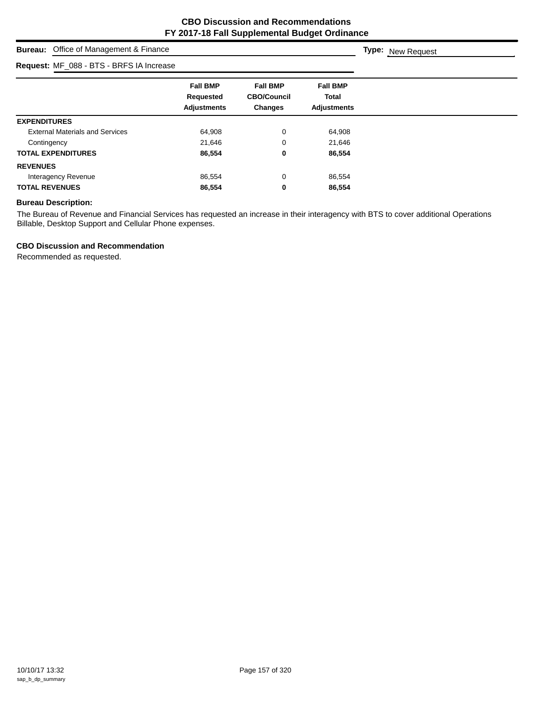**Type:** New Request

## **Bureau:** Office of Management & Finance

# **Request:** MF\_088 - BTS - BRFS IA Increase

| <b>Request:</b> MF_088 - BTS - BRFS IA Increase |                                                    |                                                         |                                                |  |
|-------------------------------------------------|----------------------------------------------------|---------------------------------------------------------|------------------------------------------------|--|
|                                                 | <b>Fall BMP</b><br>Requested<br><b>Adjustments</b> | <b>Fall BMP</b><br><b>CBO/Council</b><br><b>Changes</b> | <b>Fall BMP</b><br>Total<br><b>Adjustments</b> |  |
| <b>EXPENDITURES</b>                             |                                                    |                                                         |                                                |  |
| <b>External Materials and Services</b>          | 64,908                                             | 0                                                       | 64,908                                         |  |
| Contingency                                     | 21,646                                             | 0                                                       | 21,646                                         |  |
| <b>TOTAL EXPENDITURES</b>                       | 86,554                                             | 0                                                       | 86,554                                         |  |
| <b>REVENUES</b>                                 |                                                    |                                                         |                                                |  |
| Interagency Revenue                             | 86,554                                             | 0                                                       | 86,554                                         |  |
| <b>TOTAL REVENUES</b>                           | 86,554                                             | 0                                                       | 86,554                                         |  |

## **Bureau Description:**

The Bureau of Revenue and Financial Services has requested an increase in their interagency with BTS to cover additional Operations Billable, Desktop Support and Cellular Phone expenses.

## **CBO Discussion and Recommendation**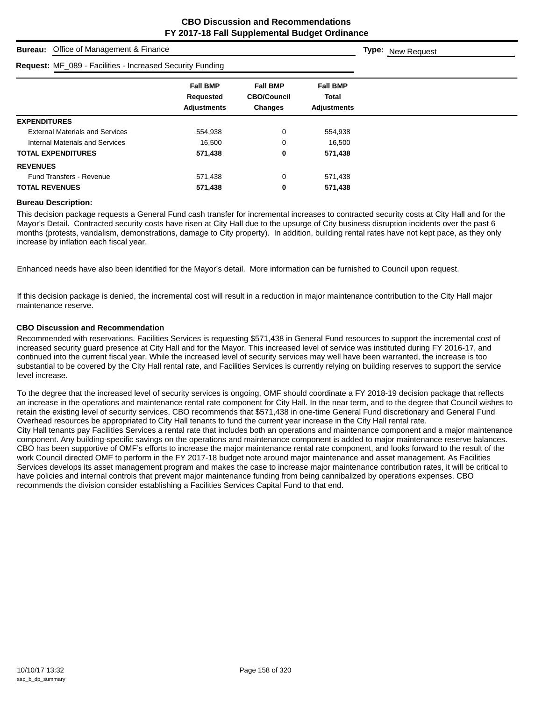| <b>Bureau:</b> Office of Management & Finance                    |                                                    |                                                         |                                                | <b>Type:</b> New Request |
|------------------------------------------------------------------|----------------------------------------------------|---------------------------------------------------------|------------------------------------------------|--------------------------|
| <b>Request: MF_089 - Facilities - Increased Security Funding</b> |                                                    |                                                         |                                                |                          |
|                                                                  | <b>Fall BMP</b><br>Requested<br><b>Adjustments</b> | <b>Fall BMP</b><br><b>CBO/Council</b><br><b>Changes</b> | <b>Fall BMP</b><br>Total<br><b>Adjustments</b> |                          |
| <b>EXPENDITURES</b>                                              |                                                    |                                                         |                                                |                          |
| <b>External Materials and Services</b>                           | 554,938                                            | 0                                                       | 554,938                                        |                          |
| Internal Materials and Services                                  | 16,500                                             | 0                                                       | 16,500                                         |                          |
| <b>TOTAL EXPENDITURES</b>                                        | 571,438                                            | 0                                                       | 571,438                                        |                          |
| <b>REVENUES</b>                                                  |                                                    |                                                         |                                                |                          |
| <b>Fund Transfers - Revenue</b>                                  | 571,438                                            | 0                                                       | 571,438                                        |                          |
| <b>TOTAL REVENUES</b>                                            | 571,438                                            | 0                                                       | 571,438                                        |                          |

#### **Bureau Description:**

This decision package requests a General Fund cash transfer for incremental increases to contracted security costs at City Hall and for the Mayor's Detail. Contracted security costs have risen at City Hall due to the upsurge of City business disruption incidents over the past 6 months (protests, vandalism, demonstrations, damage to City property). In addition, building rental rates have not kept pace, as they only increase by inflation each fiscal year.

Enhanced needs have also been identified for the Mayor's detail. More information can be furnished to Council upon request.

If this decision package is denied, the incremental cost will result in a reduction in major maintenance contribution to the City Hall major maintenance reserve.

#### **CBO Discussion and Recommendation**

Recommended with reservations. Facilities Services is requesting \$571,438 in General Fund resources to support the incremental cost of increased security guard presence at City Hall and for the Mayor. This increased level of service was instituted during FY 2016-17, and continued into the current fiscal year. While the increased level of security services may well have been warranted, the increase is too substantial to be covered by the City Hall rental rate, and Facilities Services is currently relying on building reserves to support the service level increase.

To the degree that the increased level of security services is ongoing, OMF should coordinate a FY 2018-19 decision package that reflects an increase in the operations and maintenance rental rate component for City Hall. In the near term, and to the degree that Council wishes to retain the existing level of security services, CBO recommends that \$571,438 in one-time General Fund discretionary and General Fund Overhead resources be appropriated to City Hall tenants to fund the current year increase in the City Hall rental rate. City Hall tenants pay Facilities Services a rental rate that includes both an operations and maintenance component and a major maintenance component. Any building-specific savings on the operations and maintenance component is added to major maintenance reserve balances. CBO has been supportive of OMF's efforts to increase the major maintenance rental rate component, and looks forward to the result of the work Council directed OMF to perform in the FY 2017-18 budget note around major maintenance and asset management. As Facilities Services develops its asset management program and makes the case to increase major maintenance contribution rates, it will be critical to have policies and internal controls that prevent major maintenance funding from being cannibalized by operations expenses. CBO recommends the division consider establishing a Facilities Services Capital Fund to that end.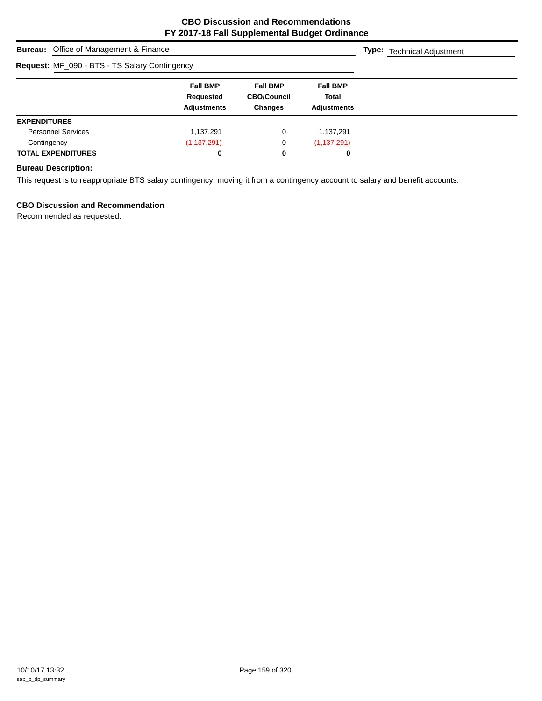| <b>Bureau:</b> Office of Management & Finance |                                                    |                                                         |                                                       | Type:<br><b>Technical Adjustment</b> |
|-----------------------------------------------|----------------------------------------------------|---------------------------------------------------------|-------------------------------------------------------|--------------------------------------|
| Request: MF_090 - BTS - TS Salary Contingency |                                                    |                                                         |                                                       |                                      |
|                                               | <b>Fall BMP</b><br>Requested<br><b>Adjustments</b> | <b>Fall BMP</b><br><b>CBO/Council</b><br><b>Changes</b> | <b>Fall BMP</b><br><b>Total</b><br><b>Adjustments</b> |                                      |
| <b>EXPENDITURES</b>                           |                                                    |                                                         |                                                       |                                      |
| <b>Personnel Services</b>                     | 1,137,291                                          | 0                                                       | 1.137.291                                             |                                      |
| Contingency                                   | (1, 137, 291)                                      | 0                                                       | (1, 137, 291)                                         |                                      |
| <b>TOTAL EXPENDITURES</b>                     | 0                                                  | 0                                                       | 0                                                     |                                      |

## **Bureau Description:**

This request is to reappropriate BTS salary contingency, moving it from a contingency account to salary and benefit accounts.

## **CBO Discussion and Recommendation**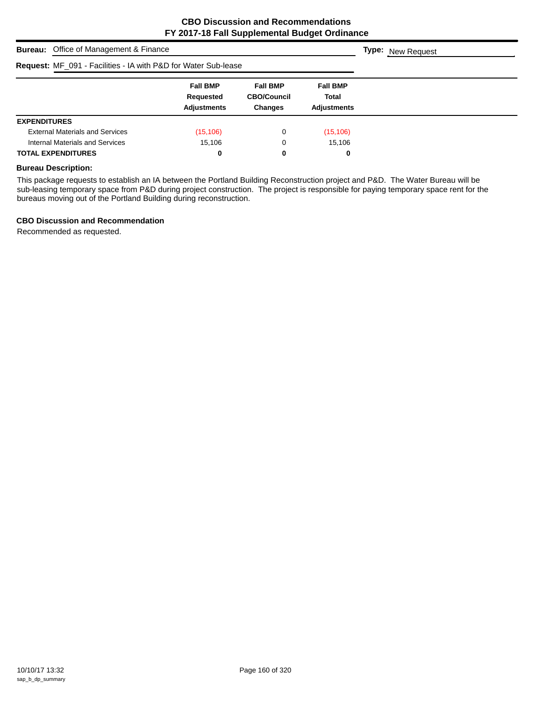| <b>Bureau:</b> Office of Management & Finance                  |                                                    |                                                         |                                                       | <b>Type:</b> New Request |
|----------------------------------------------------------------|----------------------------------------------------|---------------------------------------------------------|-------------------------------------------------------|--------------------------|
| Request: MF_091 - Facilities - IA with P&D for Water Sub-lease |                                                    |                                                         |                                                       |                          |
|                                                                | <b>Fall BMP</b><br>Requested<br><b>Adjustments</b> | <b>Fall BMP</b><br><b>CBO/Council</b><br><b>Changes</b> | <b>Fall BMP</b><br><b>Total</b><br><b>Adjustments</b> |                          |
| <b>EXPENDITURES</b>                                            |                                                    |                                                         |                                                       |                          |
| <b>External Materials and Services</b>                         | (15, 106)                                          | 0                                                       | (15, 106)                                             |                          |
| Internal Materials and Services                                | 15,106                                             | 0                                                       | 15,106                                                |                          |
| <b>TOTAL EXPENDITURES</b>                                      | 0                                                  | 0                                                       | 0                                                     |                          |

## **Bureau Description:**

This package requests to establish an IA between the Portland Building Reconstruction project and P&D. The Water Bureau will be sub-leasing temporary space from P&D during project construction. The project is responsible for paying temporary space rent for the bureaus moving out of the Portland Building during reconstruction.

## **CBO Discussion and Recommendation**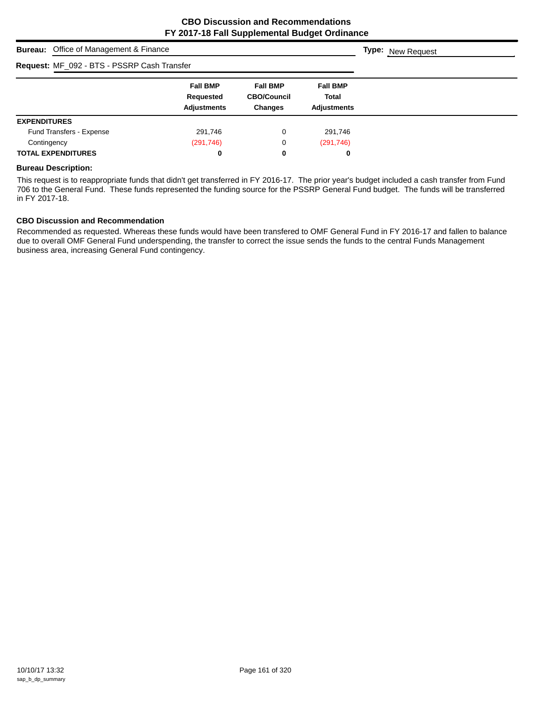| <b>Bureau:</b> Office of Management & Finance |                                                    |                                                         |                                                       | <b>Type:</b> New Request |
|-----------------------------------------------|----------------------------------------------------|---------------------------------------------------------|-------------------------------------------------------|--------------------------|
| Request: MF_092 - BTS - PSSRP Cash Transfer   |                                                    |                                                         |                                                       |                          |
|                                               | <b>Fall BMP</b><br>Requested<br><b>Adjustments</b> | <b>Fall BMP</b><br><b>CBO/Council</b><br><b>Changes</b> | <b>Fall BMP</b><br><b>Total</b><br><b>Adjustments</b> |                          |
| <b>EXPENDITURES</b>                           |                                                    |                                                         |                                                       |                          |
| Fund Transfers - Expense                      | 291,746                                            | 0                                                       | 291.746                                               |                          |
| Contingency                                   | (291, 746)                                         | 0                                                       | (291, 746)                                            |                          |
| <b>TOTAL EXPENDITURES</b>                     | 0                                                  | 0                                                       | 0                                                     |                          |

#### **Bureau Description:**

This request is to reappropriate funds that didn't get transferred in FY 2016-17. The prior year's budget included a cash transfer from Fund 706 to the General Fund. These funds represented the funding source for the PSSRP General Fund budget. The funds will be transferred in FY 2017-18.

### **CBO Discussion and Recommendation**

Recommended as requested. Whereas these funds would have been transfered to OMF General Fund in FY 2016-17 and fallen to balance due to overall OMF General Fund underspending, the transfer to correct the issue sends the funds to the central Funds Management business area, increasing General Fund contingency.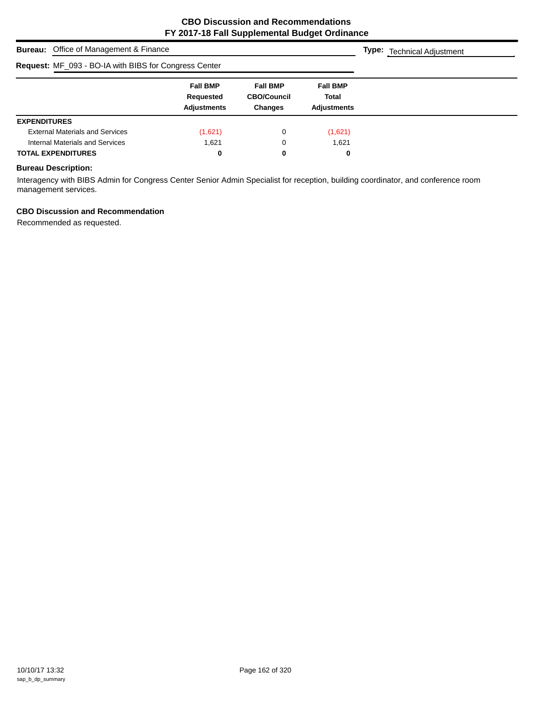| <b>Bureau:</b> Office of Management & Finance                |                                                    |                                                         |                                                       | <b>Type:</b> Technical Adjustment |
|--------------------------------------------------------------|----------------------------------------------------|---------------------------------------------------------|-------------------------------------------------------|-----------------------------------|
| <b>Request: MF_093 - BO-IA with BIBS for Congress Center</b> |                                                    |                                                         |                                                       |                                   |
|                                                              | <b>Fall BMP</b><br>Requested<br><b>Adjustments</b> | <b>Fall BMP</b><br><b>CBO/Council</b><br><b>Changes</b> | <b>Fall BMP</b><br><b>Total</b><br><b>Adjustments</b> |                                   |
| <b>EXPENDITURES</b>                                          |                                                    |                                                         |                                                       |                                   |
| <b>External Materials and Services</b>                       | (1,621)                                            | 0                                                       | (1,621)                                               |                                   |
| Internal Materials and Services                              | 1.621                                              | 0                                                       | 1,621                                                 |                                   |
| <b>TOTAL EXPENDITURES</b>                                    | 0                                                  | 0                                                       | 0                                                     |                                   |

## **Bureau Description:**

Interagency with BIBS Admin for Congress Center Senior Admin Specialist for reception, building coordinator, and conference room management services.

## **CBO Discussion and Recommendation**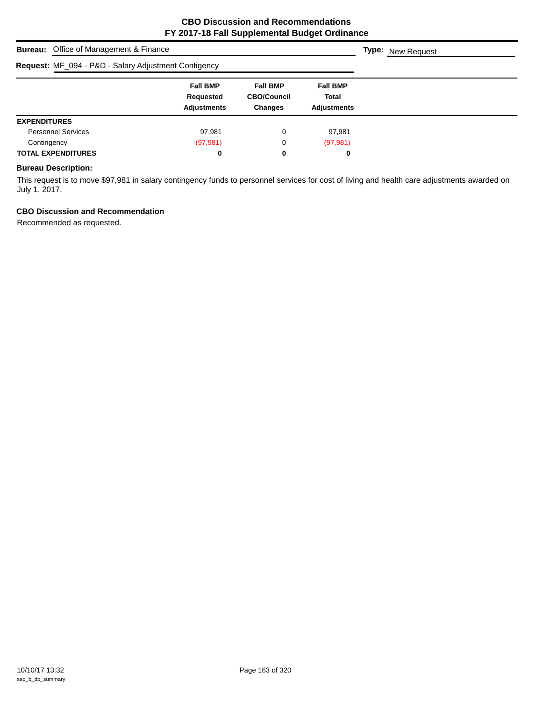| <b>Bureau:</b> Office of Management & Finance        |                                                    |                                                         |                                                | <b>Type:</b> New Request |
|------------------------------------------------------|----------------------------------------------------|---------------------------------------------------------|------------------------------------------------|--------------------------|
| Request: MF_094 - P&D - Salary Adjustment Contigency |                                                    |                                                         |                                                |                          |
|                                                      | <b>Fall BMP</b><br>Requested<br><b>Adjustments</b> | <b>Fall BMP</b><br><b>CBO/Council</b><br><b>Changes</b> | <b>Fall BMP</b><br><b>Total</b><br>Adjustments |                          |
| <b>EXPENDITURES</b>                                  |                                                    |                                                         |                                                |                          |
| <b>Personnel Services</b>                            | 97,981                                             | 0                                                       | 97,981                                         |                          |
| Contingency                                          | (97, 981)                                          | 0                                                       | (97, 981)                                      |                          |
| <b>TOTAL EXPENDITURES</b>                            | 0                                                  | 0                                                       | 0                                              |                          |

## **Bureau Description:**

This request is to move \$97,981 in salary contingency funds to personnel services for cost of living and health care adjustments awarded on July 1, 2017.

## **CBO Discussion and Recommendation**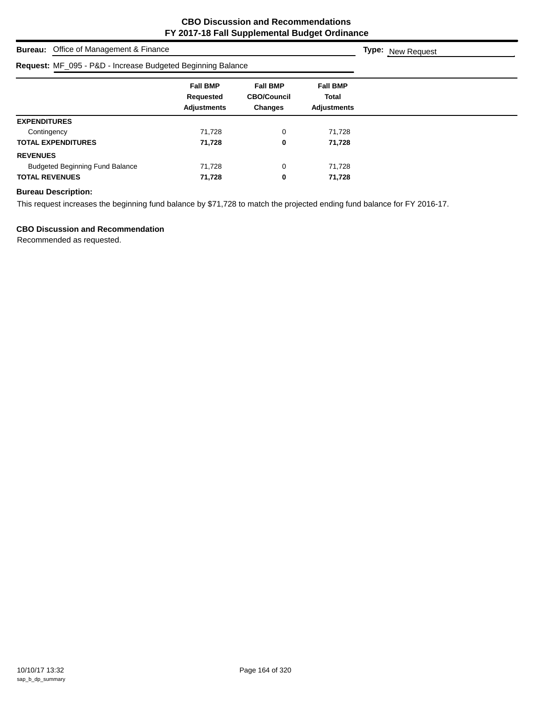| <b>Bureau:</b> Office of Management & Finance               |                                                    |                                                         |                                                       | <b>Type:</b> New Request |
|-------------------------------------------------------------|----------------------------------------------------|---------------------------------------------------------|-------------------------------------------------------|--------------------------|
| Request: MF_095 - P&D - Increase Budgeted Beginning Balance |                                                    |                                                         |                                                       |                          |
|                                                             | <b>Fall BMP</b><br>Requested<br><b>Adjustments</b> | <b>Fall BMP</b><br><b>CBO/Council</b><br><b>Changes</b> | <b>Fall BMP</b><br><b>Total</b><br><b>Adjustments</b> |                          |
| <b>EXPENDITURES</b>                                         |                                                    |                                                         |                                                       |                          |
| Contingency                                                 | 71,728                                             | 0                                                       | 71,728                                                |                          |
| <b>TOTAL EXPENDITURES</b>                                   | 71,728                                             | 0                                                       | 71,728                                                |                          |
| <b>REVENUES</b>                                             |                                                    |                                                         |                                                       |                          |
| <b>Budgeted Beginning Fund Balance</b>                      | 71,728                                             | 0                                                       | 71.728                                                |                          |
| <b>TOTAL REVENUES</b>                                       | 71,728                                             | 0                                                       | 71,728                                                |                          |

This request increases the beginning fund balance by \$71,728 to match the projected ending fund balance for FY 2016-17.

## **CBO Discussion and Recommendation**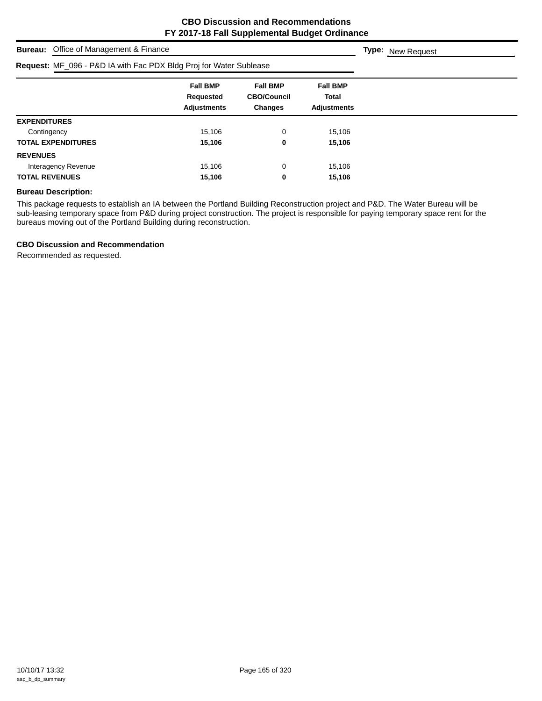**Type:** New Request

# **Bureau:** Office of Management & Finance **Request:** MF\_096 - P&D IA with Fac PDX Bldg Proj for Water Sublease

| $1.00$ and $0.00$ and $0.00$ and $0.00$ and $0.00$ and $0.00$ and $0.00$ and $0.00$ and $0.00$ and $0.00$ and $0.00$ and $0.00$ and $0.00$ and $0.00$ and $0.00$ and $0.00$ and $0.00$ and $0.00$ and $0.00$ and $0.00$ and |                                                    |                                                         |                                                       |
|-----------------------------------------------------------------------------------------------------------------------------------------------------------------------------------------------------------------------------|----------------------------------------------------|---------------------------------------------------------|-------------------------------------------------------|
|                                                                                                                                                                                                                             | <b>Fall BMP</b><br>Requested<br><b>Adjustments</b> | <b>Fall BMP</b><br><b>CBO/Council</b><br><b>Changes</b> | <b>Fall BMP</b><br><b>Total</b><br><b>Adjustments</b> |
| <b>EXPENDITURES</b>                                                                                                                                                                                                         |                                                    |                                                         |                                                       |
| Contingency                                                                                                                                                                                                                 | 15,106                                             | 0                                                       | 15,106                                                |
| <b>TOTAL EXPENDITURES</b>                                                                                                                                                                                                   | 15,106                                             | 0                                                       | 15,106                                                |
| <b>REVENUES</b>                                                                                                                                                                                                             |                                                    |                                                         |                                                       |
| Interagency Revenue                                                                                                                                                                                                         | 15,106                                             | 0                                                       | 15,106                                                |
| <b>TOTAL REVENUES</b>                                                                                                                                                                                                       | 15,106                                             | 0                                                       | 15,106                                                |

## **Bureau Description:**

This package requests to establish an IA between the Portland Building Reconstruction project and P&D. The Water Bureau will be sub-leasing temporary space from P&D during project construction. The project is responsible for paying temporary space rent for the bureaus moving out of the Portland Building during reconstruction.

## **CBO Discussion and Recommendation**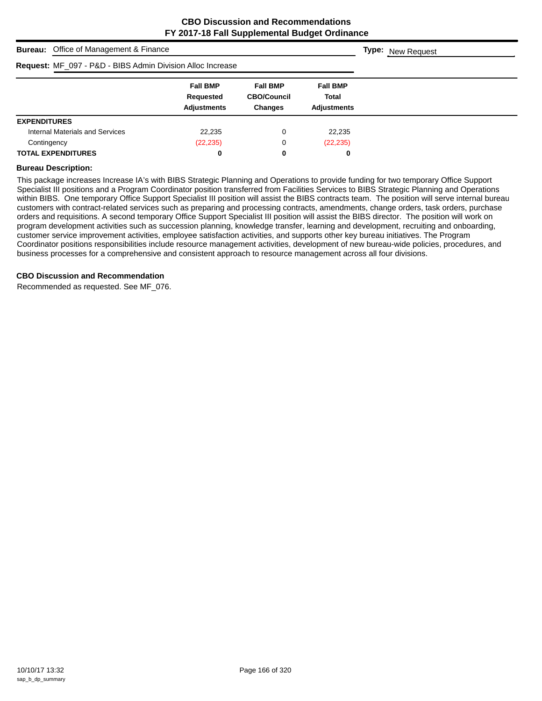| <b>Bureau:</b> Office of Management & Finance              |                                                    |                                                         |                                                | <b>Type:</b> New Request |
|------------------------------------------------------------|----------------------------------------------------|---------------------------------------------------------|------------------------------------------------|--------------------------|
| Request: MF_097 - P&D - BIBS Admin Division Alloc Increase |                                                    |                                                         |                                                |                          |
|                                                            | <b>Fall BMP</b><br>Requested<br><b>Adjustments</b> | <b>Fall BMP</b><br><b>CBO/Council</b><br><b>Changes</b> | <b>Fall BMP</b><br>Total<br><b>Adiustments</b> |                          |
| <b>EXPENDITURES</b>                                        |                                                    |                                                         |                                                |                          |
| Internal Materials and Services                            | 22,235                                             | 0                                                       | 22,235                                         |                          |
| Contingency                                                | (22, 235)                                          | 0                                                       | (22, 235)                                      |                          |
| <b>TOTAL EXPENDITURES</b>                                  | 0                                                  | 0                                                       | 0                                              |                          |

#### **Bureau Description:**

This package increases Increase IA's with BIBS Strategic Planning and Operations to provide funding for two temporary Office Support Specialist III positions and a Program Coordinator position transferred from Facilities Services to BIBS Strategic Planning and Operations within BIBS. One temporary Office Support Specialist III position will assist the BIBS contracts team. The position will serve internal bureau customers with contract-related services such as preparing and processing contracts, amendments, change orders, task orders, purchase orders and requisitions. A second temporary Office Support Specialist III position will assist the BIBS director. The position will work on program development activities such as succession planning, knowledge transfer, learning and development, recruiting and onboarding, customer service improvement activities, employee satisfaction activities, and supports other key bureau initiatives. The Program Coordinator positions responsibilities include resource management activities, development of new bureau-wide policies, procedures, and business processes for a comprehensive and consistent approach to resource management across all four divisions.

#### **CBO Discussion and Recommendation**

Recommended as requested. See MF\_076.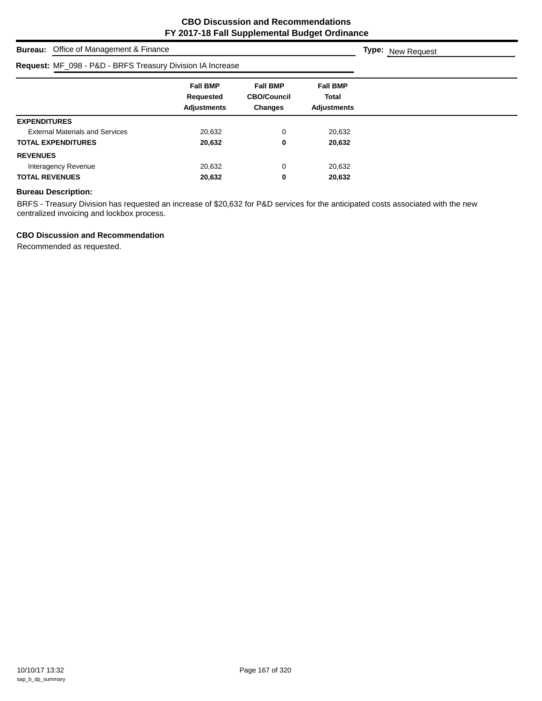**Type:** New Request

**Bureau:** Office of Management & Finance

|                                        | Request: MF_098 - P&D - BRFS Treasury Division IA Increase |                                                         |                                                       |  |  |  |
|----------------------------------------|------------------------------------------------------------|---------------------------------------------------------|-------------------------------------------------------|--|--|--|
|                                        | <b>Fall BMP</b><br>Requested<br><b>Adjustments</b>         | <b>Fall BMP</b><br><b>CBO/Council</b><br><b>Changes</b> | <b>Fall BMP</b><br><b>Total</b><br><b>Adjustments</b> |  |  |  |
| <b>EXPENDITURES</b>                    |                                                            |                                                         |                                                       |  |  |  |
| <b>External Materials and Services</b> | 20.632                                                     | 0                                                       | 20,632                                                |  |  |  |
| <b>TOTAL EXPENDITURES</b>              | 20,632                                                     | 0                                                       | 20,632                                                |  |  |  |
| <b>REVENUES</b>                        |                                                            |                                                         |                                                       |  |  |  |
| Interagency Revenue                    | 20,632                                                     | 0                                                       | 20,632                                                |  |  |  |
| <b>TOTAL REVENUES</b>                  | 20,632                                                     | 0                                                       | 20,632                                                |  |  |  |

## **Bureau Description:**

BRFS - Treasury Division has requested an increase of \$20,632 for P&D services for the anticipated costs associated with the new centralized invoicing and lockbox process.

#### **CBO Discussion and Recommendation**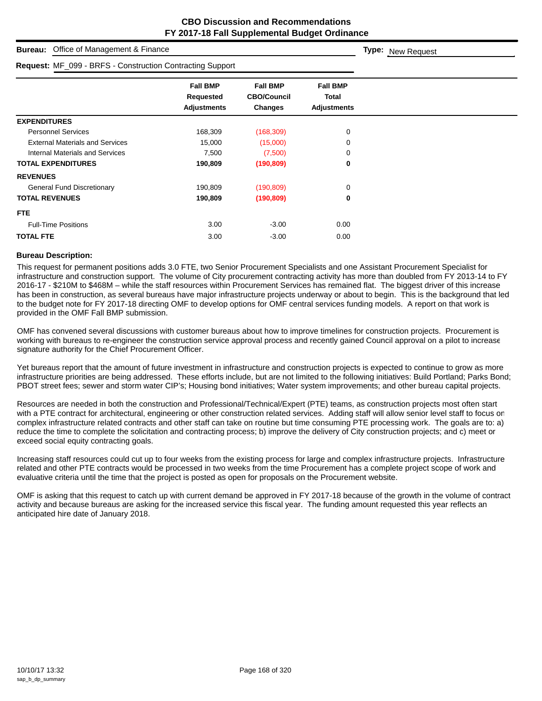| Office of Management & Finance<br><b>Bureau:</b>          |                                                           |                                                  |                                                       | <b>Type:</b> New Request |
|-----------------------------------------------------------|-----------------------------------------------------------|--------------------------------------------------|-------------------------------------------------------|--------------------------|
| Request: MF_099 - BRFS - Construction Contracting Support |                                                           |                                                  |                                                       |                          |
|                                                           | <b>Fall BMP</b><br><b>Requested</b><br><b>Adjustments</b> | <b>Fall BMP</b><br><b>CBO/Council</b><br>Changes | <b>Fall BMP</b><br><b>Total</b><br><b>Adjustments</b> |                          |
| <b>EXPENDITURES</b>                                       |                                                           |                                                  |                                                       |                          |
| <b>Personnel Services</b>                                 | 168,309                                                   | (168, 309)                                       | 0                                                     |                          |
| <b>External Materials and Services</b>                    | 15,000                                                    | (15,000)                                         | 0                                                     |                          |
| <b>Internal Materials and Services</b>                    | 7,500                                                     | (7,500)                                          | 0                                                     |                          |
| <b>TOTAL EXPENDITURES</b>                                 | 190,809                                                   | (190, 809)                                       | 0                                                     |                          |
| <b>REVENUES</b>                                           |                                                           |                                                  |                                                       |                          |
| <b>General Fund Discretionary</b>                         | 190,809                                                   | (190, 809)                                       | 0                                                     |                          |
| <b>TOTAL REVENUES</b>                                     | 190,809                                                   | (190, 809)                                       | 0                                                     |                          |
| FTE.                                                      |                                                           |                                                  |                                                       |                          |
| <b>Full-Time Positions</b>                                | 3.00                                                      | $-3.00$                                          | 0.00                                                  |                          |
| <b>TOTAL FTE</b>                                          | 3.00                                                      | $-3.00$                                          | 0.00                                                  |                          |

#### **Bureau Description:**

This request for permanent positions adds 3.0 FTE, two Senior Procurement Specialists and one Assistant Procurement Specialist for infrastructure and construction support. The volume of City procurement contracting activity has more than doubled from FY 2013-14 to FY 2016-17 - \$210M to \$468M – while the staff resources within Procurement Services has remained flat. The biggest driver of this increase has been in construction, as several bureaus have major infrastructure projects underway or about to begin. This is the background that led to the budget note for FY 2017-18 directing OMF to develop options for OMF central services funding models. A report on that work is provided in the OMF Fall BMP submission.

OMF has convened several discussions with customer bureaus about how to improve timelines for construction projects. Procurement is working with bureaus to re-engineer the construction service approval process and recently gained Council approval on a pilot to increase signature authority for the Chief Procurement Officer.

Yet bureaus report that the amount of future investment in infrastructure and construction projects is expected to continue to grow as more infrastructure priorities are being addressed. These efforts include, but are not limited to the following initiatives: Build Portland; Parks Bond; PBOT street fees; sewer and storm water CIP's; Housing bond initiatives; Water system improvements; and other bureau capital projects.

Resources are needed in both the construction and Professional/Technical/Expert (PTE) teams, as construction projects most often start with a PTE contract for architectural, engineering or other construction related services. Adding staff will allow senior level staff to focus on complex infrastructure related contracts and other staff can take on routine but time consuming PTE processing work. The goals are to: a) reduce the time to complete the solicitation and contracting process; b) improve the delivery of City construction projects; and c) meet or exceed social equity contracting goals.

Increasing staff resources could cut up to four weeks from the existing process for large and complex infrastructure projects. Infrastructure related and other PTE contracts would be processed in two weeks from the time Procurement has a complete project scope of work and evaluative criteria until the time that the project is posted as open for proposals on the Procurement website.

OMF is asking that this request to catch up with current demand be approved in FY 2017-18 because of the growth in the volume of contract activity and because bureaus are asking for the increased service this fiscal year. The funding amount requested this year reflects an anticipated hire date of January 2018.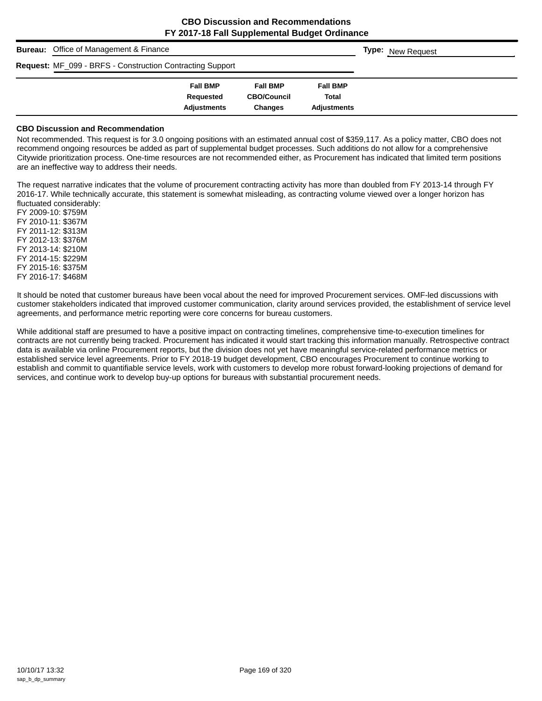| <b>Bureau:</b> Office of Management & Finance             | <b>Type:</b> New Request |                    |                    |  |
|-----------------------------------------------------------|--------------------------|--------------------|--------------------|--|
| Request: MF_099 - BRFS - Construction Contracting Support |                          |                    |                    |  |
|                                                           | <b>Fall BMP</b>          | <b>Fall BMP</b>    | <b>Fall BMP</b>    |  |
|                                                           | Requested                | <b>CBO/Council</b> | <b>Total</b>       |  |
|                                                           | <b>Adjustments</b>       | <b>Changes</b>     | <b>Adjustments</b> |  |

#### **CBO Discussion and Recommendation**

Not recommended. This request is for 3.0 ongoing positions with an estimated annual cost of \$359,117. As a policy matter, CBO does not recommend ongoing resources be added as part of supplemental budget processes. Such additions do not allow for a comprehensive Citywide prioritization process. One-time resources are not recommended either, as Procurement has indicated that limited term positions are an ineffective way to address their needs.

The request narrative indicates that the volume of procurement contracting activity has more than doubled from FY 2013-14 through FY 2016-17. While technically accurate, this statement is somewhat misleading, as contracting volume viewed over a longer horizon has fluctuated considerably:

FY 2009-10: \$759M FY 2010-11: \$367M FY 2011-12: \$313M FY 2012-13: \$376M FY 2013-14: \$210M FY 2014-15: \$229M FY 2015-16: \$375M FY 2016-17: \$468M

It should be noted that customer bureaus have been vocal about the need for improved Procurement services. OMF-led discussions with customer stakeholders indicated that improved customer communication, clarity around services provided, the establishment of service level agreements, and performance metric reporting were core concerns for bureau customers.

While additional staff are presumed to have a positive impact on contracting timelines, comprehensive time-to-execution timelines for contracts are not currently being tracked. Procurement has indicated it would start tracking this information manually. Retrospective contract data is available via online Procurement reports, but the division does not yet have meaningful service-related performance metrics or established service level agreements. Prior to FY 2018-19 budget development, CBO encourages Procurement to continue working to establish and commit to quantifiable service levels, work with customers to develop more robust forward-looking projections of demand for services, and continue work to develop buy-up options for bureaus with substantial procurement needs.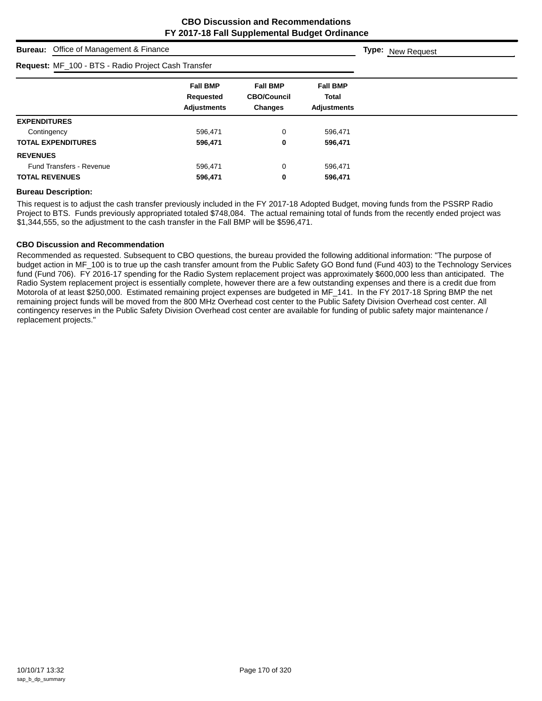| <b>Bureau:</b> Office of Management & Finance       | <b>Type:</b> New Request                                  |                                                  |                                                       |  |
|-----------------------------------------------------|-----------------------------------------------------------|--------------------------------------------------|-------------------------------------------------------|--|
| Request: MF_100 - BTS - Radio Project Cash Transfer |                                                           |                                                  |                                                       |  |
|                                                     | <b>Fall BMP</b><br><b>Requested</b><br><b>Adjustments</b> | <b>Fall BMP</b><br><b>CBO/Council</b><br>Changes | <b>Fall BMP</b><br><b>Total</b><br><b>Adjustments</b> |  |
| <b>EXPENDITURES</b>                                 |                                                           |                                                  |                                                       |  |
| Contingency                                         | 596,471                                                   | 0                                                | 596,471                                               |  |
| <b>TOTAL EXPENDITURES</b>                           | 596,471                                                   | 0                                                | 596,471                                               |  |
| <b>REVENUES</b>                                     |                                                           |                                                  |                                                       |  |
| <b>Fund Transfers - Revenue</b>                     | 596,471                                                   | 0                                                | 596,471                                               |  |
| <b>TOTAL REVENUES</b>                               | 596,471                                                   | 0                                                | 596,471                                               |  |

#### **Bureau Description:**

This request is to adjust the cash transfer previously included in the FY 2017-18 Adopted Budget, moving funds from the PSSRP Radio Project to BTS. Funds previously appropriated totaled \$748,084. The actual remaining total of funds from the recently ended project was \$1,344,555, so the adjustment to the cash transfer in the Fall BMP will be \$596,471.

#### **CBO Discussion and Recommendation**

Recommended as requested. Subsequent to CBO questions, the bureau provided the following additional information: "The purpose of budget action in MF\_100 is to true up the cash transfer amount from the Public Safety GO Bond fund (Fund 403) to the Technology Services fund (Fund 706). FY 2016-17 spending for the Radio System replacement project was approximately \$600,000 less than anticipated. The Radio System replacement project is essentially complete, however there are a few outstanding expenses and there is a credit due from Motorola of at least \$250,000. Estimated remaining project expenses are budgeted in MF\_141. In the FY 2017-18 Spring BMP the net remaining project funds will be moved from the 800 MHz Overhead cost center to the Public Safety Division Overhead cost center. All contingency reserves in the Public Safety Division Overhead cost center are available for funding of public safety major maintenance / replacement projects."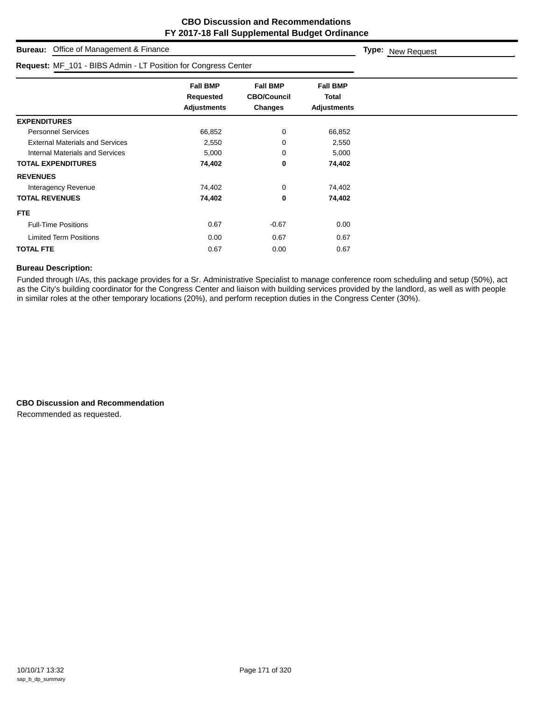| Office of Management & Finance<br><b>Bureau:</b>               |                                                    |                                                         |                                                       | Type: New Request |
|----------------------------------------------------------------|----------------------------------------------------|---------------------------------------------------------|-------------------------------------------------------|-------------------|
| Request: MF_101 - BIBS Admin - LT Position for Congress Center |                                                    |                                                         |                                                       |                   |
|                                                                | <b>Fall BMP</b><br>Requested<br><b>Adjustments</b> | <b>Fall BMP</b><br><b>CBO/Council</b><br><b>Changes</b> | <b>Fall BMP</b><br><b>Total</b><br><b>Adjustments</b> |                   |
| <b>EXPENDITURES</b>                                            |                                                    |                                                         |                                                       |                   |
| <b>Personnel Services</b>                                      | 66,852                                             | 0                                                       | 66,852                                                |                   |
| <b>External Materials and Services</b>                         | 2,550                                              | 0                                                       | 2,550                                                 |                   |
| <b>Internal Materials and Services</b>                         | 5,000                                              | 0                                                       | 5,000                                                 |                   |
| <b>TOTAL EXPENDITURES</b>                                      | 74,402                                             | 0                                                       | 74,402                                                |                   |
| <b>REVENUES</b>                                                |                                                    |                                                         |                                                       |                   |
| Interagency Revenue                                            | 74,402                                             | 0                                                       | 74,402                                                |                   |
| <b>TOTAL REVENUES</b>                                          | 74,402                                             | 0                                                       | 74,402                                                |                   |
| FTE.                                                           |                                                    |                                                         |                                                       |                   |
| <b>Full-Time Positions</b>                                     | 0.67                                               | $-0.67$                                                 | 0.00                                                  |                   |
| <b>Limited Term Positions</b>                                  | 0.00                                               | 0.67                                                    | 0.67                                                  |                   |
| <b>TOTAL FTE</b>                                               | 0.67                                               | 0.00                                                    | 0.67                                                  |                   |

Funded through I/As, this package provides for a Sr. Administrative Specialist to manage conference room scheduling and setup (50%), act as the City's building coordinator for the Congress Center and liaison with building services provided by the landlord, as well as with people in similar roles at the other temporary locations (20%), and perform reception duties in the Congress Center (30%).

**CBO Discussion and Recommendation** Recommended as requested.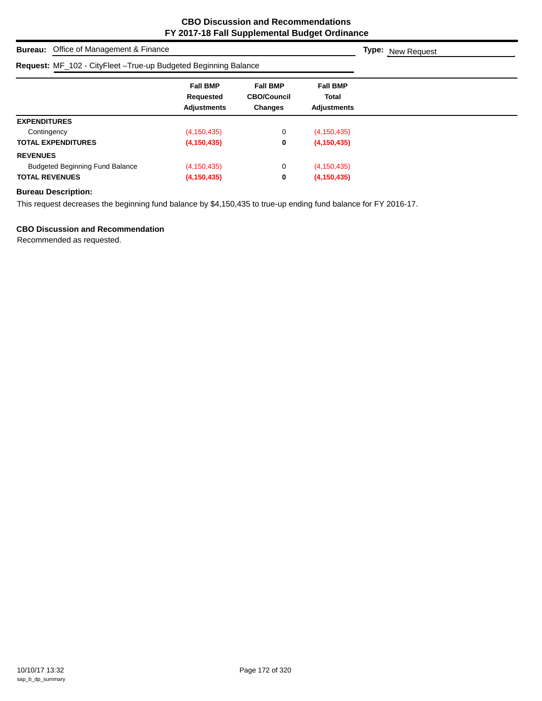| <b>Bureau:</b> Office of Management & Finance                    | <b>Type:</b> New Request                           |                                                         |                                                |  |
|------------------------------------------------------------------|----------------------------------------------------|---------------------------------------------------------|------------------------------------------------|--|
| Request: MF_102 - CityFleet - True-up Budgeted Beginning Balance |                                                    |                                                         |                                                |  |
|                                                                  | <b>Fall BMP</b><br>Requested<br><b>Adjustments</b> | <b>Fall BMP</b><br><b>CBO/Council</b><br><b>Changes</b> | <b>Fall BMP</b><br>Total<br><b>Adjustments</b> |  |
| <b>EXPENDITURES</b>                                              |                                                    |                                                         |                                                |  |
| Contingency                                                      | (4, 150, 435)                                      | 0                                                       | (4, 150, 435)                                  |  |
| <b>TOTAL EXPENDITURES</b>                                        | (4, 150, 435)                                      | 0                                                       | (4, 150, 435)                                  |  |
| <b>REVENUES</b>                                                  |                                                    |                                                         |                                                |  |
| <b>Budgeted Beginning Fund Balance</b>                           | (4, 150, 435)                                      | 0                                                       | (4, 150, 435)                                  |  |
| <b>TOTAL REVENUES</b>                                            | (4, 150, 435)                                      | 0                                                       | (4, 150, 435)                                  |  |

This request decreases the beginning fund balance by \$4,150,435 to true-up ending fund balance for FY 2016-17.

## **CBO Discussion and Recommendation**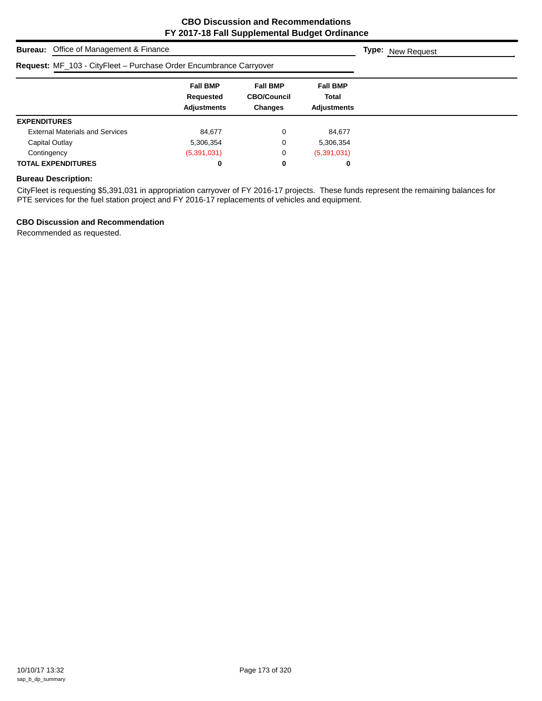| <b>Bureau:</b> Office of Management & Finance                      | <b>Type:</b> New Request                           |                                                         |                                                |  |
|--------------------------------------------------------------------|----------------------------------------------------|---------------------------------------------------------|------------------------------------------------|--|
| Request: MF_103 - CityFleet - Purchase Order Encumbrance Carryover |                                                    |                                                         |                                                |  |
|                                                                    | <b>Fall BMP</b><br>Requested<br><b>Adjustments</b> | <b>Fall BMP</b><br><b>CBO/Council</b><br><b>Changes</b> | <b>Fall BMP</b><br>Total<br><b>Adjustments</b> |  |
| <b>EXPENDITURES</b>                                                |                                                    |                                                         |                                                |  |
| <b>External Materials and Services</b>                             | 84.677                                             | 0                                                       | 84,677                                         |  |
| Capital Outlay                                                     | 5,306,354                                          | 0                                                       | 5,306,354                                      |  |
| Contingency                                                        | (5,391,031)                                        | 0                                                       | (5,391,031)                                    |  |
| <b>TOTAL EXPENDITURES</b>                                          | 0                                                  | 0                                                       | 0                                              |  |

CityFleet is requesting \$5,391,031 in appropriation carryover of FY 2016-17 projects. These funds represent the remaining balances for PTE services for the fuel station project and FY 2016-17 replacements of vehicles and equipment.

## **CBO Discussion and Recommendation**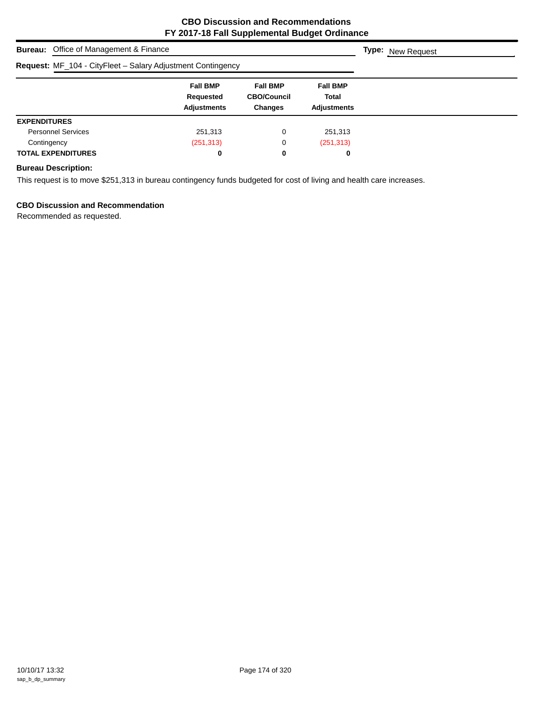| <b>Bureau:</b> Office of Management & Finance               | <b>Type:</b> New Request                           |                                                         |                                                       |  |
|-------------------------------------------------------------|----------------------------------------------------|---------------------------------------------------------|-------------------------------------------------------|--|
| Request: MF_104 - CityFleet - Salary Adjustment Contingency |                                                    |                                                         |                                                       |  |
|                                                             | <b>Fall BMP</b><br>Requested<br><b>Adjustments</b> | <b>Fall BMP</b><br><b>CBO/Council</b><br><b>Changes</b> | <b>Fall BMP</b><br><b>Total</b><br><b>Adjustments</b> |  |
| <b>EXPENDITURES</b>                                         |                                                    |                                                         |                                                       |  |
| <b>Personnel Services</b>                                   | 251,313                                            | 0                                                       | 251,313                                               |  |
| Contingency                                                 | (251, 313)                                         | 0                                                       | (251, 313)                                            |  |
| <b>TOTAL EXPENDITURES</b>                                   | 0                                                  | 0                                                       | 0                                                     |  |

## **Bureau Description:**

This request is to move \$251,313 in bureau contingency funds budgeted for cost of living and health care increases.

## **CBO Discussion and Recommendation**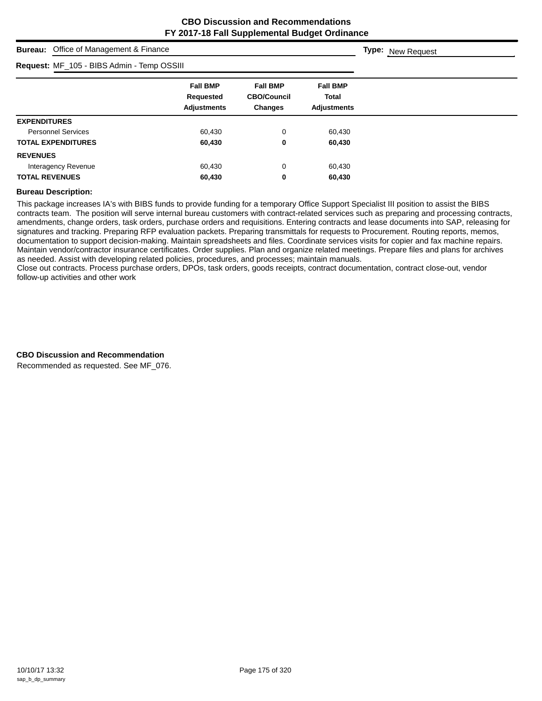**Type:** New Request

## **Bureau:** Office of Management & Finance

| Request: MF_105 - BIBS Admin - Temp OSSIII |                                                    |                                                         |                                                |  |
|--------------------------------------------|----------------------------------------------------|---------------------------------------------------------|------------------------------------------------|--|
|                                            | <b>Fall BMP</b><br>Requested<br><b>Adjustments</b> | <b>Fall BMP</b><br><b>CBO/Council</b><br><b>Changes</b> | <b>Fall BMP</b><br>Total<br><b>Adjustments</b> |  |
| <b>EXPENDITURES</b>                        |                                                    |                                                         |                                                |  |
| <b>Personnel Services</b>                  | 60.430                                             | 0                                                       | 60,430                                         |  |
| <b>TOTAL EXPENDITURES</b>                  | 60,430                                             | 0                                                       | 60,430                                         |  |
| <b>REVENUES</b>                            |                                                    |                                                         |                                                |  |
| Interagency Revenue                        | 60,430                                             | 0                                                       | 60,430                                         |  |
| <b>TOTAL REVENUES</b>                      | 60,430                                             | 0                                                       | 60,430                                         |  |

#### **Bureau Description:**

This package increases IA's with BIBS funds to provide funding for a temporary Office Support Specialist III position to assist the BIBS contracts team. The position will serve internal bureau customers with contract-related services such as preparing and processing contracts, amendments, change orders, task orders, purchase orders and requisitions. Entering contracts and lease documents into SAP, releasing for signatures and tracking. Preparing RFP evaluation packets. Preparing transmittals for requests to Procurement. Routing reports, memos, documentation to support decision-making. Maintain spreadsheets and files. Coordinate services visits for copier and fax machine repairs. Maintain vendor/contractor insurance certificates. Order supplies. Plan and organize related meetings. Prepare files and plans for archives as needed. Assist with developing related policies, procedures, and processes; maintain manuals.

Close out contracts. Process purchase orders, DPOs, task orders, goods receipts, contract documentation, contract close-out, vendor follow-up activities and other work

#### **CBO Discussion and Recommendation**

Recommended as requested. See MF\_076.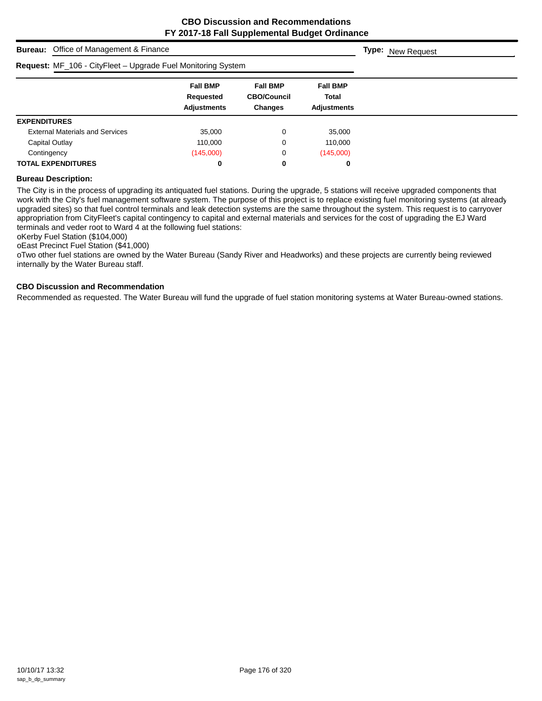## **Bureau:** Office of Management & Finance **Fall BMP Fall BMP Fall BMP Requested CBO/Council Total Adjustments Changes Adjustments Type:** New Request **Request:** MF\_106 - CityFleet – Upgrade Fuel Monitoring System **EXPENDITURES** External Materials and Services 35,000 0 35,000 Capital Outlay **110,000** 0 110,000

Contingency (145,000) 0 (145,000) **TOTAL EXPENDITURES 0 0 0**

## **Bureau Description:**

The City is in the process of upgrading its antiquated fuel stations. During the upgrade, 5 stations will receive upgraded components that work with the City's fuel management software system. The purpose of this project is to replace existing fuel monitoring systems (at already upgraded sites) so that fuel control terminals and leak detection systems are the same throughout the system. This request is to carryover appropriation from CityFleet's capital contingency to capital and external materials and services for the cost of upgrading the EJ Ward terminals and veder root to Ward 4 at the following fuel stations:

oKerby Fuel Station (\$104,000)

oEast Precinct Fuel Station (\$41,000)

oTwo other fuel stations are owned by the Water Bureau (Sandy River and Headworks) and these projects are currently being reviewed internally by the Water Bureau staff.

#### **CBO Discussion and Recommendation**

Recommended as requested. The Water Bureau will fund the upgrade of fuel station monitoring systems at Water Bureau-owned stations.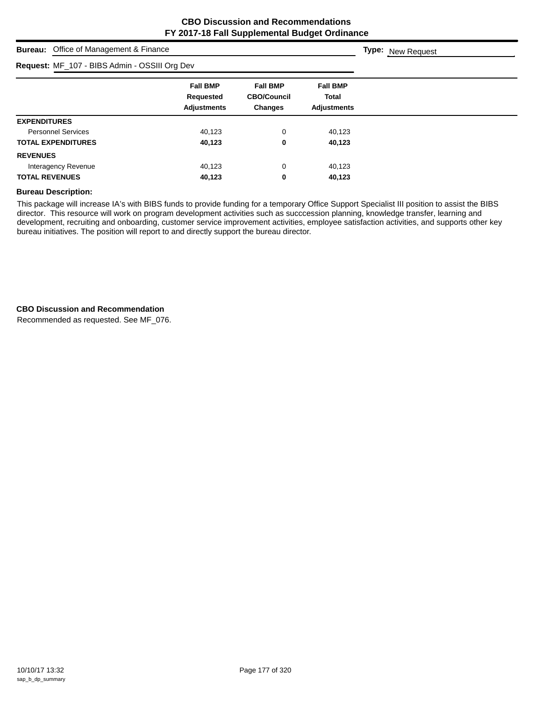**Type:** New Request

# **Bureau:** Office of Management & Finance

| Request: MF_107 - BIBS Admin - OSSIII Org Dev |                                                    |                                                  |                                                |  |
|-----------------------------------------------|----------------------------------------------------|--------------------------------------------------|------------------------------------------------|--|
|                                               | <b>Fall BMP</b><br>Requested<br><b>Adjustments</b> | <b>Fall BMP</b><br><b>CBO/Council</b><br>Changes | <b>Fall BMP</b><br>Total<br><b>Adjustments</b> |  |
| <b>EXPENDITURES</b>                           |                                                    |                                                  |                                                |  |
| <b>Personnel Services</b>                     | 40,123                                             | 0                                                | 40.123                                         |  |
| <b>TOTAL EXPENDITURES</b>                     | 40,123                                             | 0                                                | 40,123                                         |  |
| <b>REVENUES</b>                               |                                                    |                                                  |                                                |  |
| Interagency Revenue                           | 40,123                                             | 0                                                | 40,123                                         |  |
| <b>TOTAL REVENUES</b>                         | 40,123                                             | 0                                                | 40,123                                         |  |

## **Bureau Description:**

This package will increase IA's with BIBS funds to provide funding for a temporary Office Support Specialist III position to assist the BIBS director. This resource will work on program development activities such as succcession planning, knowledge transfer, learning and development, recruiting and onboarding, customer service improvement activities, employee satisfaction activities, and supports other key bureau initiatives. The position will report to and directly support the bureau director.

### **CBO Discussion and Recommendation**

Recommended as requested. See MF\_076.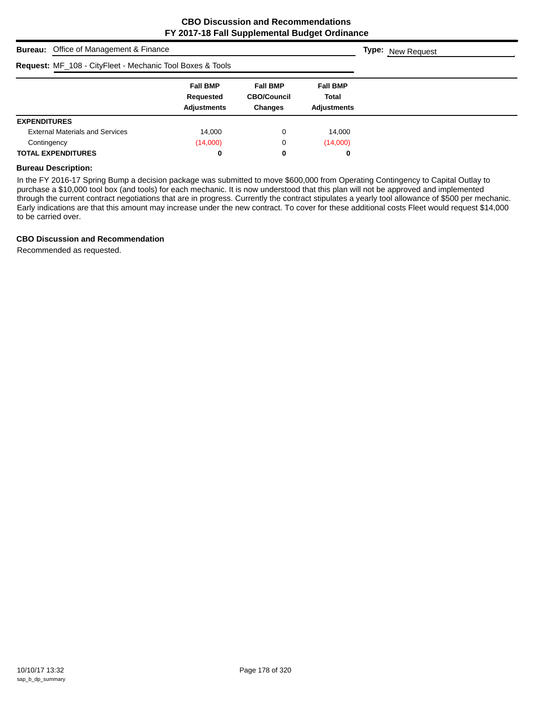| <b>Bureau:</b> Office of Management & Finance             | <b>Type:</b> New Request                           |                                                         |                                                |  |
|-----------------------------------------------------------|----------------------------------------------------|---------------------------------------------------------|------------------------------------------------|--|
| Request: MF_108 - CityFleet - Mechanic Tool Boxes & Tools |                                                    |                                                         |                                                |  |
|                                                           | <b>Fall BMP</b><br>Requested<br><b>Adjustments</b> | <b>Fall BMP</b><br><b>CBO/Council</b><br><b>Changes</b> | <b>Fall BMP</b><br>Total<br><b>Adjustments</b> |  |
| <b>EXPENDITURES</b>                                       |                                                    |                                                         |                                                |  |
| <b>External Materials and Services</b>                    | 14,000                                             | 0                                                       | 14,000                                         |  |
| Contingency                                               | (14,000)                                           | 0                                                       | (14,000)                                       |  |
| <b>TOTAL EXPENDITURES</b>                                 | 0                                                  | 0                                                       | 0                                              |  |

#### **Bureau Description:**

In the FY 2016-17 Spring Bump a decision package was submitted to move \$600,000 from Operating Contingency to Capital Outlay to purchase a \$10,000 tool box (and tools) for each mechanic. It is now understood that this plan will not be approved and implemented through the current contract negotiations that are in progress. Currently the contract stipulates a yearly tool allowance of \$500 per mechanic. Early indications are that this amount may increase under the new contract. To cover for these additional costs Fleet would request \$14,000 to be carried over.

## **CBO Discussion and Recommendation**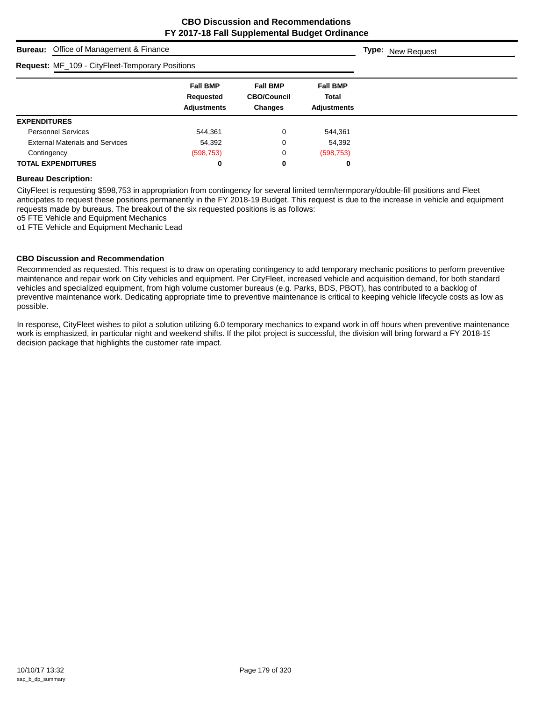| <b>Bureau:</b> Office of Management & Finance |                                                 |                                                    |                                                         |                                                |  | <b>Type:</b> New Request |
|-----------------------------------------------|-------------------------------------------------|----------------------------------------------------|---------------------------------------------------------|------------------------------------------------|--|--------------------------|
|                                               | Request: MF_109 - CityFleet-Temporary Positions |                                                    |                                                         |                                                |  |                          |
|                                               |                                                 | <b>Fall BMP</b><br>Requested<br><b>Adjustments</b> | <b>Fall BMP</b><br><b>CBO/Council</b><br><b>Changes</b> | <b>Fall BMP</b><br>Total<br><b>Adiustments</b> |  |                          |
| <b>EXPENDITURES</b>                           |                                                 |                                                    |                                                         |                                                |  |                          |
| <b>Personnel Services</b>                     |                                                 | 544.361                                            | 0                                                       | 544.361                                        |  |                          |
|                                               | <b>External Materials and Services</b>          | 54,392                                             | 0                                                       | 54,392                                         |  |                          |
| Contingency                                   |                                                 | (598, 753)                                         | 0                                                       | (598, 753)                                     |  |                          |
| <b>TOTAL EXPENDITURES</b>                     |                                                 | 0                                                  | 0                                                       | 0                                              |  |                          |

#### **Bureau Description:**

CityFleet is requesting \$598,753 in appropriation from contingency for several limited term/termporary/double-fill positions and Fleet anticipates to request these positions permanently in the FY 2018-19 Budget. This request is due to the increase in vehicle and equipment requests made by bureaus. The breakout of the six requested positions is as follows:

o5 FTE Vehicle and Equipment Mechanics

o1 FTE Vehicle and Equipment Mechanic Lead

#### **CBO Discussion and Recommendation**

Recommended as requested. This request is to draw on operating contingency to add temporary mechanic positions to perform preventive maintenance and repair work on City vehicles and equipment. Per CityFleet, increased vehicle and acquisition demand, for both standard vehicles and specialized equipment, from high volume customer bureaus (e.g. Parks, BDS, PBOT), has contributed to a backlog of preventive maintenance work. Dedicating appropriate time to preventive maintenance is critical to keeping vehicle lifecycle costs as low as possible.

In response, CityFleet wishes to pilot a solution utilizing 6.0 temporary mechanics to expand work in off hours when preventive maintenance work is emphasized, in particular night and weekend shifts. If the pilot project is successful, the division will bring forward a FY 2018-19 decision package that highlights the customer rate impact.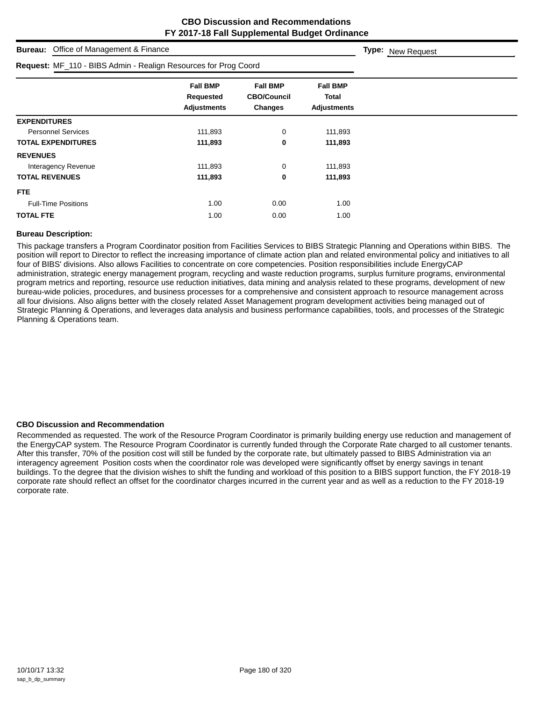| Office of Management & Finance<br><b>Bureau:</b>                |                                                           |                                                  |                                                | Type: New Request |
|-----------------------------------------------------------------|-----------------------------------------------------------|--------------------------------------------------|------------------------------------------------|-------------------|
| Request: MF_110 - BIBS Admin - Realign Resources for Prog Coord |                                                           |                                                  |                                                |                   |
|                                                                 | <b>Fall BMP</b><br><b>Requested</b><br><b>Adjustments</b> | <b>Fall BMP</b><br><b>CBO/Council</b><br>Changes | <b>Fall BMP</b><br>Total<br><b>Adjustments</b> |                   |
| <b>EXPENDITURES</b>                                             |                                                           |                                                  |                                                |                   |
| <b>Personnel Services</b>                                       | 111,893                                                   | 0                                                | 111,893                                        |                   |
| <b>TOTAL EXPENDITURES</b>                                       | 111,893                                                   | 0                                                | 111,893                                        |                   |
| <b>REVENUES</b>                                                 |                                                           |                                                  |                                                |                   |
| Interagency Revenue                                             | 111,893                                                   | 0                                                | 111,893                                        |                   |
| <b>TOTAL REVENUES</b>                                           | 111,893                                                   | 0                                                | 111,893                                        |                   |
| FTE.                                                            |                                                           |                                                  |                                                |                   |
| <b>Full-Time Positions</b>                                      | 1.00                                                      | 0.00                                             | 1.00                                           |                   |
| <b>TOTAL FTE</b>                                                | 1.00                                                      | 0.00                                             | 1.00                                           |                   |

## **Bureau Description:**

This package transfers a Program Coordinator position from Facilities Services to BIBS Strategic Planning and Operations within BIBS. The position will report to Director to reflect the increasing importance of climate action plan and related environmental policy and initiatives to all four of BIBS' divisions. Also allows Facilities to concentrate on core competencies. Position responsibilities include EnergyCAP administration, strategic energy management program, recycling and waste reduction programs, surplus furniture programs, environmental program metrics and reporting, resource use reduction initiatives, data mining and analysis related to these programs, development of new bureau-wide policies, procedures, and business processes for a comprehensive and consistent approach to resource management across all four divisions. Also aligns better with the closely related Asset Management program development activities being managed out of Strategic Planning & Operations, and leverages data analysis and business performance capabilities, tools, and processes of the Strategic Planning & Operations team.

#### **CBO Discussion and Recommendation**

Recommended as requested. The work of the Resource Program Coordinator is primarily building energy use reduction and management of the EnergyCAP system. The Resource Program Coordinator is currently funded through the Corporate Rate charged to all customer tenants. After this transfer, 70% of the position cost will still be funded by the corporate rate, but ultimately passed to BIBS Administration via an interagency agreement Position costs when the coordinator role was developed were significantly offset by energy savings in tenant buildings. To the degree that the division wishes to shift the funding and workload of this position to a BIBS support function, the FY 2018-19 corporate rate should reflect an offset for the coordinator charges incurred in the current year and as well as a reduction to the FY 2018-19 corporate rate.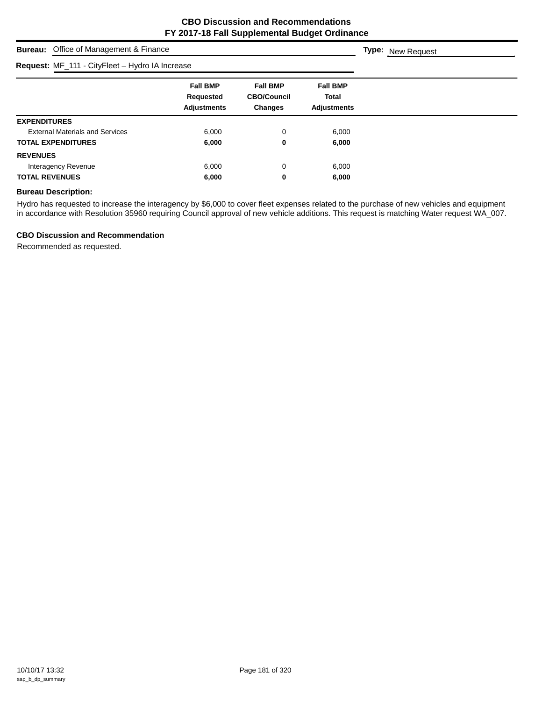**Type:** New Request

# **Bureau:** Office of Management & Finance

| Request: MF_111 - CityFleet - Hydro IA Increase |                                                    |                                                         |                                                       |
|-------------------------------------------------|----------------------------------------------------|---------------------------------------------------------|-------------------------------------------------------|
|                                                 | <b>Fall BMP</b><br>Requested<br><b>Adjustments</b> | <b>Fall BMP</b><br><b>CBO/Council</b><br><b>Changes</b> | <b>Fall BMP</b><br><b>Total</b><br><b>Adjustments</b> |
| <b>EXPENDITURES</b>                             |                                                    |                                                         |                                                       |
| <b>External Materials and Services</b>          | 6,000                                              | 0                                                       | 6,000                                                 |
| <b>TOTAL EXPENDITURES</b>                       | 6,000                                              | 0                                                       | 6,000                                                 |
| <b>REVENUES</b>                                 |                                                    |                                                         |                                                       |
| Interagency Revenue                             | 6,000                                              | 0                                                       | 6,000                                                 |
| <b>TOTAL REVENUES</b>                           | 6,000                                              | 0                                                       | 6,000                                                 |

## **Bureau Description:**

Hydro has requested to increase the interagency by \$6,000 to cover fleet expenses related to the purchase of new vehicles and equipment in accordance with Resolution 35960 requiring Council approval of new vehicle additions. This request is matching Water request WA\_007.

#### **CBO Discussion and Recommendation**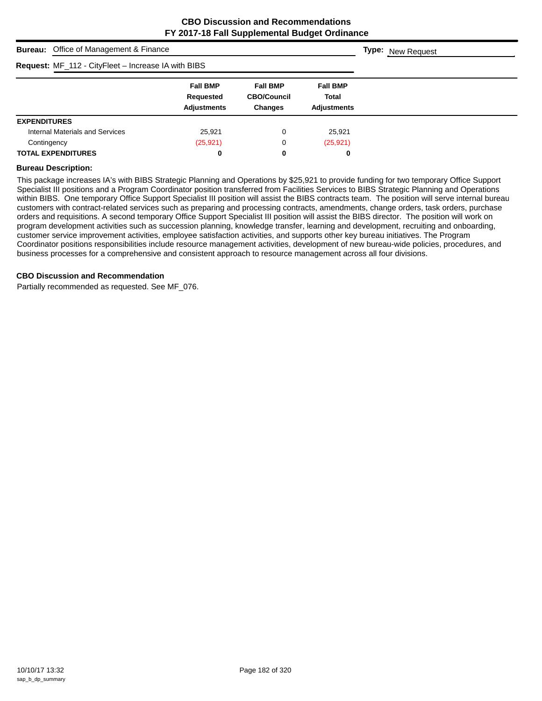| <b>Bureau:</b> Office of Management & Finance       | <b>Type:</b> New Request                           |                                                         |                                                |  |
|-----------------------------------------------------|----------------------------------------------------|---------------------------------------------------------|------------------------------------------------|--|
| Request: MF_112 - CityFleet - Increase IA with BIBS |                                                    |                                                         |                                                |  |
|                                                     | <b>Fall BMP</b><br>Requested<br><b>Adjustments</b> | <b>Fall BMP</b><br><b>CBO/Council</b><br><b>Changes</b> | <b>Fall BMP</b><br>Total<br><b>Adjustments</b> |  |
| <b>EXPENDITURES</b>                                 |                                                    |                                                         |                                                |  |
| Internal Materials and Services                     | 25,921                                             | 0                                                       | 25,921                                         |  |
| Contingency                                         | (25, 921)                                          | 0                                                       | (25, 921)                                      |  |
| <b>TOTAL EXPENDITURES</b>                           | 0                                                  | 0                                                       | 0                                              |  |

#### **Bureau Description:**

This package increases IA's with BIBS Strategic Planning and Operations by \$25,921 to provide funding for two temporary Office Support Specialist III positions and a Program Coordinator position transferred from Facilities Services to BIBS Strategic Planning and Operations within BIBS. One temporary Office Support Specialist III position will assist the BIBS contracts team. The position will serve internal bureau customers with contract-related services such as preparing and processing contracts, amendments, change orders, task orders, purchase orders and requisitions. A second temporary Office Support Specialist III position will assist the BIBS director. The position will work on program development activities such as succession planning, knowledge transfer, learning and development, recruiting and onboarding, customer service improvement activities, employee satisfaction activities, and supports other key bureau initiatives. The Program Coordinator positions responsibilities include resource management activities, development of new bureau-wide policies, procedures, and business processes for a comprehensive and consistent approach to resource management across all four divisions.

#### **CBO Discussion and Recommendation**

Partially recommended as requested. See MF\_076.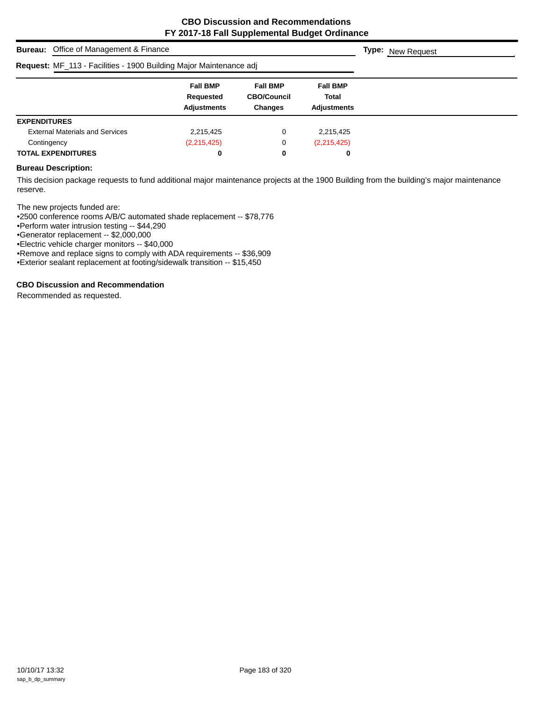|                           | <b>Bureau:</b> Office of Management & Finance                      | <b>Type:</b> New Request                           |                                                         |                                                |  |  |  |
|---------------------------|--------------------------------------------------------------------|----------------------------------------------------|---------------------------------------------------------|------------------------------------------------|--|--|--|
|                           | Request: MF_113 - Facilities - 1900 Building Major Maintenance adj |                                                    |                                                         |                                                |  |  |  |
|                           |                                                                    | <b>Fall BMP</b><br>Requested<br><b>Adjustments</b> | <b>Fall BMP</b><br><b>CBO/Council</b><br><b>Changes</b> | <b>Fall BMP</b><br><b>Total</b><br>Adjustments |  |  |  |
| <b>EXPENDITURES</b>       |                                                                    |                                                    |                                                         |                                                |  |  |  |
|                           | <b>External Materials and Services</b>                             | 2,215,425                                          | 0                                                       | 2,215,425                                      |  |  |  |
| Contingency               |                                                                    | (2,215,425)                                        | 0                                                       | (2,215,425)                                    |  |  |  |
| <b>TOTAL EXPENDITURES</b> |                                                                    | 0                                                  | 0                                                       | 0                                              |  |  |  |

#### **Bureau Description:**

This decision package requests to fund additional major maintenance projects at the 1900 Building from the building's major maintenance reserve.

The new projects funded are:

•2500 conference rooms A/B/C automated shade replacement -- \$78,776

•Perform water intrusion testing -- \$44,290

•Generator replacement -- \$2,000,000

•Electric vehicle charger monitors -- \$40,000

•Remove and replace signs to comply with ADA requirements -- \$36,909

•Exterior sealant replacement at footing/sidewalk transition -- \$15,450

## **CBO Discussion and Recommendation**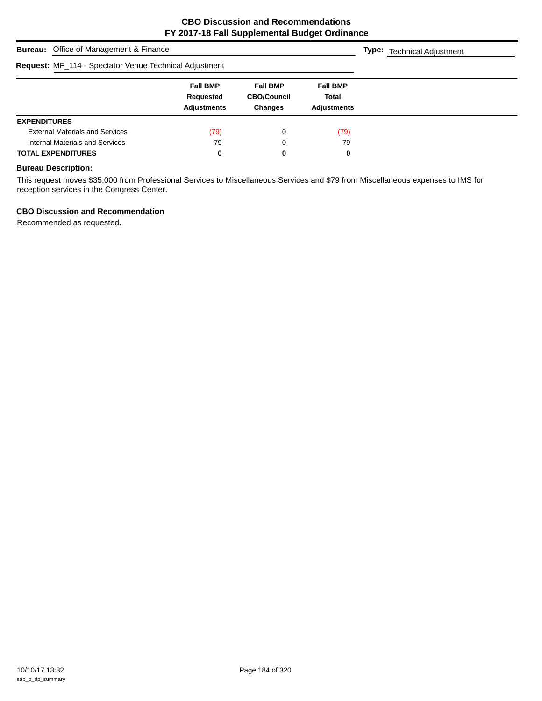| <b>Bureau:</b> Office of Management & Finance          | <b>Type:</b> Technical Adjustment                  |                                                         |                                                       |  |  |
|--------------------------------------------------------|----------------------------------------------------|---------------------------------------------------------|-------------------------------------------------------|--|--|
| Request: MF_114 - Spectator Venue Technical Adjustment |                                                    |                                                         |                                                       |  |  |
|                                                        | <b>Fall BMP</b><br>Requested<br><b>Adjustments</b> | <b>Fall BMP</b><br><b>CBO/Council</b><br><b>Changes</b> | <b>Fall BMP</b><br><b>Total</b><br><b>Adjustments</b> |  |  |
| <b>EXPENDITURES</b>                                    |                                                    |                                                         |                                                       |  |  |
| <b>External Materials and Services</b>                 | (79)                                               | 0                                                       | (79)                                                  |  |  |
| Internal Materials and Services                        | 79                                                 | 0                                                       | 79                                                    |  |  |
| <b>TOTAL EXPENDITURES</b>                              | 0                                                  | 0                                                       | 0                                                     |  |  |

## **Bureau Description:**

This request moves \$35,000 from Professional Services to Miscellaneous Services and \$79 from Miscellaneous expenses to IMS for reception services in the Congress Center.

## **CBO Discussion and Recommendation**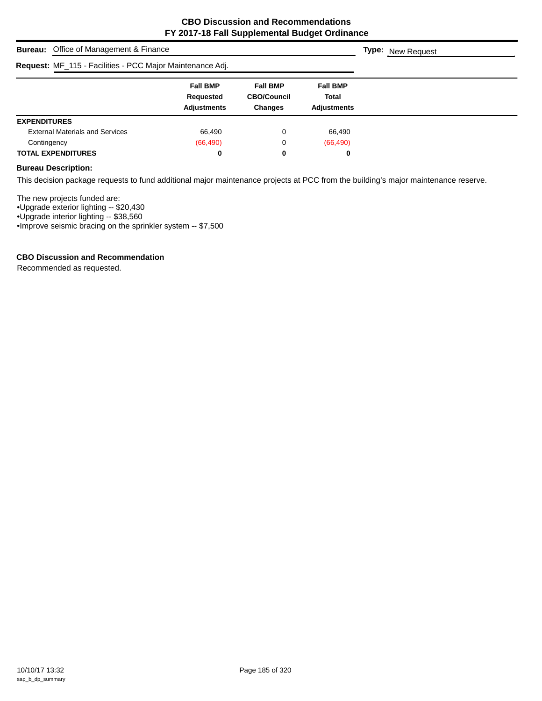| <b>Bureau:</b> Office of Management & Finance             | <b>Type:</b> New Request                           |                                                         |                                                |  |
|-----------------------------------------------------------|----------------------------------------------------|---------------------------------------------------------|------------------------------------------------|--|
| Request: MF_115 - Facilities - PCC Major Maintenance Adj. |                                                    |                                                         |                                                |  |
|                                                           | <b>Fall BMP</b><br>Requested<br><b>Adjustments</b> | <b>Fall BMP</b><br><b>CBO/Council</b><br><b>Changes</b> | <b>Fall BMP</b><br><b>Total</b><br>Adjustments |  |
| <b>EXPENDITURES</b>                                       |                                                    |                                                         |                                                |  |
| <b>External Materials and Services</b>                    | 66,490                                             | 0                                                       | 66,490                                         |  |
| Contingency                                               | (66, 490)                                          | 0                                                       | (66, 490)                                      |  |
| <b>TOTAL EXPENDITURES</b>                                 | 0                                                  | 0                                                       | 0                                              |  |

## **Bureau Description:**

This decision package requests to fund additional major maintenance projects at PCC from the building's major maintenance reserve.

The new projects funded are:

•Upgrade exterior lighting -- \$20,430

•Upgrade interior lighting -- \$38,560

•Improve seismic bracing on the sprinkler system -- \$7,500

#### **CBO Discussion and Recommendation**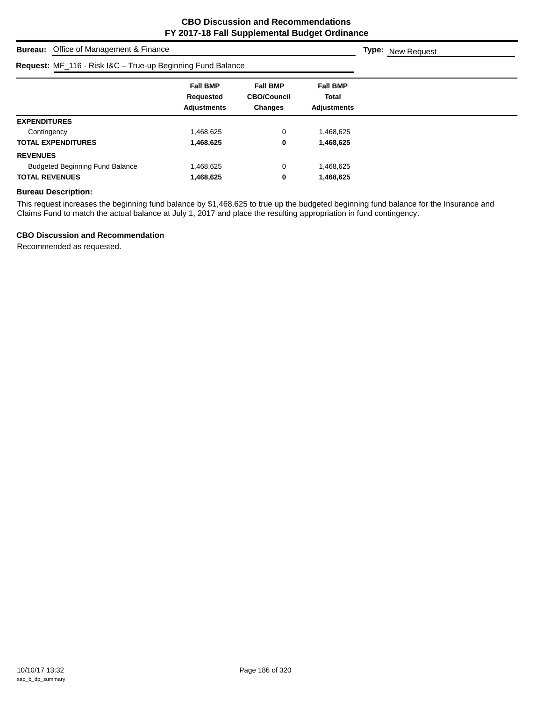**Type:** New Request

**Bureau:** Office of Management & Finance

| Request: MF_116 - Risk I&C - True-up Beginning Fund Balance |                    |                    |                    |  |
|-------------------------------------------------------------|--------------------|--------------------|--------------------|--|
|                                                             | <b>Fall BMP</b>    | <b>Fall BMP</b>    | <b>Fall BMP</b>    |  |
|                                                             | Requested          | <b>CBO/Council</b> | Total              |  |
|                                                             | <b>Adjustments</b> | Changes            | <b>Adjustments</b> |  |
| <b>EXPENDITURES</b>                                         |                    |                    |                    |  |
| Contingency                                                 | 1,468,625          | 0                  | l,468,625          |  |
| <b>TOTAL EXPENDITURES</b>                                   | 1,468,625          | 0                  | 1,468,625          |  |
| <b>REVENUES</b>                                             |                    |                    |                    |  |
| <b>Budgeted Beginning Fund Balance</b>                      | 1,468,625          | 0                  | 468,625.           |  |
| <b>TOTAL REVENUES</b>                                       | 1,468,625          | 0                  | 1,468,625          |  |

## **Bureau Description:**

This request increases the beginning fund balance by \$1,468,625 to true up the budgeted beginning fund balance for the Insurance and Claims Fund to match the actual balance at July 1, 2017 and place the resulting appropriation in fund contingency.

#### **CBO Discussion and Recommendation**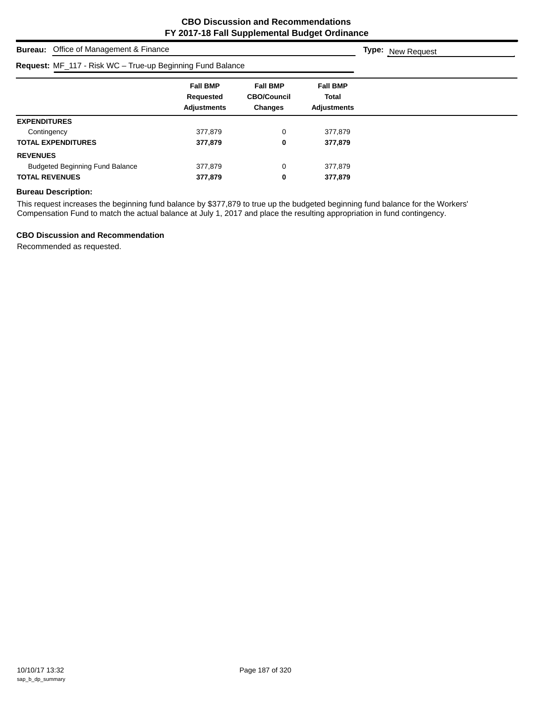| <b>Bureau:</b> Office of Management & Finance              |                                                    |                                                         |                                                       | <b>Type:</b> New Request |
|------------------------------------------------------------|----------------------------------------------------|---------------------------------------------------------|-------------------------------------------------------|--------------------------|
| Request: MF_117 - Risk WC - True-up Beginning Fund Balance |                                                    |                                                         |                                                       |                          |
|                                                            | <b>Fall BMP</b><br>Requested<br><b>Adjustments</b> | <b>Fall BMP</b><br><b>CBO/Council</b><br><b>Changes</b> | <b>Fall BMP</b><br><b>Total</b><br><b>Adjustments</b> |                          |
| <b>EXPENDITURES</b>                                        |                                                    |                                                         |                                                       |                          |
| Contingency                                                | 377.879                                            | 0                                                       | 377.879                                               |                          |
| <b>TOTAL EXPENDITURES</b>                                  | 377,879                                            | 0                                                       | 377,879                                               |                          |
| <b>REVENUES</b>                                            |                                                    |                                                         |                                                       |                          |
| <b>Budgeted Beginning Fund Balance</b>                     | 377,879                                            | 0                                                       | 377,879                                               |                          |
| <b>TOTAL REVENUES</b>                                      | 377,879                                            | 0                                                       | 377,879                                               |                          |

## **Bureau Description:**

This request increases the beginning fund balance by \$377,879 to true up the budgeted beginning fund balance for the Workers' Compensation Fund to match the actual balance at July 1, 2017 and place the resulting appropriation in fund contingency.

## **CBO Discussion and Recommendation**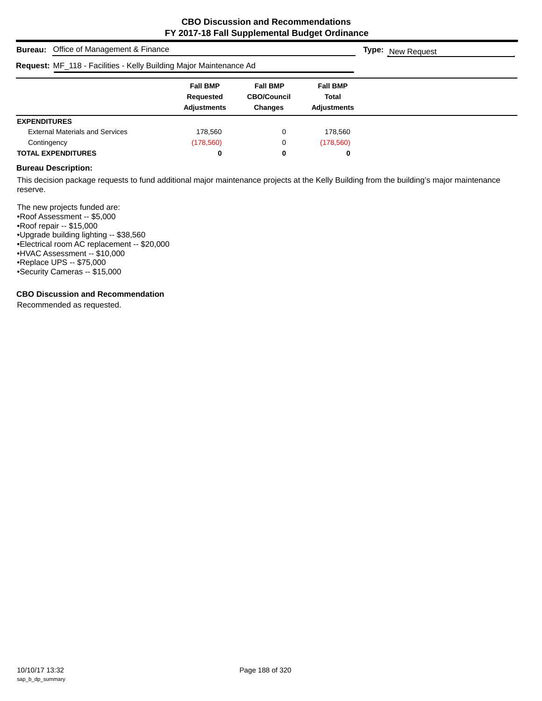| <b>Bureau:</b> Office of Management & Finance                      | <b>Type:</b> New Request                           |                                                         |                                                |  |
|--------------------------------------------------------------------|----------------------------------------------------|---------------------------------------------------------|------------------------------------------------|--|
| Request: MF_118 - Facilities - Kelly Building Major Maintenance Ad |                                                    |                                                         |                                                |  |
|                                                                    | <b>Fall BMP</b><br>Requested<br><b>Adjustments</b> | <b>Fall BMP</b><br><b>CBO/Council</b><br><b>Changes</b> | <b>Fall BMP</b><br>Total<br><b>Adjustments</b> |  |
| <b>EXPENDITURES</b>                                                |                                                    |                                                         |                                                |  |
| <b>External Materials and Services</b>                             | 178,560                                            | 0                                                       | 178,560                                        |  |
| Contingency                                                        | (178, 560)                                         | 0                                                       | (178, 560)                                     |  |
| <b>TOTAL EXPENDITURES</b>                                          | 0                                                  | 0                                                       | 0                                              |  |

#### **Bureau Description:**

This decision package requests to fund additional major maintenance projects at the Kelly Building from the building's major maintenance reserve.

The new projects funded are: •Roof Assessment -- \$5,000 •Roof repair -- \$15,000 •Upgrade building lighting -- \$38,560 •Electrical room AC replacement -- \$20,000 •HVAC Assessment -- \$10,000 •Replace UPS -- \$75,000 •Security Cameras -- \$15,000

## **CBO Discussion and Recommendation**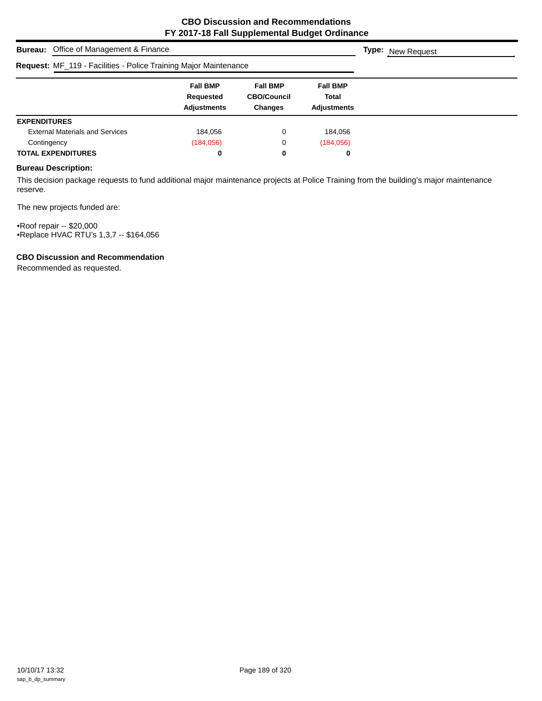| <b>Bureau:</b> Office of Management & Finance                    | <b>Type:</b> New Request                           |                                                         |                                                |  |
|------------------------------------------------------------------|----------------------------------------------------|---------------------------------------------------------|------------------------------------------------|--|
| Request: MF_119 - Facilities - Police Training Major Maintenance |                                                    |                                                         |                                                |  |
|                                                                  | <b>Fall BMP</b><br>Requested<br><b>Adjustments</b> | <b>Fall BMP</b><br><b>CBO/Council</b><br><b>Changes</b> | <b>Fall BMP</b><br>Total<br><b>Adjustments</b> |  |
| <b>EXPENDITURES</b>                                              |                                                    |                                                         |                                                |  |
| <b>External Materials and Services</b>                           | 184.056                                            | 0                                                       | 184.056                                        |  |
| Contingency                                                      | (184, 056)                                         | 0                                                       | (184, 056)                                     |  |
| <b>TOTAL EXPENDITURES</b>                                        | 0                                                  | 0                                                       | 0                                              |  |

## **Bureau Description:**

This decision package requests to fund additional major maintenance projects at Police Training from the building's major maintenance reserve.

The new projects funded are:

•Roof repair -- \$20,000 •Replace HVAC RTU's 1,3,7 -- \$164,056

## **CBO Discussion and Recommendation**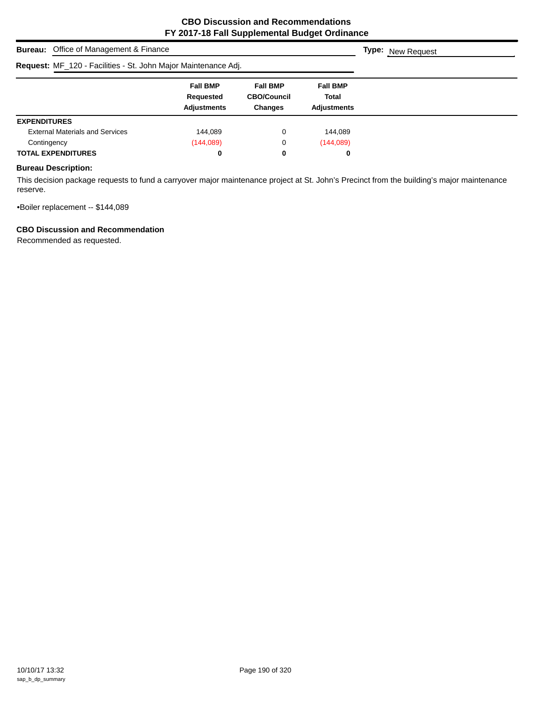| <b>Bureau:</b> Office of Management & Finance                  | <b>Type:</b> New Request                           |                                                         |                                         |  |
|----------------------------------------------------------------|----------------------------------------------------|---------------------------------------------------------|-----------------------------------------|--|
| Request: MF_120 - Facilities - St. John Major Maintenance Adj. |                                                    |                                                         |                                         |  |
|                                                                | <b>Fall BMP</b><br>Requested<br><b>Adjustments</b> | <b>Fall BMP</b><br><b>CBO/Council</b><br><b>Changes</b> | <b>Fall BMP</b><br>Total<br>Adjustments |  |
| <b>EXPENDITURES</b>                                            |                                                    |                                                         |                                         |  |
| <b>External Materials and Services</b>                         | 144.089                                            | 0                                                       | 144.089                                 |  |
| Contingency                                                    | (144, 089)                                         | 0                                                       | (144, 089)                              |  |
| <b>TOTAL EXPENDITURES</b>                                      | 0                                                  | 0                                                       | 0                                       |  |

## **Bureau Description:**

This decision package requests to fund a carryover major maintenance project at St. John's Precinct from the building's major maintenance reserve.

•Boiler replacement -- \$144,089

## **CBO Discussion and Recommendation**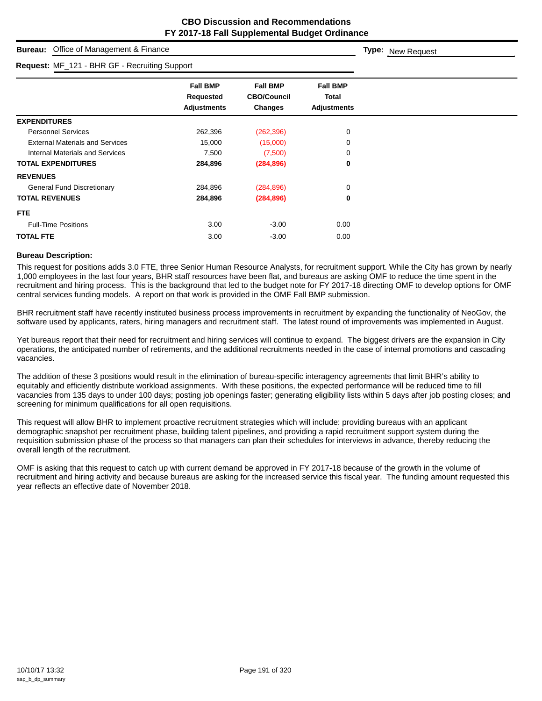**Type:** New Request

# **Bureau:** Office of Management & Finance

| Request: MF_121 - BHR GF - Recruiting Support |                                                    |                                                         |                                                       |  |
|-----------------------------------------------|----------------------------------------------------|---------------------------------------------------------|-------------------------------------------------------|--|
|                                               | <b>Fall BMP</b><br>Requested<br><b>Adjustments</b> | <b>Fall BMP</b><br><b>CBO/Council</b><br><b>Changes</b> | <b>Fall BMP</b><br><b>Total</b><br><b>Adjustments</b> |  |
| <b>EXPENDITURES</b>                           |                                                    |                                                         |                                                       |  |
| <b>Personnel Services</b>                     | 262,396                                            | (262, 396)                                              | 0                                                     |  |
| <b>External Materials and Services</b>        | 15,000                                             | (15,000)                                                | 0                                                     |  |
| Internal Materials and Services               | 7,500                                              | (7,500)                                                 | 0                                                     |  |
| <b>TOTAL EXPENDITURES</b>                     | 284,896                                            | (284, 896)                                              | 0                                                     |  |
| <b>REVENUES</b>                               |                                                    |                                                         |                                                       |  |
| <b>General Fund Discretionary</b>             | 284,896                                            | (284, 896)                                              | $\Omega$                                              |  |
| <b>TOTAL REVENUES</b>                         | 284,896                                            | (284, 896)                                              | 0                                                     |  |
| <b>FTE</b>                                    |                                                    |                                                         |                                                       |  |
| <b>Full-Time Positions</b>                    | 3.00                                               | $-3.00$                                                 | 0.00                                                  |  |
| <b>TOTAL FTE</b>                              | 3.00                                               | $-3.00$                                                 | 0.00                                                  |  |

#### **Bureau Description:**

This request for positions adds 3.0 FTE, three Senior Human Resource Analysts, for recruitment support. While the City has grown by nearly 1,000 employees in the last four years, BHR staff resources have been flat, and bureaus are asking OMF to reduce the time spent in the recruitment and hiring process. This is the background that led to the budget note for FY 2017-18 directing OMF to develop options for OMF central services funding models. A report on that work is provided in the OMF Fall BMP submission.

BHR recruitment staff have recently instituted business process improvements in recruitment by expanding the functionality of NeoGov, the software used by applicants, raters, hiring managers and recruitment staff. The latest round of improvements was implemented in August.

Yet bureaus report that their need for recruitment and hiring services will continue to expand. The biggest drivers are the expansion in City operations, the anticipated number of retirements, and the additional recruitments needed in the case of internal promotions and cascading vacancies.

The addition of these 3 positions would result in the elimination of bureau-specific interagency agreements that limit BHR's ability to equitably and efficiently distribute workload assignments. With these positions, the expected performance will be reduced time to fill vacancies from 135 days to under 100 days; posting job openings faster; generating eligibility lists within 5 days after job posting closes; and screening for minimum qualifications for all open requisitions.

This request will allow BHR to implement proactive recruitment strategies which will include: providing bureaus with an applicant demographic snapshot per recruitment phase, building talent pipelines, and providing a rapid recruitment support system during the requisition submission phase of the process so that managers can plan their schedules for interviews in advance, thereby reducing the overall length of the recruitment.

OMF is asking that this request to catch up with current demand be approved in FY 2017-18 because of the growth in the volume of recruitment and hiring activity and because bureaus are asking for the increased service this fiscal year. The funding amount requested this year reflects an effective date of November 2018.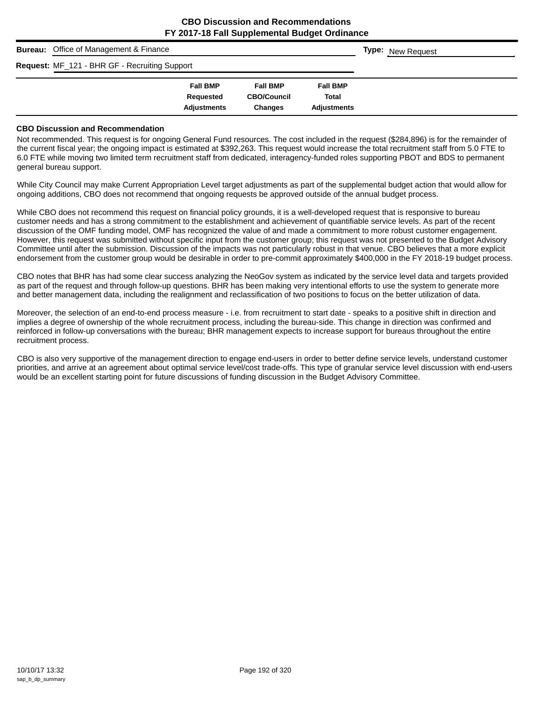| <b>Bureau:</b> Office of Management & Finance | <b>Type:</b> New Request |                    |                    |  |
|-----------------------------------------------|--------------------------|--------------------|--------------------|--|
| Request: MF_121 - BHR GF - Recruiting Support |                          |                    |                    |  |
|                                               | <b>Fall BMP</b>          | <b>Fall BMP</b>    | <b>Fall BMP</b>    |  |
|                                               | Requested                | <b>CBO/Council</b> | <b>Total</b>       |  |
|                                               | <b>Adjustments</b>       | <b>Changes</b>     | <b>Adjustments</b> |  |

#### **CBO Discussion and Recommendation**

Not recommended. This request is for ongoing General Fund resources. The cost included in the request (\$284,896) is for the remainder of the current fiscal year; the ongoing impact is estimated at \$392,263. This request would increase the total recruitment staff from 5.0 FTE to 6.0 FTE while moving two limited term recruitment staff from dedicated, interagency-funded roles supporting PBOT and BDS to permanent general bureau support.

While City Council may make Current Appropriation Level target adjustments as part of the supplemental budget action that would allow for ongoing additions, CBO does not recommend that ongoing requests be approved outside of the annual budget process.

While CBO does not recommend this request on financial policy grounds, it is a well-developed request that is responsive to bureau customer needs and has a strong commitment to the establishment and achievement of quantifiable service levels. As part of the recent discussion of the OMF funding model, OMF has recognized the value of and made a commitment to more robust customer engagement. However, this request was submitted without specific input from the customer group; this request was not presented to the Budget Advisory Committee until after the submission. Discussion of the impacts was not particularly robust in that venue. CBO believes that a more explicit endorsement from the customer group would be desirable in order to pre-commit approximately \$400,000 in the FY 2018-19 budget process.

CBO notes that BHR has had some clear success analyzing the NeoGov system as indicated by the service level data and targets provided as part of the request and through follow-up questions. BHR has been making very intentional efforts to use the system to generate more and better management data, including the realignment and reclassification of two positions to focus on the better utilization of data.

Moreover, the selection of an end-to-end process measure - i.e. from recruitment to start date - speaks to a positive shift in direction and implies a degree of ownership of the whole recruitment process, including the bureau-side. This change in direction was confirmed and reinforced in follow-up conversations with the bureau; BHR management expects to increase support for bureaus throughout the entire recruitment process.

CBO is also very supportive of the management direction to engage end-users in order to better define service levels, understand customer priorities, and arrive at an agreement about optimal service level/cost trade-offs. This type of granular service level discussion with end-users would be an excellent starting point for future discussions of funding discussion in the Budget Advisory Committee.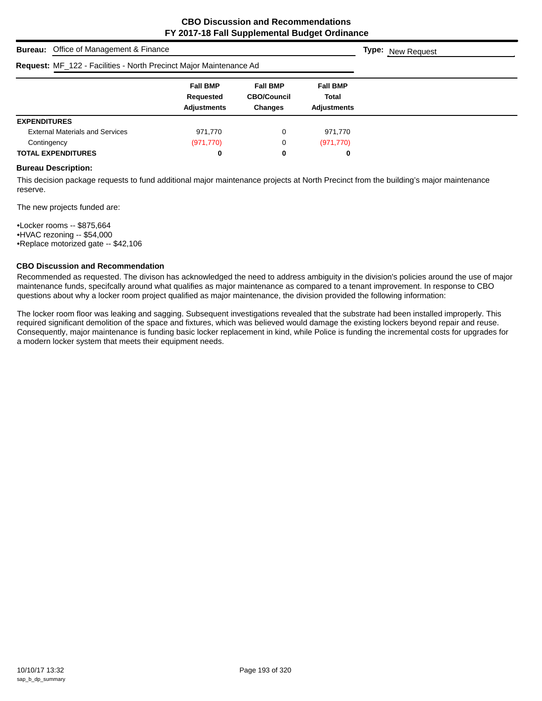| <b>Bureau:</b> Office of Management & Finance                      |                                                    |                                                  |                                                |  |  |  |
|--------------------------------------------------------------------|----------------------------------------------------|--------------------------------------------------|------------------------------------------------|--|--|--|
| Request: MF_122 - Facilities - North Precinct Major Maintenance Ad |                                                    |                                                  |                                                |  |  |  |
|                                                                    | <b>Fall BMP</b><br>Requested<br><b>Adjustments</b> | <b>Fall BMP</b><br><b>CBO/Council</b><br>Changes | <b>Fall BMP</b><br>Total<br><b>Adjustments</b> |  |  |  |
| <b>EXPENDITURES</b>                                                |                                                    |                                                  |                                                |  |  |  |
| <b>External Materials and Services</b>                             | 971.770                                            | 0                                                | 971,770                                        |  |  |  |
| Contingency                                                        | (971, 770)                                         | 0                                                | (971, 770)                                     |  |  |  |
| <b>TOTAL EXPENDITURES</b>                                          | 0                                                  | 0                                                | 0                                              |  |  |  |

#### **Bureau Description:**

This decision package requests to fund additional major maintenance projects at North Precinct from the building's major maintenance reserve.

The new projects funded are:

•Locker rooms -- \$875,664 •HVAC rezoning -- \$54,000 •Replace motorized gate -- \$42,106

#### **CBO Discussion and Recommendation**

Recommended as requested. The divison has acknowledged the need to address ambiguity in the division's policies around the use of major maintenance funds, specifcally around what qualifies as major maintenance as compared to a tenant improvement. In response to CBO questions about why a locker room project qualified as major maintenance, the division provided the following information:

The locker room floor was leaking and sagging. Subsequent investigations revealed that the substrate had been installed improperly. This required significant demolition of the space and fixtures, which was believed would damage the existing lockers beyond repair and reuse. Consequently, major maintenance is funding basic locker replacement in kind, while Police is funding the incremental costs for upgrades for a modern locker system that meets their equipment needs.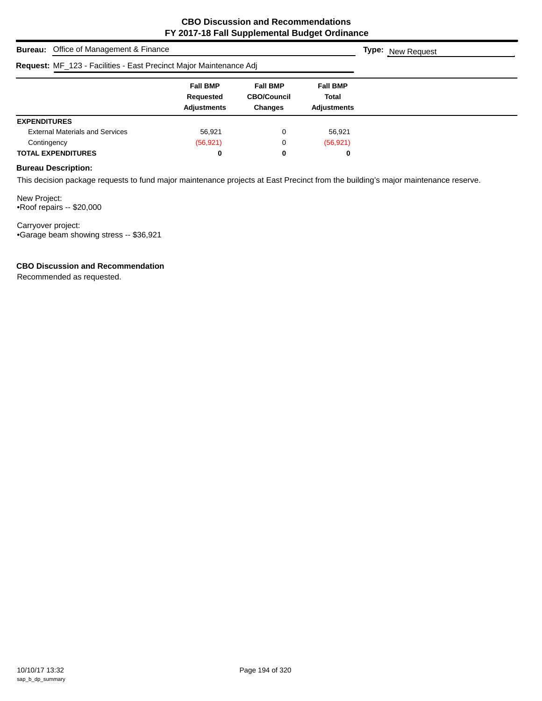| <b>Bureau:</b> Office of Management & Finance                      | <b>Type:</b> New Request                           |                                                         |                                         |  |
|--------------------------------------------------------------------|----------------------------------------------------|---------------------------------------------------------|-----------------------------------------|--|
| Request: MF_123 - Facilities - East Precinct Major Maintenance Adj |                                                    |                                                         |                                         |  |
|                                                                    | <b>Fall BMP</b><br>Requested<br><b>Adjustments</b> | <b>Fall BMP</b><br><b>CBO/Council</b><br><b>Changes</b> | <b>Fall BMP</b><br>Total<br>Adjustments |  |
| <b>EXPENDITURES</b>                                                |                                                    |                                                         |                                         |  |
| <b>External Materials and Services</b>                             | 56,921                                             | 0                                                       | 56,921                                  |  |
| Contingency                                                        | (56, 921)                                          | 0                                                       | (56, 921)                               |  |
| <b>TOTAL EXPENDITURES</b>                                          | 0                                                  | 0                                                       | 0                                       |  |

## **Bureau Description:**

This decision package requests to fund major maintenance projects at East Precinct from the building's major maintenance reserve.

New Project: •Roof repairs -- \$20,000

Carryover project: •Garage beam showing stress -- \$36,921

## **CBO Discussion and Recommendation**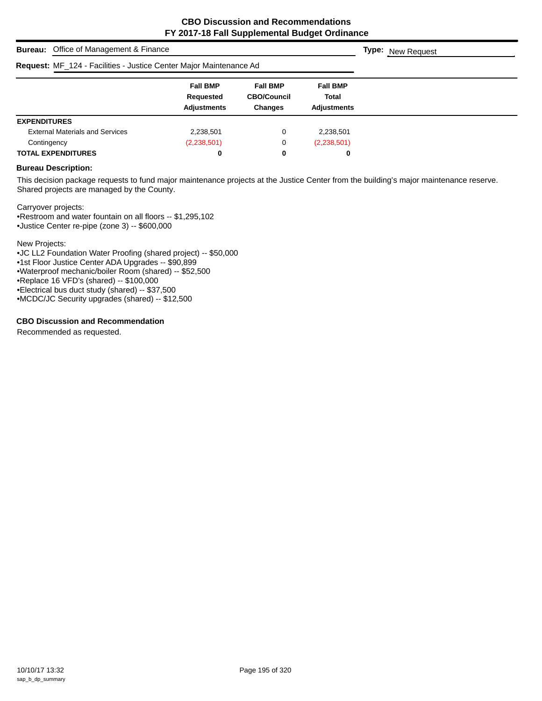|                     | <b>Bureau:</b> Office of Management & Finance                      | <b>Type:</b> New Request                           |                                                         |                                                |  |
|---------------------|--------------------------------------------------------------------|----------------------------------------------------|---------------------------------------------------------|------------------------------------------------|--|
|                     | Request: MF_124 - Facilities - Justice Center Major Maintenance Ad |                                                    |                                                         |                                                |  |
|                     |                                                                    | <b>Fall BMP</b><br>Requested<br><b>Adjustments</b> | <b>Fall BMP</b><br><b>CBO/Council</b><br><b>Changes</b> | <b>Fall BMP</b><br>Total<br><b>Adjustments</b> |  |
| <b>EXPENDITURES</b> |                                                                    |                                                    |                                                         |                                                |  |
|                     | <b>External Materials and Services</b>                             | 2,238,501                                          | 0                                                       | 2,238,501                                      |  |
| Contingency         |                                                                    | (2,238,501)                                        | 0                                                       | (2,238,501)                                    |  |
|                     | <b>TOTAL EXPENDITURES</b>                                          | 0                                                  | 0                                                       | 0                                              |  |

#### **Bureau Description:**

This decision package requests to fund major maintenance projects at the Justice Center from the building's major maintenance reserve. Shared projects are managed by the County.

Carryover projects:

•Restroom and water fountain on all floors -- \$1,295,102

•Justice Center re-pipe (zone 3) -- \$600,000

New Projects:

•JC LL2 Foundation Water Proofing (shared project) -- \$50,000

•1st Floor Justice Center ADA Upgrades -- \$90,899

•Waterproof mechanic/boiler Room (shared) -- \$52,500

•Replace 16 VFD's (shared) -- \$100,000

•Electrical bus duct study (shared) -- \$37,500

•MCDC/JC Security upgrades (shared) -- \$12,500

## **CBO Discussion and Recommendation**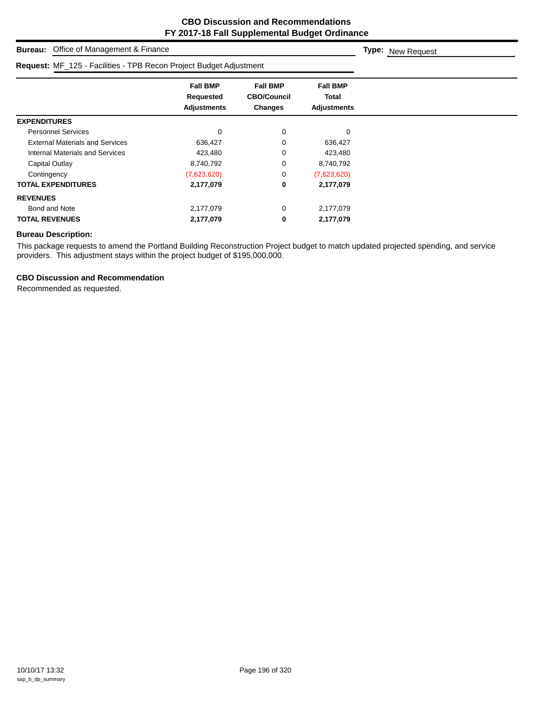| Office of Management & Finance<br>Bureau:                          | <b>Type:</b> New Request                           |                                                  |                                                       |  |
|--------------------------------------------------------------------|----------------------------------------------------|--------------------------------------------------|-------------------------------------------------------|--|
| Request: MF_125 - Facilities - TPB Recon Project Budget Adjustment |                                                    |                                                  |                                                       |  |
|                                                                    | <b>Fall BMP</b><br>Requested<br><b>Adjustments</b> | <b>Fall BMP</b><br><b>CBO/Council</b><br>Changes | <b>Fall BMP</b><br><b>Total</b><br><b>Adjustments</b> |  |
| <b>EXPENDITURES</b>                                                |                                                    |                                                  |                                                       |  |
| <b>Personnel Services</b>                                          | 0                                                  | 0                                                | 0                                                     |  |
| <b>External Materials and Services</b>                             | 636,427                                            | 0                                                | 636,427                                               |  |
| Internal Materials and Services                                    | 423,480                                            | 0                                                | 423,480                                               |  |
| Capital Outlay                                                     | 8,740,792                                          | 0                                                | 8,740,792                                             |  |
| Contingency                                                        | (7,623,620)                                        | 0                                                | (7,623,620)                                           |  |
| <b>TOTAL EXPENDITURES</b>                                          | 2,177,079                                          | 0                                                | 2,177,079                                             |  |
| <b>REVENUES</b>                                                    |                                                    |                                                  |                                                       |  |
| Bond and Note                                                      | 2,177,079                                          | 0                                                | 2,177,079                                             |  |
| <b>TOTAL REVENUES</b>                                              | 2,177,079                                          | 0                                                | 2,177,079                                             |  |

## **Bureau Description:**

This package requests to amend the Portland Building Reconstruction Project budget to match updated projected spending, and service providers. This adjustment stays within the project budget of \$195,000,000.

## **CBO Discussion and Recommendation**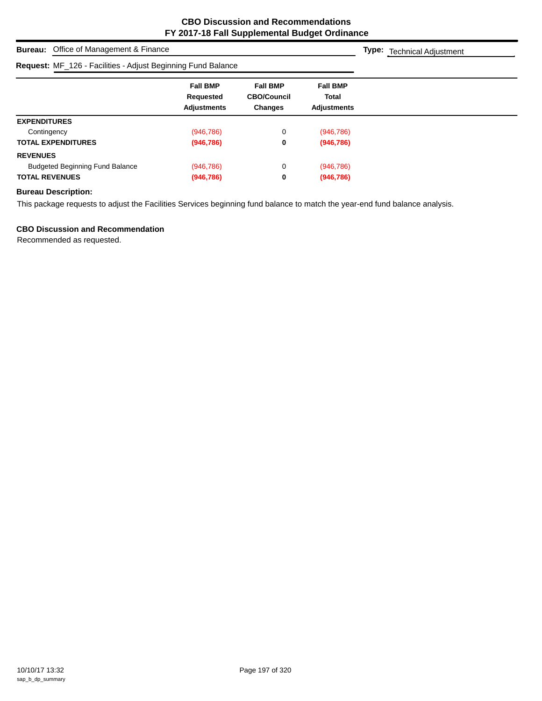**Type:** Technical Adjustment

# **Request:** MF\_126 - Facilities - Adjust Beginning Fund Balance

| <b>Request:</b> MF 126 - Facilities - Adjust Beginning Fund Balance |                                                    |                                                         |                                                       |  |
|---------------------------------------------------------------------|----------------------------------------------------|---------------------------------------------------------|-------------------------------------------------------|--|
|                                                                     | <b>Fall BMP</b><br>Requested<br><b>Adjustments</b> | <b>Fall BMP</b><br><b>CBO/Council</b><br><b>Changes</b> | <b>Fall BMP</b><br><b>Total</b><br><b>Adjustments</b> |  |
| <b>EXPENDITURES</b>                                                 |                                                    |                                                         |                                                       |  |
| Contingency                                                         | (946, 786)                                         | 0                                                       | (946, 786)                                            |  |
| <b>TOTAL EXPENDITURES</b>                                           | (946, 786)                                         | 0                                                       | (946, 786)                                            |  |
| <b>REVENUES</b>                                                     |                                                    |                                                         |                                                       |  |
| <b>Budgeted Beginning Fund Balance</b>                              | (946, 786)                                         | 0                                                       | (946, 786)                                            |  |
| <b>TOTAL REVENUES</b>                                               | (946, 786)                                         | 0                                                       | (946, 786)                                            |  |

## **Bureau Description:**

This package requests to adjust the Facilities Services beginning fund balance to match the year-end fund balance analysis.

## **CBO Discussion and Recommendation**

**Bureau:** Office of Management & Finance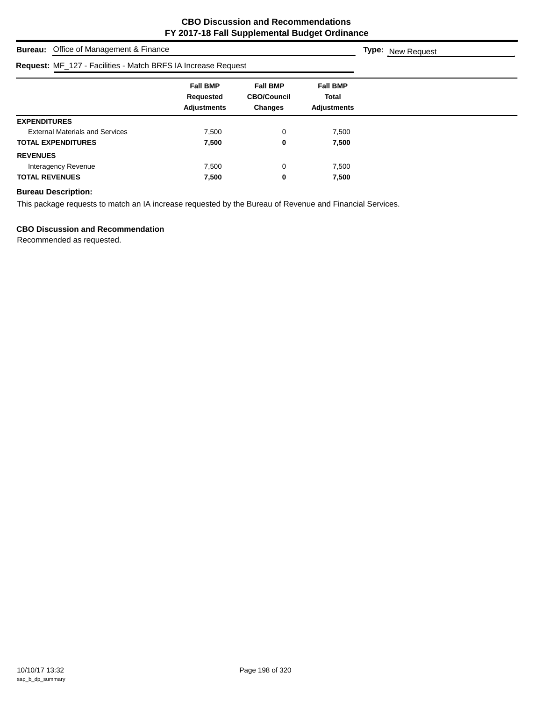| <b>Bureau:</b> Office of Management & Finance                 |                                                    |                                                         |                                                |  |  |  |
|---------------------------------------------------------------|----------------------------------------------------|---------------------------------------------------------|------------------------------------------------|--|--|--|
| Request: MF_127 - Facilities - Match BRFS IA Increase Request |                                                    |                                                         |                                                |  |  |  |
|                                                               | <b>Fall BMP</b><br>Requested<br><b>Adjustments</b> | <b>Fall BMP</b><br><b>CBO/Council</b><br><b>Changes</b> | <b>Fall BMP</b><br>Total<br><b>Adjustments</b> |  |  |  |
| <b>EXPENDITURES</b>                                           |                                                    |                                                         |                                                |  |  |  |
| <b>External Materials and Services</b>                        | 7.500                                              | 0                                                       | 7,500                                          |  |  |  |
| <b>TOTAL EXPENDITURES</b>                                     | 7,500                                              | 0                                                       | 7,500                                          |  |  |  |
| <b>REVENUES</b>                                               |                                                    |                                                         |                                                |  |  |  |
| Interagency Revenue                                           | 7.500                                              | 0                                                       | 7,500                                          |  |  |  |
| <b>TOTAL REVENUES</b>                                         | 7,500                                              | 0                                                       | 7,500                                          |  |  |  |

## **Bureau Description:**

This package requests to match an IA increase requested by the Bureau of Revenue and Financial Services.

## **CBO Discussion and Recommendation**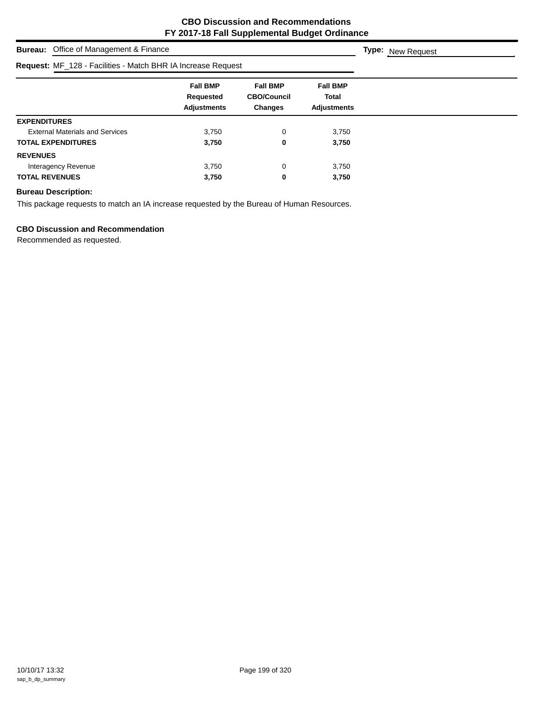| <b>Bureau:</b> Office of Management & Finance                | <b>Type:</b> New Request                           |                                                         |                                                |  |
|--------------------------------------------------------------|----------------------------------------------------|---------------------------------------------------------|------------------------------------------------|--|
| Request: MF_128 - Facilities - Match BHR IA Increase Request |                                                    |                                                         |                                                |  |
|                                                              | <b>Fall BMP</b><br>Requested<br><b>Adjustments</b> | <b>Fall BMP</b><br><b>CBO/Council</b><br><b>Changes</b> | <b>Fall BMP</b><br>Total<br><b>Adjustments</b> |  |
| <b>EXPENDITURES</b>                                          |                                                    |                                                         |                                                |  |
| <b>External Materials and Services</b>                       | 3,750                                              | 0                                                       | 3,750                                          |  |
| <b>TOTAL EXPENDITURES</b>                                    | 3,750                                              | 0                                                       | 3,750                                          |  |
| <b>REVENUES</b>                                              |                                                    |                                                         |                                                |  |
| Interagency Revenue                                          | 3,750                                              | 0                                                       | 3,750                                          |  |
| <b>TOTAL REVENUES</b>                                        | 3,750                                              | 0                                                       | 3,750                                          |  |

## **Bureau Description:**

This package requests to match an IA increase requested by the Bureau of Human Resources.

## **CBO Discussion and Recommendation**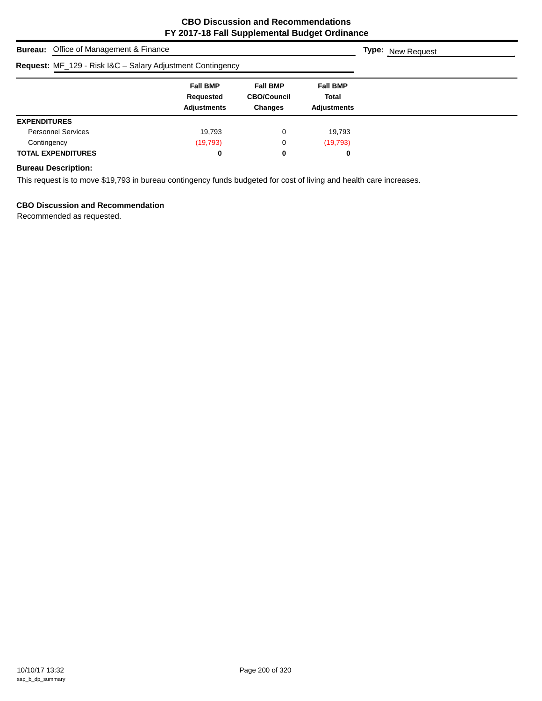| <b>Bureau:</b> Office of Management & Finance              | <b>Type:</b> New Request                           |                                                         |                                                |  |
|------------------------------------------------------------|----------------------------------------------------|---------------------------------------------------------|------------------------------------------------|--|
| Request: MF_129 - Risk I&C - Salary Adjustment Contingency |                                                    |                                                         |                                                |  |
|                                                            | <b>Fall BMP</b><br>Requested<br><b>Adjustments</b> | <b>Fall BMP</b><br><b>CBO/Council</b><br><b>Changes</b> | <b>Fall BMP</b><br>Total<br><b>Adjustments</b> |  |
| <b>EXPENDITURES</b>                                        |                                                    |                                                         |                                                |  |
| <b>Personnel Services</b>                                  | 19,793                                             | 0                                                       | 19,793                                         |  |
| Contingency                                                | (19,793)                                           | 0                                                       | (19, 793)                                      |  |
| <b>TOTAL EXPENDITURES</b>                                  | 0                                                  | 0                                                       | 0                                              |  |

## **Bureau Description:**

This request is to move \$19,793 in bureau contingency funds budgeted for cost of living and health care increases.

## **CBO Discussion and Recommendation**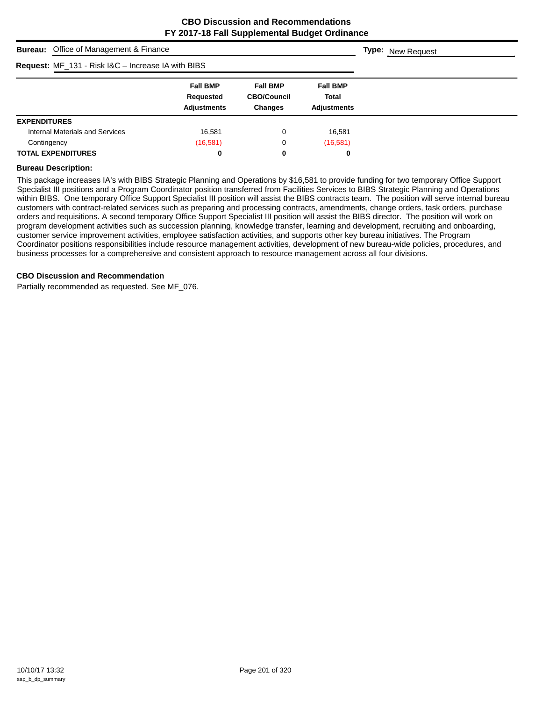| <b>Bureau:</b> Office of Management & Finance             |                                                    |                                                         |                                                       |  |  |  |  |
|-----------------------------------------------------------|----------------------------------------------------|---------------------------------------------------------|-------------------------------------------------------|--|--|--|--|
| <b>Request:</b> MF_131 - Risk I&C - Increase IA with BIBS |                                                    |                                                         |                                                       |  |  |  |  |
|                                                           | <b>Fall BMP</b><br>Requested<br><b>Adjustments</b> | <b>Fall BMP</b><br><b>CBO/Council</b><br><b>Changes</b> | <b>Fall BMP</b><br><b>Total</b><br><b>Adiustments</b> |  |  |  |  |
| <b>EXPENDITURES</b>                                       |                                                    |                                                         |                                                       |  |  |  |  |
| Internal Materials and Services                           | 16,581                                             | 0                                                       | 16.581                                                |  |  |  |  |
| Contingency                                               | (16, 581)                                          | 0                                                       | (16,581)                                              |  |  |  |  |
| <b>TOTAL EXPENDITURES</b>                                 | 0                                                  | 0                                                       | 0                                                     |  |  |  |  |

#### **Bureau Description:**

This package increases IA's with BIBS Strategic Planning and Operations by \$16,581 to provide funding for two temporary Office Support Specialist III positions and a Program Coordinator position transferred from Facilities Services to BIBS Strategic Planning and Operations within BIBS. One temporary Office Support Specialist III position will assist the BIBS contracts team. The position will serve internal bureau customers with contract-related services such as preparing and processing contracts, amendments, change orders, task orders, purchase orders and requisitions. A second temporary Office Support Specialist III position will assist the BIBS director. The position will work on program development activities such as succession planning, knowledge transfer, learning and development, recruiting and onboarding, customer service improvement activities, employee satisfaction activities, and supports other key bureau initiatives. The Program Coordinator positions responsibilities include resource management activities, development of new bureau-wide policies, procedures, and business processes for a comprehensive and consistent approach to resource management across all four divisions.

#### **CBO Discussion and Recommendation**

Partially recommended as requested. See MF\_076.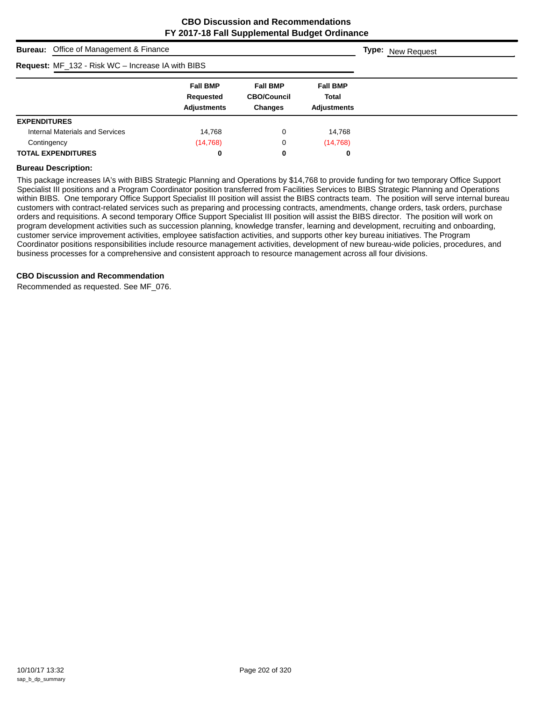| <b>Bureau:</b> Office of Management & Finance     |                                                    |                                                         |                                                |  |  |  |  |
|---------------------------------------------------|----------------------------------------------------|---------------------------------------------------------|------------------------------------------------|--|--|--|--|
| Request: MF_132 - Risk WC - Increase IA with BIBS |                                                    |                                                         |                                                |  |  |  |  |
|                                                   | <b>Fall BMP</b><br>Requested<br><b>Adjustments</b> | <b>Fall BMP</b><br><b>CBO/Council</b><br><b>Changes</b> | <b>Fall BMP</b><br>Total<br><b>Adjustments</b> |  |  |  |  |
| <b>EXPENDITURES</b>                               |                                                    |                                                         |                                                |  |  |  |  |
| <b>Internal Materials and Services</b>            | 14.768                                             | 0                                                       | 14,768                                         |  |  |  |  |
| Contingency                                       | (14, 768)                                          | 0                                                       | (14, 768)                                      |  |  |  |  |
| <b>TOTAL EXPENDITURES</b>                         | 0                                                  | 0                                                       | 0                                              |  |  |  |  |

#### **Bureau Description:**

This package increases IA's with BIBS Strategic Planning and Operations by \$14,768 to provide funding for two temporary Office Support Specialist III positions and a Program Coordinator position transferred from Facilities Services to BIBS Strategic Planning and Operations within BIBS. One temporary Office Support Specialist III position will assist the BIBS contracts team. The position will serve internal bureau customers with contract-related services such as preparing and processing contracts, amendments, change orders, task orders, purchase orders and requisitions. A second temporary Office Support Specialist III position will assist the BIBS director. The position will work on program development activities such as succession planning, knowledge transfer, learning and development, recruiting and onboarding, customer service improvement activities, employee satisfaction activities, and supports other key bureau initiatives. The Program Coordinator positions responsibilities include resource management activities, development of new bureau-wide policies, procedures, and business processes for a comprehensive and consistent approach to resource management across all four divisions.

#### **CBO Discussion and Recommendation**

Recommended as requested. See MF\_076.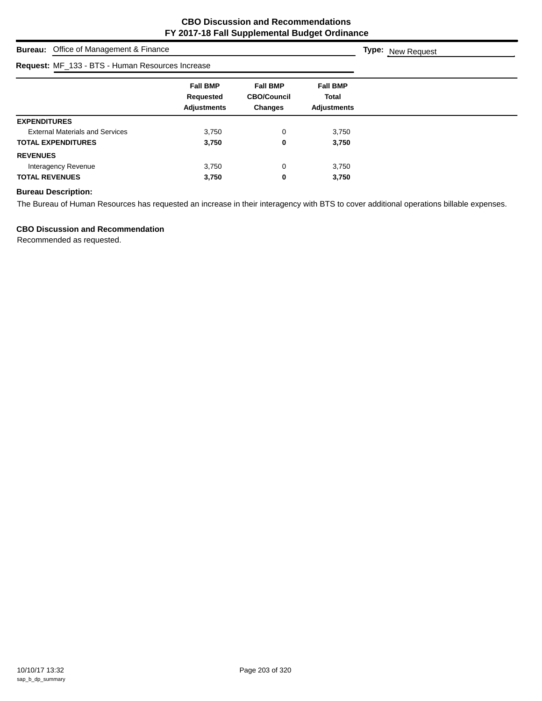| <b>Bureau:</b> Office of Management & Finance    | <b>Type:</b> New Request                           |                                                  |                                                       |  |
|--------------------------------------------------|----------------------------------------------------|--------------------------------------------------|-------------------------------------------------------|--|
| Request: MF_133 - BTS - Human Resources Increase |                                                    |                                                  |                                                       |  |
|                                                  | <b>Fall BMP</b><br>Requested<br><b>Adjustments</b> | <b>Fall BMP</b><br><b>CBO/Council</b><br>Changes | <b>Fall BMP</b><br><b>Total</b><br><b>Adjustments</b> |  |
| <b>EXPENDITURES</b>                              |                                                    |                                                  |                                                       |  |
| <b>External Materials and Services</b>           | 3,750                                              | 0                                                | 3,750                                                 |  |
| <b>TOTAL EXPENDITURES</b>                        | 3,750                                              | 0                                                | 3,750                                                 |  |
| <b>REVENUES</b>                                  |                                                    |                                                  |                                                       |  |
| Interagency Revenue                              | 3,750                                              | 0                                                | 3,750                                                 |  |
| <b>TOTAL REVENUES</b>                            | 3,750                                              | 0                                                | 3,750                                                 |  |

## **Bureau Description:**

The Bureau of Human Resources has requested an increase in their interagency with BTS to cover additional operations billable expenses.

## **CBO Discussion and Recommendation**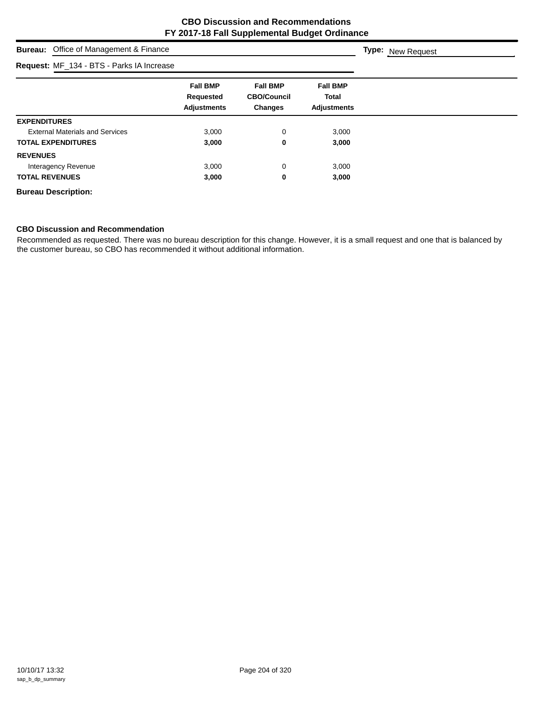# **Bureau:** Office of Management & Finance **Fall BMP Fall BMP Fall BMP Requested CBO/Council Total Adjustments Changes Adjustments Type:** New Request **Request:** MF\_134 - BTS - Parks IA Increase **EXPENDITURES** External Materials and Services **3,000** 3,000 0 3,000 **TOTAL EXPENDITURES 3,000 0 3,000 REVENUES** Interagency Revenue **1988** and 2,000 contrast the contrast of the 3,000 contrast of 3,000 contrast 3,000 contrast 3,000 contrast 3,000 contrast 3,000 contrast 3,000 contrast 3,000 contrast 3,000 contrast 3,000 contrast 3,0 **TOTAL REVENUES 3,000 0 3,000 Bureau Description:**

#### **CBO Discussion and Recommendation**

Recommended as requested. There was no bureau description for this change. However, it is a small request and one that is balanced by the customer bureau, so CBO has recommended it without additional information.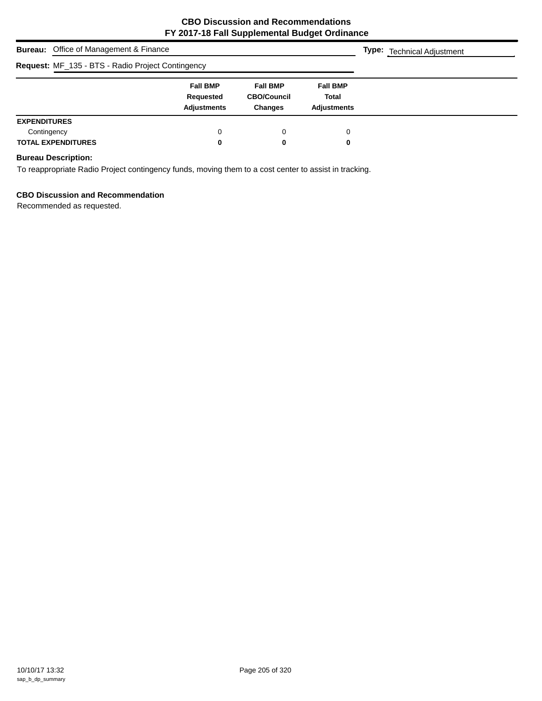|                     | <b>Bureau:</b> Office of Management & Finance     |                                                    |                                                         |                                                       | <b>Type:</b> Technical Adjustment |  |  |
|---------------------|---------------------------------------------------|----------------------------------------------------|---------------------------------------------------------|-------------------------------------------------------|-----------------------------------|--|--|
|                     | Request: MF_135 - BTS - Radio Project Contingency |                                                    |                                                         |                                                       |                                   |  |  |
|                     |                                                   | <b>Fall BMP</b><br>Requested<br><b>Adjustments</b> | <b>Fall BMP</b><br><b>CBO/Council</b><br><b>Changes</b> | <b>Fall BMP</b><br><b>Total</b><br><b>Adiustments</b> |                                   |  |  |
| <b>EXPENDITURES</b> |                                                   |                                                    |                                                         |                                                       |                                   |  |  |
| Contingency         | <b>TOTAL EXPENDITURES</b>                         | 0<br>0                                             | 0<br>0                                                  | 0<br>0                                                |                                   |  |  |

## **Bureau Description:**

To reappropriate Radio Project contingency funds, moving them to a cost center to assist in tracking.

## **CBO Discussion and Recommendation**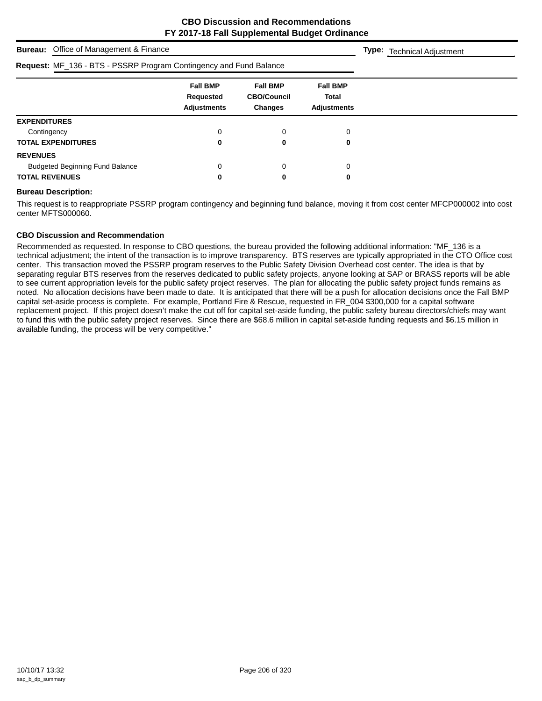| <b>Bureau:</b> Office of Management & Finance                      |                                                    |                                                         |                                                       | <b>Type:</b> Technical Adjustment |
|--------------------------------------------------------------------|----------------------------------------------------|---------------------------------------------------------|-------------------------------------------------------|-----------------------------------|
| Request: MF_136 - BTS - PSSRP Program Contingency and Fund Balance |                                                    |                                                         |                                                       |                                   |
|                                                                    | <b>Fall BMP</b><br>Requested<br><b>Adjustments</b> | <b>Fall BMP</b><br><b>CBO/Council</b><br><b>Changes</b> | <b>Fall BMP</b><br><b>Total</b><br><b>Adjustments</b> |                                   |
| <b>EXPENDITURES</b>                                                |                                                    |                                                         |                                                       |                                   |
| Contingency                                                        | 0                                                  | 0                                                       | 0                                                     |                                   |
| <b>TOTAL EXPENDITURES</b>                                          | 0                                                  | 0                                                       | 0                                                     |                                   |
| <b>REVENUES</b>                                                    |                                                    |                                                         |                                                       |                                   |
| <b>Budgeted Beginning Fund Balance</b>                             | 0                                                  | 0                                                       | 0                                                     |                                   |
| <b>TOTAL REVENUES</b>                                              | 0                                                  | 0                                                       | 0                                                     |                                   |

#### **Bureau Description:**

This request is to reappropriate PSSRP program contingency and beginning fund balance, moving it from cost center MFCP000002 into cost center MFTS000060.

#### **CBO Discussion and Recommendation**

Recommended as requested. In response to CBO questions, the bureau provided the following additional information: "MF\_136 is a technical adjustment; the intent of the transaction is to improve transparency. BTS reserves are typically appropriated in the CTO Office cost center. This transaction moved the PSSRP program reserves to the Public Safety Division Overhead cost center. The idea is that by separating regular BTS reserves from the reserves dedicated to public safety projects, anyone looking at SAP or BRASS reports will be able to see current appropriation levels for the public safety project reserves. The plan for allocating the public safety project funds remains as noted. No allocation decisions have been made to date. It is anticipated that there will be a push for allocation decisions once the Fall BMP capital set-aside process is complete. For example, Portland Fire & Rescue, requested in FR\_004 \$300,000 for a capital software replacement project. If this project doesn't make the cut off for capital set-aside funding, the public safety bureau directors/chiefs may want to fund this with the public safety project reserves. Since there are \$68.6 million in capital set-aside funding requests and \$6.15 million in available funding, the process will be very competitive."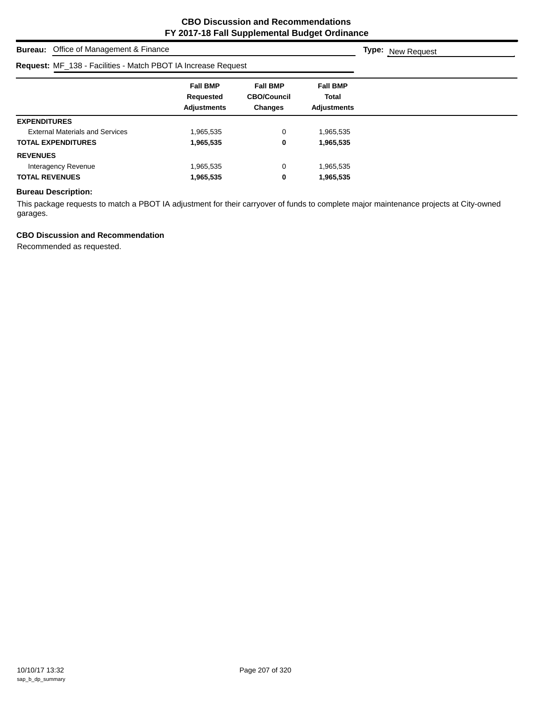| Office of Management & Finance<br>Bureau:                     |                                                    |                                                         |                                                       | Type:<br>New Request |
|---------------------------------------------------------------|----------------------------------------------------|---------------------------------------------------------|-------------------------------------------------------|----------------------|
| Request: MF_138 - Facilities - Match PBOT IA Increase Request |                                                    |                                                         |                                                       |                      |
|                                                               | <b>Fall BMP</b><br>Requested<br><b>Adjustments</b> | <b>Fall BMP</b><br><b>CBO/Council</b><br><b>Changes</b> | <b>Fall BMP</b><br><b>Total</b><br><b>Adjustments</b> |                      |
| <b>EXPENDITURES</b>                                           |                                                    |                                                         |                                                       |                      |
| <b>External Materials and Services</b>                        | 1,965,535                                          | 0                                                       | 1,965,535                                             |                      |
| <b>TOTAL EXPENDITURES</b>                                     | 1,965,535                                          | 0                                                       | 1,965,535                                             |                      |
| <b>REVENUES</b>                                               |                                                    |                                                         |                                                       |                      |
| Interagency Revenue                                           | 1,965,535                                          | 0                                                       | 1,965,535                                             |                      |
| <b>TOTAL REVENUES</b>                                         | 1,965,535                                          | 0                                                       | 1,965,535                                             |                      |

## **Bureau Description:**

This package requests to match a PBOT IA adjustment for their carryover of funds to complete major maintenance projects at City-owned garages.

## **CBO Discussion and Recommendation**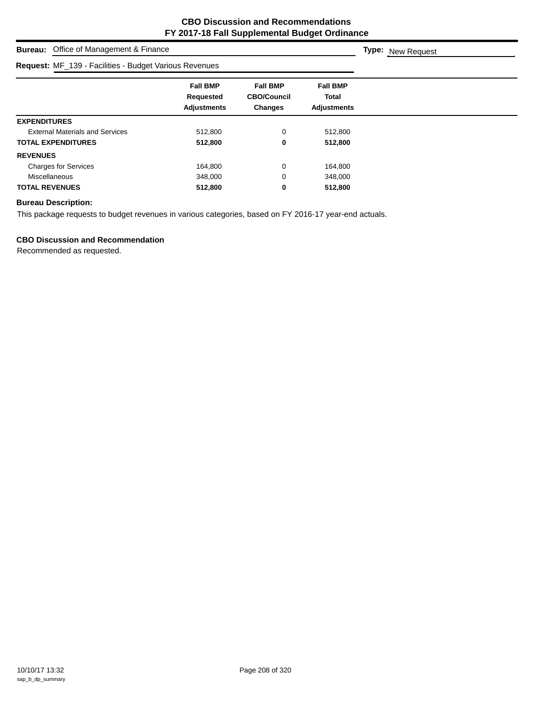| Office of Management & Finance<br><b>Bureau:</b>       |                                                    |                                                         |                                                | <b>Type:</b> New Request |
|--------------------------------------------------------|----------------------------------------------------|---------------------------------------------------------|------------------------------------------------|--------------------------|
| Request: MF_139 - Facilities - Budget Various Revenues |                                                    |                                                         |                                                |                          |
|                                                        | <b>Fall BMP</b><br>Requested<br><b>Adjustments</b> | <b>Fall BMP</b><br><b>CBO/Council</b><br><b>Changes</b> | <b>Fall BMP</b><br>Total<br><b>Adjustments</b> |                          |
| <b>EXPENDITURES</b>                                    |                                                    |                                                         |                                                |                          |
| <b>External Materials and Services</b>                 | 512,800                                            | 0                                                       | 512,800                                        |                          |
| <b>TOTAL EXPENDITURES</b>                              | 512,800                                            | 0                                                       | 512,800                                        |                          |
| <b>REVENUES</b>                                        |                                                    |                                                         |                                                |                          |
| <b>Charges for Services</b>                            | 164,800                                            | 0                                                       | 164,800                                        |                          |
| Miscellaneous                                          | 348,000                                            | 0                                                       | 348,000                                        |                          |
| <b>TOTAL REVENUES</b>                                  | 512,800                                            | 0                                                       | 512,800                                        |                          |

## **Bureau Description:**

This package requests to budget revenues in various categories, based on FY 2016-17 year-end actuals.

## **CBO Discussion and Recommendation**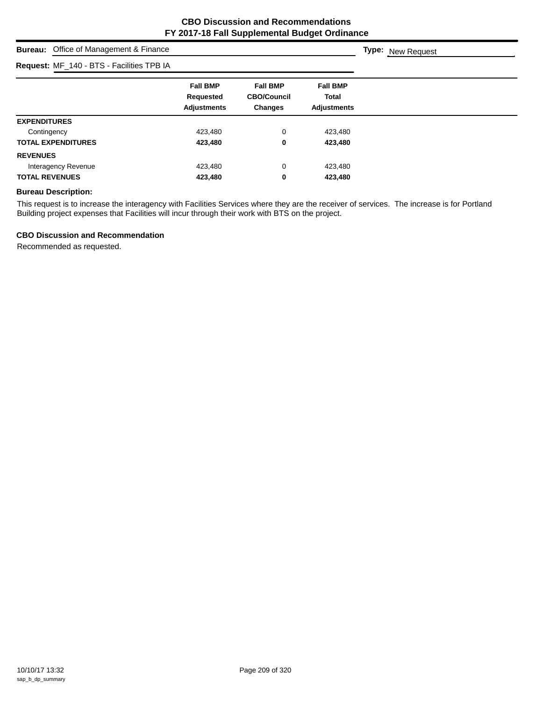**Type:** New Request

## **Bureau:** Office of Management & Finance

#### **Request:** MF\_140 - BTS - Facilities TPB IA

| <b>Request:</b> MF_140 - BTS - Facilities TPB IA |                                                    |                                                         |                                                |  |
|--------------------------------------------------|----------------------------------------------------|---------------------------------------------------------|------------------------------------------------|--|
|                                                  | <b>Fall BMP</b><br>Requested<br><b>Adjustments</b> | <b>Fall BMP</b><br><b>CBO/Council</b><br><b>Changes</b> | <b>Fall BMP</b><br>Total<br><b>Adjustments</b> |  |
| <b>EXPENDITURES</b>                              |                                                    |                                                         |                                                |  |
| Contingency                                      | 423,480                                            | 0                                                       | 423,480                                        |  |
| <b>TOTAL EXPENDITURES</b>                        | 423,480                                            | 0                                                       | 423,480                                        |  |
| <b>REVENUES</b>                                  |                                                    |                                                         |                                                |  |
| Interagency Revenue                              | 423,480                                            | 0                                                       | 423,480                                        |  |
| <b>TOTAL REVENUES</b>                            | 423,480                                            | 0                                                       | 423,480                                        |  |
|                                                  |                                                    |                                                         |                                                |  |

#### **Bureau Description:**

This request is to increase the interagency with Facilities Services where they are the receiver of services. The increase is for Portland Building project expenses that Facilities will incur through their work with BTS on the project.

#### **CBO Discussion and Recommendation**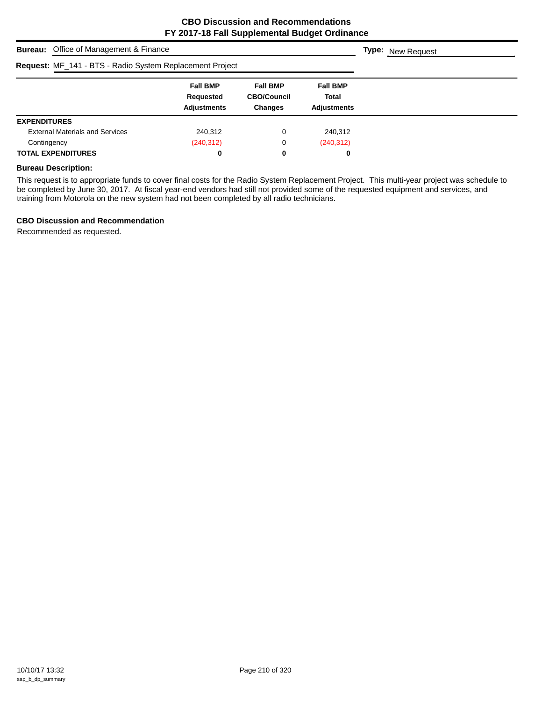| <b>Bureau:</b> Office of Management & Finance            |                                                    |                                                         |                                         | <b>Type:</b> New Request |
|----------------------------------------------------------|----------------------------------------------------|---------------------------------------------------------|-----------------------------------------|--------------------------|
| Request: MF_141 - BTS - Radio System Replacement Project |                                                    |                                                         |                                         |                          |
|                                                          | <b>Fall BMP</b><br>Requested<br><b>Adjustments</b> | <b>Fall BMP</b><br><b>CBO/Council</b><br><b>Changes</b> | <b>Fall BMP</b><br>Total<br>Adjustments |                          |
| <b>EXPENDITURES</b>                                      |                                                    |                                                         |                                         |                          |
| <b>External Materials and Services</b>                   | 240,312                                            | 0                                                       | 240,312                                 |                          |
| Contingency                                              | (240, 312)                                         | 0                                                       | (240, 312)                              |                          |
| <b>TOTAL EXPENDITURES</b>                                | 0                                                  | 0                                                       | 0                                       |                          |

#### **Bureau Description:**

This request is to appropriate funds to cover final costs for the Radio System Replacement Project. This multi-year project was schedule to be completed by June 30, 2017. At fiscal year-end vendors had still not provided some of the requested equipment and services, and training from Motorola on the new system had not been completed by all radio technicians.

#### **CBO Discussion and Recommendation**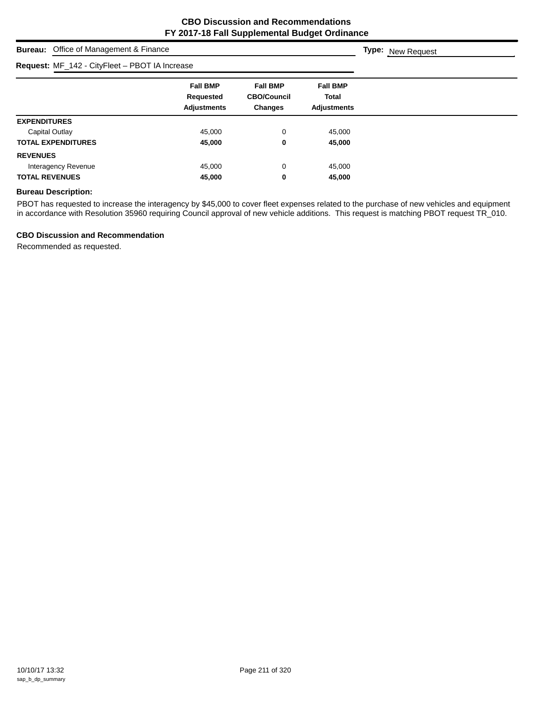# **Bureau:** Office of Management & Finance **Fall BMP Fall BMP Fall BMP Requested CBO/Council Total Adjustments Changes Adjustments Type:** New Request **Request:** MF\_142 - CityFleet – PBOT IA Increase **EXPENDITURES** Capital Outlay **45,000 0** 45,000 **TOTAL EXPENDITURES 45,000 0 45,000 REVENUES** Interagency Revenue **15,000** and 45,000 and 45,000 and 45,000 and 45,000 and 45,000 and 45,000 and 45,000 and 45,000 and 45,000 and 45,000 and 45,000 and 45,000 and 45,000 and 45,000 and 45,000 and 45,000 and 45,000 and 45 **TOTAL REVENUES 45,000 0 45,000**

#### **Bureau Description:**

PBOT has requested to increase the interagency by \$45,000 to cover fleet expenses related to the purchase of new vehicles and equipment in accordance with Resolution 35960 requiring Council approval of new vehicle additions. This request is matching PBOT request TR\_010.

#### **CBO Discussion and Recommendation**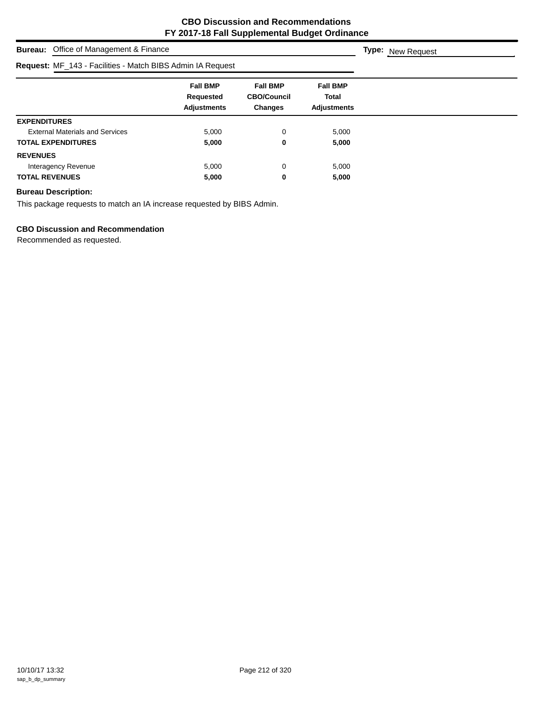| <b>Bureau:</b> Office of Management & Finance              |                                                    |                                                         |                                                       | <b>Type:</b> New Request |
|------------------------------------------------------------|----------------------------------------------------|---------------------------------------------------------|-------------------------------------------------------|--------------------------|
| Request: MF_143 - Facilities - Match BIBS Admin IA Request |                                                    |                                                         |                                                       |                          |
|                                                            | <b>Fall BMP</b><br>Requested<br><b>Adjustments</b> | <b>Fall BMP</b><br><b>CBO/Council</b><br><b>Changes</b> | <b>Fall BMP</b><br><b>Total</b><br><b>Adjustments</b> |                          |
| <b>EXPENDITURES</b>                                        |                                                    |                                                         |                                                       |                          |
| <b>External Materials and Services</b>                     | 5,000                                              | 0                                                       | 5,000                                                 |                          |
| <b>TOTAL EXPENDITURES</b>                                  | 5,000                                              | 0                                                       | 5,000                                                 |                          |
| <b>REVENUES</b>                                            |                                                    |                                                         |                                                       |                          |
| Interagency Revenue                                        | 5,000                                              | 0                                                       | 5,000                                                 |                          |
| <b>TOTAL REVENUES</b>                                      | 5,000                                              | 0                                                       | 5,000                                                 |                          |

## **Bureau Description:**

This package requests to match an IA increase requested by BIBS Admin.

## **CBO Discussion and Recommendation**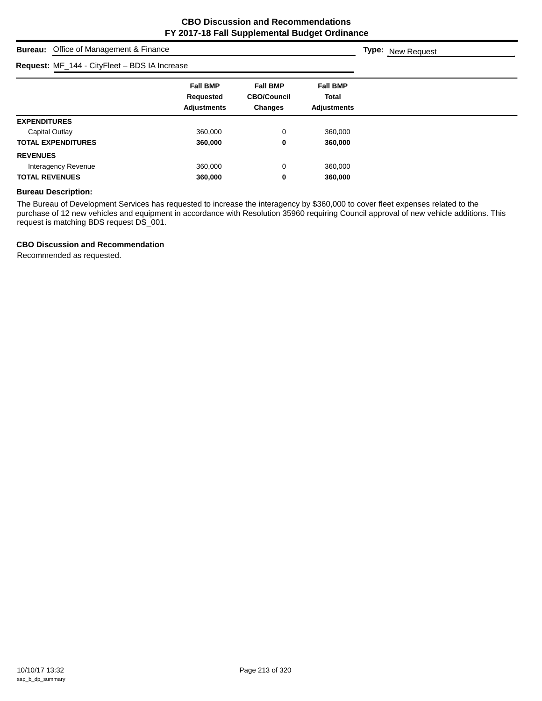**Type:** New Request

# **Bureau:** Office of Management & Finance

## **Request:** MF\_144 - CityFleet – BDS IA Increase

| <b>Request:</b> $WF_{144} - UFF_{16} - BDS_{16}$ increase |                                                    |                                                         |                                                |
|-----------------------------------------------------------|----------------------------------------------------|---------------------------------------------------------|------------------------------------------------|
|                                                           | <b>Fall BMP</b><br>Requested<br><b>Adjustments</b> | <b>Fall BMP</b><br><b>CBO/Council</b><br><b>Changes</b> | <b>Fall BMP</b><br>Total<br><b>Adjustments</b> |
| <b>EXPENDITURES</b>                                       |                                                    |                                                         |                                                |
| Capital Outlay                                            | 360,000                                            | 0                                                       | 360,000                                        |
| <b>TOTAL EXPENDITURES</b>                                 | 360,000                                            | 0                                                       | 360,000                                        |
| <b>REVENUES</b>                                           |                                                    |                                                         |                                                |
| Interagency Revenue                                       | 360,000                                            | 0                                                       | 360,000                                        |
| <b>TOTAL REVENUES</b>                                     | 360,000                                            | 0                                                       | 360,000                                        |

## **Bureau Description:**

The Bureau of Development Services has requested to increase the interagency by \$360,000 to cover fleet expenses related to the purchase of 12 new vehicles and equipment in accordance with Resolution 35960 requiring Council approval of new vehicle additions. This request is matching BDS request DS\_001.

#### **CBO Discussion and Recommendation**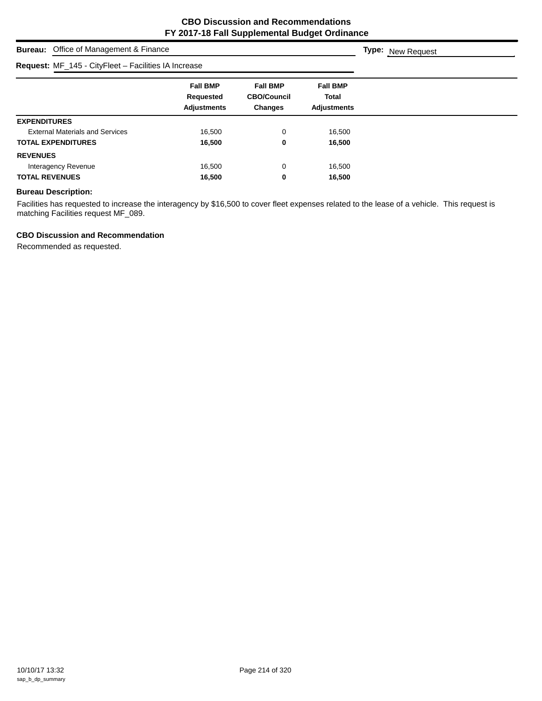# **Bureau:** Office of Management & Finance **Fall BMP Fall BMP Fall BMP Requested CBO/Council Total Adjustments Changes Adjustments Type:** New Request **Request:** MF\_145 - CityFleet – Facilities IA Increase **EXPENDITURES** External Materials and Services 16,500 0 16,500 **TOTAL EXPENDITURES 16,500 0 16,500 REVENUES** Interagency Revenue **16,500** 0 16,500 **TOTAL REVENUES 16,500 0 16,500**

#### **Bureau Description:**

Facilities has requested to increase the interagency by \$16,500 to cover fleet expenses related to the lease of a vehicle. This request is matching Facilities request MF\_089.

#### **CBO Discussion and Recommendation**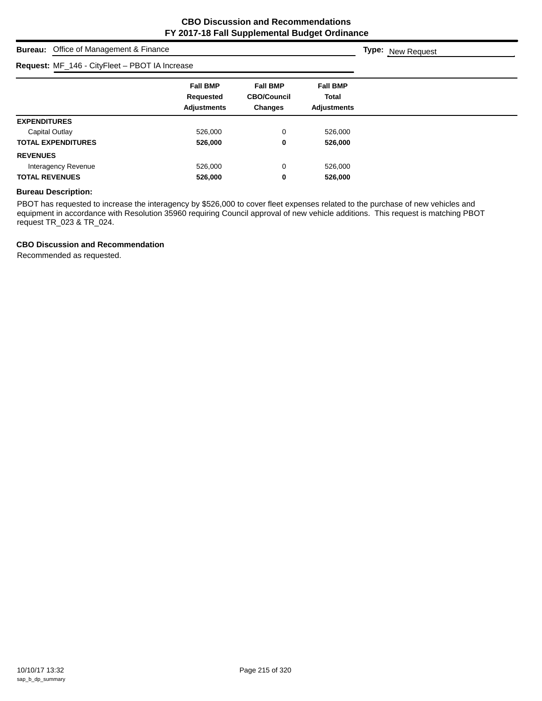**Type:** New Request

# **Bureau:** Office of Management & Finance

| Request: MF_146 - CityFleet - PBOT IA Increase |                                                    |                                                         |                                                |  |
|------------------------------------------------|----------------------------------------------------|---------------------------------------------------------|------------------------------------------------|--|
|                                                | <b>Fall BMP</b><br>Requested<br><b>Adjustments</b> | <b>Fall BMP</b><br><b>CBO/Council</b><br><b>Changes</b> | <b>Fall BMP</b><br>Total<br><b>Adjustments</b> |  |
| <b>EXPENDITURES</b>                            |                                                    |                                                         |                                                |  |
| Capital Outlay                                 | 526,000                                            | 0                                                       | 526,000                                        |  |
| <b>TOTAL EXPENDITURES</b>                      | 526,000                                            | 0                                                       | 526,000                                        |  |
| <b>REVENUES</b>                                |                                                    |                                                         |                                                |  |
| Interagency Revenue                            | 526,000                                            | 0                                                       | 526,000                                        |  |
| <b>TOTAL REVENUES</b>                          | 526,000                                            | 0                                                       | 526,000                                        |  |

#### **Bureau Description:**

PBOT has requested to increase the interagency by \$526,000 to cover fleet expenses related to the purchase of new vehicles and equipment in accordance with Resolution 35960 requiring Council approval of new vehicle additions. This request is matching PBOT request TR\_023 & TR\_024.

## **CBO Discussion and Recommendation**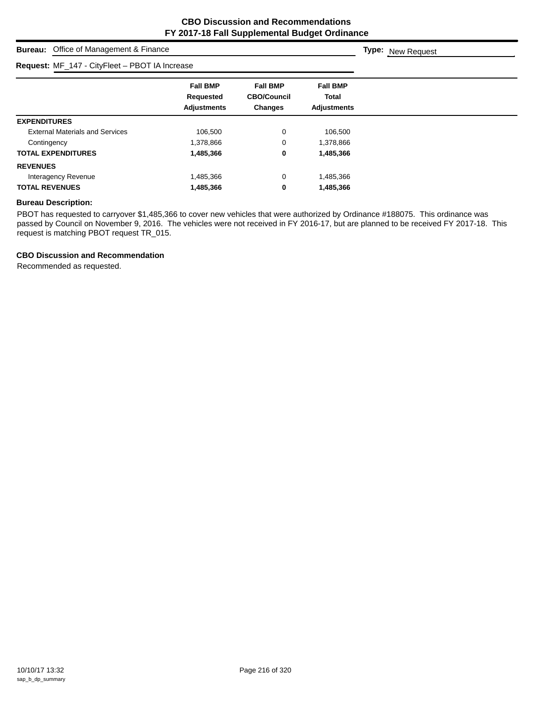**Type:** New Request

## **Bureau:** Office of Management & Finance

| Request: MF_147 - CityFleet - PBOT IA Increase |                                                           |                                                         |                                                       |
|------------------------------------------------|-----------------------------------------------------------|---------------------------------------------------------|-------------------------------------------------------|
|                                                | <b>Fall BMP</b><br><b>Requested</b><br><b>Adjustments</b> | <b>Fall BMP</b><br><b>CBO/Council</b><br><b>Changes</b> | <b>Fall BMP</b><br><b>Total</b><br><b>Adjustments</b> |
| <b>EXPENDITURES</b>                            |                                                           |                                                         |                                                       |
| <b>External Materials and Services</b>         | 106.500                                                   | 0                                                       | 106,500                                               |
| Contingency                                    | 1,378,866                                                 | 0                                                       | 1,378,866                                             |
| <b>TOTAL EXPENDITURES</b>                      | 1,485,366                                                 | 0                                                       | 1,485,366                                             |
| <b>REVENUES</b>                                |                                                           |                                                         |                                                       |
| Interagency Revenue                            | 1,485,366                                                 | 0                                                       | 1,485,366                                             |
| <b>TOTAL REVENUES</b>                          | 1,485,366                                                 | 0                                                       | 1,485,366                                             |

## **Bureau Description:**

PBOT has requested to carryover \$1,485,366 to cover new vehicles that were authorized by Ordinance #188075. This ordinance was passed by Council on November 9, 2016. The vehicles were not received in FY 2016-17, but are planned to be received FY 2017-18. This request is matching PBOT request TR\_015.

## **CBO Discussion and Recommendation**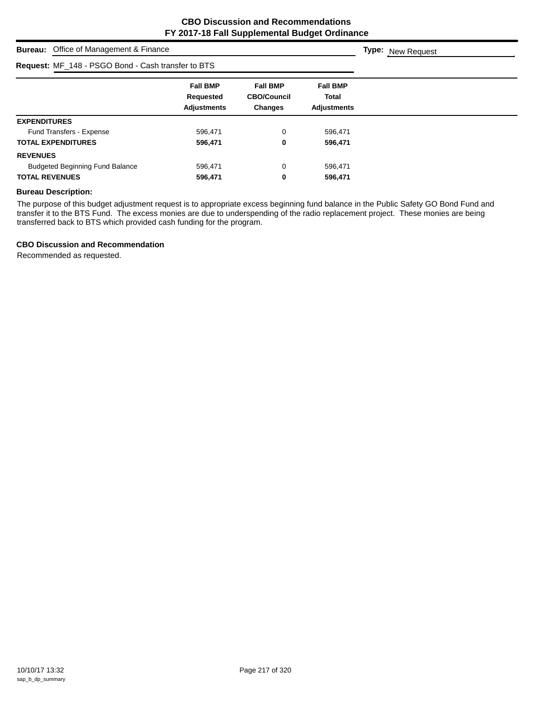| <b>Bureau:</b> Office of Management & Finance             |                                                    |                                                         |                                                       | <b>Type:</b> New Request |
|-----------------------------------------------------------|----------------------------------------------------|---------------------------------------------------------|-------------------------------------------------------|--------------------------|
| <b>Request: MF_148 - PSGO Bond - Cash transfer to BTS</b> |                                                    |                                                         |                                                       |                          |
|                                                           | <b>Fall BMP</b><br>Requested<br><b>Adjustments</b> | <b>Fall BMP</b><br><b>CBO/Council</b><br><b>Changes</b> | <b>Fall BMP</b><br><b>Total</b><br><b>Adjustments</b> |                          |
| <b>EXPENDITURES</b>                                       |                                                    |                                                         |                                                       |                          |
| Fund Transfers - Expense                                  | 596,471                                            | 0                                                       | 596,471                                               |                          |
| <b>TOTAL EXPENDITURES</b>                                 | 596,471                                            | 0                                                       | 596,471                                               |                          |
| <b>REVENUES</b>                                           |                                                    |                                                         |                                                       |                          |
| <b>Budgeted Beginning Fund Balance</b>                    | 596,471                                            | 0                                                       | 596,471                                               |                          |
| <b>TOTAL REVENUES</b>                                     | 596,471                                            | 0                                                       | 596,471                                               |                          |

## **Bureau Description:**

The purpose of this budget adjustment request is to appropriate excess beginning fund balance in the Public Safety GO Bond Fund and transfer it to the BTS Fund. The excess monies are due to underspending of the radio replacement project. These monies are being transferred back to BTS which provided cash funding for the program.

## **CBO Discussion and Recommendation**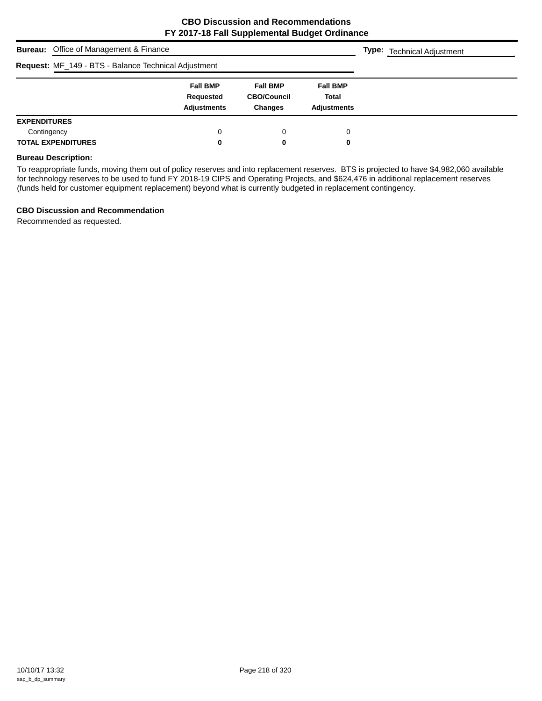| <b>Bureau:</b> Office of Management & Finance        | <b>Type:</b> Technical Adjustment                  |                                                         |                                                       |  |
|------------------------------------------------------|----------------------------------------------------|---------------------------------------------------------|-------------------------------------------------------|--|
| Request: MF_149 - BTS - Balance Technical Adjustment |                                                    |                                                         |                                                       |  |
|                                                      | <b>Fall BMP</b><br>Requested<br><b>Adjustments</b> | <b>Fall BMP</b><br><b>CBO/Council</b><br><b>Changes</b> | <b>Fall BMP</b><br><b>Total</b><br><b>Adjustments</b> |  |
| <b>EXPENDITURES</b>                                  |                                                    |                                                         |                                                       |  |
| Contingency                                          | 0                                                  | 0                                                       | 0                                                     |  |
| <b>TOTAL EXPENDITURES</b>                            | 0                                                  | 0                                                       | 0                                                     |  |

#### **Bureau Description:**

To reappropriate funds, moving them out of policy reserves and into replacement reserves. BTS is projected to have \$4,982,060 available for technology reserves to be used to fund FY 2018-19 CIPS and Operating Projects, and \$624,476 in additional replacement reserves (funds held for customer equipment replacement) beyond what is currently budgeted in replacement contingency.

## **CBO Discussion and Recommendation**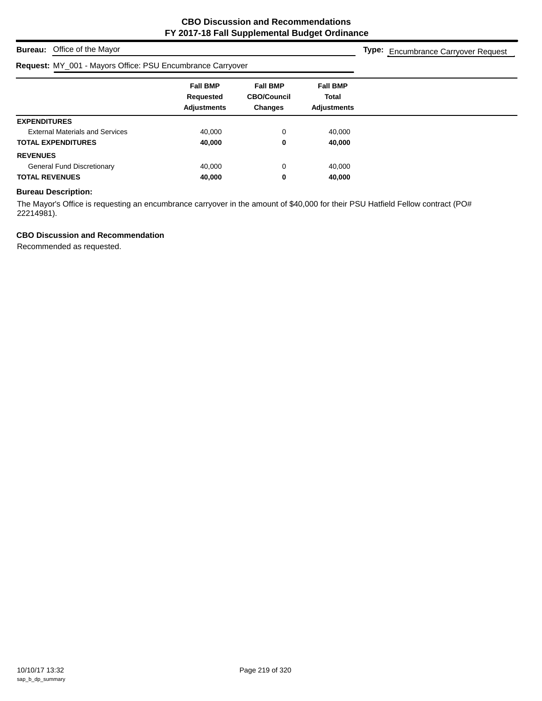## **Bureau:** Office of the Mayor

## **Request:** MY\_001 - Mayors Office: PSU Encumbrance Carryover

**Type:** Encumbrance Carryover Request

| .                                      |                              |                                       |                                 |  |  |
|----------------------------------------|------------------------------|---------------------------------------|---------------------------------|--|--|
|                                        | <b>Fall BMP</b><br>Requested | <b>Fall BMP</b><br><b>CBO/Council</b> | <b>Fall BMP</b><br><b>Total</b> |  |  |
|                                        | <b>Adjustments</b>           | <b>Changes</b>                        | <b>Adjustments</b>              |  |  |
| <b>EXPENDITURES</b>                    |                              |                                       |                                 |  |  |
| <b>External Materials and Services</b> | 40,000                       | $\Omega$                              | 40,000                          |  |  |
| <b>TOTAL EXPENDITURES</b>              | 40,000                       | 0                                     | 40,000                          |  |  |
| <b>REVENUES</b>                        |                              |                                       |                                 |  |  |
| <b>General Fund Discretionary</b>      | 40,000                       | 0                                     | 40,000                          |  |  |
| <b>TOTAL REVENUES</b>                  | 40,000                       | 0                                     | 40,000                          |  |  |

## **Bureau Description:**

The Mayor's Office is requesting an encumbrance carryover in the amount of \$40,000 for their PSU Hatfield Fellow contract (PO# 22214981).

## **CBO Discussion and Recommendation**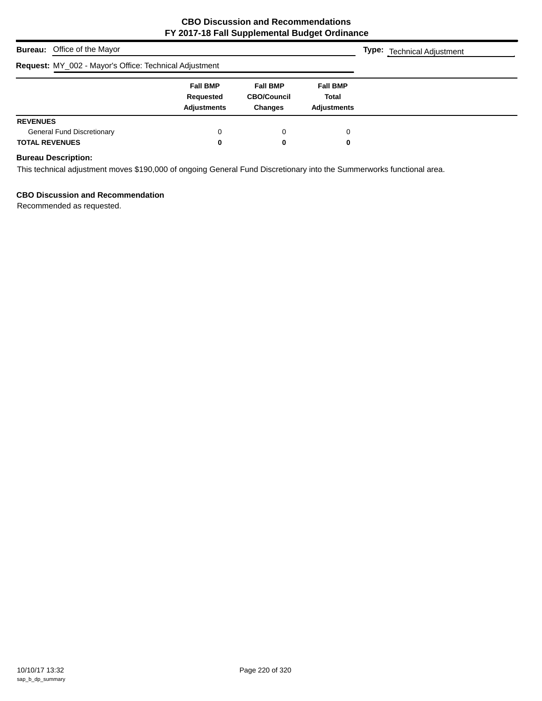| <b>Bureau:</b> Office of the Mayor                         | <b>Type:</b> Technical Adjustment                  |                                                         |                                                       |  |
|------------------------------------------------------------|----------------------------------------------------|---------------------------------------------------------|-------------------------------------------------------|--|
| Request: MY_002 - Mayor's Office: Technical Adjustment     |                                                    |                                                         |                                                       |  |
|                                                            | <b>Fall BMP</b><br>Requested<br><b>Adjustments</b> | <b>Fall BMP</b><br><b>CBO/Council</b><br><b>Changes</b> | <b>Fall BMP</b><br><b>Total</b><br><b>Adjustments</b> |  |
| <b>REVENUES</b>                                            |                                                    |                                                         |                                                       |  |
| <b>General Fund Discretionary</b><br><b>TOTAL REVENUES</b> | 0<br>0                                             | 0<br>0                                                  | 0<br>0                                                |  |

## **Bureau Description:**

This technical adjustment moves \$190,000 of ongoing General Fund Discretionary into the Summerworks functional area.

## **CBO Discussion and Recommendation**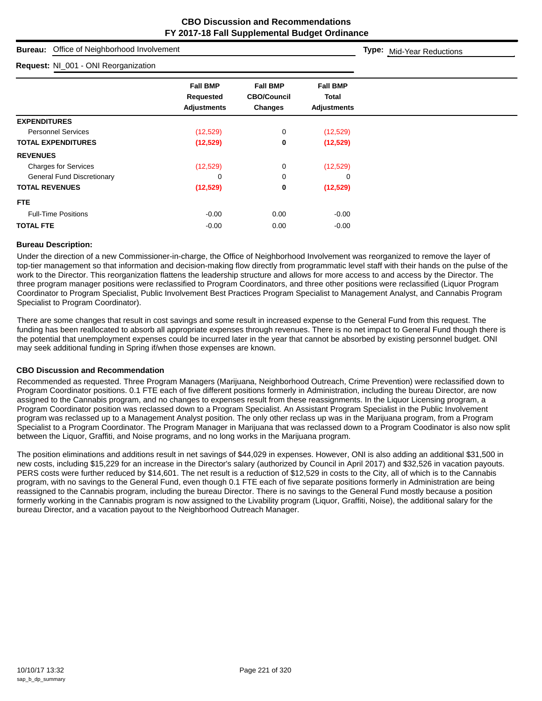| Office of Neighborhood Involvement<br><b>Bureau:</b>                                                         | Type: Mid-Year Reductions                                 |                                                  |                                                       |  |
|--------------------------------------------------------------------------------------------------------------|-----------------------------------------------------------|--------------------------------------------------|-------------------------------------------------------|--|
| Request: NI_001 - ONI Reorganization                                                                         |                                                           |                                                  |                                                       |  |
|                                                                                                              | <b>Fall BMP</b><br><b>Requested</b><br><b>Adjustments</b> | <b>Fall BMP</b><br><b>CBO/Council</b><br>Changes | <b>Fall BMP</b><br><b>Total</b><br><b>Adjustments</b> |  |
| <b>EXPENDITURES</b><br><b>Personnel Services</b><br><b>TOTAL EXPENDITURES</b>                                | (12, 529)<br>(12, 529)                                    | 0<br>0                                           | (12,529)<br>(12,529)                                  |  |
| <b>REVENUES</b><br><b>Charges for Services</b><br><b>General Fund Discretionary</b><br><b>TOTAL REVENUES</b> | (12, 529)<br>0<br>(12, 529)                               | 0<br>0<br>0                                      | (12,529)<br>0<br>(12,529)                             |  |
| <b>FTE</b><br><b>Full-Time Positions</b><br><b>TOTAL FTE</b>                                                 | $-0.00$<br>$-0.00$                                        | 0.00<br>0.00                                     | $-0.00$<br>$-0.00$                                    |  |

## **Bureau Description:**

Under the direction of a new Commissioner-in-charge, the Office of Neighborhood Involvement was reorganized to remove the layer of top-tier management so that information and decision-making flow directly from programmatic level staff with their hands on the pulse of the work to the Director. This reorganization flattens the leadership structure and allows for more access to and access by the Director. The three program manager positions were reclassified to Program Coordinators, and three other positions were reclassified (Liquor Program Coordinator to Program Specialist, Public Involvement Best Practices Program Specialist to Management Analyst, and Cannabis Program Specialist to Program Coordinator).

There are some changes that result in cost savings and some result in increased expense to the General Fund from this request. The funding has been reallocated to absorb all appropriate expenses through revenues. There is no net impact to General Fund though there is the potential that unemployment expenses could be incurred later in the year that cannot be absorbed by existing personnel budget. ONI may seek additional funding in Spring if/when those expenses are known.

## **CBO Discussion and Recommendation**

Recommended as requested. Three Program Managers (Marijuana, Neighborhood Outreach, Crime Prevention) were reclassified down to Program Coordinator positions. 0.1 FTE each of five different positions formerly in Administration, including the bureau Director, are now assigned to the Cannabis program, and no changes to expenses result from these reassignments. In the Liquor Licensing program, a Program Coordinator position was reclassed down to a Program Specialist. An Assistant Program Specialist in the Public Involvement program was reclassed up to a Management Analyst position. The only other reclass up was in the Marijuana program, from a Program Specialist to a Program Coordinator. The Program Manager in Marijuana that was reclassed down to a Program Coodinator is also now split between the Liquor, Graffiti, and Noise programs, and no long works in the Marijuana program.

The position eliminations and additions result in net savings of \$44,029 in expenses. However, ONI is also adding an additional \$31,500 in new costs, including \$15,229 for an increase in the Director's salary (authorized by Council in April 2017) and \$32,526 in vacation payouts. PERS costs were further reduced by \$14,601. The net result is a reduction of \$12,529 in costs to the City, all of which is to the Cannabis program, with no savings to the General Fund, even though 0.1 FTE each of five separate positions formerly in Administration are being reassigned to the Cannabis program, including the bureau Director. There is no savings to the General Fund mostly because a position formerly working in the Cannabis program is now assigned to the Livability program (Liquor, Graffiti, Noise), the additional salary for the bureau Director, and a vacation payout to the Neighborhood Outreach Manager.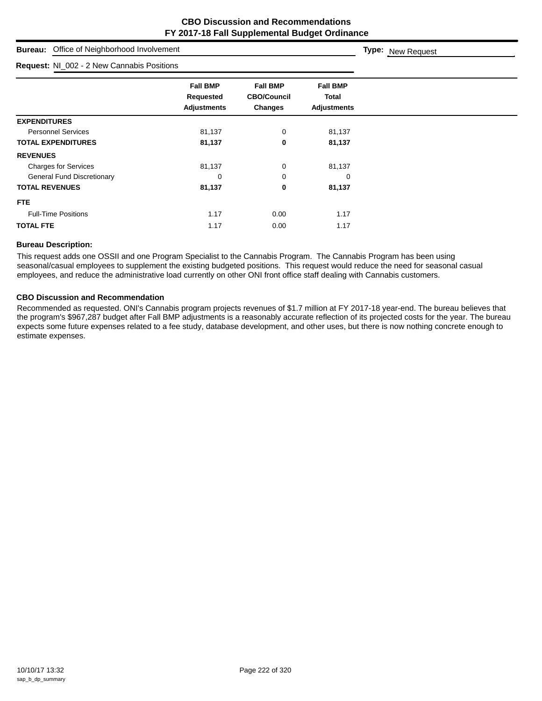| Office of Neighborhood Involvement<br><b>Bureau:</b> |                                                           |                                                  |                                                | Type: New Request |
|------------------------------------------------------|-----------------------------------------------------------|--------------------------------------------------|------------------------------------------------|-------------------|
| Request: NI_002 - 2 New Cannabis Positions           |                                                           |                                                  |                                                |                   |
|                                                      | <b>Fall BMP</b><br><b>Requested</b><br><b>Adjustments</b> | <b>Fall BMP</b><br><b>CBO/Council</b><br>Changes | <b>Fall BMP</b><br>Total<br><b>Adjustments</b> |                   |
| <b>EXPENDITURES</b>                                  |                                                           |                                                  |                                                |                   |
| <b>Personnel Services</b>                            | 81,137                                                    | 0                                                | 81,137                                         |                   |
| <b>TOTAL EXPENDITURES</b>                            | 81,137                                                    | 0                                                | 81,137                                         |                   |
| <b>REVENUES</b>                                      |                                                           |                                                  |                                                |                   |
| <b>Charges for Services</b>                          | 81,137                                                    | 0                                                | 81,137                                         |                   |
| <b>General Fund Discretionary</b>                    | 0                                                         | 0                                                | 0                                              |                   |
| <b>TOTAL REVENUES</b>                                | 81,137                                                    | 0                                                | 81,137                                         |                   |
| FTE.                                                 |                                                           |                                                  |                                                |                   |
| <b>Full-Time Positions</b>                           | 1.17                                                      | 0.00                                             | 1.17                                           |                   |
| <b>TOTAL FTE</b>                                     | 1.17                                                      | 0.00                                             | 1.17                                           |                   |

## **Bureau Description:**

This request adds one OSSII and one Program Specialist to the Cannabis Program. The Cannabis Program has been using seasonal/casual employees to supplement the existing budgeted positions. This request would reduce the need for seasonal casual employees, and reduce the administrative load currently on other ONI front office staff dealing with Cannabis customers.

## **CBO Discussion and Recommendation**

Recommended as requested. ONI's Cannabis program projects revenues of \$1.7 million at FY 2017-18 year-end. The bureau believes that the program's \$967,287 budget after Fall BMP adjustments is a reasonably accurate reflection of its projected costs for the year. The bureau expects some future expenses related to a fee study, database development, and other uses, but there is now nothing concrete enough to estimate expenses.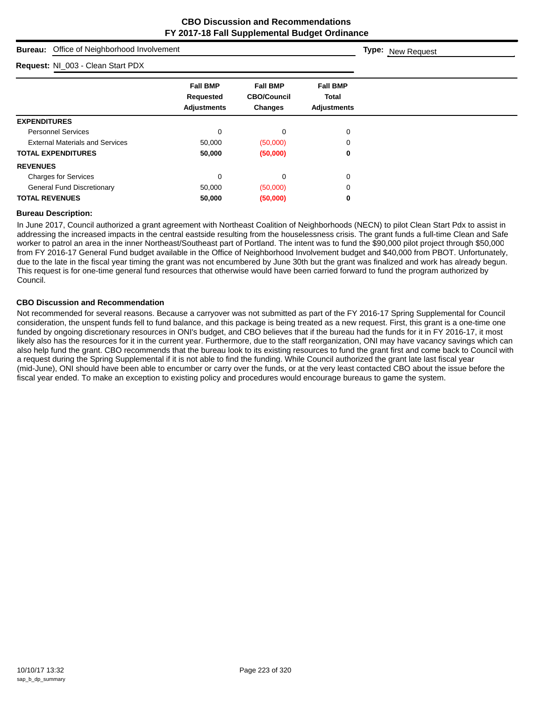| Office of Neighborhood Involvement<br><b>Bureau:</b> | <b>Type:</b> New Request                                  |                                                  |                                                       |  |
|------------------------------------------------------|-----------------------------------------------------------|--------------------------------------------------|-------------------------------------------------------|--|
| Request: NI_003 - Clean Start PDX                    |                                                           |                                                  |                                                       |  |
|                                                      | <b>Fall BMP</b><br><b>Requested</b><br><b>Adjustments</b> | <b>Fall BMP</b><br><b>CBO/Council</b><br>Changes | <b>Fall BMP</b><br><b>Total</b><br><b>Adjustments</b> |  |
| <b>EXPENDITURES</b>                                  |                                                           |                                                  |                                                       |  |
| <b>Personnel Services</b>                            | $\mathbf 0$                                               | 0                                                | 0                                                     |  |
| <b>External Materials and Services</b>               | 50,000                                                    | (50,000)                                         | 0                                                     |  |
| <b>TOTAL EXPENDITURES</b>                            | 50,000                                                    | (50,000)                                         | 0                                                     |  |
| <b>REVENUES</b>                                      |                                                           |                                                  |                                                       |  |
| <b>Charges for Services</b>                          | $\mathbf 0$                                               | 0                                                | 0                                                     |  |
| <b>General Fund Discretionary</b>                    | 50,000                                                    | (50,000)                                         | 0                                                     |  |
| <b>TOTAL REVENUES</b>                                | 50,000                                                    | (50,000)                                         | 0                                                     |  |

#### **Bureau Description:**

In June 2017, Council authorized a grant agreement with Northeast Coalition of Neighborhoods (NECN) to pilot Clean Start Pdx to assist in addressing the increased impacts in the central eastside resulting from the houselessness crisis. The grant funds a full-time Clean and Safe worker to patrol an area in the inner Northeast/Southeast part of Portland. The intent was to fund the \$90,000 pilot project through \$50,000 from FY 2016-17 General Fund budget available in the Office of Neighborhood Involvement budget and \$40,000 from PBOT. Unfortunately, due to the late in the fiscal year timing the grant was not encumbered by June 30th but the grant was finalized and work has already begun. This request is for one-time general fund resources that otherwise would have been carried forward to fund the program authorized by Council.

#### **CBO Discussion and Recommendation**

Not recommended for several reasons. Because a carryover was not submitted as part of the FY 2016-17 Spring Supplemental for Council consideration, the unspent funds fell to fund balance, and this package is being treated as a new request. First, this grant is a one-time one funded by ongoing discretionary resources in ONI's budget, and CBO believes that if the bureau had the funds for it in FY 2016-17, it most likely also has the resources for it in the current year. Furthermore, due to the staff reorganization, ONI may have vacancy savings which can also help fund the grant. CBO recommends that the bureau look to its existing resources to fund the grant first and come back to Council with a request during the Spring Supplemental if it is not able to find the funding. While Council authorized the grant late last fiscal year (mid-June), ONI should have been able to encumber or carry over the funds, or at the very least contacted CBO about the issue before the fiscal year ended. To make an exception to existing policy and procedures would encourage bureaus to game the system.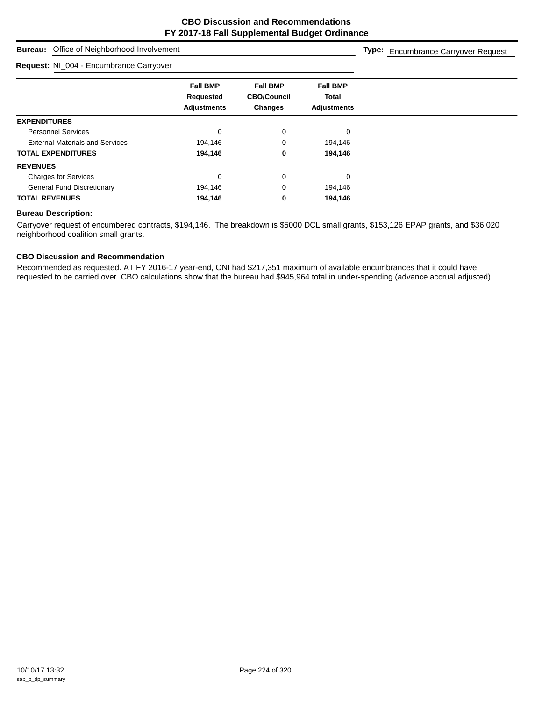**Type:** Encumbrance Carryover Request

## **Bureau:** Office of Neighborhood Involvement

#### **Request:** NI\_004 - Encumbrance Carryover

**Fall BMP Fall BMP Fall BMP Requested CBO/Council Total Adjustments Changes Adjustments EXPENDITURES** Personnel Services and the contract of the contract of the contract of the contract of the contract of the contract of the contract of the contract of the contract of the contract of the contract of the contract of the con External Materials and Services 194,146 194,146 0 194,146 **TOTAL EXPENDITURES 194,146 0 194,146 REVENUES** Charges for Services 0 0 0 General Fund Discretionary 194,146 0 194,146 0 194,146 **TOTAL REVENUES 194,146 0 194,146**

## **Bureau Description:**

Carryover request of encumbered contracts, \$194,146. The breakdown is \$5000 DCL small grants, \$153,126 EPAP grants, and \$36,020 neighborhood coalition small grants.

## **CBO Discussion and Recommendation**

Recommended as requested. AT FY 2016-17 year-end, ONI had \$217,351 maximum of available encumbrances that it could have requested to be carried over. CBO calculations show that the bureau had \$945,964 total in under-spending (advance accrual adjusted).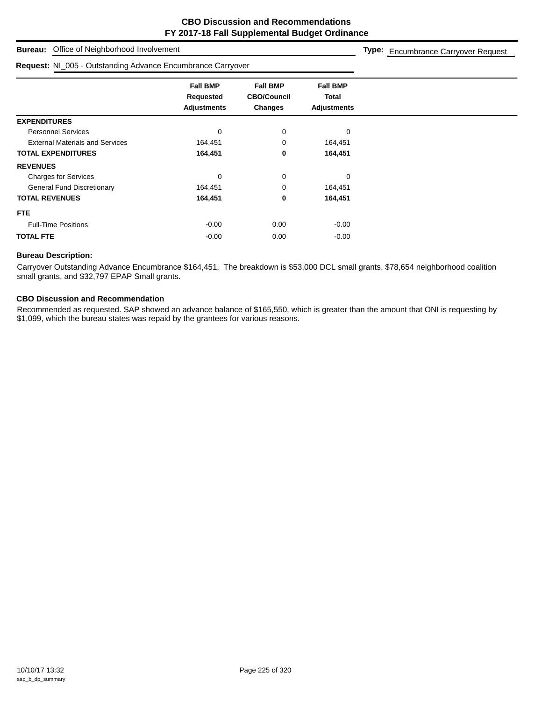## **Bureau:** Office of Neighborhood Involvement

#### **Request:** NI\_005 - Outstanding Advance Encumbrance Carryover

**Type:** Encumbrance Carryover Request

|                                        | <b>Fall BMP</b><br>Requested<br><b>Adjustments</b> | <b>Fall BMP</b><br><b>CBO/Council</b><br><b>Changes</b> | <b>Fall BMP</b><br><b>Total</b><br><b>Adjustments</b> |
|----------------------------------------|----------------------------------------------------|---------------------------------------------------------|-------------------------------------------------------|
| <b>EXPENDITURES</b>                    |                                                    |                                                         |                                                       |
| <b>Personnel Services</b>              | 0                                                  | 0                                                       | $\mathbf 0$                                           |
| <b>External Materials and Services</b> | 164,451                                            | 0                                                       | 164,451                                               |
| <b>TOTAL EXPENDITURES</b>              | 164,451                                            | 0                                                       | 164,451                                               |
| <b>REVENUES</b>                        |                                                    |                                                         |                                                       |
| <b>Charges for Services</b>            | $\mathbf 0$                                        | 0                                                       | $\Omega$                                              |
| <b>General Fund Discretionary</b>      | 164,451                                            | 0                                                       | 164,451                                               |
| <b>TOTAL REVENUES</b>                  | 164,451                                            | 0                                                       | 164,451                                               |
| FTE.                                   |                                                    |                                                         |                                                       |
| <b>Full-Time Positions</b>             | $-0.00$                                            | 0.00                                                    | $-0.00$                                               |
| <b>TOTAL FTE</b>                       | $-0.00$                                            | 0.00                                                    | $-0.00$                                               |
|                                        |                                                    |                                                         |                                                       |

## **Bureau Description:**

Carryover Outstanding Advance Encumbrance \$164,451. The breakdown is \$53,000 DCL small grants, \$78,654 neighborhood coalition small grants, and \$32,797 EPAP Small grants.

## **CBO Discussion and Recommendation**

Recommended as requested. SAP showed an advance balance of \$165,550, which is greater than the amount that ONI is requesting by \$1,099, which the bureau states was repaid by the grantees for various reasons.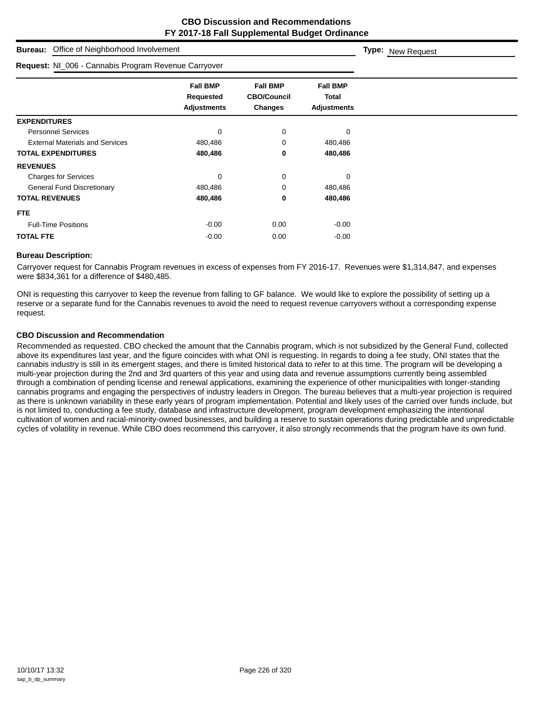| Office of Neighborhood Involvement<br><b>Bureau:</b> | Type: New Request                                         |                                                  |                                                |  |
|------------------------------------------------------|-----------------------------------------------------------|--------------------------------------------------|------------------------------------------------|--|
| Request: NI_006 - Cannabis Program Revenue Carryover |                                                           |                                                  |                                                |  |
|                                                      | <b>Fall BMP</b><br><b>Requested</b><br><b>Adjustments</b> | <b>Fall BMP</b><br><b>CBO/Council</b><br>Changes | <b>Fall BMP</b><br>Total<br><b>Adjustments</b> |  |
| <b>EXPENDITURES</b>                                  |                                                           |                                                  |                                                |  |
| <b>Personnel Services</b>                            | 0                                                         | 0                                                | 0                                              |  |
| <b>External Materials and Services</b>               | 480,486                                                   | 0                                                | 480,486                                        |  |
| <b>TOTAL EXPENDITURES</b>                            | 480,486                                                   | 0                                                | 480,486                                        |  |
| <b>REVENUES</b>                                      |                                                           |                                                  |                                                |  |
| <b>Charges for Services</b>                          | 0                                                         | 0                                                | 0                                              |  |
| <b>General Fund Discretionary</b>                    | 480,486                                                   | 0                                                | 480,486                                        |  |
| <b>TOTAL REVENUES</b>                                | 480,486                                                   | 0                                                | 480,486                                        |  |
| <b>FTE</b>                                           |                                                           |                                                  |                                                |  |
| <b>Full-Time Positions</b>                           | $-0.00$                                                   | 0.00                                             | $-0.00$                                        |  |
| <b>TOTAL FTE</b>                                     | $-0.00$                                                   | 0.00                                             | $-0.00$                                        |  |

## **Bureau Description:**

Carryover request for Cannabis Program revenues in excess of expenses from FY 2016-17. Revenues were \$1,314,847, and expenses were \$834,361 for a difference of \$480,485.

ONI is requesting this carryover to keep the revenue from falling to GF balance. We would like to explore the possibility of setting up a reserve or a separate fund for the Cannabis revenues to avoid the need to request revenue carryovers without a corresponding expense request.

## **CBO Discussion and Recommendation**

Recommended as requested. CBO checked the amount that the Cannabis program, which is not subsidized by the General Fund, collected above its expenditures last year, and the figure coincides with what ONI is requesting. In regards to doing a fee study, ONI states that the cannabis industry is still in its emergent stages, and there is limited historical data to refer to at this time. The program will be developing a multi-year projection during the 2nd and 3rd quarters of this year and using data and revenue assumptions currently being assembled through a combination of pending license and renewal applications, examining the experience of other municipalities with longer-standing cannabis programs and engaging the perspectives of industry leaders in Oregon. The bureau believes that a multi-year projection is required as there is unknown variability in these early years of program implementation. Potential and likely uses of the carried over funds include, but is not limited to, conducting a fee study, database and infrastructure development, program development emphasizing the intentional cultivation of women and racial-minority-owned businesses, and building a reserve to sustain operations during predictable and unpredictable cycles of volatility in revenue. While CBO does recommend this carryover, it also strongly recommends that the program have its own fund.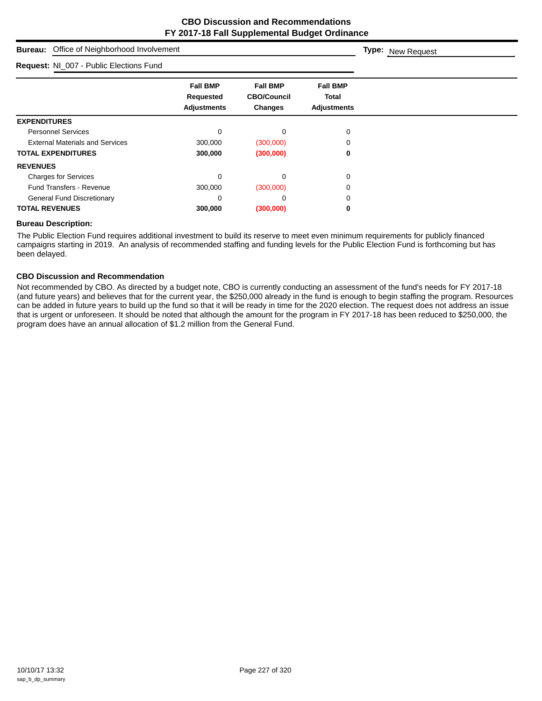| Office of Neighborhood Involvement<br><b>Bureau:</b> | Type: New Request                                  |                                                         |                                                       |  |
|------------------------------------------------------|----------------------------------------------------|---------------------------------------------------------|-------------------------------------------------------|--|
| Request: NI_007 - Public Elections Fund              |                                                    |                                                         |                                                       |  |
|                                                      | <b>Fall BMP</b><br>Requested<br><b>Adjustments</b> | <b>Fall BMP</b><br><b>CBO/Council</b><br><b>Changes</b> | <b>Fall BMP</b><br><b>Total</b><br><b>Adjustments</b> |  |
| <b>EXPENDITURES</b>                                  |                                                    |                                                         |                                                       |  |
| <b>Personnel Services</b>                            | 0                                                  | 0                                                       | 0                                                     |  |
| <b>External Materials and Services</b>               | 300,000                                            | (300,000)                                               |                                                       |  |
| <b>TOTAL EXPENDITURES</b>                            | 300,000                                            | (300,000)                                               | 0                                                     |  |
| <b>REVENUES</b>                                      |                                                    |                                                         |                                                       |  |
| <b>Charges for Services</b>                          | 0                                                  | 0                                                       | 0                                                     |  |
| <b>Fund Transfers - Revenue</b>                      | 300,000                                            | (300,000)                                               | Ω                                                     |  |
| <b>General Fund Discretionary</b>                    | 0                                                  | 0                                                       | ∩                                                     |  |
| <b>TOTAL REVENUES</b>                                | 300,000                                            | (300,000)                                               | 0                                                     |  |

## **Bureau Description:**

The Public Election Fund requires additional investment to build its reserve to meet even minimum requirements for publicly financed campaigns starting in 2019. An analysis of recommended staffing and funding levels for the Public Election Fund is forthcoming but has been delayed.

## **CBO Discussion and Recommendation**

Not recommended by CBO. As directed by a budget note, CBO is currently conducting an assessment of the fund's needs for FY 2017-18 (and future years) and believes that for the current year, the \$250,000 already in the fund is enough to begin staffing the program. Resources can be added in future years to build up the fund so that it will be ready in time for the 2020 election. The request does not address an issue that is urgent or unforeseen. It should be noted that although the amount for the program in FY 2017-18 has been reduced to \$250,000, the program does have an annual allocation of \$1.2 million from the General Fund.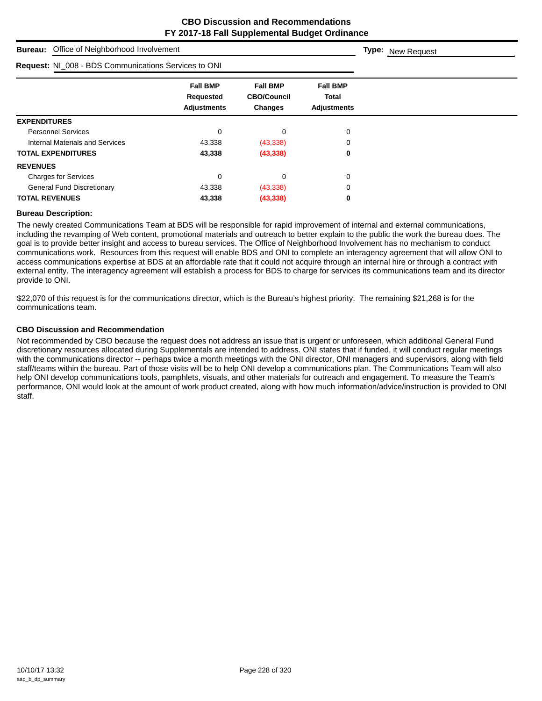| Office of Neighborhood Involvement<br><b>Bureau:</b>        | <b>Type: New Request</b>                           |                                                  |                                                |  |
|-------------------------------------------------------------|----------------------------------------------------|--------------------------------------------------|------------------------------------------------|--|
| <b>Request: NI_008 - BDS Communications Services to ONI</b> |                                                    |                                                  |                                                |  |
|                                                             | <b>Fall BMP</b><br>Requested<br><b>Adjustments</b> | <b>Fall BMP</b><br><b>CBO/Council</b><br>Changes | <b>Fall BMP</b><br>Total<br><b>Adjustments</b> |  |
| <b>EXPENDITURES</b>                                         |                                                    |                                                  |                                                |  |
| <b>Personnel Services</b>                                   | 0                                                  | 0                                                | 0                                              |  |
| Internal Materials and Services                             | 43,338                                             | (43, 338)                                        | 0                                              |  |
| <b>TOTAL EXPENDITURES</b>                                   | 43,338                                             | (43, 338)                                        | 0                                              |  |
| <b>REVENUES</b>                                             |                                                    |                                                  |                                                |  |
| <b>Charges for Services</b>                                 | $\mathbf 0$                                        | 0                                                | 0                                              |  |
| <b>General Fund Discretionary</b>                           | 43,338                                             | (43, 338)                                        | 0                                              |  |
| <b>TOTAL REVENUES</b>                                       | 43,338                                             | (43, 338)                                        | 0                                              |  |

#### **Bureau Description:**

The newly created Communications Team at BDS will be responsible for rapid improvement of internal and external communications, including the revamping of Web content, promotional materials and outreach to better explain to the public the work the bureau does. The goal is to provide better insight and access to bureau services. The Office of Neighborhood Involvement has no mechanism to conduct communications work. Resources from this request will enable BDS and ONI to complete an interagency agreement that will allow ONI to access communications expertise at BDS at an affordable rate that it could not acquire through an internal hire or through a contract with external entity. The interagency agreement will establish a process for BDS to charge for services its communications team and its director provide to ONI.

\$22,070 of this request is for the communications director, which is the Bureau's highest priority. The remaining \$21,268 is for the communications team.

## **CBO Discussion and Recommendation**

Not recommended by CBO because the request does not address an issue that is urgent or unforeseen, which additional General Fund discretionary resources allocated during Supplementals are intended to address. ONI states that if funded, it will conduct regular meetings with the communications director -- perhaps twice a month meetings with the ONI director, ONI managers and supervisors, along with field staff/teams within the bureau. Part of those visits will be to help ONI develop a communications plan. The Communications Team will also help ONI develop communications tools, pamphlets, visuals, and other materials for outreach and engagement. To measure the Team's performance, ONI would look at the amount of work product created, along with how much information/advice/instruction is provided to ONI staff.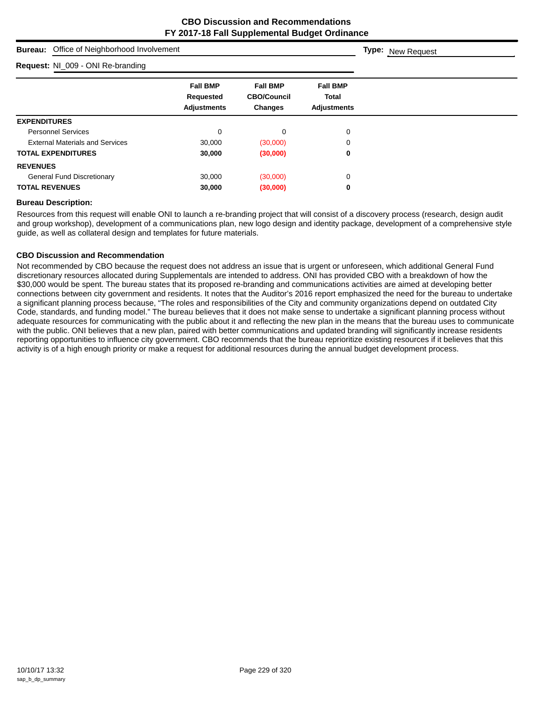| Office of Neighborhood Involvement<br><b>Bureau:</b> | <b>Type: New Request</b>                           |                                                         |                                                |  |
|------------------------------------------------------|----------------------------------------------------|---------------------------------------------------------|------------------------------------------------|--|
| Request: NI_009 - ONI Re-branding                    |                                                    |                                                         |                                                |  |
|                                                      | <b>Fall BMP</b><br>Requested<br><b>Adjustments</b> | <b>Fall BMP</b><br><b>CBO/Council</b><br><b>Changes</b> | <b>Fall BMP</b><br>Total<br><b>Adjustments</b> |  |
| <b>EXPENDITURES</b>                                  |                                                    |                                                         |                                                |  |
| <b>Personnel Services</b>                            | 0                                                  | $\mathbf 0$                                             | 0                                              |  |
| <b>External Materials and Services</b>               | 30,000                                             | (30,000)                                                | 0                                              |  |
| <b>TOTAL EXPENDITURES</b>                            | 30,000                                             | (30,000)                                                | 0                                              |  |
| <b>REVENUES</b>                                      |                                                    |                                                         |                                                |  |
| <b>General Fund Discretionary</b>                    | 30,000                                             | (30,000)                                                | 0                                              |  |
| <b>TOTAL REVENUES</b>                                | 30,000                                             | (30,000)                                                | 0                                              |  |

## **Bureau Description:**

Resources from this request will enable ONI to launch a re-branding project that will consist of a discovery process (research, design audit and group workshop), development of a communications plan, new logo design and identity package, development of a comprehensive style guide, as well as collateral design and templates for future materials.

## **CBO Discussion and Recommendation**

Not recommended by CBO because the request does not address an issue that is urgent or unforeseen, which additional General Fund discretionary resources allocated during Supplementals are intended to address. ONI has provided CBO with a breakdown of how the \$30,000 would be spent. The bureau states that its proposed re-branding and communications activities are aimed at developing better connections between city government and residents. It notes that the Auditor's 2016 report emphasized the need for the bureau to undertake a significant planning process because, "The roles and responsibilities of the City and community organizations depend on outdated City Code, standards, and funding model." The bureau believes that it does not make sense to undertake a significant planning process without adequate resources for communicating with the public about it and reflecting the new plan in the means that the bureau uses to communicate with the public. ONI believes that a new plan, paired with better communications and updated branding will significantly increase residents reporting opportunities to influence city government. CBO recommends that the bureau reprioritize existing resources if it believes that this activity is of a high enough priority or make a request for additional resources during the annual budget development process.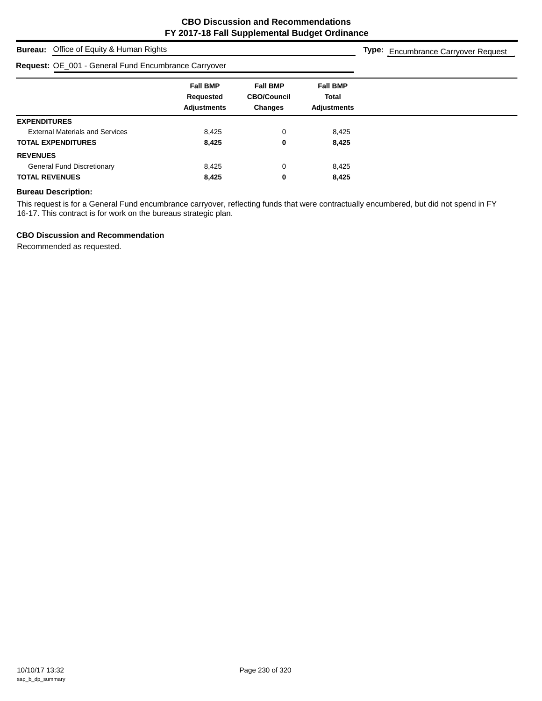## **Bureau:** Office of Equity & Human Rights

## **Request:** OE\_001 - General Fund Encumbrance Carryover

**Type:** Encumbrance Carryover Request

|                                        | <b>Fall BMP</b><br>Requested | <b>Fall BMP</b><br><b>CBO/Council</b> | <b>Fall BMP</b><br>Total |  |
|----------------------------------------|------------------------------|---------------------------------------|--------------------------|--|
|                                        | <b>Adjustments</b>           | <b>Changes</b>                        | <b>Adjustments</b>       |  |
| <b>EXPENDITURES</b>                    |                              |                                       |                          |  |
| <b>External Materials and Services</b> | 8,425                        | 0                                     | 8,425                    |  |
| <b>TOTAL EXPENDITURES</b>              | 8,425                        | 0                                     | 8,425                    |  |
| <b>REVENUES</b>                        |                              |                                       |                          |  |
| <b>General Fund Discretionary</b>      | 8,425                        | $\Omega$                              | 8,425                    |  |
| <b>TOTAL REVENUES</b>                  | 8,425                        | 0                                     | 8,425                    |  |

## **Bureau Description:**

This request is for a General Fund encumbrance carryover, reflecting funds that were contractually encumbered, but did not spend in FY 16-17. This contract is for work on the bureaus strategic plan.

## **CBO Discussion and Recommendation**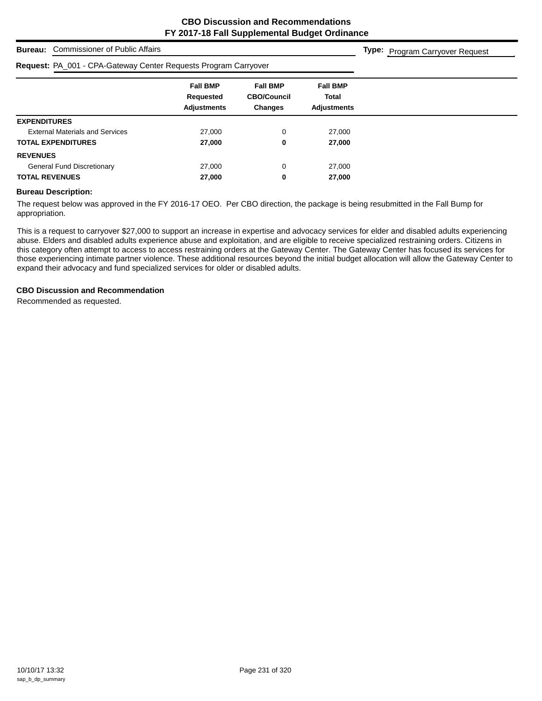**Type:** Program Carryover Request

## **Bureau:** Commissioner of Public Affairs

#### **Request:** PA\_001 - CPA-Gateway Center Requests Program Carryover

| Request: PA_001 - CPA-Gateway Center Requests Program Carryover |                                                    |                                                         |                                                |  |
|-----------------------------------------------------------------|----------------------------------------------------|---------------------------------------------------------|------------------------------------------------|--|
|                                                                 | <b>Fall BMP</b><br>Requested<br><b>Adjustments</b> | <b>Fall BMP</b><br><b>CBO/Council</b><br><b>Changes</b> | <b>Fall BMP</b><br>Total<br><b>Adiustments</b> |  |
| <b>EXPENDITURES</b>                                             |                                                    |                                                         |                                                |  |
| <b>External Materials and Services</b>                          | 27,000                                             | $\Omega$                                                | 27,000                                         |  |
| <b>TOTAL EXPENDITURES</b>                                       | 27,000                                             | 0                                                       | 27,000                                         |  |
| <b>REVENUES</b>                                                 |                                                    |                                                         |                                                |  |
| <b>General Fund Discretionary</b>                               | 27,000                                             | 0                                                       | 27,000                                         |  |
| <b>TOTAL REVENUES</b>                                           | 27,000                                             | 0                                                       | 27,000                                         |  |
|                                                                 |                                                    |                                                         |                                                |  |

#### **Bureau Description:**

The request below was approved in the FY 2016-17 OEO. Per CBO direction, the package is being resubmitted in the Fall Bump for appropriation.

This is a request to carryover \$27,000 to support an increase in expertise and advocacy services for elder and disabled adults experiencing abuse. Elders and disabled adults experience abuse and exploitation, and are eligible to receive specialized restraining orders. Citizens in this category often attempt to access to access restraining orders at the Gateway Center. The Gateway Center has focused its services for those experiencing intimate partner violence. These additional resources beyond the initial budget allocation will allow the Gateway Center to expand their advocacy and fund specialized services for older or disabled adults.

#### **CBO Discussion and Recommendation**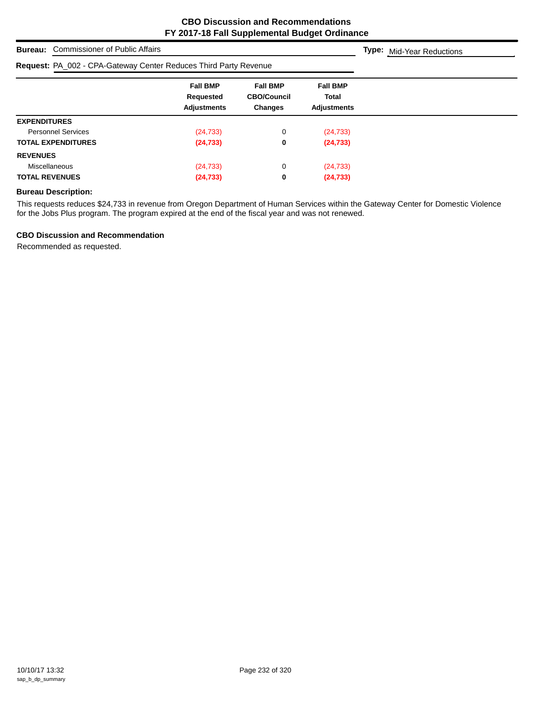**Type:** Mid-Year Reductions

| Request: PA_002 - CPA-Gateway Center Reduces Third Party Revenue |                                                    |                                                         |                                                |  |
|------------------------------------------------------------------|----------------------------------------------------|---------------------------------------------------------|------------------------------------------------|--|
|                                                                  | <b>Fall BMP</b><br>Requested<br><b>Adjustments</b> | <b>Fall BMP</b><br><b>CBO/Council</b><br><b>Changes</b> | <b>Fall BMP</b><br>Total<br><b>Adjustments</b> |  |
| <b>EXPENDITURES</b>                                              |                                                    |                                                         |                                                |  |
| <b>Personnel Services</b>                                        | (24, 733)                                          | 0                                                       | (24, 733)                                      |  |
| <b>TOTAL EXPENDITURES</b>                                        | (24, 733)                                          | 0                                                       | (24, 733)                                      |  |
| <b>REVENUES</b>                                                  |                                                    |                                                         |                                                |  |
| Miscellaneous                                                    | (24, 733)                                          | 0                                                       | (24, 733)                                      |  |
| <b>TOTAL REVENUES</b>                                            | (24, 733)                                          | 0                                                       | (24, 733)                                      |  |

## **Bureau Description:**

This requests reduces \$24,733 in revenue from Oregon Department of Human Services within the Gateway Center for Domestic Violence for the Jobs Plus program. The program expired at the end of the fiscal year and was not renewed.

## **CBO Discussion and Recommendation**

**Bureau:** Commissioner of Public Affairs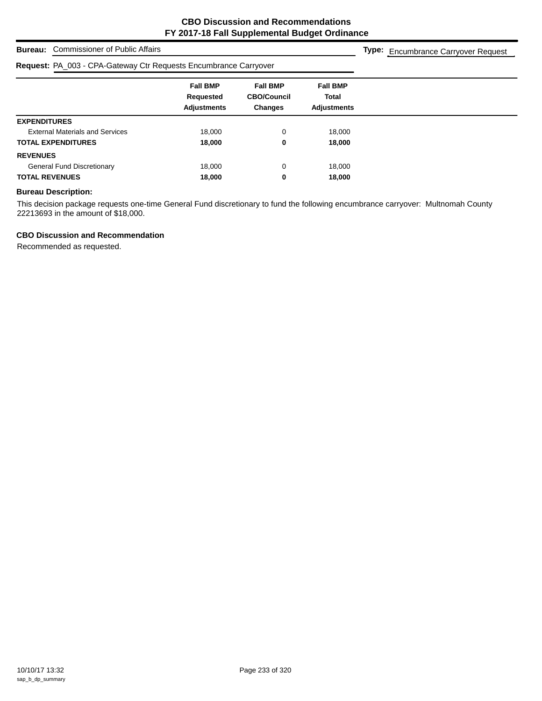## **Bureau:** Commissioner of Public Affairs

#### **Request:** PA\_003 - CPA-Gateway Ctr Requests Encumbrance Carryover

|  |  | Type: Encumbrance Carryover Request |  |  |
|--|--|-------------------------------------|--|--|
|--|--|-------------------------------------|--|--|

|                                        | <b>Fall BMP</b><br>Requested | <b>Fall BMP</b><br><b>CBO/Council</b> | <b>Fall BMP</b><br><b>Total</b> |
|----------------------------------------|------------------------------|---------------------------------------|---------------------------------|
|                                        | <b>Adjustments</b>           | <b>Changes</b>                        | <b>Adjustments</b>              |
| <b>EXPENDITURES</b>                    |                              |                                       |                                 |
| <b>External Materials and Services</b> | 18,000                       | 0                                     | 18,000                          |
| <b>TOTAL EXPENDITURES</b>              | 18,000                       | 0                                     | 18,000                          |
| <b>REVENUES</b>                        |                              |                                       |                                 |
| <b>General Fund Discretionary</b>      | 18,000                       | 0                                     | 18,000                          |
| <b>TOTAL REVENUES</b>                  | 18,000                       | 0                                     | 18,000                          |

## **Bureau Description:**

This decision package requests one-time General Fund discretionary to fund the following encumbrance carryover: Multnomah County 22213693 in the amount of \$18,000.

## **CBO Discussion and Recommendation**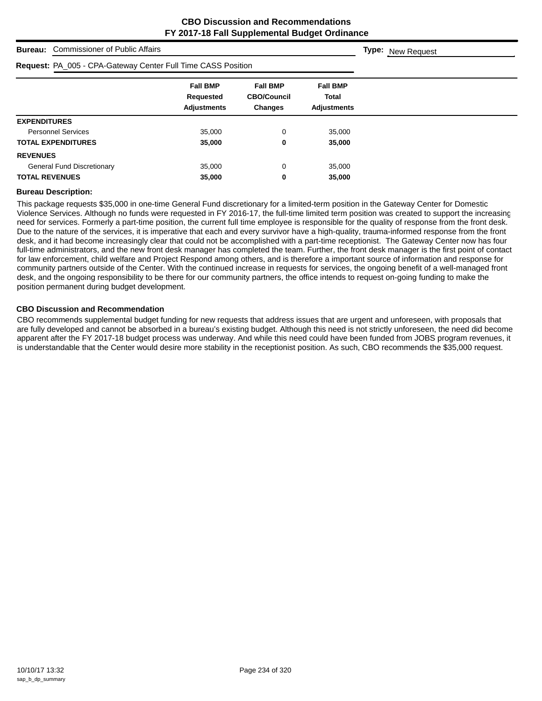**Type:** New Request

**Bureau:** Commissioner of Public Affairs

| <b>Request: PA_005 - CPA-Gateway Center Full Time CASS Position</b> |                                                    |                                                         |                                                       |  |
|---------------------------------------------------------------------|----------------------------------------------------|---------------------------------------------------------|-------------------------------------------------------|--|
|                                                                     | <b>Fall BMP</b><br>Requested<br><b>Adjustments</b> | <b>Fall BMP</b><br><b>CBO/Council</b><br><b>Changes</b> | <b>Fall BMP</b><br><b>Total</b><br><b>Adiustments</b> |  |
| <b>EXPENDITURES</b>                                                 |                                                    |                                                         |                                                       |  |
| <b>Personnel Services</b>                                           | 35,000                                             | 0                                                       | 35,000                                                |  |
| <b>TOTAL EXPENDITURES</b>                                           | 35,000                                             | 0                                                       | 35,000                                                |  |
| <b>REVENUES</b>                                                     |                                                    |                                                         |                                                       |  |
| <b>General Fund Discretionary</b>                                   | 35,000                                             | 0                                                       | 35,000                                                |  |
| <b>TOTAL REVENUES</b>                                               | 35,000                                             | 0                                                       | 35,000                                                |  |

#### **Bureau Description:**

This package requests \$35,000 in one-time General Fund discretionary for a limited-term position in the Gateway Center for Domestic Violence Services. Although no funds were requested in FY 2016-17, the full-time limited term position was created to support the increasing need for services. Formerly a part-time position, the current full time employee is responsible for the quality of response from the front desk. Due to the nature of the services, it is imperative that each and every survivor have a high-quality, trauma-informed response from the front desk, and it had become increasingly clear that could not be accomplished with a part-time receptionist. The Gateway Center now has four full-time administrators, and the new front desk manager has completed the team. Further, the front desk manager is the first point of contact for law enforcement, child welfare and Project Respond among others, and is therefore a important source of information and response for community partners outside of the Center. With the continued increase in requests for services, the ongoing benefit of a well-managed front desk, and the ongoing responsibility to be there for our community partners, the office intends to request on-going funding to make the position permanent during budget development.

#### **CBO Discussion and Recommendation**

CBO recommends supplemental budget funding for new requests that address issues that are urgent and unforeseen, with proposals that are fully developed and cannot be absorbed in a bureau's existing budget. Although this need is not strictly unforeseen, the need did become apparent after the FY 2017-18 budget process was underway. And while this need could have been funded from JOBS program revenues, it is understandable that the Center would desire more stability in the receptionist position. As such, CBO recommends the \$35,000 request.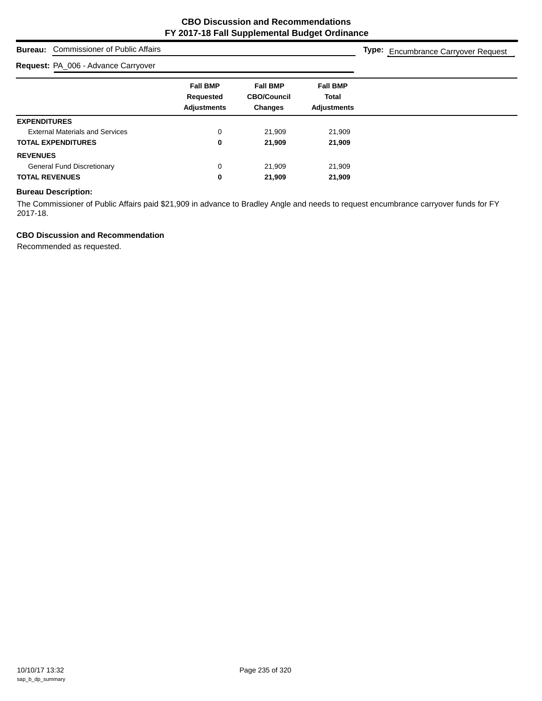## **Bureau:** Commissioner of Public Affairs

## **Request:** PA\_006 - Advance Carryover

**Type:** Encumbrance Carryover Request

| . .                                    |                    |                    |                    |
|----------------------------------------|--------------------|--------------------|--------------------|
|                                        | <b>Fall BMP</b>    | <b>Fall BMP</b>    | <b>Fall BMP</b>    |
|                                        | Requested          | <b>CBO/Council</b> | <b>Total</b>       |
|                                        | <b>Adjustments</b> | <b>Changes</b>     | <b>Adjustments</b> |
| <b>EXPENDITURES</b>                    |                    |                    |                    |
| <b>External Materials and Services</b> | $\mathbf 0$        | 21,909             | 21,909             |
| <b>TOTAL EXPENDITURES</b>              | 0                  | 21,909             | 21,909             |
| <b>REVENUES</b>                        |                    |                    |                    |
| <b>General Fund Discretionary</b>      | $\mathbf 0$        | 21,909             | 21,909             |
| <b>TOTAL REVENUES</b>                  | 0                  | 21,909             | 21,909             |
|                                        |                    |                    |                    |

## **Bureau Description:**

The Commissioner of Public Affairs paid \$21,909 in advance to Bradley Angle and needs to request encumbrance carryover funds for FY 2017-18.

## **CBO Discussion and Recommendation**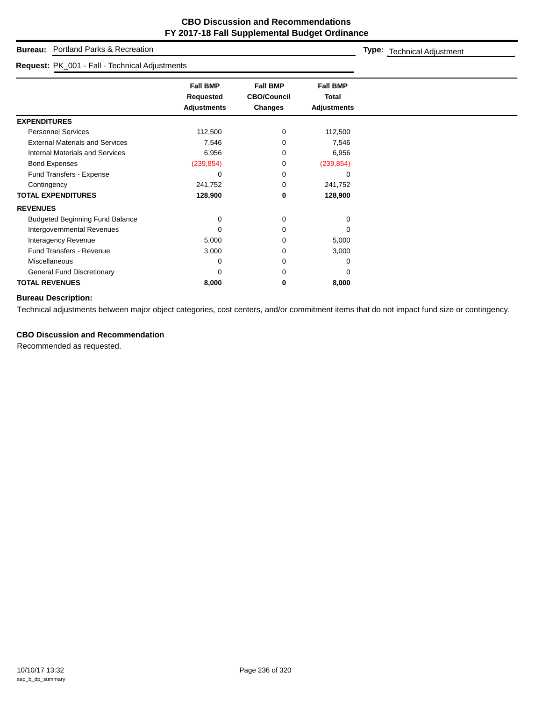## **Bureau:** Portland Parks & Recreation

#### **Request:** PK\_001 - Fall - Technical Adjustments

**Type:** Technical Adjustment

|                                        | <b>Fall BMP</b><br>Requested<br><b>Adjustments</b> | <b>Fall BMP</b><br><b>CBO/Council</b><br><b>Changes</b> | <b>Fall BMP</b><br><b>Total</b><br><b>Adjustments</b> |
|----------------------------------------|----------------------------------------------------|---------------------------------------------------------|-------------------------------------------------------|
| <b>EXPENDITURES</b>                    |                                                    |                                                         |                                                       |
| <b>Personnel Services</b>              | 112,500                                            | 0                                                       | 112,500                                               |
| <b>External Materials and Services</b> | 7,546                                              | 0                                                       | 7,546                                                 |
| <b>Internal Materials and Services</b> | 6,956                                              | 0                                                       | 6,956                                                 |
| <b>Bond Expenses</b>                   | (239, 854)                                         | 0                                                       | (239, 854)                                            |
| Fund Transfers - Expense               | 0                                                  | 0                                                       | 0                                                     |
| Contingency                            | 241,752                                            | 0                                                       | 241,752                                               |
| <b>TOTAL EXPENDITURES</b>              | 128,900                                            | 0                                                       | 128,900                                               |
| <b>REVENUES</b>                        |                                                    |                                                         |                                                       |
| <b>Budgeted Beginning Fund Balance</b> | 0                                                  | 0                                                       | $\Omega$                                              |
| Intergovernmental Revenues             | 0                                                  | 0                                                       | O                                                     |
| Interagency Revenue                    | 5,000                                              | 0                                                       | 5,000                                                 |
| <b>Fund Transfers - Revenue</b>        | 3,000                                              | 0                                                       | 3,000                                                 |
| <b>Miscellaneous</b>                   | 0                                                  | 0                                                       | $\Omega$                                              |
| <b>General Fund Discretionary</b>      | $\Omega$                                           | 0                                                       | 0                                                     |
| <b>TOTAL REVENUES</b>                  | 8,000                                              | 0                                                       | 8,000                                                 |

## **Bureau Description:**

Technical adjustments between major object categories, cost centers, and/or commitment items that do not impact fund size or contingency.

## **CBO Discussion and Recommendation**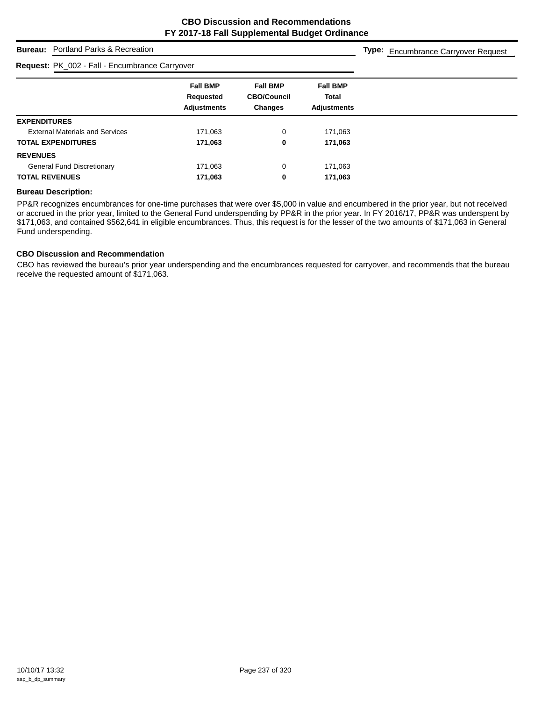**Type:** Encumbrance Carryover Request

## **Bureau:** Portland Parks & Recreation

## **Request:** PK\_002 - Fall - Encumbrance Carryover

| $\frac{1}{2}$                          |                              |                                       |                                 |  |
|----------------------------------------|------------------------------|---------------------------------------|---------------------------------|--|
|                                        | <b>Fall BMP</b><br>Requested | <b>Fall BMP</b><br><b>CBO/Council</b> | <b>Fall BMP</b><br><b>Total</b> |  |
|                                        | <b>Adjustments</b>           | <b>Changes</b>                        | <b>Adjustments</b>              |  |
| <b>EXPENDITURES</b>                    |                              |                                       |                                 |  |
| <b>External Materials and Services</b> | 171,063                      | 0                                     | 171,063                         |  |
| <b>TOTAL EXPENDITURES</b>              | 171,063                      | 0                                     | 171,063                         |  |
| <b>REVENUES</b>                        |                              |                                       |                                 |  |
| <b>General Fund Discretionary</b>      | 171,063                      | 0                                     | 171,063                         |  |
| <b>TOTAL REVENUES</b>                  | 171,063                      | 0                                     | 171,063                         |  |

#### **Bureau Description:**

PP&R recognizes encumbrances for one-time purchases that were over \$5,000 in value and encumbered in the prior year, but not received or accrued in the prior year, limited to the General Fund underspending by PP&R in the prior year. In FY 2016/17, PP&R was underspent by \$171,063, and contained \$562,641 in eligible encumbrances. Thus, this request is for the lesser of the two amounts of \$171,063 in General Fund underspending.

#### **CBO Discussion and Recommendation**

CBO has reviewed the bureau's prior year underspending and the encumbrances requested for carryover, and recommends that the bureau receive the requested amount of \$171,063.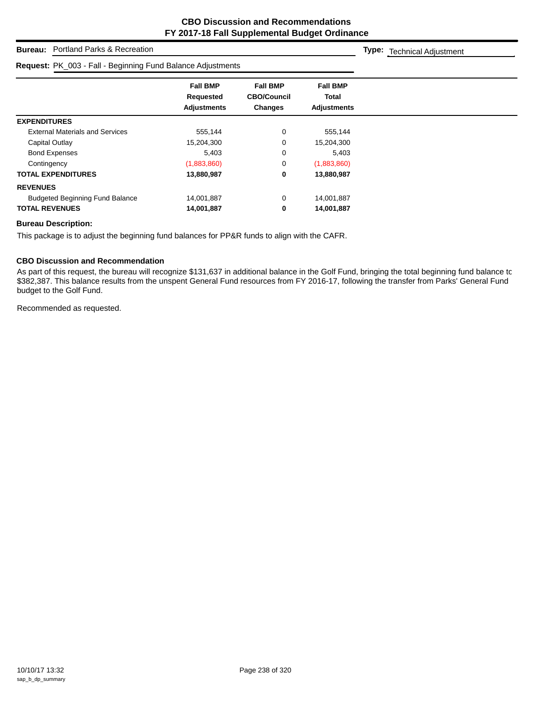**Type:** Technical Adjustment

## **Bureau:** Portland Parks & Recreation

| <b>Request: PK_003 - Fall - Beginning Fund Balance Adjustments</b> |                                                    |                                                  |                                                       |  |
|--------------------------------------------------------------------|----------------------------------------------------|--------------------------------------------------|-------------------------------------------------------|--|
|                                                                    | <b>Fall BMP</b><br>Requested<br><b>Adjustments</b> | <b>Fall BMP</b><br><b>CBO/Council</b><br>Changes | <b>Fall BMP</b><br><b>Total</b><br><b>Adjustments</b> |  |
| <b>EXPENDITURES</b>                                                |                                                    |                                                  |                                                       |  |
| <b>External Materials and Services</b>                             | 555,144                                            | 0                                                | 555,144                                               |  |
| Capital Outlay                                                     | 15,204,300                                         | 0                                                | 15,204,300                                            |  |
| <b>Bond Expenses</b>                                               | 5.403                                              | 0                                                | 5.403                                                 |  |
| Contingency                                                        | (1,883,860)                                        | 0                                                | (1,883,860)                                           |  |
| <b>TOTAL EXPENDITURES</b>                                          | 13,880,987                                         | 0                                                | 13,880,987                                            |  |
| <b>REVENUES</b>                                                    |                                                    |                                                  |                                                       |  |
| <b>Budgeted Beginning Fund Balance</b>                             | 14,001,887                                         | $\mathbf 0$                                      | 14,001,887                                            |  |
| <b>TOTAL REVENUES</b>                                              | 14,001,887                                         | 0                                                | 14,001,887                                            |  |

#### **Bureau Description:**

This package is to adjust the beginning fund balances for PP&R funds to align with the CAFR.

#### **CBO Discussion and Recommendation**

As part of this request, the bureau will recognize \$131,637 in additional balance in the Golf Fund, bringing the total beginning fund balance to \$382,387. This balance results from the unspent General Fund resources from FY 2016-17, following the transfer from Parks' General Fund budget to the Golf Fund.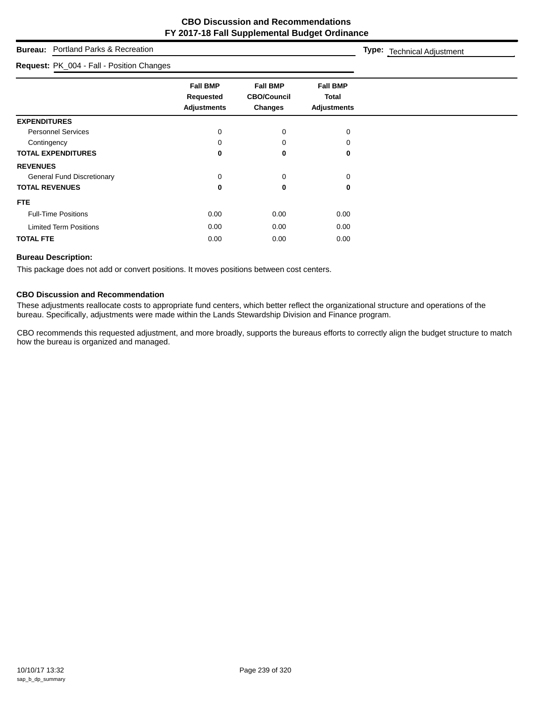## **Bureau:** P

#### **Request:** P

| <b>Bureau:</b> Portland Parks & Recreation |                                                    |                                                         |                                                       | Type: Technical Adjustment |
|--------------------------------------------|----------------------------------------------------|---------------------------------------------------------|-------------------------------------------------------|----------------------------|
| Request: PK_004 - Fall - Position Changes  |                                                    |                                                         |                                                       |                            |
|                                            | <b>Fall BMP</b><br>Requested<br><b>Adjustments</b> | <b>Fall BMP</b><br><b>CBO/Council</b><br><b>Changes</b> | <b>Fall BMP</b><br><b>Total</b><br><b>Adjustments</b> |                            |
| <b>EXPENDITURES</b>                        |                                                    |                                                         |                                                       |                            |
| <b>Personnel Services</b>                  | 0                                                  | $\mathbf 0$                                             | 0                                                     |                            |
| Contingency                                |                                                    | $\Omega$                                                | O                                                     |                            |
| <b>TOTAL EXPENDITURES</b>                  | 0                                                  | 0                                                       | 0                                                     |                            |
| <b>REVENUES</b>                            |                                                    |                                                         |                                                       |                            |
| <b>General Fund Discretionary</b>          | 0                                                  | 0                                                       | 0                                                     |                            |
| <b>TOTAL REVENUES</b>                      |                                                    | 0                                                       | 0                                                     |                            |

## **FTE** Full-Time Positions **0.00** 0.00 0.00 0.00 0.00 0.00

# **TOTAL FTE** 0.00 0.00 0.00

Limited Term Positions **0.00** 0.00 0.00 0.00 0.00

## **Bureau Description:**

This package does not add or convert positions. It moves positions between cost centers.

## **CBO Discussion and Recommendation**

These adjustments reallocate costs to appropriate fund centers, which better reflect the organizational structure and operations of the bureau. Specifically, adjustments were made within the Lands Stewardship Division and Finance program.

CBO recommends this requested adjustment, and more broadly, supports the bureaus efforts to correctly align the budget structure to match how the bureau is organized and managed.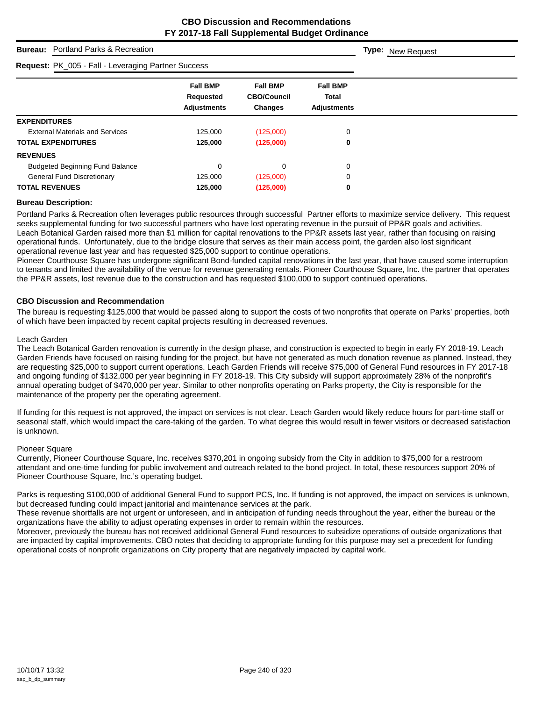| <b>Bureau:</b> Portland Parks & Recreation                 | <b>Type:</b> New Request                           |                                                         |                                                |  |
|------------------------------------------------------------|----------------------------------------------------|---------------------------------------------------------|------------------------------------------------|--|
| <b>Request: PK_005 - Fall - Leveraging Partner Success</b> |                                                    |                                                         |                                                |  |
|                                                            | <b>Fall BMP</b><br>Requested<br><b>Adjustments</b> | <b>Fall BMP</b><br><b>CBO/Council</b><br><b>Changes</b> | <b>Fall BMP</b><br>Total<br><b>Adjustments</b> |  |
| <b>EXPENDITURES</b>                                        |                                                    |                                                         |                                                |  |
| <b>External Materials and Services</b>                     | 125.000                                            | (125,000)                                               | 0                                              |  |
| <b>TOTAL EXPENDITURES</b>                                  | 125,000                                            | (125,000)                                               | 0                                              |  |
| <b>REVENUES</b>                                            |                                                    |                                                         |                                                |  |
| <b>Budgeted Beginning Fund Balance</b>                     | $\mathbf 0$                                        | 0                                                       | 0                                              |  |
| <b>General Fund Discretionary</b>                          | 125,000                                            | (125,000)                                               | 0                                              |  |
| <b>TOTAL REVENUES</b>                                      | 125,000                                            | (125,000)                                               | 0                                              |  |

## **Bureau Description:**

Portland Parks & Recreation often leverages public resources through successful Partner efforts to maximize service delivery. This request seeks supplemental funding for two successful partners who have lost operating revenue in the pursuit of PP&R goals and activities. Leach Botanical Garden raised more than \$1 million for capital renovations to the PP&R assets last year, rather than focusing on raising operational funds. Unfortunately, due to the bridge closure that serves as their main access point, the garden also lost significant operational revenue last year and has requested \$25,000 support to continue operations.

Pioneer Courthouse Square has undergone significant Bond-funded capital renovations in the last year, that have caused some interruption to tenants and limited the availability of the venue for revenue generating rentals. Pioneer Courthouse Square, Inc. the partner that operates the PP&R assets, lost revenue due to the construction and has requested \$100,000 to support continued operations.

## **CBO Discussion and Recommendation**

The bureau is requesting \$125,000 that would be passed along to support the costs of two nonprofits that operate on Parks' properties, both of which have been impacted by recent capital projects resulting in decreased revenues.

#### Leach Garden

The Leach Botanical Garden renovation is currently in the design phase, and construction is expected to begin in early FY 2018-19. Leach Garden Friends have focused on raising funding for the project, but have not generated as much donation revenue as planned. Instead, they are requesting \$25,000 to support current operations. Leach Garden Friends will receive \$75,000 of General Fund resources in FY 2017-18 and ongoing funding of \$132,000 per year beginning in FY 2018-19. This City subsidy will support approximately 28% of the nonprofit's annual operating budget of \$470,000 per year. Similar to other nonprofits operating on Parks property, the City is responsible for the maintenance of the property per the operating agreement.

If funding for this request is not approved, the impact on services is not clear. Leach Garden would likely reduce hours for part-time staff or seasonal staff, which would impact the care-taking of the garden. To what degree this would result in fewer visitors or decreased satisfaction is unknown.

#### Pioneer Square

Currently, Pioneer Courthouse Square, Inc. receives \$370,201 in ongoing subsidy from the City in addition to \$75,000 for a restroom attendant and one-time funding for public involvement and outreach related to the bond project. In total, these resources support 20% of Pioneer Courthouse Square, Inc.'s operating budget.

Parks is requesting \$100,000 of additional General Fund to support PCS, Inc. If funding is not approved, the impact on services is unknown, but decreased funding could impact janitorial and maintenance services at the park.

These revenue shortfalls are not urgent or unforeseen, and in anticipation of funding needs throughout the year, either the bureau or the organizations have the ability to adjust operating expenses in order to remain within the resources.

Moreover, previously the bureau has not received additional General Fund resources to subsidize operations of outside organizations that are impacted by capital improvements. CBO notes that deciding to appropriate funding for this purpose may set a precedent for funding operational costs of nonprofit organizations on City property that are negatively impacted by capital work.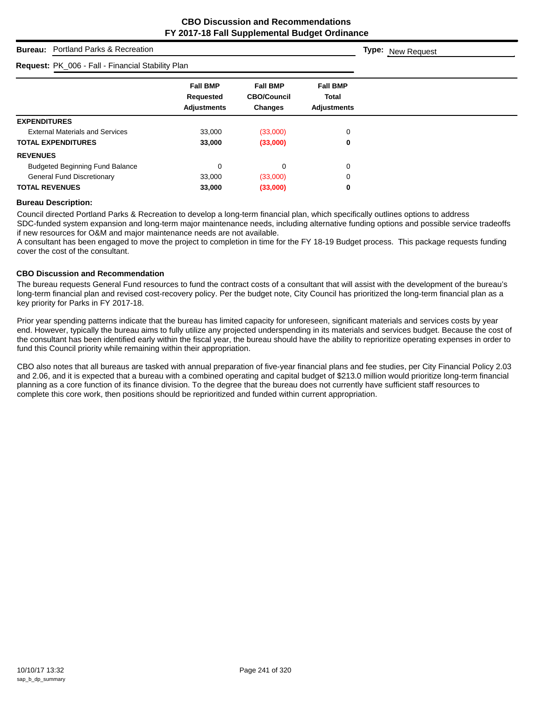**Type:** New Request

## **Bureau:** Portland Parks & Recreation

## **Request:** PK\_006 - Fall - Financial Stability Plan

| <b>Request:</b> PK_006 - Fall - Financial Stability Plan |                                                    |                                                         |                                                       |  |
|----------------------------------------------------------|----------------------------------------------------|---------------------------------------------------------|-------------------------------------------------------|--|
|                                                          | <b>Fall BMP</b><br>Requested<br><b>Adjustments</b> | <b>Fall BMP</b><br><b>CBO/Council</b><br><b>Changes</b> | <b>Fall BMP</b><br><b>Total</b><br><b>Adjustments</b> |  |
| <b>EXPENDITURES</b>                                      |                                                    |                                                         |                                                       |  |
| <b>External Materials and Services</b>                   | 33,000                                             | (33,000)                                                | 0                                                     |  |
| <b>TOTAL EXPENDITURES</b>                                | 33,000                                             | (33,000)                                                | 0                                                     |  |
| <b>REVENUES</b>                                          |                                                    |                                                         |                                                       |  |
| <b>Budgeted Beginning Fund Balance</b>                   | 0                                                  | 0                                                       | 0                                                     |  |
| <b>General Fund Discretionary</b>                        | 33,000                                             | (33,000)                                                | 0                                                     |  |
| <b>TOTAL REVENUES</b>                                    | 33,000                                             | (33,000)                                                | 0                                                     |  |

#### **Bureau Description:**

Council directed Portland Parks & Recreation to develop a long-term financial plan, which specifically outlines options to address SDC-funded system expansion and long-term major maintenance needs, including alternative funding options and possible service tradeoffs if new resources for O&M and major maintenance needs are not available.

A consultant has been engaged to move the project to completion in time for the FY 18-19 Budget process. This package requests funding cover the cost of the consultant.

#### **CBO Discussion and Recommendation**

The bureau requests General Fund resources to fund the contract costs of a consultant that will assist with the development of the bureau's long-term financial plan and revised cost-recovery policy. Per the budget note, City Council has prioritized the long-term financial plan as a key priority for Parks in FY 2017-18.

Prior year spending patterns indicate that the bureau has limited capacity for unforeseen, significant materials and services costs by year end. However, typically the bureau aims to fully utilize any projected underspending in its materials and services budget. Because the cost of the consultant has been identified early within the fiscal year, the bureau should have the ability to reprioritize operating expenses in order to fund this Council priority while remaining within their appropriation.

CBO also notes that all bureaus are tasked with annual preparation of five-year financial plans and fee studies, per City Financial Policy 2.03 and 2.06, and it is expected that a bureau with a combined operating and capital budget of \$213.0 million would prioritize long-term financial planning as a core function of its finance division. To the degree that the bureau does not currently have sufficient staff resources to complete this core work, then positions should be reprioritized and funded within current appropriation.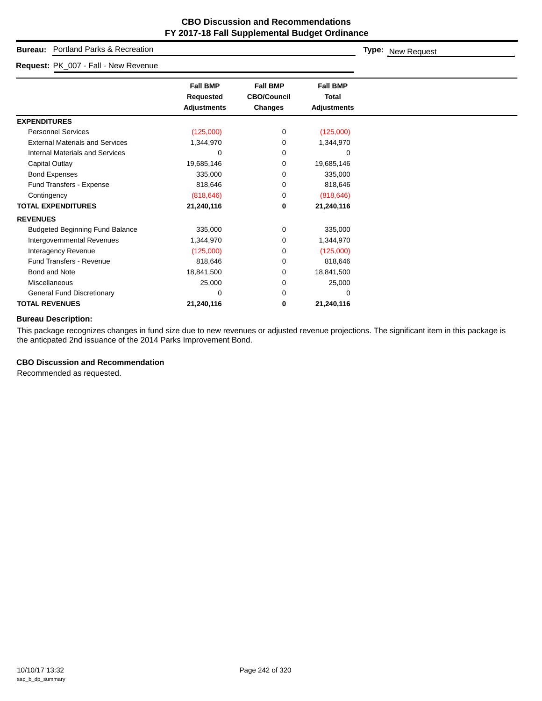## **Bureau:**

#### **Request:**

| Portland Parks & Recreation<br><b>Bureau:</b> |                                                           |                                                  |                                                | <b>Type:</b> New Request |
|-----------------------------------------------|-----------------------------------------------------------|--------------------------------------------------|------------------------------------------------|--------------------------|
| Request: PK_007 - Fall - New Revenue          |                                                           |                                                  |                                                |                          |
|                                               | <b>Fall BMP</b><br><b>Requested</b><br><b>Adjustments</b> | <b>Fall BMP</b><br><b>CBO/Council</b><br>Changes | <b>Fall BMP</b><br>Total<br><b>Adjustments</b> |                          |
| <b>EXPENDITURES</b>                           |                                                           |                                                  |                                                |                          |
| <b>Personnel Services</b>                     | (125,000)                                                 | 0                                                | (125,000)                                      |                          |
| <b>External Materials and Services</b>        | 1,344,970                                                 | 0                                                | 1,344,970                                      |                          |
| Internal Materials and Services               | 0                                                         | 0                                                | $\Omega$                                       |                          |
| Capital Outlay                                | 19,685,146                                                | 0                                                | 19,685,146                                     |                          |
| <b>Bond Expenses</b>                          | 335,000                                                   | 0                                                | 335,000                                        |                          |
| Fund Transfers - Expense                      | 818,646                                                   | 0                                                | 818,646                                        |                          |
| Contingency                                   | (818, 646)                                                | 0                                                | (818, 646)                                     |                          |
| <b>TOTAL EXPENDITURES</b>                     | 21,240,116                                                | 0                                                | 21,240,116                                     |                          |
| <b>REVENUES</b>                               |                                                           |                                                  |                                                |                          |
| <b>Budgeted Beginning Fund Balance</b>        | 335,000                                                   | 0                                                | 335,000                                        |                          |
| Intergovernmental Revenues                    | 1,344,970                                                 | 0                                                | 1,344,970                                      |                          |
| Interagency Revenue                           | (125,000)                                                 | 0                                                | (125,000)                                      |                          |

## **TOTAL REVENUES 21,240,116 0 21,240,116 Bureau Description:**

This package recognizes changes in fund size due to new revenues or adjusted revenue projections. The significant item in this package is the anticpated 2nd issuance of the 2014 Parks Improvement Bond.

Fund Transfers - Revenue 818,646 0 818,646 Bond and Note 18,841,500 0 18,841,500 Miscellaneous 25,000 0 25,000 General Fund Discretionary and the control of the control of the control of the control of the control of the control of the control of the control of the control of the control of the control of the control of the control

## **CBO Discussion and Recommendation**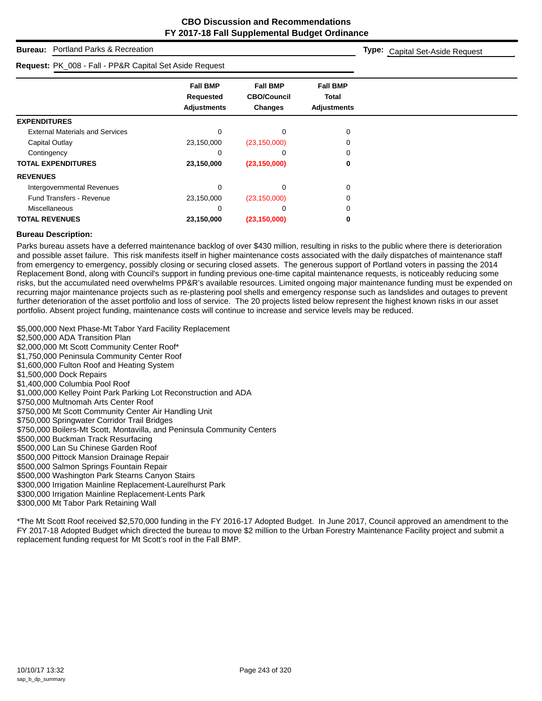**Type:** Capital Set-Aside Request

## **Bureau:** Portland Parks & Recreation

## **Request:** PK\_008 - Fall - PP&R Capital Set Aside Request

| Request: PN_006 - Pail - PP&R Capital Set Aside Request |                                                    |                                                         |                                                       |
|---------------------------------------------------------|----------------------------------------------------|---------------------------------------------------------|-------------------------------------------------------|
|                                                         | <b>Fall BMP</b><br>Requested<br><b>Adjustments</b> | <b>Fall BMP</b><br><b>CBO/Council</b><br><b>Changes</b> | <b>Fall BMP</b><br><b>Total</b><br><b>Adjustments</b> |
| <b>EXPENDITURES</b>                                     |                                                    |                                                         |                                                       |
| <b>External Materials and Services</b>                  | $\Omega$                                           |                                                         | 0                                                     |
| Capital Outlay                                          | 23,150,000                                         | (23, 150, 000)                                          |                                                       |
| Contingency                                             | 0                                                  |                                                         |                                                       |
| <b>TOTAL EXPENDITURES</b>                               | 23,150,000                                         | (23, 150, 000)                                          | 0                                                     |
| <b>REVENUES</b>                                         |                                                    |                                                         |                                                       |
| Intergovernmental Revenues                              | $\Omega$                                           | $\Omega$                                                | 0                                                     |
| <b>Fund Transfers - Revenue</b>                         | 23,150,000                                         | (23, 150, 000)                                          |                                                       |
| <b>Miscellaneous</b>                                    | 0                                                  |                                                         |                                                       |
| <b>TOTAL REVENUES</b>                                   | 23,150,000                                         | (23, 150, 000)                                          | 0                                                     |

#### **Bureau Description:**

Parks bureau assets have a deferred maintenance backlog of over \$430 million, resulting in risks to the public where there is deterioration and possible asset failure. This risk manifests itself in higher maintenance costs associated with the daily dispatches of maintenance staff from emergency to emergency, possibly closing or securing closed assets. The generous support of Portland voters in passing the 2014 Replacement Bond, along with Council's support in funding previous one-time capital maintenance requests, is noticeably reducing some risks, but the accumulated need overwhelms PP&R's available resources. Limited ongoing major maintenance funding must be expended on recurring major maintenance projects such as re-plastering pool shells and emergency response such as landslides and outages to prevent further deterioration of the asset portfolio and loss of service. The 20 projects listed below represent the highest known risks in our asset portfolio. Absent project funding, maintenance costs will continue to increase and service levels may be reduced.

\$5,000,000 Next Phase-Mt Tabor Yard Facility Replacement \$2,500,000 ADA Transition Plan \$2,000,000 Mt Scott Community Center Roof\* \$1,750,000 Peninsula Community Center Roof \$1,600,000 Fulton Roof and Heating System \$1,500,000 Dock Repairs \$1,400,000 Columbia Pool Roof \$1,000,000 Kelley Point Park Parking Lot Reconstruction and ADA \$750,000 Multnomah Arts Center Roof \$750,000 Mt Scott Community Center Air Handling Unit \$750,000 Springwater Corridor Trail Bridges \$750,000 Boilers-Mt Scott, Montavilla, and Peninsula Community Centers \$500,000 Buckman Track Resurfacing \$500,000 Lan Su Chinese Garden Roof \$500,000 Pittock Mansion Drainage Repair \$500,000 Salmon Springs Fountain Repair \$500,000 Washington Park Stearns Canyon Stairs

\$300,000 Irrigation Mainline Replacement-Laurelhurst Park

\$300,000 Irrigation Mainline Replacement-Lents Park

\$300,000 Mt Tabor Park Retaining Wall

\*The Mt Scott Roof received \$2,570,000 funding in the FY 2016-17 Adopted Budget. In June 2017, Council approved an amendment to the FY 2017-18 Adopted Budget which directed the bureau to move \$2 million to the Urban Forestry Maintenance Facility project and submit a replacement funding request for Mt Scott's roof in the Fall BMP.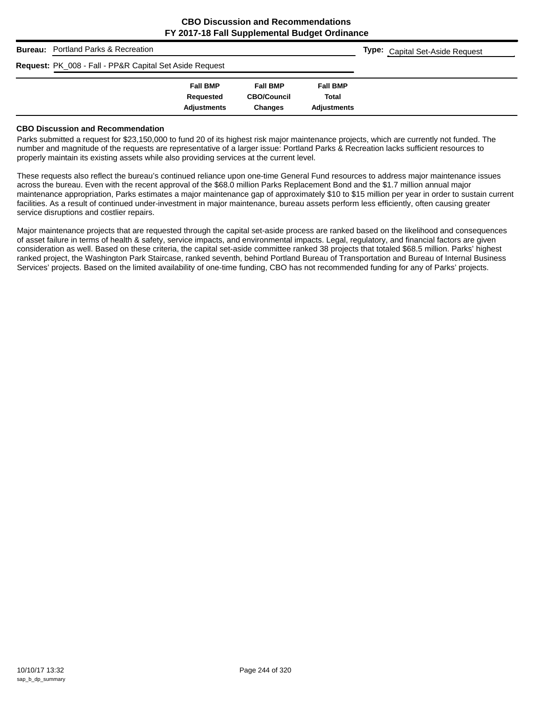|                                                                    | <b>Bureau:</b> Portland Parks & Recreation |                    |                    |                    |  | <b>Type:</b> Capital Set-Aside Request |  |
|--------------------------------------------------------------------|--------------------------------------------|--------------------|--------------------|--------------------|--|----------------------------------------|--|
| <b>Request: PK_008 - Fall - PP&amp;R Capital Set Aside Request</b> |                                            |                    |                    |                    |  |                                        |  |
|                                                                    |                                            | <b>Fall BMP</b>    | <b>Fall BMP</b>    | <b>Fall BMP</b>    |  |                                        |  |
|                                                                    |                                            | Requested          | <b>CBO/Council</b> | <b>Total</b>       |  |                                        |  |
|                                                                    |                                            | <b>Adjustments</b> | <b>Changes</b>     | <b>Adjustments</b> |  |                                        |  |

#### **CBO Discussion and Recommendation**

Parks submitted a request for \$23,150,000 to fund 20 of its highest risk major maintenance projects, which are currently not funded. The number and magnitude of the requests are representative of a larger issue: Portland Parks & Recreation lacks sufficient resources to properly maintain its existing assets while also providing services at the current level.

These requests also reflect the bureau's continued reliance upon one-time General Fund resources to address major maintenance issues across the bureau. Even with the recent approval of the \$68.0 million Parks Replacement Bond and the \$1.7 million annual major maintenance appropriation, Parks estimates a major maintenance gap of approximately \$10 to \$15 million per year in order to sustain current facilities. As a result of continued under-investment in major maintenance, bureau assets perform less efficiently, often causing greater service disruptions and costlier repairs.

Major maintenance projects that are requested through the capital set-aside process are ranked based on the likelihood and consequences of asset failure in terms of health & safety, service impacts, and environmental impacts. Legal, regulatory, and financial factors are given consideration as well. Based on these criteria, the capital set-aside committee ranked 38 projects that totaled \$68.5 million. Parks' highest ranked project, the Washington Park Staircase, ranked seventh, behind Portland Bureau of Transportation and Bureau of Internal Business Services' projects. Based on the limited availability of one-time funding, CBO has not recommended funding for any of Parks' projects.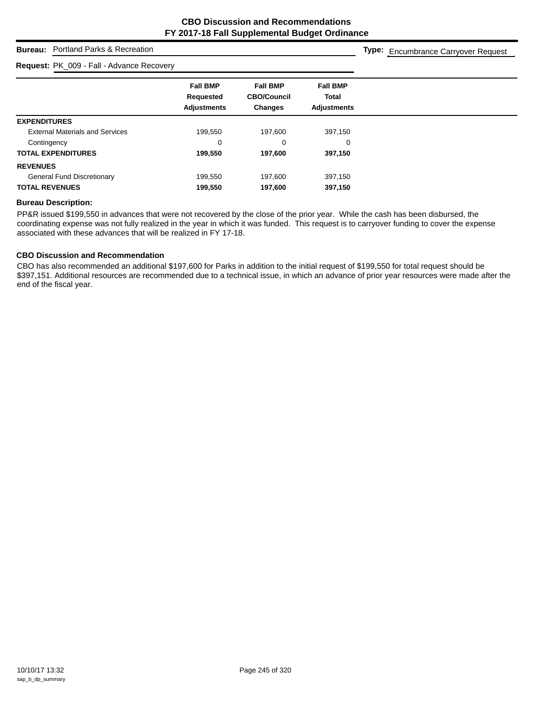## **Bureau:** Portland Parks & Recreation

#### **Request:** PK\_009 - Fall - Advance Recovery

**Type:** Encumbrance Carryover Request

|                                        | <b>Fall BMP</b><br>Requested<br><b>Adjustments</b> | <b>Fall BMP</b><br><b>CBO/Council</b><br><b>Changes</b> | <b>Fall BMP</b><br><b>Total</b> |
|----------------------------------------|----------------------------------------------------|---------------------------------------------------------|---------------------------------|
|                                        |                                                    |                                                         | <b>Adjustments</b>              |
| <b>EXPENDITURES</b>                    |                                                    |                                                         |                                 |
| <b>External Materials and Services</b> | 199.550                                            | 197,600                                                 | 397.150                         |
| Contingency                            | 0                                                  | 0                                                       | 0                               |
| <b>TOTAL EXPENDITURES</b>              | 199,550                                            | 197,600                                                 | 397,150                         |
| <b>REVENUES</b>                        |                                                    |                                                         |                                 |
| <b>General Fund Discretionary</b>      | 199,550                                            | 197,600                                                 | 397,150                         |
| <b>TOTAL REVENUES</b>                  | 199,550                                            | 197,600                                                 | 397,150                         |

## **Bureau Description:**

PP&R issued \$199,550 in advances that were not recovered by the close of the prior year. While the cash has been disbursed, the coordinating expense was not fully realized in the year in which it was funded. This request is to carryover funding to cover the expense associated with these advances that will be realized in FY 17-18.

## **CBO Discussion and Recommendation**

CBO has also recommended an additional \$197,600 for Parks in addition to the initial request of \$199,550 for total request should be \$397,151. Additional resources are recommended due to a technical issue, in which an advance of prior year resources were made after the end of the fiscal year.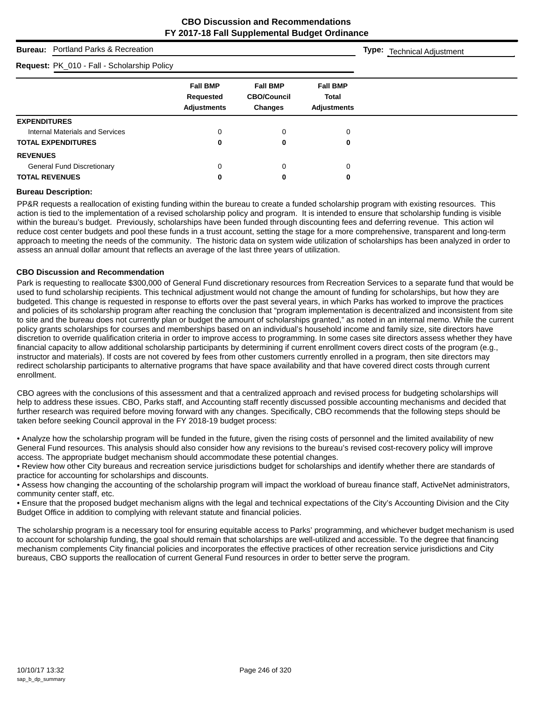**Type:** Technical Adjustment

## **Bureau:** Portland Parks & Recreation

## **Request:** PK\_010 - Fall - Scholarship Policy

| <b>Request:</b> PK_010 - Fall - Scholarship Policy |                                                    |                                                  |                                                       |  |
|----------------------------------------------------|----------------------------------------------------|--------------------------------------------------|-------------------------------------------------------|--|
|                                                    | <b>Fall BMP</b><br>Requested<br><b>Adjustments</b> | <b>Fall BMP</b><br><b>CBO/Council</b><br>Changes | <b>Fall BMP</b><br><b>Total</b><br><b>Adjustments</b> |  |
| <b>EXPENDITURES</b>                                |                                                    |                                                  |                                                       |  |
| Internal Materials and Services                    | 0                                                  |                                                  | 0                                                     |  |
| <b>TOTAL EXPENDITURES</b>                          | 0                                                  | 0                                                | 0                                                     |  |
| <b>REVENUES</b>                                    |                                                    |                                                  |                                                       |  |
| <b>General Fund Discretionary</b>                  | 0                                                  |                                                  | $\Omega$                                              |  |
| <b>TOTAL REVENUES</b>                              | 0                                                  | 0                                                | 0                                                     |  |
|                                                    |                                                    |                                                  |                                                       |  |

#### **Bureau Description:**

PP&R requests a reallocation of existing funding within the bureau to create a funded scholarship program with existing resources. This action is tied to the implementation of a revised scholarship policy and program. It is intended to ensure that scholarship funding is visible within the bureau's budget. Previously, scholarships have been funded through discounting fees and deferring revenue. This action wil reduce cost center budgets and pool these funds in a trust account, setting the stage for a more comprehensive, transparent and long-term approach to meeting the needs of the community. The historic data on system wide utilization of scholarships has been analyzed in order to assess an annual dollar amount that reflects an average of the last three years of utilization.

#### **CBO Discussion and Recommendation**

Park is requesting to reallocate \$300,000 of General Fund discretionary resources from Recreation Services to a separate fund that would be used to fund scholarship recipients. This technical adjustment would not change the amount of funding for scholarships, but how they are budgeted. This change is requested in response to efforts over the past several years, in which Parks has worked to improve the practices and policies of its scholarship program after reaching the conclusion that "program implementation is decentralized and inconsistent from site to site and the bureau does not currently plan or budget the amount of scholarships granted," as noted in an internal memo. While the current policy grants scholarships for courses and memberships based on an individual's household income and family size, site directors have discretion to override qualification criteria in order to improve access to programming. In some cases site directors assess whether they have financial capacity to allow additional scholarship participants by determining if current enrollment covers direct costs of the program (e.g., instructor and materials). If costs are not covered by fees from other customers currently enrolled in a program, then site directors may redirect scholarship participants to alternative programs that have space availability and that have covered direct costs through current enrollment.

CBO agrees with the conclusions of this assessment and that a centralized approach and revised process for budgeting scholarships will help to address these issues. CBO, Parks staff, and Accounting staff recently discussed possible accounting mechanisms and decided that further research was required before moving forward with any changes. Specifically, CBO recommends that the following steps should be taken before seeking Council approval in the FY 2018-19 budget process:

• Analyze how the scholarship program will be funded in the future, given the rising costs of personnel and the limited availability of new General Fund resources. This analysis should also consider how any revisions to the bureau's revised cost-recovery policy will improve access. The appropriate budget mechanism should accommodate these potential changes.

• Review how other City bureaus and recreation service jurisdictions budget for scholarships and identify whether there are standards of practice for accounting for scholarships and discounts.

• Assess how changing the accounting of the scholarship program will impact the workload of bureau finance staff, ActiveNet administrators, community center staff, etc.

• Ensure that the proposed budget mechanism aligns with the legal and technical expectations of the City's Accounting Division and the City Budget Office in addition to complying with relevant statute and financial policies.

The scholarship program is a necessary tool for ensuring equitable access to Parks' programming, and whichever budget mechanism is used to account for scholarship funding, the goal should remain that scholarships are well-utilized and accessible. To the degree that financing mechanism complements City financial policies and incorporates the effective practices of other recreation service jurisdictions and City bureaus, CBO supports the reallocation of current General Fund resources in order to better serve the program.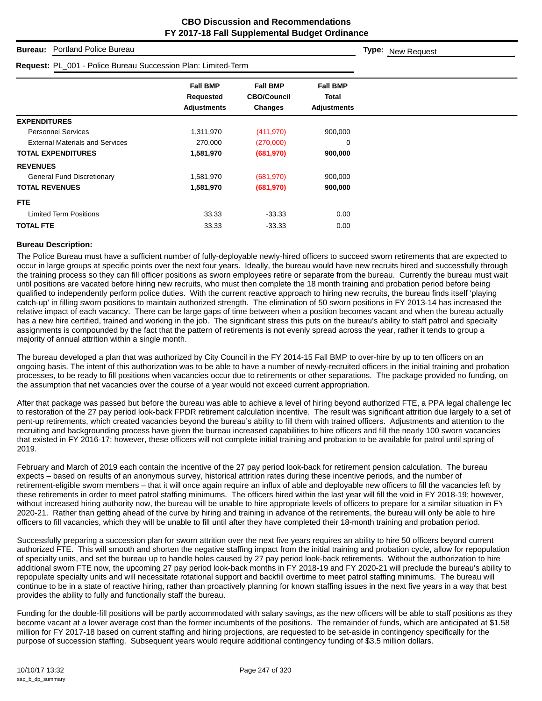**Type:** New Request

## **Bureau:** Portland Police Bureau

| Request: PL_001 - Police Bureau Succession Plan: Limited-Term |                                                    |                                                         |                                                       |  |
|---------------------------------------------------------------|----------------------------------------------------|---------------------------------------------------------|-------------------------------------------------------|--|
|                                                               | <b>Fall BMP</b><br>Requested<br><b>Adjustments</b> | <b>Fall BMP</b><br><b>CBO/Council</b><br><b>Changes</b> | <b>Fall BMP</b><br><b>Total</b><br><b>Adjustments</b> |  |
| <b>EXPENDITURES</b>                                           |                                                    |                                                         |                                                       |  |
| <b>Personnel Services</b>                                     | 1,311,970                                          | (411, 970)                                              | 900,000                                               |  |
| <b>External Materials and Services</b>                        | 270,000                                            | (270,000)                                               | 0                                                     |  |
| <b>TOTAL EXPENDITURES</b>                                     | 1,581,970                                          | (681,970)                                               | 900,000                                               |  |
| <b>REVENUES</b>                                               |                                                    |                                                         |                                                       |  |
| <b>General Fund Discretionary</b>                             | 1,581,970                                          | (681, 970)                                              | 900,000                                               |  |
| <b>TOTAL REVENUES</b>                                         | 1,581,970                                          | (681,970)                                               | 900,000                                               |  |
| <b>FTE</b>                                                    |                                                    |                                                         |                                                       |  |
| <b>Limited Term Positions</b>                                 | 33.33                                              | $-33.33$                                                | 0.00                                                  |  |
| <b>TOTAL FTE</b>                                              | 33.33                                              | $-33.33$                                                | 0.00                                                  |  |

#### **Bureau Description:**

The Police Bureau must have a sufficient number of fully-deployable newly-hired officers to succeed sworn retirements that are expected to occur in large groups at specific points over the next four years. Ideally, the bureau would have new recruits hired and successfully through the training process so they can fill officer positions as sworn employees retire or separate from the bureau. Currently the bureau must wait until positions are vacated before hiring new recruits, who must then complete the 18 month training and probation period before being qualified to independently perform police duties. With the current reactive approach to hiring new recruits, the bureau finds itself 'playing catch-up' in filling sworn positions to maintain authorized strength. The elimination of 50 sworn positions in FY 2013-14 has increased the relative impact of each vacancy. There can be large gaps of time between when a position becomes vacant and when the bureau actually has a new hire certified, trained and working in the job. The significant stress this puts on the bureau's ability to staff patrol and specialty assignments is compounded by the fact that the pattern of retirements is not evenly spread across the year, rather it tends to group a majority of annual attrition within a single month.

The bureau developed a plan that was authorized by City Council in the FY 2014-15 Fall BMP to over-hire by up to ten officers on an ongoing basis. The intent of this authorization was to be able to have a number of newly-recruited officers in the initial training and probation processes, to be ready to fill positions when vacancies occur due to retirements or other separations. The package provided no funding, on the assumption that net vacancies over the course of a year would not exceed current appropriation.

After that package was passed but before the bureau was able to achieve a level of hiring beyond authorized FTE, a PPA legal challenge lec to restoration of the 27 pay period look-back FPDR retirement calculation incentive. The result was significant attrition due largely to a set of pent-up retirements, which created vacancies beyond the bureau's ability to fill them with trained officers. Adjustments and attention to the recruiting and backgrounding process have given the bureau increased capabilities to hire officers and fill the nearly 100 sworn vacancies that existed in FY 2016-17; however, these officers will not complete initial training and probation to be available for patrol until spring of 2019.

February and March of 2019 each contain the incentive of the 27 pay period look-back for retirement pension calculation. The bureau expects – based on results of an anonymous survey, historical attrition rates during these incentive periods, and the number of retirement-eligible sworn members – that it will once again require an influx of able and deployable new officers to fill the vacancies left by these retirements in order to meet patrol staffing minimums. The officers hired within the last year will fill the void in FY 2018-19; however, without increased hiring authority now, the bureau will be unable to hire appropriate levels of officers to prepare for a similar situation in FY 2020-21. Rather than getting ahead of the curve by hiring and training in advance of the retirements, the bureau will only be able to hire officers to fill vacancies, which they will be unable to fill until after they have completed their 18-month training and probation period.

Successfully preparing a succession plan for sworn attrition over the next five years requires an ability to hire 50 officers beyond current authorized FTE. This will smooth and shorten the negative staffing impact from the initial training and probation cycle, allow for repopulation of specialty units, and set the bureau up to handle holes caused by 27 pay period look-back retirements. Without the authorization to hire additional sworn FTE now, the upcoming 27 pay period look-back months in FY 2018-19 and FY 2020-21 will preclude the bureau's ability to repopulate specialty units and will necessitate rotational support and backfill overtime to meet patrol staffing minimums. The bureau will continue to be in a state of reactive hiring, rather than proactively planning for known staffing issues in the next five years in a way that best provides the ability to fully and functionally staff the bureau.

Funding for the double-fill positions will be partly accommodated with salary savings, as the new officers will be able to staff positions as they become vacant at a lower average cost than the former incumbents of the positions. The remainder of funds, which are anticipated at \$1.58 million for FY 2017-18 based on current staffing and hiring projections, are requested to be set-aside in contingency specifically for the purpose of succession staffing. Subsequent years would require additional contingency funding of \$3.5 million dollars.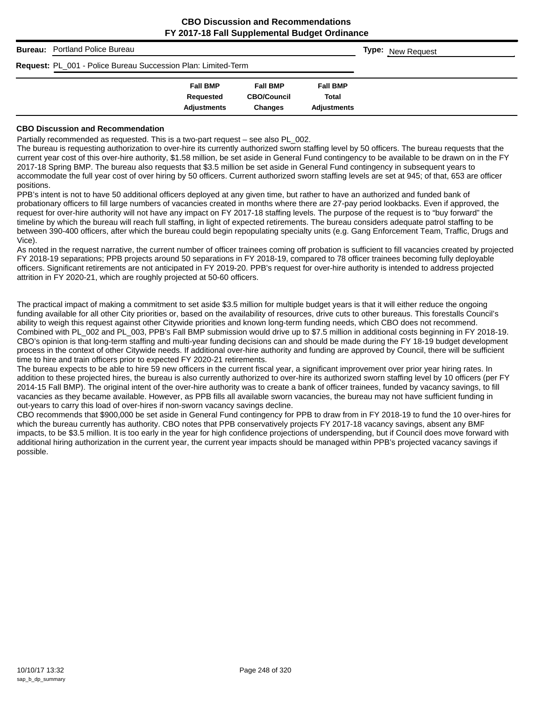|                                                                      | <b>Bureau:</b> Portland Police Bureau |                              |                                       |                          |  | <b>Type:</b> New Request |
|----------------------------------------------------------------------|---------------------------------------|------------------------------|---------------------------------------|--------------------------|--|--------------------------|
| <b>Request: PL_001 - Police Bureau Succession Plan: Limited-Term</b> |                                       |                              |                                       |                          |  |                          |
|                                                                      |                                       | <b>Fall BMP</b><br>Requested | <b>Fall BMP</b><br><b>CBO/Council</b> | <b>Fall BMP</b><br>Total |  |                          |
|                                                                      |                                       | <b>Adjustments</b>           | Changes                               | <b>Adjustments</b>       |  |                          |

#### **CBO Discussion and Recommendation**

Partially recommended as requested. This is a two-part request – see also PL\_002.

The bureau is requesting authorization to over-hire its currently authorized sworn staffing level by 50 officers. The bureau requests that the current year cost of this over-hire authority, \$1.58 million, be set aside in General Fund contingency to be available to be drawn on in the FY 2017-18 Spring BMP. The bureau also requests that \$3.5 million be set aside in General Fund contingency in subsequent years to accommodate the full year cost of over hiring by 50 officers. Current authorized sworn staffing levels are set at 945; of that, 653 are officer positions.

PPB's intent is not to have 50 additional officers deployed at any given time, but rather to have an authorized and funded bank of probationary officers to fill large numbers of vacancies created in months where there are 27-pay period lookbacks. Even if approved, the request for over-hire authority will not have any impact on FY 2017-18 staffing levels. The purpose of the request is to "buy forward" the timeline by which the bureau will reach full staffing, in light of expected retirements. The bureau considers adequate patrol staffing to be between 390-400 officers, after which the bureau could begin repopulating specialty units (e.g. Gang Enforcement Team, Traffic, Drugs and Vice).

As noted in the request narrative, the current number of officer trainees coming off probation is sufficient to fill vacancies created by projected FY 2018-19 separations; PPB projects around 50 separations in FY 2018-19, compared to 78 officer trainees becoming fully deployable officers. Significant retirements are not anticipated in FY 2019-20. PPB's request for over-hire authority is intended to address projected attrition in FY 2020-21, which are roughly projected at 50-60 officers.

The practical impact of making a commitment to set aside \$3.5 million for multiple budget years is that it will either reduce the ongoing funding available for all other City priorities or, based on the availability of resources, drive cuts to other bureaus. This forestalls Council's ability to weigh this request against other Citywide priorities and known long-term funding needs, which CBO does not recommend. Combined with PL\_002 and PL\_003, PPB's Fall BMP submission would drive up to \$7.5 million in additional costs beginning in FY 2018-19. CBO's opinion is that long-term staffing and multi-year funding decisions can and should be made during the FY 18-19 budget development process in the context of other Citywide needs. If additional over-hire authority and funding are approved by Council, there will be sufficient time to hire and train officers prior to expected FY 2020-21 retirements.

The bureau expects to be able to hire 59 new officers in the current fiscal year, a significant improvement over prior year hiring rates. In addition to these projected hires, the bureau is also currently authorized to over-hire its authorized sworn staffing level by 10 officers (per FY 2014-15 Fall BMP). The original intent of the over-hire authority was to create a bank of officer trainees, funded by vacancy savings, to fill vacancies as they became available. However, as PPB fills all available sworn vacancies, the bureau may not have sufficient funding in out-years to carry this load of over-hires if non-sworn vacancy savings decline.

CBO recommends that \$900,000 be set aside in General Fund contingency for PPB to draw from in FY 2018-19 to fund the 10 over-hires for which the bureau currently has authority. CBO notes that PPB conservatively projects FY 2017-18 vacancy savings, absent any BMP impacts, to be \$3.5 million. It is too early in the year for high confidence projections of underspending, but if Council does move forward with additional hiring authorization in the current year, the current year impacts should be managed within PPB's projected vacancy savings if possible.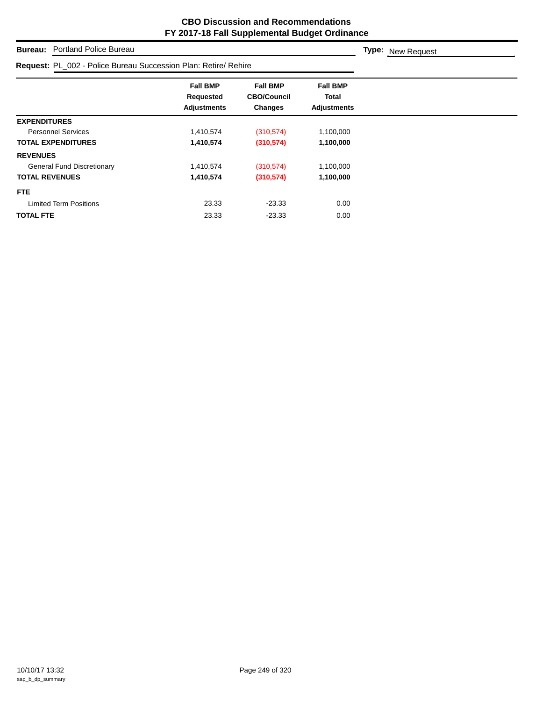**Type:** New Request

**Bureau:** Portland Police Bureau

| Request: PL_002 - Police Bureau Succession Plan: Retire/ Rehire |                                                    |                                                         |                                                |
|-----------------------------------------------------------------|----------------------------------------------------|---------------------------------------------------------|------------------------------------------------|
|                                                                 | <b>Fall BMP</b><br>Requested<br><b>Adjustments</b> | <b>Fall BMP</b><br><b>CBO/Council</b><br><b>Changes</b> | <b>Fall BMP</b><br>Total<br><b>Adjustments</b> |
| <b>EXPENDITURES</b>                                             |                                                    |                                                         |                                                |
| <b>Personnel Services</b>                                       | 1,410,574                                          | (310, 574)                                              | 1,100,000                                      |
| <b>TOTAL EXPENDITURES</b>                                       | 1,410,574                                          | (310, 574)                                              | 1,100,000                                      |
| <b>REVENUES</b>                                                 |                                                    |                                                         |                                                |
| <b>General Fund Discretionary</b>                               | 1,410,574                                          | (310, 574)                                              | 1,100,000                                      |
| <b>TOTAL REVENUES</b>                                           | 1,410,574                                          | (310, 574)                                              | 1,100,000                                      |
| FTE.                                                            |                                                    |                                                         |                                                |
| <b>Limited Term Positions</b>                                   | 23.33                                              | $-23.33$                                                | 0.00                                           |
| <b>TOTAL FTE</b>                                                | 23.33                                              | $-23.33$                                                | 0.00                                           |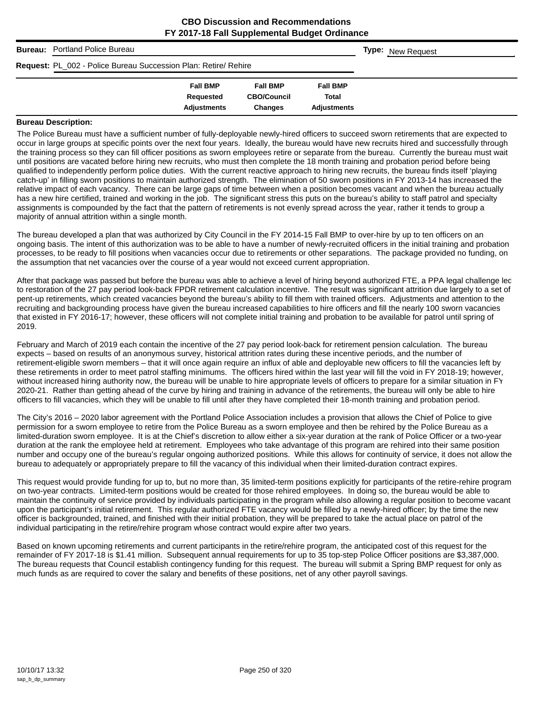|                                                                 | <b>Bureau:</b> Portland Police Bureau |                    |                    |                    |  | <b>Type:</b> New Request |
|-----------------------------------------------------------------|---------------------------------------|--------------------|--------------------|--------------------|--|--------------------------|
| Request: PL_002 - Police Bureau Succession Plan: Retire/ Rehire |                                       |                    |                    |                    |  |                          |
|                                                                 |                                       | <b>Fall BMP</b>    | <b>Fall BMP</b>    | <b>Fall BMP</b>    |  |                          |
|                                                                 |                                       | Requested          | <b>CBO/Council</b> | <b>Total</b>       |  |                          |
|                                                                 |                                       | <b>Adjustments</b> | <b>Changes</b>     | <b>Adjustments</b> |  |                          |

#### **Bureau Description:**

The Police Bureau must have a sufficient number of fully-deployable newly-hired officers to succeed sworn retirements that are expected to occur in large groups at specific points over the next four years. Ideally, the bureau would have new recruits hired and successfully through the training process so they can fill officer positions as sworn employees retire or separate from the bureau. Currently the bureau must wait until positions are vacated before hiring new recruits, who must then complete the 18 month training and probation period before being qualified to independently perform police duties. With the current reactive approach to hiring new recruits, the bureau finds itself 'playing catch-up' in filling sworn positions to maintain authorized strength. The elimination of 50 sworn positions in FY 2013-14 has increased the relative impact of each vacancy. There can be large gaps of time between when a position becomes vacant and when the bureau actually has a new hire certified, trained and working in the job. The significant stress this puts on the bureau's ability to staff patrol and specialty assignments is compounded by the fact that the pattern of retirements is not evenly spread across the year, rather it tends to group a majority of annual attrition within a single month.

The bureau developed a plan that was authorized by City Council in the FY 2014-15 Fall BMP to over-hire by up to ten officers on an ongoing basis. The intent of this authorization was to be able to have a number of newly-recruited officers in the initial training and probation processes, to be ready to fill positions when vacancies occur due to retirements or other separations. The package provided no funding, on the assumption that net vacancies over the course of a year would not exceed current appropriation.

After that package was passed but before the bureau was able to achieve a level of hiring beyond authorized FTE, a PPA legal challenge lec to restoration of the 27 pay period look-back FPDR retirement calculation incentive. The result was significant attrition due largely to a set of pent-up retirements, which created vacancies beyond the bureau's ability to fill them with trained officers. Adjustments and attention to the recruiting and backgrounding process have given the bureau increased capabilities to hire officers and fill the nearly 100 sworn vacancies that existed in FY 2016-17; however, these officers will not complete initial training and probation to be available for patrol until spring of 2019.

February and March of 2019 each contain the incentive of the 27 pay period look-back for retirement pension calculation. The bureau expects – based on results of an anonymous survey, historical attrition rates during these incentive periods, and the number of retirement-eligible sworn members – that it will once again require an influx of able and deployable new officers to fill the vacancies left by these retirements in order to meet patrol staffing minimums. The officers hired within the last year will fill the void in FY 2018-19; however, without increased hiring authority now, the bureau will be unable to hire appropriate levels of officers to prepare for a similar situation in FY 2020-21. Rather than getting ahead of the curve by hiring and training in advance of the retirements, the bureau will only be able to hire officers to fill vacancies, which they will be unable to fill until after they have completed their 18-month training and probation period.

The City's 2016 – 2020 labor agreement with the Portland Police Association includes a provision that allows the Chief of Police to give permission for a sworn employee to retire from the Police Bureau as a sworn employee and then be rehired by the Police Bureau as a limited-duration sworn employee. It is at the Chief's discretion to allow either a six-year duration at the rank of Police Officer or a two-year duration at the rank the employee held at retirement. Employees who take advantage of this program are rehired into their same position number and occupy one of the bureau's regular ongoing authorized positions. While this allows for continuity of service, it does not allow the bureau to adequately or appropriately prepare to fill the vacancy of this individual when their limited-duration contract expires.

This request would provide funding for up to, but no more than, 35 limited-term positions explicitly for participants of the retire-rehire program on two-year contracts. Limited-term positions would be created for those rehired employees. In doing so, the bureau would be able to maintain the continuity of service provided by individuals participating in the program while also allowing a regular position to become vacant upon the participant's initial retirement. This regular authorized FTE vacancy would be filled by a newly-hired officer; by the time the new officer is backgrounded, trained, and finished with their initial probation, they will be prepared to take the actual place on patrol of the individual participating in the retire/rehire program whose contract would expire after two years.

Based on known upcoming retirements and current participants in the retire/rehire program, the anticipated cost of this request for the remainder of FY 2017-18 is \$1.41 million. Subsequent annual requirements for up to 35 top-step Police Officer positions are \$3,387,000. The bureau requests that Council establish contingency funding for this request. The bureau will submit a Spring BMP request for only as much funds as are required to cover the salary and benefits of these positions, net of any other payroll savings.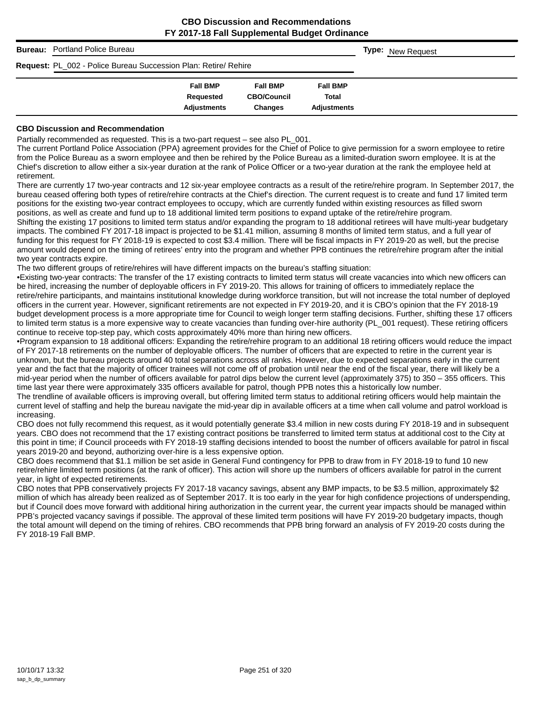|                                                                        | <b>Bureau:</b> Portland Police Bureau |                    |                    |                    |  | <b>Type:</b> New Request |  |
|------------------------------------------------------------------------|---------------------------------------|--------------------|--------------------|--------------------|--|--------------------------|--|
| <b>Request: PL_002 - Police Bureau Succession Plan: Retire/ Rehire</b> |                                       |                    |                    |                    |  |                          |  |
|                                                                        |                                       | <b>Fall BMP</b>    | <b>Fall BMP</b>    | <b>Fall BMP</b>    |  |                          |  |
|                                                                        |                                       | Requested          | <b>CBO/Council</b> | Total              |  |                          |  |
|                                                                        |                                       | <b>Adjustments</b> | <b>Changes</b>     | <b>Adjustments</b> |  |                          |  |

#### **CBO Discussion and Recommendation**

Partially recommended as requested. This is a two-part request – see also PL\_001.

The current Portland Police Association (PPA) agreement provides for the Chief of Police to give permission for a sworn employee to retire from the Police Bureau as a sworn employee and then be rehired by the Police Bureau as a limited-duration sworn employee. It is at the Chief's discretion to allow either a six-year duration at the rank of Police Officer or a two-year duration at the rank the employee held at retirement.

There are currently 17 two-year contracts and 12 six-year employee contracts as a result of the retire/rehire program. In September 2017, the bureau ceased offering both types of retire/rehire contracts at the Chief's direction. The current request is to create and fund 17 limited term positions for the existing two-year contract employees to occupy, which are currently funded within existing resources as filled sworn positions, as well as create and fund up to 18 additional limited term positions to expand uptake of the retire/rehire program.

Shifting the existing 17 positions to limited term status and/or expanding the program to 18 additional retirees will have multi-year budgetary impacts. The combined FY 2017-18 impact is projected to be \$1.41 million, assuming 8 months of limited term status, and a full year of funding for this request for FY 2018-19 is expected to cost \$3.4 million. There will be fiscal impacts in FY 2019-20 as well, but the precise amount would depend on the timing of retirees' entry into the program and whether PPB continues the retire/rehire program after the initial two year contracts expire.

The two different groups of retire/rehires will have different impacts on the bureau's staffing situation:

•Existing two-year contracts: The transfer of the 17 existing contracts to limited term status will create vacancies into which new officers can be hired, increasing the number of deployable officers in FY 2019-20. This allows for training of officers to immediately replace the retire/rehire participants, and maintains institutional knowledge during workforce transition, but will not increase the total number of deployed officers in the current year. However, significant retirements are not expected in FY 2019-20, and it is CBO's opinion that the FY 2018-19 budget development process is a more appropriate time for Council to weigh longer term staffing decisions. Further, shifting these 17 officers to limited term status is a more expensive way to create vacancies than funding over-hire authority (PL\_001 request). These retiring officers continue to receive top-step pay, which costs approximately 40% more than hiring new officers.

•Program expansion to 18 additional officers: Expanding the retire/rehire program to an additional 18 retiring officers would reduce the impact of FY 2017-18 retirements on the number of deployable officers. The number of officers that are expected to retire in the current year is unknown, but the bureau projects around 40 total separations across all ranks. However, due to expected separations early in the current year and the fact that the majority of officer trainees will not come off of probation until near the end of the fiscal year, there will likely be a mid-year period when the number of officers available for patrol dips below the current level (approximately 375) to 350 – 355 officers. This time last year there were approximately 335 officers available for patrol, though PPB notes this a historically low number.

The trendline of available officers is improving overall, but offering limited term status to additional retiring officers would help maintain the current level of staffing and help the bureau navigate the mid-year dip in available officers at a time when call volume and patrol workload is increasing.

CBO does not fully recommend this request, as it would potentially generate \$3.4 million in new costs during FY 2018-19 and in subsequent years. CBO does not recommend that the 17 existing contract positions be transferred to limited term status at additional cost to the City at this point in time; if Council proceeds with FY 2018-19 staffing decisions intended to boost the number of officers available for patrol in fiscal years 2019-20 and beyond, authorizing over-hire is a less expensive option.

CBO does recommend that \$1.1 million be set aside in General Fund contingency for PPB to draw from in FY 2018-19 to fund 10 new retire/rehire limited term positions (at the rank of officer). This action will shore up the numbers of officers available for patrol in the current year, in light of expected retirements.

CBO notes that PPB conservatively projects FY 2017-18 vacancy savings, absent any BMP impacts, to be \$3.5 million, approximately \$2 million of which has already been realized as of September 2017. It is too early in the year for high confidence projections of underspending, but if Council does move forward with additional hiring authorization in the current year, the current year impacts should be managed within PPB's projected vacancy savings if possible. The approval of these limited term positions will have FY 2019-20 budgetary impacts, though the total amount will depend on the timing of rehires. CBO recommends that PPB bring forward an analysis of FY 2019-20 costs during the FY 2018-19 Fall BMP.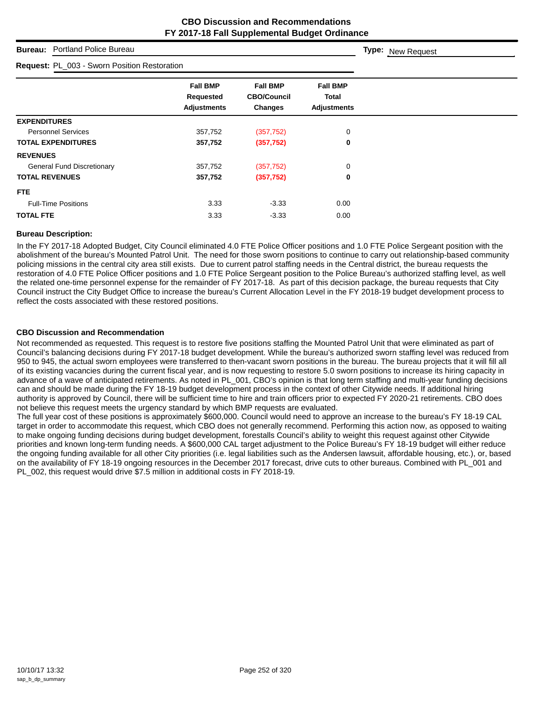## **Bureau:** Portland Police Bureau

| Request: PL_003 - Sworn Position Restoration       |                                                         |                                                |  |
|----------------------------------------------------|---------------------------------------------------------|------------------------------------------------|--|
| <b>Fall BMP</b><br>Requested<br><b>Adjustments</b> | <b>Fall BMP</b><br><b>CBO/Council</b><br><b>Changes</b> | <b>Fall BMP</b><br>Total<br><b>Adjustments</b> |  |
|                                                    |                                                         |                                                |  |
| 357,752                                            | (357, 752)                                              | 0                                              |  |
| 357,752                                            | (357, 752)                                              | $\mathbf 0$                                    |  |
|                                                    |                                                         |                                                |  |
| 357,752                                            | (357, 752)                                              | 0                                              |  |
| 357,752                                            | (357, 752)                                              | 0                                              |  |
|                                                    |                                                         |                                                |  |
| 3.33                                               | $-3.33$                                                 | 0.00                                           |  |
| 3.33                                               | $-3.33$                                                 | 0.00                                           |  |
|                                                    |                                                         |                                                |  |

#### **Bureau Description:**

In the FY 2017-18 Adopted Budget, City Council eliminated 4.0 FTE Police Officer positions and 1.0 FTE Police Sergeant position with the abolishment of the bureau's Mounted Patrol Unit. The need for those sworn positions to continue to carry out relationship-based community policing missions in the central city area still exists. Due to current patrol staffing needs in the Central district, the bureau requests the restoration of 4.0 FTE Police Officer positions and 1.0 FTE Police Sergeant position to the Police Bureau's authorized staffing level, as well the related one-time personnel expense for the remainder of FY 2017-18. As part of this decision package, the bureau requests that City Council instruct the City Budget Office to increase the bureau's Current Allocation Level in the FY 2018-19 budget development process to reflect the costs associated with these restored positions.

#### **CBO Discussion and Recommendation**

Not recommended as requested. This request is to restore five positions staffing the Mounted Patrol Unit that were eliminated as part of Council's balancing decisions during FY 2017-18 budget development. While the bureau's authorized sworn staffing level was reduced from 950 to 945, the actual sworn employees were transferred to then-vacant sworn positions in the bureau. The bureau projects that it will fill all of its existing vacancies during the current fiscal year, and is now requesting to restore 5.0 sworn positions to increase its hiring capacity in advance of a wave of anticipated retirements. As noted in PL\_001, CBO's opinion is that long term staffing and multi-year funding decisions can and should be made during the FY 18-19 budget development process in the context of other Citywide needs. If additional hiring authority is approved by Council, there will be sufficient time to hire and train officers prior to expected FY 2020-21 retirements. CBO does not believe this request meets the urgency standard by which BMP requests are evaluated.

The full year cost of these positions is approximately \$600,000. Council would need to approve an increase to the bureau's FY 18-19 CAL target in order to accommodate this request, which CBO does not generally recommend. Performing this action now, as opposed to waiting to make ongoing funding decisions during budget development, forestalls Council's ability to weight this request against other Citywide priorities and known long-term funding needs. A \$600,000 CAL target adjustment to the Police Bureau's FY 18-19 budget will either reduce the ongoing funding available for all other City priorities (i.e. legal liabilities such as the Andersen lawsuit, affordable housing, etc.), or, based on the availability of FY 18-19 ongoing resources in the December 2017 forecast, drive cuts to other bureaus. Combined with PL\_001 and PL\_002, this request would drive \$7.5 million in additional costs in FY 2018-19.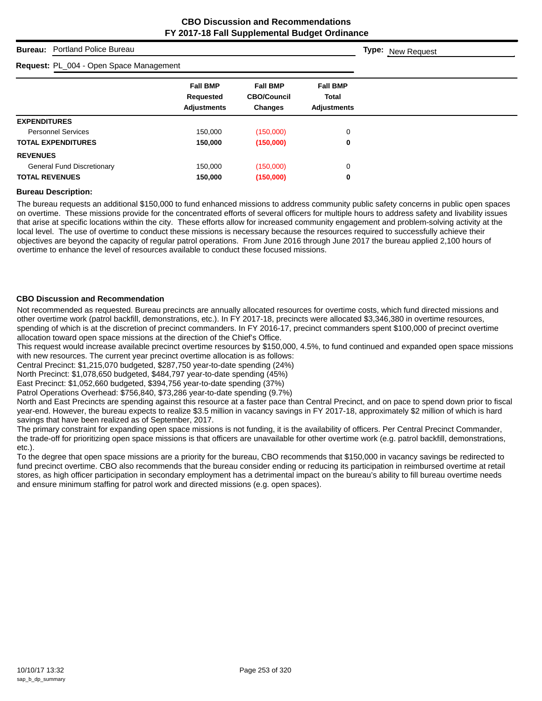## **Bureau:** Portland Police Bureau

#### **Request:** PL\_004 - Open Space Management

| <b>Request: PL 004 - Open Space Management</b> |                    |                    |                    |
|------------------------------------------------|--------------------|--------------------|--------------------|
|                                                | <b>Fall BMP</b>    | <b>Fall BMP</b>    | <b>Fall BMP</b>    |
|                                                | Requested          | <b>CBO/Council</b> | <b>Total</b>       |
|                                                | <b>Adjustments</b> | <b>Changes</b>     | <b>Adjustments</b> |
| <b>EXPENDITURES</b>                            |                    |                    |                    |
| <b>Personnel Services</b>                      | 150,000            | (150,000)          | 0                  |
| <b>TOTAL EXPENDITURES</b>                      | 150,000            | (150,000)          | 0                  |
| <b>REVENUES</b>                                |                    |                    |                    |
| <b>General Fund Discretionary</b>              | 150,000            | (150,000)          | 0                  |
| <b>TOTAL REVENUES</b>                          | 150,000            | (150,000)          | 0                  |

#### **Bureau Description:**

The bureau requests an additional \$150,000 to fund enhanced missions to address community public safety concerns in public open spaces on overtime. These missions provide for the concentrated efforts of several officers for multiple hours to address safety and livability issues that arise at specific locations within the city. These efforts allow for increased community engagement and problem-solving activity at the local level. The use of overtime to conduct these missions is necessary because the resources required to successfully achieve their objectives are beyond the capacity of regular patrol operations. From June 2016 through June 2017 the bureau applied 2,100 hours of overtime to enhance the level of resources available to conduct these focused missions.

#### **CBO Discussion and Recommendation**

Not recommended as requested. Bureau precincts are annually allocated resources for overtime costs, which fund directed missions and other overtime work (patrol backfill, demonstrations, etc.). In FY 2017-18, precincts were allocated \$3,346,380 in overtime resources, spending of which is at the discretion of precinct commanders. In FY 2016-17, precinct commanders spent \$100,000 of precinct overtime allocation toward open space missions at the direction of the Chief's Office.

This request would increase available precinct overtime resources by \$150,000, 4.5%, to fund continued and expanded open space missions with new resources. The current year precinct overtime allocation is as follows:

Central Precinct: \$1,215,070 budgeted, \$287,750 year-to-date spending (24%)

North Precinct: \$1,078,650 budgeted, \$484,797 year-to-date spending (45%)

East Precinct: \$1,052,660 budgeted, \$394,756 year-to-date spending (37%)

Patrol Operations Overhead: \$756,840, \$73,286 year-to-date spending (9.7%)

North and East Precincts are spending against this resource at a faster pace than Central Precinct, and on pace to spend down prior to fiscal year-end. However, the bureau expects to realize \$3.5 million in vacancy savings in FY 2017-18, approximately \$2 million of which is hard savings that have been realized as of September, 2017.

The primary constraint for expanding open space missions is not funding, it is the availability of officers. Per Central Precinct Commander, the trade-off for prioritizing open space missions is that officers are unavailable for other overtime work (e.g. patrol backfill, demonstrations, etc.).

To the degree that open space missions are a priority for the bureau, CBO recommends that \$150,000 in vacancy savings be redirected to fund precinct overtime. CBO also recommends that the bureau consider ending or reducing its participation in reimbursed overtime at retail stores, as high officer participation in secondary employment has a detrimental impact on the bureau's ability to fill bureau overtime needs and ensure minimum staffing for patrol work and directed missions (e.g. open spaces).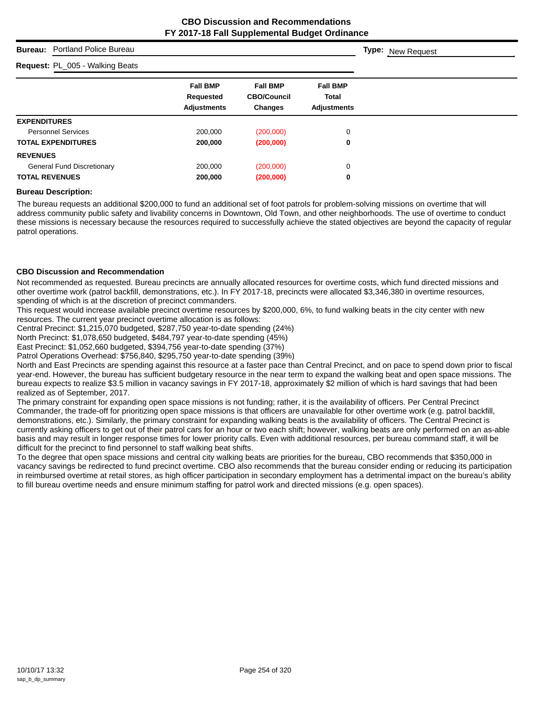## **Bureau:** Portland Police Bureau

#### **Request:** PL\_005 - Walking Beats

| <b>Request:</b> PL_005 - Walking Beats |                                                    |                                                         |                                                       |  |
|----------------------------------------|----------------------------------------------------|---------------------------------------------------------|-------------------------------------------------------|--|
|                                        | <b>Fall BMP</b><br>Requested<br><b>Adjustments</b> | <b>Fall BMP</b><br><b>CBO/Council</b><br><b>Changes</b> | <b>Fall BMP</b><br><b>Total</b><br><b>Adjustments</b> |  |
| <b>EXPENDITURES</b>                    |                                                    |                                                         |                                                       |  |
| <b>Personnel Services</b>              | 200,000                                            | (200,000)                                               | 0                                                     |  |
| <b>TOTAL EXPENDITURES</b>              | 200,000                                            | (200,000)                                               | 0                                                     |  |
| <b>REVENUES</b>                        |                                                    |                                                         |                                                       |  |
| <b>General Fund Discretionary</b>      | 200,000                                            | (200,000)                                               | 0                                                     |  |
| <b>TOTAL REVENUES</b>                  | 200,000                                            | (200,000)                                               | 0                                                     |  |

#### **Bureau Description:**

The bureau requests an additional \$200,000 to fund an additional set of foot patrols for problem-solving missions on overtime that will address community public safety and livability concerns in Downtown, Old Town, and other neighborhoods. The use of overtime to conduct these missions is necessary because the resources required to successfully achieve the stated objectives are beyond the capacity of regular patrol operations.

#### **CBO Discussion and Recommendation**

Not recommended as requested. Bureau precincts are annually allocated resources for overtime costs, which fund directed missions and other overtime work (patrol backfill, demonstrations, etc.). In FY 2017-18, precincts were allocated \$3,346,380 in overtime resources, spending of which is at the discretion of precinct commanders.

This request would increase available precinct overtime resources by \$200,000, 6%, to fund walking beats in the city center with new resources. The current year precinct overtime allocation is as follows:

Central Precinct: \$1,215,070 budgeted, \$287,750 year-to-date spending (24%)

North Precinct: \$1,078,650 budgeted, \$484,797 year-to-date spending (45%)

East Precinct: \$1,052,660 budgeted, \$394,756 year-to-date spending (37%)

Patrol Operations Overhead: \$756,840, \$295,750 year-to-date spending (39%)

North and East Precincts are spending against this resource at a faster pace than Central Precinct, and on pace to spend down prior to fiscal year-end. However, the bureau has sufficient budgetary resource in the near term to expand the walking beat and open space missions. The bureau expects to realize \$3.5 million in vacancy savings in FY 2017-18, approximately \$2 million of which is hard savings that had been realized as of September, 2017.

The primary constraint for expanding open space missions is not funding; rather, it is the availability of officers. Per Central Precinct Commander, the trade-off for prioritizing open space missions is that officers are unavailable for other overtime work (e.g. patrol backfill, demonstrations, etc.). Similarly, the primary constraint for expanding walking beats is the availability of officers. The Central Precinct is currently asking officers to get out of their patrol cars for an hour or two each shift; however, walking beats are only performed on an as-able basis and may result in longer response times for lower priority calls. Even with additional resources, per bureau command staff, it will be difficult for the precinct to find personnel to staff walking beat shifts.

To the degree that open space missions and central city walking beats are priorities for the bureau, CBO recommends that \$350,000 in vacancy savings be redirected to fund precinct overtime. CBO also recommends that the bureau consider ending or reducing its participation in reimbursed overtime at retail stores, as high officer participation in secondary employment has a detrimental impact on the bureau's ability to fill bureau overtime needs and ensure minimum staffing for patrol work and directed missions (e.g. open spaces).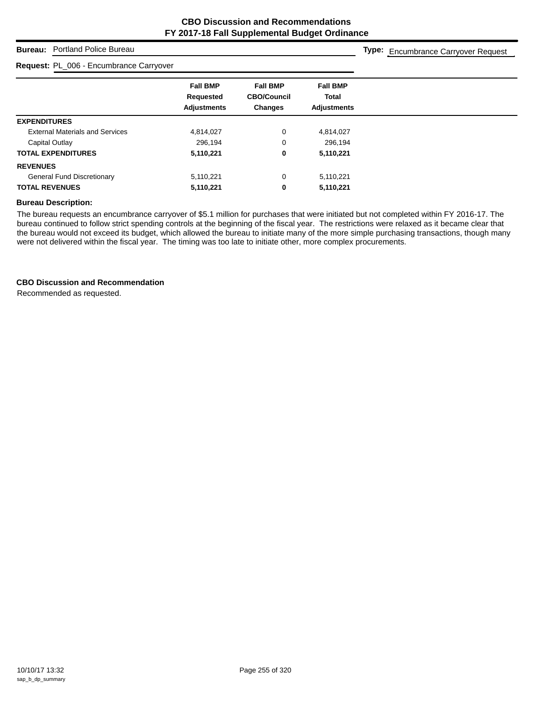## **Bureau:** Portland Police Bureau

#### **Request:** PL\_006 - Encumbrance Carryover

**Type:** Encumbrance Carryover Request

|                                        | <b>Fall BMP</b>    | <b>Fall BMP</b>    | <b>Fall BMP</b>    |
|----------------------------------------|--------------------|--------------------|--------------------|
|                                        | Requested          | <b>CBO/Council</b> | <b>Total</b>       |
|                                        | <b>Adjustments</b> | <b>Changes</b>     | <b>Adjustments</b> |
| <b>EXPENDITURES</b>                    |                    |                    |                    |
| <b>External Materials and Services</b> | 4,814,027          | 0                  | 4,814,027          |
| Capital Outlay                         | 296,194            | 0                  | 296.194            |
| <b>TOTAL EXPENDITURES</b>              | 5,110,221          | 0                  | 5,110,221          |
| <b>REVENUES</b>                        |                    |                    |                    |
| <b>General Fund Discretionary</b>      | 5,110,221          | 0                  | 5,110,221          |
| <b>TOTAL REVENUES</b>                  | 5,110,221          | 0                  | 5,110,221          |

### **Bureau Description:**

The bureau requests an encumbrance carryover of \$5.1 million for purchases that were initiated but not completed within FY 2016-17. The bureau continued to follow strict spending controls at the beginning of the fiscal year. The restrictions were relaxed as it became clear that the bureau would not exceed its budget, which allowed the bureau to initiate many of the more simple purchasing transactions, though many were not delivered within the fiscal year. The timing was too late to initiate other, more complex procurements.

#### **CBO Discussion and Recommendation**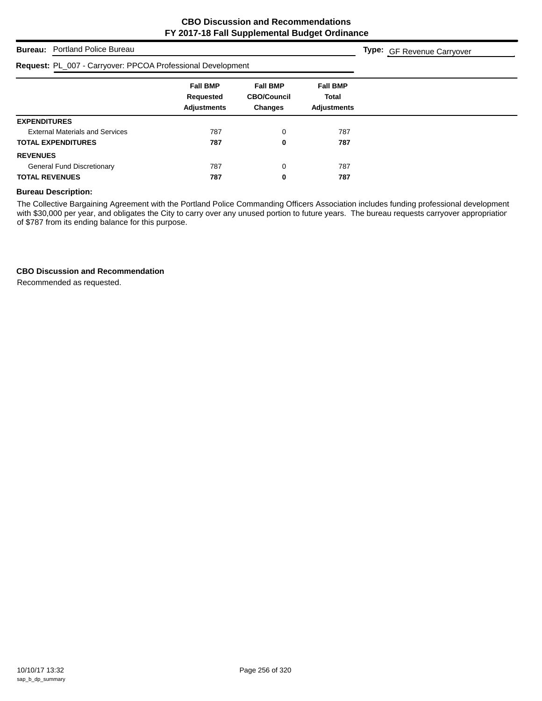**Type:** GF Revenue Carryover

## **Bureau:** Portland Police Bureau

| Request: PL_007 - Carryover: PPCOA Professional Development |                                                    |                                                         |                                                       |
|-------------------------------------------------------------|----------------------------------------------------|---------------------------------------------------------|-------------------------------------------------------|
|                                                             | <b>Fall BMP</b><br>Requested<br><b>Adjustments</b> | <b>Fall BMP</b><br><b>CBO/Council</b><br><b>Changes</b> | <b>Fall BMP</b><br><b>Total</b><br><b>Adjustments</b> |
| <b>EXPENDITURES</b>                                         |                                                    |                                                         |                                                       |
| <b>External Materials and Services</b>                      | 787                                                | 0                                                       | 787                                                   |
| <b>TOTAL EXPENDITURES</b>                                   | 787                                                | 0                                                       | 787                                                   |
| <b>REVENUES</b>                                             |                                                    |                                                         |                                                       |
| <b>General Fund Discretionary</b>                           | 787                                                | 0                                                       | 787                                                   |
| <b>TOTAL REVENUES</b>                                       | 787                                                | 0                                                       | 787                                                   |

#### **Bureau Description:**

The Collective Bargaining Agreement with the Portland Police Commanding Officers Association includes funding professional development with \$30,000 per year, and obligates the City to carry over any unused portion to future years. The bureau requests carryover appropriation of \$787 from its ending balance for this purpose.

#### **CBO Discussion and Recommendation**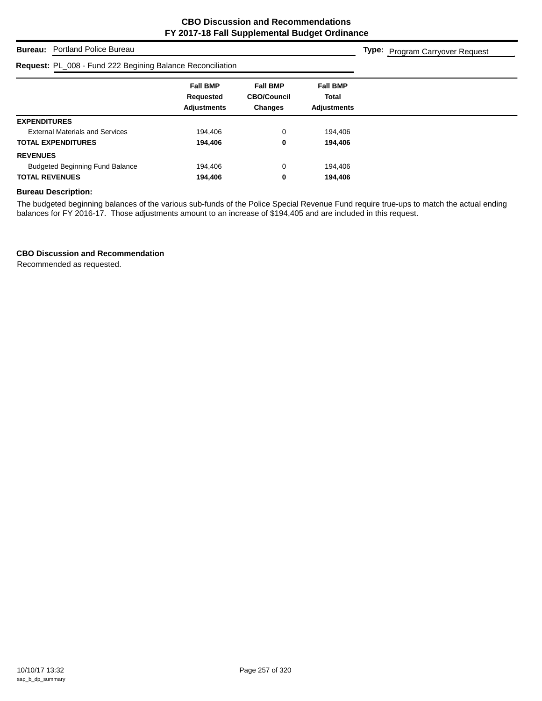**Type:** Program Carryover Request

## **Bureau:** Portland Police Bureau

# **Request:** PL\_008 - Fund 222 Begining Balance Reconciliation

| Request: PL_008 - Fund 222 Begining Balance Reconciliation |                                                    |                                                         |                                                |  |
|------------------------------------------------------------|----------------------------------------------------|---------------------------------------------------------|------------------------------------------------|--|
|                                                            | <b>Fall BMP</b><br>Requested<br><b>Adjustments</b> | <b>Fall BMP</b><br><b>CBO/Council</b><br><b>Changes</b> | <b>Fall BMP</b><br>Total<br><b>Adjustments</b> |  |
| <b>EXPENDITURES</b>                                        |                                                    |                                                         |                                                |  |
| <b>External Materials and Services</b>                     | 194.406                                            | 0                                                       | 194,406                                        |  |
| <b>TOTAL EXPENDITURES</b>                                  | 194,406                                            | 0                                                       | 194,406                                        |  |
| <b>REVENUES</b>                                            |                                                    |                                                         |                                                |  |
| <b>Budgeted Beginning Fund Balance</b>                     | 194,406                                            | 0                                                       | 194,406                                        |  |
| <b>TOTAL REVENUES</b>                                      | 194,406                                            | 0                                                       | 194,406                                        |  |

#### **Bureau Description:**

The budgeted beginning balances of the various sub-funds of the Police Special Revenue Fund require true-ups to match the actual ending balances for FY 2016-17. Those adjustments amount to an increase of \$194,405 and are included in this request.

## **CBO Discussion and Recommendation**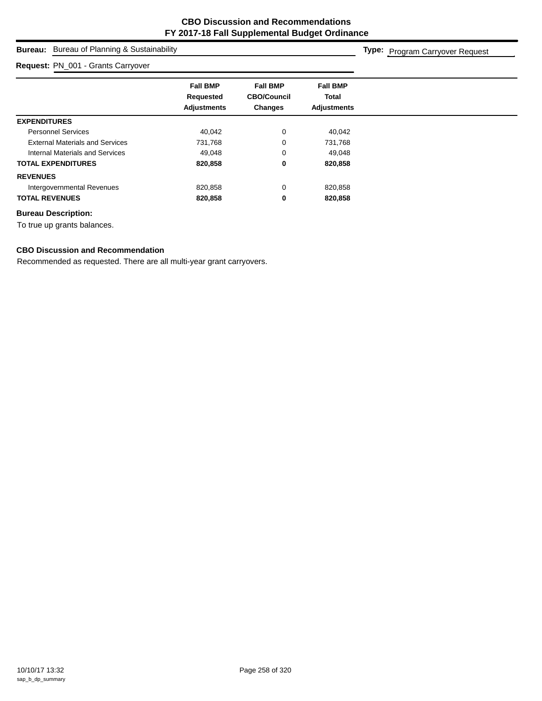## **Bureau:** Bureau of Planning & Sustainability

#### **Request:** PN\_001 - Grants Carryover

**Type:** Program Carryover Request

|                                        | <b>Fall BMP</b><br>Requested<br><b>Adjustments</b> | <b>Fall BMP</b><br><b>CBO/Council</b><br><b>Changes</b> | <b>Fall BMP</b><br><b>Total</b><br><b>Adjustments</b> |
|----------------------------------------|----------------------------------------------------|---------------------------------------------------------|-------------------------------------------------------|
|                                        |                                                    |                                                         |                                                       |
| <b>EXPENDITURES</b>                    |                                                    |                                                         |                                                       |
| <b>Personnel Services</b>              | 40,042                                             | 0                                                       | 40,042                                                |
| <b>External Materials and Services</b> | 731,768                                            | 0                                                       | 731,768                                               |
| Internal Materials and Services        | 49.048                                             | 0                                                       | 49,048                                                |
| <b>TOTAL EXPENDITURES</b>              | 820,858                                            | 0                                                       | 820,858                                               |
| <b>REVENUES</b>                        |                                                    |                                                         |                                                       |
| Intergovernmental Revenues             | 820,858                                            | $\mathbf 0$                                             | 820,858                                               |
| <b>TOTAL REVENUES</b>                  | 820,858                                            | 0                                                       | 820,858                                               |
|                                        |                                                    |                                                         |                                                       |

### **Bureau Description:**

To true up grants balances.

### **CBO Discussion and Recommendation**

Recommended as requested. There are all multi-year grant carryovers.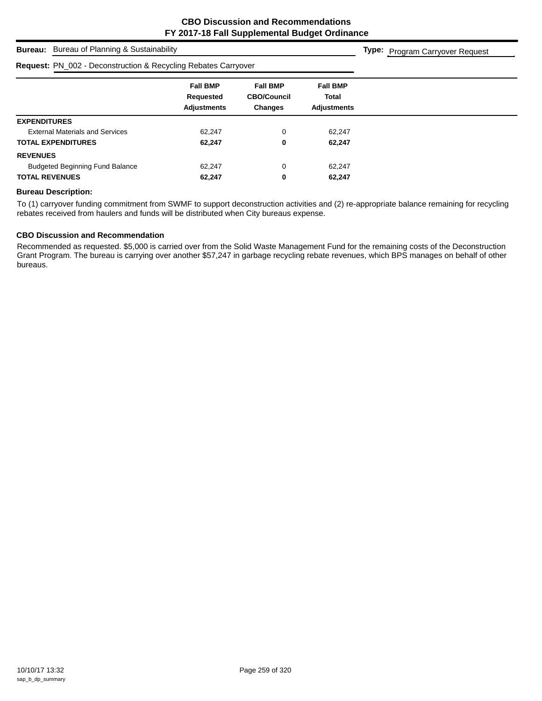**Type:** Program Carryover Request

## **Bureau:** Bureau of Planning & Sustainability

#### **Request:** PN\_002 - Deconstruction & Recycling Rebates Carryover

| <b>Request:</b> PN_002 - Deconstruction & Recycling Rebates Carryover |                                                    |                                                         |                                                |  |
|-----------------------------------------------------------------------|----------------------------------------------------|---------------------------------------------------------|------------------------------------------------|--|
|                                                                       | <b>Fall BMP</b><br>Requested<br><b>Adjustments</b> | <b>Fall BMP</b><br><b>CBO/Council</b><br><b>Changes</b> | <b>Fall BMP</b><br>Total<br><b>Adjustments</b> |  |
| <b>EXPENDITURES</b>                                                   |                                                    |                                                         |                                                |  |
| <b>External Materials and Services</b>                                | 62.247                                             | 0                                                       | 62.247                                         |  |
| <b>TOTAL EXPENDITURES</b>                                             | 62,247                                             | 0                                                       | 62,247                                         |  |
| <b>REVENUES</b>                                                       |                                                    |                                                         |                                                |  |
| <b>Budgeted Beginning Fund Balance</b>                                | 62,247                                             | 0                                                       | 62.247                                         |  |
| <b>TOTAL REVENUES</b>                                                 | 62,247                                             | 0                                                       | 62,247                                         |  |

#### **Bureau Description:**

To (1) carryover funding commitment from SWMF to support deconstruction activities and (2) re-appropriate balance remaining for recycling rebates received from haulers and funds will be distributed when City bureaus expense.

### **CBO Discussion and Recommendation**

Recommended as requested. \$5,000 is carried over from the Solid Waste Management Fund for the remaining costs of the Deconstruction Grant Program. The bureau is carrying over another \$57,247 in garbage recycling rebate revenues, which BPS manages on behalf of other bureaus.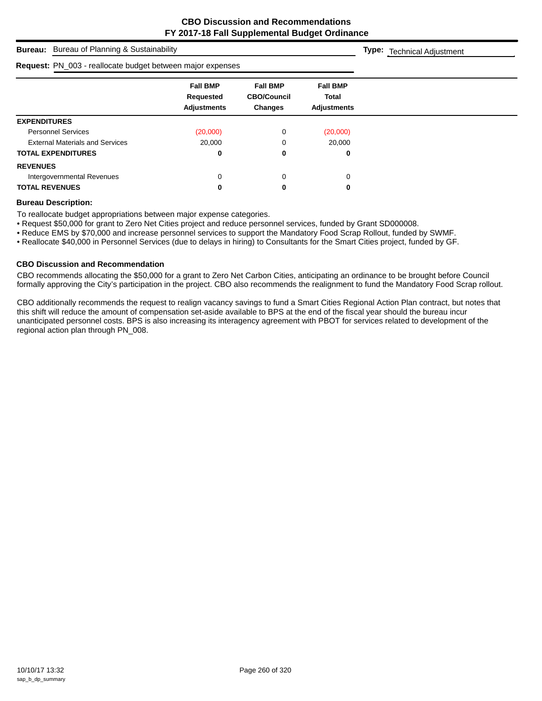**Type:** Technical Adjustment

**Bureau:** Bureau of Planning & Sustainability

| Request: PN_003 - reallocate budget between major expenses |                                                           |                                                  |                                                |  |
|------------------------------------------------------------|-----------------------------------------------------------|--------------------------------------------------|------------------------------------------------|--|
|                                                            | <b>Fall BMP</b><br><b>Requested</b><br><b>Adjustments</b> | <b>Fall BMP</b><br><b>CBO/Council</b><br>Changes | <b>Fall BMP</b><br>Total<br><b>Adjustments</b> |  |
| <b>EXPENDITURES</b>                                        |                                                           |                                                  |                                                |  |
| <b>Personnel Services</b>                                  | (20,000)                                                  | 0                                                | (20,000)                                       |  |
| <b>External Materials and Services</b>                     | 20,000                                                    |                                                  | 20,000                                         |  |
| <b>TOTAL EXPENDITURES</b>                                  | 0                                                         | 0                                                | 0                                              |  |
| <b>REVENUES</b>                                            |                                                           |                                                  |                                                |  |
| Intergovernmental Revenues                                 | 0                                                         | 0                                                | 0                                              |  |
| <b>TOTAL REVENUES</b>                                      | 0                                                         | 0                                                | 0                                              |  |

#### **Bureau Description:**

To reallocate budget appropriations between major expense categories.

• Request \$50,000 for grant to Zero Net Cities project and reduce personnel services, funded by Grant SD000008.

• Reduce EMS by \$70,000 and increase personnel services to support the Mandatory Food Scrap Rollout, funded by SWMF.

• Reallocate \$40,000 in Personnel Services (due to delays in hiring) to Consultants for the Smart Cities project, funded by GF.

#### **CBO Discussion and Recommendation**

CBO recommends allocating the \$50,000 for a grant to Zero Net Carbon Cities, anticipating an ordinance to be brought before Council formally approving the City's participation in the project. CBO also recommends the realignment to fund the Mandatory Food Scrap rollout.

CBO additionally recommends the request to realign vacancy savings to fund a Smart Cities Regional Action Plan contract, but notes that this shift will reduce the amount of compensation set-aside available to BPS at the end of the fiscal year should the bureau incur unanticipated personnel costs. BPS is also increasing its interagency agreement with PBOT for services related to development of the regional action plan through PN\_008.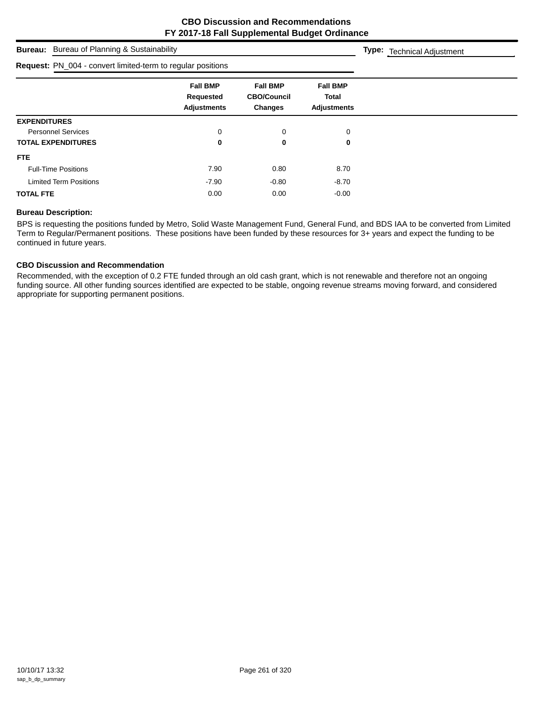| <b>Bureau:</b> Bureau of Planning & Sustainability                 |                                                    |                                                         |                                                       | <b>Type:</b> Technical Adjustment |
|--------------------------------------------------------------------|----------------------------------------------------|---------------------------------------------------------|-------------------------------------------------------|-----------------------------------|
| <b>Request:</b> PN_004 - convert limited-term to regular positions |                                                    |                                                         |                                                       |                                   |
|                                                                    | <b>Fall BMP</b><br>Requested<br><b>Adjustments</b> | <b>Fall BMP</b><br><b>CBO/Council</b><br><b>Changes</b> | <b>Fall BMP</b><br><b>Total</b><br><b>Adjustments</b> |                                   |
| <b>EXPENDITURES</b>                                                |                                                    |                                                         |                                                       |                                   |
| <b>Personnel Services</b>                                          | 0                                                  | 0                                                       | 0                                                     |                                   |
| <b>TOTAL EXPENDITURES</b>                                          | 0                                                  | 0                                                       | 0                                                     |                                   |
| <b>FTE</b>                                                         |                                                    |                                                         |                                                       |                                   |
| <b>Full-Time Positions</b>                                         | 7.90                                               | 0.80                                                    | 8.70                                                  |                                   |
| <b>Limited Term Positions</b>                                      | $-7.90$                                            | $-0.80$                                                 | $-8.70$                                               |                                   |
| <b>TOTAL FTE</b>                                                   | 0.00                                               | 0.00                                                    | $-0.00$                                               |                                   |

#### **Bureau Description:**

BPS is requesting the positions funded by Metro, Solid Waste Management Fund, General Fund, and BDS IAA to be converted from Limited Term to Regular/Permanent positions. These positions have been funded by these resources for 3+ years and expect the funding to be continued in future years.

## **CBO Discussion and Recommendation**

Recommended, with the exception of 0.2 FTE funded through an old cash grant, which is not renewable and therefore not an ongoing funding source. All other funding sources identified are expected to be stable, ongoing revenue streams moving forward, and considered appropriate for supporting permanent positions.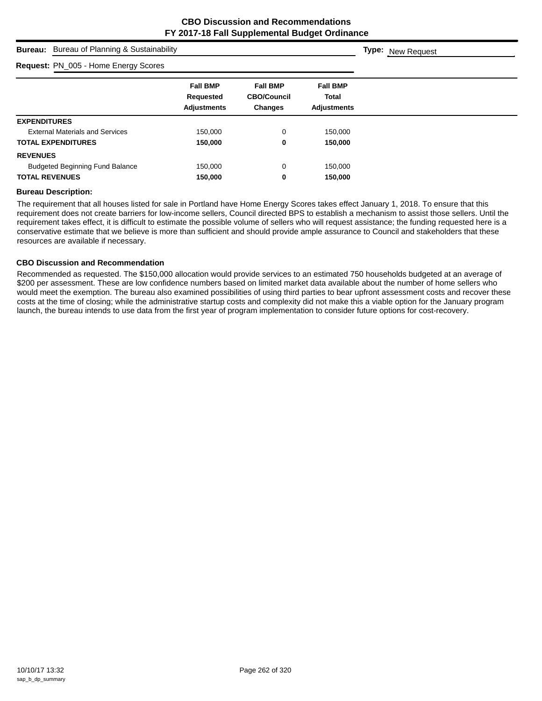## **Bureau:** Bureau of Planning & Sustainability

#### **Request:** PN\_005 - Home Energy Scores

| <b>Request:</b> PN_005 - Home Energy Scores        |                                                  |                                                       |  |
|----------------------------------------------------|--------------------------------------------------|-------------------------------------------------------|--|
| <b>Fall BMP</b><br>Requested<br><b>Adjustments</b> | <b>Fall BMP</b><br><b>CBO/Council</b><br>Changes | <b>Fall BMP</b><br><b>Total</b><br><b>Adjustments</b> |  |
|                                                    |                                                  |                                                       |  |
| 150,000                                            | 0                                                | 150,000                                               |  |
| 150,000                                            | 0                                                | 150,000                                               |  |
|                                                    |                                                  |                                                       |  |
| 150.000                                            | 0                                                | 150,000                                               |  |
| 150,000                                            | 0                                                | 150,000                                               |  |
|                                                    |                                                  |                                                       |  |

#### **Bureau Description:**

The requirement that all houses listed for sale in Portland have Home Energy Scores takes effect January 1, 2018. To ensure that this requirement does not create barriers for low-income sellers, Council directed BPS to establish a mechanism to assist those sellers. Until the requirement takes effect, it is difficult to estimate the possible volume of sellers who will request assistance; the funding requested here is a conservative estimate that we believe is more than sufficient and should provide ample assurance to Council and stakeholders that these resources are available if necessary.

#### **CBO Discussion and Recommendation**

Recommended as requested. The \$150,000 allocation would provide services to an estimated 750 households budgeted at an average of \$200 per assessment. These are low confidence numbers based on limited market data available about the number of home sellers who would meet the exemption. The bureau also examined possibilities of using third parties to bear upfront assessment costs and recover these costs at the time of closing; while the administrative startup costs and complexity did not make this a viable option for the January program launch, the bureau intends to use data from the first year of program implementation to consider future options for cost-recovery.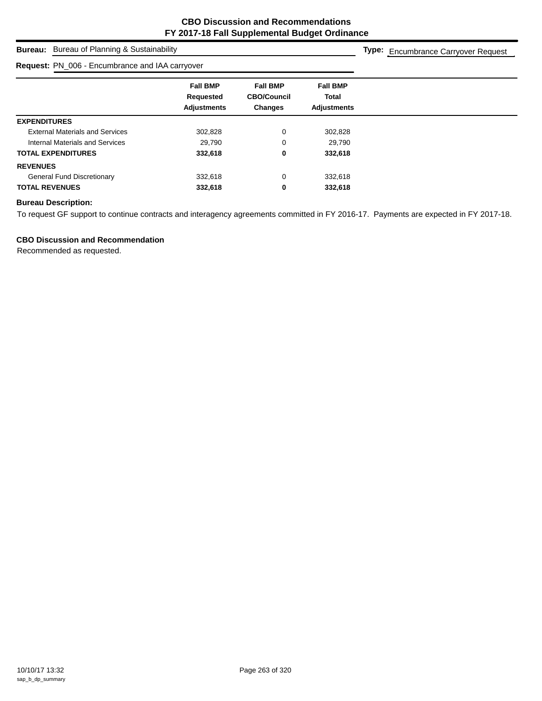# **Bureau:** Bureau of Planning & Sustainability

### **Request:** PN\_006 - Encumbrance and IAA carryover

**Type:** Encumbrance Carryover Request

|                                        | <b>Fall BMP</b><br>Requested<br><b>Adjustments</b> | <b>Fall BMP</b><br><b>CBO/Council</b><br><b>Changes</b> | <b>Fall BMP</b><br><b>Total</b><br><b>Adjustments</b> |  |
|----------------------------------------|----------------------------------------------------|---------------------------------------------------------|-------------------------------------------------------|--|
| <b>EXPENDITURES</b>                    |                                                    |                                                         |                                                       |  |
| <b>External Materials and Services</b> | 302,828                                            | 0                                                       | 302,828                                               |  |
| <b>Internal Materials and Services</b> | 29,790                                             | 0                                                       | 29,790                                                |  |
| <b>TOTAL EXPENDITURES</b>              | 332,618                                            | 0                                                       | 332,618                                               |  |
| <b>REVENUES</b>                        |                                                    |                                                         |                                                       |  |
| <b>General Fund Discretionary</b>      | 332,618                                            | 0                                                       | 332,618                                               |  |
| <b>TOTAL REVENUES</b>                  | 332,618                                            | 0                                                       | 332,618                                               |  |

## **Bureau Description:**

To request GF support to continue contracts and interagency agreements committed in FY 2016-17. Payments are expected in FY 2017-18.

## **CBO Discussion and Recommendation**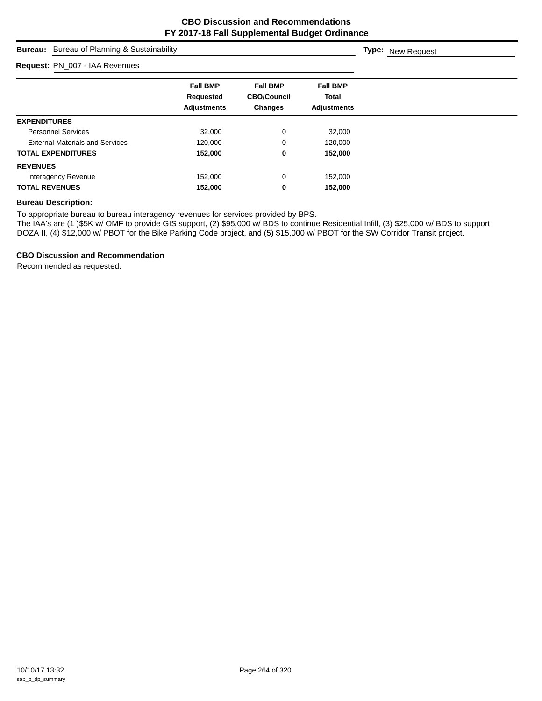## **Bureau:** Bureau of Planning & Sustainability

## **Request:** PN\_007 - IAA Revenues

| <b>Request:</b> PIN_007 - IAA Revenues |                                                    |                                                         |                                                |
|----------------------------------------|----------------------------------------------------|---------------------------------------------------------|------------------------------------------------|
|                                        | <b>Fall BMP</b><br>Requested<br><b>Adjustments</b> | <b>Fall BMP</b><br><b>CBO/Council</b><br><b>Changes</b> | <b>Fall BMP</b><br>Total<br><b>Adjustments</b> |
| <b>EXPENDITURES</b>                    |                                                    |                                                         |                                                |
| <b>Personnel Services</b>              | 32,000                                             | 0                                                       | 32,000                                         |
| <b>External Materials and Services</b> | 120.000                                            | 0                                                       | 120,000                                        |
| <b>TOTAL EXPENDITURES</b>              | 152,000                                            | 0                                                       | 152,000                                        |
| <b>REVENUES</b>                        |                                                    |                                                         |                                                |
| Interagency Revenue                    | 152,000                                            | 0                                                       | 152,000                                        |
| <b>TOTAL REVENUES</b>                  | 152,000                                            | 0                                                       | 152,000                                        |

## **Bureau Description:**

To appropriate bureau to bureau interagency revenues for services provided by BPS.

The IAA's are (1 )\$5K w/ OMF to provide GIS support, (2) \$95,000 w/ BDS to continue Residential Infill, (3) \$25,000 w/ BDS to support DOZA II, (4) \$12,000 w/ PBOT for the Bike Parking Code project, and (5) \$15,000 w/ PBOT for the SW Corridor Transit project.

#### **CBO Discussion and Recommendation**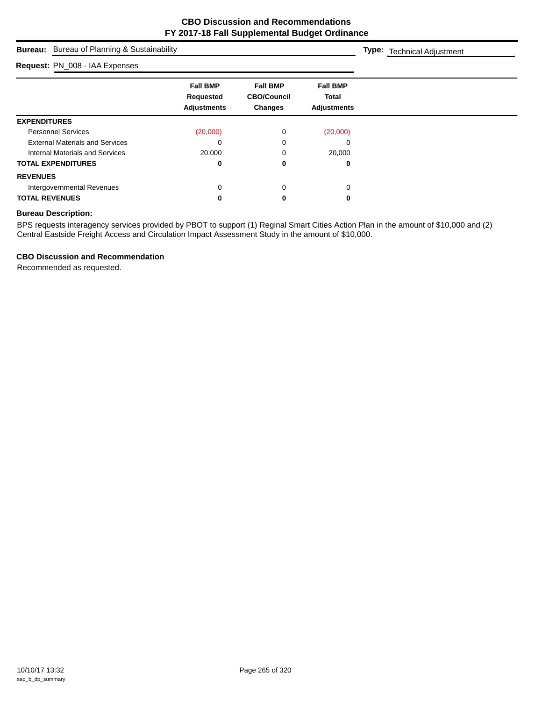**Type:** Technical Adjustment

## **Bureau:** Bureau of Planning & Sustainability

#### **Request:** PN\_008 - IAA Expenses

| <b>Request: PN_008 - IAA Expenses</b>  |                                                    |                                                         |                                                       |  |
|----------------------------------------|----------------------------------------------------|---------------------------------------------------------|-------------------------------------------------------|--|
|                                        | <b>Fall BMP</b><br>Requested<br><b>Adjustments</b> | <b>Fall BMP</b><br><b>CBO/Council</b><br><b>Changes</b> | <b>Fall BMP</b><br><b>Total</b><br><b>Adjustments</b> |  |
| <b>EXPENDITURES</b>                    |                                                    |                                                         |                                                       |  |
| <b>Personnel Services</b>              | (20,000)                                           | 0                                                       | (20,000)                                              |  |
| <b>External Materials and Services</b> | 0                                                  | 0                                                       | 0                                                     |  |
| Internal Materials and Services        | 20,000                                             | 0                                                       | 20,000                                                |  |
| <b>TOTAL EXPENDITURES</b>              |                                                    | 0                                                       | 0                                                     |  |
| <b>REVENUES</b>                        |                                                    |                                                         |                                                       |  |
| Intergovernmental Revenues             | 0                                                  | 0                                                       | 0                                                     |  |
| <b>TOTAL REVENUES</b>                  |                                                    | 0                                                       | 0                                                     |  |

#### **Bureau Description:**

BPS requests interagency services provided by PBOT to support (1) Reginal Smart Cities Action Plan in the amount of \$10,000 and (2) Central Eastside Freight Access and Circulation Impact Assessment Study in the amount of \$10,000.

#### **CBO Discussion and Recommendation**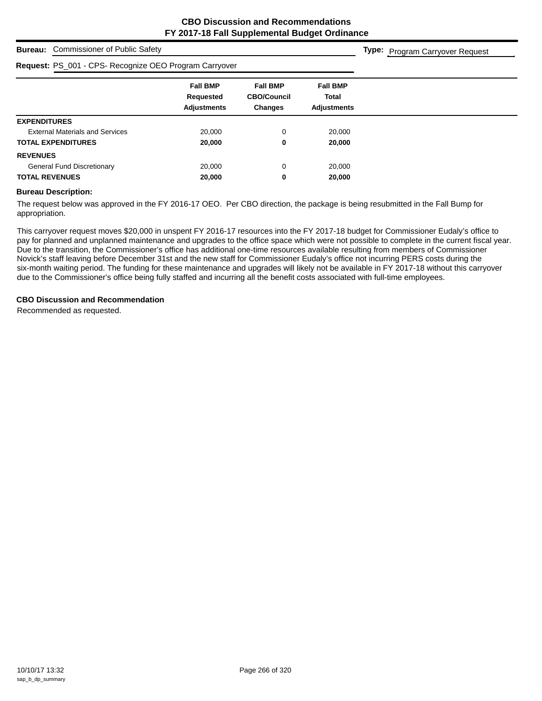**Type:** Program Carryover Request

## **Bureau:** Commissioner of Public Safety

## **Request:** PS\_001 - CPS- Recognize OEO Program Carryover

| Request: PS_001 - CPS- Recognize OEO Program Carryover |                                                    |                                                  |                                                       |
|--------------------------------------------------------|----------------------------------------------------|--------------------------------------------------|-------------------------------------------------------|
|                                                        | <b>Fall BMP</b><br>Requested<br><b>Adjustments</b> | <b>Fall BMP</b><br><b>CBO/Council</b><br>Changes | <b>Fall BMP</b><br><b>Total</b><br><b>Adiustments</b> |
| <b>EXPENDITURES</b>                                    |                                                    |                                                  |                                                       |
| <b>External Materials and Services</b>                 | 20,000                                             | $\Omega$                                         | 20,000                                                |
| <b>TOTAL EXPENDITURES</b>                              | 20,000                                             | 0                                                | 20,000                                                |
| <b>REVENUES</b>                                        |                                                    |                                                  |                                                       |
| <b>General Fund Discretionary</b>                      | 20,000                                             | 0                                                | 20,000                                                |
| <b>TOTAL REVENUES</b>                                  | 20,000                                             | 0                                                | 20,000                                                |

#### **Bureau Description:**

The request below was approved in the FY 2016-17 OEO. Per CBO direction, the package is being resubmitted in the Fall Bump for appropriation.

This carryover request moves \$20,000 in unspent FY 2016-17 resources into the FY 2017-18 budget for Commissioner Eudaly's office to pay for planned and unplanned maintenance and upgrades to the office space which were not possible to complete in the current fiscal year. Due to the transition, the Commissioner's office has additional one-time resources available resulting from members of Commissioner Novick's staff leaving before December 31st and the new staff for Commissioner Eudaly's office not incurring PERS costs during the six-month waiting period. The funding for these maintenance and upgrades will likely not be available in FY 2017-18 without this carryover due to the Commissioner's office being fully staffed and incurring all the benefit costs associated with full-time employees.

#### **CBO Discussion and Recommendation**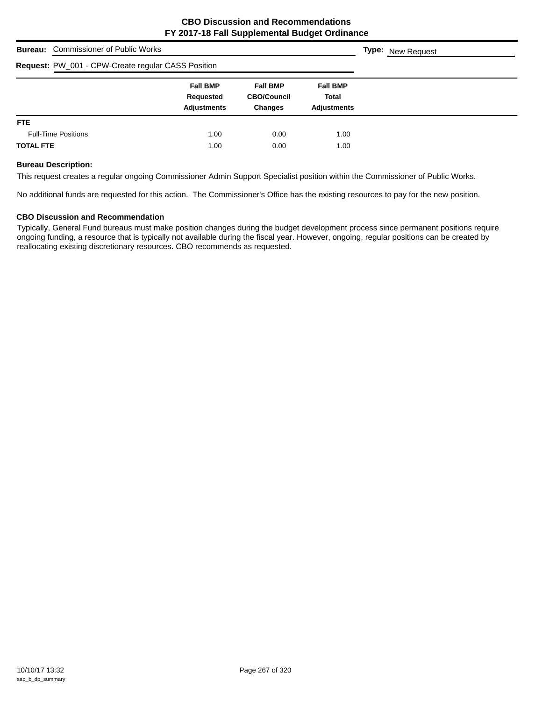|                  | <b>Bureau:</b> Commissioner of Public Works        |                                                    |                                                         |                                                       | <b>Type:</b> New Request |
|------------------|----------------------------------------------------|----------------------------------------------------|---------------------------------------------------------|-------------------------------------------------------|--------------------------|
|                  | Request: PW_001 - CPW-Create regular CASS Position |                                                    |                                                         |                                                       |                          |
|                  |                                                    | <b>Fall BMP</b><br>Requested<br><b>Adjustments</b> | <b>Fall BMP</b><br><b>CBO/Council</b><br><b>Changes</b> | <b>Fall BMP</b><br><b>Total</b><br><b>Adjustments</b> |                          |
| FTE.             |                                                    |                                                    |                                                         |                                                       |                          |
|                  | <b>Full-Time Positions</b>                         | 1.00                                               | 0.00                                                    | 1.00                                                  |                          |
| <b>TOTAL FTE</b> |                                                    | 1.00                                               | 0.00                                                    | 1.00                                                  |                          |

#### **Bureau Description:**

This request creates a regular ongoing Commissioner Admin Support Specialist position within the Commissioner of Public Works.

No additional funds are requested for this action. The Commissioner's Office has the existing resources to pay for the new position.

#### **CBO Discussion and Recommendation**

Typically, General Fund bureaus must make position changes during the budget development process since permanent positions require ongoing funding, a resource that is typically not available during the fiscal year. However, ongoing, regular positions can be created by reallocating existing discretionary resources. CBO recommends as requested.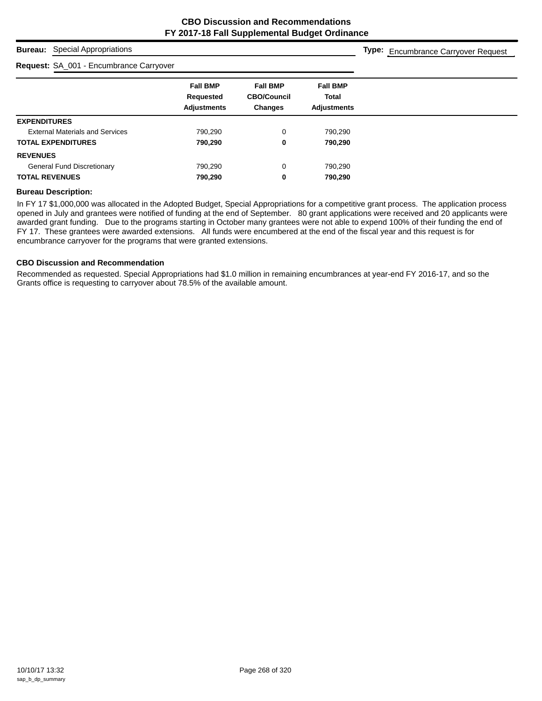## **Bureau:** Special Appropriations

## **Request:** SA\_001 - Encumbrance Carryover

**Type:** Encumbrance Carryover Request

|                                        | <b>Fall BMP</b>    | <b>Fall BMP</b>    | <b>Fall BMP</b>    |
|----------------------------------------|--------------------|--------------------|--------------------|
|                                        | Requested          | <b>CBO/Council</b> | <b>Total</b>       |
|                                        | <b>Adjustments</b> | <b>Changes</b>     | <b>Adjustments</b> |
| <b>EXPENDITURES</b>                    |                    |                    |                    |
| <b>External Materials and Services</b> | 790,290            | 0                  | 790,290            |
| <b>TOTAL EXPENDITURES</b>              | 790,290            | 0                  | 790,290            |
| <b>REVENUES</b>                        |                    |                    |                    |
| <b>General Fund Discretionary</b>      | 790,290            | $\Omega$           | 790,290            |
| <b>TOTAL REVENUES</b>                  | 790,290            | 0                  | 790,290            |
|                                        |                    |                    |                    |

#### **Bureau Description:**

In FY 17 \$1,000,000 was allocated in the Adopted Budget, Special Appropriations for a competitive grant process. The application process opened in July and grantees were notified of funding at the end of September. 80 grant applications were received and 20 applicants were awarded grant funding. Due to the programs starting in October many grantees were not able to expend 100% of their funding the end of FY 17. These grantees were awarded extensions. All funds were encumbered at the end of the fiscal year and this request is for encumbrance carryover for the programs that were granted extensions.

#### **CBO Discussion and Recommendation**

Recommended as requested. Special Appropriations had \$1.0 million in remaining encumbrances at year-end FY 2016-17, and so the Grants office is requesting to carryover about 78.5% of the available amount.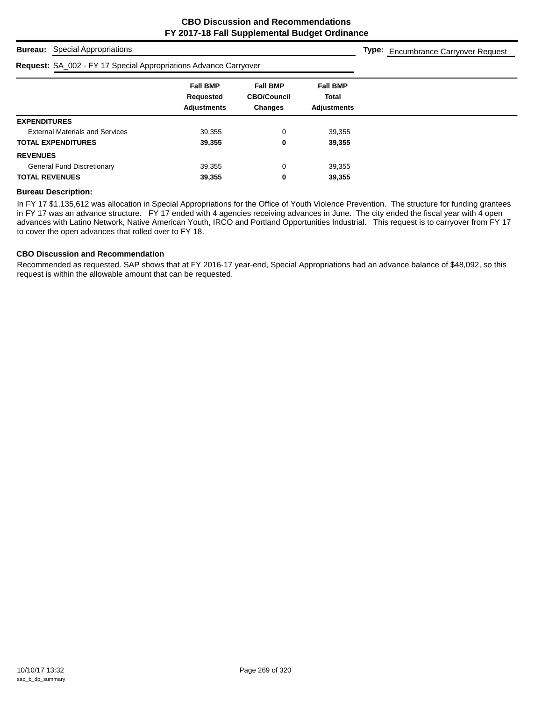## **Bureau:** Special Appropriations

#### **Request:** SA\_002 - FY 17 Special Appropriations Advance Carryover

**Type:** Encumbrance Carryover Request

| <b>Fall BMP</b><br><b>Fall BMP</b><br><b>Fall BMP</b><br><b>CBO/Council</b><br><b>Total</b><br>Requested<br><b>Adjustments</b><br><b>Changes</b><br><b>Adjustments</b><br><b>EXPENDITURES</b><br><b>External Materials and Services</b><br>39,355<br>0<br>39,355<br><b>TOTAL EXPENDITURES</b><br>39,355<br>39,355<br>0<br><b>REVENUES</b> | . .<br>. .                        |        |   |        |
|-------------------------------------------------------------------------------------------------------------------------------------------------------------------------------------------------------------------------------------------------------------------------------------------------------------------------------------------|-----------------------------------|--------|---|--------|
|                                                                                                                                                                                                                                                                                                                                           |                                   |        |   |        |
|                                                                                                                                                                                                                                                                                                                                           |                                   |        |   |        |
|                                                                                                                                                                                                                                                                                                                                           |                                   |        |   |        |
|                                                                                                                                                                                                                                                                                                                                           |                                   |        |   |        |
|                                                                                                                                                                                                                                                                                                                                           |                                   |        |   |        |
|                                                                                                                                                                                                                                                                                                                                           |                                   |        |   |        |
|                                                                                                                                                                                                                                                                                                                                           | <b>General Fund Discretionary</b> | 39,355 | 0 | 39,355 |
| <b>TOTAL REVENUES</b><br>39,355<br>39,355<br>0                                                                                                                                                                                                                                                                                            |                                   |        |   |        |

#### **Bureau Description:**

In FY 17 \$1,135,612 was allocation in Special Appropriations for the Office of Youth Violence Prevention. The structure for funding grantees in FY 17 was an advance structure. FY 17 ended with 4 agencies receiving advances in June. The city ended the fiscal year with 4 open advances with Latino Network, Native American Youth, IRCO and Portland Opportunities Industrial. This request is to carryover from FY 17 to cover the open advances that rolled over to FY 18.

#### **CBO Discussion and Recommendation**

Recommended as requested. SAP shows that at FY 2016-17 year-end, Special Appropriations had an advance balance of \$48,092, so this request is within the allowable amount that can be requested.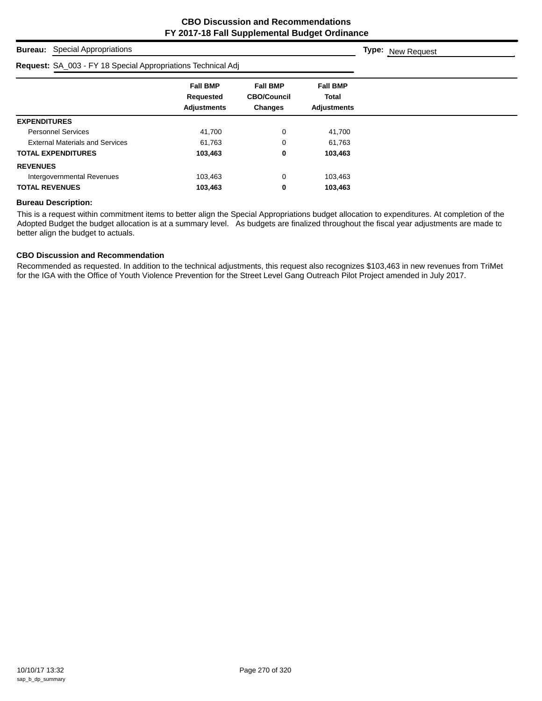## **Bureau:** Special Appropriations

## **Request:** SA\_003 - FY 18 Special Appropriations Technical Adj

| <b>Request:</b> SA_003 - FY 18 Special Appropriations Technical Adj |                                                    |                                                         |                                                       |  |
|---------------------------------------------------------------------|----------------------------------------------------|---------------------------------------------------------|-------------------------------------------------------|--|
|                                                                     | <b>Fall BMP</b><br>Requested<br><b>Adjustments</b> | <b>Fall BMP</b><br><b>CBO/Council</b><br><b>Changes</b> | <b>Fall BMP</b><br><b>Total</b><br><b>Adjustments</b> |  |
| <b>EXPENDITURES</b>                                                 |                                                    |                                                         |                                                       |  |
| <b>Personnel Services</b>                                           | 41,700                                             | 0                                                       | 41,700                                                |  |
| <b>External Materials and Services</b>                              | 61.763                                             | 0                                                       | 61.763                                                |  |
| <b>TOTAL EXPENDITURES</b>                                           | 103,463                                            | 0                                                       | 103,463                                               |  |
| <b>REVENUES</b>                                                     |                                                    |                                                         |                                                       |  |
| Intergovernmental Revenues                                          | 103,463                                            | 0                                                       | 103,463                                               |  |
| <b>TOTAL REVENUES</b>                                               | 103,463                                            | 0                                                       | 103,463                                               |  |

#### **Bureau Description:**

This is a request within commitment items to better align the Special Appropriations budget allocation to expenditures. At completion of the Adopted Budget the budget allocation is at a summary level. As budgets are finalized throughout the fiscal year adjustments are made to better align the budget to actuals.

#### **CBO Discussion and Recommendation**

Recommended as requested. In addition to the technical adjustments, this request also recognizes \$103,463 in new revenues from TriMet for the IGA with the Office of Youth Violence Prevention for the Street Level Gang Outreach Pilot Project amended in July 2017.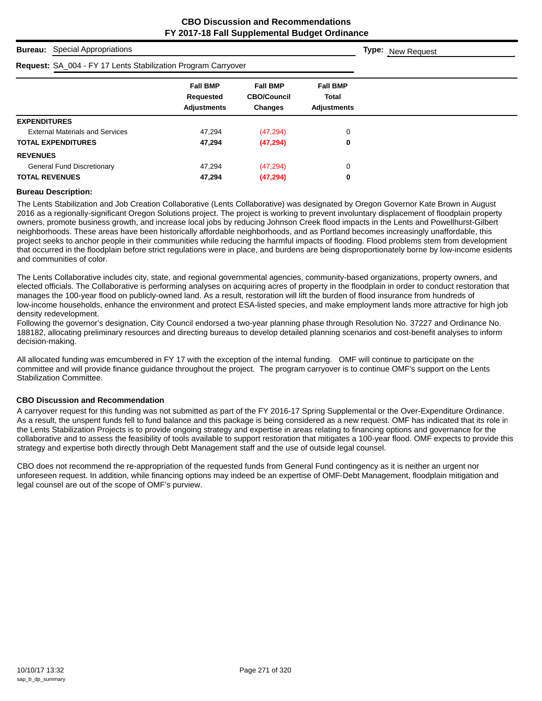## **Bureau:** Special Appropriations

#### **Request:** SA\_004 - FY 17 Lents Stabilization Program Carryover

| <b>Request:</b> SA_004 - FY 17 Lents Stabilization Program Carryover |                                                    |                                                         |                                                |  |
|----------------------------------------------------------------------|----------------------------------------------------|---------------------------------------------------------|------------------------------------------------|--|
|                                                                      | <b>Fall BMP</b><br>Requested<br><b>Adjustments</b> | <b>Fall BMP</b><br><b>CBO/Council</b><br><b>Changes</b> | <b>Fall BMP</b><br>Total<br><b>Adjustments</b> |  |
| <b>EXPENDITURES</b>                                                  |                                                    |                                                         |                                                |  |
| <b>External Materials and Services</b>                               | 47.294                                             | (47, 294)                                               | 0                                              |  |
| <b>TOTAL EXPENDITURES</b>                                            | 47,294                                             | (47, 294)                                               | 0                                              |  |
| <b>REVENUES</b>                                                      |                                                    |                                                         |                                                |  |
| <b>General Fund Discretionary</b>                                    | 47.294                                             | (47, 294)                                               | 0                                              |  |
| <b>TOTAL REVENUES</b>                                                | 47,294                                             | (47, 294)                                               | 0                                              |  |

#### **Bureau Description:**

The Lents Stabilization and Job Creation Collaborative (Lents Collaborative) was designated by Oregon Governor Kate Brown in August 2016 as a regionally-significant Oregon Solutions project. The project is working to prevent involuntary displacement of floodplain property owners, promote business growth, and increase local jobs by reducing Johnson Creek flood impacts in the Lents and Powellhurst-Gilbert neighborhoods. These areas have been historically affordable neighborhoods, and as Portland becomes increasingly unaffordable, this project seeks to anchor people in their communities while reducing the harmful impacts of flooding. Flood problems stem from development that occurred in the floodplain before strict regulations were in place, and burdens are being disproportionately borne by low-income esidents and communities of color.

The Lents Collaborative includes city, state, and regional governmental agencies, community-based organizations, property owners, and elected officials. The Collaborative is performing analyses on acquiring acres of property in the floodplain in order to conduct restoration that manages the 100-year flood on publicly-owned land. As a result, restoration will lift the burden of flood insurance from hundreds of low-income households, enhance the environment and protect ESA-listed species, and make employment lands more attractive for high job density redevelopment.

Following the governor's designation, City Council endorsed a two-year planning phase through Resolution No. 37227 and Ordinance No. 188182, allocating preliminary resources and directing bureaus to develop detailed planning scenarios and cost-benefit analyses to inform decision-making.

All allocated funding was emcumbered in FY 17 with the exception of the internal funding. OMF will continue to participate on the committee and will provide finance guidance throughout the project. The program carryover is to continue OMF's support on the Lents Stabilization Committee.

#### **CBO Discussion and Recommendation**

A carryover request for this funding was not submitted as part of the FY 2016-17 Spring Supplemental or the Over-Expenditure Ordinance. As a result, the unspent funds fell to fund balance and this package is being considered as a new request. OMF has indicated that its role in the Lents Stabilization Projects is to provide ongoing strategy and expertise in areas relating to financing options and governance for the collaborative and to assess the feasibility of tools available to support restoration that mitigates a 100-year flood. OMF expects to provide this strategy and expertise both directly through Debt Management staff and the use of outside legal counsel.

CBO does not recommend the re-appropriation of the requested funds from General Fund contingency as it is neither an urgent nor unforeseen request. In addition, while financing options may indeed be an expertise of OMF-Debt Management, floodplain mitigation and legal counsel are out of the scope of OMF's purview.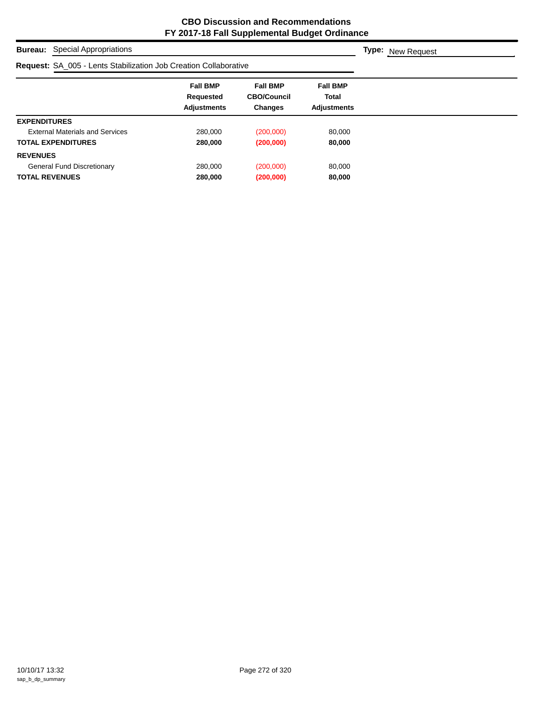**Bureau:** Special Appropriations

| <b>Request: SA_005 - Lents Stabilization Job Creation Collaborative</b> |                                                    |                                                         |                                                       |  |
|-------------------------------------------------------------------------|----------------------------------------------------|---------------------------------------------------------|-------------------------------------------------------|--|
|                                                                         | <b>Fall BMP</b><br>Requested<br><b>Adjustments</b> | <b>Fall BMP</b><br><b>CBO/Council</b><br><b>Changes</b> | <b>Fall BMP</b><br><b>Total</b><br><b>Adjustments</b> |  |
| <b>EXPENDITURES</b>                                                     |                                                    |                                                         |                                                       |  |
| <b>External Materials and Services</b>                                  | 280.000                                            | (200,000)                                               | 80,000                                                |  |
| <b>TOTAL EXPENDITURES</b>                                               | 280,000                                            | (200,000)                                               | 80,000                                                |  |
| <b>REVENUES</b>                                                         |                                                    |                                                         |                                                       |  |
| General Fund Discretionary                                              | 280.000                                            | (200,000)                                               | 80.000                                                |  |
| <b>TOTAL REVENUES</b>                                                   | 280,000                                            | (200,000)                                               | 80,000                                                |  |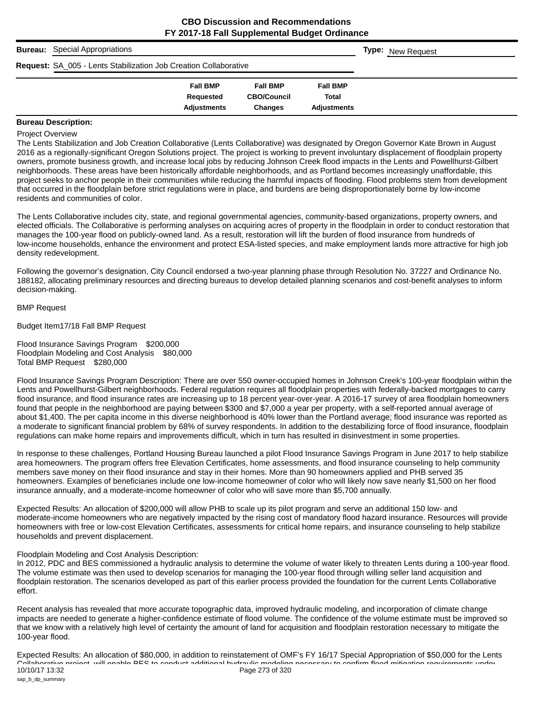| <b>Bureau:</b> Special Appropriations                                   |                    |                    |                    | <b>Type:</b> New Request |
|-------------------------------------------------------------------------|--------------------|--------------------|--------------------|--------------------------|
| <b>Request: SA_005 - Lents Stabilization Job Creation Collaborative</b> |                    |                    |                    |                          |
|                                                                         | <b>Fall BMP</b>    | <b>Fall BMP</b>    | <b>Fall BMP</b>    |                          |
|                                                                         | Requested          | <b>CBO/Council</b> | <b>Total</b>       |                          |
|                                                                         | <b>Adjustments</b> | <b>Changes</b>     | <b>Adjustments</b> |                          |

## **Bureau Description:**

#### Project Overview

The Lents Stabilization and Job Creation Collaborative (Lents Collaborative) was designated by Oregon Governor Kate Brown in August 2016 as a regionally-significant Oregon Solutions project. The project is working to prevent involuntary displacement of floodplain property owners, promote business growth, and increase local jobs by reducing Johnson Creek flood impacts in the Lents and Powellhurst-Gilbert neighborhoods. These areas have been historically affordable neighborhoods, and as Portland becomes increasingly unaffordable, this project seeks to anchor people in their communities while reducing the harmful impacts of flooding. Flood problems stem from development that occurred in the floodplain before strict regulations were in place, and burdens are being disproportionately borne by low-income residents and communities of color.

The Lents Collaborative includes city, state, and regional governmental agencies, community-based organizations, property owners, and elected officials. The Collaborative is performing analyses on acquiring acres of property in the floodplain in order to conduct restoration that manages the 100-year flood on publicly-owned land. As a result, restoration will lift the burden of flood insurance from hundreds of low-income households, enhance the environment and protect ESA-listed species, and make employment lands more attractive for high job density redevelopment.

Following the governor's designation, City Council endorsed a two-year planning phase through Resolution No. 37227 and Ordinance No. 188182, allocating preliminary resources and directing bureaus to develop detailed planning scenarios and cost-benefit analyses to inform decision-making.

#### BMP Request

Budget Item17/18 Fall BMP Request

Flood Insurance Savings Program \$200,000 Floodplain Modeling and Cost Analysis \$80,000 Total BMP Request \$280,000

Flood Insurance Savings Program Description: There are over 550 owner-occupied homes in Johnson Creek's 100-year floodplain within the Lents and Powellhurst-Gilbert neighborhoods. Federal regulation requires all floodplain properties with federally-backed mortgages to carry flood insurance, and flood insurance rates are increasing up to 18 percent year-over-year. A 2016-17 survey of area floodplain homeowners found that people in the neighborhood are paying between \$300 and \$7,000 a year per property, with a self-reported annual average of about \$1,400. The per capita income in this diverse neighborhood is 40% lower than the Portland average; flood insurance was reported as a moderate to significant financial problem by 68% of survey respondents. In addition to the destabilizing force of flood insurance, floodplain regulations can make home repairs and improvements difficult, which in turn has resulted in disinvestment in some properties.

In response to these challenges, Portland Housing Bureau launched a pilot Flood Insurance Savings Program in June 2017 to help stabilize area homeowners. The program offers free Elevation Certificates, home assessments, and flood insurance counseling to help community members save money on their flood insurance and stay in their homes. More than 90 homeowners applied and PHB served 35 homeowners. Examples of beneficiaries include one low-income homeowner of color who will likely now save nearly \$1,500 on her flood insurance annually, and a moderate-income homeowner of color who will save more than \$5,700 annually.

Expected Results: An allocation of \$200,000 will allow PHB to scale up its pilot program and serve an additional 150 low- and moderate-income homeowners who are negatively impacted by the rising cost of mandatory flood hazard insurance. Resources will provide homeowners with free or low-cost Elevation Certificates, assessments for critical home repairs, and insurance counseling to help stabilize households and prevent displacement.

#### Floodplain Modeling and Cost Analysis Description:

In 2012, PDC and BES commissioned a hydraulic analysis to determine the volume of water likely to threaten Lents during a 100-year flood. The volume estimate was then used to develop scenarios for managing the 100-year flood through willing seller land acquisition and floodplain restoration. The scenarios developed as part of this earlier process provided the foundation for the current Lents Collaborative effort.

Recent analysis has revealed that more accurate topographic data, improved hydraulic modeling, and incorporation of climate change impacts are needed to generate a higher-confidence estimate of flood volume. The confidence of the volume estimate must be improved so that we know with a relatively high level of certainty the amount of land for acquisition and floodplain restoration necessary to mitigate the 100-year flood.

Expected Results: An allocation of \$80,000, in addition to reinstatement of OMF's FY 16/17 Special Appropriation of \$50,000 for the Lents Collaborative project will enable BES to conduct additional hydraulic modeling necessary to confirm flood mitigation requirements under 10/10/17 13:32 sap\_b\_dp\_summary Page 273 of 320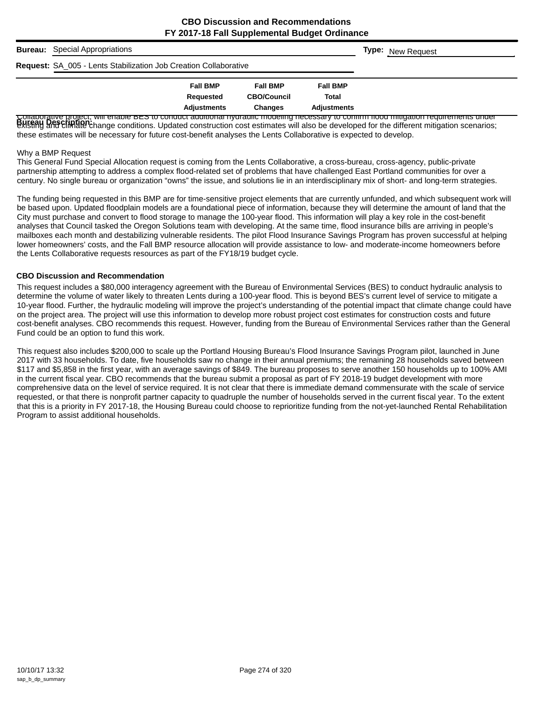| <b>Bureau:</b> Special Appropriations                                   |                    |                    |                    | <b>Type:</b> New Request                                                                                                                                                                                                       |
|-------------------------------------------------------------------------|--------------------|--------------------|--------------------|--------------------------------------------------------------------------------------------------------------------------------------------------------------------------------------------------------------------------------|
| <b>Request: SA_005 - Lents Stabilization Job Creation Collaborative</b> |                    |                    |                    |                                                                                                                                                                                                                                |
|                                                                         | <b>Fall BMP</b>    | <b>Fall BMP</b>    | <b>Fall BMP</b>    |                                                                                                                                                                                                                                |
|                                                                         | Requested          | <b>CBO/Council</b> | Total              |                                                                                                                                                                                                                                |
| $\mathbf{1}$ , and satisfied the satisfactor of the theories of         | <b>Adjustments</b> | <b>Changes</b>     | <b>Adiustments</b> | MORE CONSTITUTION OF STATISTICS INTO THE RESERVED OF THE CONSTITUTION OF THE CONSTITUTION OF THE CONSTITUTION OF THE CONSTITUTION OF THE CONSTITUTION OF THE CONSTITUTION OF THE CONSTITUTION OF THE CONSTITUTION OF THE CONST |

്രാത്താന് സെല്ലറുത്ത് അവലെ മുടാ സാന്ദരണത്തിന് സ്ഥാപന സാന്ദരണ അക്ഷ്യ സാന്ദരണ സാന്ദരണ അവലെ അവലെ അവലെ പ്രാഭാഗങ്ങ<br>Bureau Description<br>existing and climate change conditions. Updated construction cost estimates will also be de these estimates will be necessary for future cost-benefit analyses the Lents Collaborative is expected to develop.

#### Why a BMP Request

This General Fund Special Allocation request is coming from the Lents Collaborative, a cross-bureau, cross-agency, public-private partnership attempting to address a complex flood-related set of problems that have challenged East Portland communities for over a century. No single bureau or organization "owns" the issue, and solutions lie in an interdisciplinary mix of short- and long-term strategies.

The funding being requested in this BMP are for time-sensitive project elements that are currently unfunded, and which subsequent work will be based upon. Updated floodplain models are a foundational piece of information, because they will determine the amount of land that the City must purchase and convert to flood storage to manage the 100-year flood. This information will play a key role in the cost-benefit analyses that Council tasked the Oregon Solutions team with developing. At the same time, flood insurance bills are arriving in people's mailboxes each month and destabilizing vulnerable residents. The pilot Flood Insurance Savings Program has proven successful at helping lower homeowners' costs, and the Fall BMP resource allocation will provide assistance to low- and moderate-income homeowners before the Lents Collaborative requests resources as part of the FY18/19 budget cycle.

#### **CBO Discussion and Recommendation**

This request includes a \$80,000 interagency agreement with the Bureau of Environmental Services (BES) to conduct hydraulic analysis to determine the volume of water likely to threaten Lents during a 100-year flood. This is beyond BES's current level of service to mitigate a 10-year flood. Further, the hydraulic modeling will improve the project's understanding of the potential impact that climate change could have on the project area. The project will use this information to develop more robust project cost estimates for construction costs and future cost-benefit analyses. CBO recommends this request. However, funding from the Bureau of Environmental Services rather than the General Fund could be an option to fund this work.

This request also includes \$200,000 to scale up the Portland Housing Bureau's Flood Insurance Savings Program pilot, launched in June 2017 with 33 households. To date, five households saw no change in their annual premiums; the remaining 28 households saved between \$117 and \$5,858 in the first year, with an average savings of \$849. The bureau proposes to serve another 150 households up to 100% AMI in the current fiscal year. CBO recommends that the bureau submit a proposal as part of FY 2018-19 budget development with more comprehensive data on the level of service required. It is not clear that there is immediate demand commensurate with the scale of service requested, or that there is nonprofit partner capacity to quadruple the number of households served in the current fiscal year. To the extent that this is a priority in FY 2017-18, the Housing Bureau could choose to reprioritize funding from the not-yet-launched Rental Rehabilitation Program to assist additional households.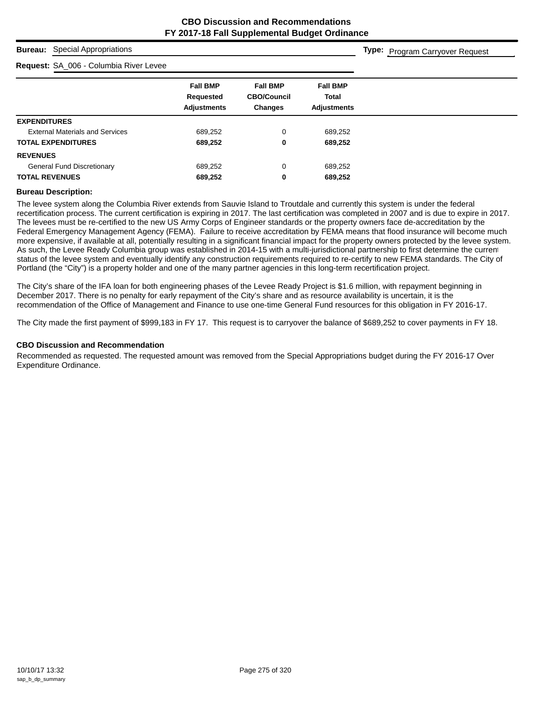**Type:** Program Carryover Request

#### **Bureau:** Special Appropriations

## **Request:** SA\_006 - Columbia River Levee

| <b>Request:</b> SA_000 - Columbia River Levee |                                                    |                                                         |                                                       |
|-----------------------------------------------|----------------------------------------------------|---------------------------------------------------------|-------------------------------------------------------|
|                                               | <b>Fall BMP</b><br>Requested<br><b>Adjustments</b> | <b>Fall BMP</b><br><b>CBO/Council</b><br><b>Changes</b> | <b>Fall BMP</b><br><b>Total</b><br><b>Adjustments</b> |
| <b>EXPENDITURES</b>                           |                                                    |                                                         |                                                       |
| <b>External Materials and Services</b>        | 689,252                                            | 0                                                       | 689,252                                               |
| <b>TOTAL EXPENDITURES</b>                     | 689,252                                            | 0                                                       | 689,252                                               |
| <b>REVENUES</b>                               |                                                    |                                                         |                                                       |
| <b>General Fund Discretionary</b>             | 689,252                                            | 0                                                       | 689,252                                               |
| <b>TOTAL REVENUES</b>                         | 689,252                                            | 0                                                       | 689,252                                               |

#### **Bureau Description:**

The levee system along the Columbia River extends from Sauvie Island to Troutdale and currently this system is under the federal recertification process. The current certification is expiring in 2017. The last certification was completed in 2007 and is due to expire in 2017. The levees must be re-certified to the new US Army Corps of Engineer standards or the property owners face de-accreditation by the Federal Emergency Management Agency (FEMA). Failure to receive accreditation by FEMA means that flood insurance will become much more expensive, if available at all, potentially resulting in a significant financial impact for the property owners protected by the levee system. As such, the Levee Ready Columbia group was established in 2014-15 with a multi-jurisdictional partnership to first determine the current status of the levee system and eventually identify any construction requirements required to re-certify to new FEMA standards. The City of Portland (the "City") is a property holder and one of the many partner agencies in this long-term recertification project.

The City's share of the IFA loan for both engineering phases of the Levee Ready Project is \$1.6 million, with repayment beginning in December 2017. There is no penalty for early repayment of the City's share and as resource availability is uncertain, it is the recommendation of the Office of Management and Finance to use one-time General Fund resources for this obligation in FY 2016-17.

The City made the first payment of \$999,183 in FY 17. This request is to carryover the balance of \$689,252 to cover payments in FY 18.

#### **CBO Discussion and Recommendation**

Recommended as requested. The requested amount was removed from the Special Appropriations budget during the FY 2016-17 Over Expenditure Ordinance.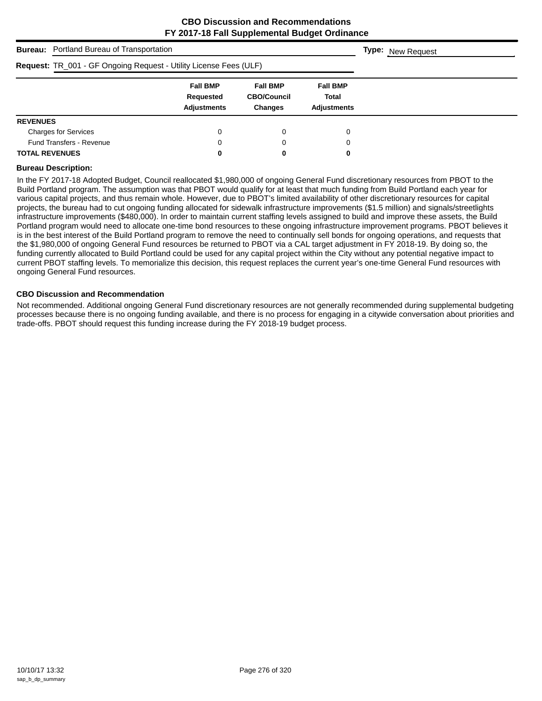| <b>Bureau:</b> Portland Bureau of Transportation                  |                                                    | <b>Type:</b> New Request                                |                                                |  |
|-------------------------------------------------------------------|----------------------------------------------------|---------------------------------------------------------|------------------------------------------------|--|
| Request: TR_001 - GF Ongoing Request - Utility License Fees (ULF) |                                                    |                                                         |                                                |  |
|                                                                   | <b>Fall BMP</b><br>Requested<br><b>Adjustments</b> | <b>Fall BMP</b><br><b>CBO/Council</b><br><b>Changes</b> | <b>Fall BMP</b><br>Total<br><b>Adjustments</b> |  |
| <b>REVENUES</b>                                                   |                                                    |                                                         |                                                |  |
| <b>Charges for Services</b>                                       | 0                                                  | 0                                                       | 0                                              |  |
| <b>Fund Transfers - Revenue</b>                                   | 0                                                  | 0                                                       | 0                                              |  |
| <b>TOTAL REVENUES</b>                                             | 0                                                  | 0                                                       | 0                                              |  |

#### **Bureau Description:**

In the FY 2017-18 Adopted Budget, Council reallocated \$1,980,000 of ongoing General Fund discretionary resources from PBOT to the Build Portland program. The assumption was that PBOT would qualify for at least that much funding from Build Portland each year for various capital projects, and thus remain whole. However, due to PBOT's limited availability of other discretionary resources for capital projects, the bureau had to cut ongoing funding allocated for sidewalk infrastructure improvements (\$1.5 million) and signals/streetlights infrastructure improvements (\$480,000). In order to maintain current staffing levels assigned to build and improve these assets, the Build Portland program would need to allocate one-time bond resources to these ongoing infrastructure improvement programs. PBOT believes it is in the best interest of the Build Portland program to remove the need to continually sell bonds for ongoing operations, and requests that the \$1,980,000 of ongoing General Fund resources be returned to PBOT via a CAL target adjustment in FY 2018-19. By doing so, the funding currently allocated to Build Portland could be used for any capital project within the City without any potential negative impact to current PBOT staffing levels. To memorialize this decision, this request replaces the current year's one-time General Fund resources with ongoing General Fund resources.

#### **CBO Discussion and Recommendation**

Not recommended. Additional ongoing General Fund discretionary resources are not generally recommended during supplemental budgeting processes because there is no ongoing funding available, and there is no process for engaging in a citywide conversation about priorities and trade-offs. PBOT should request this funding increase during the FY 2018-19 budget process.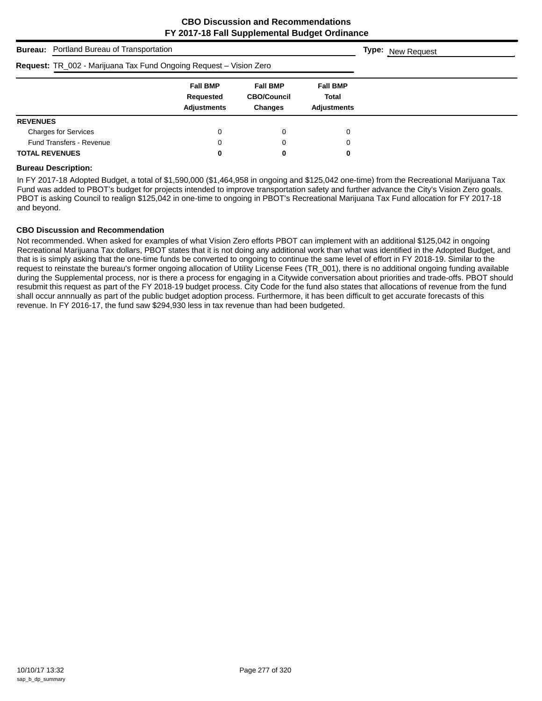| <b>Bureau:</b> Portland Bureau of Transportation                   | <b>Type:</b> New Request                           |                                                         |                                                       |  |
|--------------------------------------------------------------------|----------------------------------------------------|---------------------------------------------------------|-------------------------------------------------------|--|
| Request: TR_002 - Marijuana Tax Fund Ongoing Request - Vision Zero |                                                    |                                                         |                                                       |  |
|                                                                    | <b>Fall BMP</b><br>Requested<br><b>Adjustments</b> | <b>Fall BMP</b><br><b>CBO/Council</b><br><b>Changes</b> | <b>Fall BMP</b><br><b>Total</b><br><b>Adjustments</b> |  |
| <b>REVENUES</b>                                                    |                                                    |                                                         |                                                       |  |
| <b>Charges for Services</b>                                        | 0                                                  | 0                                                       | 0                                                     |  |
| <b>Fund Transfers - Revenue</b>                                    | 0                                                  | 0                                                       | 0                                                     |  |
| <b>TOTAL REVENUES</b>                                              | 0                                                  | 0                                                       | 0                                                     |  |

### **Bureau Description:**

In FY 2017-18 Adopted Budget, a total of \$1,590,000 (\$1,464,958 in ongoing and \$125,042 one-time) from the Recreational Marijuana Tax Fund was added to PBOT's budget for projects intended to improve transportation safety and further advance the City's Vision Zero goals. PBOT is asking Council to realign \$125,042 in one-time to ongoing in PBOT's Recreational Marijuana Tax Fund allocation for FY 2017-18 and beyond.

#### **CBO Discussion and Recommendation**

Not recommended. When asked for examples of what Vision Zero efforts PBOT can implement with an additional \$125,042 in ongoing Recreational Marijuana Tax dollars, PBOT states that it is not doing any additional work than what was identified in the Adopted Budget, and that is is simply asking that the one-time funds be converted to ongoing to continue the same level of effort in FY 2018-19. Similar to the request to reinstate the bureau's former ongoing allocation of Utility License Fees (TR\_001), there is no additional ongoing funding available during the Supplemental process, nor is there a process for engaging in a Citywide conversation about priorities and trade-offs. PBOT should resubmit this request as part of the FY 2018-19 budget process. City Code for the fund also states that allocations of revenue from the fund shall occur annnually as part of the public budget adoption process. Furthermore, it has been difficult to get accurate forecasts of this revenue. In FY 2016-17, the fund saw \$294,930 less in tax revenue than had been budgeted.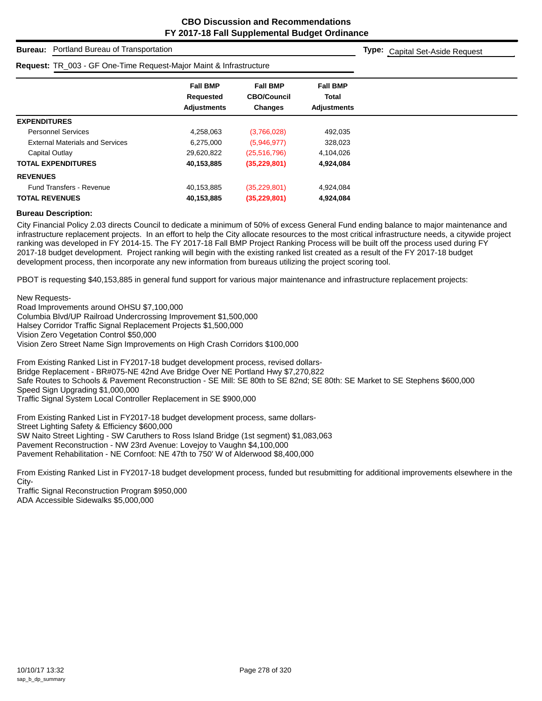## **Bureau:** Portland Bureau of Transportation

#### **Request:** TR\_003 - GF One-Time Request-Major Maint & Infrastructure

**Type:** Capital Set-Aside Request

|                                        | <b>Fall BMP</b><br>Requested<br><b>Adjustments</b> | <b>Fall BMP</b><br><b>CBO/Council</b><br><b>Changes</b> | <b>Fall BMP</b><br><b>Total</b><br><b>Adjustments</b> |  |  |
|----------------------------------------|----------------------------------------------------|---------------------------------------------------------|-------------------------------------------------------|--|--|
| <b>EXPENDITURES</b>                    |                                                    |                                                         |                                                       |  |  |
| <b>Personnel Services</b>              | 4,258,063                                          | (3,766,028)                                             | 492,035                                               |  |  |
| <b>External Materials and Services</b> | 6,275,000                                          | (5,946,977)                                             | 328,023                                               |  |  |
| Capital Outlay                         | 29,620,822                                         | (25,516,796)                                            | 4,104,026                                             |  |  |
| <b>TOTAL EXPENDITURES</b>              | 40,153,885                                         | (35, 229, 801)                                          | 4,924,084                                             |  |  |
| <b>REVENUES</b>                        |                                                    |                                                         |                                                       |  |  |
| <b>Fund Transfers - Revenue</b>        | 40,153,885                                         | (35, 229, 801)                                          | 4,924,084                                             |  |  |
| <b>TOTAL REVENUES</b>                  | 40,153,885                                         | (35, 229, 801)                                          | 4,924,084                                             |  |  |

#### **Bureau Description:**

City Financial Policy 2.03 directs Council to dedicate a minimum of 50% of excess General Fund ending balance to major maintenance and infrastructure replacement projects. In an effort to help the City allocate resources to the most critical infrastructure needs, a citywide project ranking was developed in FY 2014-15. The FY 2017-18 Fall BMP Project Ranking Process will be built off the process used during FY 2017-18 budget development. Project ranking will begin with the existing ranked list created as a result of the FY 2017-18 budget development process, then incorporate any new information from bureaus utilizing the project scoring tool.

PBOT is requesting \$40,153,885 in general fund support for various major maintenance and infrastructure replacement projects:

New Requests-Road Improvements around OHSU \$7,100,000 Columbia Blvd/UP Railroad Undercrossing Improvement \$1,500,000 Halsey Corridor Traffic Signal Replacement Projects \$1,500,000 Vision Zero Vegetation Control \$50,000 Vision Zero Street Name Sign Improvements on High Crash Corridors \$100,000

From Existing Ranked List in FY2017-18 budget development process, revised dollars-Bridge Replacement - BR#075-NE 42nd Ave Bridge Over NE Portland Hwy \$7,270,822 Safe Routes to Schools & Pavement Reconstruction - SE Mill: SE 80th to SE 82nd; SE 80th: SE Market to SE Stephens \$600,000 Speed Sign Upgrading \$1,000,000 Traffic Signal System Local Controller Replacement in SE \$900,000

From Existing Ranked List in FY2017-18 budget development process, same dollars-Street Lighting Safety & Efficiency \$600,000 SW Naito Street Lighting - SW Caruthers to Ross Island Bridge (1st segment) \$1,083,063 Pavement Reconstruction - NW 23rd Avenue: Lovejoy to Vaughn \$4,100,000 Pavement Rehabilitation - NE Cornfoot: NE 47th to 750' W of Alderwood \$8,400,000

From Existing Ranked List in FY2017-18 budget development process, funded but resubmitting for additional improvements elsewhere in the City-

Traffic Signal Reconstruction Program \$950,000 ADA Accessible Sidewalks \$5,000,000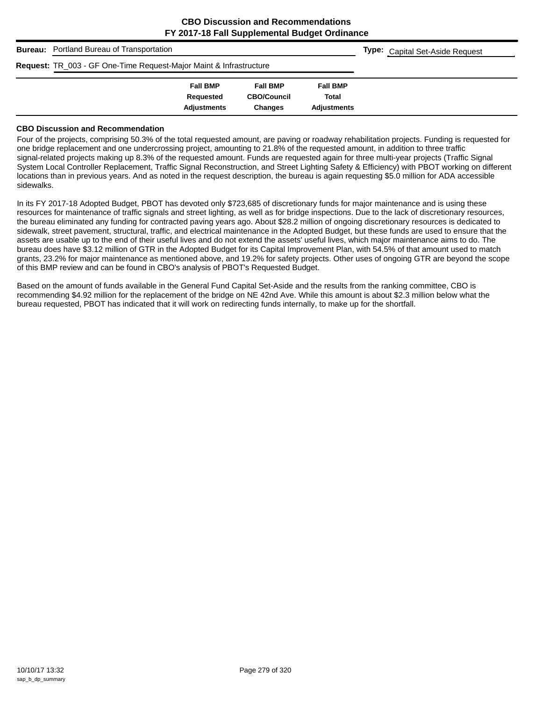| <b>Bureau:</b> Portland Bureau of Transportation                              | <b>Type:</b> Capital Set-Aside Request |                    |                    |  |
|-------------------------------------------------------------------------------|----------------------------------------|--------------------|--------------------|--|
| <b>Request: TR_003 - GF One-Time Request-Major Maint &amp; Infrastructure</b> |                                        |                    |                    |  |
|                                                                               | <b>Fall BMP</b>                        | <b>Fall BMP</b>    | <b>Fall BMP</b>    |  |
|                                                                               | Requested                              | <b>CBO/Council</b> | Total              |  |
|                                                                               | <b>Adjustments</b>                     | <b>Changes</b>     | <b>Adjustments</b> |  |

#### **CBO Discussion and Recommendation**

Four of the projects, comprising 50.3% of the total requested amount, are paving or roadway rehabilitation projects. Funding is requested for one bridge replacement and one undercrossing project, amounting to 21.8% of the requested amount, in addition to three traffic signal-related projects making up 8.3% of the requested amount. Funds are requested again for three multi-year projects (Traffic Signal System Local Controller Replacement, Traffic Signal Reconstruction, and Street Lighting Safety & Efficiency) with PBOT working on different locations than in previous years. And as noted in the request description, the bureau is again requesting \$5.0 million for ADA accessible sidewalks.

In its FY 2017-18 Adopted Budget, PBOT has devoted only \$723,685 of discretionary funds for major maintenance and is using these resources for maintenance of traffic signals and street lighting, as well as for bridge inspections. Due to the lack of discretionary resources, the bureau eliminated any funding for contracted paving years ago. About \$28.2 million of ongoing discretionary resources is dedicated to sidewalk, street pavement, structural, traffic, and electrical maintenance in the Adopted Budget, but these funds are used to ensure that the assets are usable up to the end of their useful lives and do not extend the assets' useful lives, which major maintenance aims to do. The bureau does have \$3.12 million of GTR in the Adopted Budget for its Capital Improvement Plan, with 54.5% of that amount used to match grants, 23.2% for major maintenance as mentioned above, and 19.2% for safety projects. Other uses of ongoing GTR are beyond the scope of this BMP review and can be found in CBO's analysis of PBOT's Requested Budget.

Based on the amount of funds available in the General Fund Capital Set-Aside and the results from the ranking committee, CBO is recommending \$4.92 million for the replacement of the bridge on NE 42nd Ave. While this amount is about \$2.3 million below what the bureau requested, PBOT has indicated that it will work on redirecting funds internally, to make up for the shortfall.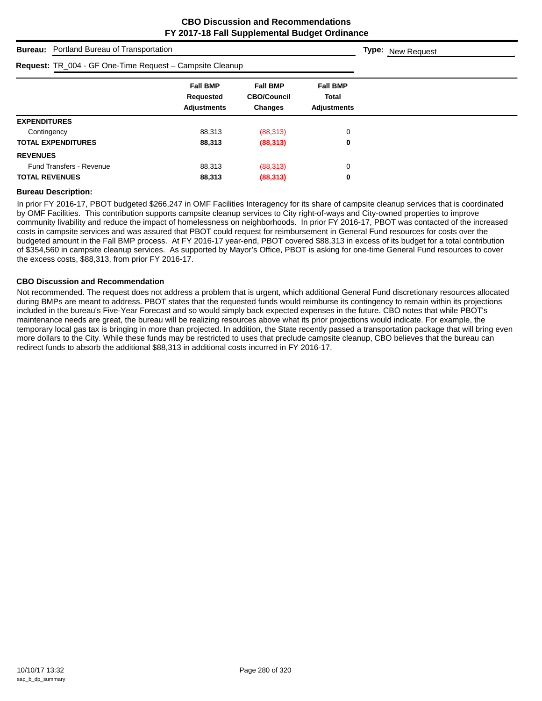|                       | <b>Bureau:</b> Portland Bureau of Transportation         | <b>Type:</b> New Request                           |                                                  |                                                       |  |
|-----------------------|----------------------------------------------------------|----------------------------------------------------|--------------------------------------------------|-------------------------------------------------------|--|
|                       | Request: TR_004 - GF One-Time Request - Campsite Cleanup |                                                    |                                                  |                                                       |  |
|                       |                                                          | <b>Fall BMP</b><br>Requested<br><b>Adjustments</b> | <b>Fall BMP</b><br><b>CBO/Council</b><br>Changes | <b>Fall BMP</b><br><b>Total</b><br><b>Adjustments</b> |  |
| <b>EXPENDITURES</b>   |                                                          |                                                    |                                                  |                                                       |  |
| Contingency           |                                                          | 88,313                                             | (88, 313)                                        | 0                                                     |  |
|                       | <b>TOTAL EXPENDITURES</b>                                | 88,313                                             | (88, 313)                                        | 0                                                     |  |
| <b>REVENUES</b>       |                                                          |                                                    |                                                  |                                                       |  |
|                       | <b>Fund Transfers - Revenue</b>                          | 88.313                                             | (88, 313)                                        | 0                                                     |  |
| <b>TOTAL REVENUES</b> |                                                          | 88,313                                             | (88, 313)                                        | 0                                                     |  |

#### **Bureau Description:**

In prior FY 2016-17, PBOT budgeted \$266,247 in OMF Facilities Interagency for its share of campsite cleanup services that is coordinated by OMF Facilities. This contribution supports campsite cleanup services to City right-of-ways and City-owned properties to improve community livability and reduce the impact of homelessness on neighborhoods. In prior FY 2016-17, PBOT was contacted of the increased costs in campsite services and was assured that PBOT could request for reimbursement in General Fund resources for costs over the budgeted amount in the Fall BMP process. At FY 2016-17 year-end, PBOT covered \$88,313 in excess of its budget for a total contribution of \$354,560 in campsite cleanup services. As supported by Mayor's Office, PBOT is asking for one-time General Fund resources to cover the excess costs, \$88,313, from prior FY 2016-17.

#### **CBO Discussion and Recommendation**

Not recommended. The request does not address a problem that is urgent, which additional General Fund discretionary resources allocated during BMPs are meant to address. PBOT states that the requested funds would reimburse its contingency to remain within its projections included in the bureau's Five-Year Forecast and so would simply back expected expenses in the future. CBO notes that while PBOT's maintenance needs are great, the bureau will be realizing resources above what its prior projections would indicate. For example, the temporary local gas tax is bringing in more than projected. In addition, the State recently passed a transportation package that will bring even more dollars to the City. While these funds may be restricted to uses that preclude campsite cleanup, CBO believes that the bureau can redirect funds to absorb the additional \$88,313 in additional costs incurred in FY 2016-17.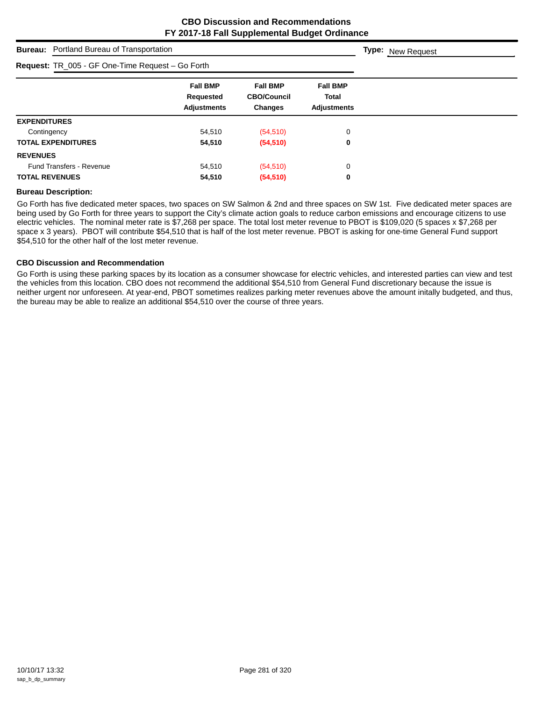|                       | <b>Bureau:</b> Portland Bureau of Transportation |                                                    | <b>Type:</b> New Request                                |                                                       |  |
|-----------------------|--------------------------------------------------|----------------------------------------------------|---------------------------------------------------------|-------------------------------------------------------|--|
|                       | Request: TR_005 - GF One-Time Request - Go Forth |                                                    |                                                         |                                                       |  |
|                       |                                                  | <b>Fall BMP</b><br>Requested<br><b>Adjustments</b> | <b>Fall BMP</b><br><b>CBO/Council</b><br><b>Changes</b> | <b>Fall BMP</b><br><b>Total</b><br><b>Adjustments</b> |  |
| <b>EXPENDITURES</b>   |                                                  |                                                    |                                                         |                                                       |  |
| Contingency           |                                                  | 54.510                                             | (54, 510)                                               | 0                                                     |  |
|                       | <b>TOTAL EXPENDITURES</b>                        | 54,510                                             | (54, 510)                                               | 0                                                     |  |
| <b>REVENUES</b>       |                                                  |                                                    |                                                         |                                                       |  |
|                       | <b>Fund Transfers - Revenue</b>                  | 54,510                                             | (54, 510)                                               | 0                                                     |  |
| <b>TOTAL REVENUES</b> |                                                  | 54,510                                             | (54, 510)                                               | 0                                                     |  |

#### **Bureau Description:**

Go Forth has five dedicated meter spaces, two spaces on SW Salmon & 2nd and three spaces on SW 1st. Five dedicated meter spaces are being used by Go Forth for three years to support the City's climate action goals to reduce carbon emissions and encourage citizens to use electric vehicles. The nominal meter rate is \$7,268 per space. The total lost meter revenue to PBOT is \$109,020 (5 spaces x \$7,268 per space x 3 years). PBOT will contribute \$54,510 that is half of the lost meter revenue. PBOT is asking for one-time General Fund support \$54,510 for the other half of the lost meter revenue.

#### **CBO Discussion and Recommendation**

Go Forth is using these parking spaces by its location as a consumer showcase for electric vehicles, and interested parties can view and test the vehicles from this location. CBO does not recommend the additional \$54,510 from General Fund discretionary because the issue is neither urgent nor unforeseen. At year-end, PBOT sometimes realizes parking meter revenues above the amount initally budgeted, and thus, the bureau may be able to realize an additional \$54,510 over the course of three years.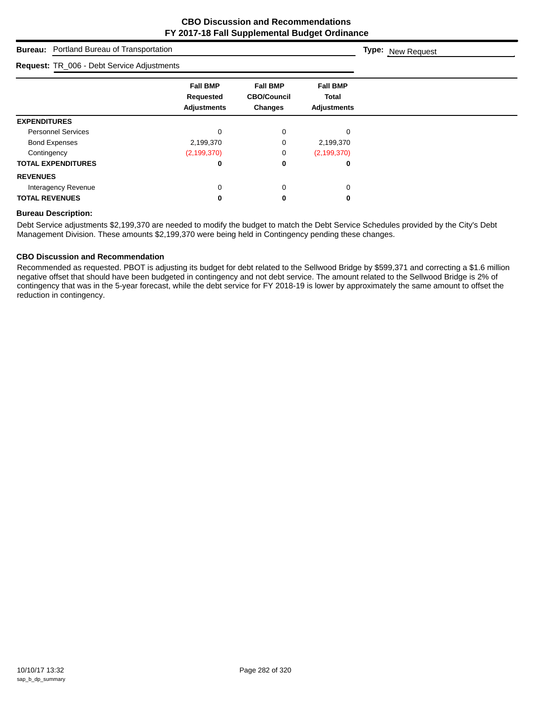| <b>Bureau:</b> Portland Bureau of Transportation | <b>Type: New Request</b>                                  |                                                  |                                                |  |
|--------------------------------------------------|-----------------------------------------------------------|--------------------------------------------------|------------------------------------------------|--|
| Request: TR_006 - Debt Service Adjustments       |                                                           |                                                  |                                                |  |
|                                                  | <b>Fall BMP</b><br><b>Requested</b><br><b>Adjustments</b> | <b>Fall BMP</b><br><b>CBO/Council</b><br>Changes | <b>Fall BMP</b><br>Total<br><b>Adjustments</b> |  |
| <b>EXPENDITURES</b>                              |                                                           |                                                  |                                                |  |
| <b>Personnel Services</b>                        | 0                                                         | 0                                                | 0                                              |  |
| <b>Bond Expenses</b>                             | 2,199,370                                                 | 0                                                | 2,199,370                                      |  |
| Contingency                                      | (2, 199, 370)                                             | 0                                                | (2, 199, 370)                                  |  |
| <b>TOTAL EXPENDITURES</b>                        | 0                                                         | 0                                                | 0                                              |  |
| <b>REVENUES</b>                                  |                                                           |                                                  |                                                |  |
| Interagency Revenue                              | 0                                                         | 0                                                | 0                                              |  |
| <b>TOTAL REVENUES</b>                            | 0                                                         | 0                                                | 0                                              |  |

#### **Bureau Description:**

Debt Service adjustments \$2,199,370 are needed to modify the budget to match the Debt Service Schedules provided by the City's Debt Management Division. These amounts \$2,199,370 were being held in Contingency pending these changes.

#### **CBO Discussion and Recommendation**

Recommended as requested. PBOT is adjusting its budget for debt related to the Sellwood Bridge by \$599,371 and correcting a \$1.6 million negative offset that should have been budgeted in contingency and not debt service. The amount related to the Sellwood Bridge is 2% of contingency that was in the 5-year forecast, while the debt service for FY 2018-19 is lower by approximately the same amount to offset the reduction in contingency.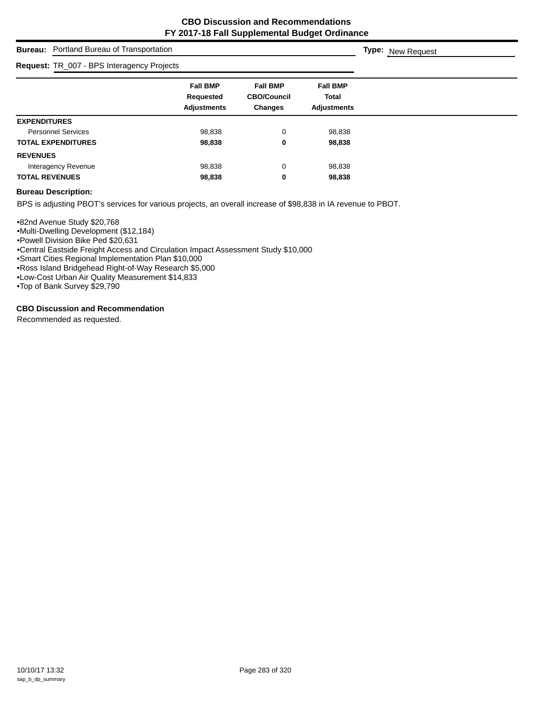# **Bureau:** Portland Bureau of Transportation

| Request: TR_007 - BPS Interagency Projects |                                                    |                                                         |                                                       |  |  |
|--------------------------------------------|----------------------------------------------------|---------------------------------------------------------|-------------------------------------------------------|--|--|
|                                            | <b>Fall BMP</b><br>Requested<br><b>Adjustments</b> | <b>Fall BMP</b><br><b>CBO/Council</b><br><b>Changes</b> | <b>Fall BMP</b><br><b>Total</b><br><b>Adiustments</b> |  |  |
| <b>EXPENDITURES</b>                        |                                                    |                                                         |                                                       |  |  |
| <b>Personnel Services</b>                  | 98,838                                             | 0                                                       | 98,838                                                |  |  |
| <b>TOTAL EXPENDITURES</b>                  | 98,838                                             | 0                                                       | 98,838                                                |  |  |
| <b>REVENUES</b>                            |                                                    |                                                         |                                                       |  |  |
| Interagency Revenue                        | 98,838                                             | 0                                                       | 98,838                                                |  |  |
| <b>TOTAL REVENUES</b>                      | 98,838                                             | 0                                                       | 98,838                                                |  |  |

#### **Bureau Description:**

BPS is adjusting PBOT's services for various projects, an overall increase of \$98,838 in IA revenue to PBOT.

•82nd Avenue Study \$20,768 •Multi-Dwelling Development (\$12,184) •Powell Division Bike Ped \$20,631 •Central Eastside Freight Access and Circulation Impact Assessment Study \$10,000 •Smart Cities Regional Implementation Plan \$10,000

•Ross Island Bridgehead Right-of-Way Research \$5,000

•Low-Cost Urban Air Quality Measurement \$14,833

•Top of Bank Survey \$29,790

#### **CBO Discussion and Recommendation**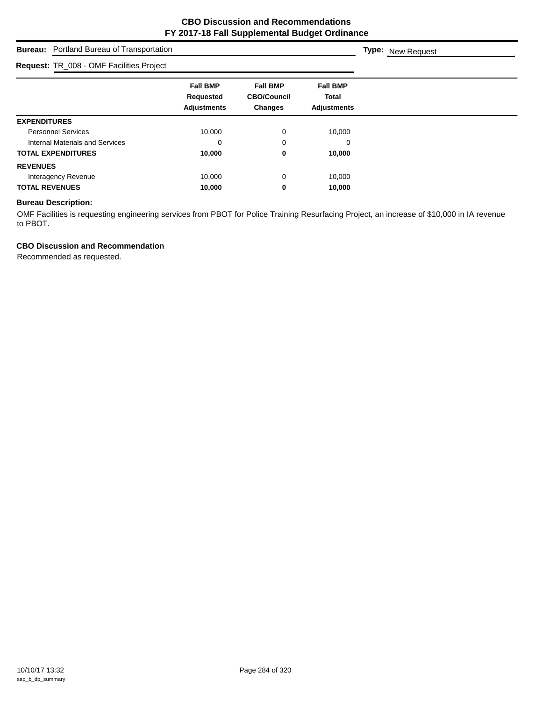## **Bureau:** Portland Bureau of Transportation **Fall BMP Fall BMP Fall BMP Requested CBO/Council Total Adjustments Changes Adjustments Type:** New Request **Request:** TR\_008 - OMF Facilities Project **EXPENDITURES** Personnel Services 10,000 0 10,000 Internal Materials and Services 0 0 0 **TOTAL EXPENDITURES 10,000 0 10,000 REVENUES** Interagency Revenue 10,000 10,000 0 10,000 **TOTAL REVENUES 10,000 0 10,000**

## **Bureau Description:**

OMF Facilities is requesting engineering services from PBOT for Police Training Resurfacing Project, an increase of \$10,000 in IA revenue to PBOT.

## **CBO Discussion and Recommendation**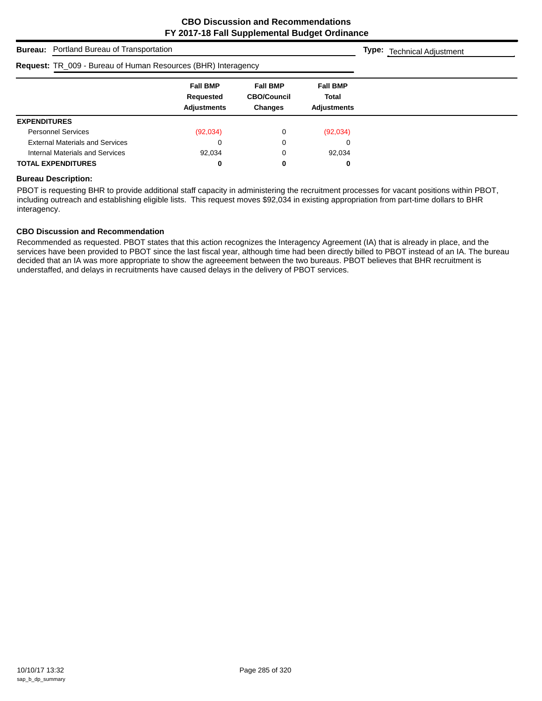**Type:** Technical Adjustment

## **Bureau:** Portland Bureau of Transportation

## **Request:** TR\_009 - Bureau of Human Resources (BHR) Interagency

| <b>Request.</b> TR_009 - Bureau of Figurear Resources (Briff) interagency |                                                    |                                                  |                                                       |  |  |
|---------------------------------------------------------------------------|----------------------------------------------------|--------------------------------------------------|-------------------------------------------------------|--|--|
|                                                                           | <b>Fall BMP</b><br>Requested<br><b>Adjustments</b> | <b>Fall BMP</b><br><b>CBO/Council</b><br>Changes | <b>Fall BMP</b><br><b>Total</b><br><b>Adiustments</b> |  |  |
| <b>EXPENDITURES</b>                                                       |                                                    |                                                  |                                                       |  |  |
| <b>Personnel Services</b>                                                 | (92,034)                                           |                                                  | (92,034)                                              |  |  |
| <b>External Materials and Services</b>                                    |                                                    | 0                                                | 0                                                     |  |  |
| Internal Materials and Services                                           | 92,034                                             |                                                  | 92,034                                                |  |  |
| <b>TOTAL EXPENDITURES</b>                                                 |                                                    | 0                                                | 0                                                     |  |  |

#### **Bureau Description:**

PBOT is requesting BHR to provide additional staff capacity in administering the recruitment processes for vacant positions within PBOT, including outreach and establishing eligible lists. This request moves \$92,034 in existing appropriation from part-time dollars to BHR interagency.

#### **CBO Discussion and Recommendation**

Recommended as requested. PBOT states that this action recognizes the Interagency Agreement (IA) that is already in place, and the services have been provided to PBOT since the last fiscal year, although time had been directly billed to PBOT instead of an IA. The bureau decided that an IA was more appropriate to show the agreeement between the two bureaus. PBOT believes that BHR recruitment is understaffed, and delays in recruitments have caused delays in the delivery of PBOT services.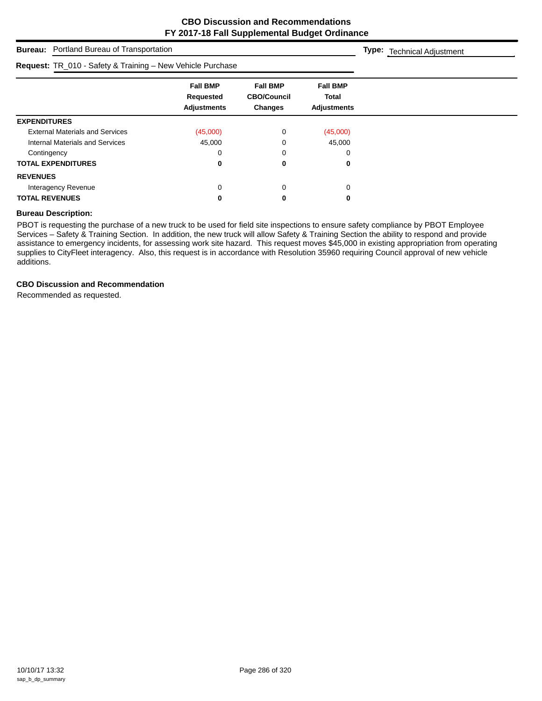## **Bureau:** Portland Bureau of Transportation **Fall BMP Fall BMP Fall BMP Requested CBO/Council Total Adjustments Changes Adjustments Type:** Technical Adjustment **Request:** TR\_010 - Safety & Training – New Vehicle Purchase **EXPENDITURES** External Materials and Services (45,000) 0 (45,000) Internal Materials and Services **45,000** 45,000 0 45,000 Contingency 0 0 0 0 **TOTAL EXPENDITURES 0 0 0 REVENUES** Interagency Revenue 0 0 0 **TOTAL REVENUES 0 0 0**

#### **Bureau Description:**

PBOT is requesting the purchase of a new truck to be used for field site inspections to ensure safety compliance by PBOT Employee Services – Safety & Training Section. In addition, the new truck will allow Safety & Training Section the ability to respond and provide assistance to emergency incidents, for assessing work site hazard. This request moves \$45,000 in existing appropriation from operating supplies to CityFleet interagency. Also, this request is in accordance with Resolution 35960 requiring Council approval of new vehicle additions.

#### **CBO Discussion and Recommendation**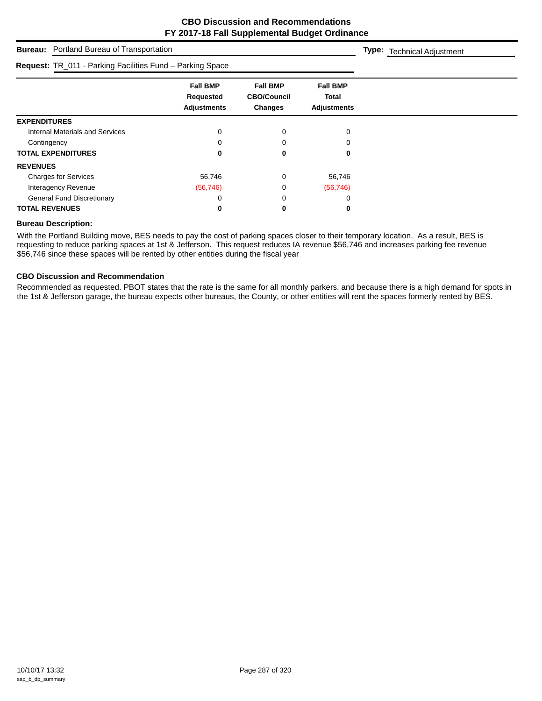|                                                           | <b>Bureau:</b> Portland Bureau of Transportation   |                                                         |                                                       |  |  |  |  |
|-----------------------------------------------------------|----------------------------------------------------|---------------------------------------------------------|-------------------------------------------------------|--|--|--|--|
| Request: TR_011 - Parking Facilities Fund - Parking Space |                                                    |                                                         |                                                       |  |  |  |  |
|                                                           | <b>Fall BMP</b><br>Requested<br><b>Adjustments</b> | <b>Fall BMP</b><br><b>CBO/Council</b><br><b>Changes</b> | <b>Fall BMP</b><br><b>Total</b><br><b>Adjustments</b> |  |  |  |  |
| <b>EXPENDITURES</b>                                       |                                                    |                                                         |                                                       |  |  |  |  |
| <b>Internal Materials and Services</b>                    | 0                                                  |                                                         | $\Omega$                                              |  |  |  |  |
| Contingency                                               |                                                    |                                                         |                                                       |  |  |  |  |
| <b>TOTAL EXPENDITURES</b>                                 |                                                    | 0                                                       | 0                                                     |  |  |  |  |
| <b>REVENUES</b>                                           |                                                    |                                                         |                                                       |  |  |  |  |
| <b>Charges for Services</b>                               | 56,746                                             | 0                                                       | 56,746                                                |  |  |  |  |
| Interagency Revenue                                       | (56, 746)                                          | 0                                                       | (56, 746)                                             |  |  |  |  |
| <b>General Fund Discretionary</b>                         |                                                    |                                                         |                                                       |  |  |  |  |
| <b>TOTAL REVENUES</b>                                     |                                                    | 0                                                       | 0                                                     |  |  |  |  |

### **Bureau Description:**

With the Portland Building move, BES needs to pay the cost of parking spaces closer to their temporary location. As a result, BES is requesting to reduce parking spaces at 1st & Jefferson. This request reduces IA revenue \$56,746 and increases parking fee revenue \$56,746 since these spaces will be rented by other entities during the fiscal year

## **CBO Discussion and Recommendation**

Recommended as requested. PBOT states that the rate is the same for all monthly parkers, and because there is a high demand for spots in the 1st & Jefferson garage, the bureau expects other bureaus, the County, or other entities will rent the spaces formerly rented by BES.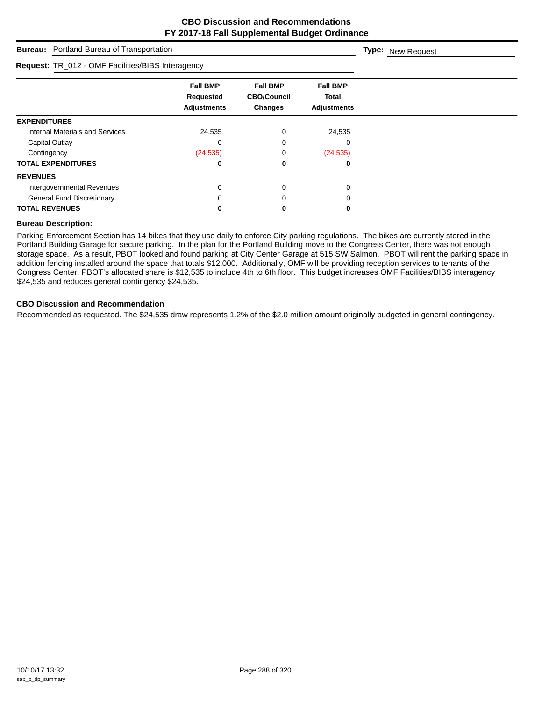| <b>Bureau:</b> Portland Bureau of Transportation  | Type: New Request                                  |                                                         |                                                       |  |
|---------------------------------------------------|----------------------------------------------------|---------------------------------------------------------|-------------------------------------------------------|--|
| Request: TR_012 - OMF Facilities/BIBS Interagency |                                                    |                                                         |                                                       |  |
|                                                   | <b>Fall BMP</b><br>Requested<br><b>Adjustments</b> | <b>Fall BMP</b><br><b>CBO/Council</b><br><b>Changes</b> | <b>Fall BMP</b><br><b>Total</b><br><b>Adjustments</b> |  |
| <b>EXPENDITURES</b>                               |                                                    |                                                         |                                                       |  |
| <b>Internal Materials and Services</b>            | 24,535                                             | 0                                                       | 24,535                                                |  |
| Capital Outlay                                    | C                                                  |                                                         | 0                                                     |  |
| Contingency                                       | (24, 535)                                          |                                                         | (24, 535)                                             |  |
| <b>TOTAL EXPENDITURES</b>                         | 0                                                  | 0                                                       | 0                                                     |  |
| <b>REVENUES</b>                                   |                                                    |                                                         |                                                       |  |
| Intergovernmental Revenues                        | 0                                                  | 0                                                       | $\Omega$                                              |  |
| <b>General Fund Discretionary</b>                 |                                                    |                                                         |                                                       |  |
| <b>TOTAL REVENUES</b>                             |                                                    | 0                                                       | 0                                                     |  |

## **Bureau Description:**

Parking Enforcement Section has 14 bikes that they use daily to enforce City parking regulations. The bikes are currently stored in the Portland Building Garage for secure parking. In the plan for the Portland Building move to the Congress Center, there was not enough storage space. As a result, PBOT looked and found parking at City Center Garage at 515 SW Salmon. PBOT will rent the parking space in addition fencing installed around the space that totals \$12,000. Additionally, OMF will be providing reception services to tenants of the Congress Center, PBOT's allocated share is \$12,535 to include 4th to 6th floor. This budget increases OMF Facilities/BIBS interagency \$24,535 and reduces general contingency \$24,535.

#### **CBO Discussion and Recommendation**

Recommended as requested. The \$24,535 draw represents 1.2% of the \$2.0 million amount originally budgeted in general contingency.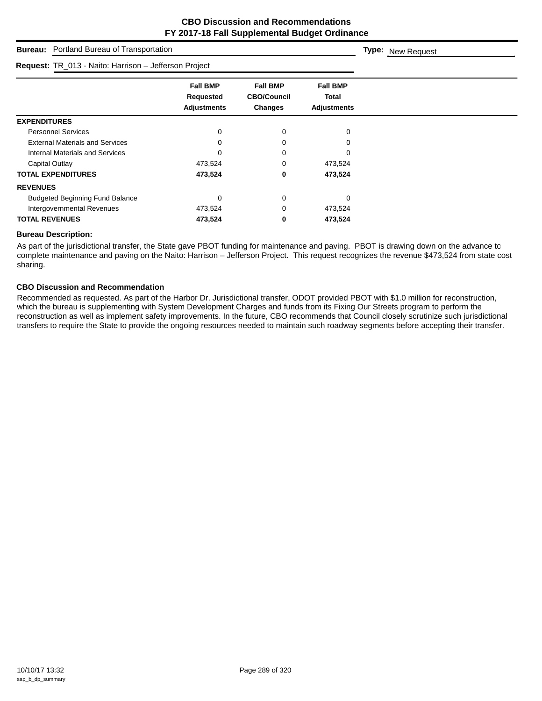| Portland Bureau of Transportation<br><b>Bureau:</b>   | <b>Type:</b> New Request                           |                                                  |                                                       |  |
|-------------------------------------------------------|----------------------------------------------------|--------------------------------------------------|-------------------------------------------------------|--|
| Request: TR_013 - Naito: Harrison - Jefferson Project |                                                    |                                                  |                                                       |  |
|                                                       | <b>Fall BMP</b><br>Requested<br><b>Adjustments</b> | <b>Fall BMP</b><br><b>CBO/Council</b><br>Changes | <b>Fall BMP</b><br><b>Total</b><br><b>Adjustments</b> |  |
| <b>EXPENDITURES</b>                                   |                                                    |                                                  |                                                       |  |
| <b>Personnel Services</b>                             | 0                                                  | 0                                                | $\Omega$                                              |  |
| <b>External Materials and Services</b>                | 0                                                  |                                                  |                                                       |  |
| Internal Materials and Services                       | O                                                  |                                                  |                                                       |  |
| Capital Outlay                                        | 473,524                                            | 0                                                | 473,524                                               |  |
| <b>TOTAL EXPENDITURES</b>                             | 473,524                                            | 0                                                | 473,524                                               |  |
| <b>REVENUES</b>                                       |                                                    |                                                  |                                                       |  |
| <b>Budgeted Beginning Fund Balance</b>                | 0                                                  | 0                                                | 0                                                     |  |
| Intergovernmental Revenues                            | 473,524                                            | 0                                                | 473,524                                               |  |
| <b>TOTAL REVENUES</b>                                 | 473,524                                            | 0                                                | 473,524                                               |  |

## **Bureau Description:**

As part of the jurisdictional transfer, the State gave PBOT funding for maintenance and paving. PBOT is drawing down on the advance to complete maintenance and paving on the Naito: Harrison – Jefferson Project. This request recognizes the revenue \$473,524 from state cost sharing.

### **CBO Discussion and Recommendation**

Recommended as requested. As part of the Harbor Dr. Jurisdictional transfer, ODOT provided PBOT with \$1.0 million for reconstruction, which the bureau is supplementing with System Development Charges and funds from its Fixing Our Streets program to perform the reconstruction as well as implement safety improvements. In the future, CBO recommends that Council closely scrutinize such jurisdictional transfers to require the State to provide the ongoing resources needed to maintain such roadway segments before accepting their transfer.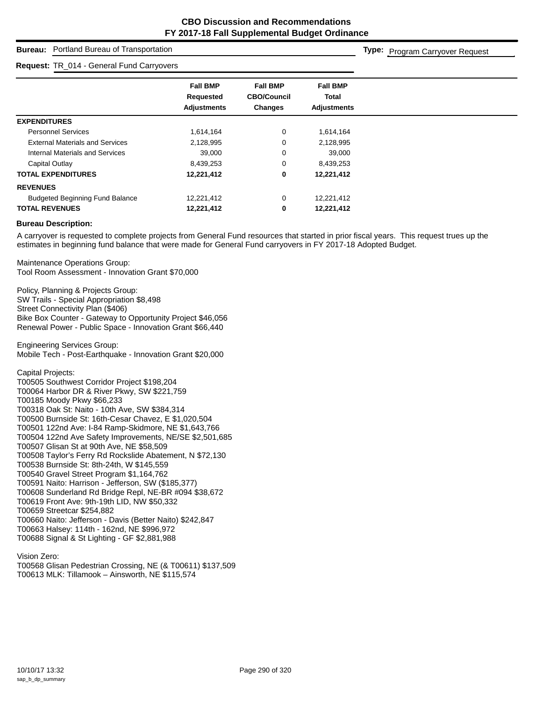## **Bureau:** Portland Bureau of Transportation

#### **Request:** TR\_014 - General Fund Carryovers

**Type:** Program Carryover Request

|                                        | <b>Fall BMP</b><br>Requested<br><b>Adjustments</b> | <b>Fall BMP</b><br><b>CBO/Council</b><br>Changes | <b>Fall BMP</b><br><b>Total</b><br><b>Adjustments</b> |
|----------------------------------------|----------------------------------------------------|--------------------------------------------------|-------------------------------------------------------|
| <b>EXPENDITURES</b>                    |                                                    |                                                  |                                                       |
| <b>Personnel Services</b>              | 1,614,164                                          | 0                                                | 1,614,164                                             |
| <b>External Materials and Services</b> | 2,128,995                                          | 0                                                | 2,128,995                                             |
| Internal Materials and Services        | 39,000                                             | 0                                                | 39,000                                                |
| Capital Outlay                         | 8,439,253                                          | $\overline{0}$                                   | 8,439,253                                             |
| <b>TOTAL EXPENDITURES</b>              | 12,221,412                                         | 0                                                | 12,221,412                                            |
| <b>REVENUES</b>                        |                                                    |                                                  |                                                       |
| <b>Budgeted Beginning Fund Balance</b> | 12,221,412                                         | 0                                                | 12,221,412                                            |
| <b>TOTAL REVENUES</b>                  | 12,221,412                                         | 0                                                | 12,221,412                                            |

#### **Bureau Description:**

A carryover is requested to complete projects from General Fund resources that started in prior fiscal years. This request trues up the estimates in beginning fund balance that were made for General Fund carryovers in FY 2017-18 Adopted Budget.

Maintenance Operations Group: Tool Room Assessment - Innovation Grant \$70,000

Policy, Planning & Projects Group: SW Trails - Special Appropriation \$8,498 Street Connectivity Plan (\$406) Bike Box Counter - Gateway to Opportunity Project \$46,056 Renewal Power - Public Space - Innovation Grant \$66,440

Engineering Services Group: Mobile Tech - Post-Earthquake - Innovation Grant \$20,000

Capital Projects:

T00505 Southwest Corridor Project \$198,204 T00064 Harbor DR & River Pkwy, SW \$221,759 T00185 Moody Pkwy \$66,233 T00318 Oak St: Naito - 10th Ave, SW \$384,314 T00500 Burnside St: 16th-Cesar Chavez, E \$1,020,504 T00501 122nd Ave: I-84 Ramp-Skidmore, NE \$1,643,766 T00504 122nd Ave Safety Improvements, NE/SE \$2,501,685 T00507 Glisan St at 90th Ave, NE \$58,509 T00508 Taylor's Ferry Rd Rockslide Abatement, N \$72,130 T00538 Burnside St: 8th-24th, W \$145,559 T00540 Gravel Street Program \$1,164,762 T00591 Naito: Harrison - Jefferson, SW (\$185,377) T00608 Sunderland Rd Bridge Repl, NE-BR #094 \$38,672 T00619 Front Ave: 9th-19th LID, NW \$50,332 T00659 Streetcar \$254,882 T00660 Naito: Jefferson - Davis (Better Naito) \$242,847 T00663 Halsey: 114th - 162nd, NE \$996,972 T00688 Signal & St Lighting - GF \$2,881,988

Vision Zero:

T00568 Glisan Pedestrian Crossing, NE (& T00611) \$137,509 T00613 MLK: Tillamook – Ainsworth, NE \$115,574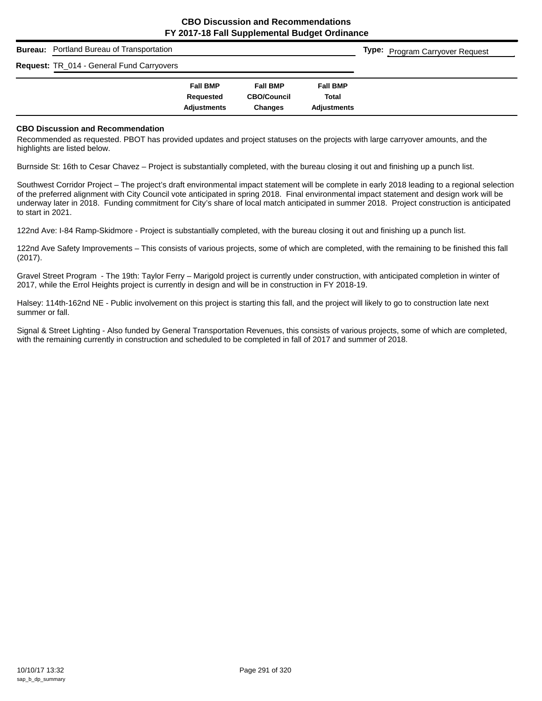## **Bureau:** Portland Bureau of Transportation

**Request:** TR\_014 - General Fund Carryovers

| i unu vunyvyviv |                 |                    |                    |
|-----------------|-----------------|--------------------|--------------------|
|                 | <b>Fall BMP</b> | <b>Fall BMP</b>    | <b>Fall BMP</b>    |
|                 | Requested       | <b>CBO/Council</b> | Total              |
|                 | Adjustments     | Changes            | <b>Adjustments</b> |

**Type:** Program Carryover Request

#### **CBO Discussion and Recommendation**

Recommended as requested. PBOT has provided updates and project statuses on the projects with large carryover amounts, and the highlights are listed below.

Burnside St: 16th to Cesar Chavez – Project is substantially completed, with the bureau closing it out and finishing up a punch list.

Southwest Corridor Project – The project's draft environmental impact statement will be complete in early 2018 leading to a regional selection of the preferred alignment with City Council vote anticipated in spring 2018. Final environmental impact statement and design work will be underway later in 2018. Funding commitment for City's share of local match anticipated in summer 2018. Project construction is anticipated to start in 2021.

122nd Ave: I-84 Ramp-Skidmore - Project is substantially completed, with the bureau closing it out and finishing up a punch list.

122nd Ave Safety Improvements – This consists of various projects, some of which are completed, with the remaining to be finished this fall (2017).

Gravel Street Program - The 19th: Taylor Ferry – Marigold project is currently under construction, with anticipated completion in winter of 2017, while the Errol Heights project is currently in design and will be in construction in FY 2018-19.

Halsey: 114th-162nd NE - Public involvement on this project is starting this fall, and the project will likely to go to construction late next summer or fall.

Signal & Street Lighting - Also funded by General Transportation Revenues, this consists of various projects, some of which are completed, with the remaining currently in construction and scheduled to be completed in fall of 2017 and summer of 2018.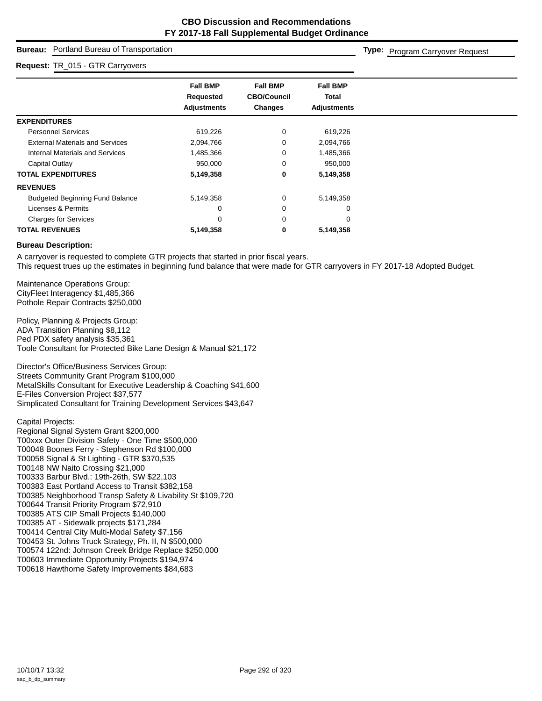## **Bureau:** Portland Bureau of Transportation

#### **Request:** TR\_015 - GTR Carryovers

**Type:** Program Carryover Request

|                                        | <b>Fall BMP</b>    | <b>Fall BMP</b>    | <b>Fall BMP</b>    |
|----------------------------------------|--------------------|--------------------|--------------------|
|                                        | Requested          | <b>CBO/Council</b> | Total              |
|                                        | <b>Adjustments</b> | Changes            | <b>Adjustments</b> |
| <b>EXPENDITURES</b>                    |                    |                    |                    |
| <b>Personnel Services</b>              | 619,226            | 0                  | 619,226            |
| <b>External Materials and Services</b> | 2,094,766          | 0                  | 2,094,766          |
| Internal Materials and Services        | 1,485,366          | 0                  | 1,485,366          |
| Capital Outlay                         | 950,000            | 0                  | 950,000            |
| <b>TOTAL EXPENDITURES</b>              | 5,149,358          | 0                  | 5,149,358          |
| <b>REVENUES</b>                        |                    |                    |                    |
| <b>Budgeted Beginning Fund Balance</b> | 5,149,358          | 0                  | 5,149,358          |
| Licenses & Permits                     | 0                  | 0                  | 0                  |
| <b>Charges for Services</b>            | 0                  | 0                  | 0                  |
| <b>TOTAL REVENUES</b>                  | 5,149,358          | 0                  | 5,149,358          |

#### **Bureau Description:**

A carryover is requested to complete GTR projects that started in prior fiscal years. This request trues up the estimates in beginning fund balance that were made for GTR carryovers in FY 2017-18 Adopted Budget.

Maintenance Operations Group: CityFleet Interagency \$1,485,366 Pothole Repair Contracts \$250,000

Policy, Planning & Projects Group: ADA Transition Planning \$8,112 Ped PDX safety analysis \$35,361 Toole Consultant for Protected Bike Lane Design & Manual \$21,172

Director's Office/Business Services Group: Streets Community Grant Program \$100,000 MetalSkills Consultant for Executive Leadership & Coaching \$41,600 E-Files Conversion Project \$37,577 Simplicated Consultant for Training Development Services \$43,647

Capital Projects: Regional Signal System Grant \$200,000 T00xxx Outer Division Safety - One Time \$500,000 T00048 Boones Ferry - Stephenson Rd \$100,000 T00058 Signal & St Lighting - GTR \$370,535 T00148 NW Naito Crossing \$21,000 T00333 Barbur Blvd.: 19th-26th, SW \$22,103 T00383 East Portland Access to Transit \$382,158 T00385 Neighborhood Transp Safety & Livability St \$109,720 T00644 Transit Priority Program \$72,910 T00385 ATS CIP Small Projects \$140,000 T00385 AT - Sidewalk projects \$171,284 T00414 Central City Multi-Modal Safety \$7,156 T00453 St. Johns Truck Strategy, Ph. II, N \$500,000 T00574 122nd: Johnson Creek Bridge Replace \$250,000 T00603 Immediate Opportunity Projects \$194,974 T00618 Hawthorne Safety Improvements \$84,683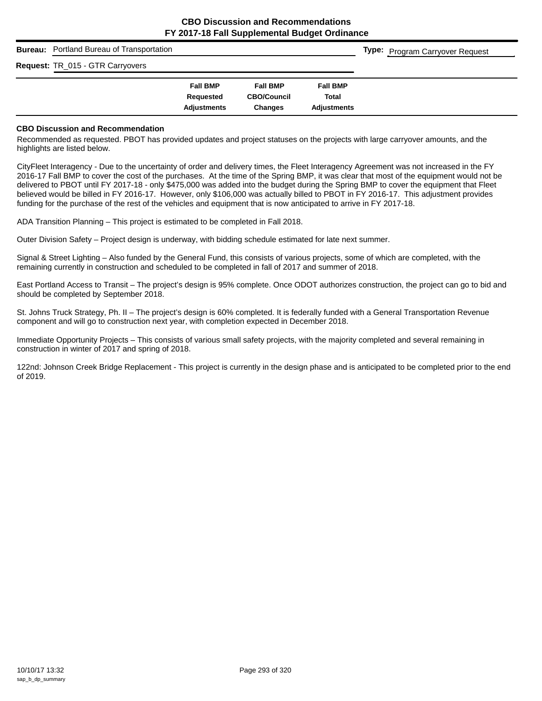| <b>Bureau:</b> Portland Bureau of Transportation |                                 |                                      |                             | <b>Type:</b> Program Carryover Request |
|--------------------------------------------------|---------------------------------|--------------------------------------|-----------------------------|----------------------------------------|
| Request: TR_015 - GTR Carryovers                 |                                 |                                      |                             |                                        |
|                                                  | <b>Fall BMP</b>                 | <b>Fall BMP</b>                      | <b>Fall BMP</b>             |                                        |
|                                                  | Requested<br><b>Adjustments</b> | <b>CBO/Council</b><br><b>Changes</b> | Total<br><b>Adiustments</b> |                                        |

#### **CBO Discussion and Recommendation**

Recommended as requested. PBOT has provided updates and project statuses on the projects with large carryover amounts, and the highlights are listed below.

CityFleet Interagency - Due to the uncertainty of order and delivery times, the Fleet Interagency Agreement was not increased in the FY 2016-17 Fall BMP to cover the cost of the purchases. At the time of the Spring BMP, it was clear that most of the equipment would not be delivered to PBOT until FY 2017-18 - only \$475,000 was added into the budget during the Spring BMP to cover the equipment that Fleet believed would be billed in FY 2016-17. However, only \$106,000 was actually billed to PBOT in FY 2016-17. This adjustment provides funding for the purchase of the rest of the vehicles and equipment that is now anticipated to arrive in FY 2017-18.

ADA Transition Planning – This project is estimated to be completed in Fall 2018.

Outer Division Safety – Project design is underway, with bidding schedule estimated for late next summer.

Signal & Street Lighting – Also funded by the General Fund, this consists of various projects, some of which are completed, with the remaining currently in construction and scheduled to be completed in fall of 2017 and summer of 2018.

East Portland Access to Transit – The project's design is 95% complete. Once ODOT authorizes construction, the project can go to bid and should be completed by September 2018.

St. Johns Truck Strategy, Ph. II – The project's design is 60% completed. It is federally funded with a General Transportation Revenue component and will go to construction next year, with completion expected in December 2018.

Immediate Opportunity Projects – This consists of various small safety projects, with the majority completed and several remaining in construction in winter of 2017 and spring of 2018.

122nd: Johnson Creek Bridge Replacement - This project is currently in the design phase and is anticipated to be completed prior to the end of 2019.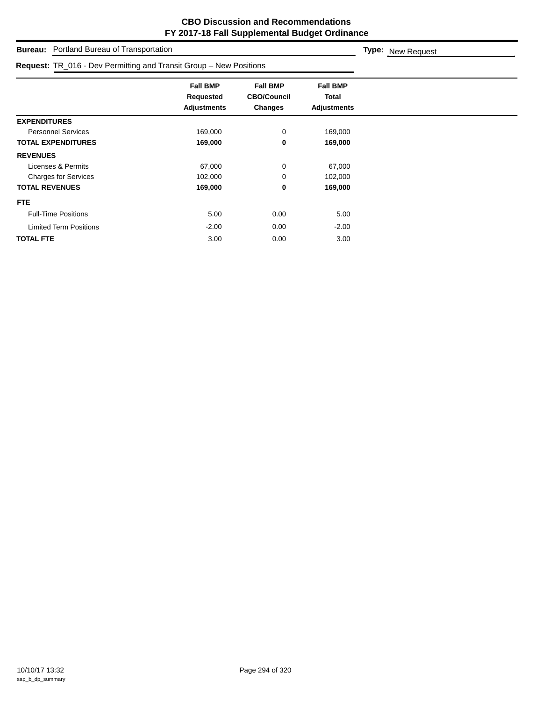**Type:** New Request

**Bureau:** Portland Bureau of Transportation

| Request: TR_016 - Dev Permitting and Transit Group - New Positions |                                                    |                                                  |                                                |  |
|--------------------------------------------------------------------|----------------------------------------------------|--------------------------------------------------|------------------------------------------------|--|
|                                                                    | <b>Fall BMP</b><br>Requested<br><b>Adjustments</b> | <b>Fall BMP</b><br><b>CBO/Council</b><br>Changes | <b>Fall BMP</b><br>Total<br><b>Adjustments</b> |  |
| <b>EXPENDITURES</b>                                                |                                                    |                                                  |                                                |  |
| <b>Personnel Services</b>                                          | 169,000                                            | 0                                                | 169,000                                        |  |
| <b>TOTAL EXPENDITURES</b>                                          | 169,000                                            | 0                                                | 169,000                                        |  |
| <b>REVENUES</b>                                                    |                                                    |                                                  |                                                |  |
| Licenses & Permits                                                 | 67,000                                             | 0                                                | 67,000                                         |  |
| <b>Charges for Services</b>                                        | 102,000                                            | 0                                                | 102,000                                        |  |
| <b>TOTAL REVENUES</b>                                              | 169,000                                            | 0                                                | 169,000                                        |  |
| FTE.                                                               |                                                    |                                                  |                                                |  |
| <b>Full-Time Positions</b>                                         | 5.00                                               | 0.00                                             | 5.00                                           |  |
| <b>Limited Term Positions</b>                                      | $-2.00$                                            | 0.00                                             | $-2.00$                                        |  |
| <b>TOTAL FTE</b>                                                   | 3.00                                               | 0.00                                             | 3.00                                           |  |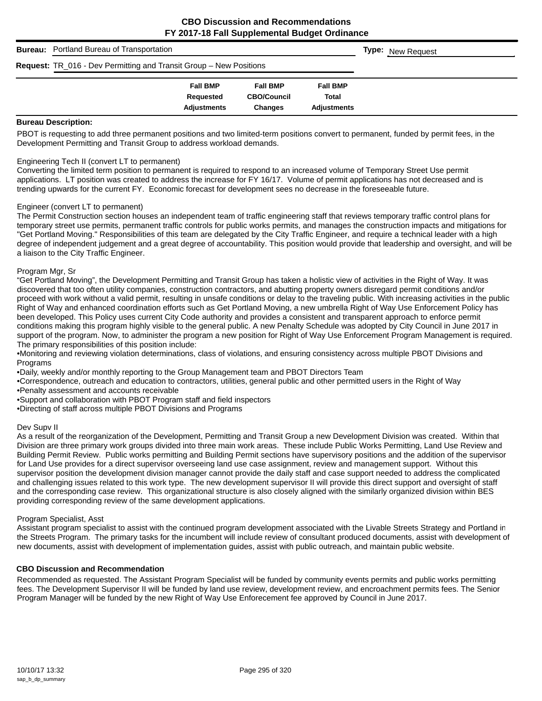| <b>Bureau:</b> Portland Bureau of Transportation                          |                                                    |                                                         |                                                       |  | <b>Type:</b> New Request |
|---------------------------------------------------------------------------|----------------------------------------------------|---------------------------------------------------------|-------------------------------------------------------|--|--------------------------|
| <b>Request:</b> TR_016 - Dev Permitting and Transit Group – New Positions |                                                    |                                                         |                                                       |  |                          |
|                                                                           | <b>Fall BMP</b><br>Requested<br><b>Adiustments</b> | <b>Fall BMP</b><br><b>CBO/Council</b><br><b>Changes</b> | <b>Fall BMP</b><br><b>Total</b><br><b>Adiustments</b> |  |                          |

#### **Bureau Description:**

PBOT is requesting to add three permanent positions and two limited-term positions convert to permanent, funded by permit fees, in the Development Permitting and Transit Group to address workload demands.

#### Engineering Tech II (convert LT to permanent)

Converting the limited term position to permanent is required to respond to an increased volume of Temporary Street Use permit applications. LT position was created to address the increase for FY 16/17. Volume of permit applications has not decreased and is trending upwards for the current FY. Economic forecast for development sees no decrease in the foreseeable future.

#### Engineer (convert LT to permanent)

The Permit Construction section houses an independent team of traffic engineering staff that reviews temporary traffic control plans for temporary street use permits, permanent traffic controls for public works permits, and manages the construction impacts and mitigations for "Get Portland Moving." Responsibilities of this team are delegated by the City Traffic Engineer, and require a technical leader with a high degree of independent judgement and a great degree of accountability. This position would provide that leadership and oversight, and will be a liaison to the City Traffic Engineer.

#### Program Mgr, Sr

"Get Portland Moving", the Development Permitting and Transit Group has taken a holistic view of activities in the Right of Way. It was discovered that too often utility companies, construction contractors, and abutting property owners disregard permit conditions and/or proceed with work without a valid permit, resulting in unsafe conditions or delay to the traveling public. With increasing activities in the public Right of Way and enhanced coordination efforts such as Get Portland Moving, a new umbrella Right of Way Use Enforcement Policy has been developed. This Policy uses current City Code authority and provides a consistent and transparent approach to enforce permit conditions making this program highly visible to the general public. A new Penalty Schedule was adopted by City Council in June 2017 in support of the program. Now, to administer the program a new position for Right of Way Use Enforcement Program Management is required. The primary responsibilities of this position include:

•Monitoring and reviewing violation determinations, class of violations, and ensuring consistency across multiple PBOT Divisions and **Programs** 

•Daily, weekly and/or monthly reporting to the Group Management team and PBOT Directors Team

•Correspondence, outreach and education to contractors, utilities, general public and other permitted users in the Right of Way

•Penalty assessment and accounts receivable

•Support and collaboration with PBOT Program staff and field inspectors

•Directing of staff across multiple PBOT Divisions and Programs

#### Dev Supv II

As a result of the reorganization of the Development, Permitting and Transit Group a new Development Division was created. Within that Division are three primary work groups divided into three main work areas. These include Public Works Permitting, Land Use Review and Building Permit Review. Public works permitting and Building Permit sections have supervisory positions and the addition of the supervisor for Land Use provides for a direct supervisor overseeing land use case assignment, review and management support. Without this supervisor position the development division manager cannot provide the daily staff and case support needed to address the complicated and challenging issues related to this work type. The new development supervisor II will provide this direct support and oversight of staff and the corresponding case review. This organizational structure is also closely aligned with the similarly organized division within BES providing corresponding review of the same development applications.

#### Program Specialist, Asst

Assistant program specialist to assist with the continued program development associated with the Livable Streets Strategy and Portland in the Streets Program. The primary tasks for the incumbent will include review of consultant produced documents, assist with development of new documents, assist with development of implementation guides, assist with public outreach, and maintain public website.

#### **CBO Discussion and Recommendation**

Recommended as requested. The Assistant Program Specialist will be funded by community events permits and public works permitting fees. The Development Supervisor II will be funded by land use review, development review, and encroachment permits fees. The Senior Program Manager will be funded by the new Right of Way Use Enforecement fee approved by Council in June 2017.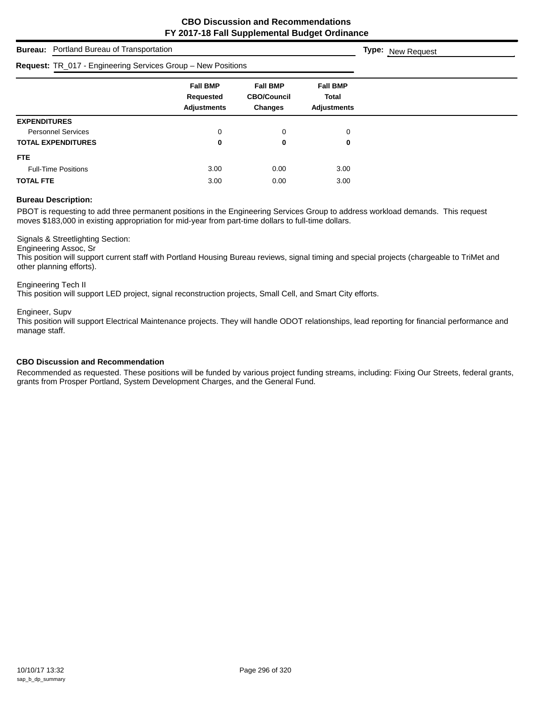| <b>Bureau:</b> Portland Bureau of Transportation             | <b>Type:</b> New Request                           |                                                         |                                                |  |
|--------------------------------------------------------------|----------------------------------------------------|---------------------------------------------------------|------------------------------------------------|--|
| Request: TR_017 - Engineering Services Group - New Positions |                                                    |                                                         |                                                |  |
|                                                              | <b>Fall BMP</b><br>Requested<br><b>Adjustments</b> | <b>Fall BMP</b><br><b>CBO/Council</b><br><b>Changes</b> | <b>Fall BMP</b><br>Total<br><b>Adjustments</b> |  |
| <b>EXPENDITURES</b>                                          |                                                    |                                                         |                                                |  |
| <b>Personnel Services</b>                                    | 0                                                  | 0                                                       | $\mathbf 0$                                    |  |
| <b>TOTAL EXPENDITURES</b>                                    | 0                                                  | 0                                                       | 0                                              |  |
| FTE.                                                         |                                                    |                                                         |                                                |  |
| <b>Full-Time Positions</b>                                   | 3.00                                               | 0.00                                                    | 3.00                                           |  |
| <b>TOTAL FTE</b>                                             | 3.00                                               | 0.00                                                    | 3.00                                           |  |

### **Bureau Description:**

PBOT is requesting to add three permanent positions in the Engineering Services Group to address workload demands. This request moves \$183,000 in existing appropriation for mid-year from part-time dollars to full-time dollars.

Signals & Streetlighting Section:

Engineering Assoc, Sr

This position will support current staff with Portland Housing Bureau reviews, signal timing and special projects (chargeable to TriMet and other planning efforts).

Engineering Tech II

This position will support LED project, signal reconstruction projects, Small Cell, and Smart City efforts.

Engineer, Supv

This position will support Electrical Maintenance projects. They will handle ODOT relationships, lead reporting for financial performance and manage staff.

#### **CBO Discussion and Recommendation**

Recommended as requested. These positions will be funded by various project funding streams, including: Fixing Our Streets, federal grants, grants from Prosper Portland, System Development Charges, and the General Fund.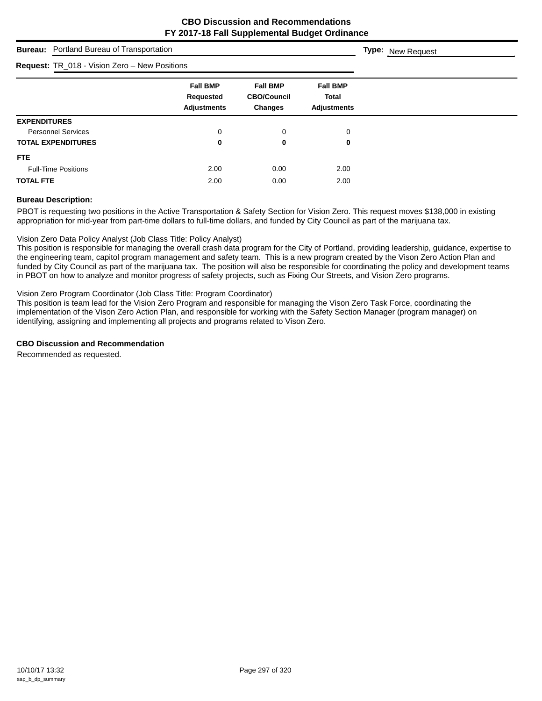# **Bureau:** Portland Bureau of Transportation **Fall BMP Fall BMP Fall BMP Requested CBO/Council Total Adjustments Changes Adjustments Type:** New Request **Request:** TR\_018 - Vision Zero – New Positions **EXPENDITURES** Personnel Services and the contract of the contract of the contract of the contract of the contract of the contract of the contract of the contract of the contract of the contract of the contract of the contract of the con **TOTAL EXPENDITURES 0 0 0 FTE** Full-Time Positions 2.00 0.00 2.00 **TOTAL FTE** 2.00 2.00 2.00

### **Bureau Description:**

PBOT is requesting two positions in the Active Transportation & Safety Section for Vision Zero. This request moves \$138,000 in existing appropriation for mid-year from part-time dollars to full-time dollars, and funded by City Council as part of the marijuana tax.

## Vision Zero Data Policy Analyst (Job Class Title: Policy Analyst)

This position is responsible for managing the overall crash data program for the City of Portland, providing leadership, guidance, expertise to the engineering team, capitol program management and safety team. This is a new program created by the Vison Zero Action Plan and funded by City Council as part of the marijuana tax. The position will also be responsible for coordinating the policy and development teams in PBOT on how to analyze and monitor progress of safety projects, such as Fixing Our Streets, and Vision Zero programs.

### Vision Zero Program Coordinator (Job Class Title: Program Coordinator)

This position is team lead for the Vision Zero Program and responsible for managing the Vison Zero Task Force, coordinating the implementation of the Vison Zero Action Plan, and responsible for working with the Safety Section Manager (program manager) on identifying, assigning and implementing all projects and programs related to Vison Zero.

### **CBO Discussion and Recommendation**

Recommended as requested.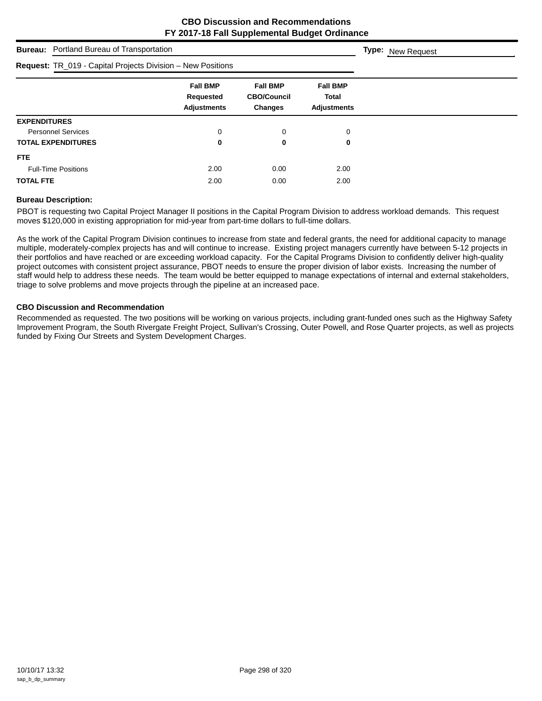| <b>Bureau:</b> Portland Bureau of Transportation            | <b>Type:</b> New Request                           |                                                         |                                                       |  |
|-------------------------------------------------------------|----------------------------------------------------|---------------------------------------------------------|-------------------------------------------------------|--|
| Request: TR_019 - Capital Projects Division - New Positions |                                                    |                                                         |                                                       |  |
|                                                             | <b>Fall BMP</b><br>Requested<br><b>Adjustments</b> | <b>Fall BMP</b><br><b>CBO/Council</b><br><b>Changes</b> | <b>Fall BMP</b><br><b>Total</b><br><b>Adjustments</b> |  |
| <b>EXPENDITURES</b>                                         |                                                    |                                                         |                                                       |  |
| <b>Personnel Services</b>                                   | 0                                                  | 0                                                       | 0                                                     |  |
| <b>TOTAL EXPENDITURES</b>                                   | 0                                                  | 0                                                       | 0                                                     |  |
| <b>FTE</b>                                                  |                                                    |                                                         |                                                       |  |
| <b>Full-Time Positions</b>                                  | 2.00                                               | 0.00                                                    | 2.00                                                  |  |
| <b>TOTAL FTE</b>                                            | 2.00                                               | 0.00                                                    | 2.00                                                  |  |

### **Bureau Description:**

PBOT is requesting two Capital Project Manager II positions in the Capital Program Division to address workload demands. This request moves \$120,000 in existing appropriation for mid-year from part-time dollars to full-time dollars.

As the work of the Capital Program Division continues to increase from state and federal grants, the need for additional capacity to manage multiple, moderately-complex projects has and will continue to increase. Existing project managers currently have between 5-12 projects in their portfolios and have reached or are exceeding workload capacity. For the Capital Programs Division to confidently deliver high-quality project outcomes with consistent project assurance, PBOT needs to ensure the proper division of labor exists. Increasing the number of staff would help to address these needs. The team would be better equipped to manage expectations of internal and external stakeholders, triage to solve problems and move projects through the pipeline at an increased pace.

## **CBO Discussion and Recommendation**

Recommended as requested. The two positions will be working on various projects, including grant-funded ones such as the Highway Safety Improvement Program, the South Rivergate Freight Project, Sullivan's Crossing, Outer Powell, and Rose Quarter projects, as well as projects funded by Fixing Our Streets and System Development Charges.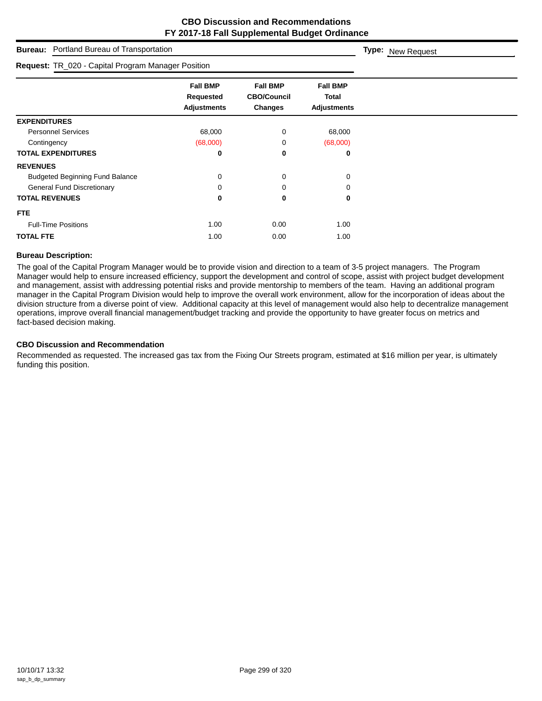| Portland Bureau of Transportation<br><b>Bureau:</b> | Type: New Request                                         |                                                         |                                                       |  |
|-----------------------------------------------------|-----------------------------------------------------------|---------------------------------------------------------|-------------------------------------------------------|--|
| Request: TR_020 - Capital Program Manager Position  |                                                           |                                                         |                                                       |  |
|                                                     | <b>Fall BMP</b><br><b>Requested</b><br><b>Adjustments</b> | <b>Fall BMP</b><br><b>CBO/Council</b><br><b>Changes</b> | <b>Fall BMP</b><br><b>Total</b><br><b>Adjustments</b> |  |
| <b>EXPENDITURES</b>                                 |                                                           |                                                         |                                                       |  |
| <b>Personnel Services</b>                           | 68,000                                                    | 0                                                       | 68,000                                                |  |
| Contingency                                         | (68,000)                                                  | 0                                                       | (68,000)                                              |  |
| <b>TOTAL EXPENDITURES</b>                           | 0                                                         | 0                                                       | 0                                                     |  |
| <b>REVENUES</b>                                     |                                                           |                                                         |                                                       |  |
| <b>Budgeted Beginning Fund Balance</b>              | 0                                                         | 0                                                       | 0                                                     |  |
| <b>General Fund Discretionary</b>                   | 0                                                         | 0                                                       | 0                                                     |  |
| <b>TOTAL REVENUES</b>                               | 0                                                         | 0                                                       | 0                                                     |  |
| FTE.                                                |                                                           |                                                         |                                                       |  |
| <b>Full-Time Positions</b>                          | 1.00                                                      | 0.00                                                    | 1.00                                                  |  |
| <b>TOTAL FTE</b>                                    | 1.00                                                      | 0.00                                                    | 1.00                                                  |  |

## **Bureau Description:**

The goal of the Capital Program Manager would be to provide vision and direction to a team of 3-5 project managers. The Program Manager would help to ensure increased efficiency, support the development and control of scope, assist with project budget development and management, assist with addressing potential risks and provide mentorship to members of the team. Having an additional program manager in the Capital Program Division would help to improve the overall work environment, allow for the incorporation of ideas about the division structure from a diverse point of view. Additional capacity at this level of management would also help to decentralize management operations, improve overall financial management/budget tracking and provide the opportunity to have greater focus on metrics and fact-based decision making.

### **CBO Discussion and Recommendation**

Recommended as requested. The increased gas tax from the Fixing Our Streets program, estimated at \$16 million per year, is ultimately funding this position.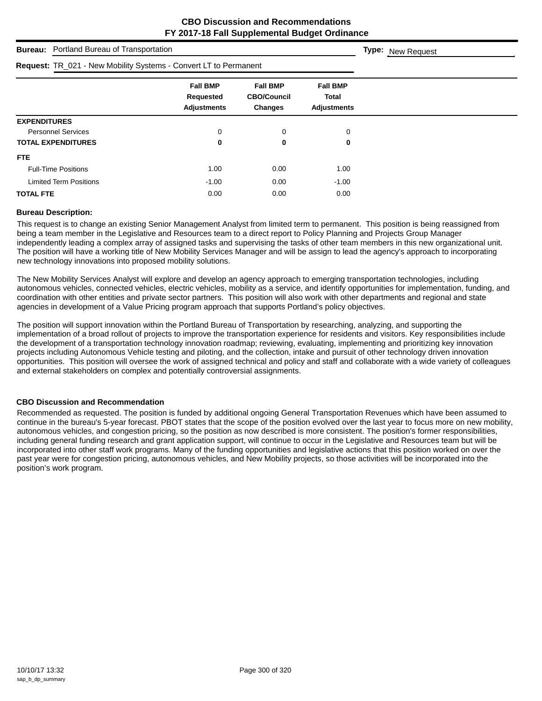| <b>Bureau:</b> Portland Bureau of Transportation                 |                                                           |                                                  |                                                |  |  |  |
|------------------------------------------------------------------|-----------------------------------------------------------|--------------------------------------------------|------------------------------------------------|--|--|--|
| Request: TR_021 - New Mobility Systems - Convert LT to Permanent |                                                           |                                                  |                                                |  |  |  |
|                                                                  | <b>Fall BMP</b><br><b>Requested</b><br><b>Adjustments</b> | <b>Fall BMP</b><br><b>CBO/Council</b><br>Changes | <b>Fall BMP</b><br>Total<br><b>Adjustments</b> |  |  |  |
| <b>EXPENDITURES</b>                                              |                                                           |                                                  |                                                |  |  |  |
| <b>Personnel Services</b>                                        | 0                                                         | 0                                                | 0                                              |  |  |  |
| <b>TOTAL EXPENDITURES</b>                                        | 0                                                         | 0                                                | 0                                              |  |  |  |
| <b>FTE</b>                                                       |                                                           |                                                  |                                                |  |  |  |
| <b>Full-Time Positions</b>                                       | 1.00                                                      | 0.00                                             | 1.00                                           |  |  |  |
| <b>Limited Term Positions</b>                                    | $-1.00$                                                   | 0.00                                             | $-1.00$                                        |  |  |  |
| <b>TOTAL FTE</b>                                                 | 0.00                                                      | 0.00                                             | 0.00                                           |  |  |  |

### **Bureau Description:**

This request is to change an existing Senior Management Analyst from limited term to permanent. This position is being reassigned from being a team member in the Legislative and Resources team to a direct report to Policy Planning and Projects Group Manager independently leading a complex array of assigned tasks and supervising the tasks of other team members in this new organizational unit. The position will have a working title of New Mobility Services Manager and will be assign to lead the agency's approach to incorporating new technology innovations into proposed mobility solutions.

The New Mobility Services Analyst will explore and develop an agency approach to emerging transportation technologies, including autonomous vehicles, connected vehicles, electric vehicles, mobility as a service, and identify opportunities for implementation, funding, and coordination with other entities and private sector partners. This position will also work with other departments and regional and state agencies in development of a Value Pricing program approach that supports Portland's policy objectives.

The position will support innovation within the Portland Bureau of Transportation by researching, analyzing, and supporting the implementation of a broad rollout of projects to improve the transportation experience for residents and visitors. Key responsibilities include the development of a transportation technology innovation roadmap; reviewing, evaluating, implementing and prioritizing key innovation projects including Autonomous Vehicle testing and piloting, and the collection, intake and pursuit of other technology driven innovation opportunities. This position will oversee the work of assigned technical and policy and staff and collaborate with a wide variety of colleagues and external stakeholders on complex and potentially controversial assignments.

### **CBO Discussion and Recommendation**

Recommended as requested. The position is funded by additional ongoing General Transportation Revenues which have been assumed to continue in the bureau's 5-year forecast. PBOT states that the scope of the position evolved over the last year to focus more on new mobility, autonomous vehicles, and congestion pricing, so the position as now described is more consistent. The position's former responsibilities, including general funding research and grant application support, will continue to occur in the Legislative and Resources team but will be incorporated into other staff work programs. Many of the funding opportunities and legislative actions that this position worked on over the past year were for congestion pricing, autonomous vehicles, and New Mobility projects, so those activities will be incorporated into the position's work program.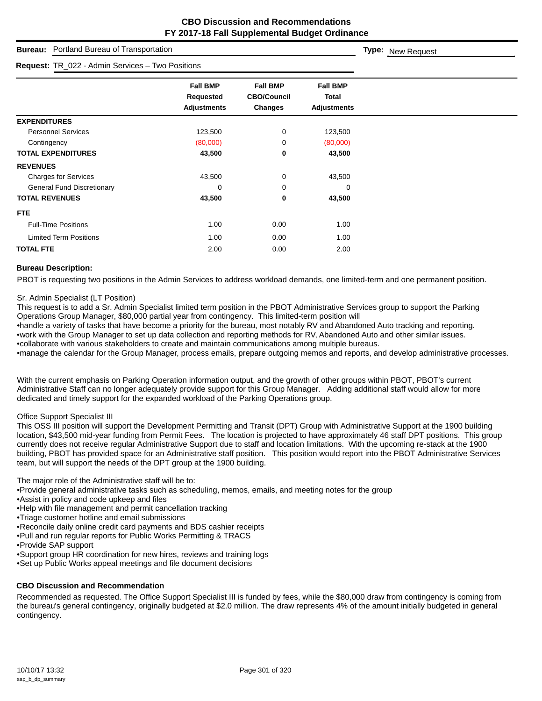|                                   | <b>Bureau:</b> Portland Bureau of Transportation |                                                    |                                                  |                                                | Type: New Request |
|-----------------------------------|--------------------------------------------------|----------------------------------------------------|--------------------------------------------------|------------------------------------------------|-------------------|
|                                   | Request: TR_022 - Admin Services - Two Positions |                                                    |                                                  |                                                |                   |
|                                   |                                                  | <b>Fall BMP</b><br>Requested<br><b>Adjustments</b> | <b>Fall BMP</b><br><b>CBO/Council</b><br>Changes | <b>Fall BMP</b><br>Total<br><b>Adjustments</b> |                   |
| <b>EXPENDITURES</b>               |                                                  |                                                    |                                                  |                                                |                   |
| <b>Personnel Services</b>         |                                                  | 123,500                                            | 0                                                | 123,500                                        |                   |
| Contingency                       |                                                  | (80,000)                                           | 0                                                | (80,000)                                       |                   |
| <b>TOTAL EXPENDITURES</b>         |                                                  | 43,500                                             | 0                                                | 43,500                                         |                   |
| <b>REVENUES</b>                   |                                                  |                                                    |                                                  |                                                |                   |
| <b>Charges for Services</b>       |                                                  | 43,500                                             | 0                                                | 43,500                                         |                   |
| <b>General Fund Discretionary</b> |                                                  | $\mathbf 0$                                        | 0                                                | 0                                              |                   |
| <b>TOTAL REVENUES</b>             |                                                  | 43,500                                             | 0                                                | 43,500                                         |                   |
| FTE.                              |                                                  |                                                    |                                                  |                                                |                   |
| <b>Full-Time Positions</b>        |                                                  | 1.00                                               | 0.00                                             | 1.00                                           |                   |
| <b>Limited Term Positions</b>     |                                                  | 1.00                                               | 0.00                                             | 1.00                                           |                   |
| <b>TOTAL FTE</b>                  |                                                  | 2.00                                               | 0.00                                             | 2.00                                           |                   |

## **Bureau Description:**

PBOT is requesting two positions in the Admin Services to address workload demands, one limited-term and one permanent position.

#### Sr. Admin Specialist (LT Position)

This request is to add a Sr. Admin Specialist limited term position in the PBOT Administrative Services group to support the Parking Operations Group Manager, \$80,000 partial year from contingency. This limited-term position will

•handle a variety of tasks that have become a priority for the bureau, most notably RV and Abandoned Auto tracking and reporting. •work with the Group Manager to set up data collection and reporting methods for RV, Abandoned Auto and other similar issues. •collaborate with various stakeholders to create and maintain communications among multiple bureaus.

•manage the calendar for the Group Manager, process emails, prepare outgoing memos and reports, and develop administrative processes.

With the current emphasis on Parking Operation information output, and the growth of other groups within PBOT, PBOT's current Administrative Staff can no longer adequately provide support for this Group Manager. Adding additional staff would allow for more dedicated and timely support for the expanded workload of the Parking Operations group.

### Office Support Specialist III

This OSS III position will support the Development Permitting and Transit (DPT) Group with Administrative Support at the 1900 building location, \$43,500 mid-year funding from Permit Fees. The location is projected to have approximately 46 staff DPT positions. This group currently does not receive regular Administrative Support due to staff and location limitations. With the upcoming re-stack at the 1900 building, PBOT has provided space for an Administrative staff position. This position would report into the PBOT Administrative Services team, but will support the needs of the DPT group at the 1900 building.

The major role of the Administrative staff will be to:

•Provide general administrative tasks such as scheduling, memos, emails, and meeting notes for the group

- •Assist in policy and code upkeep and files
- •Help with file management and permit cancellation tracking
- •Triage customer hotline and email submissions
- •Reconcile daily online credit card payments and BDS cashier receipts
- •Pull and run regular reports for Public Works Permitting & TRACS
- •Provide SAP support
- •Support group HR coordination for new hires, reviews and training logs
- •Set up Public Works appeal meetings and file document decisions

# **CBO Discussion and Recommendation**

Recommended as requested. The Office Support Specialist III is funded by fees, while the \$80,000 draw from contingency is coming from the bureau's general contingency, originally budgeted at \$2.0 million. The draw represents 4% of the amount initially budgeted in general contingency.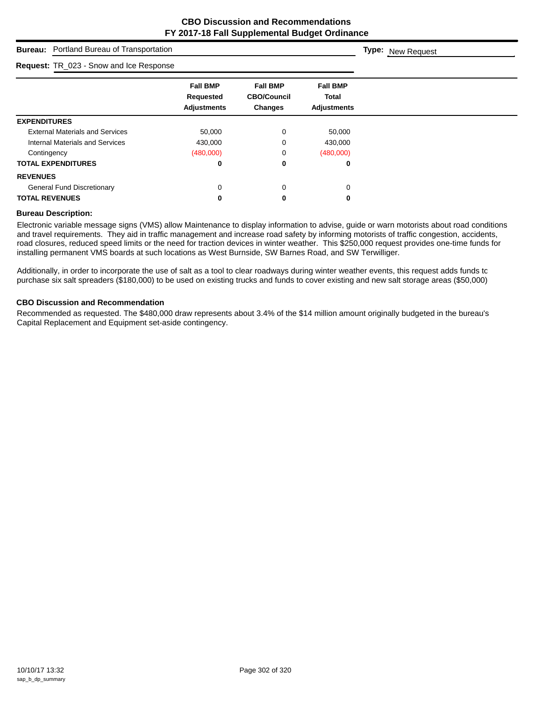**Type:** New Request

# **Bureau:** Portland Bureau of Transportation

| Request: TR_023 - Snow and Ice Response |                                                    |                                                  |                                                       |
|-----------------------------------------|----------------------------------------------------|--------------------------------------------------|-------------------------------------------------------|
|                                         | <b>Fall BMP</b><br>Requested<br><b>Adjustments</b> | <b>Fall BMP</b><br><b>CBO/Council</b><br>Changes | <b>Fall BMP</b><br><b>Total</b><br><b>Adjustments</b> |
| <b>EXPENDITURES</b>                     |                                                    |                                                  |                                                       |
| <b>External Materials and Services</b>  | 50,000                                             | 0                                                | 50,000                                                |
| <b>Internal Materials and Services</b>  | 430,000                                            | 0                                                | 430,000                                               |
| Contingency                             | (480,000)                                          | 0                                                | (480,000)                                             |
| <b>TOTAL EXPENDITURES</b>               | 0                                                  | 0                                                | 0                                                     |
| <b>REVENUES</b>                         |                                                    |                                                  |                                                       |
| <b>General Fund Discretionary</b>       | 0                                                  | 0                                                | 0                                                     |
| <b>TOTAL REVENUES</b>                   | 0                                                  | 0                                                | 0                                                     |

#### **Bureau Description:**

Electronic variable message signs (VMS) allow Maintenance to display information to advise, guide or warn motorists about road conditions and travel requirements. They aid in traffic management and increase road safety by informing motorists of traffic congestion, accidents, road closures, reduced speed limits or the need for traction devices in winter weather. This \$250,000 request provides one-time funds for installing permanent VMS boards at such locations as West Burnside, SW Barnes Road, and SW Terwilliger.

Additionally, in order to incorporate the use of salt as a tool to clear roadways during winter weather events, this request adds funds to purchase six salt spreaders (\$180,000) to be used on existing trucks and funds to cover existing and new salt storage areas (\$50,000)

## **CBO Discussion and Recommendation**

Recommended as requested. The \$480,000 draw represents about 3.4% of the \$14 million amount originally budgeted in the bureau's Capital Replacement and Equipment set-aside contingency.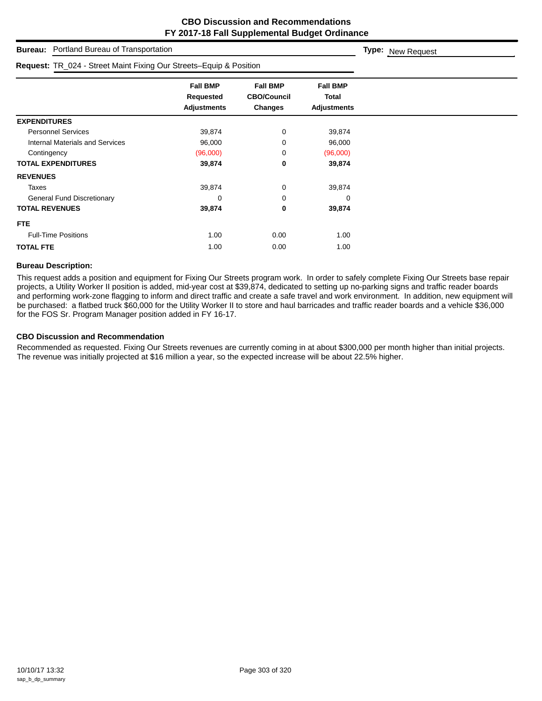**Type:** New Request

**Bureau:** Portland Bureau of Transportation

| Request: TR_024 - Street Maint Fixing Our Streets-Equip & Position |                                                    |                                                  |                                                |
|--------------------------------------------------------------------|----------------------------------------------------|--------------------------------------------------|------------------------------------------------|
|                                                                    | <b>Fall BMP</b><br>Requested<br><b>Adjustments</b> | <b>Fall BMP</b><br><b>CBO/Council</b><br>Changes | <b>Fall BMP</b><br>Total<br><b>Adjustments</b> |
| <b>EXPENDITURES</b>                                                |                                                    |                                                  |                                                |
| <b>Personnel Services</b>                                          | 39,874                                             | 0                                                | 39,874                                         |
| <b>Internal Materials and Services</b>                             | 96,000                                             | 0                                                | 96,000                                         |
| Contingency                                                        | (96,000)                                           | 0                                                | (96,000)                                       |
| <b>TOTAL EXPENDITURES</b>                                          | 39,874                                             | 0                                                | 39,874                                         |
| <b>REVENUES</b>                                                    |                                                    |                                                  |                                                |
| Taxes                                                              | 39,874                                             | $\mathbf 0$                                      | 39,874                                         |
| <b>General Fund Discretionary</b>                                  | 0                                                  | 0                                                | 0                                              |
| <b>TOTAL REVENUES</b>                                              | 39,874                                             | 0                                                | 39,874                                         |
| <b>FTE</b>                                                         |                                                    |                                                  |                                                |
| <b>Full-Time Positions</b>                                         | 1.00                                               | 0.00                                             | 1.00                                           |
| <b>TOTAL FTE</b>                                                   | 1.00                                               | 0.00                                             | 1.00                                           |

#### **Bureau Description:**

This request adds a position and equipment for Fixing Our Streets program work. In order to safely complete Fixing Our Streets base repair projects, a Utility Worker II position is added, mid-year cost at \$39,874, dedicated to setting up no-parking signs and traffic reader boards and performing work-zone flagging to inform and direct traffic and create a safe travel and work environment. In addition, new equipment will be purchased: a flatbed truck \$60,000 for the Utility Worker II to store and haul barricades and traffic reader boards and a vehicle \$36,000 for the FOS Sr. Program Manager position added in FY 16-17.

#### **CBO Discussion and Recommendation**

Recommended as requested. Fixing Our Streets revenues are currently coming in at about \$300,000 per month higher than initial projects. The revenue was initially projected at \$16 million a year, so the expected increase will be about 22.5% higher.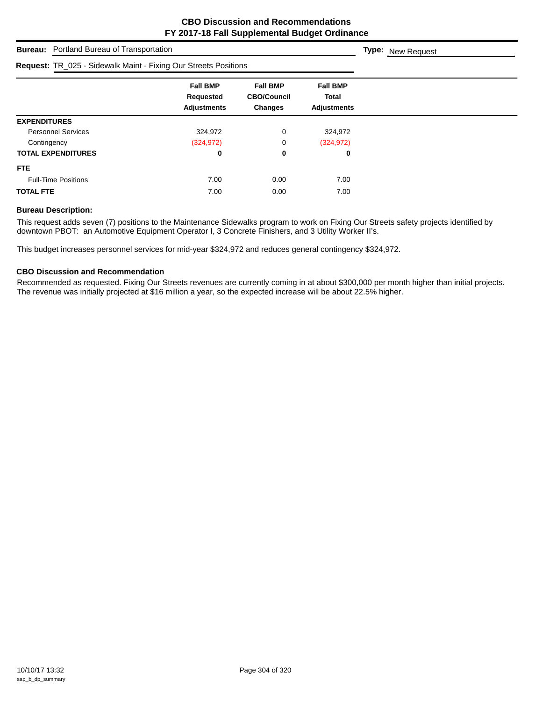| <b>Bureau:</b> Portland Bureau of Transportation                |                                                    |                                                         |                                                | Type: New Request |
|-----------------------------------------------------------------|----------------------------------------------------|---------------------------------------------------------|------------------------------------------------|-------------------|
| Request: TR_025 - Sidewalk Maint - Fixing Our Streets Positions |                                                    |                                                         |                                                |                   |
|                                                                 | <b>Fall BMP</b><br>Requested<br><b>Adjustments</b> | <b>Fall BMP</b><br><b>CBO/Council</b><br><b>Changes</b> | <b>Fall BMP</b><br>Total<br><b>Adjustments</b> |                   |
| <b>EXPENDITURES</b>                                             |                                                    |                                                         |                                                |                   |
| <b>Personnel Services</b>                                       | 324,972                                            | 0                                                       | 324,972                                        |                   |
| Contingency                                                     | (324, 972)                                         | 0                                                       | (324, 972)                                     |                   |
| <b>TOTAL EXPENDITURES</b>                                       | 0                                                  | 0                                                       | 0                                              |                   |
| <b>FTE</b>                                                      |                                                    |                                                         |                                                |                   |
| <b>Full-Time Positions</b>                                      | 7.00                                               | 0.00                                                    | 7.00                                           |                   |
| <b>TOTAL FTE</b>                                                | 7.00                                               | 0.00                                                    | 7.00                                           |                   |

## **Bureau Description:**

This request adds seven (7) positions to the Maintenance Sidewalks program to work on Fixing Our Streets safety projects identified by downtown PBOT: an Automotive Equipment Operator I, 3 Concrete Finishers, and 3 Utility Worker II's.

This budget increases personnel services for mid-year \$324,972 and reduces general contingency \$324,972.

## **CBO Discussion and Recommendation**

Recommended as requested. Fixing Our Streets revenues are currently coming in at about \$300,000 per month higher than initial projects. The revenue was initially projected at \$16 million a year, so the expected increase will be about 22.5% higher.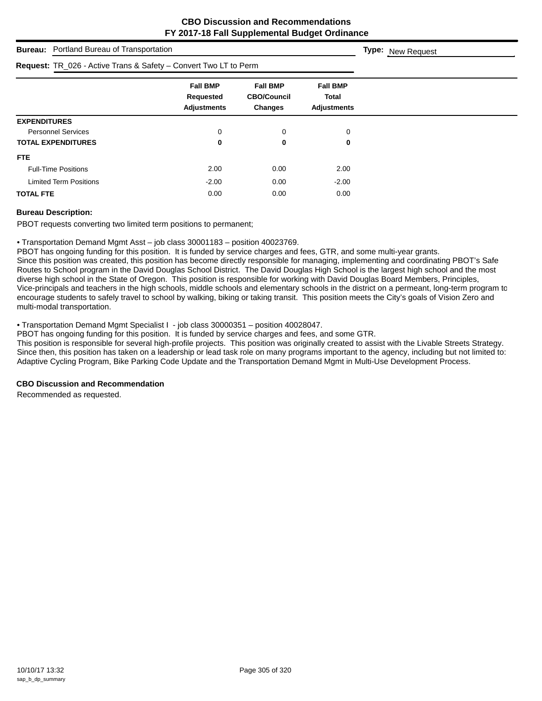| <b>Bureau:</b> Portland Bureau of Transportation                        |                                                    |                                                  |                                                | Type: New Request |
|-------------------------------------------------------------------------|----------------------------------------------------|--------------------------------------------------|------------------------------------------------|-------------------|
| <b>Request:</b> TR_026 - Active Trans & Safety – Convert Two LT to Perm |                                                    |                                                  |                                                |                   |
|                                                                         | <b>Fall BMP</b><br>Requested<br><b>Adjustments</b> | <b>Fall BMP</b><br><b>CBO/Council</b><br>Changes | <b>Fall BMP</b><br>Total<br><b>Adjustments</b> |                   |
| <b>EXPENDITURES</b>                                                     |                                                    |                                                  |                                                |                   |
| <b>Personnel Services</b>                                               | 0                                                  | 0                                                | 0                                              |                   |
| <b>TOTAL EXPENDITURES</b>                                               | 0                                                  | 0                                                | 0                                              |                   |
| <b>FTE</b>                                                              |                                                    |                                                  |                                                |                   |
| <b>Full-Time Positions</b>                                              | 2.00                                               | 0.00                                             | 2.00                                           |                   |
| <b>Limited Term Positions</b>                                           | $-2.00$                                            | 0.00                                             | $-2.00$                                        |                   |
| <b>TOTAL FTE</b>                                                        | 0.00                                               | 0.00                                             | 0.00                                           |                   |

### **Bureau Description:**

PBOT requests converting two limited term positions to permanent;

• Transportation Demand Mgmt Asst – job class 30001183 – position 40023769.

PBOT has ongoing funding for this position. It is funded by service charges and fees, GTR, and some multi-year grants.

Since this position was created, this position has become directly responsible for managing, implementing and coordinating PBOT's Safe Routes to School program in the David Douglas School District. The David Douglas High School is the largest high school and the most diverse high school in the State of Oregon. This position is responsible for working with David Douglas Board Members, Principles, Vice-principals and teachers in the high schools, middle schools and elementary schools in the district on a permeant, long-term program to encourage students to safely travel to school by walking, biking or taking transit. This position meets the City's goals of Vision Zero and multi-modal transportation.

• Transportation Demand Mgmt Specialist I - job class 30000351 – position 40028047.

PBOT has ongoing funding for this position. It is funded by service charges and fees, and some GTR.

This position is responsible for several high-profile projects. This position was originally created to assist with the Livable Streets Strategy. Since then, this position has taken on a leadership or lead task role on many programs important to the agency, including but not limited to: Adaptive Cycling Program, Bike Parking Code Update and the Transportation Demand Mgmt in Multi-Use Development Process.

## **CBO Discussion and Recommendation**

Recommended as requested.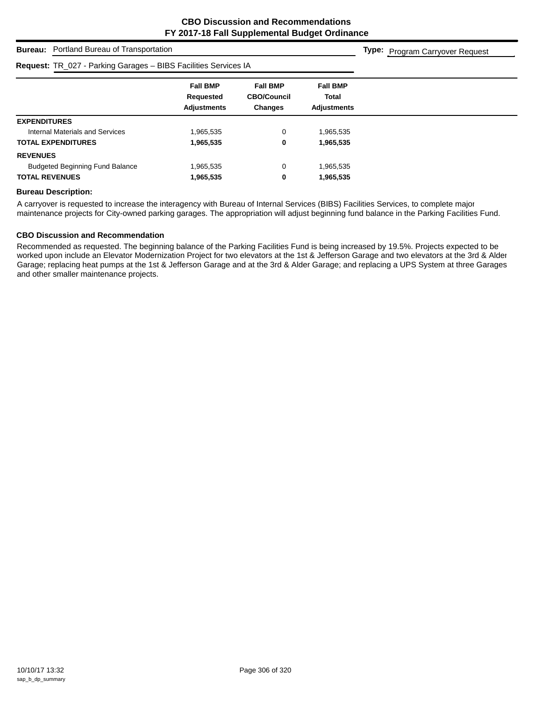**Type:** Program Carryover Request

## **Bureau:** Portland Bureau of Transportation

# **Request:** TR\_027 - Parking Garages – BIBS Facilities Services IA

| <b>Request:</b> $IR_2ZI + R_1R_1IQ$ Galages – DIDS Facilities Services IA |                                                    |                                                         |                                                       |  |
|---------------------------------------------------------------------------|----------------------------------------------------|---------------------------------------------------------|-------------------------------------------------------|--|
|                                                                           | <b>Fall BMP</b><br>Requested<br><b>Adjustments</b> | <b>Fall BMP</b><br><b>CBO/Council</b><br><b>Changes</b> | <b>Fall BMP</b><br><b>Total</b><br><b>Adjustments</b> |  |
| <b>EXPENDITURES</b>                                                       |                                                    |                                                         |                                                       |  |
| Internal Materials and Services                                           | 965,535.                                           | 0                                                       | 1,965,535                                             |  |
| <b>TOTAL EXPENDITURES</b>                                                 | 1,965,535                                          | 0                                                       | 1,965,535                                             |  |
| <b>REVENUES</b>                                                           |                                                    |                                                         |                                                       |  |
| <b>Budgeted Beginning Fund Balance</b>                                    | 965,535.                                           | 0                                                       | 1,965,535                                             |  |
| <b>TOTAL REVENUES</b>                                                     | 1,965,535                                          | 0                                                       | 1,965,535                                             |  |
|                                                                           |                                                    |                                                         |                                                       |  |

#### **Bureau Description:**

A carryover is requested to increase the interagency with Bureau of Internal Services (BIBS) Facilities Services, to complete major maintenance projects for City-owned parking garages. The appropriation will adjust beginning fund balance in the Parking Facilities Fund.

#### **CBO Discussion and Recommendation**

Recommended as requested. The beginning balance of the Parking Facilities Fund is being increased by 19.5%. Projects expected to be worked upon include an Elevator Modernization Project for two elevators at the 1st & Jefferson Garage and two elevators at the 3rd & Alder Garage; replacing heat pumps at the 1st & Jefferson Garage and at the 3rd & Alder Garage; and replacing a UPS System at three Garages and other smaller maintenance projects.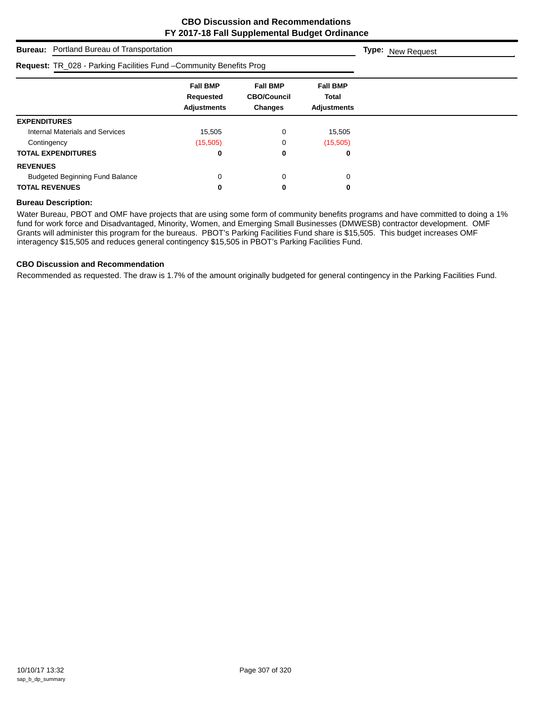| <b>Bureau:</b> Portland Bureau of Transportation                           |                                                    |                                                  |                                                       | <b>Type:</b> New Request |
|----------------------------------------------------------------------------|----------------------------------------------------|--------------------------------------------------|-------------------------------------------------------|--------------------------|
| <b>Request: TR_028 - Parking Facilities Fund - Community Benefits Prog</b> |                                                    |                                                  |                                                       |                          |
|                                                                            | <b>Fall BMP</b><br>Requested<br><b>Adjustments</b> | <b>Fall BMP</b><br><b>CBO/Council</b><br>Changes | <b>Fall BMP</b><br><b>Total</b><br><b>Adjustments</b> |                          |
| <b>EXPENDITURES</b>                                                        |                                                    |                                                  |                                                       |                          |
| Internal Materials and Services                                            | 15,505                                             | 0                                                | 15,505                                                |                          |
| Contingency                                                                | (15,505)                                           | 0                                                | (15,505)                                              |                          |
| <b>TOTAL EXPENDITURES</b>                                                  | 0                                                  | 0                                                | 0                                                     |                          |
| <b>REVENUES</b>                                                            |                                                    |                                                  |                                                       |                          |
| <b>Budgeted Beginning Fund Balance</b>                                     | 0                                                  | 0                                                | 0                                                     |                          |
| <b>TOTAL REVENUES</b>                                                      | 0                                                  | 0                                                | 0                                                     |                          |

### **Bureau Description:**

Water Bureau, PBOT and OMF have projects that are using some form of community benefits programs and have committed to doing a 1% fund for work force and Disadvantaged, Minority, Women, and Emerging Small Businesses (DMWESB) contractor development. OMF Grants will administer this program for the bureaus. PBOT's Parking Facilities Fund share is \$15,505. This budget increases OMF interagency \$15,505 and reduces general contingency \$15,505 in PBOT's Parking Facilities Fund.

## **CBO Discussion and Recommendation**

Recommended as requested. The draw is 1.7% of the amount originally budgeted for general contingency in the Parking Facilities Fund.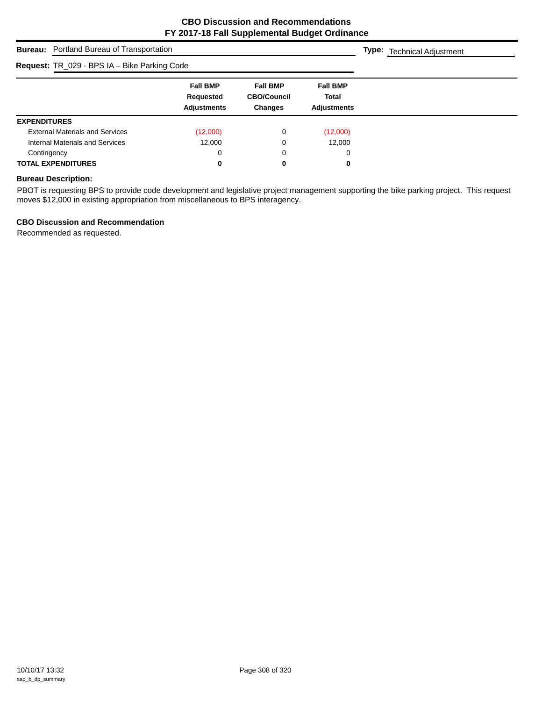**Type:** Technical Adjustment

**Bureau:** Portland Bureau of Transportation

| Request: TR_029 - BPS IA - Bike Parking Code |                                                    |                                                         |                                                       |  |
|----------------------------------------------|----------------------------------------------------|---------------------------------------------------------|-------------------------------------------------------|--|
|                                              | <b>Fall BMP</b><br>Requested<br><b>Adjustments</b> | <b>Fall BMP</b><br><b>CBO/Council</b><br><b>Changes</b> | <b>Fall BMP</b><br><b>Total</b><br><b>Adjustments</b> |  |
| <b>EXPENDITURES</b>                          |                                                    |                                                         |                                                       |  |
| <b>External Materials and Services</b>       | (12,000)                                           | 0                                                       | (12,000)                                              |  |
| Internal Materials and Services              | 12.000                                             | 0                                                       | 12,000                                                |  |
| Contingency                                  | 0                                                  | 0                                                       | 0                                                     |  |
| <b>TOTAL EXPENDITURES</b>                    | 0                                                  | 0                                                       | 0                                                     |  |

## **Bureau Description:**

PBOT is requesting BPS to provide code development and legislative project management supporting the bike parking project. This request moves \$12,000 in existing appropriation from miscellaneous to BPS interagency.

## **CBO Discussion and Recommendation**

Recommended as requested.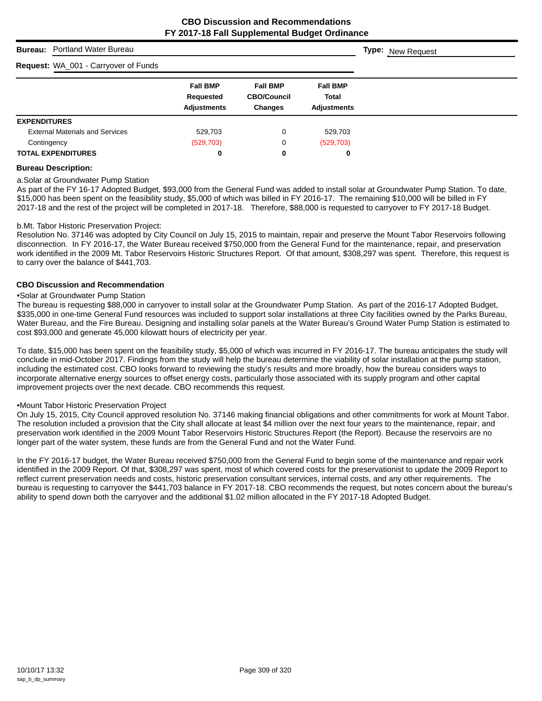**Type:** New Request

## **Bureau:** Portland Water Bureau

## **Request:** WA\_001 - Carryover of Funds

| <b>Request:</b> WA 001 - Carryover of Funds |                                                    |                                                         |                                                       |  |
|---------------------------------------------|----------------------------------------------------|---------------------------------------------------------|-------------------------------------------------------|--|
|                                             | <b>Fall BMP</b><br>Requested<br><b>Adjustments</b> | <b>Fall BMP</b><br><b>CBO/Council</b><br><b>Changes</b> | <b>Fall BMP</b><br><b>Total</b><br><b>Adjustments</b> |  |
| <b>EXPENDITURES</b>                         |                                                    |                                                         |                                                       |  |
| <b>External Materials and Services</b>      | 529,703                                            | 0                                                       | 529,703                                               |  |
| Contingency                                 | (529, 703)                                         | 0                                                       | (529, 703)                                            |  |
| <b>TOTAL EXPENDITURES</b>                   | 0                                                  | 0                                                       | 0                                                     |  |

#### **Bureau Description:**

#### a.Solar at Groundwater Pump Station

As part of the FY 16-17 Adopted Budget, \$93,000 from the General Fund was added to install solar at Groundwater Pump Station. To date, \$15,000 has been spent on the feasibility study, \$5,000 of which was billed in FY 2016-17. The remaining \$10,000 will be billed in FY 2017-18 and the rest of the project will be completed in 2017-18. Therefore, \$88,000 is requested to carryover to FY 2017-18 Budget.

#### b.Mt. Tabor Historic Preservation Project:

Resolution No. 37146 was adopted by City Council on July 15, 2015 to maintain, repair and preserve the Mount Tabor Reservoirs following disconnection. In FY 2016-17, the Water Bureau received \$750,000 from the General Fund for the maintenance, repair, and preservation work identified in the 2009 Mt. Tabor Reservoirs Historic Structures Report. Of that amount, \$308,297 was spent. Therefore, this request is to carry over the balance of \$441,703.

#### **CBO Discussion and Recommendation**

#### •Solar at Groundwater Pump Station

The bureau is requesting \$88,000 in carryover to install solar at the Groundwater Pump Station. As part of the 2016-17 Adopted Budget, \$335,000 in one-time General Fund resources was included to support solar installations at three City facilities owned by the Parks Bureau, Water Bureau, and the Fire Bureau. Designing and installing solar panels at the Water Bureau's Ground Water Pump Station is estimated to cost \$93,000 and generate 45,000 kilowatt hours of electricity per year.

To date, \$15,000 has been spent on the feasibility study, \$5,000 of which was incurred in FY 2016-17. The bureau anticipates the study will conclude in mid-October 2017. Findings from the study will help the bureau determine the viability of solar installation at the pump station, including the estimated cost. CBO looks forward to reviewing the study's results and more broadly, how the bureau considers ways to incorporate alternative energy sources to offset energy costs, particularly those associated with its supply program and other capital improvement projects over the next decade. CBO recommends this request.

#### •Mount Tabor Historic Preservation Project

On July 15, 2015, City Council approved resolution No. 37146 making financial obligations and other commitments for work at Mount Tabor. The resolution included a provision that the City shall allocate at least \$4 million over the next four years to the maintenance, repair, and preservation work identified in the 2009 Mount Tabor Reservoirs Historic Structures Report (the Report). Because the reservoirs are no longer part of the water system, these funds are from the General Fund and not the Water Fund.

In the FY 2016-17 budget, the Water Bureau received \$750,000 from the General Fund to begin some of the maintenance and repair work identified in the 2009 Report. Of that, \$308,297 was spent, most of which covered costs for the preservationist to update the 2009 Report to reflect current preservation needs and costs, historic preservation consultant services, internal costs, and any other requirements. The bureau is requesting to carryover the \$441,703 balance in FY 2017-18. CBO recommends the request, but notes concern about the bureau's ability to spend down both the carryover and the additional \$1.02 million allocated in the FY 2017-18 Adopted Budget.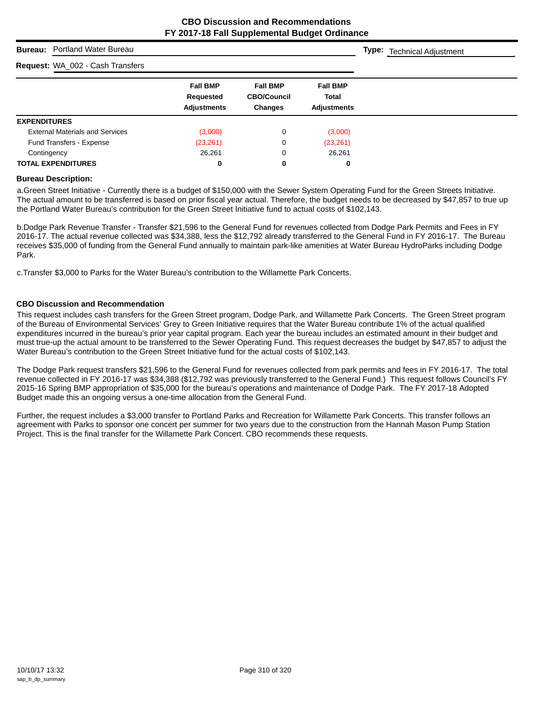**Type:** Technical Adjustment

## **Bureau:** Portland Water Bureau

# $\frac{1}{2}$

| <b>Request:</b> WA_002 - Cash Transfers |                                                    |                                                         |                                                       |  |
|-----------------------------------------|----------------------------------------------------|---------------------------------------------------------|-------------------------------------------------------|--|
|                                         | <b>Fall BMP</b><br>Requested<br><b>Adjustments</b> | <b>Fall BMP</b><br><b>CBO/Council</b><br><b>Changes</b> | <b>Fall BMP</b><br><b>Total</b><br><b>Adjustments</b> |  |
| <b>EXPENDITURES</b>                     |                                                    |                                                         |                                                       |  |
| <b>External Materials and Services</b>  | (3,000)                                            | 0                                                       | (3,000)                                               |  |
| Fund Transfers - Expense                | (23, 261)                                          | 0                                                       | (23, 261)                                             |  |
| Contingency                             | 26,261                                             | 0                                                       | 26,261                                                |  |
| <b>TOTAL EXPENDITURES</b>               | 0                                                  | 0                                                       | 0                                                     |  |

#### **Bureau Description:**

a.Green Street Initiative - Currently there is a budget of \$150,000 with the Sewer System Operating Fund for the Green Streets Initiative. The actual amount to be transferred is based on prior fiscal year actual. Therefore, the budget needs to be decreased by \$47,857 to true up the Portland Water Bureau's contribution for the Green Street Initiative fund to actual costs of \$102,143.

b.Dodge Park Revenue Transfer - Transfer \$21,596 to the General Fund for revenues collected from Dodge Park Permits and Fees in FY 2016-17. The actual revenue collected was \$34,388, less the \$12,792 already transferred to the General Fund in FY 2016-17. The Bureau receives \$35,000 of funding from the General Fund annually to maintain park-like amenities at Water Bureau HydroParks including Dodge Park.

c.Transfer \$3,000 to Parks for the Water Bureau's contribution to the Willamette Park Concerts.

#### **CBO Discussion and Recommendation**

This request includes cash transfers for the Green Street program, Dodge Park, and Willamette Park Concerts. The Green Street program of the Bureau of Environmental Services' Grey to Green Initiative requires that the Water Bureau contribute 1% of the actual qualified expenditures incurred in the bureau's prior year capital program. Each year the bureau includes an estimated amount in their budget and must true-up the actual amount to be transferred to the Sewer Operating Fund. This request decreases the budget by \$47,857 to adjust the Water Bureau's contribution to the Green Street Initiative fund for the actual costs of \$102,143.

The Dodge Park request transfers \$21,596 to the General Fund for revenues collected from park permits and fees in FY 2016-17. The total revenue collected in FY 2016-17 was \$34,388 (\$12,792 was previously transferred to the General Fund.) This request follows Council's FY 2015-16 Spring BMP appropriation of \$35,000 for the bureau's operations and maintenance of Dodge Park. The FY 2017-18 Adopted Budget made this an ongoing versus a one-time allocation from the General Fund.

Further, the request includes a \$3,000 transfer to Portland Parks and Recreation for Willamette Park Concerts. This transfer follows an agreement with Parks to sponsor one concert per summer for two years due to the construction from the Hannah Mason Pump Station Project. This is the final transfer for the Willamette Park Concert. CBO recommends these requests.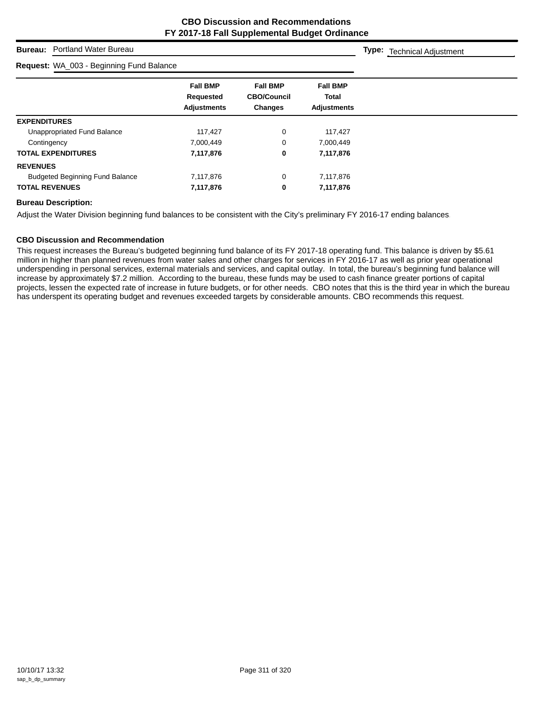**Type:** Technical Adjustment

## **Bureau:** Portland Water Bureau

| Request: WA_003 - Beginning Fund Balance |                                                    |                                                         |                                                       |  |
|------------------------------------------|----------------------------------------------------|---------------------------------------------------------|-------------------------------------------------------|--|
|                                          | <b>Fall BMP</b><br>Requested<br><b>Adjustments</b> | <b>Fall BMP</b><br><b>CBO/Council</b><br><b>Changes</b> | <b>Fall BMP</b><br><b>Total</b><br><b>Adjustments</b> |  |
| <b>EXPENDITURES</b>                      |                                                    |                                                         |                                                       |  |
| Unappropriated Fund Balance              | 117.427                                            | 0                                                       | 117,427                                               |  |
| Contingency                              | 7,000,449                                          | 0                                                       | 7,000,449                                             |  |
| <b>TOTAL EXPENDITURES</b>                | 7,117,876                                          | 0                                                       | 7,117,876                                             |  |
| <b>REVENUES</b>                          |                                                    |                                                         |                                                       |  |
| <b>Budgeted Beginning Fund Balance</b>   | 7,117,876                                          | 0                                                       | 7,117,876                                             |  |
| <b>TOTAL REVENUES</b>                    | 7,117,876                                          | 0                                                       | 7,117,876                                             |  |

#### **Bureau Description:**

Adjust the Water Division beginning fund balances to be consistent with the City's preliminary FY 2016-17 ending balances.

#### **CBO Discussion and Recommendation**

This request increases the Bureau's budgeted beginning fund balance of its FY 2017-18 operating fund. This balance is driven by \$5.61 million in higher than planned revenues from water sales and other charges for services in FY 2016-17 as well as prior year operational underspending in personal services, external materials and services, and capital outlay. In total, the bureau's beginning fund balance will increase by approximately \$7.2 million. According to the bureau, these funds may be used to cash finance greater portions of capital projects, lessen the expected rate of increase in future budgets, or for other needs. CBO notes that this is the third year in which the bureau has underspent its operating budget and revenues exceeded targets by considerable amounts. CBO recommends this request.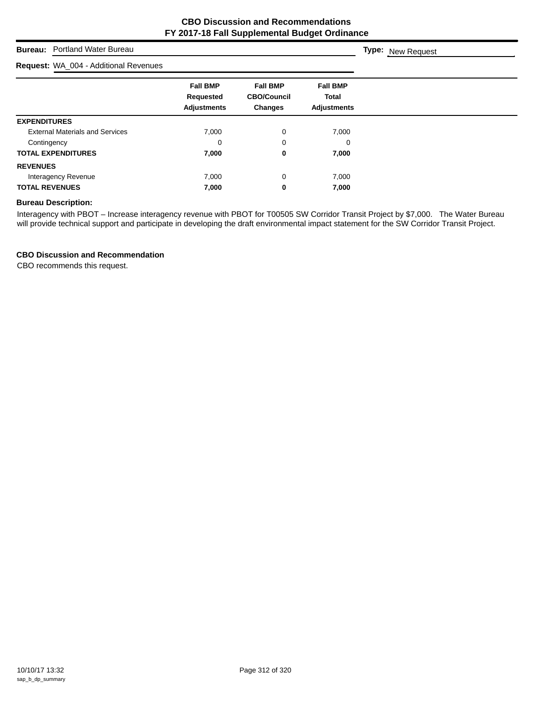**Type:** New Request

## **Bureau:** Portland Water Bureau

# **Request:** WA\_004 - Additional Revenues

| <b>Request:</b> WA_004 - Additional Revenues |                                                    |                                                         |                                                       |  |
|----------------------------------------------|----------------------------------------------------|---------------------------------------------------------|-------------------------------------------------------|--|
|                                              | <b>Fall BMP</b><br>Requested<br><b>Adjustments</b> | <b>Fall BMP</b><br><b>CBO/Council</b><br><b>Changes</b> | <b>Fall BMP</b><br><b>Total</b><br><b>Adjustments</b> |  |
| <b>EXPENDITURES</b>                          |                                                    |                                                         |                                                       |  |
| <b>External Materials and Services</b>       | 7,000                                              | 0                                                       | 7,000                                                 |  |
| Contingency                                  | 0                                                  | 0                                                       | 0                                                     |  |
| <b>TOTAL EXPENDITURES</b>                    | 7,000                                              | 0                                                       | 7,000                                                 |  |
| <b>REVENUES</b>                              |                                                    |                                                         |                                                       |  |
| Interagency Revenue                          | 7,000                                              | 0                                                       | 7,000                                                 |  |
| <b>TOTAL REVENUES</b>                        | 7,000                                              | 0                                                       | 7,000                                                 |  |

# **Bureau Description:**

Interagency with PBOT – Increase interagency revenue with PBOT for T00505 SW Corridor Transit Project by \$7,000. The Water Bureau will provide technical support and participate in developing the draft environmental impact statement for the SW Corridor Transit Project.

## **CBO Discussion and Recommendation**

CBO recommends this request.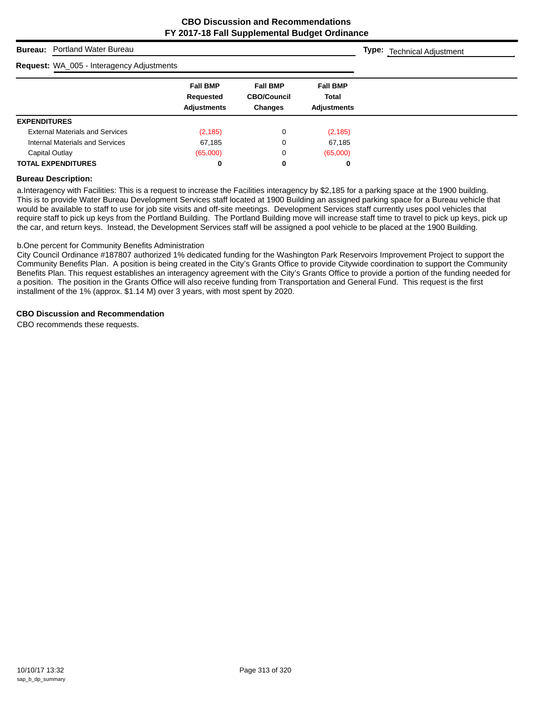**Type:** Technical Adjustment

## **Bureau:** Portland Water Bureau

# **Request:** WA\_005 - Interagency Adjustments

| <b>Request:</b> WA_005 - Interagency Adjustments |                              |                                       |                                 |  |
|--------------------------------------------------|------------------------------|---------------------------------------|---------------------------------|--|
|                                                  | <b>Fall BMP</b><br>Requested | <b>Fall BMP</b><br><b>CBO/Council</b> | <b>Fall BMP</b><br><b>Total</b> |  |
|                                                  | <b>Adjustments</b>           | <b>Changes</b>                        | <b>Adjustments</b>              |  |
| <b>EXPENDITURES</b>                              |                              |                                       |                                 |  |
| <b>External Materials and Services</b>           | (2, 185)                     | 0                                     | (2, 185)                        |  |
| Internal Materials and Services                  | 67,185                       | 0                                     | 67,185                          |  |
| Capital Outlay                                   | (65,000)                     | 0                                     | (65,000)                        |  |
| <b>TOTAL EXPENDITURES</b>                        | 0                            | 0                                     | 0                               |  |

#### **Bureau Description:**

a.Interagency with Facilities: This is a request to increase the Facilities interagency by \$2,185 for a parking space at the 1900 building. This is to provide Water Bureau Development Services staff located at 1900 Building an assigned parking space for a Bureau vehicle that would be available to staff to use for job site visits and off-site meetings. Development Services staff currently uses pool vehicles that require staff to pick up keys from the Portland Building. The Portland Building move will increase staff time to travel to pick up keys, pick up the car, and return keys. Instead, the Development Services staff will be assigned a pool vehicle to be placed at the 1900 Building.

#### b.One percent for Community Benefits Administration

City Council Ordinance #187807 authorized 1% dedicated funding for the Washington Park Reservoirs Improvement Project to support the Community Benefits Plan. A position is being created in the City's Grants Office to provide Citywide coordination to support the Community Benefits Plan. This request establishes an interagency agreement with the City's Grants Office to provide a portion of the funding needed for a position. The position in the Grants Office will also receive funding from Transportation and General Fund. This request is the first installment of the 1% (approx. \$1.14 M) over 3 years, with most spent by 2020.

### **CBO Discussion and Recommendation**

CBO recommends these requests.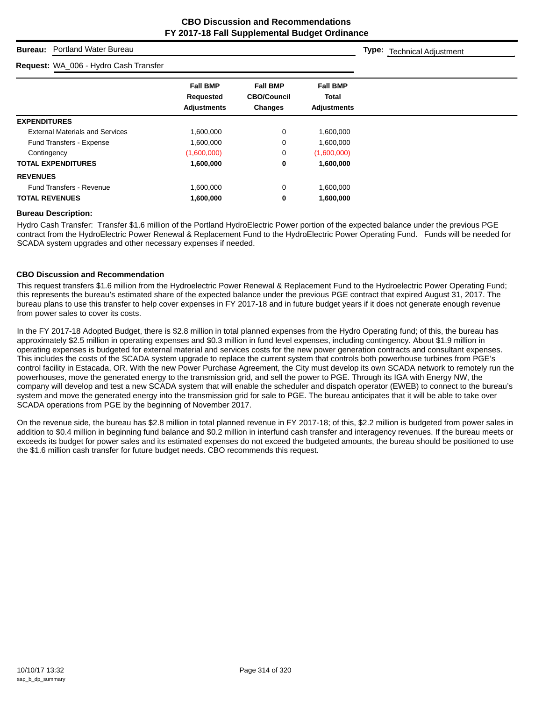**Type:** Technical Adjustment

## **Bureau:** Portland Water Bureau

#### **Request:** WA\_006 - Hydro Cash Transfer

**Fall BMP Fall BMP Fall BMP Requested CBO/Council Total Adjustments Changes Adjustments EXPENDITURES** External Materials and Services 1,600,000 0 1,600,000 0 1,600,000 Fund Transfers - Expense 1,600,000 1,600,000 0 1,600,000 Contingency (1,600,000) 0 (1,600,000) **TOTAL EXPENDITURES 1,600,000 0 1,600,000 REVENUES** Fund Transfers - Revenue 1,600,000 0 1,600,000 0 1,600,000 **TOTAL REVENUES 1,600,000 0 1,600,000**

#### **Bureau Description:**

Hydro Cash Transfer: Transfer \$1.6 million of the Portland HydroElectric Power portion of the expected balance under the previous PGE contract from the HydroElectric Power Renewal & Replacement Fund to the HydroElectric Power Operating Fund. Funds will be needed for SCADA system upgrades and other necessary expenses if needed.

#### **CBO Discussion and Recommendation**

This request transfers \$1.6 million from the Hydroelectric Power Renewal & Replacement Fund to the Hydroelectric Power Operating Fund; this represents the bureau's estimated share of the expected balance under the previous PGE contract that expired August 31, 2017. The bureau plans to use this transfer to help cover expenses in FY 2017-18 and in future budget years if it does not generate enough revenue from power sales to cover its costs.

In the FY 2017-18 Adopted Budget, there is \$2.8 million in total planned expenses from the Hydro Operating fund; of this, the bureau has approximately \$2.5 million in operating expenses and \$0.3 million in fund level expenses, including contingency. About \$1.9 million in operating expenses is budgeted for external material and services costs for the new power generation contracts and consultant expenses. This includes the costs of the SCADA system upgrade to replace the current system that controls both powerhouse turbines from PGE's control facility in Estacada, OR. With the new Power Purchase Agreement, the City must develop its own SCADA network to remotely run the powerhouses, move the generated energy to the transmission grid, and sell the power to PGE. Through its IGA with Energy NW, the company will develop and test a new SCADA system that will enable the scheduler and dispatch operator (EWEB) to connect to the bureau's system and move the generated energy into the transmission grid for sale to PGE. The bureau anticipates that it will be able to take over SCADA operations from PGE by the beginning of November 2017.

On the revenue side, the bureau has \$2.8 million in total planned revenue in FY 2017-18; of this, \$2.2 million is budgeted from power sales in addition to \$0.4 million in beginning fund balance and \$0.2 million in interfund cash transfer and interagency revenues. If the bureau meets or exceeds its budget for power sales and its estimated expenses do not exceed the budgeted amounts, the bureau should be positioned to use the \$1.6 million cash transfer for future budget needs. CBO recommends this request.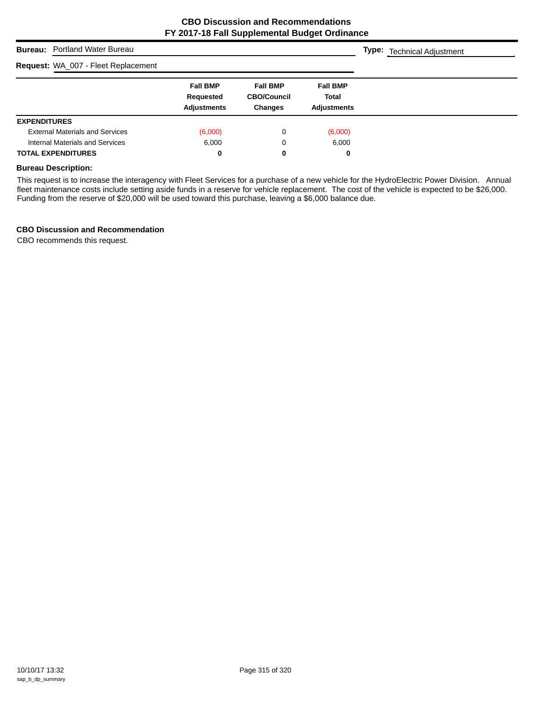| <b>Bureau:</b> Portland Water Bureau   |                                                           |                                                         |                                                       | <b>Type:</b> Technical Adjustment |
|----------------------------------------|-----------------------------------------------------------|---------------------------------------------------------|-------------------------------------------------------|-----------------------------------|
| Request: WA_007 - Fleet Replacement    |                                                           |                                                         |                                                       |                                   |
|                                        | <b>Fall BMP</b><br><b>Requested</b><br><b>Adjustments</b> | <b>Fall BMP</b><br><b>CBO/Council</b><br><b>Changes</b> | <b>Fall BMP</b><br><b>Total</b><br><b>Adjustments</b> |                                   |
| <b>EXPENDITURES</b>                    |                                                           |                                                         |                                                       |                                   |
| <b>External Materials and Services</b> | (6,000)                                                   | 0                                                       | (6,000)                                               |                                   |
| Internal Materials and Services        | 6.000                                                     | 0                                                       | 6,000                                                 |                                   |
| <b>TOTAL EXPENDITURES</b>              | 0                                                         | 0                                                       | 0                                                     |                                   |

#### **Bureau Description:**

This request is to increase the interagency with Fleet Services for a purchase of a new vehicle for the HydroElectric Power Division. Annual fleet maintenance costs include setting aside funds in a reserve for vehicle replacement. The cost of the vehicle is expected to be \$26,000. Funding from the reserve of \$20,000 will be used toward this purchase, leaving a \$6,000 balance due.

## **CBO Discussion and Recommendation**

CBO recommends this request.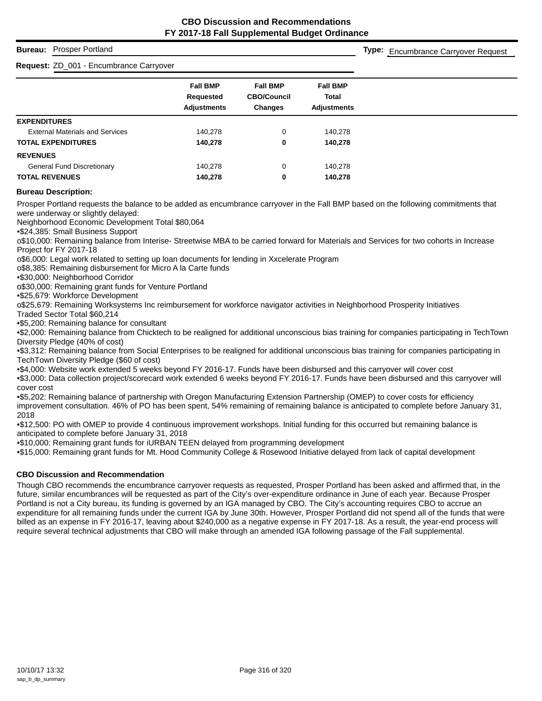## **Bureau:** Prosper Portland

## **Request:** ZD\_001 - Encumbrance Carryover

**Type:** Encumbrance Carryover Request

|                                        | <b>Fall BMP</b>    | <b>Fall BMP</b>    | <b>Fall BMP</b>    |
|----------------------------------------|--------------------|--------------------|--------------------|
|                                        | Requested          | <b>CBO/Council</b> | <b>Total</b>       |
|                                        | <b>Adjustments</b> | <b>Changes</b>     | <b>Adjustments</b> |
| <b>EXPENDITURES</b>                    |                    |                    |                    |
| <b>External Materials and Services</b> | 140,278            | 0                  | 140,278            |
| <b>TOTAL EXPENDITURES</b>              | 140.278            | 0                  | 140,278            |
| <b>REVENUES</b>                        |                    |                    |                    |
| <b>General Fund Discretionary</b>      | 140.278            | 0                  | 140.278            |
| <b>TOTAL REVENUES</b>                  | 140,278            | 0                  | 140,278            |
|                                        |                    |                    |                    |

## **Bureau Description:**

Prosper Portland requests the balance to be added as encumbrance carryover in the Fall BMP based on the following commitments that were underway or slightly delayed:

Neighborhood Economic Development Total \$80,064

•\$24,385: Small Business Support

o\$10,000: Remaining balance from Interise- Streetwise MBA to be carried forward for Materials and Services for two cohorts in Increase Project for FY 2017-18

o\$6,000: Legal work related to setting up loan documents for lending in Xxcelerate Program

o\$8,385: Remaining disbursement for Micro A la Carte funds

•\$30,000: Neighborhood Corridor

o\$30,000: Remaining grant funds for Venture Portland

•\$25,679: Workforce Development

o\$25,679: Remaining Worksystems Inc reimbursement for workforce navigator activities in Neighborhood Prosperity Initiatives

Traded Sector Total \$60,214

•\$5,200: Remaining balance for consultant

•\$2,000: Remaining balance from Chicktech to be realigned for additional unconscious bias training for companies participating in TechTown Diversity Pledge (40% of cost)

•\$3,312: Remaining balance from Social Enterprises to be realigned for additional unconscious bias training for companies participating in TechTown Diversity Pledge (\$60 of cost)

•\$4,000: Website work extended 5 weeks beyond FY 2016-17. Funds have been disbursed and this carryover will cover cost

•\$3,000: Data collection project/scorecard work extended 6 weeks beyond FY 2016-17. Funds have been disbursed and this carryover will cover cost

•\$5,202: Remaining balance of partnership with Oregon Manufacturing Extension Partnership (OMEP) to cover costs for efficiency improvement consultation. 46% of PO has been spent, 54% remaining of remaining balance is anticipated to complete before January 31, 2018

•\$12,500: PO with OMEP to provide 4 continuous improvement workshops. Initial funding for this occurred but remaining balance is anticipated to complete before January 31, 2018

•\$10,000: Remaining grant funds for iURBAN TEEN delayed from programming development

•\$15,000: Remaining grant funds for Mt. Hood Community College & Rosewood Initiative delayed from lack of capital development

### **CBO Discussion and Recommendation**

Though CBO recommends the encumbrance carryover requests as requested, Prosper Portland has been asked and affirmed that, in the future, similar encumbrances will be requested as part of the City's over-expenditure ordinance in June of each year. Because Prosper Portland is not a City bureau, its funding is governed by an IGA managed by CBO. The City's accounting requires CBO to accrue an expenditure for all remaining funds under the current IGA by June 30th. However, Prosper Portland did not spend all of the funds that were billed as an expense in FY 2016-17, leaving about \$240,000 as a negative expense in FY 2017-18. As a result, the year-end process will require several technical adjustments that CBO will make through an amended IGA following passage of the Fall supplemental.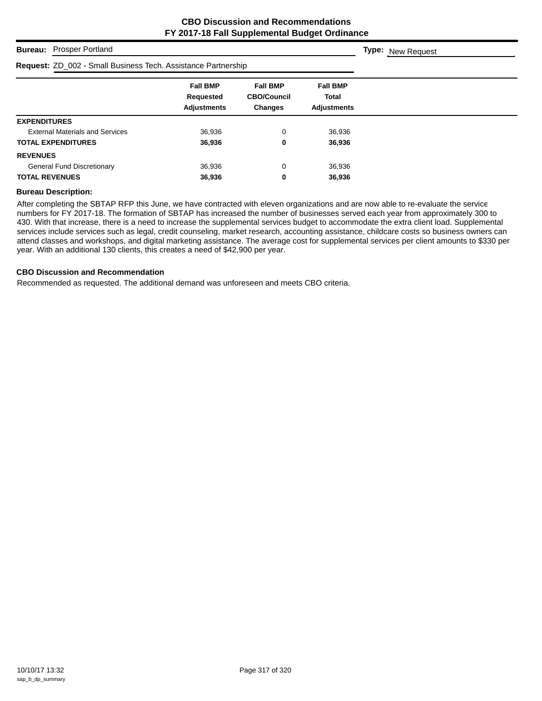**Type:** New Request

## **Bureau:** Prosper Portland

# **Request:** ZD\_002 - Small Business Tech. Assistance Partnership

| <b>Request:</b> ZD_002 - Small Business Tech. Assistance Partnership |                                                    |                                                         |                                                       |  |
|----------------------------------------------------------------------|----------------------------------------------------|---------------------------------------------------------|-------------------------------------------------------|--|
|                                                                      | <b>Fall BMP</b><br>Requested<br><b>Adjustments</b> | <b>Fall BMP</b><br><b>CBO/Council</b><br><b>Changes</b> | <b>Fall BMP</b><br><b>Total</b><br><b>Adiustments</b> |  |
| <b>EXPENDITURES</b>                                                  |                                                    |                                                         |                                                       |  |
| <b>External Materials and Services</b>                               | 36,936                                             | 0                                                       | 36,936                                                |  |
| <b>TOTAL EXPENDITURES</b>                                            | 36,936                                             | 0                                                       | 36,936                                                |  |
| <b>REVENUES</b>                                                      |                                                    |                                                         |                                                       |  |
| <b>General Fund Discretionary</b>                                    | 36,936                                             | 0                                                       | 36,936                                                |  |
| <b>TOTAL REVENUES</b>                                                | 36,936                                             | 0                                                       | 36,936                                                |  |

#### **Bureau Description:**

After completing the SBTAP RFP this June, we have contracted with eleven organizations and are now able to re-evaluate the service numbers for FY 2017-18. The formation of SBTAP has increased the number of businesses served each year from approximately 300 to 430. With that increase, there is a need to increase the supplemental services budget to accommodate the extra client load. Supplemental services include services such as legal, credit counseling, market research, accounting assistance, childcare costs so business owners can attend classes and workshops, and digital marketing assistance. The average cost for supplemental services per client amounts to \$330 per year. With an additional 130 clients, this creates a need of \$42,900 per year.

#### **CBO Discussion and Recommendation**

Recommended as requested. The additional demand was unforeseen and meets CBO criteria.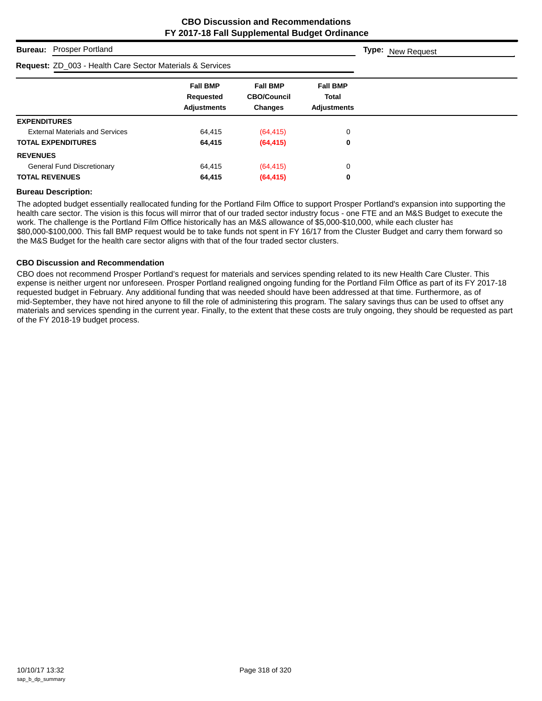|                       | <b>Bureau:</b> Prosper Portland                                      | <b>Type:</b> New Request                           |                                                         |                                                       |  |
|-----------------------|----------------------------------------------------------------------|----------------------------------------------------|---------------------------------------------------------|-------------------------------------------------------|--|
|                       | <b>Request: ZD_003 - Health Care Sector Materials &amp; Services</b> |                                                    |                                                         |                                                       |  |
|                       |                                                                      | <b>Fall BMP</b><br>Requested<br><b>Adjustments</b> | <b>Fall BMP</b><br><b>CBO/Council</b><br><b>Changes</b> | <b>Fall BMP</b><br><b>Total</b><br><b>Adjustments</b> |  |
| <b>EXPENDITURES</b>   |                                                                      |                                                    |                                                         |                                                       |  |
|                       | <b>External Materials and Services</b>                               | 64.415                                             | (64, 415)                                               | 0                                                     |  |
|                       | <b>TOTAL EXPENDITURES</b>                                            | 64,415                                             | (64, 415)                                               | 0                                                     |  |
| <b>REVENUES</b>       |                                                                      |                                                    |                                                         |                                                       |  |
|                       | <b>General Fund Discretionary</b>                                    | 64,415                                             | (64, 415)                                               | 0                                                     |  |
| <b>TOTAL REVENUES</b> |                                                                      | 64,415                                             | (64, 415)                                               | 0                                                     |  |

#### **Bureau Description:**

The adopted budget essentially reallocated funding for the Portland Film Office to support Prosper Portland's expansion into supporting the health care sector. The vision is this focus will mirror that of our traded sector industry focus - one FTE and an M&S Budget to execute the work. The challenge is the Portland Film Office historically has an M&S allowance of \$5,000-\$10,000, while each cluster has \$80,000-\$100,000. This fall BMP request would be to take funds not spent in FY 16/17 from the Cluster Budget and carry them forward so the M&S Budget for the health care sector aligns with that of the four traded sector clusters.

### **CBO Discussion and Recommendation**

CBO does not recommend Prosper Portland's request for materials and services spending related to its new Health Care Cluster. This expense is neither urgent nor unforeseen. Prosper Portland realigned ongoing funding for the Portland Film Office as part of its FY 2017-18 requested budget in February. Any additional funding that was needed should have been addressed at that time. Furthermore, as of mid-September, they have not hired anyone to fill the role of administering this program. The salary savings thus can be used to offset any materials and services spending in the current year. Finally, to the extent that these costs are truly ongoing, they should be requested as part of the FY 2018-19 budget process.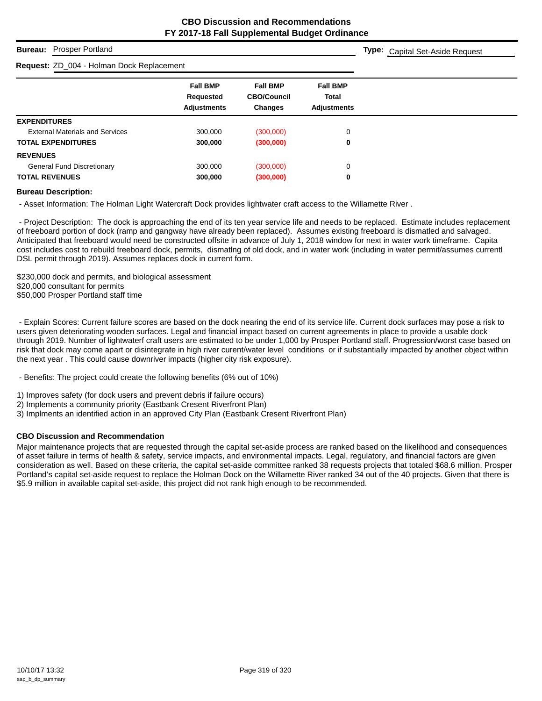**Type:** Capital Set-Aside Request

## **Bureau:** Prosper Portland

## **Request:** ZD\_004 - Holman Dock Replacement

| <b>Request:</b> ZD_004 - Holman Dock Replacement |                                                    |                                                         |                                                       |
|--------------------------------------------------|----------------------------------------------------|---------------------------------------------------------|-------------------------------------------------------|
|                                                  | <b>Fall BMP</b><br>Requested<br><b>Adjustments</b> | <b>Fall BMP</b><br><b>CBO/Council</b><br><b>Changes</b> | <b>Fall BMP</b><br><b>Total</b><br><b>Adiustments</b> |
| <b>EXPENDITURES</b>                              |                                                    |                                                         |                                                       |
| <b>External Materials and Services</b>           | 300,000                                            | (300,000)                                               | 0                                                     |
| <b>TOTAL EXPENDITURES</b>                        | 300,000                                            | (300,000)                                               | 0                                                     |
| <b>REVENUES</b>                                  |                                                    |                                                         |                                                       |
| <b>General Fund Discretionary</b>                | 300,000                                            | (300,000)                                               | 0                                                     |
| <b>TOTAL REVENUES</b>                            | 300,000                                            | (300,000)                                               | 0                                                     |

#### **Bureau Description:**

- Asset Information: The Holman Light Watercraft Dock provides lightwater craft access to the Willamette River .

 - Project Description: The dock is approaching the end of its ten year service life and needs to be replaced. Estimate includes replacement of freeboard portion of dock (ramp and gangway have already been replaced). Assumes existing freeboard is dismatled and salvaged. Anticipated that freeboard would need be constructed offsite in advance of July 1, 2018 window for next in water work timeframe. Capita cost includes cost to rebuild freeboard dock, permits, dismatlng of old dock, and in water work (including in water permit/assumes currentl DSL permit through 2019). Assumes replaces dock in current form.

\$230,000 dock and permits, and biological assessment \$20,000 consultant for permits \$50,000 Prosper Portland staff time

 - Explain Scores: Current failure scores are based on the dock nearing the end of its service life. Current dock surfaces may pose a risk to users given deteriorating wooden surfaces. Legal and financial impact based on current agreements in place to provide a usable dock through 2019. Number of lightwaterf craft users are estimated to be under 1,000 by Prosper Portland staff. Progression/worst case based on risk that dock may come apart or disintegrate in high river curent/water level conditions or if substantially impacted by another object within the next year . This could cause downriver impacts (higher city risk exposure).

- Benefits: The project could create the following benefits (6% out of 10%)

1) Improves safety (for dock users and prevent debris if failure occurs)

2) Implements a community priority (Eastbank Cresent Riverfront Plan)

3) Implments an identified action in an approved City Plan (Eastbank Cresent Riverfront Plan)

### **CBO Discussion and Recommendation**

Major maintenance projects that are requested through the capital set-aside process are ranked based on the likelihood and consequences of asset failure in terms of health & safety, service impacts, and environmental impacts. Legal, regulatory, and financial factors are given consideration as well. Based on these criteria, the capital set-aside committee ranked 38 requests projects that totaled \$68.6 million. Prosper Portland's capital set-aside request to replace the Holman Dock on the Willamette River ranked 34 out of the 40 projects. Given that there is \$5.9 million in available capital set-aside, this project did not rank high enough to be recommended.